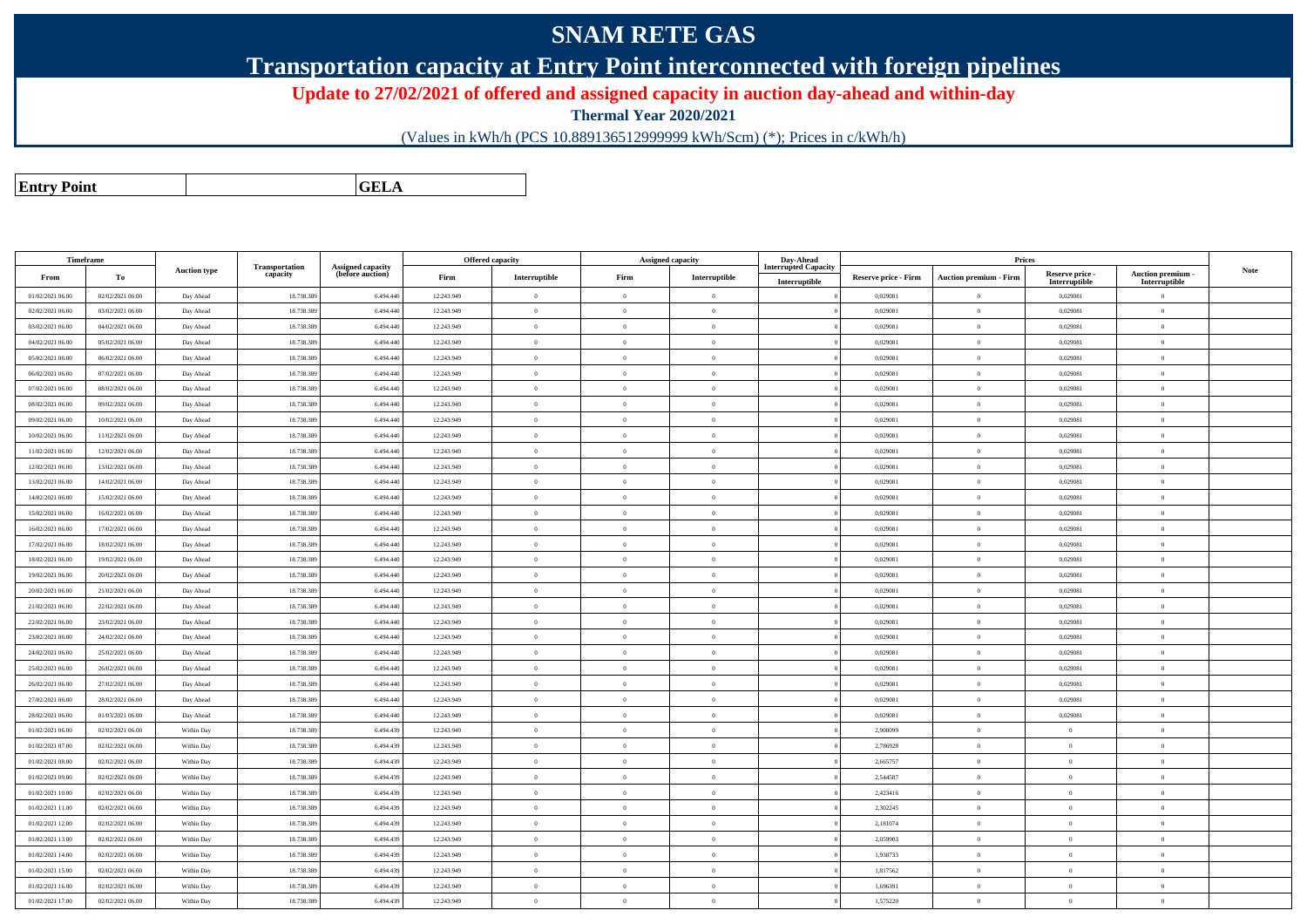## **SNAM RETE GAS**

**Transportation capacity at Entry Point interconnected with foreign pipelines**

**Update to 27/02/2021 of offered and assigned capacity in auction day-ahead and within-day**

**Thermal Year 2020/2021**

(Values in kWh/h (PCS 10.889136512999999 kWh/Scm) (\*); Prices in c/kWh/h)

**Entry PointGELA**

| Timeframe        |                  |                     | Transportation | <b>Assigned capacity</b> |            | <b>Offered capacity</b> |                | <b>Assigned capacity</b> | Day-Ahead<br><b>Interrupted Capacity</b> |                      | Prices                          |                                  |                                    |             |
|------------------|------------------|---------------------|----------------|--------------------------|------------|-------------------------|----------------|--------------------------|------------------------------------------|----------------------|---------------------------------|----------------------------------|------------------------------------|-------------|
| From             | To               | <b>Auction type</b> | capacity       | (before auction)         | Firm       | Interruptible           | Firm           | Interruptible            | Interruptible                            | Reserve price - Firm | <b>Auction premium - Firm</b>   | Reserve price -<br>Interruptible | Auction premium -<br>Interruptible | <b>Note</b> |
| 01/02/2021 06:00 | 02/02/2021 06:00 | Day Ahead           | 18.738.38      | 6.494.440                | 12.243.949 | $\bf{0}$                | $\theta$       | $\overline{0}$           |                                          | 0,029081             | $\overline{0}$                  | 0,029081                         | $\overline{0}$                     |             |
| 02/02/2021 06:00 | 03/02/2021 06:00 | Day Ahead           | 18.738.389     | 6.494.440                | 12.243.949 | $\overline{0}$          | $\theta$       | $\overline{0}$           |                                          | 0,029081             | $\bf{0}$                        | 0,029081                         | $\theta$                           |             |
| 03/02/2021 06:00 | 04/02/2021 06:00 | Day Ahead           | 18.738.38      | 6.494.440                | 12.243.949 | $\,$ 0                  | $\theta$       | $\overline{0}$           |                                          | 0,029081             | $\overline{0}$                  | 0,029081                         | $\theta$                           |             |
| 04/02/2021 06:00 | 05/02/2021 06:00 | Day Ahead           | 18.738.389     | 6.494.440                | 12.243.949 | $\overline{0}$          | $\theta$       | $\overline{0}$           |                                          | 0,029081             | $\theta$                        | 0,029081                         | $\theta$                           |             |
| 05/02/2021 06:00 | 06/02/2021 06:00 | Day Ahead           | 18.738.389     | 6.494.440                | 12.243.949 | $\overline{0}$          | $\theta$       | $\overline{0}$           |                                          | 0,029081             | $\theta$                        | 0,029081                         | $\theta$                           |             |
| 06/02/2021 06:00 | 07/02/2021 06:00 | Day Ahead           | 18.738.389     | 6.494.440                | 12.243.949 | $\overline{0}$          | $\theta$       | $\overline{0}$           |                                          | 0,029081             | $\overline{0}$                  | 0,029081                         | $\theta$                           |             |
| 07/02/2021 06:00 | 08/02/2021 06:00 | Day Ahead           | 18.738.38      | 6.494.440                | 12.243.949 | $\overline{0}$          | $\theta$       | $\overline{0}$           |                                          | 0,029081             | $\overline{0}$                  | 0,029081                         | $\theta$                           |             |
| 08/02/2021 06:00 | 09/02/2021 06:00 | Day Ahead           | 18.738.389     | 6.494.440                | 12.243.949 | $\overline{0}$          | $\theta$       | $\overline{0}$           |                                          | 0,029081             | $\theta$                        | 0,029081                         | $\theta$                           |             |
| 09/02/2021 06:00 | 10/02/2021 06:00 | Day Ahead           | 18.738.38      | 6.494.440                | 12.243.949 | $\overline{0}$          | $\theta$       | $\overline{0}$           |                                          | 0,029081             | $\overline{0}$                  | 0,029081                         | $\theta$                           |             |
| 10/02/2021 06:00 | 11/02/2021 06:00 | Day Ahead           | 18.738.389     | 6.494.440                | 12.243.949 | $\overline{0}$          | $\theta$       | $\overline{0}$           |                                          | 0,029081             | $\overline{0}$                  | 0,029081                         | $\theta$                           |             |
| 11/02/2021 06:00 | 12/02/2021 06:00 | Day Ahead           | 18.738.38      | 6.494.440                | 12.243.949 | $\overline{0}$          | $\theta$       | $\overline{0}$           |                                          | 0,029081             | $\overline{0}$                  | 0,029081                         | $\theta$                           |             |
| 12/02/2021 06:00 | 13/02/2021 06:00 | Day Ahead           | 18,738,389     | 6.494.440                | 12.243.949 | $\theta$                | $\theta$       | $\overline{0}$           |                                          | 0.029081             | $\theta$                        | 0.029081                         | $\theta$                           |             |
| 13/02/2021 06:00 | 14/02/2021 06:00 | Day Ahead           | 18.738.38      | 6.494.440                | 12.243.949 | $\overline{0}$          | $\theta$       | $\overline{0}$           |                                          | 0,029081             | $\theta$                        | 0,029081                         | $\theta$                           |             |
| 14/02/2021 06:00 | 15/02/2021 06:00 | Day Ahead           | 18.738.389     | 6.494.440                | 12.243.949 | $\theta$                | $\theta$       | $\overline{0}$           |                                          | 0,029081             | $\overline{0}$                  | 0,029081                         | $\theta$                           |             |
| 15/02/2021 06:00 | 16/02/2021 06:00 | Day Ahead           | 18,738,389     | 6,494,440                | 12.243.949 | $\theta$                | $\theta$       | $\overline{0}$           |                                          | 0.029081             | $\theta$                        | 0.029081                         | $\theta$                           |             |
| 16/02/2021 06:00 | 17/02/2021 06:00 | Day Ahead           | 18.738.389     | 6.494.440                | 12.243.949 | $\overline{0}$          | $\theta$       | $\overline{0}$           |                                          | 0,029081             | $\mathbf{0}$                    | 0,029081                         | $\theta$                           |             |
| 17/02/2021 06:00 | 18/02/2021 06:00 | Day Ahead           | 18,738,389     | 6,494,440                | 12.243.949 | $\overline{0}$          | $\theta$       | $\overline{0}$           |                                          | 0.029081             | $\mathbf{0}$                    | 0.029081                         | $\theta$                           |             |
| 18/02/2021 06:00 | 19/02/2021 06:00 | Day Ahead           | 18.738.389     | 6,494,440                | 12.243.949 | $\theta$                | $\Omega$       | $\overline{0}$           |                                          | 0,029081             | $\overline{0}$                  | 0,029081                         | $\overline{0}$                     |             |
| 19/02/2021 06:00 | 20/02/2021 06:00 | Day Ahead           | 18.738.38      | 6.494.440                | 12.243.949 | $\overline{0}$          | $\theta$       | $\overline{0}$           |                                          | 0,029081             | $\overline{0}$                  | 0,029081                         | $\theta$                           |             |
| 20/02/2021 06:00 | 21/02/2021 06:00 | Day Ahead           | 18,738,389     | 6.494.440                | 12.243.949 | $\theta$                | $\theta$       | $\overline{0}$           |                                          | 0.029081             | $\overline{0}$                  | 0.029081                         | $\theta$                           |             |
| 21/02/2021 06:00 | 22/02/2021 06:00 | Day Ahead           | 18,738,389     | 6,494,440                | 12.243.949 | $\theta$                | $\theta$       | $\overline{0}$           |                                          | 0.029081             | $\theta$                        | 0.029081                         | $\theta$                           |             |
| 22/02/2021 06:00 | 23/02/2021 06:00 | Day Ahead           | 18.738.389     | 6.494.440                | 12.243.949 | $\overline{0}$          | $\overline{0}$ | $\overline{0}$           |                                          | 0,029081             | $\overline{0}$                  | 0,029081                         | $\overline{0}$                     |             |
| 23/02/2021 06:00 | 24/02/2021 06:00 | Day Ahead           | 18,738,389     | 6,494,440                | 12.243.949 | $\theta$                | $\theta$       | $\overline{0}$           |                                          | 0.029081             | $\theta$                        | 0.029081                         | $\theta$                           |             |
| 24/02/2021 06:00 | 25/02/2021 06:00 | Day Ahead           | 18.738.389     | 6.494.440                | 12.243.949 | $\theta$                | $\overline{0}$ | $\overline{0}$           |                                          | 0,029081             | $\mathbf{0}$                    | 0,029081                         | $\overline{0}$                     |             |
| 25/02/2021 06:00 | 26/02/2021 06:00 | Day Ahead           | 18,738,389     | 6,494,440                | 12.243.949 | $\theta$                | $\theta$       | $\overline{0}$           |                                          | 0.029081             | $\theta$                        | 0.029081                         | $\theta$                           |             |
| 26/02/2021 06:00 | 27/02/2021 06:00 | Day Ahead           | 18.738.389     | 6,494,440                | 12.243.949 | $\overline{0}$          | $\overline{0}$ | $\overline{0}$           |                                          | 0,029081             | $\bf{0}$                        | 0,029081                         | $\overline{0}$                     |             |
| 27/02/2021 06:00 | 28/02/2021 06:00 | Day Ahead           | 18.738.389     | 6.494.440                | 12.243.949 | $\overline{0}$          | $\theta$       | $\overline{0}$           |                                          | 0,029081             | $\bf{0}$                        | 0.029081                         | $\theta$                           |             |
| 28/02/2021 06:00 | 01/03/2021 06:00 | Day Ahead           | 18,738,389     | 6.494.440                | 12.243.949 | $\theta$                | $\theta$       | $\overline{0}$           |                                          | 0.029081             | $\overline{0}$                  | 0.029081                         | $\theta$                           |             |
| 01/02/2021 06:00 | 02/02/2021 06:00 | Within Day          | 18.738.389     | 6.494.439                | 12.243.949 | $\theta$                | $\Omega$       | $\overline{0}$           |                                          | 2.908099             | $\theta$                        | $\theta$                         | $\theta$                           |             |
| 01/02/2021 07:00 | 02/02/2021 06:00 | Within Day          | 18.738.389     | 6.494.439                | 12.243.949 | $\,$ 0 $\,$             | $\overline{0}$ | $\overline{0}$           |                                          | 2,786928             | $\overline{0}$                  | $\overline{0}$                   | $\overline{0}$                     |             |
| 01/02/2021 08:00 | 02/02/2021 06:00 | Within Day          | 18,738,389     | 6,494,439                | 12.243.949 | $\theta$                | $\Omega$       | $\overline{0}$           |                                          | 2.665757             | $\bf{0}$                        | $\theta$                         | $\theta$                           |             |
| 01/02/2021 09:00 | 02/02/2021 06:00 | Within Day          | 18.738.389     | 6.494.439                | 12.243.949 | $\theta$                | $\theta$       | $\overline{0}$           |                                          | 2,544587             | $\mathbf{0}$                    | $\overline{0}$                   | $\overline{0}$                     |             |
| 01/02/2021 10:00 | 02/02/2021 06:00 | Within Day          | 18.738.389     | 6.494.439                | 12.243.949 | $\theta$                | $\Omega$       | $\overline{0}$           |                                          | 2,423416             | $\theta$                        | $\theta$                         | $\Omega$                           |             |
| 01/02/2021 11:00 | 02/02/2021 06:00 | Within Day          | 18.738.389     | 6.494.439                | 12.243.949 | $\overline{0}$          | $\theta$       | $\overline{0}$           |                                          | 2,302245             | $\bf{0}$                        | $\overline{0}$                   | $\overline{0}$                     |             |
| 01/02/2021 12:00 | 02/02/2021 06:00 | Within Day          | 18.738.389     | 6.494.439                | 12.243.949 | $\overline{0}$          | $\theta$       | $\overline{0}$           |                                          | 2,181074             | $\hspace{0.1mm}0\hspace{0.1mm}$ | $\overline{0}$                   | $\theta$                           |             |
| 01/02/2021 13:00 | 02/02/2021 06:00 | Within Day          | 18.738.389     | 6.494.439                | 12.243.949 | $\overline{0}$          | $\theta$       | $\overline{0}$           |                                          | 2.059903             | $\overline{0}$                  | $\theta$                         | $\overline{0}$                     |             |
| 01/02/2021 14:00 | 02/02/2021 06:00 | Within Day          | 18.738.389     | 6.494.439                | 12.243.949 | $\theta$                | $\Omega$       | $\overline{0}$           |                                          | 1,938733             | $\theta$                        | $\theta$                         | $\theta$                           |             |
| 01/02/2021 15:00 | 02/02/2021 06:00 | Within Day          | 18,738,389     | 6.494.439                | 12.243.949 | $\theta$                | $\theta$       | $\overline{0}$           |                                          | 1,817562             | $\overline{0}$                  | $\overline{0}$                   | $\overline{0}$                     |             |
| 01/02/2021 16:00 | 02/02/2021 06:00 | Within Day          | 18.738.389     | 6.494.439                | 12.243.949 | $\overline{0}$          | $\theta$       | $\overline{0}$           |                                          | 1,696391             | $\bf{0}$                        | $\overline{0}$                   | $\overline{0}$                     |             |
| 01/02/2021 17:00 | 02/02/2021 06:00 | Within Day          | 18.738.389     | 6.494.439                | 12.243.949 | $\theta$                | $\theta$       | $\overline{0}$           |                                          | 1,575220             | $\mathbf{0}$                    | $\theta$                         | $\theta$                           |             |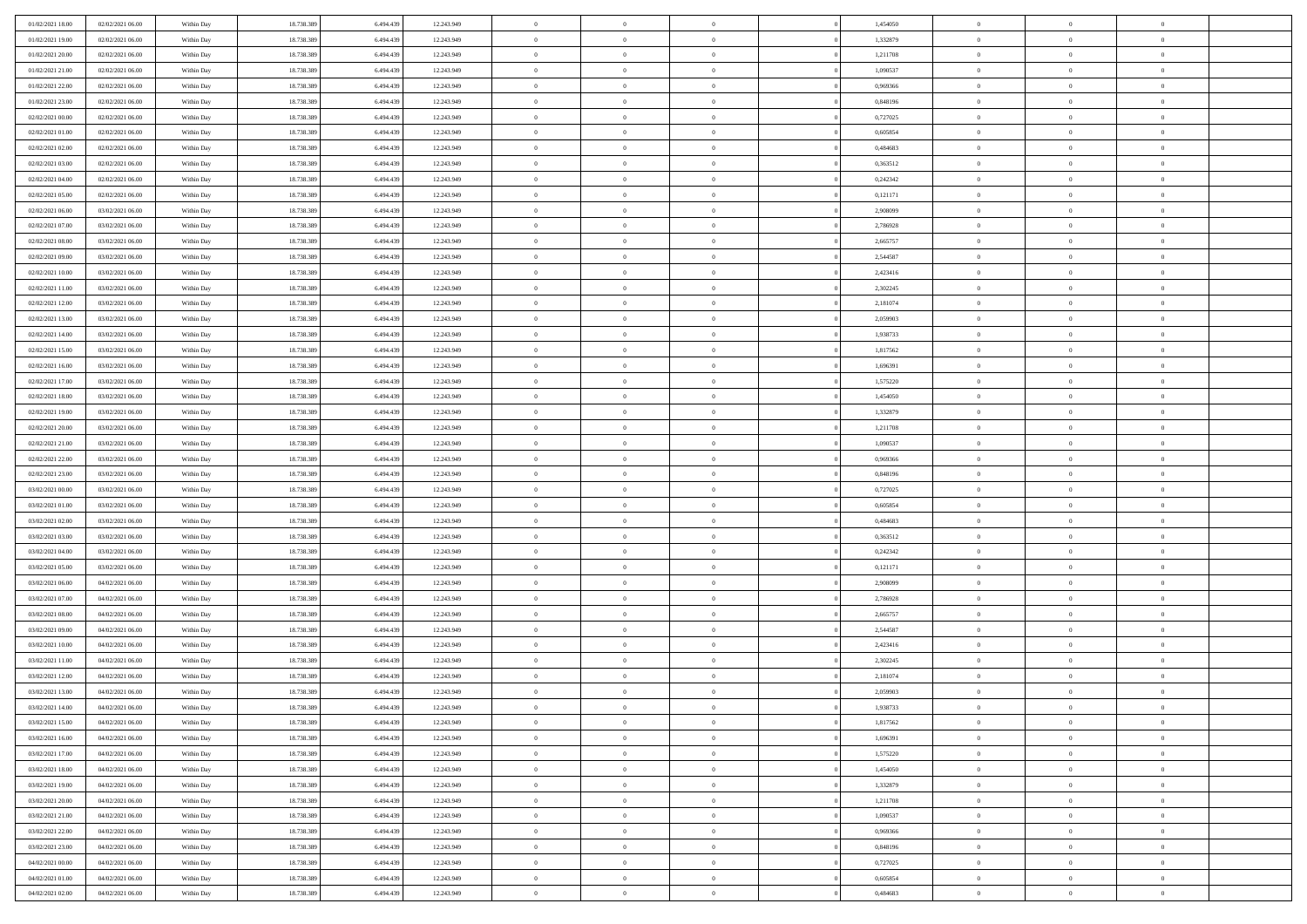| 01/02/2021 18:00 | 02/02/2021 06:00 | Within Day               | 18.738.389 | 6.494.439 | 12.243.949               | $\bf{0}$       | $\bf{0}$       | $\theta$       |          | 1,454050 | $\bf{0}$       | $\overline{0}$ | $\,0\,$        |  |
|------------------|------------------|--------------------------|------------|-----------|--------------------------|----------------|----------------|----------------|----------|----------|----------------|----------------|----------------|--|
| 01/02/2021 19:00 | 02/02/2021 06:00 | Within Day               | 18.738.389 | 6,494,439 | 12.243.949               | $\overline{0}$ | $\overline{0}$ | $\overline{0}$ |          | 1,332879 | $\overline{0}$ | $\overline{0}$ | $\theta$       |  |
| 01/02/2021 20:00 | 02/02/2021 06:00 | Within Dav               | 18.738.389 | 6.494.439 | 12.243.949               | $\mathbf{0}$   | $\overline{0}$ | $\overline{0}$ |          | 1,211708 | $\mathbf{0}$   | $\overline{0}$ | $\overline{0}$ |  |
| 01/02/2021 21:00 | 02/02/2021 06:00 | Within Day               | 18.738.389 | 6.494.439 | 12.243.949               | $\bf{0}$       | $\overline{0}$ | $\bf{0}$       |          | 1,090537 | $\bf{0}$       | $\overline{0}$ | $\bf{0}$       |  |
| 01/02/2021 22:00 | 02/02/2021 06:00 | Within Day               | 18.738.389 | 6,494,439 | 12.243.949               | $\bf{0}$       | $\bf{0}$       | $\overline{0}$ |          | 0,969366 | $\bf{0}$       | $\theta$       | $\,0\,$        |  |
| 01/02/2021 23:00 | 02/02/2021 06:00 | Within Dav               | 18.738.389 | 6.494.439 | 12.243.949               | $\mathbf{0}$   | $\overline{0}$ |                |          | 0,848196 | $\mathbf{0}$   | $\overline{0}$ | $\overline{0}$ |  |
|                  |                  |                          |            |           |                          |                |                | $\overline{0}$ |          |          |                |                |                |  |
| 02/02/2021 00:00 | 02/02/2021 06:00 | Within Day               | 18.738.389 | 6.494.439 | 12.243.949               | $\bf{0}$       | $\bf{0}$       | $\overline{0}$ |          | 0,727025 | $\bf{0}$       | $\overline{0}$ | $\,0\,$        |  |
| 02/02/2021 01:00 | 02/02/2021 06:00 | Within Day               | 18.738.389 | 6,494,439 | 12.243.949               | $\overline{0}$ | $\overline{0}$ | $\overline{0}$ |          | 0.605854 | $\,$ 0 $\,$    | $\overline{0}$ | $\theta$       |  |
| 02/02/2021 02:00 | 02/02/2021 06:00 | Within Day               | 18.738.389 | 6.494.439 | 12.243.949               | $\mathbf{0}$   | $\overline{0}$ | $\overline{0}$ |          | 0,484683 | $\mathbf{0}$   | $\overline{0}$ | $\overline{0}$ |  |
| 02/02/2021 03:00 | 02/02/2021 06:00 | Within Day               | 18.738.389 | 6.494.439 | 12.243.949               | $\bf{0}$       | $\bf{0}$       | $\overline{0}$ |          | 0,363512 | $\bf{0}$       | $\overline{0}$ | $\,0\,$        |  |
| 02/02/2021 04:00 | 02/02/2021 06:00 | Within Day               | 18.738.389 | 6,494,439 | 12.243.949               | $\bf{0}$       | $\overline{0}$ | $\overline{0}$ |          | 0,242342 | $\bf{0}$       | $\overline{0}$ | $\theta$       |  |
| 02/02/2021 05:00 | 02/02/2021 06:00 | Within Dav               | 18.738.389 | 6.494.439 | 12.243.949               | $\mathbf{0}$   | $\overline{0}$ | $\overline{0}$ |          | 0,121171 | $\mathbf{0}$   | $\overline{0}$ | $\overline{0}$ |  |
| 02/02/2021 06:00 | 03/02/2021 06:00 | Within Day               | 18.738.389 | 6.494.439 | 12.243.949               | $\bf{0}$       | $\overline{0}$ | $\bf{0}$       |          | 2,908099 | $\bf{0}$       | $\overline{0}$ | $\bf{0}$       |  |
| 02/02/2021 07:00 | 03/02/2021 06:00 | Within Day               | 18.738.389 | 6.494.439 | 12.243.949               | $\bf{0}$       | $\overline{0}$ | $\overline{0}$ |          | 2,786928 | $\bf{0}$       | $\theta$       | $\,0\,$        |  |
| 02/02/2021 08:00 | 03/02/2021 06:00 | Within Dav               | 18.738.389 | 6.494.439 | 12.243.949               | $\overline{0}$ | $\overline{0}$ | $\overline{0}$ |          | 2,665757 | $\mathbf{0}$   | $\overline{0}$ | $\overline{0}$ |  |
| 02/02/2021 09:00 | 03/02/2021 06:00 | Within Day               | 18.738.389 | 6.494.439 | 12.243.949               | $\bf{0}$       | $\bf{0}$       | $\overline{0}$ |          | 2,544587 | $\bf{0}$       | $\overline{0}$ | $\bf{0}$       |  |
| 02/02/2021 10:00 | 03/02/2021 06:00 | Within Day               | 18.738.389 | 6,494,439 | 12.243.949               | $\overline{0}$ | $\overline{0}$ | $\overline{0}$ |          | 2,423416 | $\,$ 0 $\,$    | $\overline{0}$ | $\theta$       |  |
| 02/02/2021 11:00 | 03/02/2021 06:00 | Within Day               | 18.738.389 | 6.494.439 | 12.243.949               | $\mathbf{0}$   | $\overline{0}$ | $\overline{0}$ |          | 2,302245 | $\mathbf{0}$   | $\overline{0}$ | $\overline{0}$ |  |
| 02/02/2021 12:00 | 03/02/2021 06:00 | Within Day               | 18.738.389 | 6.494.439 | 12.243.949               | $\,$ 0         | $\bf{0}$       | $\overline{0}$ |          | 2,181074 | $\bf{0}$       | $\overline{0}$ | $\,0\,$        |  |
| 02/02/2021 13:00 | 03/02/2021 06:00 | Within Day               | 18.738.389 | 6,494,439 | 12.243.949               | $\bf{0}$       | $\overline{0}$ | $\overline{0}$ |          | 2,059903 | $\bf{0}$       | $\overline{0}$ | $\overline{0}$ |  |
| 02/02/2021 14:00 | 03/02/2021 06:00 | Within Dav               | 18.738.389 | 6.494.439 | 12.243.949               | $\mathbf{0}$   | $\overline{0}$ | $\overline{0}$ |          | 1,938733 | $\mathbf{0}$   | $\overline{0}$ | $\overline{0}$ |  |
| 02/02/2021 15:00 | 03/02/2021 06:00 | Within Day               | 18.738.389 | 6.494.439 | 12.243.949               | $\bf{0}$       | $\overline{0}$ | $\bf{0}$       |          | 1,817562 | $\bf{0}$       | $\overline{0}$ | $\bf{0}$       |  |
| 02/02/2021 16:00 | 03/02/2021 06:00 | Within Day               | 18.738.389 | 6,494,439 | 12.243.949               | $\bf{0}$       | $\bf{0}$       | $\overline{0}$ |          | 1,696391 | $\bf{0}$       | $\overline{0}$ | $\,0\,$        |  |
| 02/02/2021 17:00 | 03/02/2021 06:00 | Within Dav               | 18.738.389 | 6.494.439 | 12.243.949               | $\mathbf{0}$   | $\overline{0}$ | $\overline{0}$ |          | 1,575220 | $\mathbf{0}$   | $\overline{0}$ | $\overline{0}$ |  |
| 02/02/2021 18:00 | 03/02/2021 06:00 | Within Day               | 18.738.389 | 6.494.439 | 12.243.949               | $\bf{0}$       | $\bf{0}$       | $\overline{0}$ |          | 1,454050 | $\bf{0}$       | $\overline{0}$ | $\,0\,$        |  |
| 02/02/2021 19:00 | 03/02/2021 06:00 | Within Day               | 18.738.389 | 6.494.439 | 12.243.949               | $\overline{0}$ | $\overline{0}$ | $\overline{0}$ |          | 1,332879 | $\bf{0}$       | $\overline{0}$ | $\overline{0}$ |  |
| 02/02/2021 20:00 | 03/02/2021 06:00 | Within Day               | 18.738.389 | 6.494.439 | 12.243.949               | $\mathbf{0}$   | $\overline{0}$ | $\overline{0}$ |          | 1,211708 | $\mathbf{0}$   | $\overline{0}$ | $\overline{0}$ |  |
| 02/02/2021 21:00 | 03/02/2021 06:00 | Within Day               | 18.738.389 | 6.494.439 | 12.243.949               | $\bf{0}$       | $\bf{0}$       | $\overline{0}$ |          | 1,090537 | $\bf{0}$       | $\overline{0}$ | $\,0\,$        |  |
| 02/02/2021 22.00 | 03/02/2021 06:00 | Within Day               | 18.738.389 | 6,494,439 | 12.243.949               | $\bf{0}$       | $\bf{0}$       | $\overline{0}$ |          | 0.969366 | $\bf{0}$       | $\mathbf{0}$   | $\overline{0}$ |  |
| 02/02/2021 23:00 | 03/02/2021 06:00 | Within Dav               | 18.738.389 | 6.494.439 | 12.243.949               | $\mathbf{0}$   | $\overline{0}$ | $\overline{0}$ |          | 0,848196 | $\mathbf{0}$   | $\overline{0}$ | $\overline{0}$ |  |
| 03/02/2021 00:00 | 03/02/2021 06:00 |                          | 18.738.389 | 6.494.439 |                          | $\bf{0}$       | $\overline{0}$ | $\theta$       |          | 0,727025 | $\,$ 0         | $\overline{0}$ | $\theta$       |  |
| 03/02/2021 01:00 | 03/02/2021 06:00 | Within Day               | 18.738.389 | 6.494.439 | 12.243.949               | $\bf{0}$       | $\bf{0}$       | $\overline{0}$ |          | 0,605854 | $\bf{0}$       | $\mathbf{0}$   | $\bf{0}$       |  |
| 03/02/2021 02:00 | 03/02/2021 06:00 | Within Day<br>Within Dav | 18.738.389 | 6.494.439 | 12.243.949<br>12.243.949 | $\mathbf{0}$   | $\overline{0}$ |                |          | 0,484683 | $\mathbf{0}$   | $\overline{0}$ | $\overline{0}$ |  |
|                  |                  |                          |            |           |                          |                |                | $\overline{0}$ |          |          |                |                |                |  |
| 03/02/2021 03:00 | 03/02/2021 06:00 | Within Day               | 18.738.389 | 6.494.439 | 12.243.949               | $\bf{0}$       | $\overline{0}$ | $\theta$       |          | 0,363512 | $\,$ 0         | $\overline{0}$ | $\theta$       |  |
| 03/02/2021 04:00 | 03/02/2021 06:00 | Within Day               | 18.738.389 | 6,494,439 | 12.243.949               | $\bf{0}$       | $\overline{0}$ | $\overline{0}$ |          | 0,242342 | $\bf{0}$       | $\overline{0}$ | $\overline{0}$ |  |
| 03/02/2021 05:00 | 03/02/2021 06:00 | Within Day               | 18.738.389 | 6.494.439 | 12.243.949               | $\mathbf{0}$   | $\overline{0}$ | $\overline{0}$ |          | 0,121171 | $\mathbf{0}$   | $\overline{0}$ | $\overline{0}$ |  |
| 03/02/2021 06:00 | 04/02/2021 06:00 | Within Day               | 18.738.389 | 6.494.439 | 12.243.949               | $\bf{0}$       | $\overline{0}$ | $\theta$       |          | 2,908099 | $\,$ 0         | $\overline{0}$ | $\theta$       |  |
| 03/02/2021 07:00 | 04/02/2021 06:00 | Within Day               | 18.738.389 | 6.494.439 | 12.243.949               | $\bf{0}$       | $\overline{0}$ | $\overline{0}$ |          | 2,786928 | $\bf{0}$       | $\mathbf{0}$   | $\bf{0}$       |  |
| 03/02/2021 08:00 | 04/02/2021 06:00 | Within Dav               | 18.738.389 | 6.494.439 | 12.243.949               | $\mathbf{0}$   | $\overline{0}$ | $\overline{0}$ |          | 2,665757 | $\mathbf{0}$   | $\overline{0}$ | $\overline{0}$ |  |
| 03/02/2021 09:00 | 04/02/2021 06:00 | Within Day               | 18.738.389 | 6.494.439 | 12.243.949               | $\bf{0}$       | $\overline{0}$ | $\theta$       |          | 2,544587 | $\,$ 0         | $\overline{0}$ | $\theta$       |  |
| 03/02/2021 10:00 | 04/02/2021 06:00 | Within Day               | 18.738.389 | 6.494.439 | 12.243.949               | $\bf{0}$       | $\bf{0}$       | $\overline{0}$ |          | 2,423416 | $\bf{0}$       | $\overline{0}$ | $\bf{0}$       |  |
| 03/02/2021 11:00 | 04/02/2021 06:00 | Within Dav               | 18.738.389 | 6.494.439 | 12.243.949               | $\mathbf{0}$   | $\overline{0}$ | $\overline{0}$ |          | 2,302245 | $\mathbf{0}$   | $\overline{0}$ | $\overline{0}$ |  |
| 03/02/2021 12:00 | 04/02/2021 06:00 | Within Day               | 18.738.389 | 6.494.439 | 12.243.949               | $\bf{0}$       | $\overline{0}$ | $\theta$       |          | 2,181074 | $\,$ 0         | $\overline{0}$ | $\theta$       |  |
| 03/02/2021 13:00 | 04/02/2021 06:00 | Within Day               | 18.738.389 | 6.494.439 | 12.243.949               | $\bf{0}$       | $\overline{0}$ | $\overline{0}$ |          | 2,059903 | $\,$ 0 $\,$    | $\overline{0}$ | $\overline{0}$ |  |
| 03/02/2021 14:00 | 04/02/2021 06:00 | Within Day               | 18.738.389 | 6.494.439 | 12.243.949               | $\bf{0}$       | $\overline{0}$ |                |          | 1,938733 | $\overline{0}$ | $\theta$       | $\theta$       |  |
| 03/02/2021 15:00 | 04/02/2021 06:00 | Within Day               | 18.738.389 | 6.494.439 | 12.243.949               | $\,0\,$        | $\overline{0}$ | $\theta$       |          | 1,817562 | $\,$ 0 $\,$    | $\bf{0}$       | $\theta$       |  |
| 03/02/2021 16:00 | 04/02/2021 06:00 | Within Day               | 18.738.389 | 6.494.439 | 12.243.949               | $\overline{0}$ | $\overline{0}$ | $\overline{0}$ |          | 1,696391 | $\overline{0}$ | $\overline{0}$ | $\overline{0}$ |  |
| 03/02/2021 17:00 | 04/02/2021 06:00 | Within Day               | 18.738.389 | 6.494.439 | 12.243.949               | $\bf{0}$       | $\overline{0}$ | $\overline{0}$ |          | 1,575220 | $\overline{0}$ | $\bf{0}$       | $\mathbf{0}$   |  |
| 03/02/2021 18:00 | 04/02/2021 06:00 | Within Day               | 18.738.389 | 6.494.439 | 12.243.949               | $\bf{0}$       | $\overline{0}$ | $\overline{0}$ | $\theta$ | 1,454050 | $\mathbf{0}$   | $\bf{0}$       | $\,$ 0 $\,$    |  |
| 03/02/2021 19:00 | 04/02/2021 06:00 | Within Day               | 18.738.389 | 6.494.439 | 12.243.949               | $\bf{0}$       | $\overline{0}$ | $\overline{0}$ |          | 1,332879 | $\,$ 0 $\,$    | $\overline{0}$ | $\overline{0}$ |  |
| 03/02/2021 20:00 | 04/02/2021 06:00 | Within Day               | 18.738.389 | 6.494.439 | 12.243.949               | $\bf{0}$       | $\overline{0}$ | $\overline{0}$ |          | 1,211708 | $\mathbf{0}$   | $\overline{0}$ | $\overline{0}$ |  |
| 03/02/2021 21:00 | 04/02/2021 06:00 | Within Day               | 18.738.389 | 6.494.439 | 12.243.949               | $\,0\,$        | $\overline{0}$ | $\overline{0}$ | $\theta$ | 1,090537 | $\,$ 0 $\,$    | $\overline{0}$ | $\overline{0}$ |  |
| 03/02/2021 22:00 | 04/02/2021 06:00 | Within Day               | 18.738.389 | 6.494.439 | 12.243.949               | $\bf{0}$       | $\overline{0}$ | $\overline{0}$ |          | 0,969366 | $\overline{0}$ | $\overline{0}$ | $\overline{0}$ |  |
| 03/02/2021 23:00 | 04/02/2021 06:00 | Within Day               | 18.738.389 | 6.494.439 | 12.243.949               | $\bf{0}$       | $\overline{0}$ | $\overline{0}$ |          | 0,848196 | $\mathbf{0}$   | $\overline{0}$ | $\overline{0}$ |  |
| 04/02/2021 00:00 | 04/02/2021 06:00 | Within Day               | 18.738.389 | 6.494.439 | 12.243.949               | $\,0\,$        | $\overline{0}$ | $\overline{0}$ |          | 0,727025 | $\,$ 0 $\,$    | $\mathbf{0}$   | $\overline{0}$ |  |
| 04/02/2021 01:00 | 04/02/2021 06:00 | Within Day               | 18.738.389 | 6.494.439 | 12.243.949               | $\bf{0}$       | $\overline{0}$ | $\overline{0}$ |          | 0.605854 | $\mathbf 0$    | $\mathbf{0}$   | $\overline{0}$ |  |
| 04/02/2021 02:00 | 04/02/2021 06:00 | Within Day               | 18.738.389 | 6.494.439 | 12.243.949               | $\bf{0}$       | $\overline{0}$ | $\overline{0}$ |          | 0,484683 | $\mathbf{0}$   | $\overline{0}$ | $\overline{0}$ |  |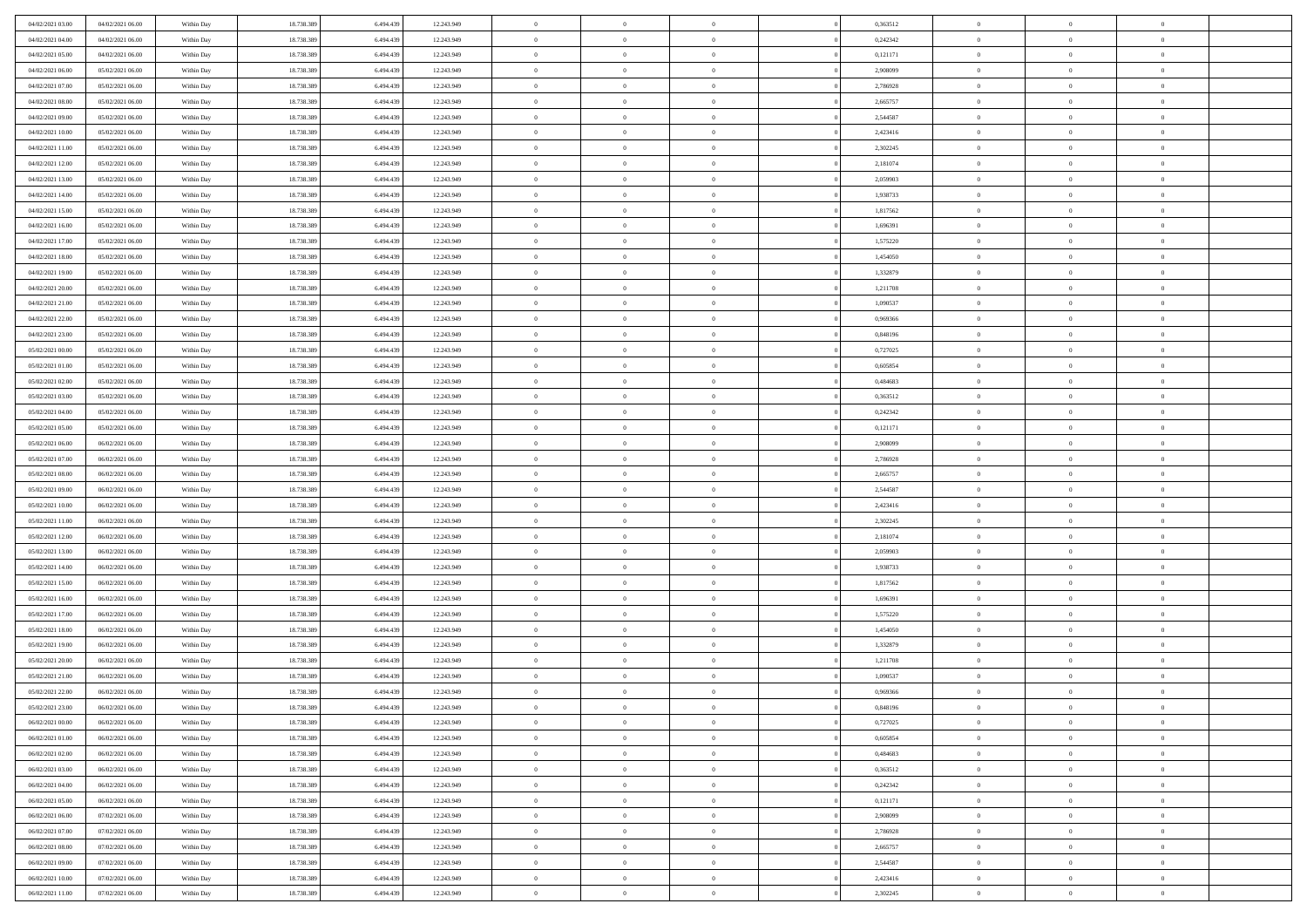| 04/02/2021 03:00 | 04/02/2021 06:00 | Within Day | 18.738.389 | 6.494.439 | 12.243.949 | $\,$ 0         | $\bf{0}$       | $\theta$       |          | 0,363512 | $\bf{0}$       | $\overline{0}$ | $\,0\,$        |  |
|------------------|------------------|------------|------------|-----------|------------|----------------|----------------|----------------|----------|----------|----------------|----------------|----------------|--|
| 04/02/2021 04:00 | 04/02/2021 06:00 | Within Day | 18.738.389 | 6,494,439 | 12.243.949 | $\overline{0}$ | $\overline{0}$ | $\overline{0}$ |          | 0,242342 | $\overline{0}$ | $\overline{0}$ | $\theta$       |  |
| 04/02/2021 05:00 | 04/02/2021 06:00 | Within Dav | 18.738.389 | 6.494.439 | 12.243.949 | $\mathbf{0}$   | $\overline{0}$ | $\overline{0}$ |          | 0,121171 | $\mathbf{0}$   | $\overline{0}$ | $\overline{0}$ |  |
| 04/02/2021 06:00 | 05/02/2021 06:00 | Within Day | 18.738.389 | 6.494.439 | 12.243.949 | $\bf{0}$       | $\overline{0}$ | $\bf{0}$       |          | 2,908099 | $\bf{0}$       | $\overline{0}$ | $\bf{0}$       |  |
| 04/02/2021 07:00 | 05/02/2021 06:00 | Within Day | 18.738.389 | 6,494,439 | 12.243.949 | $\bf{0}$       | $\bf{0}$       | $\overline{0}$ |          | 2,786928 | $\bf{0}$       | $\theta$       | $\,0\,$        |  |
| 04/02/2021 08:00 | 05/02/2021 06:00 | Within Dav | 18.738.389 | 6.494.439 | 12.243.949 | $\mathbf{0}$   | $\overline{0}$ | $\overline{0}$ |          | 2,665757 | $\mathbf{0}$   | $\overline{0}$ | $\overline{0}$ |  |
|                  |                  |            |            |           |            |                |                |                |          |          |                |                |                |  |
| 04/02/2021 09:00 | 05/02/2021 06:00 | Within Day | 18.738.389 | 6.494.439 | 12.243.949 | $\bf{0}$       | $\bf{0}$       | $\overline{0}$ |          | 2,544587 | $\bf{0}$       | $\overline{0}$ | $\,0\,$        |  |
| 04/02/2021 10:00 | 05/02/2021 06:00 | Within Day | 18.738.389 | 6,494,439 | 12.243.949 | $\overline{0}$ | $\overline{0}$ | $\overline{0}$ |          | 2,423416 | $\,$ 0 $\,$    | $\overline{0}$ | $\theta$       |  |
| 04/02/2021 11:00 | 05/02/2021 06:00 | Within Day | 18.738.389 | 6.494.439 | 12.243.949 | $\mathbf{0}$   | $\overline{0}$ | $\overline{0}$ |          | 2,302245 | $\mathbf{0}$   | $\overline{0}$ | $\overline{0}$ |  |
| 04/02/2021 12:00 | 05/02/2021 06:00 | Within Day | 18.738.389 | 6.494.439 | 12.243.949 | $\bf{0}$       | $\bf{0}$       | $\overline{0}$ |          | 2,181074 | $\bf{0}$       | $\overline{0}$ | $\,0\,$        |  |
| 04/02/2021 13:00 | 05/02/2021 06:00 | Within Day | 18.738.389 | 6,494,439 | 12.243.949 | $\bf{0}$       | $\overline{0}$ | $\overline{0}$ |          | 2,059903 | $\bf{0}$       | $\overline{0}$ | $\theta$       |  |
| 04/02/2021 14:00 | 05/02/2021 06:00 | Within Dav | 18.738.389 | 6.494.439 | 12.243.949 | $\mathbf{0}$   | $\overline{0}$ | $\overline{0}$ |          | 1,938733 | $\mathbf{0}$   | $\overline{0}$ | $\overline{0}$ |  |
| 04/02/2021 15:00 | 05/02/2021 06:00 | Within Day | 18.738.389 | 6.494.439 | 12.243.949 | $\bf{0}$       | $\overline{0}$ | $\bf{0}$       |          | 1,817562 | $\bf{0}$       | $\overline{0}$ | $\bf{0}$       |  |
| 04/02/2021 16:00 | 05/02/2021 06:00 | Within Day | 18.738.389 | 6.494.439 | 12.243.949 | $\bf{0}$       | $\overline{0}$ | $\overline{0}$ |          | 1,696391 | $\bf{0}$       | $\theta$       | $\,0\,$        |  |
| 04/02/2021 17:00 | 05/02/2021 06:00 | Within Dav | 18.738.389 | 6.494.439 | 12.243.949 | $\overline{0}$ | $\overline{0}$ | $\overline{0}$ |          | 1,575220 | $\mathbf{0}$   | $\overline{0}$ | $\overline{0}$ |  |
| 04/02/2021 18:00 | 05/02/2021 06:00 | Within Day | 18.738.389 | 6.494.439 | 12.243.949 | $\bf{0}$       | $\bf{0}$       | $\overline{0}$ |          | 1,454050 | $\bf{0}$       | $\overline{0}$ | $\bf{0}$       |  |
| 04/02/2021 19:00 | 05/02/2021 06:00 | Within Day | 18.738.389 | 6,494,439 | 12.243.949 | $\overline{0}$ | $\overline{0}$ | $\overline{0}$ |          | 1,332879 | $\,$ 0 $\,$    | $\overline{0}$ | $\theta$       |  |
| 04/02/2021 20:00 | 05/02/2021 06:00 | Within Day | 18.738.389 | 6.494.439 | 12.243.949 | $\mathbf{0}$   | $\overline{0}$ | $\overline{0}$ |          | 1,211708 | $\mathbf{0}$   | $\overline{0}$ | $\overline{0}$ |  |
| 04/02/2021 21:00 | 05/02/2021 06:00 | Within Day | 18.738.389 | 6.494.439 | 12.243.949 | $\,$ 0         | $\bf{0}$       | $\overline{0}$ |          | 1,090537 | $\bf{0}$       | $\overline{0}$ | $\,0\,$        |  |
| 04/02/2021 22.00 | 05/02/2021 06:00 | Within Day | 18.738.389 | 6,494,439 | 12.243.949 | $\bf{0}$       | $\overline{0}$ | $\overline{0}$ |          | 0.969366 | $\bf{0}$       | $\overline{0}$ | $\overline{0}$ |  |
| 04/02/2021 23:00 | 05/02/2021 06:00 | Within Dav | 18.738.389 | 6.494.439 | 12.243.949 | $\mathbf{0}$   | $\overline{0}$ | $\overline{0}$ |          | 0,848196 | $\mathbf{0}$   | $\overline{0}$ | $\overline{0}$ |  |
| 05/02/2021 00:00 | 05/02/2021 06:00 | Within Day | 18.738.389 | 6.494.439 | 12.243.949 | $\bf{0}$       | $\overline{0}$ | $\bf{0}$       |          | 0,727025 | $\bf{0}$       | $\overline{0}$ | $\bf{0}$       |  |
| 05/02/2021 01:00 | 05/02/2021 06:00 | Within Day | 18.738.389 | 6,494,439 | 12.243.949 | $\bf{0}$       | $\bf{0}$       | $\overline{0}$ |          | 0,605854 | $\bf{0}$       | $\overline{0}$ | $\,0\,$        |  |
| 05/02/2021 02:00 | 05/02/2021 06:00 | Within Dav | 18.738.389 | 6.494.439 | 12.243.949 | $\mathbf{0}$   | $\overline{0}$ | $\overline{0}$ |          | 0,484683 | $\mathbf{0}$   | $\overline{0}$ | $\overline{0}$ |  |
| 05/02/2021 03:00 | 05/02/2021 06:00 | Within Day | 18.738.389 | 6.494.439 | 12.243.949 | $\bf{0}$       | $\bf{0}$       | $\overline{0}$ |          | 0,363512 | $\bf{0}$       | $\overline{0}$ | $\,0\,$        |  |
| 05/02/2021 04:00 | 05/02/2021 06:00 | Within Day | 18.738.389 | 6,494,439 | 12.243.949 | $\overline{0}$ | $\overline{0}$ | $\overline{0}$ |          | 0,242342 | $\bf{0}$       | $\overline{0}$ | $\theta$       |  |
| 05/02/2021 05:00 | 05/02/2021 06:00 | Within Dav | 18.738.389 | 6.494.439 | 12.243.949 | $\mathbf{0}$   | $\overline{0}$ | $\overline{0}$ |          | 0,121171 | $\mathbf{0}$   | $\overline{0}$ | $\overline{0}$ |  |
| 05/02/2021 06:00 | 06/02/2021 06:00 | Within Day | 18.738.389 | 6.494.439 | 12.243.949 | $\bf{0}$       | $\bf{0}$       | $\overline{0}$ |          | 2,908099 | $\bf{0}$       | $\overline{0}$ | $\,0\,$        |  |
| 05/02/2021 07:00 | 06/02/2021 06:00 | Within Day | 18.738.389 | 6,494,439 | 12.243.949 | $\bf{0}$       | $\bf{0}$       | $\overline{0}$ |          | 2,786928 | $\bf{0}$       | $\mathbf{0}$   | $\overline{0}$ |  |
| 05/02/2021 08:00 | 06/02/2021 06:00 | Within Dav | 18.738.389 | 6.494.439 | 12.243.949 | $\mathbf{0}$   | $\overline{0}$ | $\overline{0}$ |          | 2,665757 | $\mathbf{0}$   | $\overline{0}$ | $\overline{0}$ |  |
| 05/02/2021 09:00 | 06/02/2021 06:00 |            | 18.738.389 | 6.494.439 |            | $\bf{0}$       | $\overline{0}$ | $\theta$       |          | 2,544587 | $\,$ 0         | $\overline{0}$ | $\theta$       |  |
|                  |                  | Within Day | 18.738.389 |           | 12.243.949 | $\bf{0}$       |                |                |          |          | $\bf{0}$       | $\mathbf{0}$   |                |  |
| 05/02/2021 10:00 | 06/02/2021 06:00 | Within Day |            | 6.494.439 | 12.243.949 |                | $\bf{0}$       | $\overline{0}$ |          | 2,423416 |                |                | $\bf{0}$       |  |
| 05/02/2021 11:00 | 06/02/2021 06:00 | Within Dav | 18.738.389 | 6.494.439 | 12.243.949 | $\mathbf{0}$   | $\overline{0}$ | $\overline{0}$ |          | 2,302245 | $\mathbf{0}$   | $\overline{0}$ | $\overline{0}$ |  |
| 05/02/2021 12:00 | 06/02/2021 06:00 | Within Day | 18.738.389 | 6.494.439 | 12.243.949 | $\bf{0}$       | $\overline{0}$ | $\theta$       |          | 2,181074 | $\,$ 0         | $\overline{0}$ | $\theta$       |  |
| 05/02/2021 13:00 | 06/02/2021 06:00 | Within Day | 18.738.389 | 6,494,439 | 12.243.949 | $\bf{0}$       | $\overline{0}$ | $\overline{0}$ |          | 2,059903 | $\bf{0}$       | $\overline{0}$ | $\overline{0}$ |  |
| 05/02/2021 14:00 | 06/02/2021 06:00 | Within Day | 18.738.389 | 6.494.439 | 12.243.949 | $\mathbf{0}$   | $\overline{0}$ | $\overline{0}$ |          | 1,938733 | $\mathbf{0}$   | $\overline{0}$ | $\overline{0}$ |  |
| 05/02/2021 15:00 | 06/02/2021 06:00 | Within Day | 18.738.389 | 6.494.439 | 12.243.949 | $\bf{0}$       | $\overline{0}$ | $\theta$       |          | 1,817562 | $\,$ 0         | $\overline{0}$ | $\theta$       |  |
| 05/02/2021 16:00 | 06/02/2021 06:00 | Within Day | 18.738.389 | 6,494,439 | 12.243.949 | $\bf{0}$       | $\overline{0}$ | $\overline{0}$ |          | 1,696391 | $\bf{0}$       | $\mathbf{0}$   | $\overline{0}$ |  |
| 05/02/2021 17:00 | 06/02/2021 06:00 | Within Dav | 18.738.389 | 6.494.439 | 12.243.949 | $\mathbf{0}$   | $\overline{0}$ | $\overline{0}$ |          | 1,575220 | $\mathbf{0}$   | $\overline{0}$ | $\overline{0}$ |  |
| 05/02/2021 18:00 | 06/02/2021 06:00 | Within Day | 18.738.389 | 6.494.439 | 12.243.949 | $\bf{0}$       | $\overline{0}$ | $\theta$       |          | 1,454050 | $\,$ 0         | $\overline{0}$ | $\theta$       |  |
| 05/02/2021 19:00 | 06/02/2021 06:00 | Within Day | 18.738.389 | 6.494.439 | 12.243.949 | $\bf{0}$       | $\bf{0}$       | $\overline{0}$ |          | 1,332879 | $\bf{0}$       | $\overline{0}$ | $\overline{0}$ |  |
| 05/02/2021 20:00 | 06/02/2021 06:00 | Within Dav | 18.738.389 | 6.494.439 | 12.243.949 | $\mathbf{0}$   | $\overline{0}$ | $\overline{0}$ |          | 1,211708 | $\mathbf{0}$   | $\overline{0}$ | $\overline{0}$ |  |
| 05/02/2021 21:00 | 06/02/2021 06:00 | Within Day | 18.738.389 | 6.494.439 | 12.243.949 | $\bf{0}$       | $\overline{0}$ | $\theta$       |          | 1,090537 | $\,$ 0         | $\overline{0}$ | $\theta$       |  |
| 05/02/2021 22:00 | 06/02/2021 06:00 | Within Day | 18.738.389 | 6.494.439 | 12.243.949 | $\bf{0}$       | $\overline{0}$ | $\overline{0}$ |          | 0.969366 | $\,$ 0 $\,$    | $\overline{0}$ | $\overline{0}$ |  |
| 05/02/2021 23:00 | 06/02/2021 06:00 | Within Day | 18.738.389 | 6.494.439 | 12.243.949 | $\bf{0}$       | $\overline{0}$ |                |          | 0,848196 | $\overline{0}$ | $\theta$       | $\theta$       |  |
| 06/02/2021 00:00 | 06/02/2021 06:00 | Within Day | 18.738.389 | 6.494.439 | 12.243.949 | $\,0\,$        | $\overline{0}$ | $\theta$       |          | 0,727025 | $\,$ 0 $\,$    | $\bf{0}$       | $\theta$       |  |
| 06/02/2021 01:00 | 06/02/2021 06:00 | Within Day | 18.738.389 | 6.494.439 | 12.243.949 | $\overline{0}$ | $\overline{0}$ | $\overline{0}$ |          | 0.605854 | $\overline{0}$ | $\overline{0}$ | $\overline{0}$ |  |
| 06/02/2021 02:00 | 06/02/2021 06:00 | Within Day | 18.738.389 | 6.494.439 | 12.243.949 | $\bf{0}$       | $\overline{0}$ | $\overline{0}$ |          | 0,484683 | $\overline{0}$ | $\bf{0}$       | $\mathbf{0}$   |  |
| 06/02/2021 03:00 | 06/02/2021 06:00 | Within Day | 18.738.389 | 6.494.439 | 12.243.949 | $\bf{0}$       | $\overline{0}$ | $\overline{0}$ | $\theta$ | 0,363512 | $\,$ 0 $\,$    | $\bf{0}$       | $\,$ 0 $\,$    |  |
| 06/02/2021 04:00 | 06/02/2021 06:00 | Within Day | 18.738.389 | 6,494,439 | 12.243.949 | $\bf{0}$       | $\overline{0}$ | $\overline{0}$ |          | 0,242342 | $\,$ 0 $\,$    | $\overline{0}$ | $\overline{0}$ |  |
| 06/02/2021 05:00 | 06/02/2021 06:00 | Within Day | 18.738.389 | 6.494.439 | 12.243.949 | $\bf{0}$       | $\overline{0}$ | $\overline{0}$ |          | 0,121171 | $\mathbf{0}$   | $\overline{0}$ | $\overline{0}$ |  |
| 06/02/2021 06:00 | 07/02/2021 06:00 | Within Day | 18.738.389 | 6.494.439 | 12.243.949 | $\,0\,$        | $\overline{0}$ | $\overline{0}$ | $\theta$ | 2,908099 | $\,$ 0 $\,$    | $\overline{0}$ | $\overline{0}$ |  |
| 06/02/2021 07:00 | 07/02/2021 06:00 | Within Day | 18.738.389 | 6.494.439 | 12.243.949 | $\bf{0}$       | $\overline{0}$ | $\overline{0}$ |          | 2,786928 | $\overline{0}$ | $\overline{0}$ | $\overline{0}$ |  |
| 06/02/2021 08:00 | 07/02/2021 06:00 | Within Day | 18.738.389 | 6.494.439 | 12.243.949 | $\bf{0}$       | $\overline{0}$ | $\overline{0}$ |          | 2,665757 | $\mathbf{0}$   | $\overline{0}$ | $\overline{0}$ |  |
| 06/02/2021 09:00 | 07/02/2021 06:00 | Within Day | 18.738.389 | 6.494.439 | 12.243.949 | $\,0\,$        | $\overline{0}$ | $\overline{0}$ |          | 2,544587 | $\,$ 0 $\,$    | $\mathbf{0}$   | $\overline{0}$ |  |
| 06/02/2021 10:00 | 07/02/2021 06:00 | Within Day | 18.738.389 | 6.494.439 | 12.243.949 | $\bf{0}$       | $\overline{0}$ | $\overline{0}$ |          | 2,423416 | $\bf{0}$       | $\mathbf{0}$   | $\overline{0}$ |  |
| 06/02/2021 11:00 | 07/02/2021 06:00 | Within Day | 18.738.389 | 6.494.439 | 12.243.949 | $\bf{0}$       | $\overline{0}$ | $\overline{0}$ |          | 2,302245 | $\mathbf{0}$   | $\overline{0}$ | $\overline{0}$ |  |
|                  |                  |            |            |           |            |                |                |                |          |          |                |                |                |  |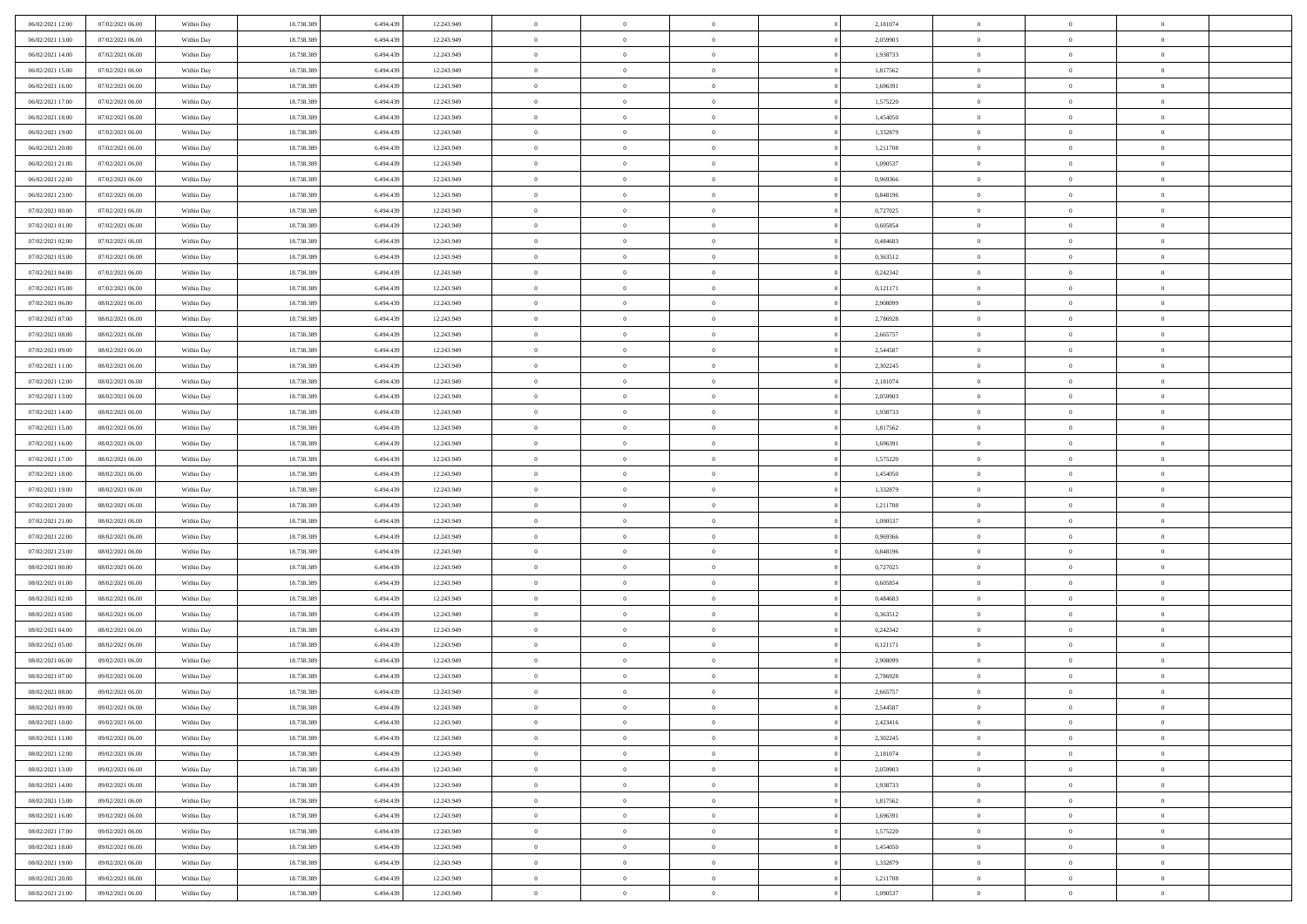| 06/02/2021 12:00                     | 07/02/2021 06:00 | Within Day | 18.738.389 | 6.494.439 | 12.243.949 | $\,$ 0                   | $\bf{0}$       | $\theta$       |          | 2,181074 | $\bf{0}$                 | $\overline{0}$ | $\,0\,$        |  |
|--------------------------------------|------------------|------------|------------|-----------|------------|--------------------------|----------------|----------------|----------|----------|--------------------------|----------------|----------------|--|
| 06/02/2021 13:00                     | 07/02/2021 06:00 | Within Day | 18.738.389 | 6,494,439 | 12.243.949 | $\overline{0}$           | $\overline{0}$ | $\overline{0}$ |          | 2,059903 | $\overline{0}$           | $\overline{0}$ | $\theta$       |  |
| 06/02/2021 14:00                     | 07/02/2021 06:00 | Within Dav | 18.738.389 | 6.494.439 | 12.243.949 | $\mathbf{0}$             | $\overline{0}$ | $\overline{0}$ |          | 1,938733 | $\mathbf{0}$             | $\overline{0}$ | $\overline{0}$ |  |
| 06/02/2021 15:00                     | 07/02/2021 06:00 | Within Day | 18.738.389 | 6.494.439 | 12.243.949 | $\bf{0}$                 | $\overline{0}$ | $\bf{0}$       |          | 1,817562 | $\bf{0}$                 | $\overline{0}$ | $\bf{0}$       |  |
| 06/02/2021 16:00                     | 07/02/2021 06:00 | Within Day | 18.738.389 | 6,494,439 | 12.243.949 | $\bf{0}$                 | $\bf{0}$       | $\overline{0}$ |          | 1,696391 | $\bf{0}$                 | $\bf{0}$       | $\,0\,$        |  |
| 06/02/2021 17:00                     | 07/02/2021 06:00 | Within Dav | 18.738.389 | 6.494.439 | 12.243.949 | $\overline{0}$           | $\overline{0}$ | $\overline{0}$ |          | 1,575220 | $\mathbf{0}$             | $\overline{0}$ | $\overline{0}$ |  |
| 06/02/2021 18:00                     | 07/02/2021 06:00 | Within Day | 18.738.389 | 6.494.439 | 12.243.949 | $\bf{0}$                 | $\bf{0}$       | $\overline{0}$ |          | 1,454050 | $\bf{0}$                 | $\overline{0}$ | $\,0\,$        |  |
| 06/02/2021 19:00                     | 07/02/2021 06:00 | Within Day | 18.738.389 | 6,494,439 | 12.243.949 | $\overline{0}$           | $\overline{0}$ | $\overline{0}$ |          | 1,332879 | $\,$ 0 $\,$              | $\overline{0}$ | $\theta$       |  |
| 06/02/2021 20:00                     | 07/02/2021 06:00 | Within Day | 18.738.389 | 6.494.439 | 12.243.949 | $\mathbf{0}$             | $\overline{0}$ | $\overline{0}$ |          | 1,211708 | $\mathbf{0}$             | $\overline{0}$ | $\overline{0}$ |  |
| 06/02/2021 21:00                     | 07/02/2021 06:00 |            | 18.738.389 | 6.494.439 | 12.243.949 | $\bf{0}$                 | $\bf{0}$       | $\overline{0}$ |          | 1,090537 | $\bf{0}$                 | $\overline{0}$ | $\,0\,$        |  |
|                                      |                  | Within Day |            | 6,494,439 |            |                          | $\overline{0}$ |                |          | 0.969366 |                          | $\overline{0}$ | $\theta$       |  |
| 06/02/2021 22.00<br>06/02/2021 23:00 | 07/02/2021 06:00 | Within Day | 18.738.389 |           | 12.243.949 | $\bf{0}$<br>$\mathbf{0}$ |                | $\overline{0}$ |          |          | $\bf{0}$<br>$\mathbf{0}$ |                | $\overline{0}$ |  |
|                                      | 07/02/2021 06:00 | Within Dav | 18.738.389 | 6.494.439 | 12.243.949 |                          | $\overline{0}$ | $\overline{0}$ |          | 0,848196 |                          | $\overline{0}$ |                |  |
| 07/02/2021 00:00                     | 07/02/2021 06:00 | Within Day | 18.738.389 | 6.494.439 | 12.243.949 | $\bf{0}$                 | $\overline{0}$ | $\bf{0}$       |          | 0,727025 | $\bf{0}$                 | $\overline{0}$ | $\bf{0}$       |  |
| 07/02/2021 01:00                     | 07/02/2021 06:00 | Within Day | 18.738.389 | 6,494,439 | 12.243.949 | $\bf{0}$                 | $\overline{0}$ | $\overline{0}$ |          | 0,605854 | $\bf{0}$                 | $\mathbf{0}$   | $\,0\,$        |  |
| 07/02/2021 02:00                     | 07/02/2021 06:00 | Within Dav | 18.738.389 | 6.494.439 | 12.243.949 | $\overline{0}$           | $\overline{0}$ | $\overline{0}$ |          | 0,484683 | $\mathbf{0}$             | $\overline{0}$ | $\overline{0}$ |  |
| 07/02/2021 03:00                     | 07/02/2021 06:00 | Within Day | 18.738.389 | 6.494.439 | 12.243.949 | $\bf{0}$                 | $\bf{0}$       | $\overline{0}$ |          | 0,363512 | $\bf{0}$                 | $\overline{0}$ | $\bf{0}$       |  |
| 07/02/2021 04:00                     | 07/02/2021 06:00 | Within Day | 18.738.389 | 6,494,439 | 12.243.949 | $\overline{0}$           | $\overline{0}$ | $\overline{0}$ |          | 0,242342 | $\,$ 0 $\,$              | $\overline{0}$ | $\theta$       |  |
| 07/02/2021 05:00                     | 07/02/2021 06:00 | Within Day | 18.738.389 | 6.494.439 | 12.243.949 | $\mathbf{0}$             | $\overline{0}$ | $\overline{0}$ |          | 0,121171 | $\mathbf{0}$             | $\overline{0}$ | $\overline{0}$ |  |
| 07/02/2021 06:00                     | 08/02/2021 06:00 | Within Day | 18.738.389 | 6.494.439 | 12.243.949 | $\,$ 0                   | $\bf{0}$       | $\overline{0}$ |          | 2,908099 | $\bf{0}$                 | $\overline{0}$ | $\,0\,$        |  |
| 07/02/2021 07:00                     | 08/02/2021 06:00 | Within Day | 18.738.389 | 6,494,439 | 12.243.949 | $\bf{0}$                 | $\overline{0}$ | $\overline{0}$ |          | 2,786928 | $\bf{0}$                 | $\overline{0}$ | $\overline{0}$ |  |
| 07/02/2021 08:00                     | 08/02/2021 06:00 | Within Dav | 18.738.389 | 6.494.439 | 12.243.949 | $\mathbf{0}$             | $\overline{0}$ | $\overline{0}$ |          | 2,665757 | $\mathbf{0}$             | $\overline{0}$ | $\overline{0}$ |  |
| 07/02/2021 09:00                     | 08/02/2021 06:00 | Within Day | 18.738.389 | 6.494.439 | 12.243.949 | $\bf{0}$                 | $\overline{0}$ | $\bf{0}$       |          | 2,544587 | $\bf{0}$                 | $\overline{0}$ | $\bf{0}$       |  |
| 07/02/2021 11:00                     | 08/02/2021 06:00 | Within Day | 18.738.389 | 6,494,439 | 12.243.949 | $\bf{0}$                 | $\bf{0}$       | $\overline{0}$ |          | 2,302245 | $\bf{0}$                 | $\overline{0}$ | $\,0\,$        |  |
| 07/02/2021 12:00                     | 08/02/2021 06:00 | Within Dav | 18.738.389 | 6.494.439 | 12.243.949 | $\mathbf{0}$             | $\overline{0}$ | $\overline{0}$ |          | 2,181074 | $\mathbf{0}$             | $\overline{0}$ | $\overline{0}$ |  |
| 07/02/2021 13:00                     | 08/02/2021 06:00 | Within Day | 18.738.389 | 6.494.439 | 12.243.949 | $\bf{0}$                 | $\bf{0}$       | $\overline{0}$ |          | 2,059903 | $\bf{0}$                 | $\overline{0}$ | $\,0\,$        |  |
| 07/02/2021 14:00                     | 08/02/2021 06:00 | Within Day | 18.738.389 | 6,494,439 | 12.243.949 | $\overline{0}$           | $\overline{0}$ | $\overline{0}$ |          | 1,938733 | $\bf{0}$                 | $\overline{0}$ | $\overline{0}$ |  |
| 07/02/2021 15:00                     | 08/02/2021 06:00 | Within Day | 18.738.389 | 6.494.439 | 12.243.949 | $\mathbf{0}$             | $\overline{0}$ | $\overline{0}$ |          | 1,817562 | $\mathbf{0}$             | $\overline{0}$ | $\overline{0}$ |  |
| 07/02/2021 16:00                     | 08/02/2021 06:00 | Within Day | 18.738.389 | 6.494.439 | 12.243.949 | $\bf{0}$                 | $\bf{0}$       | $\overline{0}$ |          | 1,696391 | $\bf{0}$                 | $\overline{0}$ | $\,0\,$        |  |
| 07/02/2021 17:00                     | 08/02/2021 06:00 | Within Day | 18.738.389 | 6,494,439 | 12.243.949 | $\bf{0}$                 | $\bf{0}$       | $\overline{0}$ |          | 1,575220 | $\bf{0}$                 | $\mathbf{0}$   | $\overline{0}$ |  |
| 07/02/2021 18:00                     | 08/02/2021 06:00 | Within Dav | 18.738.389 | 6.494.439 | 12.243.949 | $\mathbf{0}$             | $\overline{0}$ | $\overline{0}$ |          | 1,454050 | $\mathbf{0}$             | $\overline{0}$ | $\overline{0}$ |  |
| 07/02/2021 19:00                     | 08/02/2021 06:00 | Within Day | 18.738.389 | 6.494.439 | 12.243.949 | $\bf{0}$                 | $\overline{0}$ | $\theta$       |          | 1,332879 | $\,$ 0                   | $\overline{0}$ | $\theta$       |  |
| 07/02/2021 20:00                     | 08/02/2021 06:00 | Within Day | 18.738.389 | 6.494.439 | 12.243.949 | $\bf{0}$                 | $\bf{0}$       | $\overline{0}$ |          | 1,211708 | $\bf{0}$                 | $\overline{0}$ | $\overline{0}$ |  |
| 07/02/2021 21:00                     | 08/02/2021 06:00 | Within Dav | 18.738.389 | 6.494.439 | 12.243.949 | $\mathbf{0}$             | $\overline{0}$ | $\overline{0}$ |          | 1,090537 | $\mathbf{0}$             | $\overline{0}$ | $\overline{0}$ |  |
| 07/02/2021 22:00                     | 08/02/2021 06:00 | Within Day | 18.738.389 | 6.494.439 | 12.243.949 | $\bf{0}$                 | $\overline{0}$ | $\theta$       |          | 0,969366 | $\,$ 0                   | $\overline{0}$ | $\theta$       |  |
| 07/02/2021 23:00                     | 08/02/2021 06:00 | Within Day | 18.738.389 | 6,494,439 | 12.243.949 | $\overline{0}$           | $\overline{0}$ | $\overline{0}$ |          | 0,848196 | $\bf{0}$                 | $\overline{0}$ | $\overline{0}$ |  |
| 08/02/2021 00:00                     | 08/02/2021 06:00 | Within Day | 18.738.389 | 6.494.439 | 12.243.949 | $\mathbf{0}$             | $\overline{0}$ | $\overline{0}$ |          | 0,727025 | $\mathbf{0}$             | $\overline{0}$ | $\overline{0}$ |  |
| 08/02/2021 01:00                     | 08/02/2021 06:00 | Within Day | 18.738.389 | 6.494.439 | 12.243.949 | $\bf{0}$                 | $\overline{0}$ | $\theta$       |          | 0,605854 | $\,$ 0                   | $\overline{0}$ | $\theta$       |  |
| 08/02/2021 02:00                     | 08/02/2021 06:00 | Within Day | 18.738.389 | 6,494,439 | 12.243.949 | $\bf{0}$                 | $\overline{0}$ | $\overline{0}$ |          | 0.484683 | $\bf{0}$                 | $\mathbf{0}$   | $\overline{0}$ |  |
| 08/02/2021 03:00                     | 08/02/2021 06:00 | Within Dav | 18.738.389 | 6.494.439 | 12.243.949 | $\mathbf{0}$             | $\overline{0}$ | $\overline{0}$ |          | 0,363512 | $\mathbf{0}$             | $\overline{0}$ | $\overline{0}$ |  |
| 08/02/2021 04:00                     | 08/02/2021 06:00 | Within Day | 18.738.389 | 6.494.439 | 12.243.949 | $\bf{0}$                 | $\overline{0}$ | $\theta$       |          | 0,242342 | $\,$ 0                   | $\overline{0}$ | $\theta$       |  |
| 08/02/2021 05:00                     | 08/02/2021 06:00 | Within Day | 18.738.389 | 6.494.439 | 12.243.949 | $\bf{0}$                 | $\bf{0}$       | $\overline{0}$ |          | 0,121171 | $\bf{0}$                 | $\overline{0}$ | $\bf{0}$       |  |
| 08/02/2021 06:00                     | 09/02/2021 06:00 | Within Dav | 18.738.389 | 6.494.439 | 12.243.949 | $\mathbf{0}$             | $\overline{0}$ | $\overline{0}$ |          | 2,908099 | $\mathbf{0}$             | $\overline{0}$ | $\overline{0}$ |  |
| 08/02/2021 07:00                     | 09/02/2021 06:00 | Within Day | 18.738.389 | 6.494.439 | 12.243.949 | $\bf{0}$                 | $\overline{0}$ | $\theta$       |          | 2,786928 | $\,$ 0                   | $\overline{0}$ | $\theta$       |  |
| 08/02/2021 08:00                     | 09/02/2021 06:00 | Within Day | 18.738.389 | 6.494.439 | 12.243.949 | $\bf{0}$                 | $\overline{0}$ | $\overline{0}$ |          | 2,665757 | $\,$ 0 $\,$              | $\overline{0}$ | $\bf{0}$       |  |
| 08/02/2021 09:00                     | 09/02/2021 06:00 | Within Day | 18.738.389 | 6.494.439 | 12.243.949 | $\bf{0}$                 | $\overline{0}$ |                |          | 2,544587 | $\overline{0}$           | $\theta$       | $\theta$       |  |
| 08/02/2021 10:00                     | 09/02/2021 06:00 | Within Day | 18.738.389 | 6.494.439 | 12.243.949 | $\,0\,$                  | $\overline{0}$ | $\theta$       |          | 2,423416 | $\,$ 0 $\,$              | $\bf{0}$       | $\theta$       |  |
| 08/02/2021 11:00                     | 09/02/2021 06:00 | Within Day | 18.738.389 | 6.494.439 | 12.243.949 | $\overline{0}$           | $\overline{0}$ | $\overline{0}$ |          | 2,302245 | $\overline{0}$           | $\overline{0}$ | $\overline{0}$ |  |
| 08/02/2021 12:00                     | 09/02/2021 06:00 | Within Day | 18.738.389 | 6.494.439 | 12.243.949 | $\bf{0}$                 | $\overline{0}$ | $\overline{0}$ |          | 2,181074 | $\overline{0}$           | $\bf{0}$       | $\mathbf{0}$   |  |
| 08/02/2021 13:00                     | 09/02/2021 06:00 | Within Day | 18.738.389 | 6.494.439 | 12.243.949 | $\bf{0}$                 | $\overline{0}$ | $\overline{0}$ | $\theta$ | 2,059903 | $\mathbf{0}$             | $\bf{0}$       | $\,$ 0 $\,$    |  |
| 08/02/2021 14:00                     | 09/02/2021 06:00 | Within Day | 18.738.389 | 6.494.439 | 12.243.949 | $\bf{0}$                 | $\overline{0}$ | $\overline{0}$ |          | 1,938733 | $\,$ 0 $\,$              | $\overline{0}$ | $\overline{0}$ |  |
| 08/02/2021 15:00                     | 09/02/2021 06:00 | Within Day | 18.738.389 | 6.494.439 | 12.243.949 | $\bf{0}$                 | $\overline{0}$ | $\overline{0}$ |          | 1,817562 | $\mathbf{0}$             | $\overline{0}$ | $\overline{0}$ |  |
| 08/02/2021 16:00                     | 09/02/2021 06:00 | Within Day | 18.738.389 | 6.494.439 | 12.243.949 | $\,0\,$                  | $\overline{0}$ | $\overline{0}$ | $\theta$ | 1,696391 | $\,$ 0 $\,$              | $\overline{0}$ | $\overline{0}$ |  |
| 08/02/2021 17:00                     | 09/02/2021 06:00 | Within Day | 18.738.389 | 6.494.439 | 12.243.949 | $\bf{0}$                 | $\overline{0}$ | $\overline{0}$ |          | 1,575220 | $\overline{0}$           | $\overline{0}$ | $\overline{0}$ |  |
| 08/02/2021 18:00                     | 09/02/2021 06:00 | Within Day | 18.738.389 | 6.494.439 | 12.243.949 | $\bf{0}$                 | $\overline{0}$ | $\overline{0}$ |          | 1,454050 | $\mathbf{0}$             | $\overline{0}$ | $\overline{0}$ |  |
| 08/02/2021 19:00                     | 09/02/2021 06:00 | Within Day | 18.738.389 | 6.494.439 | 12.243.949 | $\,0\,$                  | $\overline{0}$ | $\overline{0}$ |          | 1,332879 | $\,$ 0 $\,$              | $\mathbf{0}$   | $\overline{0}$ |  |
| 08/02/2021 20:00                     | 09/02/2021 06:00 | Within Day | 18.738.389 | 6.494.439 |            | $\bf{0}$                 | $\overline{0}$ | $\overline{0}$ |          |          | $\mathbf 0$              | $\mathbf{0}$   | $\overline{0}$ |  |
|                                      |                  |            |            |           | 12.243.949 |                          |                |                |          | 1,211708 |                          |                |                |  |
| 08/02/2021 21:00                     | 09/02/2021 06:00 | Within Day | 18.738.389 | 6.494.439 | 12.243.949 | $\bf{0}$                 | $\overline{0}$ | $\overline{0}$ |          | 1,090537 | $\mathbf{0}$             | $\overline{0}$ | $\overline{0}$ |  |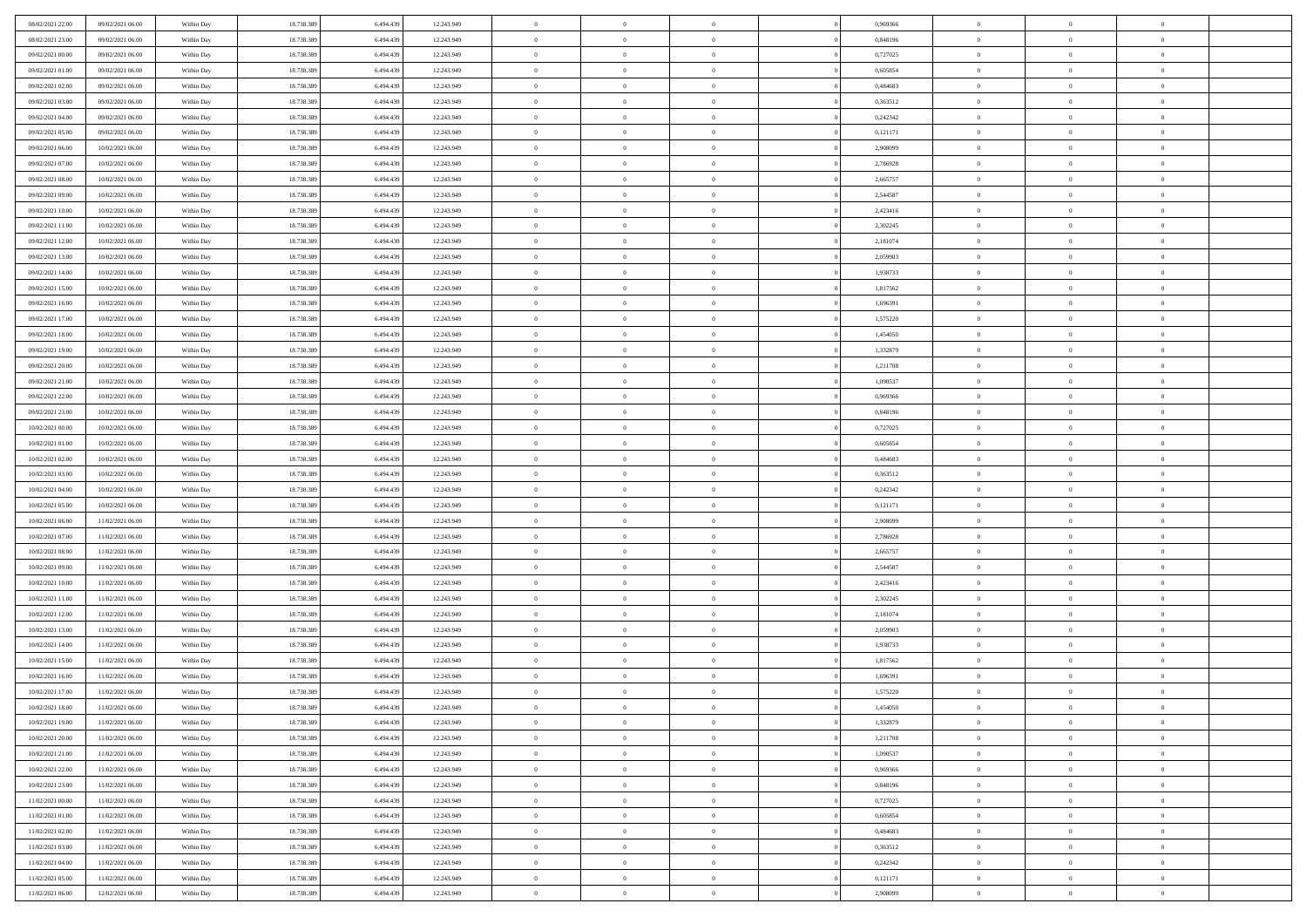| 18.738.389<br>$\overline{0}$<br>08/02/2021 23:00<br>09/02/2021 06:00<br>6,494,439<br>12.243.949<br>$\overline{0}$<br>0.848196<br>$\overline{0}$<br>$\overline{0}$<br>$\theta$<br>Within Day<br>$\overline{0}$<br>09/02/2021 00:00<br>18.738.389<br>6.494.439<br>12.243.949<br>$\mathbf{0}$<br>$\overline{0}$<br>0,727025<br>$\mathbf{0}$<br>$\overline{0}$<br>09/02/2021 06:00<br>Within Dav<br>$\overline{0}$<br>$\overline{0}$<br>09/02/2021 01:00<br>09/02/2021 06:00<br>Within Day<br>18.738.389<br>6.494.439<br>12.243.949<br>$\bf{0}$<br>$\overline{0}$<br>$\bf{0}$<br>0,605854<br>$\bf{0}$<br>$\overline{0}$<br>$\bf{0}$<br>18.738.389<br>09/02/2021 02:00<br>09/02/2021 06:00<br>6,494,439<br>12.243.949<br>$\bf{0}$<br>$\bf{0}$<br>0,484683<br>$\bf{0}$<br>$\,0\,$<br>Within Day<br>$\overline{0}$<br>$\theta$<br>09/02/2021 03:00<br>18.738.389<br>6.494.439<br>12.243.949<br>$\overline{0}$<br>$\overline{0}$<br>0,363512<br>$\mathbf{0}$<br>$\overline{0}$<br>09/02/2021 06:00<br>Within Dav<br>$\overline{0}$<br>$\overline{0}$<br>09/02/2021 04:00<br>09/02/2021 06:00<br>Within Day<br>18.738.389<br>6.494.439<br>12.243.949<br>$\bf{0}$<br>$\bf{0}$<br>$\overline{0}$<br>0,242342<br>$\bf{0}$<br>$\overline{0}$<br>$\,0\,$<br>18.738.389<br>$\overline{0}$<br>$\,$ 0 $\,$<br>09/02/2021 05:00<br>09/02/2021 06:00<br>6,494,439<br>12.243.949<br>$\overline{0}$<br>0,121171<br>$\overline{0}$<br>$\theta$<br>Within Day<br>$\overline{0}$<br>09/02/2021 06:00<br>10/02/2021 06:00<br>18.738.389<br>6.494.439<br>12.243.949<br>$\mathbf{0}$<br>$\overline{0}$<br>2,908099<br>$\mathbf{0}$<br>$\overline{0}$<br>Within Dav<br>$\overline{0}$<br>$\overline{0}$<br>09/02/2021 07:00<br>10/02/2021 06:00<br>Within Day<br>18.738.389<br>6.494.439<br>12.243.949<br>$\bf{0}$<br>$\bf{0}$<br>$\overline{0}$<br>2,786928<br>$\bf{0}$<br>$\overline{0}$<br>$\,0\,$<br>09/02/2021 08:00<br>10/02/2021 06:00<br>18.738.389<br>6,494,439<br>12.243.949<br>$\bf{0}$<br>$\overline{0}$<br>2,665757<br>$\bf{0}$<br>$\overline{0}$<br>$\theta$<br>Within Day<br>$\overline{0}$<br>09/02/2021 09:00<br>18.738.389<br>6.494.439<br>12.243.949<br>$\mathbf{0}$<br>$\overline{0}$<br>2,544587<br>$\mathbf{0}$<br>$\overline{0}$<br>10/02/2021 06:00<br>Within Dav<br>$\overline{0}$<br>$\overline{0}$<br>09/02/2021 10:00<br>10/02/2021 06:00<br>Within Day<br>18.738.389<br>6.494.439<br>12.243.949<br>$\bf{0}$<br>$\overline{0}$<br>$\bf{0}$<br>2,423416<br>$\bf{0}$<br>$\overline{0}$<br>$\bf{0}$<br>18.738.389<br>09/02/2021 11:00<br>10/02/2021 06:00<br>6.494.439<br>12.243.949<br>$\bf{0}$<br>$\overline{0}$<br>2,302245<br>$\bf{0}$<br>$\,0\,$<br>Within Day<br>$\overline{0}$<br>$\theta$<br>09/02/2021 12:00<br>18.738.389<br>6.494.439<br>12.243.949<br>$\overline{0}$<br>$\overline{0}$<br>2,181074<br>$\mathbf{0}$<br>$\overline{0}$<br>10/02/2021 06:00<br>Within Dav<br>$\overline{0}$<br>$\overline{0}$<br>09/02/2021 13:00<br>10/02/2021 06:00<br>Within Day<br>18.738.389<br>6.494.439<br>12.243.949<br>$\bf{0}$<br>$\bf{0}$<br>$\overline{0}$<br>2,059903<br>$\bf{0}$<br>$\overline{0}$<br>$\bf{0}$<br>18.738.389<br>$\overline{0}$<br>$\,$ 0 $\,$<br>09/02/2021 14:00<br>10/02/2021 06:00<br>6,494,439<br>12.243.949<br>$\overline{0}$<br>1,938733<br>$\overline{0}$<br>$\theta$<br>Within Day<br>$\overline{0}$<br>09/02/2021 15:00<br>10/02/2021 06:00<br>Within Day<br>18.738.389<br>6.494.439<br>12.243.949<br>$\mathbf{0}$<br>$\overline{0}$<br>1,817562<br>$\mathbf{0}$<br>$\overline{0}$<br>$\overline{0}$<br>$\overline{0}$<br>18.738.389<br>09/02/2021 16:00<br>10/02/2021 06:00<br>Within Day<br>6.494.439<br>12.243.949<br>$\,$ 0<br>$\bf{0}$<br>$\overline{0}$<br>1,696391<br>$\bf{0}$<br>$\overline{0}$<br>$\,0\,$<br>18.738.389<br>1,575220<br>09/02/2021 17:00<br>10/02/2021 06:00<br>6,494,439<br>12.243.949<br>$\bf{0}$<br>$\overline{0}$<br>$\bf{0}$<br>$\overline{0}$<br>$\overline{0}$<br>Within Day<br>$\overline{0}$<br>09/02/2021 18:00<br>18.738.389<br>6.494.439<br>12.243.949<br>$\mathbf{0}$<br>$\overline{0}$<br>1,454050<br>$\mathbf{0}$<br>$\overline{0}$<br>10/02/2021 06:00<br>Within Dav<br>$\overline{0}$<br>$\overline{0}$<br>09/02/2021 19:00<br>10/02/2021 06:00<br>Within Day<br>18.738.389<br>6.494.439<br>12.243.949<br>$\bf{0}$<br>$\overline{0}$<br>$\bf{0}$<br>1,332879<br>$\bf{0}$<br>$\overline{0}$<br>$\bf{0}$<br>18.738.389<br>1,211708<br>09/02/2021 20:00<br>10/02/2021 06:00<br>6,494,439<br>12.243.949<br>$\bf{0}$<br>$\bf{0}$<br>$\bf{0}$<br>$\,0\,$<br>Within Day<br>$\overline{0}$<br>$\overline{0}$<br>09/02/2021 21:00<br>18.738.389<br>6.494.439<br>12.243.949<br>$\mathbf{0}$<br>$\overline{0}$<br>1,090537<br>$\mathbf{0}$<br>10/02/2021 06:00<br>Within Dav<br>$\overline{0}$<br>$\theta$<br>$\overline{0}$<br>09/02/2021 22.00<br>10/02/2021 06:00<br>Within Day<br>18.738.389<br>6.494.439<br>12.243.949<br>$\bf{0}$<br>$\bf{0}$<br>$\overline{0}$<br>0,969366<br>$\bf{0}$<br>$\overline{0}$<br>$\,0\,$<br>$\overline{0}$<br>09/02/2021 23.00<br>10/02/2021 06:00<br>18.738.389<br>6,494,439<br>12.243.949<br>$\overline{0}$<br>0,848196<br>$\bf{0}$<br>$\mathbf{0}$<br>$\overline{0}$<br>Within Day<br>$\overline{0}$<br>10/02/2021 00:00<br>10/02/2021 06:00<br>18.738.389<br>6.494.439<br>12.243.949<br>$\mathbf{0}$<br>$\overline{0}$<br>0,727025<br>$\mathbf{0}$<br>$\overline{0}$<br>Within Dav<br>$\overline{0}$<br>$\overline{0}$<br>10/02/2021 01:00<br>10/02/2021 06:00<br>Within Day<br>18.738.389<br>6.494.439<br>12.243.949<br>$\bf{0}$<br>$\bf{0}$<br>$\overline{0}$<br>0,605854<br>$\bf{0}$<br>$\overline{0}$<br>$\,0\,$<br>10/02/2021 02:00<br>10/02/2021 06:00<br>18.738.389<br>6,494,439<br>12.243.949<br>$\bf{0}$<br>$\bf{0}$<br>0.484683<br>$\bf{0}$<br>$\overline{0}$<br>Within Day<br>$\overline{0}$<br>$\mathbf{0}$<br>10/02/2021 03:00<br>18.738.389<br>6.494.439<br>12.243.949<br>$\mathbf{0}$<br>$\overline{0}$<br>0,363512<br>$\mathbf{0}$<br>$\overline{0}$<br>10/02/2021 06:00<br>Within Dav<br>$\overline{0}$<br>$\overline{0}$<br>10/02/2021 04:00<br>18.738.389<br>6.494.439<br>$\bf{0}$<br>$\overline{0}$<br>0,242342<br>$\,$ 0<br>$\theta$<br>10/02/2021 06:00<br>Within Day<br>12.243.949<br>$\theta$<br>$\overline{0}$<br>18.738.389<br>10/02/2021 05:00<br>10/02/2021 06:00<br>6.494.439<br>12.243.949<br>$\bf{0}$<br>$\bf{0}$<br>0,121171<br>$\bf{0}$<br>$\bf{0}$<br>Within Day<br>$\overline{0}$<br>$\mathbf{0}$<br>10/02/2021 06:00<br>18.738.389<br>6.494.439<br>12.243.949<br>$\overline{0}$<br>$\overline{0}$<br>2,908099<br>$\mathbf{0}$<br>$\overline{0}$<br>11/02/2021 06:00<br>Within Dav<br>$\overline{0}$<br>$\overline{0}$<br>10/02/2021 07:00<br>18.738.389<br>6.494.439<br>$\bf{0}$<br>$\overline{0}$<br>2,786928<br>$\,$ 0<br>$\theta$<br>11/02/2021 06:00<br>Within Day<br>12.243.949<br>$\theta$<br>$\overline{0}$<br>10/02/2021 08:00<br>11/02/2021 06:00<br>18.738.389<br>6,494,439<br>12.243.949<br>$\bf{0}$<br>$\overline{0}$<br>2,665757<br>$\bf{0}$<br>$\overline{0}$<br>$\overline{0}$<br>Within Day<br>$\overline{0}$<br>10/02/2021 09:00<br>11/02/2021 06:00<br>Within Day<br>18.738.389<br>6.494.439<br>12.243.949<br>$\mathbf{0}$<br>$\overline{0}$<br>2,544587<br>$\mathbf{0}$<br>$\overline{0}$<br>$\overline{0}$<br>$\overline{0}$<br>10/02/2021 10:00<br>18.738.389<br>6.494.439<br>12.243.949<br>$\bf{0}$<br>$\overline{0}$<br>2,423416<br>$\,$ 0<br>$\theta$<br>11/02/2021 06:00<br>Within Day<br>$\theta$<br>$\overline{0}$<br>10/02/2021 11:00<br>11/02/2021 06:00<br>18.738.389<br>6,494,439<br>12.243.949<br>$\bf{0}$<br>$\overline{0}$<br>2,302245<br>$\bf{0}$<br>$\bf{0}$<br>Within Day<br>$\overline{0}$<br>$\overline{0}$<br>10/02/2021 12:00<br>18.738.389<br>6.494.439<br>12.243.949<br>$\mathbf{0}$<br>$\overline{0}$<br>2,181074<br>$\mathbf{0}$<br>$\overline{0}$<br>11/02/2021 06:00<br>Within Dav<br>$\overline{0}$<br>$\overline{0}$<br>10/02/2021 13:00<br>11/02/2021 06:00<br>Within Day<br>18.738.389<br>6.494.439<br>12.243.949<br>$\bf{0}$<br>$\overline{0}$<br>2,059903<br>$\,$ 0<br>$\theta$<br>$\theta$<br>$\overline{0}$<br>18.738.389<br>10/02/2021 14:00<br>11/02/2021 06:00<br>6.494.439<br>12.243.949<br>$\bf{0}$<br>$\bf{0}$<br>1,938733<br>$\bf{0}$<br>$\overline{0}$<br>$\bf{0}$<br>Within Day<br>$\overline{0}$<br>10/02/2021 15:00<br>18.738.389<br>6.494.439<br>12.243.949<br>$\mathbf{0}$<br>$\overline{0}$<br>1,817562<br>$\mathbf{0}$<br>$\overline{0}$<br>11/02/2021 06:00<br>Within Dav<br>$\overline{0}$<br>$\overline{0}$<br>18.738.389<br>6.494.439<br>$\bf{0}$<br>$\overline{0}$<br>1,696391<br>$\,$ 0<br>$\theta$<br>10/02/2021 16:00<br>11/02/2021 06:00<br>Within Day<br>12.243.949<br>$\theta$<br>$\overline{0}$<br>18.738.389<br>$\overline{0}$<br>$\,$ 0 $\,$<br>10/02/2021 17:00<br>11/02/2021 06:00<br>6.494.439<br>12.243.949<br>$\bf{0}$<br>$\overline{0}$<br>1,575220<br>$\overline{0}$<br>$\bf{0}$<br>Within Day<br>10/02/2021 18:00<br>18.738.389<br>6.494.439<br>12.243.949<br>1,454050<br>11/02/2021 06:00<br>Within Day<br>$\bf{0}$<br>$\overline{0}$<br>$\overline{0}$<br>$\theta$<br>$\theta$<br>10/02/2021 19:00<br>11/02/2021 06:00<br>18.738.389<br>6.494.439<br>12.243.949<br>$\,0\,$<br>$\overline{0}$<br>1,332879<br>$\,$ 0 $\,$<br>$\bf{0}$<br>$\theta$<br>Within Day<br>$\theta$<br>10/02/2021 20:00<br>18.738.389<br>6.494.439<br>12.243.949<br>$\overline{0}$<br>1,211708<br>$\overline{0}$<br>11/02/2021 06:00<br>Within Day<br>$\overline{0}$<br>$\overline{0}$<br>$\overline{0}$<br>$\overline{0}$<br>$\overline{0}$<br>10/02/2021 21:00<br>11/02/2021 06:00<br>Within Day<br>18.738.389<br>6.494.439<br>12.243.949<br>$\overline{0}$<br>$\overline{0}$<br>$\overline{0}$<br>1,090537<br>$\bf{0}$<br>$\overline{0}$<br>10/02/2021 22:00<br>11/02/2021 06:00<br>Within Day<br>18.738.389<br>6.494.439<br>12.243.949<br>$\bf{0}$<br>$\overline{0}$<br>$\overline{0}$<br>0,969366<br>$\mathbf{0}$<br>$\bf{0}$<br>$\,$ 0 $\,$<br>$\theta$<br>18.738.389<br>6.494.439<br>12.243.949<br>$\overline{0}$<br>$\overline{0}$<br>$\,$ 0 $\,$<br>10/02/2021 23:00<br>11/02/2021 06:00<br>Within Day<br>$\overline{0}$<br>0,848196<br>$\overline{0}$<br>$\overline{0}$<br>11/02/2021 00:00<br>11/02/2021 06:00<br>Within Day<br>18.738.389<br>6.494.439<br>12.243.949<br>$\bf{0}$<br>$\overline{0}$<br>0,727025<br>$\mathbf{0}$<br>$\overline{0}$<br>$\overline{0}$<br>$\overline{0}$ | 08/02/2021 22.00 | 09/02/2021 06:00 | Within Day | 18.738.389 | 6.494.439 | 12.243.949 | $\,$ 0 | $\bf{0}$ | $\theta$ | 0,969366 | $\bf{0}$ | $\overline{0}$ | $\,0\,$ |  |
|-----------------------------------------------------------------------------------------------------------------------------------------------------------------------------------------------------------------------------------------------------------------------------------------------------------------------------------------------------------------------------------------------------------------------------------------------------------------------------------------------------------------------------------------------------------------------------------------------------------------------------------------------------------------------------------------------------------------------------------------------------------------------------------------------------------------------------------------------------------------------------------------------------------------------------------------------------------------------------------------------------------------------------------------------------------------------------------------------------------------------------------------------------------------------------------------------------------------------------------------------------------------------------------------------------------------------------------------------------------------------------------------------------------------------------------------------------------------------------------------------------------------------------------------------------------------------------------------------------------------------------------------------------------------------------------------------------------------------------------------------------------------------------------------------------------------------------------------------------------------------------------------------------------------------------------------------------------------------------------------------------------------------------------------------------------------------------------------------------------------------------------------------------------------------------------------------------------------------------------------------------------------------------------------------------------------------------------------------------------------------------------------------------------------------------------------------------------------------------------------------------------------------------------------------------------------------------------------------------------------------------------------------------------------------------------------------------------------------------------------------------------------------------------------------------------------------------------------------------------------------------------------------------------------------------------------------------------------------------------------------------------------------------------------------------------------------------------------------------------------------------------------------------------------------------------------------------------------------------------------------------------------------------------------------------------------------------------------------------------------------------------------------------------------------------------------------------------------------------------------------------------------------------------------------------------------------------------------------------------------------------------------------------------------------------------------------------------------------------------------------------------------------------------------------------------------------------------------------------------------------------------------------------------------------------------------------------------------------------------------------------------------------------------------------------------------------------------------------------------------------------------------------------------------------------------------------------------------------------------------------------------------------------------------------------------------------------------------------------------------------------------------------------------------------------------------------------------------------------------------------------------------------------------------------------------------------------------------------------------------------------------------------------------------------------------------------------------------------------------------------------------------------------------------------------------------------------------------------------------------------------------------------------------------------------------------------------------------------------------------------------------------------------------------------------------------------------------------------------------------------------------------------------------------------------------------------------------------------------------------------------------------------------------------------------------------------------------------------------------------------------------------------------------------------------------------------------------------------------------------------------------------------------------------------------------------------------------------------------------------------------------------------------------------------------------------------------------------------------------------------------------------------------------------------------------------------------------------------------------------------------------------------------------------------------------------------------------------------------------------------------------------------------------------------------------------------------------------------------------------------------------------------------------------------------------------------------------------------------------------------------------------------------------------------------------------------------------------------------------------------------------------------------------------------------------------------------------------------------------------------------------------------------------------------------------------------------------------------------------------------------------------------------------------------------------------------------------------------------------------------------------------------------------------------------------------------------------------------------------------------------------------------------------------------------------------------------------------------------------------------------------------------------------------------------------------------------------------------------------------------------------------------------------------------------------------------------------------------------------------------------------------------------------------------------------------------------------------------------------------------------------------------------------------------------------------------------------------------------------------------------------------------------------------------------------------------------------------------------------------------------------------------------------------------------------------------------------------------------------------------------------------------------------------------------------------------------------------------------------------------------------------------------------------------------------------------------------------------------------------------------------------------------------------------------------------------------------------------------------------------------------------------------------------------------------------------------------------------------------------------------------------------------------------------------------------------------------------------------------------------------------------------------------------------------------------------------------------------------------------------------------------------------------------------------------------------------------------------------------------------------------------------------------------------------------------------------------------------------------------------------------------------------------------------------------------------------------------------------------------------------------------------------------------------------------------------------------------------------------------------------------------------------------------------------------------------------------------------------------------------------------------------------------------------------------------------------------------------------------------------------------------------------------------------------------------------------------------------------------------------------------------------------------------------------------------------------------------------------------------------------------------------------------------------------------------------------------------------------------------------------------------------------------------------------------------------------------------------------------------------------------------------------------------------------------------------------------------------------------------------------------------------------------------------------------------------------------------------------------------------------------------------------------------------------------------------------------------------------------------------------------------------------------------------------------------------------------------------------------------------------------------------------------------------------------------------------------------------------------------------------------------------------------|------------------|------------------|------------|------------|-----------|------------|--------|----------|----------|----------|----------|----------------|---------|--|
|                                                                                                                                                                                                                                                                                                                                                                                                                                                                                                                                                                                                                                                                                                                                                                                                                                                                                                                                                                                                                                                                                                                                                                                                                                                                                                                                                                                                                                                                                                                                                                                                                                                                                                                                                                                                                                                                                                                                                                                                                                                                                                                                                                                                                                                                                                                                                                                                                                                                                                                                                                                                                                                                                                                                                                                                                                                                                                                                                                                                                                                                                                                                                                                                                                                                                                                                                                                                                                                                                                                                                                                                                                                                                                                                                                                                                                                                                                                                                                                                                                                                                                                                                                                                                                                                                                                                                                                                                                                                                                                                                                                                                                                                                                                                                                                                                                                                                                                                                                                                                                                                                                                                                                                                                                                                                                                                                                                                                                                                                                                                                                                                                                                                                                                                                                                                                                                                                                                                                                                                                                                                                                                                                                                                                                                                                                                                                                                                                                                                                                                                                                                                                                                                                                                                                                                                                                                                                                                                                                                                                                                                                                                                                                                                                                                                                                                                                                                                                                                                                                                                                                                                                                                                                                                                                                                                                                                                                                                                                                                                                                                                                                                                                                                                                                                                                                                                                                                                                                                                                                                                                                                                                                                                                                                                                                                                                                                                                                                                                                                                                                                                                                                                                                                                                                                                                                                                                                                                                                                                                                                                                                                                                                                                                                                                                                                                                                                                                                                                                                                                                                                                                                                                                                                                                                                                                                                                                                                                           |                  |                  |            |            |           |            |        |          |          |          |          |                |         |  |
|                                                                                                                                                                                                                                                                                                                                                                                                                                                                                                                                                                                                                                                                                                                                                                                                                                                                                                                                                                                                                                                                                                                                                                                                                                                                                                                                                                                                                                                                                                                                                                                                                                                                                                                                                                                                                                                                                                                                                                                                                                                                                                                                                                                                                                                                                                                                                                                                                                                                                                                                                                                                                                                                                                                                                                                                                                                                                                                                                                                                                                                                                                                                                                                                                                                                                                                                                                                                                                                                                                                                                                                                                                                                                                                                                                                                                                                                                                                                                                                                                                                                                                                                                                                                                                                                                                                                                                                                                                                                                                                                                                                                                                                                                                                                                                                                                                                                                                                                                                                                                                                                                                                                                                                                                                                                                                                                                                                                                                                                                                                                                                                                                                                                                                                                                                                                                                                                                                                                                                                                                                                                                                                                                                                                                                                                                                                                                                                                                                                                                                                                                                                                                                                                                                                                                                                                                                                                                                                                                                                                                                                                                                                                                                                                                                                                                                                                                                                                                                                                                                                                                                                                                                                                                                                                                                                                                                                                                                                                                                                                                                                                                                                                                                                                                                                                                                                                                                                                                                                                                                                                                                                                                                                                                                                                                                                                                                                                                                                                                                                                                                                                                                                                                                                                                                                                                                                                                                                                                                                                                                                                                                                                                                                                                                                                                                                                                                                                                                                                                                                                                                                                                                                                                                                                                                                                                                                                                                                                           |                  |                  |            |            |           |            |        |          |          |          |          |                |         |  |
|                                                                                                                                                                                                                                                                                                                                                                                                                                                                                                                                                                                                                                                                                                                                                                                                                                                                                                                                                                                                                                                                                                                                                                                                                                                                                                                                                                                                                                                                                                                                                                                                                                                                                                                                                                                                                                                                                                                                                                                                                                                                                                                                                                                                                                                                                                                                                                                                                                                                                                                                                                                                                                                                                                                                                                                                                                                                                                                                                                                                                                                                                                                                                                                                                                                                                                                                                                                                                                                                                                                                                                                                                                                                                                                                                                                                                                                                                                                                                                                                                                                                                                                                                                                                                                                                                                                                                                                                                                                                                                                                                                                                                                                                                                                                                                                                                                                                                                                                                                                                                                                                                                                                                                                                                                                                                                                                                                                                                                                                                                                                                                                                                                                                                                                                                                                                                                                                                                                                                                                                                                                                                                                                                                                                                                                                                                                                                                                                                                                                                                                                                                                                                                                                                                                                                                                                                                                                                                                                                                                                                                                                                                                                                                                                                                                                                                                                                                                                                                                                                                                                                                                                                                                                                                                                                                                                                                                                                                                                                                                                                                                                                                                                                                                                                                                                                                                                                                                                                                                                                                                                                                                                                                                                                                                                                                                                                                                                                                                                                                                                                                                                                                                                                                                                                                                                                                                                                                                                                                                                                                                                                                                                                                                                                                                                                                                                                                                                                                                                                                                                                                                                                                                                                                                                                                                                                                                                                                                                           |                  |                  |            |            |           |            |        |          |          |          |          |                |         |  |
|                                                                                                                                                                                                                                                                                                                                                                                                                                                                                                                                                                                                                                                                                                                                                                                                                                                                                                                                                                                                                                                                                                                                                                                                                                                                                                                                                                                                                                                                                                                                                                                                                                                                                                                                                                                                                                                                                                                                                                                                                                                                                                                                                                                                                                                                                                                                                                                                                                                                                                                                                                                                                                                                                                                                                                                                                                                                                                                                                                                                                                                                                                                                                                                                                                                                                                                                                                                                                                                                                                                                                                                                                                                                                                                                                                                                                                                                                                                                                                                                                                                                                                                                                                                                                                                                                                                                                                                                                                                                                                                                                                                                                                                                                                                                                                                                                                                                                                                                                                                                                                                                                                                                                                                                                                                                                                                                                                                                                                                                                                                                                                                                                                                                                                                                                                                                                                                                                                                                                                                                                                                                                                                                                                                                                                                                                                                                                                                                                                                                                                                                                                                                                                                                                                                                                                                                                                                                                                                                                                                                                                                                                                                                                                                                                                                                                                                                                                                                                                                                                                                                                                                                                                                                                                                                                                                                                                                                                                                                                                                                                                                                                                                                                                                                                                                                                                                                                                                                                                                                                                                                                                                                                                                                                                                                                                                                                                                                                                                                                                                                                                                                                                                                                                                                                                                                                                                                                                                                                                                                                                                                                                                                                                                                                                                                                                                                                                                                                                                                                                                                                                                                                                                                                                                                                                                                                                                                                                                                           |                  |                  |            |            |           |            |        |          |          |          |          |                |         |  |
|                                                                                                                                                                                                                                                                                                                                                                                                                                                                                                                                                                                                                                                                                                                                                                                                                                                                                                                                                                                                                                                                                                                                                                                                                                                                                                                                                                                                                                                                                                                                                                                                                                                                                                                                                                                                                                                                                                                                                                                                                                                                                                                                                                                                                                                                                                                                                                                                                                                                                                                                                                                                                                                                                                                                                                                                                                                                                                                                                                                                                                                                                                                                                                                                                                                                                                                                                                                                                                                                                                                                                                                                                                                                                                                                                                                                                                                                                                                                                                                                                                                                                                                                                                                                                                                                                                                                                                                                                                                                                                                                                                                                                                                                                                                                                                                                                                                                                                                                                                                                                                                                                                                                                                                                                                                                                                                                                                                                                                                                                                                                                                                                                                                                                                                                                                                                                                                                                                                                                                                                                                                                                                                                                                                                                                                                                                                                                                                                                                                                                                                                                                                                                                                                                                                                                                                                                                                                                                                                                                                                                                                                                                                                                                                                                                                                                                                                                                                                                                                                                                                                                                                                                                                                                                                                                                                                                                                                                                                                                                                                                                                                                                                                                                                                                                                                                                                                                                                                                                                                                                                                                                                                                                                                                                                                                                                                                                                                                                                                                                                                                                                                                                                                                                                                                                                                                                                                                                                                                                                                                                                                                                                                                                                                                                                                                                                                                                                                                                                                                                                                                                                                                                                                                                                                                                                                                                                                                                                                           |                  |                  |            |            |           |            |        |          |          |          |          |                |         |  |
|                                                                                                                                                                                                                                                                                                                                                                                                                                                                                                                                                                                                                                                                                                                                                                                                                                                                                                                                                                                                                                                                                                                                                                                                                                                                                                                                                                                                                                                                                                                                                                                                                                                                                                                                                                                                                                                                                                                                                                                                                                                                                                                                                                                                                                                                                                                                                                                                                                                                                                                                                                                                                                                                                                                                                                                                                                                                                                                                                                                                                                                                                                                                                                                                                                                                                                                                                                                                                                                                                                                                                                                                                                                                                                                                                                                                                                                                                                                                                                                                                                                                                                                                                                                                                                                                                                                                                                                                                                                                                                                                                                                                                                                                                                                                                                                                                                                                                                                                                                                                                                                                                                                                                                                                                                                                                                                                                                                                                                                                                                                                                                                                                                                                                                                                                                                                                                                                                                                                                                                                                                                                                                                                                                                                                                                                                                                                                                                                                                                                                                                                                                                                                                                                                                                                                                                                                                                                                                                                                                                                                                                                                                                                                                                                                                                                                                                                                                                                                                                                                                                                                                                                                                                                                                                                                                                                                                                                                                                                                                                                                                                                                                                                                                                                                                                                                                                                                                                                                                                                                                                                                                                                                                                                                                                                                                                                                                                                                                                                                                                                                                                                                                                                                                                                                                                                                                                                                                                                                                                                                                                                                                                                                                                                                                                                                                                                                                                                                                                                                                                                                                                                                                                                                                                                                                                                                                                                                                                                           |                  |                  |            |            |           |            |        |          |          |          |          |                |         |  |
|                                                                                                                                                                                                                                                                                                                                                                                                                                                                                                                                                                                                                                                                                                                                                                                                                                                                                                                                                                                                                                                                                                                                                                                                                                                                                                                                                                                                                                                                                                                                                                                                                                                                                                                                                                                                                                                                                                                                                                                                                                                                                                                                                                                                                                                                                                                                                                                                                                                                                                                                                                                                                                                                                                                                                                                                                                                                                                                                                                                                                                                                                                                                                                                                                                                                                                                                                                                                                                                                                                                                                                                                                                                                                                                                                                                                                                                                                                                                                                                                                                                                                                                                                                                                                                                                                                                                                                                                                                                                                                                                                                                                                                                                                                                                                                                                                                                                                                                                                                                                                                                                                                                                                                                                                                                                                                                                                                                                                                                                                                                                                                                                                                                                                                                                                                                                                                                                                                                                                                                                                                                                                                                                                                                                                                                                                                                                                                                                                                                                                                                                                                                                                                                                                                                                                                                                                                                                                                                                                                                                                                                                                                                                                                                                                                                                                                                                                                                                                                                                                                                                                                                                                                                                                                                                                                                                                                                                                                                                                                                                                                                                                                                                                                                                                                                                                                                                                                                                                                                                                                                                                                                                                                                                                                                                                                                                                                                                                                                                                                                                                                                                                                                                                                                                                                                                                                                                                                                                                                                                                                                                                                                                                                                                                                                                                                                                                                                                                                                                                                                                                                                                                                                                                                                                                                                                                                                                                                                                           |                  |                  |            |            |           |            |        |          |          |          |          |                |         |  |
|                                                                                                                                                                                                                                                                                                                                                                                                                                                                                                                                                                                                                                                                                                                                                                                                                                                                                                                                                                                                                                                                                                                                                                                                                                                                                                                                                                                                                                                                                                                                                                                                                                                                                                                                                                                                                                                                                                                                                                                                                                                                                                                                                                                                                                                                                                                                                                                                                                                                                                                                                                                                                                                                                                                                                                                                                                                                                                                                                                                                                                                                                                                                                                                                                                                                                                                                                                                                                                                                                                                                                                                                                                                                                                                                                                                                                                                                                                                                                                                                                                                                                                                                                                                                                                                                                                                                                                                                                                                                                                                                                                                                                                                                                                                                                                                                                                                                                                                                                                                                                                                                                                                                                                                                                                                                                                                                                                                                                                                                                                                                                                                                                                                                                                                                                                                                                                                                                                                                                                                                                                                                                                                                                                                                                                                                                                                                                                                                                                                                                                                                                                                                                                                                                                                                                                                                                                                                                                                                                                                                                                                                                                                                                                                                                                                                                                                                                                                                                                                                                                                                                                                                                                                                                                                                                                                                                                                                                                                                                                                                                                                                                                                                                                                                                                                                                                                                                                                                                                                                                                                                                                                                                                                                                                                                                                                                                                                                                                                                                                                                                                                                                                                                                                                                                                                                                                                                                                                                                                                                                                                                                                                                                                                                                                                                                                                                                                                                                                                                                                                                                                                                                                                                                                                                                                                                                                                                                                                                           |                  |                  |            |            |           |            |        |          |          |          |          |                |         |  |
|                                                                                                                                                                                                                                                                                                                                                                                                                                                                                                                                                                                                                                                                                                                                                                                                                                                                                                                                                                                                                                                                                                                                                                                                                                                                                                                                                                                                                                                                                                                                                                                                                                                                                                                                                                                                                                                                                                                                                                                                                                                                                                                                                                                                                                                                                                                                                                                                                                                                                                                                                                                                                                                                                                                                                                                                                                                                                                                                                                                                                                                                                                                                                                                                                                                                                                                                                                                                                                                                                                                                                                                                                                                                                                                                                                                                                                                                                                                                                                                                                                                                                                                                                                                                                                                                                                                                                                                                                                                                                                                                                                                                                                                                                                                                                                                                                                                                                                                                                                                                                                                                                                                                                                                                                                                                                                                                                                                                                                                                                                                                                                                                                                                                                                                                                                                                                                                                                                                                                                                                                                                                                                                                                                                                                                                                                                                                                                                                                                                                                                                                                                                                                                                                                                                                                                                                                                                                                                                                                                                                                                                                                                                                                                                                                                                                                                                                                                                                                                                                                                                                                                                                                                                                                                                                                                                                                                                                                                                                                                                                                                                                                                                                                                                                                                                                                                                                                                                                                                                                                                                                                                                                                                                                                                                                                                                                                                                                                                                                                                                                                                                                                                                                                                                                                                                                                                                                                                                                                                                                                                                                                                                                                                                                                                                                                                                                                                                                                                                                                                                                                                                                                                                                                                                                                                                                                                                                                                                                           |                  |                  |            |            |           |            |        |          |          |          |          |                |         |  |
|                                                                                                                                                                                                                                                                                                                                                                                                                                                                                                                                                                                                                                                                                                                                                                                                                                                                                                                                                                                                                                                                                                                                                                                                                                                                                                                                                                                                                                                                                                                                                                                                                                                                                                                                                                                                                                                                                                                                                                                                                                                                                                                                                                                                                                                                                                                                                                                                                                                                                                                                                                                                                                                                                                                                                                                                                                                                                                                                                                                                                                                                                                                                                                                                                                                                                                                                                                                                                                                                                                                                                                                                                                                                                                                                                                                                                                                                                                                                                                                                                                                                                                                                                                                                                                                                                                                                                                                                                                                                                                                                                                                                                                                                                                                                                                                                                                                                                                                                                                                                                                                                                                                                                                                                                                                                                                                                                                                                                                                                                                                                                                                                                                                                                                                                                                                                                                                                                                                                                                                                                                                                                                                                                                                                                                                                                                                                                                                                                                                                                                                                                                                                                                                                                                                                                                                                                                                                                                                                                                                                                                                                                                                                                                                                                                                                                                                                                                                                                                                                                                                                                                                                                                                                                                                                                                                                                                                                                                                                                                                                                                                                                                                                                                                                                                                                                                                                                                                                                                                                                                                                                                                                                                                                                                                                                                                                                                                                                                                                                                                                                                                                                                                                                                                                                                                                                                                                                                                                                                                                                                                                                                                                                                                                                                                                                                                                                                                                                                                                                                                                                                                                                                                                                                                                                                                                                                                                                                                                           |                  |                  |            |            |           |            |        |          |          |          |          |                |         |  |
|                                                                                                                                                                                                                                                                                                                                                                                                                                                                                                                                                                                                                                                                                                                                                                                                                                                                                                                                                                                                                                                                                                                                                                                                                                                                                                                                                                                                                                                                                                                                                                                                                                                                                                                                                                                                                                                                                                                                                                                                                                                                                                                                                                                                                                                                                                                                                                                                                                                                                                                                                                                                                                                                                                                                                                                                                                                                                                                                                                                                                                                                                                                                                                                                                                                                                                                                                                                                                                                                                                                                                                                                                                                                                                                                                                                                                                                                                                                                                                                                                                                                                                                                                                                                                                                                                                                                                                                                                                                                                                                                                                                                                                                                                                                                                                                                                                                                                                                                                                                                                                                                                                                                                                                                                                                                                                                                                                                                                                                                                                                                                                                                                                                                                                                                                                                                                                                                                                                                                                                                                                                                                                                                                                                                                                                                                                                                                                                                                                                                                                                                                                                                                                                                                                                                                                                                                                                                                                                                                                                                                                                                                                                                                                                                                                                                                                                                                                                                                                                                                                                                                                                                                                                                                                                                                                                                                                                                                                                                                                                                                                                                                                                                                                                                                                                                                                                                                                                                                                                                                                                                                                                                                                                                                                                                                                                                                                                                                                                                                                                                                                                                                                                                                                                                                                                                                                                                                                                                                                                                                                                                                                                                                                                                                                                                                                                                                                                                                                                                                                                                                                                                                                                                                                                                                                                                                                                                                                                                           |                  |                  |            |            |           |            |        |          |          |          |          |                |         |  |
|                                                                                                                                                                                                                                                                                                                                                                                                                                                                                                                                                                                                                                                                                                                                                                                                                                                                                                                                                                                                                                                                                                                                                                                                                                                                                                                                                                                                                                                                                                                                                                                                                                                                                                                                                                                                                                                                                                                                                                                                                                                                                                                                                                                                                                                                                                                                                                                                                                                                                                                                                                                                                                                                                                                                                                                                                                                                                                                                                                                                                                                                                                                                                                                                                                                                                                                                                                                                                                                                                                                                                                                                                                                                                                                                                                                                                                                                                                                                                                                                                                                                                                                                                                                                                                                                                                                                                                                                                                                                                                                                                                                                                                                                                                                                                                                                                                                                                                                                                                                                                                                                                                                                                                                                                                                                                                                                                                                                                                                                                                                                                                                                                                                                                                                                                                                                                                                                                                                                                                                                                                                                                                                                                                                                                                                                                                                                                                                                                                                                                                                                                                                                                                                                                                                                                                                                                                                                                                                                                                                                                                                                                                                                                                                                                                                                                                                                                                                                                                                                                                                                                                                                                                                                                                                                                                                                                                                                                                                                                                                                                                                                                                                                                                                                                                                                                                                                                                                                                                                                                                                                                                                                                                                                                                                                                                                                                                                                                                                                                                                                                                                                                                                                                                                                                                                                                                                                                                                                                                                                                                                                                                                                                                                                                                                                                                                                                                                                                                                                                                                                                                                                                                                                                                                                                                                                                                                                                                                                           |                  |                  |            |            |           |            |        |          |          |          |          |                |         |  |
|                                                                                                                                                                                                                                                                                                                                                                                                                                                                                                                                                                                                                                                                                                                                                                                                                                                                                                                                                                                                                                                                                                                                                                                                                                                                                                                                                                                                                                                                                                                                                                                                                                                                                                                                                                                                                                                                                                                                                                                                                                                                                                                                                                                                                                                                                                                                                                                                                                                                                                                                                                                                                                                                                                                                                                                                                                                                                                                                                                                                                                                                                                                                                                                                                                                                                                                                                                                                                                                                                                                                                                                                                                                                                                                                                                                                                                                                                                                                                                                                                                                                                                                                                                                                                                                                                                                                                                                                                                                                                                                                                                                                                                                                                                                                                                                                                                                                                                                                                                                                                                                                                                                                                                                                                                                                                                                                                                                                                                                                                                                                                                                                                                                                                                                                                                                                                                                                                                                                                                                                                                                                                                                                                                                                                                                                                                                                                                                                                                                                                                                                                                                                                                                                                                                                                                                                                                                                                                                                                                                                                                                                                                                                                                                                                                                                                                                                                                                                                                                                                                                                                                                                                                                                                                                                                                                                                                                                                                                                                                                                                                                                                                                                                                                                                                                                                                                                                                                                                                                                                                                                                                                                                                                                                                                                                                                                                                                                                                                                                                                                                                                                                                                                                                                                                                                                                                                                                                                                                                                                                                                                                                                                                                                                                                                                                                                                                                                                                                                                                                                                                                                                                                                                                                                                                                                                                                                                                                                                           |                  |                  |            |            |           |            |        |          |          |          |          |                |         |  |
|                                                                                                                                                                                                                                                                                                                                                                                                                                                                                                                                                                                                                                                                                                                                                                                                                                                                                                                                                                                                                                                                                                                                                                                                                                                                                                                                                                                                                                                                                                                                                                                                                                                                                                                                                                                                                                                                                                                                                                                                                                                                                                                                                                                                                                                                                                                                                                                                                                                                                                                                                                                                                                                                                                                                                                                                                                                                                                                                                                                                                                                                                                                                                                                                                                                                                                                                                                                                                                                                                                                                                                                                                                                                                                                                                                                                                                                                                                                                                                                                                                                                                                                                                                                                                                                                                                                                                                                                                                                                                                                                                                                                                                                                                                                                                                                                                                                                                                                                                                                                                                                                                                                                                                                                                                                                                                                                                                                                                                                                                                                                                                                                                                                                                                                                                                                                                                                                                                                                                                                                                                                                                                                                                                                                                                                                                                                                                                                                                                                                                                                                                                                                                                                                                                                                                                                                                                                                                                                                                                                                                                                                                                                                                                                                                                                                                                                                                                                                                                                                                                                                                                                                                                                                                                                                                                                                                                                                                                                                                                                                                                                                                                                                                                                                                                                                                                                                                                                                                                                                                                                                                                                                                                                                                                                                                                                                                                                                                                                                                                                                                                                                                                                                                                                                                                                                                                                                                                                                                                                                                                                                                                                                                                                                                                                                                                                                                                                                                                                                                                                                                                                                                                                                                                                                                                                                                                                                                                                                           |                  |                  |            |            |           |            |        |          |          |          |          |                |         |  |
|                                                                                                                                                                                                                                                                                                                                                                                                                                                                                                                                                                                                                                                                                                                                                                                                                                                                                                                                                                                                                                                                                                                                                                                                                                                                                                                                                                                                                                                                                                                                                                                                                                                                                                                                                                                                                                                                                                                                                                                                                                                                                                                                                                                                                                                                                                                                                                                                                                                                                                                                                                                                                                                                                                                                                                                                                                                                                                                                                                                                                                                                                                                                                                                                                                                                                                                                                                                                                                                                                                                                                                                                                                                                                                                                                                                                                                                                                                                                                                                                                                                                                                                                                                                                                                                                                                                                                                                                                                                                                                                                                                                                                                                                                                                                                                                                                                                                                                                                                                                                                                                                                                                                                                                                                                                                                                                                                                                                                                                                                                                                                                                                                                                                                                                                                                                                                                                                                                                                                                                                                                                                                                                                                                                                                                                                                                                                                                                                                                                                                                                                                                                                                                                                                                                                                                                                                                                                                                                                                                                                                                                                                                                                                                                                                                                                                                                                                                                                                                                                                                                                                                                                                                                                                                                                                                                                                                                                                                                                                                                                                                                                                                                                                                                                                                                                                                                                                                                                                                                                                                                                                                                                                                                                                                                                                                                                                                                                                                                                                                                                                                                                                                                                                                                                                                                                                                                                                                                                                                                                                                                                                                                                                                                                                                                                                                                                                                                                                                                                                                                                                                                                                                                                                                                                                                                                                                                                                                                                           |                  |                  |            |            |           |            |        |          |          |          |          |                |         |  |
|                                                                                                                                                                                                                                                                                                                                                                                                                                                                                                                                                                                                                                                                                                                                                                                                                                                                                                                                                                                                                                                                                                                                                                                                                                                                                                                                                                                                                                                                                                                                                                                                                                                                                                                                                                                                                                                                                                                                                                                                                                                                                                                                                                                                                                                                                                                                                                                                                                                                                                                                                                                                                                                                                                                                                                                                                                                                                                                                                                                                                                                                                                                                                                                                                                                                                                                                                                                                                                                                                                                                                                                                                                                                                                                                                                                                                                                                                                                                                                                                                                                                                                                                                                                                                                                                                                                                                                                                                                                                                                                                                                                                                                                                                                                                                                                                                                                                                                                                                                                                                                                                                                                                                                                                                                                                                                                                                                                                                                                                                                                                                                                                                                                                                                                                                                                                                                                                                                                                                                                                                                                                                                                                                                                                                                                                                                                                                                                                                                                                                                                                                                                                                                                                                                                                                                                                                                                                                                                                                                                                                                                                                                                                                                                                                                                                                                                                                                                                                                                                                                                                                                                                                                                                                                                                                                                                                                                                                                                                                                                                                                                                                                                                                                                                                                                                                                                                                                                                                                                                                                                                                                                                                                                                                                                                                                                                                                                                                                                                                                                                                                                                                                                                                                                                                                                                                                                                                                                                                                                                                                                                                                                                                                                                                                                                                                                                                                                                                                                                                                                                                                                                                                                                                                                                                                                                                                                                                                                                           |                  |                  |            |            |           |            |        |          |          |          |          |                |         |  |
|                                                                                                                                                                                                                                                                                                                                                                                                                                                                                                                                                                                                                                                                                                                                                                                                                                                                                                                                                                                                                                                                                                                                                                                                                                                                                                                                                                                                                                                                                                                                                                                                                                                                                                                                                                                                                                                                                                                                                                                                                                                                                                                                                                                                                                                                                                                                                                                                                                                                                                                                                                                                                                                                                                                                                                                                                                                                                                                                                                                                                                                                                                                                                                                                                                                                                                                                                                                                                                                                                                                                                                                                                                                                                                                                                                                                                                                                                                                                                                                                                                                                                                                                                                                                                                                                                                                                                                                                                                                                                                                                                                                                                                                                                                                                                                                                                                                                                                                                                                                                                                                                                                                                                                                                                                                                                                                                                                                                                                                                                                                                                                                                                                                                                                                                                                                                                                                                                                                                                                                                                                                                                                                                                                                                                                                                                                                                                                                                                                                                                                                                                                                                                                                                                                                                                                                                                                                                                                                                                                                                                                                                                                                                                                                                                                                                                                                                                                                                                                                                                                                                                                                                                                                                                                                                                                                                                                                                                                                                                                                                                                                                                                                                                                                                                                                                                                                                                                                                                                                                                                                                                                                                                                                                                                                                                                                                                                                                                                                                                                                                                                                                                                                                                                                                                                                                                                                                                                                                                                                                                                                                                                                                                                                                                                                                                                                                                                                                                                                                                                                                                                                                                                                                                                                                                                                                                                                                                                                                           |                  |                  |            |            |           |            |        |          |          |          |          |                |         |  |
|                                                                                                                                                                                                                                                                                                                                                                                                                                                                                                                                                                                                                                                                                                                                                                                                                                                                                                                                                                                                                                                                                                                                                                                                                                                                                                                                                                                                                                                                                                                                                                                                                                                                                                                                                                                                                                                                                                                                                                                                                                                                                                                                                                                                                                                                                                                                                                                                                                                                                                                                                                                                                                                                                                                                                                                                                                                                                                                                                                                                                                                                                                                                                                                                                                                                                                                                                                                                                                                                                                                                                                                                                                                                                                                                                                                                                                                                                                                                                                                                                                                                                                                                                                                                                                                                                                                                                                                                                                                                                                                                                                                                                                                                                                                                                                                                                                                                                                                                                                                                                                                                                                                                                                                                                                                                                                                                                                                                                                                                                                                                                                                                                                                                                                                                                                                                                                                                                                                                                                                                                                                                                                                                                                                                                                                                                                                                                                                                                                                                                                                                                                                                                                                                                                                                                                                                                                                                                                                                                                                                                                                                                                                                                                                                                                                                                                                                                                                                                                                                                                                                                                                                                                                                                                                                                                                                                                                                                                                                                                                                                                                                                                                                                                                                                                                                                                                                                                                                                                                                                                                                                                                                                                                                                                                                                                                                                                                                                                                                                                                                                                                                                                                                                                                                                                                                                                                                                                                                                                                                                                                                                                                                                                                                                                                                                                                                                                                                                                                                                                                                                                                                                                                                                                                                                                                                                                                                                                                                           |                  |                  |            |            |           |            |        |          |          |          |          |                |         |  |
|                                                                                                                                                                                                                                                                                                                                                                                                                                                                                                                                                                                                                                                                                                                                                                                                                                                                                                                                                                                                                                                                                                                                                                                                                                                                                                                                                                                                                                                                                                                                                                                                                                                                                                                                                                                                                                                                                                                                                                                                                                                                                                                                                                                                                                                                                                                                                                                                                                                                                                                                                                                                                                                                                                                                                                                                                                                                                                                                                                                                                                                                                                                                                                                                                                                                                                                                                                                                                                                                                                                                                                                                                                                                                                                                                                                                                                                                                                                                                                                                                                                                                                                                                                                                                                                                                                                                                                                                                                                                                                                                                                                                                                                                                                                                                                                                                                                                                                                                                                                                                                                                                                                                                                                                                                                                                                                                                                                                                                                                                                                                                                                                                                                                                                                                                                                                                                                                                                                                                                                                                                                                                                                                                                                                                                                                                                                                                                                                                                                                                                                                                                                                                                                                                                                                                                                                                                                                                                                                                                                                                                                                                                                                                                                                                                                                                                                                                                                                                                                                                                                                                                                                                                                                                                                                                                                                                                                                                                                                                                                                                                                                                                                                                                                                                                                                                                                                                                                                                                                                                                                                                                                                                                                                                                                                                                                                                                                                                                                                                                                                                                                                                                                                                                                                                                                                                                                                                                                                                                                                                                                                                                                                                                                                                                                                                                                                                                                                                                                                                                                                                                                                                                                                                                                                                                                                                                                                                                                                           |                  |                  |            |            |           |            |        |          |          |          |          |                |         |  |
|                                                                                                                                                                                                                                                                                                                                                                                                                                                                                                                                                                                                                                                                                                                                                                                                                                                                                                                                                                                                                                                                                                                                                                                                                                                                                                                                                                                                                                                                                                                                                                                                                                                                                                                                                                                                                                                                                                                                                                                                                                                                                                                                                                                                                                                                                                                                                                                                                                                                                                                                                                                                                                                                                                                                                                                                                                                                                                                                                                                                                                                                                                                                                                                                                                                                                                                                                                                                                                                                                                                                                                                                                                                                                                                                                                                                                                                                                                                                                                                                                                                                                                                                                                                                                                                                                                                                                                                                                                                                                                                                                                                                                                                                                                                                                                                                                                                                                                                                                                                                                                                                                                                                                                                                                                                                                                                                                                                                                                                                                                                                                                                                                                                                                                                                                                                                                                                                                                                                                                                                                                                                                                                                                                                                                                                                                                                                                                                                                                                                                                                                                                                                                                                                                                                                                                                                                                                                                                                                                                                                                                                                                                                                                                                                                                                                                                                                                                                                                                                                                                                                                                                                                                                                                                                                                                                                                                                                                                                                                                                                                                                                                                                                                                                                                                                                                                                                                                                                                                                                                                                                                                                                                                                                                                                                                                                                                                                                                                                                                                                                                                                                                                                                                                                                                                                                                                                                                                                                                                                                                                                                                                                                                                                                                                                                                                                                                                                                                                                                                                                                                                                                                                                                                                                                                                                                                                                                                                                                           |                  |                  |            |            |           |            |        |          |          |          |          |                |         |  |
|                                                                                                                                                                                                                                                                                                                                                                                                                                                                                                                                                                                                                                                                                                                                                                                                                                                                                                                                                                                                                                                                                                                                                                                                                                                                                                                                                                                                                                                                                                                                                                                                                                                                                                                                                                                                                                                                                                                                                                                                                                                                                                                                                                                                                                                                                                                                                                                                                                                                                                                                                                                                                                                                                                                                                                                                                                                                                                                                                                                                                                                                                                                                                                                                                                                                                                                                                                                                                                                                                                                                                                                                                                                                                                                                                                                                                                                                                                                                                                                                                                                                                                                                                                                                                                                                                                                                                                                                                                                                                                                                                                                                                                                                                                                                                                                                                                                                                                                                                                                                                                                                                                                                                                                                                                                                                                                                                                                                                                                                                                                                                                                                                                                                                                                                                                                                                                                                                                                                                                                                                                                                                                                                                                                                                                                                                                                                                                                                                                                                                                                                                                                                                                                                                                                                                                                                                                                                                                                                                                                                                                                                                                                                                                                                                                                                                                                                                                                                                                                                                                                                                                                                                                                                                                                                                                                                                                                                                                                                                                                                                                                                                                                                                                                                                                                                                                                                                                                                                                                                                                                                                                                                                                                                                                                                                                                                                                                                                                                                                                                                                                                                                                                                                                                                                                                                                                                                                                                                                                                                                                                                                                                                                                                                                                                                                                                                                                                                                                                                                                                                                                                                                                                                                                                                                                                                                                                                                                                                           |                  |                  |            |            |           |            |        |          |          |          |          |                |         |  |
|                                                                                                                                                                                                                                                                                                                                                                                                                                                                                                                                                                                                                                                                                                                                                                                                                                                                                                                                                                                                                                                                                                                                                                                                                                                                                                                                                                                                                                                                                                                                                                                                                                                                                                                                                                                                                                                                                                                                                                                                                                                                                                                                                                                                                                                                                                                                                                                                                                                                                                                                                                                                                                                                                                                                                                                                                                                                                                                                                                                                                                                                                                                                                                                                                                                                                                                                                                                                                                                                                                                                                                                                                                                                                                                                                                                                                                                                                                                                                                                                                                                                                                                                                                                                                                                                                                                                                                                                                                                                                                                                                                                                                                                                                                                                                                                                                                                                                                                                                                                                                                                                                                                                                                                                                                                                                                                                                                                                                                                                                                                                                                                                                                                                                                                                                                                                                                                                                                                                                                                                                                                                                                                                                                                                                                                                                                                                                                                                                                                                                                                                                                                                                                                                                                                                                                                                                                                                                                                                                                                                                                                                                                                                                                                                                                                                                                                                                                                                                                                                                                                                                                                                                                                                                                                                                                                                                                                                                                                                                                                                                                                                                                                                                                                                                                                                                                                                                                                                                                                                                                                                                                                                                                                                                                                                                                                                                                                                                                                                                                                                                                                                                                                                                                                                                                                                                                                                                                                                                                                                                                                                                                                                                                                                                                                                                                                                                                                                                                                                                                                                                                                                                                                                                                                                                                                                                                                                                                                                           |                  |                  |            |            |           |            |        |          |          |          |          |                |         |  |
|                                                                                                                                                                                                                                                                                                                                                                                                                                                                                                                                                                                                                                                                                                                                                                                                                                                                                                                                                                                                                                                                                                                                                                                                                                                                                                                                                                                                                                                                                                                                                                                                                                                                                                                                                                                                                                                                                                                                                                                                                                                                                                                                                                                                                                                                                                                                                                                                                                                                                                                                                                                                                                                                                                                                                                                                                                                                                                                                                                                                                                                                                                                                                                                                                                                                                                                                                                                                                                                                                                                                                                                                                                                                                                                                                                                                                                                                                                                                                                                                                                                                                                                                                                                                                                                                                                                                                                                                                                                                                                                                                                                                                                                                                                                                                                                                                                                                                                                                                                                                                                                                                                                                                                                                                                                                                                                                                                                                                                                                                                                                                                                                                                                                                                                                                                                                                                                                                                                                                                                                                                                                                                                                                                                                                                                                                                                                                                                                                                                                                                                                                                                                                                                                                                                                                                                                                                                                                                                                                                                                                                                                                                                                                                                                                                                                                                                                                                                                                                                                                                                                                                                                                                                                                                                                                                                                                                                                                                                                                                                                                                                                                                                                                                                                                                                                                                                                                                                                                                                                                                                                                                                                                                                                                                                                                                                                                                                                                                                                                                                                                                                                                                                                                                                                                                                                                                                                                                                                                                                                                                                                                                                                                                                                                                                                                                                                                                                                                                                                                                                                                                                                                                                                                                                                                                                                                                                                                                                                           |                  |                  |            |            |           |            |        |          |          |          |          |                |         |  |
|                                                                                                                                                                                                                                                                                                                                                                                                                                                                                                                                                                                                                                                                                                                                                                                                                                                                                                                                                                                                                                                                                                                                                                                                                                                                                                                                                                                                                                                                                                                                                                                                                                                                                                                                                                                                                                                                                                                                                                                                                                                                                                                                                                                                                                                                                                                                                                                                                                                                                                                                                                                                                                                                                                                                                                                                                                                                                                                                                                                                                                                                                                                                                                                                                                                                                                                                                                                                                                                                                                                                                                                                                                                                                                                                                                                                                                                                                                                                                                                                                                                                                                                                                                                                                                                                                                                                                                                                                                                                                                                                                                                                                                                                                                                                                                                                                                                                                                                                                                                                                                                                                                                                                                                                                                                                                                                                                                                                                                                                                                                                                                                                                                                                                                                                                                                                                                                                                                                                                                                                                                                                                                                                                                                                                                                                                                                                                                                                                                                                                                                                                                                                                                                                                                                                                                                                                                                                                                                                                                                                                                                                                                                                                                                                                                                                                                                                                                                                                                                                                                                                                                                                                                                                                                                                                                                                                                                                                                                                                                                                                                                                                                                                                                                                                                                                                                                                                                                                                                                                                                                                                                                                                                                                                                                                                                                                                                                                                                                                                                                                                                                                                                                                                                                                                                                                                                                                                                                                                                                                                                                                                                                                                                                                                                                                                                                                                                                                                                                                                                                                                                                                                                                                                                                                                                                                                                                                                                                                           |                  |                  |            |            |           |            |        |          |          |          |          |                |         |  |
|                                                                                                                                                                                                                                                                                                                                                                                                                                                                                                                                                                                                                                                                                                                                                                                                                                                                                                                                                                                                                                                                                                                                                                                                                                                                                                                                                                                                                                                                                                                                                                                                                                                                                                                                                                                                                                                                                                                                                                                                                                                                                                                                                                                                                                                                                                                                                                                                                                                                                                                                                                                                                                                                                                                                                                                                                                                                                                                                                                                                                                                                                                                                                                                                                                                                                                                                                                                                                                                                                                                                                                                                                                                                                                                                                                                                                                                                                                                                                                                                                                                                                                                                                                                                                                                                                                                                                                                                                                                                                                                                                                                                                                                                                                                                                                                                                                                                                                                                                                                                                                                                                                                                                                                                                                                                                                                                                                                                                                                                                                                                                                                                                                                                                                                                                                                                                                                                                                                                                                                                                                                                                                                                                                                                                                                                                                                                                                                                                                                                                                                                                                                                                                                                                                                                                                                                                                                                                                                                                                                                                                                                                                                                                                                                                                                                                                                                                                                                                                                                                                                                                                                                                                                                                                                                                                                                                                                                                                                                                                                                                                                                                                                                                                                                                                                                                                                                                                                                                                                                                                                                                                                                                                                                                                                                                                                                                                                                                                                                                                                                                                                                                                                                                                                                                                                                                                                                                                                                                                                                                                                                                                                                                                                                                                                                                                                                                                                                                                                                                                                                                                                                                                                                                                                                                                                                                                                                                                                                           |                  |                  |            |            |           |            |        |          |          |          |          |                |         |  |
|                                                                                                                                                                                                                                                                                                                                                                                                                                                                                                                                                                                                                                                                                                                                                                                                                                                                                                                                                                                                                                                                                                                                                                                                                                                                                                                                                                                                                                                                                                                                                                                                                                                                                                                                                                                                                                                                                                                                                                                                                                                                                                                                                                                                                                                                                                                                                                                                                                                                                                                                                                                                                                                                                                                                                                                                                                                                                                                                                                                                                                                                                                                                                                                                                                                                                                                                                                                                                                                                                                                                                                                                                                                                                                                                                                                                                                                                                                                                                                                                                                                                                                                                                                                                                                                                                                                                                                                                                                                                                                                                                                                                                                                                                                                                                                                                                                                                                                                                                                                                                                                                                                                                                                                                                                                                                                                                                                                                                                                                                                                                                                                                                                                                                                                                                                                                                                                                                                                                                                                                                                                                                                                                                                                                                                                                                                                                                                                                                                                                                                                                                                                                                                                                                                                                                                                                                                                                                                                                                                                                                                                                                                                                                                                                                                                                                                                                                                                                                                                                                                                                                                                                                                                                                                                                                                                                                                                                                                                                                                                                                                                                                                                                                                                                                                                                                                                                                                                                                                                                                                                                                                                                                                                                                                                                                                                                                                                                                                                                                                                                                                                                                                                                                                                                                                                                                                                                                                                                                                                                                                                                                                                                                                                                                                                                                                                                                                                                                                                                                                                                                                                                                                                                                                                                                                                                                                                                                                                                           |                  |                  |            |            |           |            |        |          |          |          |          |                |         |  |
|                                                                                                                                                                                                                                                                                                                                                                                                                                                                                                                                                                                                                                                                                                                                                                                                                                                                                                                                                                                                                                                                                                                                                                                                                                                                                                                                                                                                                                                                                                                                                                                                                                                                                                                                                                                                                                                                                                                                                                                                                                                                                                                                                                                                                                                                                                                                                                                                                                                                                                                                                                                                                                                                                                                                                                                                                                                                                                                                                                                                                                                                                                                                                                                                                                                                                                                                                                                                                                                                                                                                                                                                                                                                                                                                                                                                                                                                                                                                                                                                                                                                                                                                                                                                                                                                                                                                                                                                                                                                                                                                                                                                                                                                                                                                                                                                                                                                                                                                                                                                                                                                                                                                                                                                                                                                                                                                                                                                                                                                                                                                                                                                                                                                                                                                                                                                                                                                                                                                                                                                                                                                                                                                                                                                                                                                                                                                                                                                                                                                                                                                                                                                                                                                                                                                                                                                                                                                                                                                                                                                                                                                                                                                                                                                                                                                                                                                                                                                                                                                                                                                                                                                                                                                                                                                                                                                                                                                                                                                                                                                                                                                                                                                                                                                                                                                                                                                                                                                                                                                                                                                                                                                                                                                                                                                                                                                                                                                                                                                                                                                                                                                                                                                                                                                                                                                                                                                                                                                                                                                                                                                                                                                                                                                                                                                                                                                                                                                                                                                                                                                                                                                                                                                                                                                                                                                                                                                                                                                           |                  |                  |            |            |           |            |        |          |          |          |          |                |         |  |
|                                                                                                                                                                                                                                                                                                                                                                                                                                                                                                                                                                                                                                                                                                                                                                                                                                                                                                                                                                                                                                                                                                                                                                                                                                                                                                                                                                                                                                                                                                                                                                                                                                                                                                                                                                                                                                                                                                                                                                                                                                                                                                                                                                                                                                                                                                                                                                                                                                                                                                                                                                                                                                                                                                                                                                                                                                                                                                                                                                                                                                                                                                                                                                                                                                                                                                                                                                                                                                                                                                                                                                                                                                                                                                                                                                                                                                                                                                                                                                                                                                                                                                                                                                                                                                                                                                                                                                                                                                                                                                                                                                                                                                                                                                                                                                                                                                                                                                                                                                                                                                                                                                                                                                                                                                                                                                                                                                                                                                                                                                                                                                                                                                                                                                                                                                                                                                                                                                                                                                                                                                                                                                                                                                                                                                                                                                                                                                                                                                                                                                                                                                                                                                                                                                                                                                                                                                                                                                                                                                                                                                                                                                                                                                                                                                                                                                                                                                                                                                                                                                                                                                                                                                                                                                                                                                                                                                                                                                                                                                                                                                                                                                                                                                                                                                                                                                                                                                                                                                                                                                                                                                                                                                                                                                                                                                                                                                                                                                                                                                                                                                                                                                                                                                                                                                                                                                                                                                                                                                                                                                                                                                                                                                                                                                                                                                                                                                                                                                                                                                                                                                                                                                                                                                                                                                                                                                                                                                                                           |                  |                  |            |            |           |            |        |          |          |          |          |                |         |  |
|                                                                                                                                                                                                                                                                                                                                                                                                                                                                                                                                                                                                                                                                                                                                                                                                                                                                                                                                                                                                                                                                                                                                                                                                                                                                                                                                                                                                                                                                                                                                                                                                                                                                                                                                                                                                                                                                                                                                                                                                                                                                                                                                                                                                                                                                                                                                                                                                                                                                                                                                                                                                                                                                                                                                                                                                                                                                                                                                                                                                                                                                                                                                                                                                                                                                                                                                                                                                                                                                                                                                                                                                                                                                                                                                                                                                                                                                                                                                                                                                                                                                                                                                                                                                                                                                                                                                                                                                                                                                                                                                                                                                                                                                                                                                                                                                                                                                                                                                                                                                                                                                                                                                                                                                                                                                                                                                                                                                                                                                                                                                                                                                                                                                                                                                                                                                                                                                                                                                                                                                                                                                                                                                                                                                                                                                                                                                                                                                                                                                                                                                                                                                                                                                                                                                                                                                                                                                                                                                                                                                                                                                                                                                                                                                                                                                                                                                                                                                                                                                                                                                                                                                                                                                                                                                                                                                                                                                                                                                                                                                                                                                                                                                                                                                                                                                                                                                                                                                                                                                                                                                                                                                                                                                                                                                                                                                                                                                                                                                                                                                                                                                                                                                                                                                                                                                                                                                                                                                                                                                                                                                                                                                                                                                                                                                                                                                                                                                                                                                                                                                                                                                                                                                                                                                                                                                                                                                                                                                           |                  |                  |            |            |           |            |        |          |          |          |          |                |         |  |
|                                                                                                                                                                                                                                                                                                                                                                                                                                                                                                                                                                                                                                                                                                                                                                                                                                                                                                                                                                                                                                                                                                                                                                                                                                                                                                                                                                                                                                                                                                                                                                                                                                                                                                                                                                                                                                                                                                                                                                                                                                                                                                                                                                                                                                                                                                                                                                                                                                                                                                                                                                                                                                                                                                                                                                                                                                                                                                                                                                                                                                                                                                                                                                                                                                                                                                                                                                                                                                                                                                                                                                                                                                                                                                                                                                                                                                                                                                                                                                                                                                                                                                                                                                                                                                                                                                                                                                                                                                                                                                                                                                                                                                                                                                                                                                                                                                                                                                                                                                                                                                                                                                                                                                                                                                                                                                                                                                                                                                                                                                                                                                                                                                                                                                                                                                                                                                                                                                                                                                                                                                                                                                                                                                                                                                                                                                                                                                                                                                                                                                                                                                                                                                                                                                                                                                                                                                                                                                                                                                                                                                                                                                                                                                                                                                                                                                                                                                                                                                                                                                                                                                                                                                                                                                                                                                                                                                                                                                                                                                                                                                                                                                                                                                                                                                                                                                                                                                                                                                                                                                                                                                                                                                                                                                                                                                                                                                                                                                                                                                                                                                                                                                                                                                                                                                                                                                                                                                                                                                                                                                                                                                                                                                                                                                                                                                                                                                                                                                                                                                                                                                                                                                                                                                                                                                                                                                                                                                                                           |                  |                  |            |            |           |            |        |          |          |          |          |                |         |  |
|                                                                                                                                                                                                                                                                                                                                                                                                                                                                                                                                                                                                                                                                                                                                                                                                                                                                                                                                                                                                                                                                                                                                                                                                                                                                                                                                                                                                                                                                                                                                                                                                                                                                                                                                                                                                                                                                                                                                                                                                                                                                                                                                                                                                                                                                                                                                                                                                                                                                                                                                                                                                                                                                                                                                                                                                                                                                                                                                                                                                                                                                                                                                                                                                                                                                                                                                                                                                                                                                                                                                                                                                                                                                                                                                                                                                                                                                                                                                                                                                                                                                                                                                                                                                                                                                                                                                                                                                                                                                                                                                                                                                                                                                                                                                                                                                                                                                                                                                                                                                                                                                                                                                                                                                                                                                                                                                                                                                                                                                                                                                                                                                                                                                                                                                                                                                                                                                                                                                                                                                                                                                                                                                                                                                                                                                                                                                                                                                                                                                                                                                                                                                                                                                                                                                                                                                                                                                                                                                                                                                                                                                                                                                                                                                                                                                                                                                                                                                                                                                                                                                                                                                                                                                                                                                                                                                                                                                                                                                                                                                                                                                                                                                                                                                                                                                                                                                                                                                                                                                                                                                                                                                                                                                                                                                                                                                                                                                                                                                                                                                                                                                                                                                                                                                                                                                                                                                                                                                                                                                                                                                                                                                                                                                                                                                                                                                                                                                                                                                                                                                                                                                                                                                                                                                                                                                                                                                                                                                           |                  |                  |            |            |           |            |        |          |          |          |          |                |         |  |
|                                                                                                                                                                                                                                                                                                                                                                                                                                                                                                                                                                                                                                                                                                                                                                                                                                                                                                                                                                                                                                                                                                                                                                                                                                                                                                                                                                                                                                                                                                                                                                                                                                                                                                                                                                                                                                                                                                                                                                                                                                                                                                                                                                                                                                                                                                                                                                                                                                                                                                                                                                                                                                                                                                                                                                                                                                                                                                                                                                                                                                                                                                                                                                                                                                                                                                                                                                                                                                                                                                                                                                                                                                                                                                                                                                                                                                                                                                                                                                                                                                                                                                                                                                                                                                                                                                                                                                                                                                                                                                                                                                                                                                                                                                                                                                                                                                                                                                                                                                                                                                                                                                                                                                                                                                                                                                                                                                                                                                                                                                                                                                                                                                                                                                                                                                                                                                                                                                                                                                                                                                                                                                                                                                                                                                                                                                                                                                                                                                                                                                                                                                                                                                                                                                                                                                                                                                                                                                                                                                                                                                                                                                                                                                                                                                                                                                                                                                                                                                                                                                                                                                                                                                                                                                                                                                                                                                                                                                                                                                                                                                                                                                                                                                                                                                                                                                                                                                                                                                                                                                                                                                                                                                                                                                                                                                                                                                                                                                                                                                                                                                                                                                                                                                                                                                                                                                                                                                                                                                                                                                                                                                                                                                                                                                                                                                                                                                                                                                                                                                                                                                                                                                                                                                                                                                                                                                                                                                                                           |                  |                  |            |            |           |            |        |          |          |          |          |                |         |  |
|                                                                                                                                                                                                                                                                                                                                                                                                                                                                                                                                                                                                                                                                                                                                                                                                                                                                                                                                                                                                                                                                                                                                                                                                                                                                                                                                                                                                                                                                                                                                                                                                                                                                                                                                                                                                                                                                                                                                                                                                                                                                                                                                                                                                                                                                                                                                                                                                                                                                                                                                                                                                                                                                                                                                                                                                                                                                                                                                                                                                                                                                                                                                                                                                                                                                                                                                                                                                                                                                                                                                                                                                                                                                                                                                                                                                                                                                                                                                                                                                                                                                                                                                                                                                                                                                                                                                                                                                                                                                                                                                                                                                                                                                                                                                                                                                                                                                                                                                                                                                                                                                                                                                                                                                                                                                                                                                                                                                                                                                                                                                                                                                                                                                                                                                                                                                                                                                                                                                                                                                                                                                                                                                                                                                                                                                                                                                                                                                                                                                                                                                                                                                                                                                                                                                                                                                                                                                                                                                                                                                                                                                                                                                                                                                                                                                                                                                                                                                                                                                                                                                                                                                                                                                                                                                                                                                                                                                                                                                                                                                                                                                                                                                                                                                                                                                                                                                                                                                                                                                                                                                                                                                                                                                                                                                                                                                                                                                                                                                                                                                                                                                                                                                                                                                                                                                                                                                                                                                                                                                                                                                                                                                                                                                                                                                                                                                                                                                                                                                                                                                                                                                                                                                                                                                                                                                                                                                                                                                           |                  |                  |            |            |           |            |        |          |          |          |          |                |         |  |
|                                                                                                                                                                                                                                                                                                                                                                                                                                                                                                                                                                                                                                                                                                                                                                                                                                                                                                                                                                                                                                                                                                                                                                                                                                                                                                                                                                                                                                                                                                                                                                                                                                                                                                                                                                                                                                                                                                                                                                                                                                                                                                                                                                                                                                                                                                                                                                                                                                                                                                                                                                                                                                                                                                                                                                                                                                                                                                                                                                                                                                                                                                                                                                                                                                                                                                                                                                                                                                                                                                                                                                                                                                                                                                                                                                                                                                                                                                                                                                                                                                                                                                                                                                                                                                                                                                                                                                                                                                                                                                                                                                                                                                                                                                                                                                                                                                                                                                                                                                                                                                                                                                                                                                                                                                                                                                                                                                                                                                                                                                                                                                                                                                                                                                                                                                                                                                                                                                                                                                                                                                                                                                                                                                                                                                                                                                                                                                                                                                                                                                                                                                                                                                                                                                                                                                                                                                                                                                                                                                                                                                                                                                                                                                                                                                                                                                                                                                                                                                                                                                                                                                                                                                                                                                                                                                                                                                                                                                                                                                                                                                                                                                                                                                                                                                                                                                                                                                                                                                                                                                                                                                                                                                                                                                                                                                                                                                                                                                                                                                                                                                                                                                                                                                                                                                                                                                                                                                                                                                                                                                                                                                                                                                                                                                                                                                                                                                                                                                                                                                                                                                                                                                                                                                                                                                                                                                                                                                                                           |                  |                  |            |            |           |            |        |          |          |          |          |                |         |  |
|                                                                                                                                                                                                                                                                                                                                                                                                                                                                                                                                                                                                                                                                                                                                                                                                                                                                                                                                                                                                                                                                                                                                                                                                                                                                                                                                                                                                                                                                                                                                                                                                                                                                                                                                                                                                                                                                                                                                                                                                                                                                                                                                                                                                                                                                                                                                                                                                                                                                                                                                                                                                                                                                                                                                                                                                                                                                                                                                                                                                                                                                                                                                                                                                                                                                                                                                                                                                                                                                                                                                                                                                                                                                                                                                                                                                                                                                                                                                                                                                                                                                                                                                                                                                                                                                                                                                                                                                                                                                                                                                                                                                                                                                                                                                                                                                                                                                                                                                                                                                                                                                                                                                                                                                                                                                                                                                                                                                                                                                                                                                                                                                                                                                                                                                                                                                                                                                                                                                                                                                                                                                                                                                                                                                                                                                                                                                                                                                                                                                                                                                                                                                                                                                                                                                                                                                                                                                                                                                                                                                                                                                                                                                                                                                                                                                                                                                                                                                                                                                                                                                                                                                                                                                                                                                                                                                                                                                                                                                                                                                                                                                                                                                                                                                                                                                                                                                                                                                                                                                                                                                                                                                                                                                                                                                                                                                                                                                                                                                                                                                                                                                                                                                                                                                                                                                                                                                                                                                                                                                                                                                                                                                                                                                                                                                                                                                                                                                                                                                                                                                                                                                                                                                                                                                                                                                                                                                                                                                           |                  |                  |            |            |           |            |        |          |          |          |          |                |         |  |
|                                                                                                                                                                                                                                                                                                                                                                                                                                                                                                                                                                                                                                                                                                                                                                                                                                                                                                                                                                                                                                                                                                                                                                                                                                                                                                                                                                                                                                                                                                                                                                                                                                                                                                                                                                                                                                                                                                                                                                                                                                                                                                                                                                                                                                                                                                                                                                                                                                                                                                                                                                                                                                                                                                                                                                                                                                                                                                                                                                                                                                                                                                                                                                                                                                                                                                                                                                                                                                                                                                                                                                                                                                                                                                                                                                                                                                                                                                                                                                                                                                                                                                                                                                                                                                                                                                                                                                                                                                                                                                                                                                                                                                                                                                                                                                                                                                                                                                                                                                                                                                                                                                                                                                                                                                                                                                                                                                                                                                                                                                                                                                                                                                                                                                                                                                                                                                                                                                                                                                                                                                                                                                                                                                                                                                                                                                                                                                                                                                                                                                                                                                                                                                                                                                                                                                                                                                                                                                                                                                                                                                                                                                                                                                                                                                                                                                                                                                                                                                                                                                                                                                                                                                                                                                                                                                                                                                                                                                                                                                                                                                                                                                                                                                                                                                                                                                                                                                                                                                                                                                                                                                                                                                                                                                                                                                                                                                                                                                                                                                                                                                                                                                                                                                                                                                                                                                                                                                                                                                                                                                                                                                                                                                                                                                                                                                                                                                                                                                                                                                                                                                                                                                                                                                                                                                                                                                                                                                                                           |                  |                  |            |            |           |            |        |          |          |          |          |                |         |  |
|                                                                                                                                                                                                                                                                                                                                                                                                                                                                                                                                                                                                                                                                                                                                                                                                                                                                                                                                                                                                                                                                                                                                                                                                                                                                                                                                                                                                                                                                                                                                                                                                                                                                                                                                                                                                                                                                                                                                                                                                                                                                                                                                                                                                                                                                                                                                                                                                                                                                                                                                                                                                                                                                                                                                                                                                                                                                                                                                                                                                                                                                                                                                                                                                                                                                                                                                                                                                                                                                                                                                                                                                                                                                                                                                                                                                                                                                                                                                                                                                                                                                                                                                                                                                                                                                                                                                                                                                                                                                                                                                                                                                                                                                                                                                                                                                                                                                                                                                                                                                                                                                                                                                                                                                                                                                                                                                                                                                                                                                                                                                                                                                                                                                                                                                                                                                                                                                                                                                                                                                                                                                                                                                                                                                                                                                                                                                                                                                                                                                                                                                                                                                                                                                                                                                                                                                                                                                                                                                                                                                                                                                                                                                                                                                                                                                                                                                                                                                                                                                                                                                                                                                                                                                                                                                                                                                                                                                                                                                                                                                                                                                                                                                                                                                                                                                                                                                                                                                                                                                                                                                                                                                                                                                                                                                                                                                                                                                                                                                                                                                                                                                                                                                                                                                                                                                                                                                                                                                                                                                                                                                                                                                                                                                                                                                                                                                                                                                                                                                                                                                                                                                                                                                                                                                                                                                                                                                                                                                           |                  |                  |            |            |           |            |        |          |          |          |          |                |         |  |
|                                                                                                                                                                                                                                                                                                                                                                                                                                                                                                                                                                                                                                                                                                                                                                                                                                                                                                                                                                                                                                                                                                                                                                                                                                                                                                                                                                                                                                                                                                                                                                                                                                                                                                                                                                                                                                                                                                                                                                                                                                                                                                                                                                                                                                                                                                                                                                                                                                                                                                                                                                                                                                                                                                                                                                                                                                                                                                                                                                                                                                                                                                                                                                                                                                                                                                                                                                                                                                                                                                                                                                                                                                                                                                                                                                                                                                                                                                                                                                                                                                                                                                                                                                                                                                                                                                                                                                                                                                                                                                                                                                                                                                                                                                                                                                                                                                                                                                                                                                                                                                                                                                                                                                                                                                                                                                                                                                                                                                                                                                                                                                                                                                                                                                                                                                                                                                                                                                                                                                                                                                                                                                                                                                                                                                                                                                                                                                                                                                                                                                                                                                                                                                                                                                                                                                                                                                                                                                                                                                                                                                                                                                                                                                                                                                                                                                                                                                                                                                                                                                                                                                                                                                                                                                                                                                                                                                                                                                                                                                                                                                                                                                                                                                                                                                                                                                                                                                                                                                                                                                                                                                                                                                                                                                                                                                                                                                                                                                                                                                                                                                                                                                                                                                                                                                                                                                                                                                                                                                                                                                                                                                                                                                                                                                                                                                                                                                                                                                                                                                                                                                                                                                                                                                                                                                                                                                                                                                                                           |                  |                  |            |            |           |            |        |          |          |          |          |                |         |  |
|                                                                                                                                                                                                                                                                                                                                                                                                                                                                                                                                                                                                                                                                                                                                                                                                                                                                                                                                                                                                                                                                                                                                                                                                                                                                                                                                                                                                                                                                                                                                                                                                                                                                                                                                                                                                                                                                                                                                                                                                                                                                                                                                                                                                                                                                                                                                                                                                                                                                                                                                                                                                                                                                                                                                                                                                                                                                                                                                                                                                                                                                                                                                                                                                                                                                                                                                                                                                                                                                                                                                                                                                                                                                                                                                                                                                                                                                                                                                                                                                                                                                                                                                                                                                                                                                                                                                                                                                                                                                                                                                                                                                                                                                                                                                                                                                                                                                                                                                                                                                                                                                                                                                                                                                                                                                                                                                                                                                                                                                                                                                                                                                                                                                                                                                                                                                                                                                                                                                                                                                                                                                                                                                                                                                                                                                                                                                                                                                                                                                                                                                                                                                                                                                                                                                                                                                                                                                                                                                                                                                                                                                                                                                                                                                                                                                                                                                                                                                                                                                                                                                                                                                                                                                                                                                                                                                                                                                                                                                                                                                                                                                                                                                                                                                                                                                                                                                                                                                                                                                                                                                                                                                                                                                                                                                                                                                                                                                                                                                                                                                                                                                                                                                                                                                                                                                                                                                                                                                                                                                                                                                                                                                                                                                                                                                                                                                                                                                                                                                                                                                                                                                                                                                                                                                                                                                                                                                                                                                           |                  |                  |            |            |           |            |        |          |          |          |          |                |         |  |
|                                                                                                                                                                                                                                                                                                                                                                                                                                                                                                                                                                                                                                                                                                                                                                                                                                                                                                                                                                                                                                                                                                                                                                                                                                                                                                                                                                                                                                                                                                                                                                                                                                                                                                                                                                                                                                                                                                                                                                                                                                                                                                                                                                                                                                                                                                                                                                                                                                                                                                                                                                                                                                                                                                                                                                                                                                                                                                                                                                                                                                                                                                                                                                                                                                                                                                                                                                                                                                                                                                                                                                                                                                                                                                                                                                                                                                                                                                                                                                                                                                                                                                                                                                                                                                                                                                                                                                                                                                                                                                                                                                                                                                                                                                                                                                                                                                                                                                                                                                                                                                                                                                                                                                                                                                                                                                                                                                                                                                                                                                                                                                                                                                                                                                                                                                                                                                                                                                                                                                                                                                                                                                                                                                                                                                                                                                                                                                                                                                                                                                                                                                                                                                                                                                                                                                                                                                                                                                                                                                                                                                                                                                                                                                                                                                                                                                                                                                                                                                                                                                                                                                                                                                                                                                                                                                                                                                                                                                                                                                                                                                                                                                                                                                                                                                                                                                                                                                                                                                                                                                                                                                                                                                                                                                                                                                                                                                                                                                                                                                                                                                                                                                                                                                                                                                                                                                                                                                                                                                                                                                                                                                                                                                                                                                                                                                                                                                                                                                                                                                                                                                                                                                                                                                                                                                                                                                                                                                                                           |                  |                  |            |            |           |            |        |          |          |          |          |                |         |  |
|                                                                                                                                                                                                                                                                                                                                                                                                                                                                                                                                                                                                                                                                                                                                                                                                                                                                                                                                                                                                                                                                                                                                                                                                                                                                                                                                                                                                                                                                                                                                                                                                                                                                                                                                                                                                                                                                                                                                                                                                                                                                                                                                                                                                                                                                                                                                                                                                                                                                                                                                                                                                                                                                                                                                                                                                                                                                                                                                                                                                                                                                                                                                                                                                                                                                                                                                                                                                                                                                                                                                                                                                                                                                                                                                                                                                                                                                                                                                                                                                                                                                                                                                                                                                                                                                                                                                                                                                                                                                                                                                                                                                                                                                                                                                                                                                                                                                                                                                                                                                                                                                                                                                                                                                                                                                                                                                                                                                                                                                                                                                                                                                                                                                                                                                                                                                                                                                                                                                                                                                                                                                                                                                                                                                                                                                                                                                                                                                                                                                                                                                                                                                                                                                                                                                                                                                                                                                                                                                                                                                                                                                                                                                                                                                                                                                                                                                                                                                                                                                                                                                                                                                                                                                                                                                                                                                                                                                                                                                                                                                                                                                                                                                                                                                                                                                                                                                                                                                                                                                                                                                                                                                                                                                                                                                                                                                                                                                                                                                                                                                                                                                                                                                                                                                                                                                                                                                                                                                                                                                                                                                                                                                                                                                                                                                                                                                                                                                                                                                                                                                                                                                                                                                                                                                                                                                                                                                                                                                           |                  |                  |            |            |           |            |        |          |          |          |          |                |         |  |
|                                                                                                                                                                                                                                                                                                                                                                                                                                                                                                                                                                                                                                                                                                                                                                                                                                                                                                                                                                                                                                                                                                                                                                                                                                                                                                                                                                                                                                                                                                                                                                                                                                                                                                                                                                                                                                                                                                                                                                                                                                                                                                                                                                                                                                                                                                                                                                                                                                                                                                                                                                                                                                                                                                                                                                                                                                                                                                                                                                                                                                                                                                                                                                                                                                                                                                                                                                                                                                                                                                                                                                                                                                                                                                                                                                                                                                                                                                                                                                                                                                                                                                                                                                                                                                                                                                                                                                                                                                                                                                                                                                                                                                                                                                                                                                                                                                                                                                                                                                                                                                                                                                                                                                                                                                                                                                                                                                                                                                                                                                                                                                                                                                                                                                                                                                                                                                                                                                                                                                                                                                                                                                                                                                                                                                                                                                                                                                                                                                                                                                                                                                                                                                                                                                                                                                                                                                                                                                                                                                                                                                                                                                                                                                                                                                                                                                                                                                                                                                                                                                                                                                                                                                                                                                                                                                                                                                                                                                                                                                                                                                                                                                                                                                                                                                                                                                                                                                                                                                                                                                                                                                                                                                                                                                                                                                                                                                                                                                                                                                                                                                                                                                                                                                                                                                                                                                                                                                                                                                                                                                                                                                                                                                                                                                                                                                                                                                                                                                                                                                                                                                                                                                                                                                                                                                                                                                                                                                                                           |                  |                  |            |            |           |            |        |          |          |          |          |                |         |  |
|                                                                                                                                                                                                                                                                                                                                                                                                                                                                                                                                                                                                                                                                                                                                                                                                                                                                                                                                                                                                                                                                                                                                                                                                                                                                                                                                                                                                                                                                                                                                                                                                                                                                                                                                                                                                                                                                                                                                                                                                                                                                                                                                                                                                                                                                                                                                                                                                                                                                                                                                                                                                                                                                                                                                                                                                                                                                                                                                                                                                                                                                                                                                                                                                                                                                                                                                                                                                                                                                                                                                                                                                                                                                                                                                                                                                                                                                                                                                                                                                                                                                                                                                                                                                                                                                                                                                                                                                                                                                                                                                                                                                                                                                                                                                                                                                                                                                                                                                                                                                                                                                                                                                                                                                                                                                                                                                                                                                                                                                                                                                                                                                                                                                                                                                                                                                                                                                                                                                                                                                                                                                                                                                                                                                                                                                                                                                                                                                                                                                                                                                                                                                                                                                                                                                                                                                                                                                                                                                                                                                                                                                                                                                                                                                                                                                                                                                                                                                                                                                                                                                                                                                                                                                                                                                                                                                                                                                                                                                                                                                                                                                                                                                                                                                                                                                                                                                                                                                                                                                                                                                                                                                                                                                                                                                                                                                                                                                                                                                                                                                                                                                                                                                                                                                                                                                                                                                                                                                                                                                                                                                                                                                                                                                                                                                                                                                                                                                                                                                                                                                                                                                                                                                                                                                                                                                                                                                                                                                           |                  |                  |            |            |           |            |        |          |          |          |          |                |         |  |
|                                                                                                                                                                                                                                                                                                                                                                                                                                                                                                                                                                                                                                                                                                                                                                                                                                                                                                                                                                                                                                                                                                                                                                                                                                                                                                                                                                                                                                                                                                                                                                                                                                                                                                                                                                                                                                                                                                                                                                                                                                                                                                                                                                                                                                                                                                                                                                                                                                                                                                                                                                                                                                                                                                                                                                                                                                                                                                                                                                                                                                                                                                                                                                                                                                                                                                                                                                                                                                                                                                                                                                                                                                                                                                                                                                                                                                                                                                                                                                                                                                                                                                                                                                                                                                                                                                                                                                                                                                                                                                                                                                                                                                                                                                                                                                                                                                                                                                                                                                                                                                                                                                                                                                                                                                                                                                                                                                                                                                                                                                                                                                                                                                                                                                                                                                                                                                                                                                                                                                                                                                                                                                                                                                                                                                                                                                                                                                                                                                                                                                                                                                                                                                                                                                                                                                                                                                                                                                                                                                                                                                                                                                                                                                                                                                                                                                                                                                                                                                                                                                                                                                                                                                                                                                                                                                                                                                                                                                                                                                                                                                                                                                                                                                                                                                                                                                                                                                                                                                                                                                                                                                                                                                                                                                                                                                                                                                                                                                                                                                                                                                                                                                                                                                                                                                                                                                                                                                                                                                                                                                                                                                                                                                                                                                                                                                                                                                                                                                                                                                                                                                                                                                                                                                                                                                                                                                                                                                                                           |                  |                  |            |            |           |            |        |          |          |          |          |                |         |  |
|                                                                                                                                                                                                                                                                                                                                                                                                                                                                                                                                                                                                                                                                                                                                                                                                                                                                                                                                                                                                                                                                                                                                                                                                                                                                                                                                                                                                                                                                                                                                                                                                                                                                                                                                                                                                                                                                                                                                                                                                                                                                                                                                                                                                                                                                                                                                                                                                                                                                                                                                                                                                                                                                                                                                                                                                                                                                                                                                                                                                                                                                                                                                                                                                                                                                                                                                                                                                                                                                                                                                                                                                                                                                                                                                                                                                                                                                                                                                                                                                                                                                                                                                                                                                                                                                                                                                                                                                                                                                                                                                                                                                                                                                                                                                                                                                                                                                                                                                                                                                                                                                                                                                                                                                                                                                                                                                                                                                                                                                                                                                                                                                                                                                                                                                                                                                                                                                                                                                                                                                                                                                                                                                                                                                                                                                                                                                                                                                                                                                                                                                                                                                                                                                                                                                                                                                                                                                                                                                                                                                                                                                                                                                                                                                                                                                                                                                                                                                                                                                                                                                                                                                                                                                                                                                                                                                                                                                                                                                                                                                                                                                                                                                                                                                                                                                                                                                                                                                                                                                                                                                                                                                                                                                                                                                                                                                                                                                                                                                                                                                                                                                                                                                                                                                                                                                                                                                                                                                                                                                                                                                                                                                                                                                                                                                                                                                                                                                                                                                                                                                                                                                                                                                                                                                                                                                                                                                                                                                           |                  |                  |            |            |           |            |        |          |          |          |          |                |         |  |
|                                                                                                                                                                                                                                                                                                                                                                                                                                                                                                                                                                                                                                                                                                                                                                                                                                                                                                                                                                                                                                                                                                                                                                                                                                                                                                                                                                                                                                                                                                                                                                                                                                                                                                                                                                                                                                                                                                                                                                                                                                                                                                                                                                                                                                                                                                                                                                                                                                                                                                                                                                                                                                                                                                                                                                                                                                                                                                                                                                                                                                                                                                                                                                                                                                                                                                                                                                                                                                                                                                                                                                                                                                                                                                                                                                                                                                                                                                                                                                                                                                                                                                                                                                                                                                                                                                                                                                                                                                                                                                                                                                                                                                                                                                                                                                                                                                                                                                                                                                                                                                                                                                                                                                                                                                                                                                                                                                                                                                                                                                                                                                                                                                                                                                                                                                                                                                                                                                                                                                                                                                                                                                                                                                                                                                                                                                                                                                                                                                                                                                                                                                                                                                                                                                                                                                                                                                                                                                                                                                                                                                                                                                                                                                                                                                                                                                                                                                                                                                                                                                                                                                                                                                                                                                                                                                                                                                                                                                                                                                                                                                                                                                                                                                                                                                                                                                                                                                                                                                                                                                                                                                                                                                                                                                                                                                                                                                                                                                                                                                                                                                                                                                                                                                                                                                                                                                                                                                                                                                                                                                                                                                                                                                                                                                                                                                                                                                                                                                                                                                                                                                                                                                                                                                                                                                                                                                                                                                                                           |                  |                  |            |            |           |            |        |          |          |          |          |                |         |  |
|                                                                                                                                                                                                                                                                                                                                                                                                                                                                                                                                                                                                                                                                                                                                                                                                                                                                                                                                                                                                                                                                                                                                                                                                                                                                                                                                                                                                                                                                                                                                                                                                                                                                                                                                                                                                                                                                                                                                                                                                                                                                                                                                                                                                                                                                                                                                                                                                                                                                                                                                                                                                                                                                                                                                                                                                                                                                                                                                                                                                                                                                                                                                                                                                                                                                                                                                                                                                                                                                                                                                                                                                                                                                                                                                                                                                                                                                                                                                                                                                                                                                                                                                                                                                                                                                                                                                                                                                                                                                                                                                                                                                                                                                                                                                                                                                                                                                                                                                                                                                                                                                                                                                                                                                                                                                                                                                                                                                                                                                                                                                                                                                                                                                                                                                                                                                                                                                                                                                                                                                                                                                                                                                                                                                                                                                                                                                                                                                                                                                                                                                                                                                                                                                                                                                                                                                                                                                                                                                                                                                                                                                                                                                                                                                                                                                                                                                                                                                                                                                                                                                                                                                                                                                                                                                                                                                                                                                                                                                                                                                                                                                                                                                                                                                                                                                                                                                                                                                                                                                                                                                                                                                                                                                                                                                                                                                                                                                                                                                                                                                                                                                                                                                                                                                                                                                                                                                                                                                                                                                                                                                                                                                                                                                                                                                                                                                                                                                                                                                                                                                                                                                                                                                                                                                                                                                                                                                                                                                           |                  |                  |            |            |           |            |        |          |          |          |          |                |         |  |
|                                                                                                                                                                                                                                                                                                                                                                                                                                                                                                                                                                                                                                                                                                                                                                                                                                                                                                                                                                                                                                                                                                                                                                                                                                                                                                                                                                                                                                                                                                                                                                                                                                                                                                                                                                                                                                                                                                                                                                                                                                                                                                                                                                                                                                                                                                                                                                                                                                                                                                                                                                                                                                                                                                                                                                                                                                                                                                                                                                                                                                                                                                                                                                                                                                                                                                                                                                                                                                                                                                                                                                                                                                                                                                                                                                                                                                                                                                                                                                                                                                                                                                                                                                                                                                                                                                                                                                                                                                                                                                                                                                                                                                                                                                                                                                                                                                                                                                                                                                                                                                                                                                                                                                                                                                                                                                                                                                                                                                                                                                                                                                                                                                                                                                                                                                                                                                                                                                                                                                                                                                                                                                                                                                                                                                                                                                                                                                                                                                                                                                                                                                                                                                                                                                                                                                                                                                                                                                                                                                                                                                                                                                                                                                                                                                                                                                                                                                                                                                                                                                                                                                                                                                                                                                                                                                                                                                                                                                                                                                                                                                                                                                                                                                                                                                                                                                                                                                                                                                                                                                                                                                                                                                                                                                                                                                                                                                                                                                                                                                                                                                                                                                                                                                                                                                                                                                                                                                                                                                                                                                                                                                                                                                                                                                                                                                                                                                                                                                                                                                                                                                                                                                                                                                                                                                                                                                                                                                                                           |                  |                  |            |            |           |            |        |          |          |          |          |                |         |  |
|                                                                                                                                                                                                                                                                                                                                                                                                                                                                                                                                                                                                                                                                                                                                                                                                                                                                                                                                                                                                                                                                                                                                                                                                                                                                                                                                                                                                                                                                                                                                                                                                                                                                                                                                                                                                                                                                                                                                                                                                                                                                                                                                                                                                                                                                                                                                                                                                                                                                                                                                                                                                                                                                                                                                                                                                                                                                                                                                                                                                                                                                                                                                                                                                                                                                                                                                                                                                                                                                                                                                                                                                                                                                                                                                                                                                                                                                                                                                                                                                                                                                                                                                                                                                                                                                                                                                                                                                                                                                                                                                                                                                                                                                                                                                                                                                                                                                                                                                                                                                                                                                                                                                                                                                                                                                                                                                                                                                                                                                                                                                                                                                                                                                                                                                                                                                                                                                                                                                                                                                                                                                                                                                                                                                                                                                                                                                                                                                                                                                                                                                                                                                                                                                                                                                                                                                                                                                                                                                                                                                                                                                                                                                                                                                                                                                                                                                                                                                                                                                                                                                                                                                                                                                                                                                                                                                                                                                                                                                                                                                                                                                                                                                                                                                                                                                                                                                                                                                                                                                                                                                                                                                                                                                                                                                                                                                                                                                                                                                                                                                                                                                                                                                                                                                                                                                                                                                                                                                                                                                                                                                                                                                                                                                                                                                                                                                                                                                                                                                                                                                                                                                                                                                                                                                                                                                                                                                                                                                           |                  |                  |            |            |           |            |        |          |          |          |          |                |         |  |
|                                                                                                                                                                                                                                                                                                                                                                                                                                                                                                                                                                                                                                                                                                                                                                                                                                                                                                                                                                                                                                                                                                                                                                                                                                                                                                                                                                                                                                                                                                                                                                                                                                                                                                                                                                                                                                                                                                                                                                                                                                                                                                                                                                                                                                                                                                                                                                                                                                                                                                                                                                                                                                                                                                                                                                                                                                                                                                                                                                                                                                                                                                                                                                                                                                                                                                                                                                                                                                                                                                                                                                                                                                                                                                                                                                                                                                                                                                                                                                                                                                                                                                                                                                                                                                                                                                                                                                                                                                                                                                                                                                                                                                                                                                                                                                                                                                                                                                                                                                                                                                                                                                                                                                                                                                                                                                                                                                                                                                                                                                                                                                                                                                                                                                                                                                                                                                                                                                                                                                                                                                                                                                                                                                                                                                                                                                                                                                                                                                                                                                                                                                                                                                                                                                                                                                                                                                                                                                                                                                                                                                                                                                                                                                                                                                                                                                                                                                                                                                                                                                                                                                                                                                                                                                                                                                                                                                                                                                                                                                                                                                                                                                                                                                                                                                                                                                                                                                                                                                                                                                                                                                                                                                                                                                                                                                                                                                                                                                                                                                                                                                                                                                                                                                                                                                                                                                                                                                                                                                                                                                                                                                                                                                                                                                                                                                                                                                                                                                                                                                                                                                                                                                                                                                                                                                                                                                                                                                                                           |                  |                  |            |            |           |            |        |          |          |          |          |                |         |  |
|                                                                                                                                                                                                                                                                                                                                                                                                                                                                                                                                                                                                                                                                                                                                                                                                                                                                                                                                                                                                                                                                                                                                                                                                                                                                                                                                                                                                                                                                                                                                                                                                                                                                                                                                                                                                                                                                                                                                                                                                                                                                                                                                                                                                                                                                                                                                                                                                                                                                                                                                                                                                                                                                                                                                                                                                                                                                                                                                                                                                                                                                                                                                                                                                                                                                                                                                                                                                                                                                                                                                                                                                                                                                                                                                                                                                                                                                                                                                                                                                                                                                                                                                                                                                                                                                                                                                                                                                                                                                                                                                                                                                                                                                                                                                                                                                                                                                                                                                                                                                                                                                                                                                                                                                                                                                                                                                                                                                                                                                                                                                                                                                                                                                                                                                                                                                                                                                                                                                                                                                                                                                                                                                                                                                                                                                                                                                                                                                                                                                                                                                                                                                                                                                                                                                                                                                                                                                                                                                                                                                                                                                                                                                                                                                                                                                                                                                                                                                                                                                                                                                                                                                                                                                                                                                                                                                                                                                                                                                                                                                                                                                                                                                                                                                                                                                                                                                                                                                                                                                                                                                                                                                                                                                                                                                                                                                                                                                                                                                                                                                                                                                                                                                                                                                                                                                                                                                                                                                                                                                                                                                                                                                                                                                                                                                                                                                                                                                                                                                                                                                                                                                                                                                                                                                                                                                                                                                                                                                           |                  |                  |            |            |           |            |        |          |          |          |          |                |         |  |
|                                                                                                                                                                                                                                                                                                                                                                                                                                                                                                                                                                                                                                                                                                                                                                                                                                                                                                                                                                                                                                                                                                                                                                                                                                                                                                                                                                                                                                                                                                                                                                                                                                                                                                                                                                                                                                                                                                                                                                                                                                                                                                                                                                                                                                                                                                                                                                                                                                                                                                                                                                                                                                                                                                                                                                                                                                                                                                                                                                                                                                                                                                                                                                                                                                                                                                                                                                                                                                                                                                                                                                                                                                                                                                                                                                                                                                                                                                                                                                                                                                                                                                                                                                                                                                                                                                                                                                                                                                                                                                                                                                                                                                                                                                                                                                                                                                                                                                                                                                                                                                                                                                                                                                                                                                                                                                                                                                                                                                                                                                                                                                                                                                                                                                                                                                                                                                                                                                                                                                                                                                                                                                                                                                                                                                                                                                                                                                                                                                                                                                                                                                                                                                                                                                                                                                                                                                                                                                                                                                                                                                                                                                                                                                                                                                                                                                                                                                                                                                                                                                                                                                                                                                                                                                                                                                                                                                                                                                                                                                                                                                                                                                                                                                                                                                                                                                                                                                                                                                                                                                                                                                                                                                                                                                                                                                                                                                                                                                                                                                                                                                                                                                                                                                                                                                                                                                                                                                                                                                                                                                                                                                                                                                                                                                                                                                                                                                                                                                                                                                                                                                                                                                                                                                                                                                                                                                                                                                                                           |                  |                  |            |            |           |            |        |          |          |          |          |                |         |  |
| 11/02/2021 01:00<br>11/02/2021 06:00<br>Within Day<br>18.738.389<br>6.494.439<br>12.243.949<br>$\,$ 0 $\,$<br>$\overline{0}$<br>$\overline{0}$<br>0,605854<br>$\mathbf{0}$<br>$\mathbf{0}$<br>$\,$ 0 $\,$<br>$\theta$                                                                                                                                                                                                                                                                                                                                                                                                                                                                                                                                                                                                                                                                                                                                                                                                                                                                                                                                                                                                                                                                                                                                                                                                                                                                                                                                                                                                                                                                                                                                                                                                                                                                                                                                                                                                                                                                                                                                                                                                                                                                                                                                                                                                                                                                                                                                                                                                                                                                                                                                                                                                                                                                                                                                                                                                                                                                                                                                                                                                                                                                                                                                                                                                                                                                                                                                                                                                                                                                                                                                                                                                                                                                                                                                                                                                                                                                                                                                                                                                                                                                                                                                                                                                                                                                                                                                                                                                                                                                                                                                                                                                                                                                                                                                                                                                                                                                                                                                                                                                                                                                                                                                                                                                                                                                                                                                                                                                                                                                                                                                                                                                                                                                                                                                                                                                                                                                                                                                                                                                                                                                                                                                                                                                                                                                                                                                                                                                                                                                                                                                                                                                                                                                                                                                                                                                                                                                                                                                                                                                                                                                                                                                                                                                                                                                                                                                                                                                                                                                                                                                                                                                                                                                                                                                                                                                                                                                                                                                                                                                                                                                                                                                                                                                                                                                                                                                                                                                                                                                                                                                                                                                                                                                                                                                                                                                                                                                                                                                                                                                                                                                                                                                                                                                                                                                                                                                                                                                                                                                                                                                                                                                                                                                                                                                                                                                                                                                                                                                                                                                                                                                                                                                                                                     |                  |                  |            |            |           |            |        |          |          |          |          |                |         |  |
| 18.738.389<br>$\bf{0}$<br>$\overline{0}$<br>$\overline{0}$<br>11/02/2021 02:00<br>11/02/2021 06:00<br>Within Day<br>6.494.439<br>12.243.949<br>$\overline{0}$<br>0.484683<br>$\overline{0}$<br>$\overline{0}$                                                                                                                                                                                                                                                                                                                                                                                                                                                                                                                                                                                                                                                                                                                                                                                                                                                                                                                                                                                                                                                                                                                                                                                                                                                                                                                                                                                                                                                                                                                                                                                                                                                                                                                                                                                                                                                                                                                                                                                                                                                                                                                                                                                                                                                                                                                                                                                                                                                                                                                                                                                                                                                                                                                                                                                                                                                                                                                                                                                                                                                                                                                                                                                                                                                                                                                                                                                                                                                                                                                                                                                                                                                                                                                                                                                                                                                                                                                                                                                                                                                                                                                                                                                                                                                                                                                                                                                                                                                                                                                                                                                                                                                                                                                                                                                                                                                                                                                                                                                                                                                                                                                                                                                                                                                                                                                                                                                                                                                                                                                                                                                                                                                                                                                                                                                                                                                                                                                                                                                                                                                                                                                                                                                                                                                                                                                                                                                                                                                                                                                                                                                                                                                                                                                                                                                                                                                                                                                                                                                                                                                                                                                                                                                                                                                                                                                                                                                                                                                                                                                                                                                                                                                                                                                                                                                                                                                                                                                                                                                                                                                                                                                                                                                                                                                                                                                                                                                                                                                                                                                                                                                                                                                                                                                                                                                                                                                                                                                                                                                                                                                                                                                                                                                                                                                                                                                                                                                                                                                                                                                                                                                                                                                                                                                                                                                                                                                                                                                                                                                                                                                                                                                                                                                             |                  |                  |            |            |           |            |        |          |          |          |          |                |         |  |
| 18.738.389<br>11/02/2021 03:00<br>11/02/2021 06:00<br>Within Day<br>6.494.439<br>12.243.949<br>$\bf{0}$<br>$\overline{0}$<br>$\overline{0}$<br>0,363512<br>$\mathbf{0}$<br>$\bf{0}$<br>$\overline{0}$                                                                                                                                                                                                                                                                                                                                                                                                                                                                                                                                                                                                                                                                                                                                                                                                                                                                                                                                                                                                                                                                                                                                                                                                                                                                                                                                                                                                                                                                                                                                                                                                                                                                                                                                                                                                                                                                                                                                                                                                                                                                                                                                                                                                                                                                                                                                                                                                                                                                                                                                                                                                                                                                                                                                                                                                                                                                                                                                                                                                                                                                                                                                                                                                                                                                                                                                                                                                                                                                                                                                                                                                                                                                                                                                                                                                                                                                                                                                                                                                                                                                                                                                                                                                                                                                                                                                                                                                                                                                                                                                                                                                                                                                                                                                                                                                                                                                                                                                                                                                                                                                                                                                                                                                                                                                                                                                                                                                                                                                                                                                                                                                                                                                                                                                                                                                                                                                                                                                                                                                                                                                                                                                                                                                                                                                                                                                                                                                                                                                                                                                                                                                                                                                                                                                                                                                                                                                                                                                                                                                                                                                                                                                                                                                                                                                                                                                                                                                                                                                                                                                                                                                                                                                                                                                                                                                                                                                                                                                                                                                                                                                                                                                                                                                                                                                                                                                                                                                                                                                                                                                                                                                                                                                                                                                                                                                                                                                                                                                                                                                                                                                                                                                                                                                                                                                                                                                                                                                                                                                                                                                                                                                                                                                                                                                                                                                                                                                                                                                                                                                                                                                                                                                                                                                     |                  |                  |            |            |           |            |        |          |          |          |          |                |         |  |
| 11/02/2021 04:00<br>11/02/2021 06:00<br>Within Day<br>18.738.389<br>6.494.439<br>12.243.949<br>$\,$ 0 $\,$<br>$\overline{0}$<br>$\overline{0}$<br>0,242342<br>$\mathbf{0}$<br>$\mathbf{0}$<br>$\,$ 0 $\,$                                                                                                                                                                                                                                                                                                                                                                                                                                                                                                                                                                                                                                                                                                                                                                                                                                                                                                                                                                                                                                                                                                                                                                                                                                                                                                                                                                                                                                                                                                                                                                                                                                                                                                                                                                                                                                                                                                                                                                                                                                                                                                                                                                                                                                                                                                                                                                                                                                                                                                                                                                                                                                                                                                                                                                                                                                                                                                                                                                                                                                                                                                                                                                                                                                                                                                                                                                                                                                                                                                                                                                                                                                                                                                                                                                                                                                                                                                                                                                                                                                                                                                                                                                                                                                                                                                                                                                                                                                                                                                                                                                                                                                                                                                                                                                                                                                                                                                                                                                                                                                                                                                                                                                                                                                                                                                                                                                                                                                                                                                                                                                                                                                                                                                                                                                                                                                                                                                                                                                                                                                                                                                                                                                                                                                                                                                                                                                                                                                                                                                                                                                                                                                                                                                                                                                                                                                                                                                                                                                                                                                                                                                                                                                                                                                                                                                                                                                                                                                                                                                                                                                                                                                                                                                                                                                                                                                                                                                                                                                                                                                                                                                                                                                                                                                                                                                                                                                                                                                                                                                                                                                                                                                                                                                                                                                                                                                                                                                                                                                                                                                                                                                                                                                                                                                                                                                                                                                                                                                                                                                                                                                                                                                                                                                                                                                                                                                                                                                                                                                                                                                                                                                                                                                                                 |                  |                  |            |            |           |            |        |          |          |          |          |                |         |  |
| 18.738.389<br>$\,$ 0 $\,$<br>11/02/2021 05:00<br>11/02/2021 06:00<br>Within Day<br>6.494.439<br>12.243.949<br>$\bf{0}$<br>$\overline{0}$<br>$\overline{0}$<br>0,121171<br>$\overline{0}$<br>$\mathbf{0}$                                                                                                                                                                                                                                                                                                                                                                                                                                                                                                                                                                                                                                                                                                                                                                                                                                                                                                                                                                                                                                                                                                                                                                                                                                                                                                                                                                                                                                                                                                                                                                                                                                                                                                                                                                                                                                                                                                                                                                                                                                                                                                                                                                                                                                                                                                                                                                                                                                                                                                                                                                                                                                                                                                                                                                                                                                                                                                                                                                                                                                                                                                                                                                                                                                                                                                                                                                                                                                                                                                                                                                                                                                                                                                                                                                                                                                                                                                                                                                                                                                                                                                                                                                                                                                                                                                                                                                                                                                                                                                                                                                                                                                                                                                                                                                                                                                                                                                                                                                                                                                                                                                                                                                                                                                                                                                                                                                                                                                                                                                                                                                                                                                                                                                                                                                                                                                                                                                                                                                                                                                                                                                                                                                                                                                                                                                                                                                                                                                                                                                                                                                                                                                                                                                                                                                                                                                                                                                                                                                                                                                                                                                                                                                                                                                                                                                                                                                                                                                                                                                                                                                                                                                                                                                                                                                                                                                                                                                                                                                                                                                                                                                                                                                                                                                                                                                                                                                                                                                                                                                                                                                                                                                                                                                                                                                                                                                                                                                                                                                                                                                                                                                                                                                                                                                                                                                                                                                                                                                                                                                                                                                                                                                                                                                                                                                                                                                                                                                                                                                                                                                                                                                                                                                                                  |                  |                  |            |            |           |            |        |          |          |          |          |                |         |  |
| 18.738.389<br>$\mathbf{0}$<br>11/02/2021 06:00<br>12/02/2021 06:00<br>Within Day<br>6.494.439<br>12.243.949<br>$\bf{0}$<br>$\overline{0}$<br>$\overline{0}$<br>2,908099<br>$\overline{0}$<br>$\overline{0}$                                                                                                                                                                                                                                                                                                                                                                                                                                                                                                                                                                                                                                                                                                                                                                                                                                                                                                                                                                                                                                                                                                                                                                                                                                                                                                                                                                                                                                                                                                                                                                                                                                                                                                                                                                                                                                                                                                                                                                                                                                                                                                                                                                                                                                                                                                                                                                                                                                                                                                                                                                                                                                                                                                                                                                                                                                                                                                                                                                                                                                                                                                                                                                                                                                                                                                                                                                                                                                                                                                                                                                                                                                                                                                                                                                                                                                                                                                                                                                                                                                                                                                                                                                                                                                                                                                                                                                                                                                                                                                                                                                                                                                                                                                                                                                                                                                                                                                                                                                                                                                                                                                                                                                                                                                                                                                                                                                                                                                                                                                                                                                                                                                                                                                                                                                                                                                                                                                                                                                                                                                                                                                                                                                                                                                                                                                                                                                                                                                                                                                                                                                                                                                                                                                                                                                                                                                                                                                                                                                                                                                                                                                                                                                                                                                                                                                                                                                                                                                                                                                                                                                                                                                                                                                                                                                                                                                                                                                                                                                                                                                                                                                                                                                                                                                                                                                                                                                                                                                                                                                                                                                                                                                                                                                                                                                                                                                                                                                                                                                                                                                                                                                                                                                                                                                                                                                                                                                                                                                                                                                                                                                                                                                                                                                                                                                                                                                                                                                                                                                                                                                                                                                                                                                                               |                  |                  |            |            |           |            |        |          |          |          |          |                |         |  |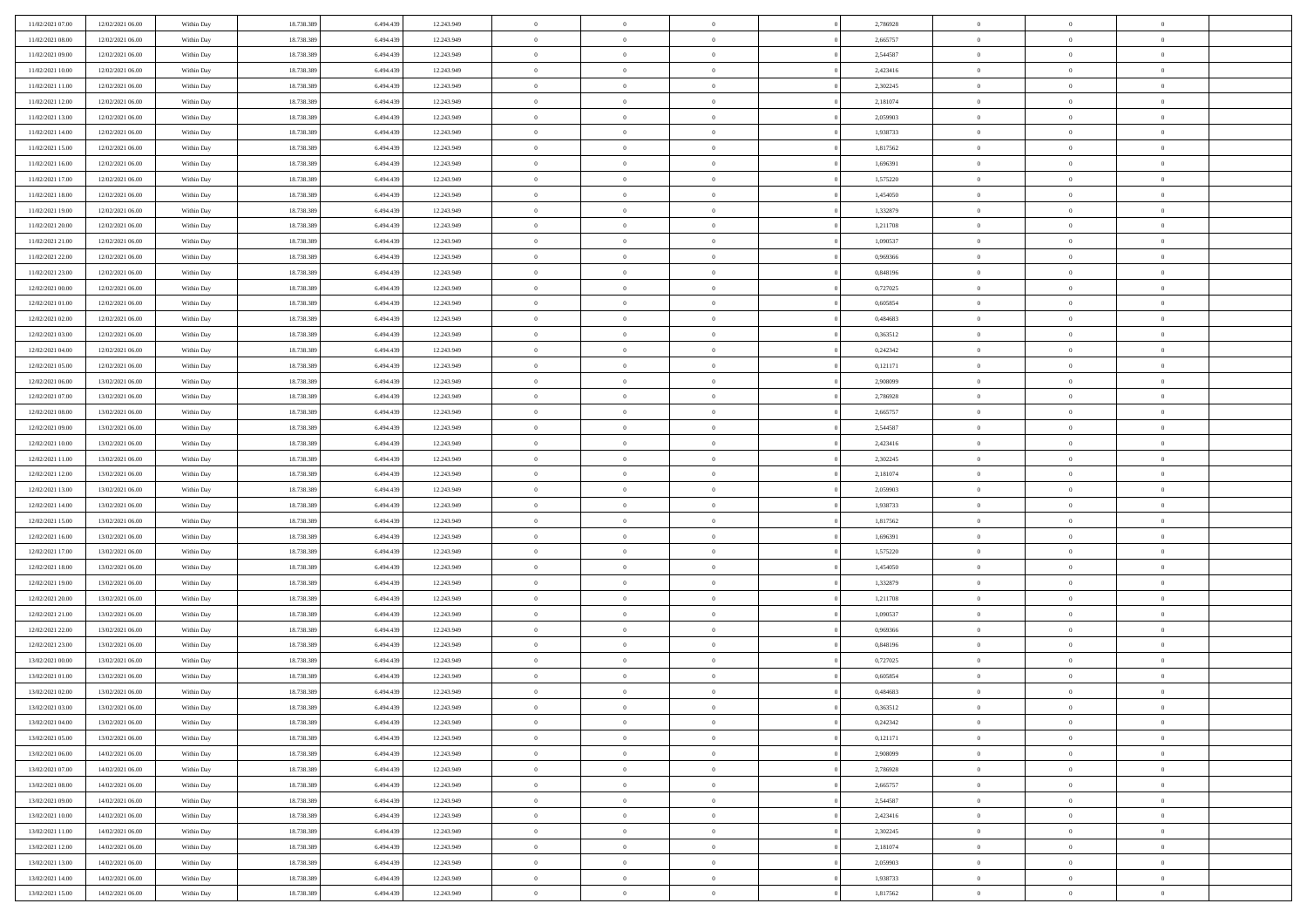| 11/02/2021 07:00                     | 12/02/2021 06:00                     | Within Day               | 18.738.389               | 6.494.439              | 12.243.949               | $\bf{0}$                | $\overline{0}$                   | $\Omega$                         | 2,786928             | $\bf{0}$                      | $\overline{0}$             | $\bf{0}$                         |  |
|--------------------------------------|--------------------------------------|--------------------------|--------------------------|------------------------|--------------------------|-------------------------|----------------------------------|----------------------------------|----------------------|-------------------------------|----------------------------|----------------------------------|--|
| 11/02/2021 08:00                     | 12/02/2021 06:00                     | Within Day               | 18.738.389               | 6.494.439              | 12.243.949               | $\overline{0}$          | $\overline{0}$                   | $\overline{0}$                   | 2,665757             | $\mathbf{0}$                  | $\bf{0}$                   | $\overline{0}$                   |  |
| 11/02/2021 09:00                     | 12/02/2021 06:00                     | Within Day               | 18.738.389               | 6.494.439              | 12.243.949               | $\theta$                | $\overline{0}$                   | $\overline{0}$                   | 2,544587             | $\,$ 0                        | $\overline{0}$             | $\,$ 0 $\,$                      |  |
| 11/02/2021 10:00                     | 12/02/2021 06:00                     | Within Day               | 18.738.389               | 6,494,439              | 12.243.949               | $\overline{0}$          | $\overline{0}$                   | $\mathbf{0}$                     | 2,423416             | $\bf{0}$                      | $\mathbf{0}$               | $\theta$                         |  |
| 11/02/2021 11:00                     | 12/02/2021 06:00                     | Within Day               | 18.738.389               | 6.494.439              | 12.243.949               | $\mathbf{0}$            | $\overline{0}$                   | $\overline{0}$                   | 2,302245             | $\mathbf{0}$                  | $\bf{0}$                   | $\overline{0}$                   |  |
| 11/02/2021 12:00                     | 12/02/2021 06:00                     | Within Day               | 18.738.389               | 6.494.439              | 12.243.949               | $\theta$                | $\overline{0}$                   | $\bf{0}$                         | 2,181074             | $\,$ 0                        | $\overline{0}$             | $\,$ 0 $\,$                      |  |
| 11/02/2021 13:00                     | 12/02/2021 06:00                     | Within Day               | 18.738.389               | 6.494.439              | 12.243.949               | $\,$ 0 $\,$             | $\overline{0}$                   | $\mathbf{0}$                     | 2.059903             | $\bf{0}$                      | $\overline{0}$             | $\theta$                         |  |
| 11/02/2021 14:00                     | 12/02/2021 06:00                     | Within Day               | 18.738.389               | 6.494.439              | 12.243.949               | $\overline{0}$          | $\overline{0}$                   | $\overline{0}$                   | 1,938733             | $\mathbf{0}$                  | $\bf{0}$                   | $\overline{0}$                   |  |
| 11/02/2021 15:00                     | 12/02/2021 06:00                     | Within Day               | 18.738.389               | 6.494.439              | 12.243.949               | $\theta$                | $\overline{0}$                   | $\bf{0}$                         | 1,817562             | $\,$ 0                        | $\overline{0}$             | $\,$ 0 $\,$                      |  |
| 11/02/2021 16:00                     | 12/02/2021 06:00                     | Within Day               | 18.738.389               | 6,494,439              | 12.243.949               | $\overline{0}$          | $\overline{0}$                   | $\mathbf{0}$                     | 1.696391             | $\bf{0}$                      | $\mathbf{0}$               | $\theta$                         |  |
| 11/02/2021 17:00                     | 12/02/2021 06:00                     | Within Day               | 18.738.389               | 6.494.439              | 12.243.949               | $\mathbf{0}$            | $\overline{0}$                   | $\overline{0}$                   | 1,575220             | $\mathbf{0}$                  | $\bf{0}$                   | $\overline{0}$                   |  |
| 11/02/2021 18:00                     | 12/02/2021 06:00                     | Within Day               | 18.738.389               | 6.494.439              | 12.243.949               | $\theta$                | $\overline{0}$                   | $\bf{0}$                         | 1,454050             | $\,$ 0                        | $\overline{0}$             | $\,$ 0 $\,$                      |  |
| 11/02/2021 19:00                     | 12/02/2021 06:00                     | Within Day               | 18.738.389               | 6.494.439              | 12.243.949               | $\theta$                | $\overline{0}$                   | $\mathbf{0}$                     | 1,332879             | $\bf{0}$                      | $\mathbf{0}$               | $\theta$                         |  |
| 11/02/2021 20:00                     | 12/02/2021 06:00                     | Within Dav               | 18.738.389               | 6.494.439              | 12.243.949               | $\mathbf{0}$            | $\overline{0}$                   | $\overline{0}$                   | 1,211708             | $\mathbf{0}$                  | $\bf{0}$                   | $\overline{0}$                   |  |
| 11/02/2021 21:00                     | 12/02/2021 06:00                     | Within Day               | 18.738.389               | 6.494.439              | 12.243.949               | $\theta$                | $\overline{0}$                   | $\bf{0}$                         | 1,090537             | $\,$ 0                        | $\overline{0}$             | $\,$ 0 $\,$                      |  |
| 11/02/2021 22:00                     | 12/02/2021 06:00                     | Within Day               | 18.738.389               | 6.494.439              | 12.243.949               | $\bf{0}$                | $\overline{0}$                   | $\mathbf{0}$                     | 0.969366             | $\bf{0}$                      | $\mathbf{0}$               | $\bf{0}$                         |  |
| 11/02/2021 23:00                     | 12/02/2021 06:00                     | Within Dav               | 18.738.389               | 6.494.439              | 12.243.949               | $\overline{0}$          | $\overline{0}$                   | $\overline{0}$                   | 0,848196             | $\mathbf{0}$                  | $\bf{0}$                   | $\overline{0}$                   |  |
| 12/02/2021 00:00                     | 12/02/2021 06:00                     | Within Day               | 18.738.389               | 6.494.439              | 12.243.949               | $\theta$                | $\overline{0}$                   | $\bf{0}$                         | 0,727025             | $\,$ 0                        | $\overline{0}$             | $\,$ 0 $\,$                      |  |
| 12/02/2021 01:00                     | 12/02/2021 06:00                     | Within Day               | 18.738.389               | 6.494.439              | 12.243.949               | $\overline{0}$          | $\overline{0}$                   | $\mathbf{0}$                     | 0.605854             | $\theta$                      | $\mathbf{0}$               | $\theta$                         |  |
| 12/02/2021 02:00                     | 12/02/2021 06:00                     | Within Dav               | 18.738.389               | 6.494.439              | 12.243.949               | $\overline{0}$          | $\overline{0}$                   | $\overline{0}$                   | 0,484683             | $\mathbf{0}$                  | $\bf{0}$                   | $\overline{0}$                   |  |
| 12/02/2021 03:00                     | 12/02/2021 06:00                     | Within Day               | 18.738.389               | 6.494.439              | 12.243.949               | $\theta$                | $\overline{0}$                   | $\bf{0}$                         | 0,363512             | $\,$ 0                        | $\overline{0}$             | $\,$ 0 $\,$                      |  |
| 12/02/2021 04:00                     | 12/02/2021 06:00                     | Within Day               | 18.738.389               | 6.494.439              | 12.243.949               | $\theta$                | $\overline{0}$                   | $\mathbf{0}$                     | 0,242342             | $\bf{0}$                      | $\mathbf{0}$               | $\theta$                         |  |
| 12/02/2021 05:00                     | 12/02/2021 06:00                     | Within Dav               | 18.738.389               | 6.494.439              | 12.243.949               | $\mathbf{0}$            | $\overline{0}$                   | $\overline{0}$                   | 0,121171             | $\mathbf{0}$                  | $\bf{0}$                   | $\overline{0}$                   |  |
| 12/02/2021 06:00                     | 13/02/2021 06:00                     | Within Day               | 18.738.389               | 6.494.439              | 12.243.949               | $\theta$                | $\overline{0}$                   | $\bf{0}$                         | 2,908099             | $\,$ 0                        | $\overline{0}$             | $\,$ 0 $\,$                      |  |
| 12/02/2021 07:00                     | 13/02/2021 06:00                     | Within Day               | 18.738.389               | 6.494.439              | 12.243.949               | $\bf{0}$                | $\overline{0}$                   | $\mathbf{0}$                     | 2,786928             | $\bf{0}$                      | $\overline{0}$             | $\bf{0}$                         |  |
| 12/02/2021 08:00                     | 13/02/2021 06:00                     | Within Dav               | 18.738.389               | 6.494.439              | 12.243.949               | $\overline{0}$          | $\overline{0}$                   | $\overline{0}$                   | 2,665757             | $\mathbf{0}$                  | $\bf{0}$                   | $\overline{0}$                   |  |
| 12/02/2021 09:00                     | 13/02/2021 06:00                     | Within Day               | 18.738.389               | 6.494.439              | 12.243.949               | $\theta$                | $\overline{0}$                   | $\bf{0}$                         | 2,544587             | $\,$ 0                        | $\overline{0}$             | $\,$ 0 $\,$                      |  |
| 12/02/2021 10:00                     | 13/02/2021 06:00                     | Within Day               | 18.738.389               | 6,494,439              | 12.243.949               | $\overline{0}$          | $\overline{0}$                   | $\mathbf{0}$                     | 2,423416             | $\bf{0}$                      | $\mathbf{0}$               | $\theta$                         |  |
| 12/02/2021 11:00                     | 13/02/2021 06:00                     | Within Dav               | 18.738.389               | 6.494.439              | 12.243.949               | $\mathbf{0}$            | $\overline{0}$                   | $\overline{0}$                   | 2,302245             | $\mathbf{0}$                  | $\bf{0}$                   | $\overline{0}$                   |  |
| 12/02/2021 12:00                     | 13/02/2021 06:00                     | Within Day               | 18.738.389               | 6.494.439              | 12.243.949               | $\theta$                | $\overline{0}$                   | $\bf{0}$                         | 2,181074             | $\,$ 0                        | $\overline{0}$             | $\,$ 0 $\,$                      |  |
| 12/02/2021 13:00                     | 13/02/2021 06:00                     | Within Day               | 18.738.389               | 6.494.439              | 12.243.949               | $\,$ 0 $\,$             | $\overline{0}$                   | $\overline{0}$                   | 2,059903             | $\bf{0}$                      | $\overline{0}$             | $\,0\,$                          |  |
| 12/02/2021 14:00                     | 13/02/2021 06:00                     | Within Dav               | 18.738.389               | 6.494.439              | 12.243.949               | $\overline{0}$          | $\overline{0}$                   | $\overline{0}$                   | 1,938733             | $\mathbf{0}$                  | $\bf{0}$                   | $\overline{0}$                   |  |
| 12/02/2021 15:00                     | 13/02/2021 06:00                     | Within Day               | 18.738.389               | 6.494.439              | 12.243.949               | $\theta$                | $\overline{0}$                   | $\overline{0}$                   | 1,817562             | $\,$ 0                        | $\overline{0}$             | $\,$ 0 $\,$                      |  |
| 12/02/2021 16:00                     | 13/02/2021 06:00                     | Within Day               | 18.738.389               | 6.494.439              | 12.243.949               | $\,$ 0 $\,$             | $\overline{0}$                   | $\overline{0}$                   | 1,696391             | $\bf{0}$                      | $\overline{0}$             | $\bf{0}$                         |  |
| 12/02/2021 17:00                     | 13/02/2021 06:00                     | Within Dav               | 18.738.389               | 6.494.439              | 12.243.949               | $\overline{0}$          | $\overline{0}$                   | $\overline{0}$                   | 1,575220             | $\mathbf{0}$                  | $\bf{0}$                   | $\overline{0}$                   |  |
| 12/02/2021 18:00                     | 13/02/2021 06:00                     | Within Day               | 18.738.389               | 6.494.439              | 12.243.949               | $\theta$                | $\overline{0}$                   | $\bf{0}$                         | 1,454050             | $\,$ 0                        | $\overline{0}$             | $\,$ 0 $\,$                      |  |
| 12/02/2021 19:00                     | 13/02/2021 06:00                     | Within Day               | 18.738.389               | 6.494.439              | 12.243.949               | $\,$ 0 $\,$             | $\overline{0}$                   | $\overline{0}$                   | 1,332879             | $\bf{0}$                      | $\overline{0}$             | $\,0\,$                          |  |
| 12/02/2021 20:00                     | 13/02/2021 06:00                     | Within Dav               | 18.738.389               | 6.494.439              | 12.243.949               | $\mathbf{0}$            | $\overline{0}$                   | $\overline{0}$                   | 1,211708             | $\mathbf{0}$                  | $\bf{0}$                   | $\overline{0}$                   |  |
| 12/02/2021 21:00                     | 13/02/2021 06:00                     | Within Day               | 18.738.389               | 6.494.439              | 12.243.949               | $\theta$                | $\overline{0}$                   | $\bf{0}$                         | 1,090537             | $\,$ 0                        | $\overline{0}$             | $\,$ 0 $\,$                      |  |
| 12/02/2021 22:00                     | 13/02/2021 06:00                     | Within Day               | 18.738.389               | 6.494.439              | 12.243.949               | $\,$ 0 $\,$             | $\overline{0}$                   | $\overline{0}$                   | 0,969366             | $\bf{0}$                      | $\overline{0}$             | $\,0\,$                          |  |
| 12/02/2021 23:00                     | 13/02/2021 06:00                     | Within Dav               | 18.738.389               | 6.494.439              | 12.243.949               | $\theta$                | $\overline{0}$                   | $\overline{0}$                   | 0,848196             | $\mathbf{0}$                  | $\bf{0}$                   | $\overline{0}$                   |  |
| 13/02/2021 00:00                     | 13/02/2021 06:00                     | Within Day               | 18.738.389               | 6.494.439              | 12.243.949               | $\theta$                | $\overline{0}$                   | $\bf{0}$                         | 0,727025             | $\,$ 0                        | $\overline{0}$             | $\,$ 0 $\,$                      |  |
| 13/02/2021 01:00                     | 13/02/2021 06:00                     | Within Day               | 18.738.389               | 6.494.439              | 12.243.949               | $\,$ 0 $\,$             | $\overline{0}$                   | $\overline{0}$                   | 0,605854             | $\bf{0}$                      | $\overline{0}$             | $\,0\,$                          |  |
| 13/02/2021 02:00                     | 13/02/2021 06:00                     | Within Dav               | 18.738.389               | 6.494.439              | 12.243.949               | $\theta$                | $\overline{0}$                   | $\overline{0}$                   | 0,484683             | $\mathbf{0}$                  | $\bf{0}$                   | $\overline{0}$                   |  |
| 13/02/2021 03:00                     | 13/02/2021 06:00                     | Within Day               | 18.738.389               | 6.494.439              | 12.243.949               | $\overline{0}$          | $\overline{0}$                   | $\overline{0}$                   | 0,363512             | $\overline{0}$                | $\overline{0}$             | $\theta$                         |  |
| 13/02/2021 04:00                     | 13/02/2021 06:00                     | Within Day               | 18.738.389               | 6.494.439              | 12.243.949               | $\bf{0}$                | $\overline{0}$                   | $\overline{0}$                   | 0,242342             | $\mathbf{0}$                  | $\overline{0}$             | $\bf{0}$                         |  |
| 13/02/2021 05:00                     | 13/02/2021 06:00                     | Within Day               | 18.738.389               | 6.494.439              | 12.243.949               | $\overline{0}$          | $\overline{0}$                   | $\overline{0}$                   | 0,121171             | $\overline{0}$                | $\overline{0}$             | $\overline{0}$                   |  |
| 13/02/2021 06:00                     | 14/02/2021 06:00                     | Within Day               | 18.738.389               | 6.494.439              | 12.243.949               | $\,$ 0                  | $\overline{0}$                   | $\overline{0}$                   | 2,908099             | $\,$ 0 $\,$                   | $\,$ 0 $\,$                | $\,$ 0 $\,$                      |  |
| 13/02/2021 07:00                     | 14/02/2021 06:00<br>14/02/2021 06:00 | Within Day               | 18.738.389               | 6.494.439              | 12.243.949               | $\bf{0}$                | $\overline{0}$                   | $\overline{0}$                   | 2,786928             | $\mathbf{0}$                  | $\overline{0}$             | $\bf{0}$                         |  |
| 13/02/2021 08:00                     |                                      | Within Day               | 18.738.389               | 6.494.439              | 12.243.949               | $\,$ 0 $\,$             | $\overline{0}$                   | $\overline{0}$                   | 2,665757             | $\,$ 0 $\,$                   | $\bf{0}$                   | $\overline{0}$                   |  |
| 13/02/2021 09:00                     | 14/02/2021 06:00                     | Within Day               | 18.738.389               | 6.494.439              | 12.243.949               | $\,$ 0                  | $\overline{0}$                   | $\overline{0}$                   | 2,544587             | $\,$ 0 $\,$                   | $\overline{0}$             | $\,$ 0 $\,$                      |  |
| 13/02/2021 10:00                     | 14/02/2021 06:00<br>14/02/2021 06:00 | Within Day<br>Within Day | 18.738.389<br>18.738.389 | 6.494.439<br>6.494.439 | 12.243.949<br>12.243.949 | $\bf{0}$<br>$\,$ 0 $\,$ | $\overline{0}$<br>$\overline{0}$ | $\overline{0}$<br>$\overline{0}$ | 2,423416<br>2,302245 | $\overline{0}$<br>$\,$ 0 $\,$ | $\overline{0}$<br>$\bf{0}$ | $\overline{0}$<br>$\overline{0}$ |  |
| 13/02/2021 11:00<br>13/02/2021 12:00 | 14/02/2021 06:00                     | Within Day               | 18.738.389               | 6.494.439              | 12.243.949               | $\,$ 0                  | $\overline{0}$                   | $\overline{0}$                   | 2,181074             | $\,$ 0 $\,$                   | $\,$ 0 $\,$                | $\,$ 0 $\,$                      |  |
| 13/02/2021 13:00                     | 14/02/2021 06:00                     | Within Day               | 18.738.389               | 6.494.439              | 12.243.949               | $\bf{0}$                | $\overline{0}$                   | $\overline{0}$                   | 2,059903             | $\mathbf{0}$                  | $\overline{0}$             | $\bf{0}$                         |  |
| 13/02/2021 14:00                     | 14/02/2021 06:00                     | Within Day               | 18.738.389               | 6.494.439              | 12.243.949               | $\mathbf{0}$            | $\overline{0}$                   | $\overline{0}$                   | 1,938733             | $\overline{0}$                | $\bf{0}$                   | $\overline{0}$                   |  |
| 13/02/2021 15:00                     | 14/02/2021 06:00                     | Within Day               | 18.738.389               | 6.494.439              | 12.243.949               | $\,$ 0 $\,$             | $\overline{0}$                   | $\overline{0}$                   | 1,817562             | $\,$ 0 $\,$                   | $\overline{0}$             | $\,$ 0 $\,$                      |  |
|                                      |                                      |                          |                          |                        |                          |                         |                                  |                                  |                      |                               |                            |                                  |  |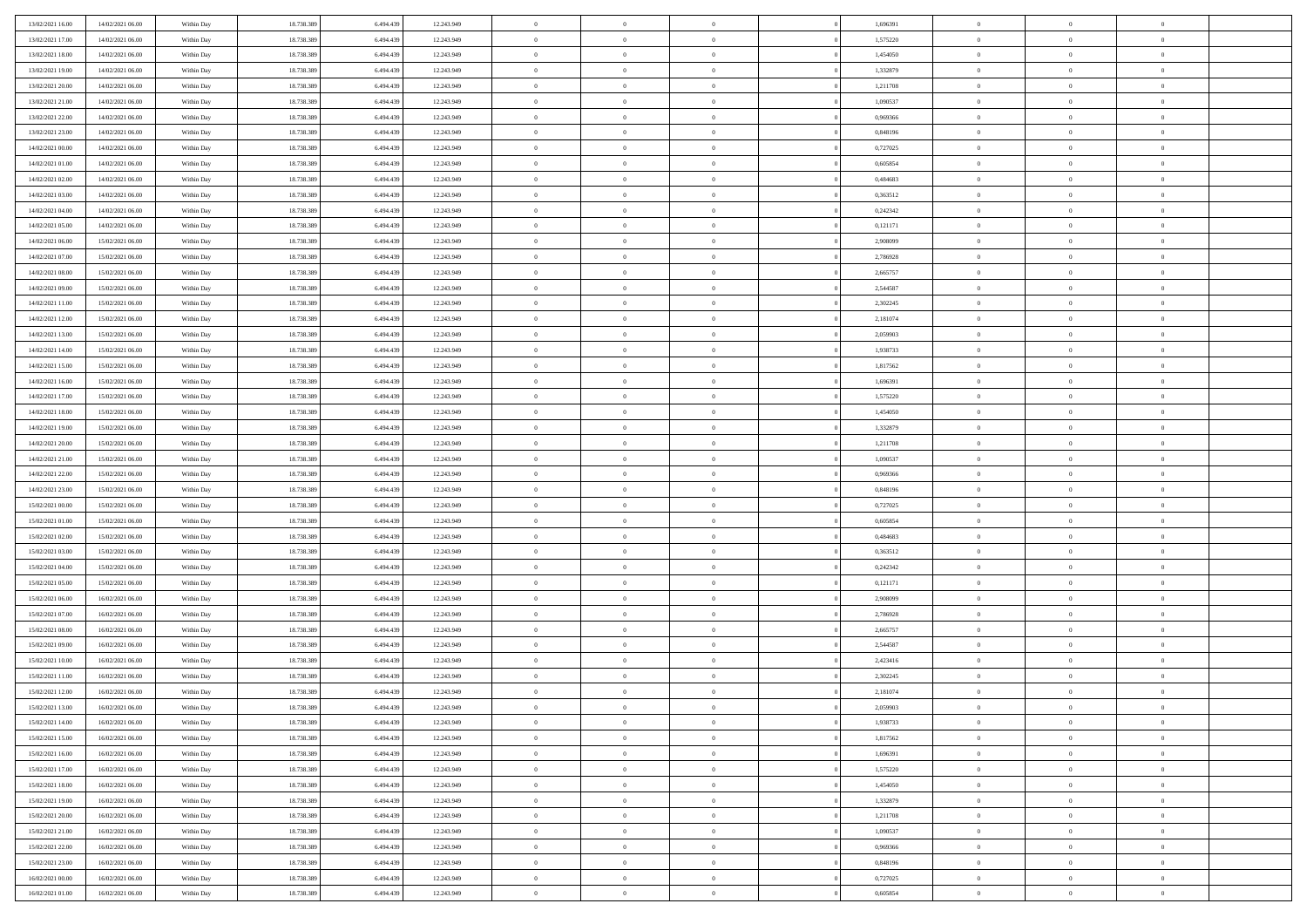| 13/02/2021 16:00 | 14/02/2021 06:00 | Within Day | 18.738.389 | 6.494.439 | 12.243.949 | $\overline{0}$ | $\overline{0}$ | $\Omega$       |          | 1,696391 | $\bf{0}$       | $\mathbf{0}$   | $\bf{0}$       |  |
|------------------|------------------|------------|------------|-----------|------------|----------------|----------------|----------------|----------|----------|----------------|----------------|----------------|--|
| 13/02/2021 17:00 | 14/02/2021 06:00 | Within Day | 18.738.389 | 6.494.439 | 12.243.949 | $\overline{0}$ | $\overline{0}$ | $\overline{0}$ |          | 1,575220 | $\mathbf{0}$   | $\overline{0}$ | $\overline{0}$ |  |
| 13/02/2021 18:00 | 14/02/2021 06:00 | Within Day | 18.738.389 | 6.494.439 | 12.243.949 | $\,$ 0         | $\overline{0}$ | $\bf{0}$       |          | 1,454050 | $\,$ 0         | $\overline{0}$ | $\,$ 0 $\,$    |  |
| 13/02/2021 19:00 | 14/02/2021 06:00 | Within Day | 18.738.389 | 6,494,439 | 12.243.949 | $\bf{0}$       | $\overline{0}$ | $\Omega$       |          | 1,332879 | $\bf{0}$       | $\mathbf{0}$   | $\theta$       |  |
| 13/02/2021 20:00 | 14/02/2021 06:00 | Within Day | 18.738.389 | 6.494.439 | 12.243.949 | $\bf{0}$       | $\overline{0}$ | $\overline{0}$ |          | 1,211708 | $\mathbf{0}$   | $\overline{0}$ | $\overline{0}$ |  |
| 13/02/2021 21:00 | 14/02/2021 06:00 | Within Day | 18.738.389 | 6.494.439 | 12.243.949 | $\bf{0}$       | $\overline{0}$ | $\bf{0}$       |          | 1,090537 | $\,$ 0         | $\overline{0}$ | $\,$ 0 $\,$    |  |
| 13/02/2021 22.00 | 14/02/2021 06:00 | Within Day | 18.738.389 | 6.494.439 | 12.243.949 | $\bf{0}$       | $\overline{0}$ | $\overline{0}$ |          | 0.969366 | $\bf{0}$       | $\overline{0}$ | $\theta$       |  |
| 13/02/2021 23:00 | 14/02/2021 06:00 | Within Day | 18.738.389 | 6.494.439 | 12.243.949 | $\overline{0}$ | $\overline{0}$ | $\overline{0}$ |          | 0,848196 | $\mathbf{0}$   | $\overline{0}$ | $\overline{0}$ |  |
| 14/02/2021 00:00 | 14/02/2021 06:00 | Within Day | 18.738.389 | 6.494.439 | 12.243.949 | $\bf{0}$       | $\overline{0}$ | $\bf{0}$       |          | 0,727025 | $\,$ 0         | $\overline{0}$ | $\,$ 0 $\,$    |  |
| 14/02/2021 01:00 | 14/02/2021 06:00 | Within Day | 18.738.389 | 6,494,439 | 12.243.949 | $\bf{0}$       | $\overline{0}$ | $\Omega$       |          | 0.605854 | $\theta$       | $\mathbf{0}$   | $\theta$       |  |
| 14/02/2021 02:00 | 14/02/2021 06:00 | Within Day | 18.738.389 | 6.494.439 | 12.243.949 | $\overline{0}$ | $\overline{0}$ | $\overline{0}$ |          | 0,484683 | $\mathbf{0}$   | $\overline{0}$ | $\overline{0}$ |  |
| 14/02/2021 03:00 | 14/02/2021 06:00 | Within Day | 18.738.389 | 6.494.439 | 12.243.949 | $\bf{0}$       | $\overline{0}$ | $\bf{0}$       |          | 0,363512 | $\,$ 0         | $\overline{0}$ | $\,$ 0 $\,$    |  |
| 14/02/2021 04:00 | 14/02/2021 06:00 | Within Day | 18.738.389 | 6,494,439 | 12.243.949 | $\bf{0}$       | $\overline{0}$ | $\Omega$       |          | 0,242342 | $\theta$       | $\mathbf{0}$   | $\theta$       |  |
| 14/02/2021 05:00 | 14/02/2021 06:00 | Within Day | 18.738.389 | 6.494.439 | 12.243.949 | $\overline{0}$ | $\overline{0}$ | $\overline{0}$ |          | 0,121171 | $\overline{0}$ | $\overline{0}$ | $\overline{0}$ |  |
| 14/02/2021 06:00 | 15/02/2021 06:00 | Within Day | 18.738.389 | 6.494.439 | 12.243.949 | $\bf{0}$       | $\overline{0}$ | $\bf{0}$       |          | 2,908099 | $\,$ 0         | $\overline{0}$ | $\,$ 0 $\,$    |  |
| 14/02/2021 07:00 | 15/02/2021 06:00 | Within Day | 18.738.389 | 6.494.439 | 12.243.949 | $\bf{0}$       | $\overline{0}$ | $\overline{0}$ |          | 2,786928 | $\bf{0}$       | $\overline{0}$ | $\theta$       |  |
| 14/02/2021 08:00 | 15/02/2021 06:00 | Within Day | 18.738.389 | 6.494.439 | 12.243.949 | $\overline{0}$ | $\overline{0}$ | $\overline{0}$ |          | 2,665757 | $\mathbf{0}$   | $\overline{0}$ | $\overline{0}$ |  |
| 14/02/2021 09:00 | 15/02/2021 06:00 | Within Day | 18.738.389 | 6.494.439 | 12.243.949 | $\bf{0}$       | $\overline{0}$ | $\bf{0}$       |          | 2,544587 | $\,$ 0         | $\overline{0}$ | $\,$ 0 $\,$    |  |
| 14/02/2021 11:00 | 15/02/2021 06:00 | Within Day | 18.738.389 | 6,494,439 | 12.243.949 | $\bf{0}$       | $\overline{0}$ | $\Omega$       |          | 2,302245 | $\theta$       | $\mathbf{0}$   | $\theta$       |  |
| 14/02/2021 12:00 | 15/02/2021 06:00 | Within Day | 18.738.389 | 6.494.439 | 12.243.949 | $\overline{0}$ | $\overline{0}$ | $\overline{0}$ |          | 2,181074 | $\mathbf{0}$   | $\overline{0}$ | $\overline{0}$ |  |
| 14/02/2021 13:00 | 15/02/2021 06:00 | Within Day | 18.738.389 | 6.494.439 | 12.243.949 | $\bf{0}$       | $\overline{0}$ | $\bf{0}$       |          | 2,059903 | $\,$ 0         | $\overline{0}$ | $\,$ 0 $\,$    |  |
| 14/02/2021 14:00 | 15/02/2021 06:00 | Within Day | 18.738.389 | 6,494,439 | 12.243.949 | $\bf{0}$       | $\overline{0}$ | $\Omega$       |          | 1.938733 | $\theta$       | $\mathbf{0}$   | $\theta$       |  |
| 14/02/2021 15:00 | 15/02/2021 06:00 | Within Day | 18.738.389 | 6.494.439 | 12.243.949 | $\overline{0}$ | $\overline{0}$ | $\overline{0}$ |          | 1,817562 | $\mathbf{0}$   | $\overline{0}$ | $\overline{0}$ |  |
| 14/02/2021 16:00 | 15/02/2021 06:00 | Within Day | 18.738.389 | 6.494.439 | 12.243.949 | $\bf{0}$       | $\overline{0}$ | $\bf{0}$       |          | 1,696391 | $\,$ 0         | $\overline{0}$ | $\,$ 0 $\,$    |  |
| 14/02/2021 17.00 | 15/02/2021 06:00 | Within Day | 18.738.389 | 6.494.439 | 12.243.949 | $\bf{0}$       | $\overline{0}$ | $\overline{0}$ |          | 1,575220 | $\bf{0}$       | $\overline{0}$ | $\bf{0}$       |  |
| 14/02/2021 18:00 | 15/02/2021 06:00 | Within Day | 18.738.389 | 6.494.439 | 12.243.949 | $\overline{0}$ | $\overline{0}$ | $\overline{0}$ |          | 1,454050 | $\mathbf{0}$   | $\overline{0}$ | $\overline{0}$ |  |
| 14/02/2021 19:00 | 15/02/2021 06:00 | Within Day | 18.738.389 | 6.494.439 | 12.243.949 | $\bf{0}$       | $\overline{0}$ | $\bf{0}$       |          | 1,332879 | $\,$ 0         | $\overline{0}$ | $\,$ 0 $\,$    |  |
| 14/02/2021 20:00 | 15/02/2021 06:00 | Within Day | 18.738.389 | 6,494,439 | 12.243.949 | $\bf{0}$       | $\overline{0}$ | $\Omega$       |          | 1,211708 | $\theta$       | $\mathbf{0}$   | $\theta$       |  |
| 14/02/2021 21:00 | 15/02/2021 06:00 | Within Day | 18.738.389 | 6.494.439 | 12.243.949 | $\overline{0}$ | $\overline{0}$ | $\overline{0}$ |          | 1,090537 | $\mathbf{0}$   | $\overline{0}$ | $\overline{0}$ |  |
| 14/02/2021 22.00 | 15/02/2021 06:00 | Within Day | 18.738.389 | 6.494.439 | 12.243.949 | $\bf{0}$       | $\overline{0}$ | $\bf{0}$       |          | 0,969366 | $\,$ 0         | $\overline{0}$ | $\,$ 0 $\,$    |  |
| 14/02/2021 23.00 | 15/02/2021 06:00 | Within Day | 18.738.389 | 6.494.439 | 12.243.949 | $\,$ 0         | $\bf{0}$       | $\overline{0}$ |          | 0,848196 | $\bf{0}$       | $\overline{0}$ | $\,0\,$        |  |
| 15/02/2021 00:00 | 15/02/2021 06:00 | Within Day | 18.738.389 | 6.494.439 | 12.243.949 | $\overline{0}$ | $\overline{0}$ | $\overline{0}$ |          | 0,727025 | $\mathbf{0}$   | $\overline{0}$ | $\overline{0}$ |  |
| 15/02/2021 01:00 | 15/02/2021 06:00 | Within Day | 18.738.389 | 6.494.439 | 12.243.949 | $\bf{0}$       | $\overline{0}$ | $\bf{0}$       |          | 0,605854 | $\,$ 0         | $\overline{0}$ | $\,$ 0 $\,$    |  |
| 15/02/2021 02:00 | 15/02/2021 06:00 | Within Day | 18.738.389 | 6.494.439 | 12.243.949 | $\bf{0}$       | $\bf{0}$       | $\bf{0}$       |          | 0,484683 | $\bf{0}$       | $\overline{0}$ | $\,0\,$        |  |
| 15/02/2021 03:00 | 15/02/2021 06:00 | Within Day | 18.738.389 | 6.494.439 | 12.243.949 | $\overline{0}$ | $\overline{0}$ | $\overline{0}$ |          | 0,363512 | $\mathbf{0}$   | $\overline{0}$ | $\overline{0}$ |  |
| 15/02/2021 04:00 | 15/02/2021 06:00 | Within Day | 18.738.389 | 6.494.439 | 12.243.949 | $\bf{0}$       | $\overline{0}$ | $\bf{0}$       |          | 0,242342 | $\,$ 0         | $\overline{0}$ | $\,$ 0 $\,$    |  |
| 15/02/2021 05:00 | 15/02/2021 06:00 | Within Day | 18.738.389 | 6.494.439 | 12.243.949 | $\bf{0}$       | $\bf{0}$       | $\overline{0}$ |          | 0,121171 | $\bf{0}$       | $\overline{0}$ | $\,0\,$        |  |
| 15/02/2021 06:00 | 16/02/2021 06:00 | Within Day | 18.738.389 | 6.494.439 | 12.243.949 | $\overline{0}$ | $\overline{0}$ | $\overline{0}$ |          | 2,908099 | $\mathbf{0}$   | $\overline{0}$ | $\overline{0}$ |  |
| 15/02/2021 07:00 | 16/02/2021 06:00 | Within Day | 18.738.389 | 6.494.439 | 12.243.949 | $\bf{0}$       | $\overline{0}$ | $\bf{0}$       |          | 2,786928 | $\,$ 0         | $\overline{0}$ | $\,$ 0 $\,$    |  |
| 15/02/2021 08:00 | 16/02/2021 06:00 | Within Day | 18.738.389 | 6.494.439 | 12.243.949 | $\bf{0}$       | $\bf{0}$       | $\overline{0}$ |          | 2,665757 | $\bf{0}$       | $\overline{0}$ | $\,0\,$        |  |
| 15/02/2021 09:00 | 16/02/2021 06:00 | Within Day | 18.738.389 | 6.494.439 | 12.243.949 | $\overline{0}$ | $\overline{0}$ | $\overline{0}$ |          | 2,544587 | $\mathbf{0}$   | $\overline{0}$ | $\overline{0}$ |  |
| 15/02/2021 10:00 | 16/02/2021 06:00 | Within Day | 18.738.389 | 6.494.439 | 12.243.949 | $\bf{0}$       | $\overline{0}$ | $\bf{0}$       |          | 2,423416 | $\,$ 0         | $\overline{0}$ | $\,$ 0 $\,$    |  |
| 15/02/2021 11:00 | 16/02/2021 06:00 | Within Day | 18.738.389 | 6.494.439 | 12.243.949 | $\bf{0}$       | $\bf{0}$       | $\bf{0}$       |          | 2,302245 | $\bf{0}$       | $\overline{0}$ | $\,0\,$        |  |
| 15/02/2021 12:00 | 16/02/2021 06:00 | Within Day | 18.738.389 | 6.494.439 | 12.243.949 | $\mathbf{0}$   | $\overline{0}$ | $\overline{0}$ |          | 2,181074 | $\mathbf{0}$   | $\overline{0}$ | $\overline{0}$ |  |
| 15/02/2021 13:00 | 16/02/2021 06:00 | Within Day | 18.738.389 | 6.494.439 | 12.243.949 | $\bf{0}$       | $\overline{0}$ | $\theta$       |          | 2,059903 | $\overline{0}$ | $\overline{0}$ | $\theta$       |  |
| 15/02/2021 14:00 | 16/02/2021 06:00 | Within Day | 18.738.389 | 6.494.439 | 12.243.949 | $\bf{0}$       | $\overline{0}$ | $\bf{0}$       |          | 1,938733 | $\bf{0}$       | $\overline{0}$ | $\bf{0}$       |  |
| 15/02/2021 15:00 | 16/02/2021 06:00 | Within Day | 18.738.389 | 6.494.439 | 12.243.949 | $\overline{0}$ | $\overline{0}$ | $\overline{0}$ |          | 1,817562 | $\overline{0}$ | $\overline{0}$ | $\overline{0}$ |  |
| 15/02/2021 16:00 | 16/02/2021 06:00 | Within Day | 18.738.389 | 6.494.439 | 12.243.949 | $\,$ 0 $\,$    | $\overline{0}$ | $\overline{0}$ |          | 1,696391 | $\mathbf{0}$   | $\,$ 0 $\,$    | $\,$ 0 $\,$    |  |
| 15/02/2021 17:00 | 16/02/2021 06:00 | Within Day | 18.738.389 | 6.494.439 | 12.243.949 | $\bf{0}$       | $\overline{0}$ | $\overline{0}$ |          | 1,575220 | $\bf{0}$       | $\overline{0}$ | $\bf{0}$       |  |
| 15/02/2021 18:00 | 16/02/2021 06:00 | Within Day | 18.738.389 | 6.494.439 | 12.243.949 | $\overline{0}$ | $\overline{0}$ | $\overline{0}$ |          | 1,454050 | $\overline{0}$ | $\bf{0}$       | $\overline{0}$ |  |
| 15/02/2021 19:00 | 16/02/2021 06:00 | Within Day | 18.738.389 | 6.494.439 | 12.243.949 | $\,$ 0 $\,$    | $\overline{0}$ | $\overline{0}$ |          | 1,332879 | $\mathbf{0}$   | $\overline{0}$ | $\,$ 0 $\,$    |  |
| 15/02/2021 20:00 | 16/02/2021 06:00 | Within Day | 18.738.389 | 6.494.439 | 12.243.949 | $\overline{0}$ | $\overline{0}$ | $\overline{0}$ | $\Omega$ | 1,211708 | $\bf{0}$       | $\overline{0}$ | $\overline{0}$ |  |
| 15/02/2021 21:00 | 16/02/2021 06:00 | Within Day | 18.738.389 | 6.494.439 | 12.243.949 | $\overline{0}$ | $\overline{0}$ | $\overline{0}$ |          | 1,090537 | $\overline{0}$ | $\bf{0}$       | $\overline{0}$ |  |
| 15/02/2021 22:00 | 16/02/2021 06:00 | Within Day | 18.738.389 | 6.494.439 | 12.243.949 | $\,$ 0 $\,$    | $\overline{0}$ | $\overline{0}$ |          | 0,969366 | $\mathbf{0}$   | $\,$ 0 $\,$    | $\,$ 0 $\,$    |  |
| 15/02/2021 23:00 | 16/02/2021 06:00 | Within Day | 18.738.389 | 6.494.439 | 12.243.949 | $\bf{0}$       | $\overline{0}$ | $\overline{0}$ |          | 0,848196 | $\bf{0}$       | $\overline{0}$ | $\bf{0}$       |  |
| 16/02/2021 00:00 | 16/02/2021 06:00 | Within Day | 18.738.389 | 6.494.439 | 12.243.949 | $\overline{0}$ | $\overline{0}$ | $\overline{0}$ |          | 0,727025 | $\mathbf{0}$   | $\bf{0}$       | $\overline{0}$ |  |
| 16/02/2021 01:00 | 16/02/2021 06:00 | Within Day | 18.738.389 | 6.494.439 | 12.243.949 | $\,0\,$        | $\overline{0}$ | $\overline{0}$ |          | 0,605854 | $\,$ 0         | $\overline{0}$ | $\,$ 0 $\,$    |  |
|                  |                  |            |            |           |            |                |                |                |          |          |                |                |                |  |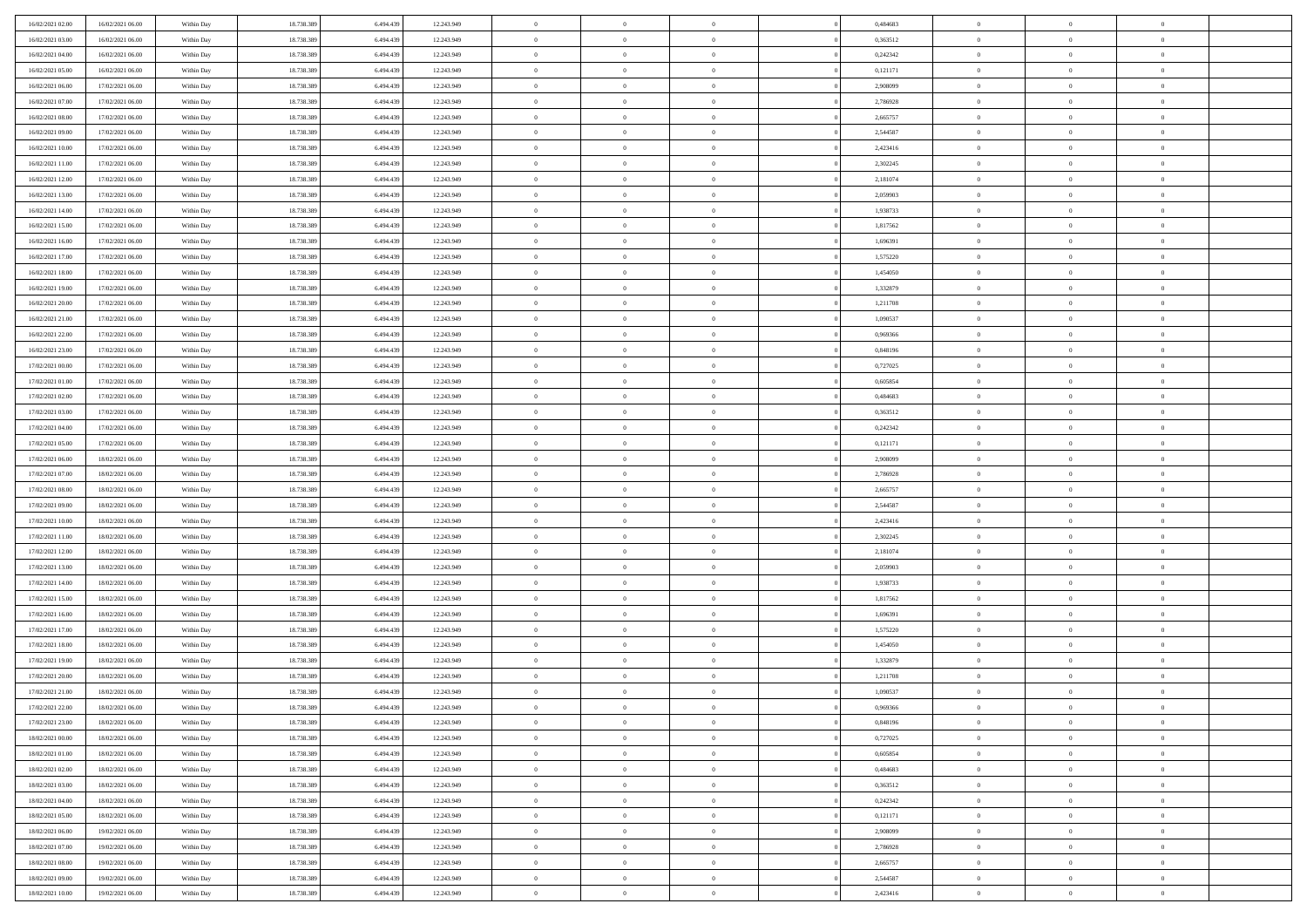| 16/02/2021 02:00 | 16/02/2021 06:00 | Within Day | 18.738.389 | 6.494.439 | 12.243.949 | $\overline{0}$ | $\overline{0}$ | $\Omega$       | 0,484683 | $\bf{0}$       | $\mathbf{0}$   | $\bf{0}$       |  |
|------------------|------------------|------------|------------|-----------|------------|----------------|----------------|----------------|----------|----------------|----------------|----------------|--|
| 16/02/2021 03:00 | 16/02/2021 06:00 | Within Dav | 18.738.389 | 6.494.439 | 12.243.949 | $\overline{0}$ | $\overline{0}$ | $\overline{0}$ | 0,363512 | $\mathbf{0}$   | $\overline{0}$ | $\overline{0}$ |  |
| 16/02/2021 04:00 | 16/02/2021 06:00 | Within Day | 18.738.389 | 6.494.439 | 12.243.949 | $\,$ 0         | $\overline{0}$ | $\bf{0}$       | 0,242342 | $\,$ 0         | $\overline{0}$ | $\,$ 0 $\,$    |  |
| 16/02/2021 05:00 | 16/02/2021 06:00 | Within Day | 18.738.389 | 6,494,439 | 12.243.949 | $\bf{0}$       | $\overline{0}$ | $\Omega$       | 0,121171 | $\bf{0}$       | $\mathbf{0}$   | $\theta$       |  |
| 16/02/2021 06:00 | 17/02/2021 06:00 | Within Day | 18.738.389 | 6.494.439 | 12.243.949 | $\bf{0}$       | $\overline{0}$ | $\overline{0}$ | 2,908099 | $\mathbf{0}$   | $\overline{0}$ | $\overline{0}$ |  |
| 16/02/2021 07:00 | 17/02/2021 06:00 | Within Day | 18.738.389 | 6.494.439 | 12.243.949 | $\bf{0}$       | $\overline{0}$ | $\bf{0}$       | 2,786928 | $\,$ 0         | $\overline{0}$ | $\,$ 0 $\,$    |  |
| 16/02/2021 08:00 | 17/02/2021 06:00 | Within Day | 18.738.389 | 6.494.439 | 12.243.949 | $\bf{0}$       | $\overline{0}$ | $\overline{0}$ | 2,665757 | $\theta$       | $\overline{0}$ | $\theta$       |  |
| 16/02/2021 09:00 | 17/02/2021 06:00 | Within Day | 18.738.389 | 6.494.439 | 12.243.949 | $\overline{0}$ | $\overline{0}$ | $\overline{0}$ | 2,544587 | $\mathbf{0}$   | $\overline{0}$ | $\overline{0}$ |  |
| 16/02/2021 10:00 | 17/02/2021 06:00 | Within Day | 18.738.389 | 6.494.439 | 12.243.949 | $\bf{0}$       | $\overline{0}$ | $\bf{0}$       | 2,423416 | $\,$ 0         | $\overline{0}$ | $\,$ 0 $\,$    |  |
| 16/02/2021 11:00 | 17/02/2021 06:00 | Within Day | 18.738.389 | 6,494,439 | 12.243.949 | $\bf{0}$       | $\overline{0}$ | $\Omega$       | 2,302245 | $\theta$       | $\mathbf{0}$   | $\theta$       |  |
| 16/02/2021 12:00 | 17/02/2021 06:00 | Within Day | 18.738.389 | 6.494.439 | 12.243.949 | $\overline{0}$ | $\overline{0}$ | $\overline{0}$ | 2,181074 | $\mathbf{0}$   | $\overline{0}$ | $\overline{0}$ |  |
| 16/02/2021 13:00 | 17/02/2021 06:00 | Within Day | 18.738.389 | 6.494.439 | 12.243.949 | $\bf{0}$       | $\overline{0}$ | $\bf{0}$       | 2,059903 | $\,$ 0         | $\overline{0}$ | $\,$ 0 $\,$    |  |
| 16/02/2021 14:00 | 17/02/2021 06:00 | Within Day | 18.738.389 | 6,494,439 | 12.243.949 | $\bf{0}$       | $\overline{0}$ | $\Omega$       | 1.938733 | $\bf{0}$       | $\mathbf{0}$   | $\theta$       |  |
| 16/02/2021 15:00 | 17/02/2021 06:00 | Within Day | 18.738.389 | 6.494.439 | 12.243.949 | $\overline{0}$ | $\overline{0}$ | $\overline{0}$ | 1,817562 | $\overline{0}$ | $\overline{0}$ | $\overline{0}$ |  |
| 16/02/2021 16:00 | 17/02/2021 06:00 | Within Day | 18.738.389 | 6.494.439 | 12.243.949 | $\bf{0}$       | $\overline{0}$ | $\bf{0}$       | 1,696391 | $\,$ 0         | $\overline{0}$ | $\,$ 0 $\,$    |  |
| 16/02/2021 17:00 | 17/02/2021 06:00 | Within Day | 18.738.389 | 6.494.439 | 12.243.949 | $\bf{0}$       | $\overline{0}$ | $\overline{0}$ | 1,575220 | $\bf{0}$       | $\mathbf{0}$   | $\theta$       |  |
| 16/02/2021 18:00 | 17/02/2021 06:00 | Within Day | 18.738.389 | 6.494.439 | 12.243.949 | $\overline{0}$ | $\overline{0}$ | $\overline{0}$ | 1,454050 | $\mathbf{0}$   | $\overline{0}$ | $\overline{0}$ |  |
| 16/02/2021 19:00 | 17/02/2021 06:00 | Within Day | 18.738.389 | 6.494.439 | 12.243.949 | $\bf{0}$       | $\overline{0}$ | $\bf{0}$       | 1,332879 | $\,$ 0         | $\overline{0}$ | $\,$ 0 $\,$    |  |
| 16/02/2021 20:00 | 17/02/2021 06:00 | Within Day | 18.738.389 | 6,494,439 | 12.243.949 | $\bf{0}$       | $\overline{0}$ | $\Omega$       | 1,211708 | $\theta$       | $\mathbf{0}$   | $\theta$       |  |
| 16/02/2021 21:00 | 17/02/2021 06:00 | Within Day | 18.738.389 | 6.494.439 | 12.243.949 | $\overline{0}$ | $\overline{0}$ | $\overline{0}$ | 1,090537 | $\mathbf{0}$   | $\overline{0}$ | $\overline{0}$ |  |
| 16/02/2021 22:00 | 17/02/2021 06:00 | Within Day | 18.738.389 | 6.494.439 | 12.243.949 | $\bf{0}$       | $\overline{0}$ | $\bf{0}$       | 0,969366 | $\,$ 0         | $\overline{0}$ | $\,$ 0 $\,$    |  |
| 16/02/2021 23:00 | 17/02/2021 06:00 | Within Day | 18.738.389 | 6,494,439 | 12.243.949 | $\bf{0}$       | $\overline{0}$ | $\Omega$       | 0.848196 | $\theta$       | $\mathbf{0}$   | $\theta$       |  |
| 17/02/2021 00:00 | 17/02/2021 06:00 | Within Day | 18.738.389 | 6.494.439 | 12.243.949 | $\overline{0}$ | $\overline{0}$ | $\overline{0}$ | 0,727025 | $\mathbf{0}$   | $\overline{0}$ | $\overline{0}$ |  |
| 17/02/2021 01:00 | 17/02/2021 06:00 | Within Day | 18.738.389 | 6.494.439 | 12.243.949 | $\bf{0}$       | $\overline{0}$ | $\bf{0}$       | 0,605854 | $\,$ 0         | $\overline{0}$ | $\,$ 0 $\,$    |  |
| 17/02/2021 02:00 | 17/02/2021 06:00 | Within Day | 18.738.389 | 6.494.439 | 12.243.949 | $\bf{0}$       | $\overline{0}$ | $\overline{0}$ | 0.484683 | $\bf{0}$       | $\overline{0}$ | $\bf{0}$       |  |
| 17/02/2021 03:00 | 17/02/2021 06:00 | Within Day | 18.738.389 | 6.494.439 | 12.243.949 | $\overline{0}$ | $\overline{0}$ | $\overline{0}$ | 0,363512 | $\mathbf{0}$   | $\overline{0}$ | $\overline{0}$ |  |
| 17/02/2021 04:00 | 17/02/2021 06:00 | Within Day | 18.738.389 | 6.494.439 | 12.243.949 | $\bf{0}$       | $\overline{0}$ | $\bf{0}$       | 0,242342 | $\,$ 0         | $\overline{0}$ | $\,$ 0 $\,$    |  |
| 17/02/2021 05:00 | 17/02/2021 06:00 | Within Day | 18.738.389 | 6,494,439 | 12.243.949 | $\bf{0}$       | $\overline{0}$ | $\Omega$       | 0,121171 | $\theta$       | $\mathbf{0}$   | $\theta$       |  |
| 17/02/2021 06:00 | 18/02/2021 06:00 | Within Day | 18.738.389 | 6.494.439 | 12.243.949 | $\overline{0}$ | $\overline{0}$ | $\overline{0}$ | 2,908099 | $\mathbf{0}$   | $\overline{0}$ | $\overline{0}$ |  |
| 17/02/2021 07:00 | 18/02/2021 06:00 | Within Day | 18.738.389 | 6.494.439 | 12.243.949 | $\bf{0}$       | $\overline{0}$ | $\bf{0}$       | 2,786928 | $\,$ 0         | $\overline{0}$ | $\,$ 0 $\,$    |  |
| 17/02/2021 08:00 | 18/02/2021 06:00 | Within Day | 18.738.389 | 6.494.439 | 12.243.949 | $\,$ 0         | $\bf{0}$       | $\overline{0}$ | 2,665757 | $\bf{0}$       | $\overline{0}$ | $\,0\,$        |  |
| 17/02/2021 09:00 | 18/02/2021 06:00 | Within Day | 18.738.389 | 6.494.439 | 12.243.949 | $\overline{0}$ | $\overline{0}$ | $\overline{0}$ | 2,544587 | $\mathbf{0}$   | $\overline{0}$ | $\overline{0}$ |  |
| 17/02/2021 10:00 | 18/02/2021 06:00 | Within Day | 18.738.389 | 6.494.439 | 12.243.949 | $\bf{0}$       | $\overline{0}$ | $\bf{0}$       | 2,423416 | $\,$ 0         | $\overline{0}$ | $\,$ 0 $\,$    |  |
| 17/02/2021 11:00 | 18/02/2021 06:00 | Within Day | 18.738.389 | 6.494.439 | 12.243.949 | $\bf{0}$       | $\bf{0}$       | $\bf{0}$       | 2,302245 | $\bf{0}$       | $\overline{0}$ | $\,0\,$        |  |
| 17/02/2021 12:00 | 18/02/2021 06:00 | Within Day | 18.738.389 | 6.494.439 | 12.243.949 | $\overline{0}$ | $\overline{0}$ | $\overline{0}$ | 2,181074 | $\overline{0}$ | $\overline{0}$ | $\overline{0}$ |  |
| 17/02/2021 13:00 | 18/02/2021 06:00 | Within Day | 18.738.389 | 6.494.439 | 12.243.949 | $\bf{0}$       | $\overline{0}$ | $\bf{0}$       | 2,059903 | $\,$ 0         | $\overline{0}$ | $\,$ 0 $\,$    |  |
| 17/02/2021 14:00 | 18/02/2021 06:00 | Within Day | 18.738.389 | 6.494.439 | 12.243.949 | $\bf{0}$       | $\bf{0}$       | $\overline{0}$ | 1,938733 | $\bf{0}$       | $\overline{0}$ | $\,0\,$        |  |
| 17/02/2021 15:00 | 18/02/2021 06:00 | Within Day | 18.738.389 | 6.494.439 | 12.243.949 | $\overline{0}$ | $\overline{0}$ | $\overline{0}$ | 1,817562 | $\mathbf{0}$   | $\overline{0}$ | $\overline{0}$ |  |
| 17/02/2021 16:00 | 18/02/2021 06:00 | Within Day | 18.738.389 | 6.494.439 | 12.243.949 | $\bf{0}$       | $\overline{0}$ | $\bf{0}$       | 1,696391 | $\,$ 0         | $\overline{0}$ | $\,$ 0 $\,$    |  |
| 17/02/2021 17:00 | 18/02/2021 06:00 | Within Day | 18.738.389 | 6.494.439 | 12.243.949 | $\bf{0}$       | $\bf{0}$       | $\overline{0}$ | 1,575220 | $\bf{0}$       | $\overline{0}$ | $\,0\,$        |  |
| 17/02/2021 18:00 | 18/02/2021 06:00 | Within Day | 18.738.389 | 6.494.439 | 12.243.949 | $\overline{0}$ | $\overline{0}$ | $\overline{0}$ | 1,454050 | $\mathbf{0}$   | $\overline{0}$ | $\overline{0}$ |  |
| 17/02/2021 19:00 | 18/02/2021 06:00 | Within Day | 18.738.389 | 6.494.439 | 12.243.949 | $\bf{0}$       | $\overline{0}$ | $\bf{0}$       | 1,332879 | $\,$ 0         | $\overline{0}$ | $\,$ 0 $\,$    |  |
| 17/02/2021 20:00 | 18/02/2021 06:00 | Within Day | 18.738.389 | 6.494.439 | 12.243.949 | $\bf{0}$       | $\bf{0}$       | $\bf{0}$       | 1,211708 | $\bf{0}$       | $\overline{0}$ | $\,0\,$        |  |
| 17/02/2021 21:00 | 18/02/2021 06:00 | Within Day | 18.738.389 | 6.494.439 | 12.243.949 | $\mathbf{0}$   | $\overline{0}$ | $\overline{0}$ | 1,090537 | $\mathbf{0}$   | $\overline{0}$ | $\overline{0}$ |  |
| 17/02/2021 22.00 | 18/02/2021 06:00 | Within Day | 18.738.389 | 6.494.439 | 12.243.949 | $\bf{0}$       | $\overline{0}$ | $\theta$       | 0,969366 | $\overline{0}$ | $\overline{0}$ | $\theta$       |  |
| 17/02/2021 23.00 | 18/02/2021 06:00 | Within Day | 18.738.389 | 6.494.439 | 12.243.949 | $\bf{0}$       | $\overline{0}$ | $\bf{0}$       | 0,848196 | $\bf{0}$       | $\overline{0}$ | $\bf{0}$       |  |
| 18/02/2021 00:00 | 18/02/2021 06:00 | Within Day | 18.738.389 | 6.494.439 | 12.243.949 | $\overline{0}$ | $\overline{0}$ | $\overline{0}$ | 0,727025 | $\overline{0}$ | $\bf{0}$       | $\overline{0}$ |  |
| 18/02/2021 01:00 | 18/02/2021 06:00 | Within Day | 18.738.389 | 6.494.439 | 12.243.949 | $\,$ 0 $\,$    | $\overline{0}$ | $\overline{0}$ | 0,605854 | $\mathbf{0}$   | $\,$ 0 $\,$    | $\,$ 0 $\,$    |  |
| 18/02/2021 02:00 | 18/02/2021 06:00 | Within Day | 18.738.389 | 6.494.439 | 12.243.949 | $\bf{0}$       | $\overline{0}$ | $\overline{0}$ | 0,484683 | $\bf{0}$       | $\overline{0}$ | $\bf{0}$       |  |
| 18/02/2021 03:00 | 18/02/2021 06:00 | Within Day | 18.738.389 | 6.494.439 | 12.243.949 | $\bf{0}$       | $\overline{0}$ | $\overline{0}$ | 0,363512 | $\overline{0}$ | $\bf{0}$       | $\overline{0}$ |  |
| 18/02/2021 04:00 | 18/02/2021 06:00 | Within Day | 18.738.389 | 6.494.439 | 12.243.949 | $\,$ 0 $\,$    | $\overline{0}$ | $\overline{0}$ | 0,242342 | $\,$ 0 $\,$    | $\overline{0}$ | $\,$ 0 $\,$    |  |
| 18/02/2021 05:00 | 18/02/2021 06:00 | Within Day | 18.738.389 | 6.494.439 | 12.243.949 | $\overline{0}$ | $\overline{0}$ | $\overline{0}$ | 0,121171 | $\bf{0}$       | $\overline{0}$ | $\overline{0}$ |  |
| 18/02/2021 06:00 | 19/02/2021 06:00 | Within Day | 18.738.389 | 6.494.439 | 12.243.949 | $\overline{0}$ | $\overline{0}$ | $\overline{0}$ | 2,908099 | $\overline{0}$ | $\bf{0}$       | $\overline{0}$ |  |
| 18/02/2021 07:00 | 19/02/2021 06:00 | Within Day | 18.738.389 | 6.494.439 | 12.243.949 | $\,$ 0 $\,$    | $\overline{0}$ | $\overline{0}$ | 2,786928 | $\,$ 0 $\,$    | $\,$ 0 $\,$    | $\,$ 0 $\,$    |  |
| 18/02/2021 08:00 | 19/02/2021 06:00 | Within Day | 18.738.389 | 6.494.439 | 12.243.949 | $\bf{0}$       | $\overline{0}$ | $\overline{0}$ | 2,665757 | $\mathbf{0}$   | $\overline{0}$ | $\bf{0}$       |  |
| 18/02/2021 09:00 | 19/02/2021 06:00 | Within Day | 18.738.389 | 6.494.439 | 12.243.949 | $\bf{0}$       | $\overline{0}$ | $\overline{0}$ | 2,544587 | $\mathbf{0}$   | $\bf{0}$       | $\overline{0}$ |  |
| 18/02/2021 10:00 | 19/02/2021 06:00 | Within Day | 18.738.389 | 6.494.439 | 12.243.949 | $\,0\,$        | $\overline{0}$ | $\overline{0}$ | 2,423416 | $\,$ 0         | $\overline{0}$ | $\,$ 0 $\,$    |  |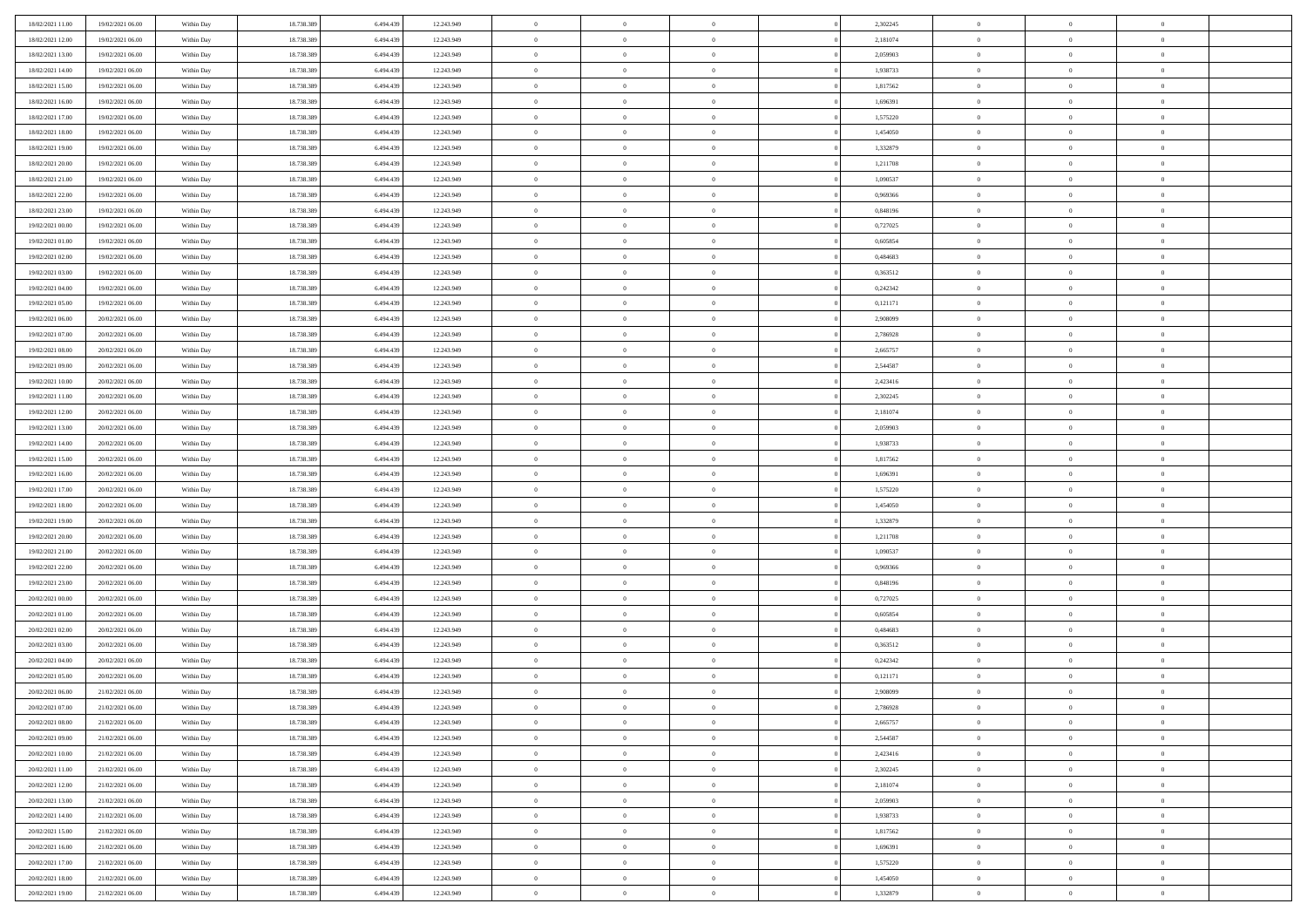| 18/02/2021 11:00 | 19/02/2021 06:00 | Within Day | 18.738.389 | 6.494.439 | 12.243.949 | $\bf{0}$       | $\overline{0}$ | $\theta$       |          | 2,302245 | $\bf{0}$       | $\overline{0}$ | $\,0\,$        |  |
|------------------|------------------|------------|------------|-----------|------------|----------------|----------------|----------------|----------|----------|----------------|----------------|----------------|--|
| 18/02/2021 12:00 | 19/02/2021 06:00 | Within Day | 18.738.389 | 6,494,439 | 12.243.949 | $\overline{0}$ | $\overline{0}$ | $\overline{0}$ |          | 2,181074 | $\theta$       | $\overline{0}$ | $\theta$       |  |
| 18/02/2021 13:00 | 19/02/2021 06:00 | Within Dav | 18.738.389 | 6.494.439 | 12.243.949 | $\mathbf{0}$   | $\overline{0}$ | $\overline{0}$ |          | 2,059903 | $\mathbf{0}$   | $\overline{0}$ | $\overline{0}$ |  |
| 18/02/2021 14:00 | 19/02/2021 06:00 | Within Day | 18.738.389 | 6.494.439 | 12.243.949 | $\bf{0}$       | $\overline{0}$ | $\overline{0}$ |          | 1,938733 | $\bf{0}$       | $\overline{0}$ | $\bf{0}$       |  |
| 18/02/2021 15:00 | 19/02/2021 06:00 | Within Day | 18.738.389 | 6,494,439 | 12.243.949 | $\bf{0}$       | $\overline{0}$ | $\overline{0}$ |          | 1,817562 | $\bf{0}$       | $\bf{0}$       | $\,0\,$        |  |
| 18/02/2021 16:00 | 19/02/2021 06:00 | Within Dav | 18.738.389 | 6.494.439 | 12.243.949 | $\overline{0}$ | $\overline{0}$ |                |          | 1,696391 | $\mathbf{0}$   | $\overline{0}$ | $\overline{0}$ |  |
|                  |                  |            |            |           |            |                |                | $\overline{0}$ |          |          |                |                |                |  |
| 18/02/2021 17:00 | 19/02/2021 06:00 | Within Day | 18.738.389 | 6.494.439 | 12.243.949 | $\bf{0}$       | $\overline{0}$ | $\overline{0}$ |          | 1,575220 | $\bf{0}$       | $\overline{0}$ | $\,0\,$        |  |
| 18/02/2021 18:00 | 19/02/2021 06:00 | Within Day | 18.738.389 | 6,494,439 | 12.243.949 | $\overline{0}$ | $\overline{0}$ | $\overline{0}$ |          | 1,454050 | $\,$ 0 $\,$    | $\overline{0}$ | $\overline{0}$ |  |
| 18/02/2021 19:00 | 19/02/2021 06:00 | Within Dav | 18.738.389 | 6.494.439 | 12.243.949 | $\mathbf{0}$   | $\overline{0}$ | $\overline{0}$ |          | 1,332879 | $\mathbf{0}$   | $\overline{0}$ | $\overline{0}$ |  |
| 18/02/2021 20:00 | 19/02/2021 06:00 | Within Day | 18.738.389 | 6.494.439 | 12.243.949 | $\bf{0}$       | $\overline{0}$ | $\overline{0}$ |          | 1,211708 | $\bf{0}$       | $\overline{0}$ | $\,0\,$        |  |
| 18/02/2021 21:00 | 19/02/2021 06:00 | Within Day | 18.738.389 | 6,494,439 | 12.243.949 | $\bf{0}$       | $\overline{0}$ | $\overline{0}$ |          | 1,090537 | $\bf{0}$       | $\overline{0}$ | $\theta$       |  |
| 18/02/2021 22:00 | 19/02/2021 06:00 | Within Dav | 18.738.389 | 6.494.439 | 12.243.949 | $\mathbf{0}$   | $\overline{0}$ | $\overline{0}$ |          | 0,969366 | $\mathbf{0}$   | $\overline{0}$ | $\overline{0}$ |  |
| 18/02/2021 23:00 | 19/02/2021 06:00 | Within Day | 18.738.389 | 6.494.439 | 12.243.949 | $\bf{0}$       | $\overline{0}$ | $\bf{0}$       |          | 0,848196 | $\bf{0}$       | $\overline{0}$ | $\bf{0}$       |  |
| 19/02/2021 00:00 | 19/02/2021 06:00 | Within Day | 18.738.389 | 6.494.439 | 12.243.949 | $\bf{0}$       | $\overline{0}$ | $\overline{0}$ |          | 0,727025 | $\bf{0}$       | $\mathbf{0}$   | $\,0\,$        |  |
| 19/02/2021 01:00 | 19/02/2021 06:00 | Within Dav | 18.738.389 | 6.494.439 | 12.243.949 | $\overline{0}$ | $\overline{0}$ | $\overline{0}$ |          | 0,605854 | $\mathbf{0}$   | $\overline{0}$ | $\overline{0}$ |  |
| 19/02/2021 02:00 | 19/02/2021 06:00 | Within Day | 18.738.389 | 6.494.439 | 12.243.949 | $\bf{0}$       | $\bf{0}$       | $\overline{0}$ |          | 0,484683 | $\bf{0}$       | $\overline{0}$ | $\bf{0}$       |  |
| 19/02/2021 03:00 | 19/02/2021 06:00 | Within Day | 18.738.389 | 6,494,439 | 12.243.949 | $\bf{0}$       | $\overline{0}$ | $\overline{0}$ |          | 0.363512 | $\,$ 0 $\,$    | $\overline{0}$ | $\theta$       |  |
| 19/02/2021 04:00 | 19/02/2021 06:00 | Within Day | 18.738.389 | 6.494.439 | 12.243.949 | $\mathbf{0}$   | $\overline{0}$ | $\overline{0}$ |          | 0,242342 | $\mathbf{0}$   | $\overline{0}$ | $\overline{0}$ |  |
| 19/02/2021 05:00 | 19/02/2021 06:00 | Within Day | 18.738.389 | 6.494.439 | 12.243.949 | $\bf{0}$       | $\bf{0}$       | $\overline{0}$ |          | 0,121171 | $\bf{0}$       | $\overline{0}$ | $\,0\,$        |  |
| 19/02/2021 06:00 | 20/02/2021 06:00 | Within Day | 18.738.389 | 6,494,439 | 12.243.949 | $\bf{0}$       | $\overline{0}$ | $\overline{0}$ |          | 2,908099 | $\bf{0}$       | $\overline{0}$ | $\overline{0}$ |  |
| 19/02/2021 07:00 | 20/02/2021 06:00 | Within Dav | 18.738.389 | 6.494.439 | 12.243.949 | $\mathbf{0}$   | $\overline{0}$ | $\overline{0}$ |          | 2,786928 | $\mathbf{0}$   | $\overline{0}$ | $\overline{0}$ |  |
| 19/02/2021 08:00 | 20/02/2021 06:00 | Within Day | 18.738.389 | 6.494.439 | 12.243.949 | $\bf{0}$       | $\overline{0}$ | $\overline{0}$ |          | 2,665757 | $\bf{0}$       | $\overline{0}$ | $\bf{0}$       |  |
| 19/02/2021 09:00 | 20/02/2021 06:00 | Within Day | 18.738.389 | 6,494,439 | 12.243.949 | $\bf{0}$       | $\bf{0}$       | $\overline{0}$ |          | 2,544587 | $\bf{0}$       | $\overline{0}$ | $\,0\,$        |  |
| 19/02/2021 10:00 | 20/02/2021 06:00 | Within Dav | 18.738.389 | 6.494.439 | 12.243.949 | $\mathbf{0}$   | $\overline{0}$ | $\overline{0}$ |          | 2,423416 | $\mathbf{0}$   | $\overline{0}$ | $\overline{0}$ |  |
| 19/02/2021 11:00 | 20/02/2021 06:00 | Within Day | 18.738.389 | 6.494.439 | 12.243.949 | $\bf{0}$       | $\bf{0}$       | $\overline{0}$ |          | 2,302245 | $\bf{0}$       | $\overline{0}$ | $\,0\,$        |  |
| 19/02/2021 12:00 | 20/02/2021 06:00 | Within Day | 18.738.389 | 6.494.439 | 12.243.949 | $\bf{0}$       | $\overline{0}$ | $\overline{0}$ |          | 2,181074 | $\bf{0}$       | $\mathbf{0}$   | $\overline{0}$ |  |
| 19/02/2021 13:00 | 20/02/2021 06:00 | Within Dav | 18.738.389 | 6.494.439 | 12.243.949 | $\mathbf{0}$   | $\overline{0}$ | $\overline{0}$ |          | 2,059903 | $\mathbf{0}$   | $\overline{0}$ | $\overline{0}$ |  |
| 19/02/2021 14:00 | 20/02/2021 06:00 | Within Day | 18.738.389 | 6.494.439 | 12.243.949 | $\bf{0}$       | $\bf{0}$       | $\overline{0}$ |          | 1,938733 | $\bf{0}$       | $\overline{0}$ | $\,0\,$        |  |
|                  |                  |            |            | 6,494,439 |            | $\bf{0}$       |                | $\overline{0}$ |          |          |                | $\overline{0}$ | $\overline{0}$ |  |
| 19/02/2021 15:00 | 20/02/2021 06:00 | Within Day | 18.738.389 |           | 12.243.949 |                | $\bf{0}$       |                |          | 1,817562 | $\bf{0}$       |                |                |  |
| 19/02/2021 16:00 | 20/02/2021 06:00 | Within Dav | 18.738.389 | 6.494.439 | 12.243.949 | $\mathbf{0}$   | $\overline{0}$ | $\overline{0}$ |          | 1,696391 | $\mathbf{0}$   | $\overline{0}$ | $\overline{0}$ |  |
| 19/02/2021 17:00 | 20/02/2021 06:00 | Within Day | 18.738.389 | 6.494.439 | 12.243.949 | $\bf{0}$       | $\overline{0}$ | $\theta$       |          | 1,575220 | $\,$ 0         | $\overline{0}$ | $\theta$       |  |
| 19/02/2021 18:00 | 20/02/2021 06:00 | Within Day | 18.738.389 | 6.494.439 | 12.243.949 | $\bf{0}$       | $\bf{0}$       | $\overline{0}$ |          | 1,454050 | $\bf{0}$       | $\overline{0}$ | $\overline{0}$ |  |
| 19/02/2021 19:00 | 20/02/2021 06:00 | Within Dav | 18.738.389 | 6.494.439 | 12.243.949 | $\overline{0}$ | $\overline{0}$ | $\overline{0}$ |          | 1,332879 | $\mathbf{0}$   | $\overline{0}$ | $\overline{0}$ |  |
| 19/02/2021 20:00 | 20/02/2021 06:00 | Within Day | 18.738.389 | 6.494.439 | 12.243.949 | $\bf{0}$       | $\overline{0}$ | $\theta$       |          | 1,211708 | $\,$ 0         | $\overline{0}$ | $\theta$       |  |
| 19/02/2021 21:00 | 20/02/2021 06:00 | Within Day | 18.738.389 | 6,494,439 | 12.243.949 | $\bf{0}$       | $\overline{0}$ | $\overline{0}$ |          | 1,090537 | $\bf{0}$       | $\overline{0}$ | $\overline{0}$ |  |
| 19/02/2021 22:00 | 20/02/2021 06:00 | Within Day | 18.738.389 | 6.494.439 | 12.243.949 | $\mathbf{0}$   | $\overline{0}$ | $\overline{0}$ |          | 0,969366 | $\mathbf{0}$   | $\overline{0}$ | $\overline{0}$ |  |
| 19/02/2021 23:00 | 20/02/2021 06:00 | Within Day | 18.738.389 | 6.494.439 | 12.243.949 | $\bf{0}$       | $\overline{0}$ | $\theta$       |          | 0,848196 | $\,$ 0         | $\overline{0}$ | $\theta$       |  |
| 20/02/2021 00:00 | 20/02/2021 06:00 | Within Day | 18.738.389 | 6.494.439 | 12.243.949 | $\bf{0}$       | $\overline{0}$ | $\overline{0}$ |          | 0,727025 | $\bf{0}$       | $\overline{0}$ | $\overline{0}$ |  |
| 20/02/2021 01:00 | 20/02/2021 06:00 | Within Dav | 18.738.389 | 6.494.439 | 12.243.949 | $\mathbf{0}$   | $\overline{0}$ | $\overline{0}$ |          | 0,605854 | $\mathbf{0}$   | $\overline{0}$ | $\overline{0}$ |  |
| 20/02/2021 02:00 | 20/02/2021 06:00 | Within Day | 18.738.389 | 6.494.439 | 12.243.949 | $\,0\,$        | $\overline{0}$ | $\theta$       |          | 0,484683 | $\,$ 0         | $\overline{0}$ | $\theta$       |  |
| 20/02/2021 03:00 | 20/02/2021 06:00 | Within Day | 18.738.389 | 6.494.439 | 12.243.949 | $\bf{0}$       | $\overline{0}$ | $\overline{0}$ |          | 0,363512 | $\bf{0}$       | $\overline{0}$ | $\overline{0}$ |  |
| 20/02/2021 04:00 | 20/02/2021 06:00 | Within Dav | 18.738.389 | 6.494.439 | 12.243.949 | $\mathbf{0}$   | $\overline{0}$ | $\overline{0}$ |          | 0,242342 | $\mathbf{0}$   | $\overline{0}$ | $\overline{0}$ |  |
| 20/02/2021 05:00 | 20/02/2021 06:00 | Within Day | 18.738.389 | 6.494.439 | 12.243.949 | $\bf{0}$       | $\overline{0}$ | $\theta$       |          | 0,121171 | $\,$ 0         | $\overline{0}$ | $\theta$       |  |
| 20/02/2021 06:00 | 21/02/2021 06:00 | Within Day | 18.738.389 | 6.494.439 | 12.243.949 | $\bf{0}$       | $\overline{0}$ | $\overline{0}$ |          | 2.908099 | $\,$ 0 $\,$    | $\overline{0}$ | $\overline{0}$ |  |
| 20/02/2021 07:00 | 21/02/2021 06:00 | Within Day | 18.738.389 | 6.494.439 | 12.243.949 | $\bf{0}$       | $\overline{0}$ |                |          | 2,786928 | $\overline{0}$ | $\theta$       | $\theta$       |  |
| 20/02/2021 08:00 | 21/02/2021 06:00 | Within Day | 18.738.389 | 6.494.439 | 12.243.949 | $\,0\,$        | $\overline{0}$ | $\theta$       |          | 2,665757 | $\,$ 0 $\,$    | $\bf{0}$       | $\theta$       |  |
| 20/02/2021 09:00 | 21/02/2021 06:00 | Within Day | 18.738.389 | 6.494.439 | 12.243.949 | $\overline{0}$ | $\overline{0}$ | $\overline{0}$ |          | 2,544587 | $\overline{0}$ | $\overline{0}$ | $\overline{0}$ |  |
| 20/02/2021 10:00 | 21/02/2021 06:00 | Within Day | 18.738.389 | 6.494.439 | 12.243.949 | $\bf{0}$       | $\overline{0}$ | $\overline{0}$ |          | 2,423416 | $\overline{0}$ | $\bf{0}$       | $\mathbf{0}$   |  |
| 20/02/2021 11:00 | 21/02/2021 06:00 | Within Day | 18.738.389 | 6.494.439 | 12.243.949 | $\bf{0}$       | $\overline{0}$ | $\overline{0}$ | $\theta$ | 2,302245 | $\mathbf{0}$   | $\bf{0}$       | $\,$ 0 $\,$    |  |
| 20/02/2021 12:00 | 21/02/2021 06:00 | Within Day | 18.738.389 | 6.494.439 | 12.243.949 | $\overline{0}$ | $\overline{0}$ | $\overline{0}$ |          | 2,181074 | $\,$ 0 $\,$    | $\overline{0}$ | $\overline{0}$ |  |
| 20/02/2021 13:00 | 21/02/2021 06:00 | Within Day | 18.738.389 | 6.494.439 | 12.243.949 | $\bf{0}$       | $\overline{0}$ | $\overline{0}$ |          | 2,059903 | $\mathbf{0}$   | $\overline{0}$ | $\overline{0}$ |  |
| 20/02/2021 14:00 | 21/02/2021 06:00 | Within Day | 18.738.389 | 6.494.439 | 12.243.949 | $\,0\,$        | $\overline{0}$ | $\overline{0}$ | $\theta$ | 1,938733 | $\mathbf{0}$   | $\overline{0}$ | $\,$ 0 $\,$    |  |
| 20/02/2021 15:00 | 21/02/2021 06:00 | Within Day | 18.738.389 | 6.494.439 | 12.243.949 | $\bf{0}$       | $\overline{0}$ | $\overline{0}$ |          | 1,817562 | $\overline{0}$ | $\overline{0}$ | $\overline{0}$ |  |
| 20/02/2021 16:00 | 21/02/2021 06:00 | Within Day | 18.738.389 | 6.494.439 | 12.243.949 | $\bf{0}$       | $\overline{0}$ | $\overline{0}$ |          | 1,696391 | $\mathbf{0}$   | $\bf{0}$       | $\overline{0}$ |  |
| 20/02/2021 17:00 | 21/02/2021 06:00 | Within Day | 18.738.389 | 6.494.439 | 12.243.949 | $\,0\,$        | $\overline{0}$ | $\overline{0}$ |          | 1,575220 | $\mathbf{0}$   | $\overline{0}$ | $\,$ 0 $\,$    |  |
| 20/02/2021 18:00 | 21/02/2021 06:00 | Within Day | 18.738.389 | 6.494.439 | 12.243.949 | $\bf{0}$       | $\overline{0}$ | $\overline{0}$ |          | 1,454050 | $\mathbf 0$    | $\mathbf{0}$   | $\overline{0}$ |  |
| 20/02/2021 19:00 | 21/02/2021 06:00 | Within Day | 18.738.389 | 6.494.439 | 12.243.949 | $\bf{0}$       | $\overline{0}$ | $\overline{0}$ |          | 1,332879 | $\mathbf{0}$   | $\overline{0}$ | $\overline{0}$ |  |
|                  |                  |            |            |           |            |                |                |                |          |          |                |                |                |  |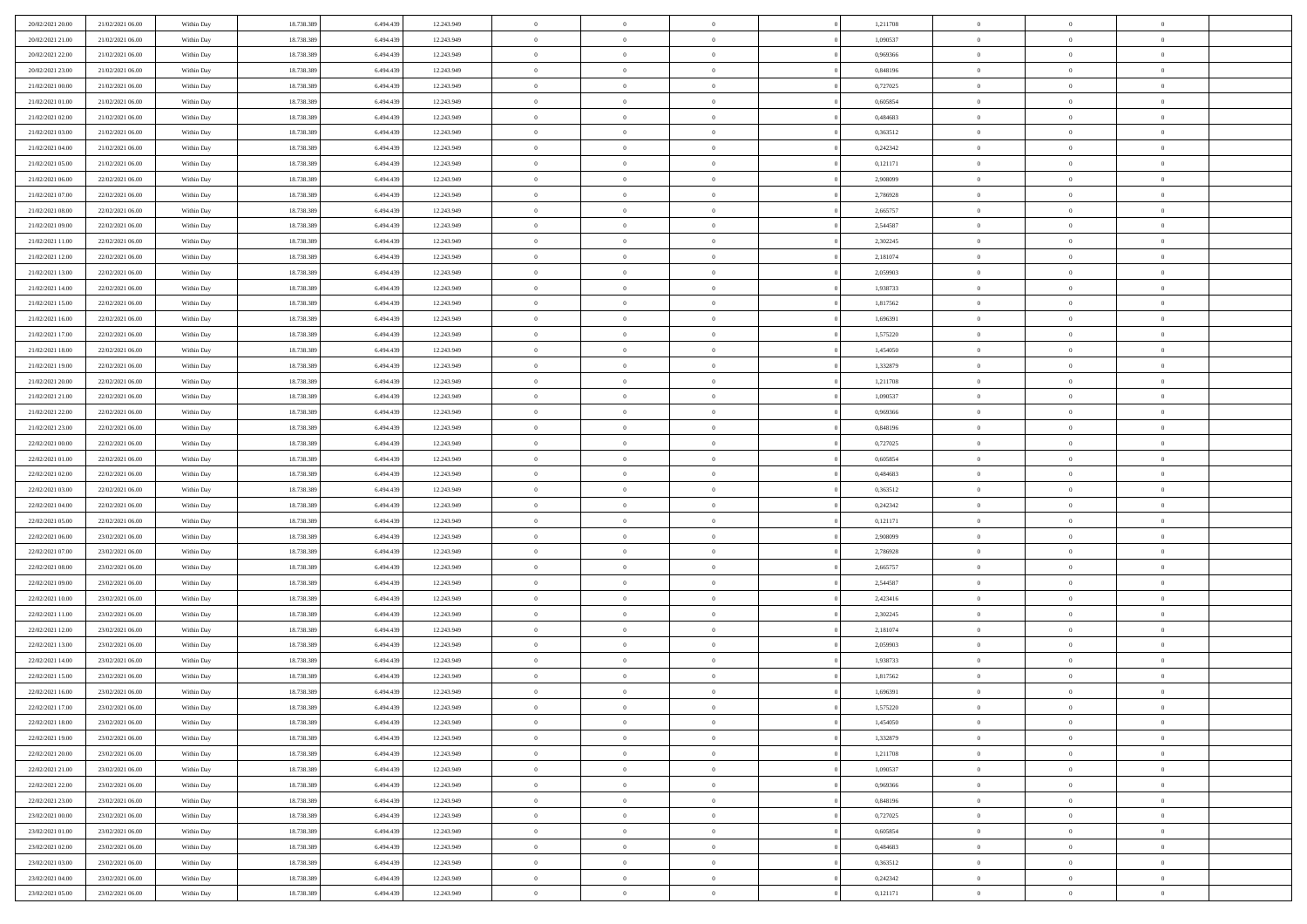| 20/02/2021 20:00                     | 21/02/2021 06:00                     | Within Day               | 18.738.389 | 6.494.439 | 12.243.949 | $\,$ 0         | $\overline{0}$ | $\theta$                         |          | 1,211708             | $\bf{0}$                 | $\overline{0}$                   | $\,0\,$        |  |
|--------------------------------------|--------------------------------------|--------------------------|------------|-----------|------------|----------------|----------------|----------------------------------|----------|----------------------|--------------------------|----------------------------------|----------------|--|
| 20/02/2021 21:00                     | 21/02/2021 06:00                     | Within Day               | 18.738.389 | 6,494,439 | 12.243.949 | $\overline{0}$ | $\overline{0}$ | $\overline{0}$                   |          | 1,090537             | $\theta$                 | $\overline{0}$                   | $\theta$       |  |
| 20/02/2021 22:00                     | 21/02/2021 06:00                     | Within Dav               | 18.738.389 | 6.494.439 | 12.243.949 | $\mathbf{0}$   | $\overline{0}$ | $\overline{0}$                   |          | 0,969366             | $\mathbf{0}$             | $\overline{0}$                   | $\overline{0}$ |  |
| 20/02/2021 23:00                     | 21/02/2021 06:00                     | Within Day               | 18.738.389 | 6.494.439 | 12.243.949 | $\bf{0}$       | $\overline{0}$ | $\overline{0}$                   |          | 0,848196             | $\bf{0}$                 | $\overline{0}$                   | $\bf{0}$       |  |
| 21/02/2021 00:00                     | 21/02/2021 06:00                     | Within Day               | 18.738.389 | 6.494.439 | 12.243.949 | $\bf{0}$       | $\bf{0}$       | $\overline{0}$                   |          | 0,727025             | $\bf{0}$                 | $\bf{0}$                         | $\,0\,$        |  |
| 21/02/2021 01:00                     | 21/02/2021 06:00                     | Within Dav               | 18.738.389 | 6.494.439 | 12.243.949 | $\overline{0}$ | $\overline{0}$ | $\overline{0}$                   |          | 0,605854             | $\mathbf{0}$             | $\overline{0}$                   | $\overline{0}$ |  |
| 21/02/2021 02:00                     | 21/02/2021 06:00                     | Within Day               | 18.738.389 | 6.494.439 | 12.243.949 | $\bf{0}$       | $\bf{0}$       | $\overline{0}$                   |          | 0,484683             | $\bf{0}$                 | $\overline{0}$                   | $\,0\,$        |  |
| 21/02/2021 03:00                     | 21/02/2021 06:00                     | Within Day               | 18.738.389 | 6.494.439 | 12.243.949 | $\overline{0}$ | $\overline{0}$ | $\overline{0}$                   |          | 0,363512             | $\,$ 0 $\,$              | $\overline{0}$                   | $\theta$       |  |
| 21/02/2021 04:00                     | 21/02/2021 06:00                     | Within Dav               | 18.738.389 | 6.494.439 | 12.243.949 | $\mathbf{0}$   | $\overline{0}$ | $\overline{0}$                   |          | 0,242342             | $\mathbf{0}$             | $\overline{0}$                   | $\overline{0}$ |  |
| 21/02/2021 05:00                     | 21/02/2021 06:00                     | Within Day               | 18.738.389 | 6.494.439 | 12.243.949 | $\bf{0}$       | $\bf{0}$       | $\overline{0}$                   |          | 0,121171             | $\bf{0}$                 | $\overline{0}$                   | $\,0\,$        |  |
| 21/02/2021 06:00                     | 22/02/2021 06:00                     | Within Day               | 18.738.389 | 6,494,439 | 12.243.949 | $\bf{0}$       | $\overline{0}$ | $\overline{0}$                   |          | 2,908099             | $\bf{0}$                 | $\overline{0}$                   | $\theta$       |  |
| 21/02/2021 07:00                     | 22/02/2021 06:00                     | Within Dav               | 18.738.389 | 6.494.439 | 12.243.949 | $\mathbf{0}$   | $\overline{0}$ | $\overline{0}$                   |          | 2,786928             | $\mathbf{0}$             | $\overline{0}$                   | $\overline{0}$ |  |
| 21/02/2021 08:00                     | 22/02/2021 06:00                     | Within Day               | 18.738.389 | 6.494.439 | 12.243.949 | $\bf{0}$       | $\overline{0}$ | $\bf{0}$                         |          | 2,665757             | $\bf{0}$                 | $\overline{0}$                   | $\bf{0}$       |  |
| 21/02/2021 09:00                     | 22/02/2021 06:00                     | Within Day               | 18.738.389 | 6.494.439 | 12.243.949 | $\bf{0}$       | $\overline{0}$ | $\overline{0}$                   |          | 2,544587             | $\bf{0}$                 | $\overline{0}$                   | $\,0\,$        |  |
| 21/02/2021 11:00                     | 22/02/2021 06:00                     | Within Dav               | 18.738.389 | 6.494.439 | 12.243.949 | $\overline{0}$ | $\overline{0}$ | $\overline{0}$                   |          | 2,302245             | $\mathbf{0}$             | $\overline{0}$                   | $\overline{0}$ |  |
| 21/02/2021 12:00                     | 22/02/2021 06:00                     | Within Day               | 18.738.389 | 6.494.439 | 12.243.949 | $\bf{0}$       | $\bf{0}$       | $\overline{0}$                   |          | 2,181074             | $\bf{0}$                 | $\overline{0}$                   | $\bf{0}$       |  |
| 21/02/2021 13:00                     | 22/02/2021 06:00                     | Within Day               | 18.738.389 | 6,494,439 | 12.243.949 | $\bf{0}$       | $\overline{0}$ | $\overline{0}$                   |          | 2,059903             | $\,$ 0 $\,$              | $\overline{0}$                   | $\theta$       |  |
| 21/02/2021 14:00                     | 22/02/2021 06:00                     | Within Day               | 18.738.389 | 6.494.439 | 12.243.949 | $\mathbf{0}$   | $\overline{0}$ | $\overline{0}$                   |          | 1,938733             | $\mathbf{0}$             | $\overline{0}$                   | $\overline{0}$ |  |
| 21/02/2021 15:00                     | 22/02/2021 06:00                     | Within Day               | 18.738.389 | 6.494.439 | 12.243.949 | $\bf{0}$       | $\bf{0}$       | $\overline{0}$                   |          | 1,817562             | $\bf{0}$                 | $\overline{0}$                   | $\,0\,$        |  |
| 21/02/2021 16:00                     | 22/02/2021 06:00                     | Within Day               | 18.738.389 | 6,494,439 | 12.243.949 | $\bf{0}$       | $\overline{0}$ | $\overline{0}$                   |          | 1,696391             | $\bf{0}$                 | $\overline{0}$                   | $\overline{0}$ |  |
| 21/02/2021 17:00                     | 22/02/2021 06:00                     | Within Dav               | 18.738.389 | 6.494.439 | 12.243.949 | $\mathbf{0}$   | $\overline{0}$ | $\overline{0}$                   |          | 1,575220             | $\mathbf{0}$             | $\overline{0}$                   | $\overline{0}$ |  |
| 21/02/2021 18:00                     | 22/02/2021 06:00                     | Within Day               | 18.738.389 | 6.494.439 | 12.243.949 | $\bf{0}$       | $\overline{0}$ | $\overline{0}$                   |          | 1,454050             | $\bf{0}$                 | $\overline{0}$                   | $\bf{0}$       |  |
| 21/02/2021 19:00                     | 22/02/2021 06:00                     |                          | 18.738.389 | 6,494,439 | 12.243.949 | $\bf{0}$       | $\bf{0}$       | $\overline{0}$                   |          | 1,332879             | $\bf{0}$                 | $\overline{0}$                   | $\,0\,$        |  |
| 21/02/2021 20:00                     | 22/02/2021 06:00                     | Within Day<br>Within Dav | 18.738.389 | 6.494.439 | 12.243.949 | $\mathbf{0}$   | $\overline{0}$ | $\overline{0}$                   |          | 1,211708             | $\mathbf{0}$             | $\overline{0}$                   | $\overline{0}$ |  |
| 21/02/2021 21:00                     | 22/02/2021 06:00                     | Within Day               | 18.738.389 | 6.494.439 | 12.243.949 | $\bf{0}$       | $\bf{0}$       | $\overline{0}$                   |          | 1,090537             | $\bf{0}$                 | $\overline{0}$                   | $\bf{0}$       |  |
|                                      |                                      |                          |            |           |            | $\bf{0}$       | $\overline{0}$ | $\overline{0}$                   |          |                      |                          | $\mathbf{0}$                     | $\overline{0}$ |  |
| 21/02/2021 22:00                     | 22/02/2021 06:00<br>22/02/2021 06:00 | Within Day               | 18.738.389 | 6.494.439 | 12.243.949 | $\mathbf{0}$   |                |                                  |          | 0,969366             | $\bf{0}$<br>$\mathbf{0}$ |                                  | $\overline{0}$ |  |
| 21/02/2021 23:00                     |                                      | Within Dav               | 18.738.389 | 6.494.439 | 12.243.949 |                | $\overline{0}$ | $\overline{0}$<br>$\overline{0}$ |          | 0,848196             |                          | $\overline{0}$<br>$\overline{0}$ |                |  |
| 22/02/2021 00:00                     | 22/02/2021 06:00                     | Within Day               | 18.738.389 | 6.494.439 | 12.243.949 | $\bf{0}$       | $\bf{0}$       |                                  |          | 0,727025<br>0.605854 | $\bf{0}$                 |                                  | $\,0\,$        |  |
| 22/02/2021 01:00                     | 22/02/2021 06:00                     | Within Day               | 18.738.389 | 6.494.439 | 12.243.949 | $\bf{0}$       | $\bf{0}$       | $\overline{0}$                   |          |                      | $\bf{0}$                 | $\overline{0}$                   | $\overline{0}$ |  |
| 22/02/2021 02:00                     | 22/02/2021 06:00                     | Within Dav               | 18.738.389 | 6.494.439 | 12.243.949 | $\mathbf{0}$   | $\overline{0}$ | $\overline{0}$                   |          | 0,484683             | $\mathbf{0}$             | $\overline{0}$                   | $\overline{0}$ |  |
| 22/02/2021 03:00                     | 22/02/2021 06:00                     | Within Day               | 18.738.389 | 6.494.439 | 12.243.949 | $\bf{0}$       | $\overline{0}$ | $\overline{0}$                   |          | 0,363512             | $\,$ 0                   | $\overline{0}$                   | $\theta$       |  |
| 22/02/2021 04:00                     | 22/02/2021 06:00                     | Within Day               | 18.738.389 | 6.494.439 | 12.243.949 | $\bf{0}$       | $\overline{0}$ | $\overline{0}$                   |          | 0,242342             | $\bf{0}$                 | $\overline{0}$                   | $\overline{0}$ |  |
| 22/02/2021 05:00                     | 22/02/2021 06:00                     | Within Dav               | 18.738.389 | 6.494.439 | 12.243.949 | $\overline{0}$ | $\overline{0}$ | $\overline{0}$                   |          | 0,121171             | $\mathbf{0}$             | $\overline{0}$                   | $\overline{0}$ |  |
| 22/02/2021 06:00                     | 23/02/2021 06:00                     | Within Day               | 18.738.389 | 6.494.439 | 12.243.949 | $\bf{0}$       | $\overline{0}$ | $\overline{0}$                   |          | 2,908099             | $\,$ 0                   | $\overline{0}$                   | $\theta$       |  |
| 22/02/2021 07:00                     | 23/02/2021 06:00                     | Within Day               | 18.738.389 | 6,494,439 | 12.243.949 | $\overline{0}$ | $\overline{0}$ | $\overline{0}$                   |          | 2,786928             | $\bf{0}$                 | $\overline{0}$                   | $\overline{0}$ |  |
| 22/02/2021 08:00                     | 23/02/2021 06:00                     | Within Day               | 18.738.389 | 6.494.439 | 12.243.949 | $\mathbf{0}$   | $\overline{0}$ | $\overline{0}$                   |          | 2,665757             | $\mathbf{0}$             | $\overline{0}$                   | $\overline{0}$ |  |
| 22/02/2021 09:00                     | 23/02/2021 06:00                     | Within Day               | 18.738.389 | 6.494.439 | 12.243.949 | $\bf{0}$       | $\overline{0}$ | $\overline{0}$                   |          | 2,544587             | $\,$ 0                   | $\overline{0}$                   | $\theta$       |  |
| 22/02/2021 10:00                     | 23/02/2021 06:00                     | Within Day               | 18.738.389 | 6.494.439 | 12.243.949 | $\bf{0}$       | $\overline{0}$ | $\overline{0}$                   |          | 2,423416             | $\bf{0}$                 | $\overline{0}$                   | $\overline{0}$ |  |
| 22/02/2021 11:00                     | 23/02/2021 06:00                     | Within Dav               | 18.738.389 | 6.494.439 | 12.243.949 | $\mathbf{0}$   | $\overline{0}$ | $\overline{0}$                   |          | 2,302245             | $\mathbf{0}$             | $\overline{0}$                   | $\overline{0}$ |  |
| 22/02/2021 12:00                     | 23/02/2021 06:00                     | Within Day               | 18.738.389 | 6.494.439 | 12.243.949 | $\,0\,$        | $\overline{0}$ | $\overline{0}$                   |          | 2,181074             | $\,$ 0                   | $\overline{0}$                   | $\theta$       |  |
| 22/02/2021 13:00<br>22/02/2021 14:00 | 23/02/2021 06:00<br>23/02/2021 06:00 | Within Day               | 18.738.389 | 6.494.439 | 12.243.949 | $\bf{0}$       | $\overline{0}$ | $\overline{0}$                   |          | 2,059903             | $\bf{0}$                 | $\overline{0}$                   | $\overline{0}$ |  |
|                                      |                                      | Within Dav               | 18.738.389 | 6.494.439 | 12.243.949 | $\mathbf{0}$   | $\overline{0}$ | $\overline{0}$                   |          | 1,938733             | $\mathbf{0}$             | $\overline{0}$                   | $\overline{0}$ |  |
| 22/02/2021 15:00                     | 23/02/2021 06:00                     | Within Day               | 18.738.389 | 6.494.439 | 12.243.949 | $\bf{0}$       | $\overline{0}$ | $\overline{0}$                   |          | 1,817562             | $\,$ 0<br>$\,$ 0 $\,$    | $\overline{0}$<br>$\overline{0}$ | $\theta$       |  |
| 22/02/2021 16:00                     | 23/02/2021 06:00                     | Within Day               | 18.738.389 | 6.494.439 | 12.243.949 | $\bf{0}$       | $\overline{0}$ | $\overline{0}$                   |          | 1,696391             |                          |                                  | $\overline{0}$ |  |
| 22/02/2021 17:00                     | 23/02/2021 06:00                     | Within Day               | 18.738.389 | 6.494.439 | 12.243.949 | $\bf{0}$       | $\overline{0}$ |                                  |          | 1,575220             | $\overline{0}$           | $\theta$                         | $\theta$       |  |
| 22/02/2021 18:00                     | 23/02/2021 06:00                     | Within Day               | 18.738.389 | 6.494.439 | 12.243.949 | $\,0\,$        | $\overline{0}$ | $\overline{0}$                   |          | 1,454050             | $\,$ 0 $\,$              | $\bf{0}$                         | $\theta$       |  |
| 22/02/2021 19:00                     | 23/02/2021 06:00                     | Within Day               | 18.738.389 | 6.494.439 | 12.243.949 | $\overline{0}$ | $\overline{0}$ | $\overline{0}$                   |          | 1,332879             | $\overline{0}$           | $\overline{0}$                   | $\overline{0}$ |  |
| 22/02/2021 20:00                     | 23/02/2021 06:00                     | Within Day               | 18.738.389 | 6.494.439 | 12.243.949 | $\bf{0}$       | $\overline{0}$ | $\overline{0}$                   |          | 1,211708             | $\overline{0}$           | $\bf{0}$                         | $\mathbf{0}$   |  |
| 22/02/2021 21:00                     | 23/02/2021 06:00                     | Within Day               | 18.738.389 | 6.494.439 | 12.243.949 | $\bf{0}$       | $\overline{0}$ | $\overline{0}$                   | $\theta$ | 1,090537             | $\mathbf{0}$             | $\bf{0}$                         | $\,$ 0 $\,$    |  |
| 22/02/2021 22:00                     | 23/02/2021 06:00                     | Within Day               | 18.738.389 | 6.494.439 | 12.243.949 | $\bf{0}$       | $\overline{0}$ | $\overline{0}$                   |          | 0,969366             | $\,$ 0 $\,$              | $\overline{0}$                   | $\overline{0}$ |  |
| 22/02/2021 23:00                     | 23/02/2021 06:00                     | Within Day               | 18.738.389 | 6.494.439 | 12.243.949 | $\bf{0}$       | $\overline{0}$ | $\overline{0}$                   |          | 0,848196             | $\mathbf{0}$             | $\overline{0}$                   | $\overline{0}$ |  |
| 23/02/2021 00:00                     | 23/02/2021 06:00                     | Within Day               | 18.738.389 | 6.494.439 | 12.243.949 | $\,0\,$        | $\overline{0}$ | $\overline{0}$                   | $\theta$ | 0,727025             | $\,$ 0 $\,$              | $\mathbf{0}$                     | $\,$ 0 $\,$    |  |
| 23/02/2021 01:00                     | 23/02/2021 06:00                     | Within Day               | 18.738.389 | 6.494.439 | 12.243.949 | $\bf{0}$       | $\overline{0}$ | $\overline{0}$                   |          | 0.605854             | $\overline{0}$           | $\overline{0}$                   | $\overline{0}$ |  |
| 23/02/2021 02:00                     | 23/02/2021 06:00                     | Within Day               | 18.738.389 | 6.494.439 | 12.243.949 | $\bf{0}$       | $\overline{0}$ | $\overline{0}$                   |          | 0,484683             | $\mathbf{0}$             | $\bf{0}$                         | $\overline{0}$ |  |
| 23/02/2021 03:00                     | 23/02/2021 06:00                     | Within Day               | 18.738.389 | 6.494.439 | 12.243.949 | $\,0\,$        | $\overline{0}$ | $\overline{0}$                   |          | 0,363512             | $\,$ 0 $\,$              | $\mathbf{0}$                     | $\,$ 0 $\,$    |  |
| 23/02/2021 04:00                     | 23/02/2021 06:00                     | Within Day               | 18.738.389 | 6.494.439 | 12.243.949 | $\overline{0}$ | $\bf{0}$       | $\overline{0}$                   |          | 0,242342             | $\mathbf{0}$             | $\mathbf{0}$                     | $\overline{0}$ |  |
| 23/02/2021 05:00                     | 23/02/2021 06:00                     | Within Day               | 18.738.389 | 6.494.439 | 12.243.949 | $\bf{0}$       | $\overline{0}$ | $\overline{0}$                   |          | 0,121171             | $\mathbf{0}$             | $\overline{0}$                   | $\overline{0}$ |  |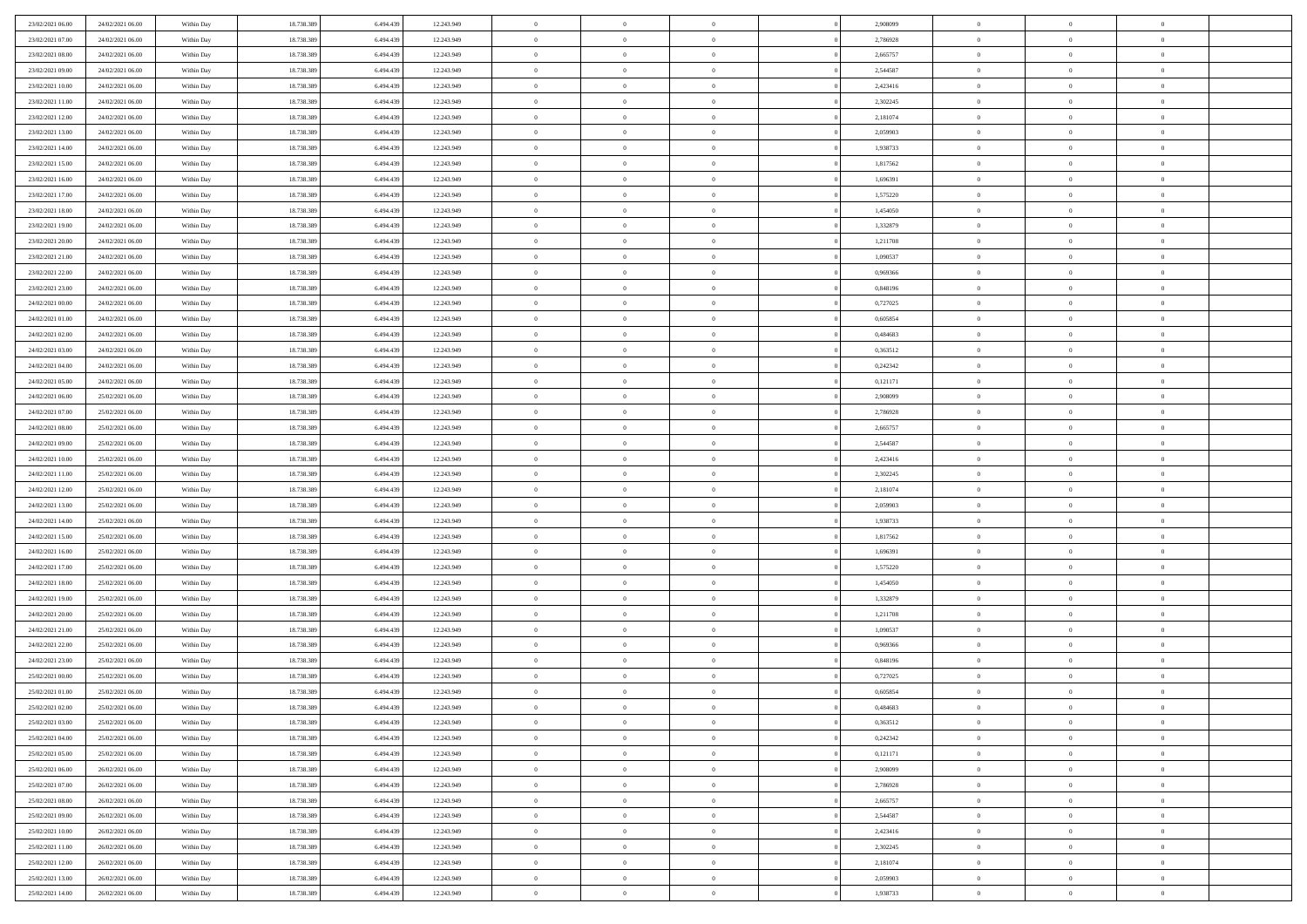| 23/02/2021 06:00 | 24/02/2021 06:00                     | Within Day | 18.738.389 | 6.494.439 | 12.243.949 | $\overline{0}$ | $\overline{0}$ | $\Omega$             | 2.908099 | $\bf{0}$       | $\mathbf{0}$   | $\bf{0}$       |  |
|------------------|--------------------------------------|------------|------------|-----------|------------|----------------|----------------|----------------------|----------|----------------|----------------|----------------|--|
| 23/02/2021 07:00 | 24/02/2021 06:00                     | Within Day | 18.738.389 | 6.494.439 | 12.243.949 | $\mathbf{0}$   | $\overline{0}$ | $\overline{0}$       | 2,786928 | $\mathbf{0}$   | $\overline{0}$ | $\overline{0}$ |  |
| 23/02/2021 08:00 | 24/02/2021 06:00                     | Within Day | 18.738.389 | 6.494.439 | 12.243.949 | $\,$ 0         | $\overline{0}$ | $\bf{0}$             | 2,665757 | $\,$ 0         | $\overline{0}$ | $\,$ 0 $\,$    |  |
| 23/02/2021 09:00 | 24/02/2021 06:00                     | Within Day | 18.738.389 | 6,494,439 | 12.243.949 | $\bf{0}$       | $\overline{0}$ | $\Omega$             | 2,544587 | $\bf{0}$       | $\mathbf{0}$   | $\theta$       |  |
| 23/02/2021 10:00 | 24/02/2021 06:00                     | Within Day | 18.738.389 | 6.494.439 | 12.243.949 | $\bf{0}$       | $\overline{0}$ | $\overline{0}$       | 2,423416 | $\mathbf{0}$   | $\overline{0}$ | $\overline{0}$ |  |
| 23/02/2021 11:00 | 24/02/2021 06:00                     | Within Day | 18.738.389 | 6.494.439 | 12.243.949 | $\bf{0}$       | $\overline{0}$ | $\bf{0}$             | 2,302245 | $\,$ 0         | $\overline{0}$ | $\,$ 0 $\,$    |  |
| 23/02/2021 12:00 | 24/02/2021 06:00                     | Within Day | 18.738.389 | 6.494.439 | 12.243.949 | $\bf{0}$       | $\overline{0}$ | $\overline{0}$       | 2,181074 | $\bf{0}$       | $\overline{0}$ | $\theta$       |  |
| 23/02/2021 13:00 | 24/02/2021 06:00                     | Within Day | 18.738.389 | 6.494.439 | 12.243.949 | $\overline{0}$ | $\overline{0}$ | $\overline{0}$       | 2,059903 | $\mathbf{0}$   | $\overline{0}$ | $\overline{0}$ |  |
| 23/02/2021 14:00 | 24/02/2021 06:00                     |            | 18.738.389 | 6.494.439 | 12.243.949 | $\bf{0}$       | $\overline{0}$ |                      | 1,938733 | $\,$ 0         | $\overline{0}$ | $\,$ 0 $\,$    |  |
|                  |                                      | Within Day |            | 6,494,439 |            | $\bf{0}$       | $\overline{0}$ | $\bf{0}$<br>$\Omega$ |          | $\theta$       | $\mathbf{0}$   | $\theta$       |  |
| 23/02/2021 15:00 | 24/02/2021 06:00<br>24/02/2021 06:00 | Within Day | 18.738.389 |           | 12.243.949 | $\overline{0}$ |                |                      | 1,817562 | $\mathbf{0}$   |                | $\overline{0}$ |  |
| 23/02/2021 16:00 |                                      | Within Day | 18.738.389 | 6.494.439 | 12.243.949 |                | $\overline{0}$ | $\overline{0}$       | 1,696391 |                | $\overline{0}$ |                |  |
| 23/02/2021 17:00 | 24/02/2021 06:00                     | Within Day | 18.738.389 | 6.494.439 | 12.243.949 | $\bf{0}$       | $\overline{0}$ | $\bf{0}$             | 1,575220 | $\,$ 0         | $\overline{0}$ | $\,$ 0 $\,$    |  |
| 23/02/2021 18:00 | 24/02/2021 06:00                     | Within Day | 18.738.389 | 6,494,439 | 12.243.949 | $\bf{0}$       | $\overline{0}$ | $\Omega$             | 1.454050 | $\theta$       | $\mathbf{0}$   | $\theta$       |  |
| 23/02/2021 19:00 | 24/02/2021 06:00                     | Within Day | 18.738.389 | 6.494.439 | 12.243.949 | $\overline{0}$ | $\overline{0}$ | $\overline{0}$       | 1,332879 | $\mathbf{0}$   | $\overline{0}$ | $\overline{0}$ |  |
| 23/02/2021 20:00 | 24/02/2021 06:00                     | Within Day | 18.738.389 | 6.494.439 | 12.243.949 | $\bf{0}$       | $\overline{0}$ | $\bf{0}$             | 1,211708 | $\,$ 0         | $\overline{0}$ | $\,$ 0 $\,$    |  |
| 23/02/2021 21:00 | 24/02/2021 06:00                     | Within Day | 18.738.389 | 6.494.439 | 12.243.949 | $\bf{0}$       | $\overline{0}$ | $\overline{0}$       | 1.090537 | $\bf{0}$       | $\overline{0}$ | $\theta$       |  |
| 23/02/2021 22:00 | 24/02/2021 06:00                     | Within Day | 18.738.389 | 6.494.439 | 12.243.949 | $\overline{0}$ | $\overline{0}$ | $\overline{0}$       | 0,969366 | $\mathbf{0}$   | $\overline{0}$ | $\overline{0}$ |  |
| 23/02/2021 23:00 | 24/02/2021 06:00                     | Within Day | 18.738.389 | 6.494.439 | 12.243.949 | $\bf{0}$       | $\overline{0}$ | $\bf{0}$             | 0,848196 | $\,$ 0         | $\overline{0}$ | $\,$ 0 $\,$    |  |
| 24/02/2021 00:00 | 24/02/2021 06:00                     | Within Day | 18.738.389 | 6,494,439 | 12.243.949 | $\bf{0}$       | $\overline{0}$ | $\Omega$             | 0,727025 | $\theta$       | $\mathbf{0}$   | $\theta$       |  |
| 24/02/2021 01:00 | 24/02/2021 06:00                     | Within Day | 18.738.389 | 6.494.439 | 12.243.949 | $\overline{0}$ | $\overline{0}$ | $\overline{0}$       | 0,605854 | $\mathbf{0}$   | $\overline{0}$ | $\overline{0}$ |  |
| 24/02/2021 02:00 | 24/02/2021 06:00                     | Within Day | 18.738.389 | 6.494.439 | 12.243.949 | $\bf{0}$       | $\overline{0}$ | $\bf{0}$             | 0,484683 | $\,$ 0         | $\overline{0}$ | $\,$ 0 $\,$    |  |
| 24/02/2021 03:00 | 24/02/2021 06:00                     | Within Day | 18.738.389 | 6,494,439 | 12.243.949 | $\bf{0}$       | $\overline{0}$ | $\Omega$             | 0.363512 | $\theta$       | $\mathbf{0}$   | $\theta$       |  |
| 24/02/2021 04:00 | 24/02/2021 06:00                     | Within Day | 18.738.389 | 6.494.439 | 12.243.949 | $\overline{0}$ | $\overline{0}$ | $\overline{0}$       | 0,242342 | $\mathbf{0}$   | $\overline{0}$ | $\overline{0}$ |  |
| 24/02/2021 05:00 | 24/02/2021 06:00                     | Within Day | 18.738.389 | 6.494.439 | 12.243.949 | $\bf{0}$       | $\overline{0}$ | $\bf{0}$             | 0,121171 | $\,$ 0         | $\overline{0}$ | $\,$ 0 $\,$    |  |
| 24/02/2021 06:00 | 25/02/2021 06:00                     | Within Day | 18.738.389 | 6.494.439 | 12.243.949 | $\bf{0}$       | $\overline{0}$ | $\overline{0}$       | 2.908099 | $\bf{0}$       | $\overline{0}$ | $\bf{0}$       |  |
| 24/02/2021 07:00 | 25/02/2021 06:00                     | Within Day | 18.738.389 | 6.494.439 | 12.243.949 | $\overline{0}$ | $\overline{0}$ | $\overline{0}$       | 2,786928 | $\mathbf{0}$   | $\overline{0}$ | $\overline{0}$ |  |
| 24/02/2021 08:00 | 25/02/2021 06:00                     | Within Day | 18.738.389 | 6.494.439 | 12.243.949 | $\bf{0}$       | $\overline{0}$ | $\bf{0}$             | 2,665757 | $\,$ 0         | $\overline{0}$ | $\,$ 0 $\,$    |  |
| 24/02/2021 09:00 | 25/02/2021 06:00                     | Within Day | 18.738.389 | 6,494,439 | 12.243.949 | $\bf{0}$       | $\overline{0}$ | $\Omega$             | 2.544587 | $\theta$       | $\mathbf{0}$   | $\theta$       |  |
| 24/02/2021 10:00 | 25/02/2021 06:00                     | Within Day | 18.738.389 | 6.494.439 | 12.243.949 | $\overline{0}$ | $\overline{0}$ | $\overline{0}$       | 2,423416 | $\mathbf{0}$   | $\overline{0}$ | $\overline{0}$ |  |
| 24/02/2021 11:00 | 25/02/2021 06:00                     | Within Day | 18.738.389 | 6.494.439 | 12.243.949 | $\bf{0}$       | $\overline{0}$ | $\bf{0}$             | 2,302245 | $\,$ 0         | $\overline{0}$ | $\,$ 0 $\,$    |  |
| 24/02/2021 12:00 | 25/02/2021 06:00                     | Within Day | 18.738.389 | 6.494.439 | 12.243.949 | $\bf{0}$       | $\overline{0}$ | $\overline{0}$       | 2,181074 | $\bf{0}$       | $\overline{0}$ | $\,0\,$        |  |
| 24/02/2021 13:00 | 25/02/2021 06:00                     | Within Day | 18.738.389 | 6.494.439 | 12.243.949 | $\overline{0}$ | $\overline{0}$ | $\overline{0}$       | 2,059903 | $\mathbf{0}$   | $\overline{0}$ | $\overline{0}$ |  |
| 24/02/2021 14:00 | 25/02/2021 06:00                     | Within Day | 18.738.389 | 6.494.439 | 12.243.949 | $\bf{0}$       | $\overline{0}$ | $\bf{0}$             | 1,938733 | $\,$ 0         | $\overline{0}$ | $\,$ 0 $\,$    |  |
| 24/02/2021 15:00 | 25/02/2021 06:00                     | Within Day | 18.738.389 | 6.494.439 | 12.243.949 | $\bf{0}$       | $\overline{0}$ | $\bf{0}$             | 1,817562 | $\bf{0}$       | $\overline{0}$ | $\bf{0}$       |  |
| 24/02/2021 16:00 | 25/02/2021 06:00                     | Within Day | 18.738.389 | 6.494.439 | 12.243.949 | $\overline{0}$ | $\overline{0}$ | $\overline{0}$       | 1,696391 | $\mathbf{0}$   | $\overline{0}$ | $\overline{0}$ |  |
| 24/02/2021 17:00 | 25/02/2021 06:00                     | Within Day | 18.738.389 | 6.494.439 | 12.243.949 | $\bf{0}$       | $\overline{0}$ | $\bf{0}$             | 1,575220 | $\,$ 0         | $\overline{0}$ | $\,$ 0 $\,$    |  |
| 24/02/2021 18:00 | 25/02/2021 06:00                     | Within Day | 18.738.389 | 6.494.439 | 12.243.949 | $\bf{0}$       | $\overline{0}$ | $\overline{0}$       | 1,454050 | $\bf{0}$       | $\overline{0}$ | $\,0\,$        |  |
| 24/02/2021 19:00 | 25/02/2021 06:00                     | Within Day | 18.738.389 | 6.494.439 | 12.243.949 | $\overline{0}$ | $\overline{0}$ | $\overline{0}$       | 1,332879 | $\mathbf{0}$   | $\overline{0}$ | $\overline{0}$ |  |
| 24/02/2021 20:00 | 25/02/2021 06:00                     | Within Day | 18.738.389 | 6.494.439 | 12.243.949 | $\bf{0}$       | $\overline{0}$ | $\bf{0}$             | 1,211708 | $\,$ 0         | $\overline{0}$ | $\,$ 0 $\,$    |  |
| 24/02/2021 21:00 | 25/02/2021 06:00                     | Within Day | 18.738.389 | 6.494.439 | 12.243.949 | $\bf{0}$       | $\bf{0}$       | $\overline{0}$       | 1,090537 | $\bf{0}$       | $\overline{0}$ | $\,0\,$        |  |
| 24/02/2021 22:00 | 25/02/2021 06:00                     | Within Day | 18.738.389 | 6.494.439 | 12.243.949 | $\overline{0}$ | $\overline{0}$ | $\overline{0}$       | 0,969366 | $\mathbf{0}$   | $\overline{0}$ | $\overline{0}$ |  |
| 24/02/2021 23:00 | 25/02/2021 06:00                     | Within Day | 18.738.389 | 6.494.439 | 12.243.949 | $\bf{0}$       | $\overline{0}$ | $\bf{0}$             | 0,848196 | $\,$ 0         | $\overline{0}$ | $\,$ 0 $\,$    |  |
| 25/02/2021 00:00 | 25/02/2021 06:00                     | Within Day | 18.738.389 | 6.494.439 | 12.243.949 | $\bf{0}$       | $\bf{0}$       | $\bf{0}$             | 0,727025 | $\bf{0}$       | $\overline{0}$ | $\,0\,$        |  |
| 25/02/2021 01:00 | 25/02/2021 06:00                     | Within Dav | 18.738.389 | 6.494.439 | 12.243.949 | $\mathbf{0}$   | $\overline{0}$ | $\overline{0}$       | 0,605854 | $\mathbf{0}$   | $\overline{0}$ | $\overline{0}$ |  |
| 25/02/2021 02:00 | 25/02/2021 06:00                     | Within Day | 18.738.389 | 6.494.439 | 12.243.949 | $\bf{0}$       | $\overline{0}$ | $\theta$             | 0,484683 | $\overline{0}$ | $\overline{0}$ | $\theta$       |  |
| 25/02/2021 03:00 | 25/02/2021 06:00                     | Within Day | 18.738.389 | 6.494.439 | 12.243.949 | $\bf{0}$       | $\bf{0}$       | $\bf{0}$             | 0,363512 | $\bf{0}$       | $\overline{0}$ | $\bf{0}$       |  |
| 25/02/2021 04:00 | 25/02/2021 06:00                     | Within Day | 18.738.389 | 6.494.439 | 12.243.949 | $\overline{0}$ | $\overline{0}$ | $\overline{0}$       | 0,242342 | $\overline{0}$ | $\overline{0}$ | $\overline{0}$ |  |
| 25/02/2021 05:00 | 25/02/2021 06:00                     | Within Day | 18.738.389 | 6.494.439 | 12.243.949 | $\,$ 0 $\,$    | $\overline{0}$ | $\overline{0}$       | 0,121171 | $\mathbf{0}$   | $\,$ 0 $\,$    | $\,$ 0 $\,$    |  |
| 25/02/2021 06:00 | 26/02/2021 06:00                     | Within Day | 18.738.389 | 6.494.439 | 12.243.949 | $\bf{0}$       | $\bf{0}$       | $\overline{0}$       | 2,908099 | $\bf{0}$       | $\overline{0}$ | $\bf{0}$       |  |
| 25/02/2021 07:00 | 26/02/2021 06:00                     | Within Day | 18.738.389 | 6.494.439 | 12.243.949 | $\bf{0}$       | $\overline{0}$ | $\overline{0}$       | 2,786928 | $\overline{0}$ | $\bf{0}$       | $\overline{0}$ |  |
| 25/02/2021 08:00 | 26/02/2021 06:00                     | Within Day | 18.738.389 | 6.494.439 | 12.243.949 | $\,$ 0 $\,$    | $\overline{0}$ | $\overline{0}$       | 2,665757 | $\mathbf{0}$   | $\overline{0}$ | $\,$ 0 $\,$    |  |
|                  |                                      |            |            |           |            |                |                |                      |          |                |                |                |  |
| 25/02/2021 09:00 | 26/02/2021 06:00<br>26/02/2021 06:00 | Within Day | 18.738.389 | 6.494.439 | 12.243.949 | $\overline{0}$ | $\overline{0}$ | $\overline{0}$       | 2,544587 | $\bf{0}$       | $\overline{0}$ | $\overline{0}$ |  |
| 25/02/2021 10:00 |                                      | Within Day | 18.738.389 | 6.494.439 | 12.243.949 | $\overline{0}$ | $\overline{0}$ | $\overline{0}$       | 2,423416 | $\overline{0}$ | $\bf{0}$       | $\overline{0}$ |  |
| 25/02/2021 11:00 | 26/02/2021 06:00                     | Within Day | 18.738.389 | 6.494.439 | 12.243.949 | $\,$ 0 $\,$    | $\overline{0}$ | $\overline{0}$       | 2,302245 | $\mathbf{0}$   | $\,$ 0 $\,$    | $\,$ 0 $\,$    |  |
| 25/02/2021 12:00 | 26/02/2021 06:00                     | Within Day | 18.738.389 | 6.494.439 | 12.243.949 | $\bf{0}$       | $\bf{0}$       | $\overline{0}$       | 2,181074 | $\mathbf{0}$   | $\overline{0}$ | $\bf{0}$       |  |
| 25/02/2021 13:00 | 26/02/2021 06:00                     | Within Day | 18.738.389 | 6.494.439 | 12.243.949 | $\bf{0}$       | $\overline{0}$ | $\overline{0}$       | 2,059903 | $\mathbf{0}$   | $\bf{0}$       | $\overline{0}$ |  |
| 25/02/2021 14:00 | 26/02/2021 06:00                     | Within Day | 18.738.389 | 6.494.439 | 12.243.949 | $\,0\,$        | $\overline{0}$ | $\overline{0}$       | 1,938733 | $\,$ 0 $\,$    | $\overline{0}$ | $\,$ 0 $\,$    |  |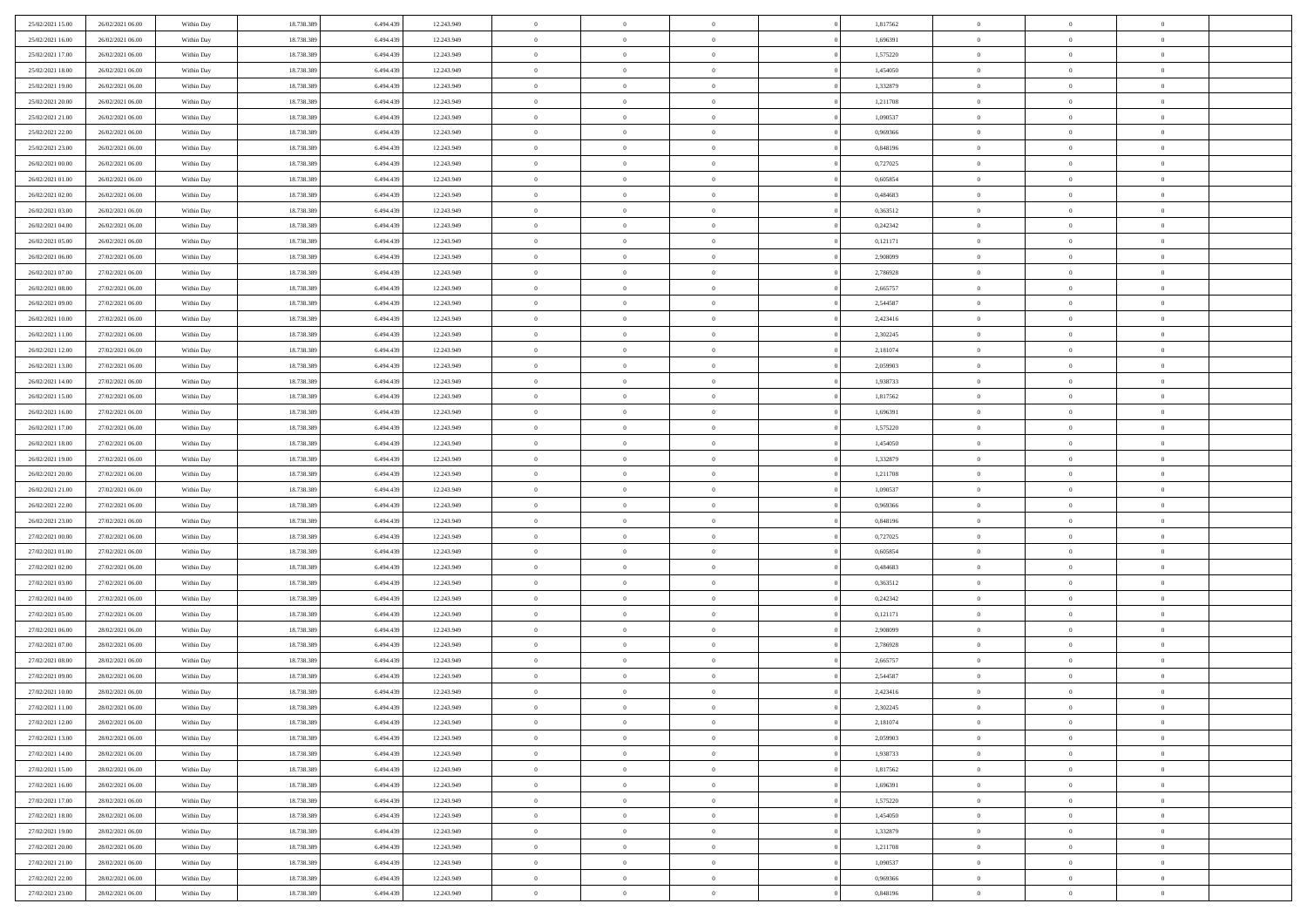| 25/02/2021 15:00 | 26/02/2021 06:00 | Within Day | 18.738.389 | 6.494.439 | 12.243.949 | $\overline{0}$ | $\overline{0}$ | $\Omega$       | 1,817562 | $\bf{0}$       | $\mathbf{0}$   | $\bf{0}$       |  |
|------------------|------------------|------------|------------|-----------|------------|----------------|----------------|----------------|----------|----------------|----------------|----------------|--|
| 25/02/2021 16:00 | 26/02/2021 06:00 | Within Day | 18.738.389 | 6.494.439 | 12.243.949 | $\mathbf{0}$   | $\overline{0}$ | $\overline{0}$ | 1,696391 | $\mathbf{0}$   | $\overline{0}$ | $\overline{0}$ |  |
| 25/02/2021 17:00 | 26/02/2021 06:00 | Within Day | 18.738.389 | 6.494.439 | 12.243.949 | $\,$ 0         | $\overline{0}$ | $\bf{0}$       | 1,575220 | $\,$ 0         | $\overline{0}$ | $\,$ 0 $\,$    |  |
| 25/02/2021 18:00 | 26/02/2021 06:00 | Within Day | 18.738.389 | 6,494,439 | 12.243.949 | $\bf{0}$       | $\overline{0}$ | $\Omega$       | 1,454050 | $\bf{0}$       | $\mathbf{0}$   | $\theta$       |  |
| 25/02/2021 19:00 | 26/02/2021 06:00 | Within Day | 18.738.389 | 6.494.439 | 12.243.949 | $\bf{0}$       | $\overline{0}$ | $\overline{0}$ | 1,332879 | $\mathbf{0}$   | $\bf{0}$       | $\overline{0}$ |  |
| 25/02/2021 20:00 | 26/02/2021 06:00 | Within Day | 18.738.389 | 6.494.439 | 12.243.949 | $\bf{0}$       | $\overline{0}$ | $\bf{0}$       | 1,211708 | $\,$ 0         | $\overline{0}$ | $\,$ 0 $\,$    |  |
| 25/02/2021 21:00 | 26/02/2021 06:00 | Within Day | 18.738.389 | 6,494,439 | 12.243.949 | $\bf{0}$       | $\overline{0}$ | $\overline{0}$ | 1.090537 | $\bf{0}$       | $\overline{0}$ | $\theta$       |  |
| 25/02/2021 22:00 | 26/02/2021 06:00 | Within Day | 18.738.389 | 6.494.439 | 12.243.949 | $\overline{0}$ | $\overline{0}$ | $\overline{0}$ | 0,969366 | $\mathbf{0}$   | $\overline{0}$ | $\overline{0}$ |  |
| 25/02/2021 23:00 | 26/02/2021 06:00 | Within Day | 18.738.389 | 6.494.439 | 12.243.949 | $\bf{0}$       | $\overline{0}$ | $\bf{0}$       | 0,848196 | $\,$ 0         | $\overline{0}$ | $\,$ 0 $\,$    |  |
| 26/02/2021 00:00 | 26/02/2021 06:00 | Within Day | 18.738.389 | 6,494,439 | 12.243.949 | $\mathbf{0}$   | $\overline{0}$ | $\Omega$       | 0,727025 | $\theta$       | $\mathbf{0}$   | $\theta$       |  |
| 26/02/2021 01:00 | 26/02/2021 06:00 | Within Day | 18.738.389 | 6.494.439 | 12.243.949 | $\overline{0}$ | $\overline{0}$ | $\overline{0}$ | 0,605854 | $\mathbf{0}$   | $\overline{0}$ | $\overline{0}$ |  |
| 26/02/2021 02:00 | 26/02/2021 06:00 | Within Day | 18.738.389 | 6.494.439 | 12.243.949 | $\bf{0}$       | $\overline{0}$ | $\bf{0}$       | 0,484683 | $\,$ 0         | $\overline{0}$ | $\,$ 0 $\,$    |  |
| 26/02/2021 03:00 | 26/02/2021 06:00 | Within Day | 18.738.389 | 6,494,439 | 12.243.949 | $\bf{0}$       | $\overline{0}$ | $\Omega$       | 0,363512 | $\theta$       | $\mathbf{0}$   | $\theta$       |  |
| 26/02/2021 04:00 | 26/02/2021 06:00 | Within Day | 18.738.389 | 6.494.439 | 12.243.949 | $\overline{0}$ | $\overline{0}$ | $\overline{0}$ | 0,242342 | $\mathbf{0}$   | $\overline{0}$ | $\overline{0}$ |  |
| 26/02/2021 05:00 | 26/02/2021 06:00 | Within Day | 18.738.389 | 6.494.439 | 12.243.949 | $\bf{0}$       | $\overline{0}$ | $\bf{0}$       | 0,121171 | $\,$ 0         | $\overline{0}$ | $\,$ 0 $\,$    |  |
| 26/02/2021 06:00 | 27/02/2021 06:00 | Within Day | 18.738.389 | 6,494,439 | 12.243.949 | $\bf{0}$       | $\overline{0}$ | $\overline{0}$ | 2.908099 | $\bf{0}$       | $\mathbf{0}$   | $\theta$       |  |
| 26/02/2021 07:00 | 27/02/2021 06:00 | Within Day | 18.738.389 | 6.494.439 | 12.243.949 | $\overline{0}$ | $\overline{0}$ | $\overline{0}$ | 2,786928 | $\mathbf{0}$   | $\overline{0}$ | $\overline{0}$ |  |
| 26/02/2021 08:00 | 27/02/2021 06:00 | Within Day | 18.738.389 | 6.494.439 | 12.243.949 | $\bf{0}$       | $\overline{0}$ | $\bf{0}$       | 2,665757 | $\,$ 0         | $\overline{0}$ | $\,$ 0 $\,$    |  |
| 26/02/2021 09:00 | 27/02/2021 06:00 | Within Day | 18.738.389 | 6,494,439 | 12.243.949 | $\bf{0}$       | $\overline{0}$ | $\Omega$       | 2.544587 | $\theta$       | $\mathbf{0}$   | $\theta$       |  |
| 26/02/2021 10:00 | 27/02/2021 06:00 | Within Day | 18.738.389 | 6.494.439 | 12.243.949 | $\overline{0}$ | $\overline{0}$ | $\overline{0}$ | 2,423416 | $\mathbf{0}$   | $\overline{0}$ | $\overline{0}$ |  |
| 26/02/2021 11:00 | 27/02/2021 06:00 | Within Day | 18.738.389 | 6.494.439 | 12.243.949 | $\bf{0}$       | $\overline{0}$ | $\bf{0}$       | 2,302245 | $\,$ 0         | $\overline{0}$ | $\,$ 0 $\,$    |  |
| 26/02/2021 12:00 | 27/02/2021 06:00 | Within Day | 18.738.389 | 6,494,439 | 12.243.949 | $\bf{0}$       | $\overline{0}$ | $\Omega$       | 2,181074 | $\theta$       | $\mathbf{0}$   | $\theta$       |  |
| 26/02/2021 13:00 | 27/02/2021 06:00 | Within Day | 18.738.389 | 6.494.439 | 12.243.949 | $\overline{0}$ | $\overline{0}$ | $\overline{0}$ | 2,059903 | $\mathbf{0}$   | $\overline{0}$ | $\overline{0}$ |  |
| 26/02/2021 14:00 | 27/02/2021 06:00 | Within Day | 18.738.389 | 6.494.439 | 12.243.949 | $\bf{0}$       | $\overline{0}$ | $\bf{0}$       | 1,938733 | $\,$ 0         | $\overline{0}$ | $\,$ 0 $\,$    |  |
| 26/02/2021 15:00 | 27/02/2021 06:00 | Within Day | 18.738.389 | 6.494.439 | 12.243.949 | $\bf{0}$       | $\overline{0}$ | $\overline{0}$ | 1,817562 | $\bf{0}$       | $\overline{0}$ | $\bf{0}$       |  |
| 26/02/2021 16:00 | 27/02/2021 06:00 | Within Day | 18.738.389 | 6.494.439 | 12.243.949 | $\overline{0}$ | $\overline{0}$ | $\overline{0}$ | 1,696391 | $\mathbf{0}$   | $\overline{0}$ | $\overline{0}$ |  |
| 26/02/2021 17:00 | 27/02/2021 06:00 | Within Day | 18.738.389 | 6.494.439 | 12.243.949 | $\bf{0}$       | $\overline{0}$ | $\bf{0}$       | 1,575220 | $\,$ 0         | $\overline{0}$ | $\,$ 0 $\,$    |  |
| 26/02/2021 18:00 | 27/02/2021 06:00 | Within Day | 18.738.389 | 6,494,439 | 12.243.949 | $\bf{0}$       | $\overline{0}$ | $\Omega$       | 1.454050 | $\theta$       | $\mathbf{0}$   | $\theta$       |  |
| 26/02/2021 19:00 | 27/02/2021 06:00 | Within Day | 18.738.389 | 6.494.439 | 12.243.949 | $\overline{0}$ | $\overline{0}$ | $\overline{0}$ | 1,332879 | $\mathbf{0}$   | $\overline{0}$ | $\overline{0}$ |  |
| 26/02/2021 20:00 | 27/02/2021 06:00 | Within Day | 18.738.389 | 6.494.439 | 12.243.949 | $\bf{0}$       | $\overline{0}$ | $\bf{0}$       | 1,211708 | $\,$ 0         | $\overline{0}$ | $\,$ 0 $\,$    |  |
| 26/02/2021 21:00 | 27/02/2021 06:00 | Within Day | 18.738.389 | 6.494.439 | 12.243.949 | $\,$ 0         | $\overline{0}$ | $\overline{0}$ | 1,090537 | $\bf{0}$       | $\overline{0}$ | $\,0\,$        |  |
| 26/02/2021 22:00 | 27/02/2021 06:00 | Within Day | 18.738.389 | 6.494.439 | 12.243.949 | $\overline{0}$ | $\overline{0}$ | $\overline{0}$ | 0,969366 | $\mathbf{0}$   | $\overline{0}$ | $\overline{0}$ |  |
| 26/02/2021 23:00 | 27/02/2021 06:00 | Within Day | 18.738.389 | 6.494.439 | 12.243.949 | $\bf{0}$       | $\overline{0}$ | $\bf{0}$       | 0,848196 | $\,$ 0         | $\overline{0}$ | $\,$ 0 $\,$    |  |
| 27/02/2021 00:00 | 27/02/2021 06:00 | Within Day | 18.738.389 | 6.494.439 | 12.243.949 | $\bf{0}$       | $\overline{0}$ | $\bf{0}$       | 0,727025 | $\bf{0}$       | $\overline{0}$ | $\bf{0}$       |  |
| 27/02/2021 01:00 | 27/02/2021 06:00 | Within Day | 18.738.389 | 6.494.439 | 12.243.949 | $\overline{0}$ | $\overline{0}$ | $\overline{0}$ | 0,605854 | $\mathbf{0}$   | $\overline{0}$ | $\overline{0}$ |  |
| 27/02/2021 02:00 | 27/02/2021 06:00 | Within Day | 18.738.389 | 6.494.439 | 12.243.949 | $\bf{0}$       | $\overline{0}$ | $\bf{0}$       | 0,484683 | $\,$ 0         | $\overline{0}$ | $\,$ 0 $\,$    |  |
| 27/02/2021 03:00 | 27/02/2021 06:00 | Within Day | 18.738.389 | 6.494.439 | 12.243.949 | $\bf{0}$       | $\overline{0}$ | $\overline{0}$ | 0,363512 | $\bf{0}$       | $\overline{0}$ | $\,0\,$        |  |
| 27/02/2021 04:00 | 27/02/2021 06:00 | Within Day | 18.738.389 | 6.494.439 | 12.243.949 | $\overline{0}$ | $\overline{0}$ | $\overline{0}$ | 0,242342 | $\mathbf{0}$   | $\overline{0}$ | $\overline{0}$ |  |
| 27/02/2021 05:00 | 27/02/2021 06:00 | Within Day | 18.738.389 | 6.494.439 | 12.243.949 | $\bf{0}$       | $\overline{0}$ | $\bf{0}$       | 0,121171 | $\,$ 0         | $\overline{0}$ | $\,$ 0 $\,$    |  |
| 27/02/2021 06:00 | 28/02/2021 06:00 | Within Day | 18.738.389 | 6.494.439 | 12.243.949 | $\bf{0}$       | $\bf{0}$       | $\overline{0}$ | 2,908099 | $\bf{0}$       | $\overline{0}$ | $\,0\,$        |  |
| 27/02/2021 07:00 | 28/02/2021 06:00 | Within Day | 18.738.389 | 6.494.439 | 12.243.949 | $\overline{0}$ | $\overline{0}$ | $\overline{0}$ | 2,786928 | $\mathbf{0}$   | $\overline{0}$ | $\overline{0}$ |  |
| 27/02/2021 08:00 | 28/02/2021 06:00 | Within Day | 18.738.389 | 6.494.439 | 12.243.949 | $\bf{0}$       | $\overline{0}$ | $\bf{0}$       | 2,665757 | $\,$ 0         | $\overline{0}$ | $\,$ 0 $\,$    |  |
| 27/02/2021 09:00 | 28/02/2021 06:00 | Within Day | 18.738.389 | 6.494.439 | 12.243.949 | $\bf{0}$       | $\bf{0}$       | $\bf{0}$       | 2,544587 | $\bf{0}$       | $\overline{0}$ | $\,0\,$        |  |
| 27/02/2021 10:00 | 28/02/2021 06:00 | Within Dav | 18.738.389 | 6.494.439 | 12.243.949 | $\mathbf{0}$   | $\overline{0}$ | $\overline{0}$ | 2,423416 | $\mathbf{0}$   | $\overline{0}$ | $\overline{0}$ |  |
| 27/02/2021 11:00 | 28/02/2021 06:00 | Within Day | 18.738.389 | 6.494.439 | 12.243.949 | $\bf{0}$       | $\overline{0}$ | $\theta$       | 2,302245 | $\overline{0}$ | $\theta$       | $\theta$       |  |
| 27/02/2021 12:00 | 28/02/2021 06:00 | Within Day | 18.738.389 | 6.494.439 | 12.243.949 | $\bf{0}$       | $\bf{0}$       | $\bf{0}$       | 2,181074 | $\bf{0}$       | $\overline{0}$ | $\bf{0}$       |  |
| 27/02/2021 13:00 | 28/02/2021 06:00 | Within Day | 18.738.389 | 6.494.439 | 12.243.949 | $\overline{0}$ | $\overline{0}$ | $\overline{0}$ | 2,059903 | $\overline{0}$ | $\overline{0}$ | $\overline{0}$ |  |
| 27/02/2021 14:00 | 28/02/2021 06:00 | Within Day | 18.738.389 | 6.494.439 | 12.243.949 | $\,$ 0 $\,$    | $\overline{0}$ | $\overline{0}$ | 1,938733 | $\mathbf{0}$   | $\,$ 0 $\,$    | $\,$ 0 $\,$    |  |
| 27/02/2021 15:00 | 28/02/2021 06:00 | Within Day | 18.738.389 | 6.494.439 | 12.243.949 | $\bf{0}$       | $\bf{0}$       | $\overline{0}$ | 1,817562 | $\bf{0}$       | $\overline{0}$ | $\bf{0}$       |  |
| 27/02/2021 16:00 | 28/02/2021 06:00 | Within Day | 18.738.389 | 6.494.439 | 12.243.949 | $\overline{0}$ | $\overline{0}$ | $\overline{0}$ | 1,696391 | $\overline{0}$ | $\bf{0}$       | $\overline{0}$ |  |
| 27/02/2021 17:00 | 28/02/2021 06:00 | Within Day | 18.738.389 | 6.494.439 | 12.243.949 | $\,$ 0 $\,$    | $\overline{0}$ | $\overline{0}$ | 1,575220 | $\mathbf{0}$   | $\overline{0}$ | $\,$ 0 $\,$    |  |
| 27/02/2021 18:00 | 28/02/2021 06:00 | Within Day | 18.738.389 | 6.494.439 | 12.243.949 | $\overline{0}$ | $\overline{0}$ | $\overline{0}$ | 1,454050 | $\bf{0}$       | $\overline{0}$ | $\overline{0}$ |  |
| 27/02/2021 19:00 | 28/02/2021 06:00 | Within Day | 18.738.389 | 6.494.439 | 12.243.949 | $\overline{0}$ | $\overline{0}$ | $\overline{0}$ | 1,332879 | $\overline{0}$ | $\bf{0}$       | $\overline{0}$ |  |
| 27/02/2021 20:00 | 28/02/2021 06:00 | Within Day | 18.738.389 | 6.494.439 | 12.243.949 | $\,$ 0 $\,$    | $\overline{0}$ | $\overline{0}$ | 1,211708 | $\mathbf{0}$   | $\,$ 0 $\,$    | $\,$ 0 $\,$    |  |
| 27/02/2021 21:00 | 28/02/2021 06:00 | Within Day | 18.738.389 | 6.494.439 | 12.243.949 | $\bf{0}$       | $\bf{0}$       | $\overline{0}$ | 1,090537 | $\mathbf{0}$   | $\overline{0}$ | $\bf{0}$       |  |
| 27/02/2021 22:00 | 28/02/2021 06:00 | Within Day | 18.738.389 | 6.494.439 | 12.243.949 | $\overline{0}$ | $\overline{0}$ | $\overline{0}$ | 0,969366 | $\mathbf{0}$   | $\bf{0}$       | $\overline{0}$ |  |
| 27/02/2021 23:00 | 28/02/2021 06:00 | Within Day | 18.738.389 | 6.494.439 | 12.243.949 | $\,0\,$        | $\overline{0}$ | $\overline{0}$ | 0,848196 | $\,$ 0         | $\overline{0}$ | $\,$ 0 $\,$    |  |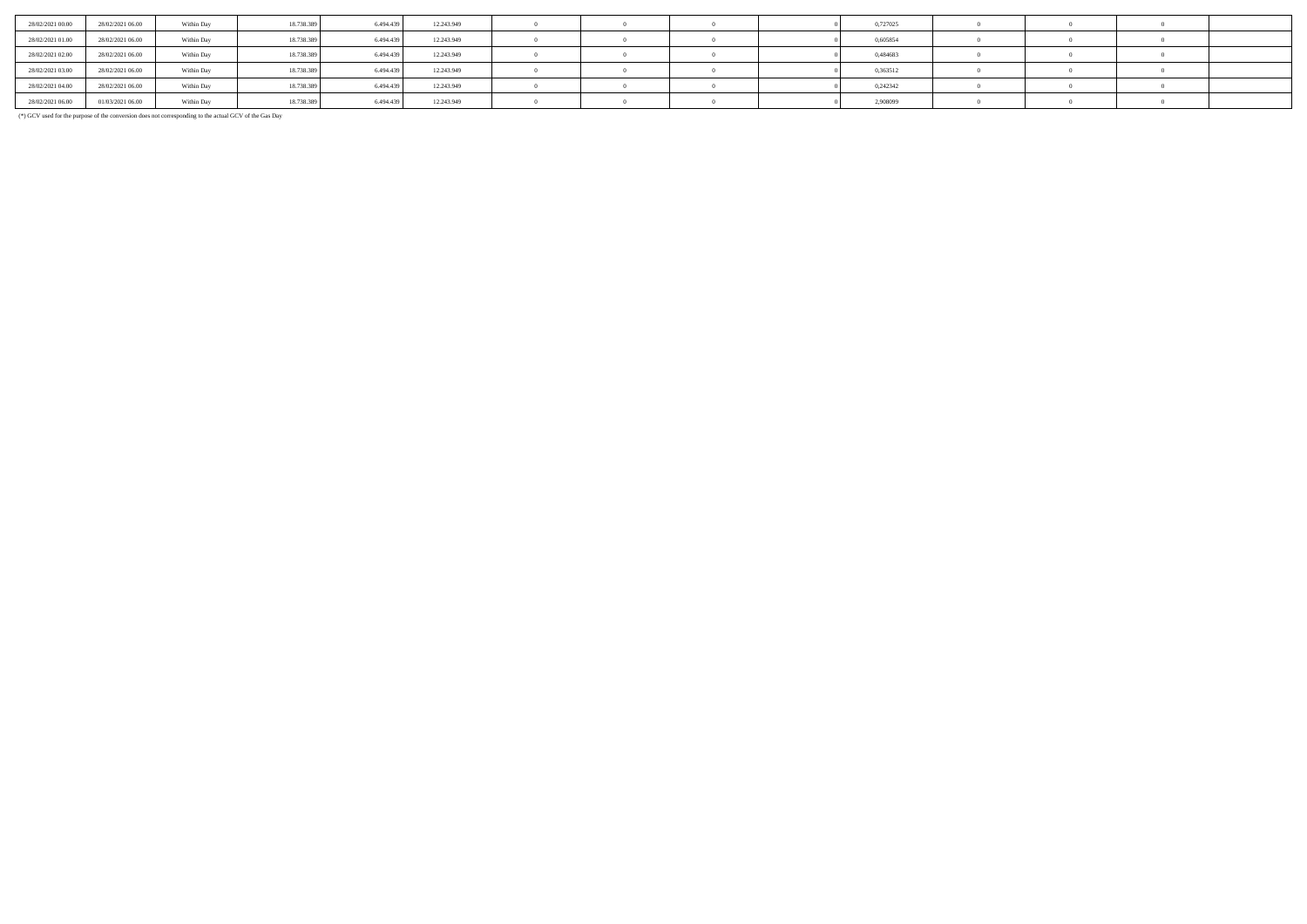| 28/02/2021 00:00 | 28/02/2021 06:00 | Within Day | 18.738.389 | 6.494.43  | 12.243.949 |  |  | 0,727025 |  |  |
|------------------|------------------|------------|------------|-----------|------------|--|--|----------|--|--|
| 28/02/2021 01:00 | 28/02/2021 06:00 | Within Day | 18.738.389 | 6.494.439 | 12.243.949 |  |  | 0,605854 |  |  |
| 28/02/2021 02:00 | 28/02/2021 06:00 | Within Day | 18.738.389 | 6.494.439 | 12.243.949 |  |  | 0,484683 |  |  |
| 28/02/2021 03:00 | 28/02/2021 06:00 | Within Day | 18.738.389 | 6.494.439 | 12.243.949 |  |  | 0,363512 |  |  |
| 28/02/2021 04:00 | 28/02/2021 06:00 | Within Day | 18.738.389 | 6,494,439 | 12.243.949 |  |  | 0.242342 |  |  |
| 28/02/2021 06:00 | 01/03/2021 06:00 | Within Day | 18.738.389 | 6,494,439 | 12.243.949 |  |  | 2,908099 |  |  |

(\*) GCV used for the purpose of the conversion does not corresponding to the actual GCV of the Gas Day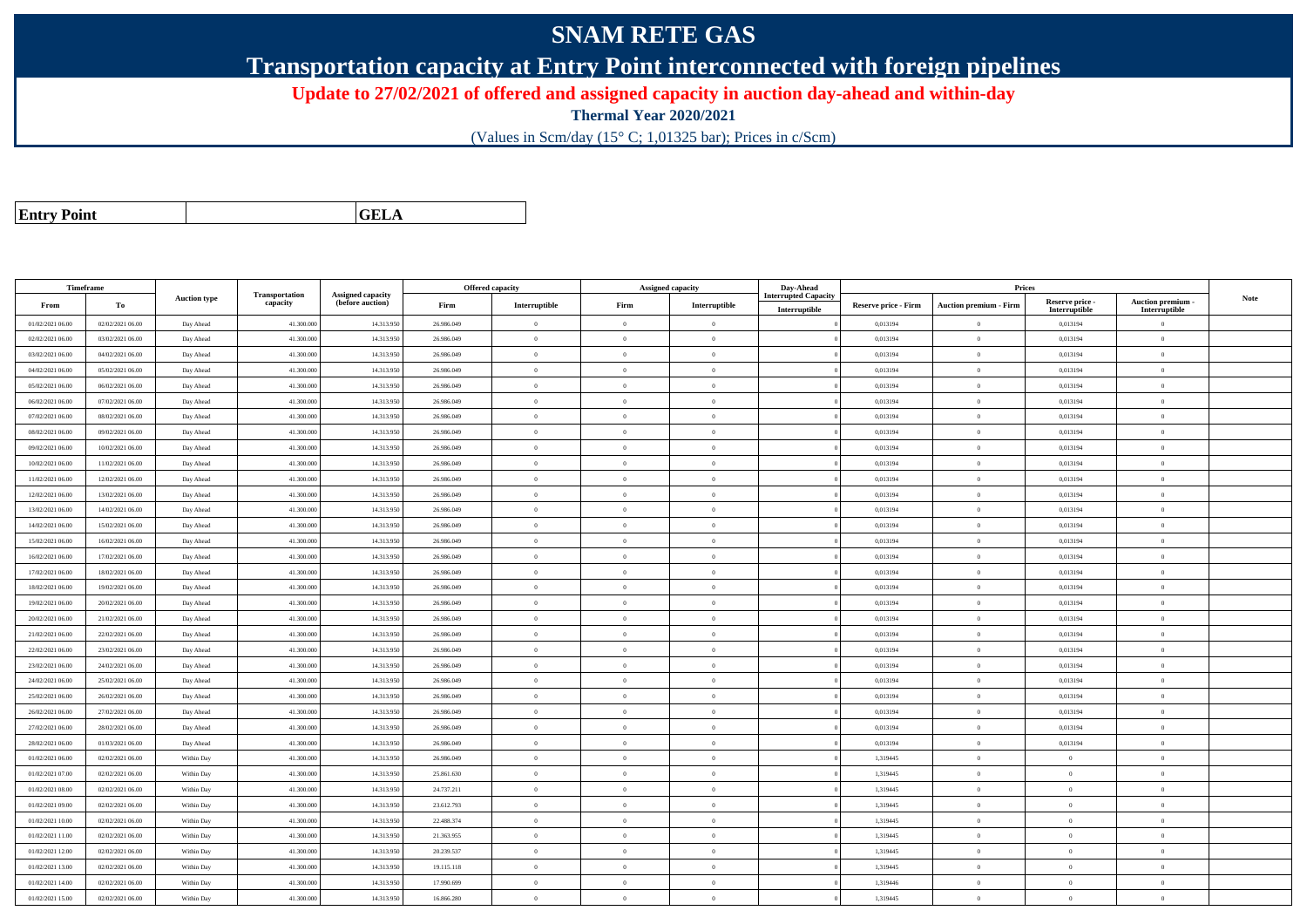## **SNAM RETE GAS**

**Transportation capacity at Entry Point interconnected with foreign pipelines**

**Update to 27/02/2021 of offered and assigned capacity in auction day-ahead and within-day**

**Thermal Year 2020/2021**

(Values in Scm/day (15° C; 1,01325 bar); Prices in c/Scm)

| <b>Entry Point</b> |  |
|--------------------|--|
|--------------------|--|

**a CELA** 

| Timeframe                            |                                      |                     |                            |                                       |                          | <b>Offered capacity</b> |                | <b>Assigned capacity</b> | Day-Ahead          |                             | Prices                        |                      |                                 |             |
|--------------------------------------|--------------------------------------|---------------------|----------------------------|---------------------------------------|--------------------------|-------------------------|----------------|--------------------------|--------------------|-----------------------------|-------------------------------|----------------------|---------------------------------|-------------|
| From                                 | To                                   | <b>Auction type</b> | Transportation<br>capacity | Assigned capacity<br>(before auction) | Firm                     | Interruptible           | Firm           | Interruptible            | terrupted Capacity | <b>Reserve price - Firm</b> | <b>Auction premium - Firm</b> | Reserve price -      | <b>Auction premium</b>          | <b>Note</b> |
|                                      |                                      |                     |                            |                                       |                          | $\overline{0}$          | $\overline{0}$ | $\overline{0}$           | Interruptible      | 0,013194                    |                               | Interruptible        | Interruptible<br>$\overline{0}$ |             |
| 01/02/2021 06:00<br>02/02/2021 06:00 | 02/02/2021 06:00<br>03/02/2021 06:00 | Day Ahead           | 41.300.00<br>41,300,000    | 14.313.95<br>14.313.95                | 26.986.049<br>26.986.049 | $\overline{0}$          | $\theta$       | $\overline{0}$           |                    | 0.013194                    | $\bf{0}$<br>$\mathbf{0}$      | 0,013194<br>0.013194 | $\Omega$                        |             |
| 03/02/2021 06:00                     | 04/02/2021 06:00                     | Day Ahead           | 41,300,000                 | 14.313.95                             | 26.986.049               | $\overline{0}$          | $\theta$       | $\overline{0}$           |                    | 0.013194                    | $\mathbf{0}$                  | 0.013194             | $\Omega$                        |             |
|                                      |                                      | Day Ahead           |                            |                                       |                          |                         |                | $\sqrt{2}$               |                    |                             |                               |                      |                                 |             |
| 04/02/2021 06:00                     | 05/02/2021 06:00                     | Day Ahead           | 41.300.00                  | 14.313.95                             | 26.986.049               | $\theta$                | $\Omega$       |                          |                    | 0,013194                    | $\overline{0}$                | 0,013194             | $\Omega$                        |             |
| 05/02/2021 06:00                     | 06/02/2021 06:00                     | Day Ahead           | 41.300.00                  | 14.313.95                             | 26.986.049               | $\mathbf{0}$            | $\theta$       | $\theta$                 |                    | 0,013194                    | $\bf{0}$                      | 0,013194             | $\theta$                        |             |
| 06/02/2021 06:00                     | 07/02/2021 06:00                     | Day Ahead           | 41.300.00                  | 14.313.95                             | 26.986.049               | $\overline{0}$          | $\theta$       | $\theta$                 |                    | 0,013194                    | $\bf{0}$                      | 0,013194             | $\overline{0}$                  |             |
| 07/02/2021 06:00                     | 08/02/2021 06:00                     | Day Ahead           | 41.300.000                 | 14.313.95                             | 26.986.049               | $\overline{0}$          | $\overline{0}$ | $\theta$                 |                    | 0,013194                    | $\bf{0}$                      | 0,013194             | $\overline{0}$                  |             |
| 08/02/2021 06:00                     | 09/02/2021 06:00                     | Day Ahead           | 41.300.000                 | 14.313.95                             | 26.986.049               | $\overline{0}$          | $\theta$       | $\Omega$                 |                    | 0,013194                    | $\bf{0}$                      | 0,013194             | $\theta$                        |             |
| 09/02/2021 06:00                     | 10/02/2021 06:00                     | Day Ahead           | 41.300.00                  | 14.313.95                             | 26.986.049               | $\overline{0}$          | $\overline{0}$ | $\theta$                 |                    | 0,013194                    | $\bf{0}$                      | 0,013194             | $\overline{0}$                  |             |
| 10/02/2021 06:00                     | 11/02/2021 06:00                     | Day Ahead           | 41.300.000                 | 14.313.95                             | 26.986.049               | $\mathbf{0}$            | $\theta$       | $\overline{0}$           |                    | 0,013194                    | $\bf{0}$                      | 0,013194             | $\theta$                        |             |
| 11/02/2021 06:00                     | 12/02/2021 06:00                     | Day Ahead           | 41,300,00                  | 14.313.95                             | 26.986.049               | $\overline{0}$          | $\overline{0}$ | $\Omega$                 |                    | 0.013194                    | $\bf{0}$                      | 0,013194             | $\theta$                        |             |
| 12/02/2021 06:00                     | 13/02/2021 06:00                     | Day Ahead           | 41.300.00                  | 14.313.95                             | 26.986.049               | $\overline{0}$          | $\theta$       | $\overline{0}$           |                    | 0,013194                    | $\bf{0}$                      | 0,013194             | $\overline{0}$                  |             |
| 13/02/2021 06:00                     | 14/02/2021 06:00                     | Day Ahead           | 41.300.000                 | 14.313.95                             | 26.986.049               | $\mathbf{0}$            | $\overline{0}$ | $\overline{0}$           |                    | 0,013194                    | $\bf{0}$                      | 0,013194             | $\theta$                        |             |
| 14/02/2021 06:00                     | 15/02/2021 06:00                     | Day Ahead           | 41,300,000                 | 14.313.95                             | 26.986.049               | $\theta$                | $\theta$       | $\Omega$                 |                    | 0.013194                    | $\theta$                      | 0.013194             | $\Omega$                        |             |
| 15/02/2021 06:00                     | 16/02/2021 06:00                     | Day Ahead           | 41.300.00                  | 14.313.95                             | 26.986.049               | $\overline{0}$          | $\overline{0}$ | $\theta$                 |                    | 0,013194                    | $\bf{0}$                      | 0,013194             | $\theta$                        |             |
| 16/02/2021 06:00                     | 17/02/2021 06:00                     | Day Ahead           | 41.300.00                  | 14.313.95                             | 26.986.049               | $\overline{0}$          | $\overline{0}$ | $\theta$                 |                    | 0,013194                    | $\overline{0}$                | 0,013194             | $\theta$                        |             |
| 17/02/2021 06:00                     | 18/02/2021 06:00                     | Day Ahead           | 41.300.00                  | 14.313.95                             | 26.986.049               | $\overline{0}$          | $\theta$       | $\theta$                 |                    | 0,013194                    | $\bf{0}$                      | 0,013194             | $\overline{0}$                  |             |
| 18/02/2021 06:00                     | 19/02/2021 06:00                     | Day Ahead           | 41.300.000                 | 14.313.95                             | 26.986.049               | $\overline{0}$          | $\theta$       | $\theta$                 |                    | 0,013194                    | $\bf{0}$                      | 0,013194             | $\Omega$                        |             |
| 19/02/2021 06:00                     | 20/02/2021 06:00                     | Day Ahead           | 41,300,000                 | 14.313.95                             | 26.986.049               | $\theta$                | $\theta$       | $\Omega$                 |                    | 0.013194                    | $\mathbf{0}$                  | 0.013194             | $\theta$                        |             |
| 20/02/2021 06:00                     | 21/02/2021 06:00                     | Day Ahead           | 41.300.00                  | 14.313.95                             | 26.986.049               | $\overline{0}$          | $\theta$       | $\theta$                 |                    | 0,013194                    | $\bf{0}$                      | 0,013194             | $\overline{0}$                  |             |
| 21/02/2021 06:00                     | 22/02/2021 06:00                     | Day Ahead           | 41.300.000                 | 14.313.95                             | 26.986.049               | $\overline{0}$          | $\theta$       | $\theta$                 |                    | 0,013194                    | $\bf{0}$                      | 0,013194             | $\theta$                        |             |
| 22/02/2021 06:00                     | 23/02/2021 06:00                     | Day Ahead           | 41,300,000                 | 14.313.95                             | 26.986.049               | $\overline{0}$          | $\theta$       | $\theta$                 |                    | 0.013194                    | $\mathbf{0}$                  | 0.013194             | $\mathbf{0}$                    |             |
| 23/02/2021 06:00                     | 24/02/2021 06:00                     | Day Ahead           | 41.300.000                 | 14.313.95                             | 26.986.049               | $\theta$                | $\Omega$       | $\theta$                 |                    | 0.013194                    | $\bf{0}$                      | 0,013194             | $\theta$                        |             |
| 24/02/2021 06:00                     | 25/02/2021 06:00                     | Day Ahead           | 41.300.000                 | 14.313.95                             | 26.986.049               | $\overline{0}$          | $\theta$       | $\theta$                 |                    | 0,013194                    | $\bf{0}$                      | 0,013194             | $\overline{0}$                  |             |
| 25/02/2021 06:00                     | 26/02/2021 06:00                     | Day Ahead           | 41.300.00                  | 14.313.95                             | 26.986.049               | $\overline{0}$          | $\overline{0}$ | $\overline{0}$           |                    | 0,013194                    | $\bf{0}$                      | 0,013194             | $\mathbf{0}$                    |             |
| 26/02/2021 06:00                     | 27/02/2021 06:00                     | Day Ahead           | 41,300,000                 | 14.313.95                             | 26.986.049               | $\overline{0}$          | $\theta$       | $\overline{0}$           |                    | 0.013194                    | $\bf{0}$                      | 0,013194             | $\Omega$                        |             |
| 27/02/2021 06:00                     | 28/02/2021 06:00                     | Day Ahead           | 41.300.00                  | 14.313.95                             | 26.986.049               | $\bf{0}$                | $\overline{0}$ | $\theta$                 |                    | 0,013194                    | $\mathbf{0}$                  | 0,013194             | $\bf{0}$                        |             |
| 28/02/2021 06:00                     | 01/03/2021 06:00                     | Day Ahead           | 41.300.00                  | 14.313.95                             | 26.986.049               | $\overline{0}$          | $\theta$       | $\theta$                 |                    | 0,013194                    | $\bf{0}$                      | 0,013194             | $\overline{0}$                  |             |
| 01/02/2021 06:00                     | 02/02/2021 06:00                     | Within Day          | 41.300.000                 | 14.313.950                            | 26.986.049               | $\overline{0}$          | $\theta$       | $\theta$                 |                    | 1,319445                    | $\bf{0}$                      | $\theta$             | $\theta$                        |             |
| 01/02/2021 07:00                     | 02/02/2021 06:00                     | Within Day          | 41.300.000                 | 14.313.95                             | 25.861.630               | $\theta$                | $\theta$       | $\theta$                 |                    | 1,319445                    | $\mathbf{0}$                  | $\theta$             | $\Omega$                        |             |
| 01/02/2021 08:00                     | 02/02/2021 06:00                     | Within Day          | 41.300.000                 | 14.313.95                             | 24.737.211               | $\overline{0}$          | $\overline{0}$ | $\overline{0}$           |                    | 1,319445                    | $\bf{0}$                      | $\theta$             | $\Omega$                        |             |
| 01/02/2021 09:00                     | 02/02/2021 06:00                     | Within Day          | 41.300.000                 | 14.313.95                             | 23.612.793               | $\overline{0}$          | $\theta$       | $\theta$                 |                    | 1,319445                    | $\bf{0}$                      | $\theta$             | $\theta$                        |             |
| 01/02/2021 10:00                     | 02/02/2021 06:00                     | Within Day          | 41.300.00                  | 14.313.95                             | 22.488.374               | $\overline{0}$          | $\theta$       | $\theta$                 |                    | 1,319445                    | $\bf{0}$                      | $\theta$             | $\mathbf{0}$                    |             |
| 01/02/2021 11:00                     | 02/02/2021 06:00                     | Within Day          | 41,300,000                 | 14.313.950                            | 21.363.955               | $\overline{0}$          | $\Omega$       | $\overline{0}$           |                    | 1.319445                    | $\mathbf{0}$                  | $\overline{0}$       | $\Omega$                        |             |
| 01/02/2021 12:00                     | 02/02/2021 06:00                     | Within Day          | 41.300.000                 | 14.313.95                             | 20.239.537               | $\Omega$                | $\Omega$       | $\Omega$                 |                    | 1,319445                    | $\theta$                      | $\mathbf{a}$         | $\Omega$                        |             |
| 01/02/2021 13:00                     | 02/02/2021 06:00                     | Within Day          | 41.300.00                  | 14.313.95                             | 19.115.118               | $\overline{0}$          | $\theta$       | $\overline{0}$           |                    | 1,319445                    | $\bf{0}$                      | $\theta$             | $\overline{0}$                  |             |
| 01/02/2021 14:00                     | 02/02/2021 06:00                     | Within Day          | 41.300.00                  | 14.313.95                             | 17.990.699               | $\overline{0}$          | $\theta$       | $\theta$                 |                    | 1,319446                    | $\bf{0}$                      | $\theta$             | $\mathbf{0}$                    |             |
| 01/02/2021 15:00                     | 02/02/2021 06:00                     | Within Day          | 41,300,000                 | 14.313.95                             | 16,866,280               | $\theta$                | $\theta$       | $\theta$                 |                    | 1.319445                    | $\theta$                      | $\overline{0}$       | $\Omega$                        |             |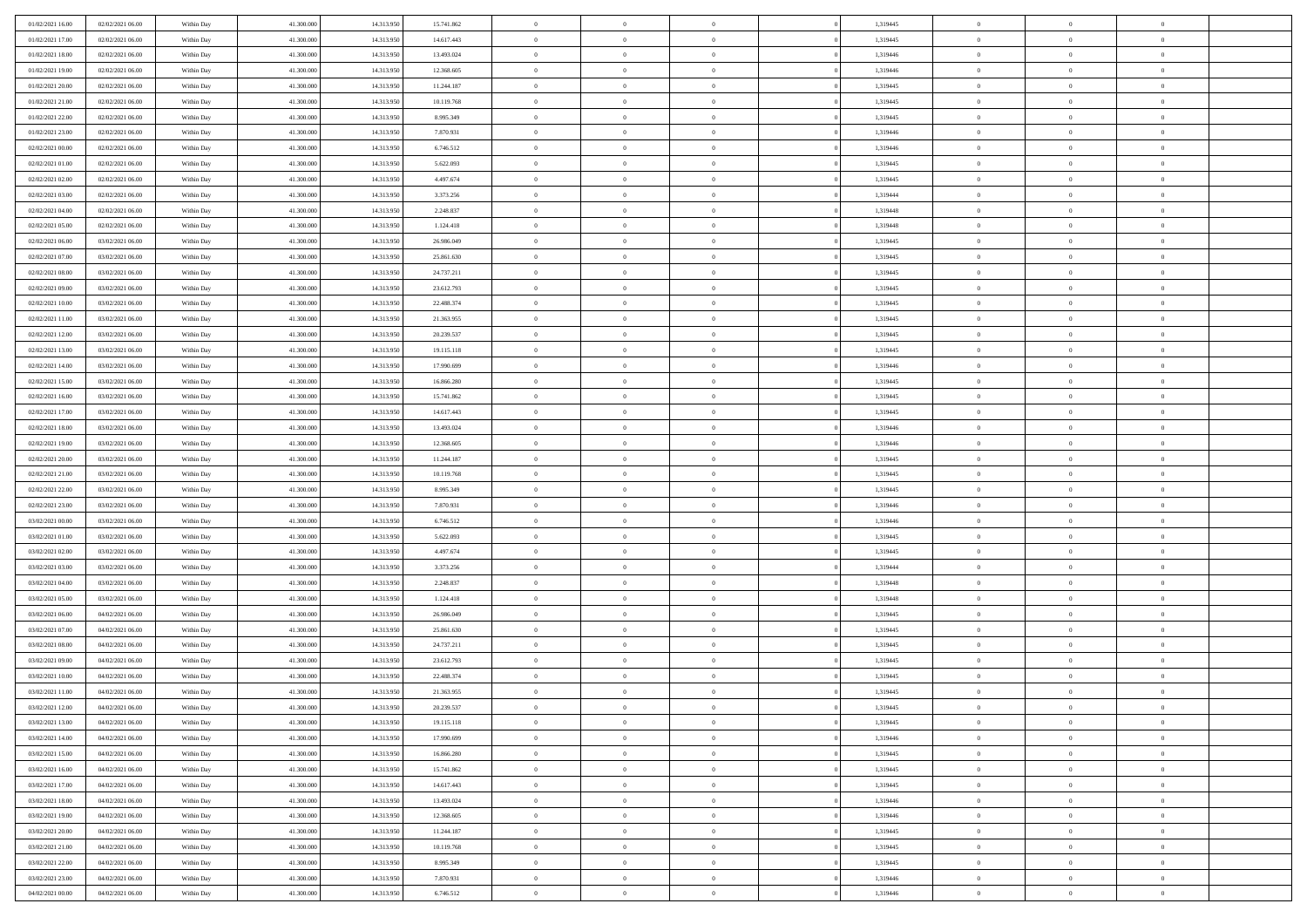| 01/02/2021 16:00 | 02/02/2021 06:00 | Within Day | 41.300.000 | 14.313.950 | 15.741.862 | $\overline{0}$ | $\overline{0}$ | $\Omega$       | 1,319445 | $\bf{0}$       | $\mathbf{0}$   | $\bf{0}$       |  |
|------------------|------------------|------------|------------|------------|------------|----------------|----------------|----------------|----------|----------------|----------------|----------------|--|
| 01/02/2021 17:00 | 02/02/2021 06:00 | Within Day | 41.300.000 | 14.313.950 | 14.617.443 | $\mathbf{0}$   | $\overline{0}$ | $\overline{0}$ | 1,319445 | $\overline{0}$ | $\overline{0}$ | $\overline{0}$ |  |
| 01/02/2021 18:00 | 02/02/2021 06:00 | Within Day | 41.300.000 | 14.313.950 | 13.493.024 | $\,$ 0         | $\overline{0}$ | $\bf{0}$       | 1,319446 | $\,$ 0         | $\overline{0}$ | $\,$ 0 $\,$    |  |
| 01/02/2021 19:00 | 02/02/2021 06:00 | Within Day | 41.300,000 | 14.313.950 | 12.368.605 | $\bf{0}$       | $\overline{0}$ | $\Omega$       | 1,319446 | $\bf{0}$       | $\mathbf{0}$   | $\theta$       |  |
| 01/02/2021 20:00 | 02/02/2021 06:00 | Within Day | 41.300.000 | 14.313.950 | 11.244.187 | $\bf{0}$       | $\overline{0}$ | $\overline{0}$ | 1,319445 | $\overline{0}$ | $\overline{0}$ | $\overline{0}$ |  |
| 01/02/2021 21:00 | 02/02/2021 06:00 | Within Day | 41.300.000 | 14.313.950 | 10.119.768 | $\bf{0}$       | $\overline{0}$ | $\bf{0}$       | 1,319445 | $\,$ 0         | $\overline{0}$ | $\,$ 0 $\,$    |  |
| 01/02/2021 22.00 | 02/02/2021 06:00 | Within Day | 41.300,000 | 14.313.950 | 8.995.349  | $\bf{0}$       | $\overline{0}$ | $\overline{0}$ | 1,319445 | $\theta$       | $\mathbf{0}$   | $\theta$       |  |
| 01/02/2021 23:00 | 02/02/2021 06:00 | Within Day | 41.300.000 | 14.313.950 | 7.870.931  | $\overline{0}$ | $\overline{0}$ | $\overline{0}$ | 1,319446 | $\mathbf{0}$   | $\overline{0}$ | $\overline{0}$ |  |
| 02/02/2021 00:00 | 02/02/2021 06:00 | Within Day | 41.300.000 | 14.313.950 | 6.746.512  | $\bf{0}$       | $\overline{0}$ | $\bf{0}$       | 1,319446 | $\,$ 0         | $\overline{0}$ | $\,$ 0 $\,$    |  |
| 02/02/2021 01:00 | 02/02/2021 06:00 | Within Day | 41.300,000 | 14.313.950 | 5.622.093  | $\bf{0}$       | $\overline{0}$ | $\Omega$       | 1,319445 | $\theta$       | $\mathbf{0}$   | $\theta$       |  |
| 02/02/2021 02:00 | 02/02/2021 06:00 | Within Day | 41.300.000 | 14.313.950 | 4.497.674  | $\overline{0}$ | $\overline{0}$ | $\overline{0}$ | 1,319445 | $\mathbf{0}$   | $\overline{0}$ | $\overline{0}$ |  |
| 02/02/2021 03:00 | 02/02/2021 06:00 | Within Day | 41.300.000 | 14.313.950 | 3.373.256  | $\bf{0}$       | $\overline{0}$ | $\bf{0}$       | 1,319444 | $\,$ 0         | $\overline{0}$ | $\,$ 0 $\,$    |  |
| 02/02/2021 04:00 | 02/02/2021 06:00 | Within Day | 41.300.000 | 14.313.950 | 2.248.837  | $\bf{0}$       | $\overline{0}$ | $\Omega$       | 1,319448 | $\bf{0}$       | $\mathbf{0}$   | $\theta$       |  |
| 02/02/2021 05:00 | 02/02/2021 06:00 | Within Day | 41.300.000 | 14.313.950 | 1.124.418  | $\overline{0}$ | $\overline{0}$ | $\overline{0}$ | 1,319448 | $\mathbf{0}$   | $\overline{0}$ | $\overline{0}$ |  |
| 02/02/2021 06:00 | 03/02/2021 06:00 | Within Day | 41.300.000 | 14.313.950 | 26.986.049 | $\bf{0}$       | $\overline{0}$ | $\bf{0}$       | 1,319445 | $\,$ 0         | $\overline{0}$ | $\,$ 0 $\,$    |  |
| 02/02/2021 07:00 | 03/02/2021 06:00 | Within Day | 41,300,000 | 14.313.950 | 25.861.630 | $\bf{0}$       | $\overline{0}$ | $\overline{0}$ | 1,319445 | $\theta$       | $\mathbf{0}$   | $\theta$       |  |
| 02/02/2021 08:00 | 03/02/2021 06:00 | Within Day | 41.300.000 | 14.313.950 | 24.737.211 | $\overline{0}$ | $\overline{0}$ | $\overline{0}$ | 1,319445 | $\mathbf{0}$   | $\overline{0}$ | $\overline{0}$ |  |
| 02/02/2021 09:00 | 03/02/2021 06:00 | Within Day | 41.300.000 | 14.313.950 | 23.612.793 | $\bf{0}$       | $\overline{0}$ | $\bf{0}$       | 1,319445 | $\,$ 0         | $\overline{0}$ | $\,$ 0 $\,$    |  |
| 02/02/2021 10:00 | 03/02/2021 06:00 | Within Day | 41.300,000 | 14.313.950 | 22.488.374 | $\bf{0}$       | $\overline{0}$ | $\Omega$       | 1,319445 | $\theta$       | $\mathbf{0}$   | $\theta$       |  |
| 02/02/2021 11:00 | 03/02/2021 06:00 | Within Day | 41.300.000 | 14.313.950 | 21.363.955 | $\overline{0}$ | $\overline{0}$ | $\overline{0}$ | 1,319445 | $\mathbf{0}$   | $\overline{0}$ | $\overline{0}$ |  |
| 02/02/2021 12:00 | 03/02/2021 06:00 | Within Day | 41.300.000 | 14.313.950 | 20.239.537 | $\bf{0}$       | $\overline{0}$ | $\bf{0}$       | 1,319445 | $\,$ 0         | $\overline{0}$ | $\,$ 0 $\,$    |  |
| 02/02/2021 13:00 | 03/02/2021 06:00 | Within Day | 41.300,000 | 14.313.950 | 19.115.118 | $\bf{0}$       | $\overline{0}$ | $\Omega$       | 1,319445 | $\bf{0}$       | $\theta$       | $\theta$       |  |
| 02/02/2021 14:00 | 03/02/2021 06:00 | Within Day | 41.300.000 | 14.313.950 | 17.990.699 | $\overline{0}$ | $\overline{0}$ | $\overline{0}$ | 1,319446 | $\mathbf{0}$   | $\overline{0}$ | $\overline{0}$ |  |
| 02/02/2021 15:00 | 03/02/2021 06:00 | Within Day | 41.300.000 | 14.313.950 | 16.866.280 | $\bf{0}$       | $\overline{0}$ | $\bf{0}$       | 1,319445 | $\,$ 0         | $\overline{0}$ | $\,$ 0 $\,$    |  |
| 02/02/2021 16:00 | 03/02/2021 06:00 | Within Day | 41.300,000 | 14.313.950 | 15.741.862 | $\bf{0}$       | $\overline{0}$ | $\overline{0}$ | 1,319445 | $\bf{0}$       | $\overline{0}$ | $\bf{0}$       |  |
| 02/02/2021 17:00 | 03/02/2021 06:00 | Within Day | 41.300.000 | 14.313.950 | 14.617.443 | $\overline{0}$ | $\overline{0}$ | $\overline{0}$ | 1,319445 | $\mathbf{0}$   | $\overline{0}$ | $\overline{0}$ |  |
| 02/02/2021 18:00 | 03/02/2021 06:00 | Within Day | 41.300.000 | 14.313.950 | 13.493.024 | $\bf{0}$       | $\overline{0}$ | $\bf{0}$       | 1,319446 | $\,$ 0         | $\overline{0}$ | $\,$ 0 $\,$    |  |
| 02/02/2021 19:00 | 03/02/2021 06:00 | Within Day | 41.300,000 | 14.313.950 | 12.368.605 | $\bf{0}$       | $\overline{0}$ | $\Omega$       | 1,319446 | $\theta$       | $\mathbf{0}$   | $\theta$       |  |
| 02/02/2021 20:00 | 03/02/2021 06:00 | Within Day | 41.300.000 | 14.313.950 | 11.244.187 | $\overline{0}$ | $\overline{0}$ | $\overline{0}$ | 1,319445 | $\mathbf{0}$   | $\overline{0}$ | $\overline{0}$ |  |
| 02/02/2021 21:00 | 03/02/2021 06:00 | Within Day | 41.300.000 | 14.313.950 | 10.119.768 | $\bf{0}$       | $\overline{0}$ | $\bf{0}$       | 1,319445 | $\,$ 0         | $\overline{0}$ | $\,$ 0 $\,$    |  |
| 02/02/2021 22.00 | 03/02/2021 06:00 | Within Day | 41.300.000 | 14.313.950 | 8.995.349  | $\bf{0}$       | $\bf{0}$       | $\overline{0}$ | 1,319445 | $\bf{0}$       | $\overline{0}$ | $\,0\,$        |  |
| 02/02/2021 23:00 | 03/02/2021 06:00 | Within Dav | 41.300.000 | 14.313.950 | 7.870.931  | $\overline{0}$ | $\overline{0}$ | $\overline{0}$ | 1,319446 | $\mathbf{0}$   | $\overline{0}$ | $\overline{0}$ |  |
| 03/02/2021 00:00 | 03/02/2021 06:00 | Within Day | 41.300.000 | 14.313.950 | 6.746.512  | $\bf{0}$       | $\overline{0}$ | $\bf{0}$       | 1,319446 | $\,$ 0         | $\overline{0}$ | $\,$ 0 $\,$    |  |
| 03/02/2021 01:00 | 03/02/2021 06:00 | Within Day | 41.300.000 | 14.313.950 | 5.622.093  | $\bf{0}$       | $\bf{0}$       | $\bf{0}$       | 1,319445 | $\bf{0}$       | $\overline{0}$ | $\,0\,$        |  |
| 03/02/2021 02:00 | 03/02/2021 06:00 | Within Day | 41.300.000 | 14.313.950 | 4.497.674  | $\overline{0}$ | $\overline{0}$ | $\overline{0}$ | 1,319445 | $\overline{0}$ | $\overline{0}$ | $\overline{0}$ |  |
| 03/02/2021 03:00 | 03/02/2021 06:00 | Within Day | 41.300.000 | 14.313.950 | 3.373.256  | $\bf{0}$       | $\overline{0}$ | $\bf{0}$       | 1,319444 | $\,$ 0         | $\overline{0}$ | $\,$ 0 $\,$    |  |
| 03/02/2021 04:00 | 03/02/2021 06:00 | Within Day | 41.300.000 | 14.313.950 | 2.248.837  | $\bf{0}$       | $\overline{0}$ | $\overline{0}$ | 1,319448 | $\bf{0}$       | $\overline{0}$ | $\,0\,$        |  |
| 03/02/2021 05:00 | 03/02/2021 06:00 | Within Day | 41.300.000 | 14.313.950 | 1.124.418  | $\overline{0}$ | $\overline{0}$ | $\overline{0}$ | 1,319448 | $\mathbf{0}$   | $\overline{0}$ | $\overline{0}$ |  |
| 03/02/2021 06:00 | 04/02/2021 06:00 | Within Day | 41.300.000 | 14.313.950 | 26.986.049 | $\bf{0}$       | $\overline{0}$ | $\bf{0}$       | 1,319445 | $\,$ 0         | $\overline{0}$ | $\,$ 0 $\,$    |  |
| 03/02/2021 07:00 | 04/02/2021 06:00 | Within Day | 41.300.000 | 14.313.950 | 25.861.630 | $\bf{0}$       | $\overline{0}$ | $\overline{0}$ | 1,319445 | $\bf{0}$       | $\overline{0}$ | $\,0\,$        |  |
| 03/02/2021 08:00 | 04/02/2021 06:00 | Within Day | 41.300.000 | 14.313.950 | 24.737.211 | $\overline{0}$ | $\overline{0}$ | $\overline{0}$ | 1,319445 | $\overline{0}$ | $\overline{0}$ | $\overline{0}$ |  |
| 03/02/2021 09:00 | 04/02/2021 06:00 | Within Day | 41.300.000 | 14.313.950 | 23.612.793 | $\bf{0}$       | $\overline{0}$ | $\bf{0}$       | 1,319445 | $\,$ 0         | $\overline{0}$ | $\,$ 0 $\,$    |  |
| 03/02/2021 10:00 | 04/02/2021 06:00 | Within Day | 41.300.000 | 14.313.950 | 22.488.374 | $\bf{0}$       | $\overline{0}$ | $\bf{0}$       | 1,319445 | $\bf{0}$       | $\overline{0}$ | $\,0\,$        |  |
| 03/02/2021 11:00 | 04/02/2021 06:00 | Within Dav | 41.300.000 | 14.313.950 | 21.363.955 | $\mathbf{0}$   | $\overline{0}$ | $\overline{0}$ | 1,319445 | $\mathbf{0}$   | $\overline{0}$ | $\overline{0}$ |  |
| 03/02/2021 12:00 | 04/02/2021 06:00 | Within Day | 41.300.000 | 14.313.950 | 20.239.537 | $\bf{0}$       | $\overline{0}$ | $\theta$       | 1,319445 | $\overline{0}$ | $\theta$       | $\theta$       |  |
| 03/02/2021 13:00 | 04/02/2021 06:00 | Within Day | 41.300.000 | 14.313.950 | 19.115.118 | $\bf{0}$       | $\overline{0}$ | $\bf{0}$       | 1,319445 | $\bf{0}$       | $\overline{0}$ | $\,0\,$        |  |
| 03/02/2021 14:00 | 04/02/2021 06:00 | Within Day | 41.300.000 | 14.313.950 | 17.990.699 | $\overline{0}$ | $\overline{0}$ | $\overline{0}$ | 1,319446 | $\overline{0}$ | $\bf{0}$       | $\overline{0}$ |  |
| 03/02/2021 15:00 | 04/02/2021 06:00 | Within Day | 41.300.000 | 14.313.950 | 16.866.280 | $\,$ 0 $\,$    | $\overline{0}$ | $\overline{0}$ | 1,319445 | $\mathbf{0}$   | $\,$ 0 $\,$    | $\,$ 0 $\,$    |  |
| 03/02/2021 16:00 | 04/02/2021 06:00 | Within Day | 41.300.000 | 14.313.950 | 15.741.862 | $\bf{0}$       | $\overline{0}$ | $\overline{0}$ | 1,319445 | $\bf{0}$       | $\overline{0}$ | $\bf{0}$       |  |
| 03/02/2021 17:00 | 04/02/2021 06:00 | Within Day | 41.300.000 | 14.313.950 | 14.617.443 | $\bf{0}$       | $\overline{0}$ | $\overline{0}$ | 1,319445 | $\overline{0}$ | $\overline{0}$ | $\overline{0}$ |  |
| 03/02/2021 18:00 | 04/02/2021 06:00 | Within Day | 41.300.000 | 14.313.950 | 13.493.024 | $\,$ 0 $\,$    | $\overline{0}$ | $\overline{0}$ | 1,319446 | $\,$ 0 $\,$    | $\overline{0}$ | $\,$ 0 $\,$    |  |
| 03/02/2021 19:00 | 04/02/2021 06:00 | Within Day | 41.300.000 | 14.313.950 | 12.368.605 | $\overline{0}$ | $\overline{0}$ | $\overline{0}$ | 1,319446 | $\bf{0}$       | $\overline{0}$ | $\overline{0}$ |  |
| 03/02/2021 20:00 | 04/02/2021 06:00 | Within Day | 41.300.000 | 14.313.950 | 11.244.187 | $\overline{0}$ | $\overline{0}$ | $\overline{0}$ | 1,319445 | $\overline{0}$ | $\bf{0}$       | $\overline{0}$ |  |
| 03/02/2021 21:00 | 04/02/2021 06:00 | Within Day | 41.300.000 | 14.313.950 | 10.119.768 | $\,$ 0 $\,$    | $\overline{0}$ | $\overline{0}$ | 1,319445 | $\,$ 0 $\,$    | $\,$ 0 $\,$    | $\,$ 0 $\,$    |  |
| 03/02/2021 22.00 | 04/02/2021 06:00 | Within Day | 41.300.000 | 14.313.950 | 8.995.349  | $\bf{0}$       | $\overline{0}$ | $\overline{0}$ | 1,319445 | $\mathbf{0}$   | $\overline{0}$ | $\bf{0}$       |  |
| 03/02/2021 23:00 | 04/02/2021 06:00 | Within Day | 41.300.000 | 14.313.950 | 7.870.931  | $\bf{0}$       | $\overline{0}$ | $\overline{0}$ | 1,319446 | $\mathbf{0}$   | $\bf{0}$       | $\overline{0}$ |  |
| 04/02/2021 00:00 | 04/02/2021 06:00 | Within Day | 41.300.000 | 14.313.950 | 6.746.512  | $\,0\,$        | $\overline{0}$ | $\overline{0}$ | 1,319446 | $\,$ 0         | $\overline{0}$ | $\,$ 0 $\,$    |  |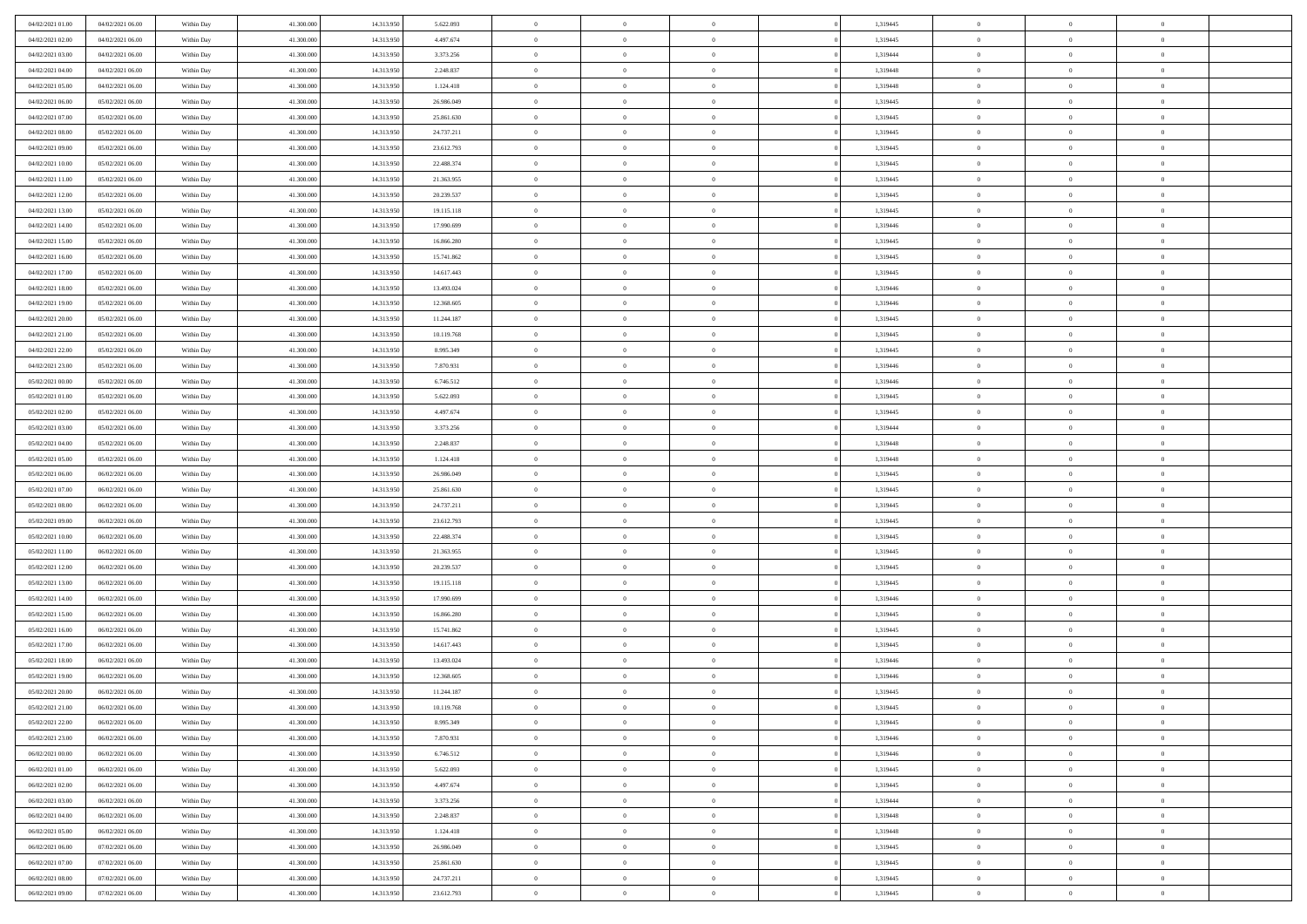| 04/02/2021 01:00 | 04/02/2021 06:00 | Within Day | 41.300.000 | 14.313.950 | 5.622.093  | $\overline{0}$ | $\overline{0}$ | $\Omega$       | 1,319445 | $\bf{0}$       | $\mathbf{0}$   | $\bf{0}$       |  |
|------------------|------------------|------------|------------|------------|------------|----------------|----------------|----------------|----------|----------------|----------------|----------------|--|
| 04/02/2021 02:00 | 04/02/2021 06:00 | Within Day | 41.300.000 | 14.313.950 | 4.497.674  | $\mathbf{0}$   | $\overline{0}$ | $\overline{0}$ | 1,319445 | $\overline{0}$ | $\overline{0}$ | $\theta$       |  |
| 04/02/2021 03:00 | 04/02/2021 06:00 | Within Day | 41.300.000 | 14.313.950 | 3.373.256  | $\,$ 0         | $\overline{0}$ | $\bf{0}$       | 1,319444 | $\,$ 0         | $\overline{0}$ | $\,$ 0 $\,$    |  |
| 04/02/2021 04:00 | 04/02/2021 06:00 | Within Day | 41.300,000 | 14.313.950 | 2.248.837  | $\bf{0}$       | $\overline{0}$ | $\Omega$       | 1,319448 | $\bf{0}$       | $\mathbf{0}$   | $\theta$       |  |
| 04/02/2021 05:00 | 04/02/2021 06:00 | Within Day | 41.300.000 | 14.313.950 | 1.124.418  | $\bf{0}$       | $\overline{0}$ | $\overline{0}$ | 1,319448 | $\mathbf{0}$   | $\overline{0}$ | $\overline{0}$ |  |
| 04/02/2021 06:00 | 05/02/2021 06:00 | Within Day | 41.300.000 | 14.313.950 | 26.986.049 | $\bf{0}$       | $\overline{0}$ | $\bf{0}$       | 1,319445 | $\,$ 0         | $\overline{0}$ | $\,$ 0 $\,$    |  |
| 04/02/2021 07:00 | 05/02/2021 06:00 | Within Day | 41.300,000 | 14.313.950 | 25.861.630 | $\bf{0}$       | $\overline{0}$ | $\Omega$       | 1,319445 | $\theta$       | $\mathbf{0}$   | $\theta$       |  |
| 04/02/2021 08:00 | 05/02/2021 06:00 | Within Day | 41.300.000 | 14.313.950 | 24.737.211 | $\overline{0}$ | $\overline{0}$ | $\overline{0}$ | 1,319445 | $\mathbf{0}$   | $\overline{0}$ | $\overline{0}$ |  |
| 04/02/2021 09:00 | 05/02/2021 06:00 | Within Day | 41.300.000 | 14.313.950 | 23.612.793 | $\bf{0}$       | $\overline{0}$ | $\bf{0}$       | 1,319445 | $\,$ 0         | $\overline{0}$ | $\,$ 0 $\,$    |  |
| 04/02/2021 10:00 | 05/02/2021 06:00 | Within Day | 41.300,000 | 14.313.950 | 22.488.374 | $\bf{0}$       | $\overline{0}$ | $\Omega$       | 1,319445 | $\theta$       | $\mathbf{0}$   | $\theta$       |  |
| 04/02/2021 11:00 | 05/02/2021 06:00 | Within Day | 41.300.000 | 14.313.950 | 21.363.955 | $\overline{0}$ | $\overline{0}$ | $\overline{0}$ | 1,319445 | $\mathbf{0}$   | $\overline{0}$ | $\overline{0}$ |  |
| 04/02/2021 12:00 | 05/02/2021 06:00 | Within Day | 41.300.000 | 14.313.950 | 20.239.537 | $\,$ 0         | $\overline{0}$ | $\bf{0}$       | 1,319445 | $\,$ 0         | $\overline{0}$ | $\,$ 0 $\,$    |  |
| 04/02/2021 13:00 | 05/02/2021 06:00 | Within Day | 41.300.000 | 14.313.950 | 19.115.118 | $\bf{0}$       | $\overline{0}$ | $\Omega$       | 1,319445 | $\overline{0}$ | $\mathbf{0}$   | $\theta$       |  |
| 04/02/2021 14:00 | 05/02/2021 06:00 | Within Dav | 41.300.000 | 14.313.950 | 17.990.699 | $\overline{0}$ | $\overline{0}$ | $\overline{0}$ | 1,319446 | $\mathbf{0}$   | $\overline{0}$ | $\overline{0}$ |  |
| 04/02/2021 15:00 | 05/02/2021 06:00 | Within Day | 41.300.000 | 14.313.950 | 16.866.280 | $\bf{0}$       | $\overline{0}$ | $\bf{0}$       | 1,319445 | $\,$ 0         | $\overline{0}$ | $\,$ 0 $\,$    |  |
| 04/02/2021 16:00 | 05/02/2021 06:00 | Within Day | 41,300,000 | 14.313.950 | 15.741.862 | $\bf{0}$       | $\overline{0}$ | $\overline{0}$ | 1,319445 | $\bf{0}$       | $\mathbf{0}$   | $\theta$       |  |
| 04/02/2021 17:00 | 05/02/2021 06:00 | Within Day | 41.300.000 | 14.313.950 | 14.617.443 | $\overline{0}$ | $\overline{0}$ | $\overline{0}$ | 1,319445 | $\mathbf{0}$   | $\overline{0}$ | $\overline{0}$ |  |
| 04/02/2021 18:00 | 05/02/2021 06:00 | Within Day | 41.300.000 | 14.313.950 | 13.493.024 | $\bf{0}$       | $\overline{0}$ | $\bf{0}$       | 1,319446 | $\,$ 0         | $\overline{0}$ | $\,0\,$        |  |
| 04/02/2021 19:00 | 05/02/2021 06:00 | Within Day | 41.300,000 | 14.313.950 | 12.368.605 | $\bf{0}$       | $\overline{0}$ | $\Omega$       | 1,319446 | $\theta$       | $\mathbf{0}$   | $\theta$       |  |
| 04/02/2021 20:00 | 05/02/2021 06:00 | Within Day | 41.300.000 | 14.313.950 | 11.244.187 | $\overline{0}$ | $\overline{0}$ | $\overline{0}$ | 1,319445 | $\mathbf{0}$   | $\overline{0}$ | $\overline{0}$ |  |
| 04/02/2021 21:00 | 05/02/2021 06:00 | Within Day | 41.300.000 | 14.313.950 | 10.119.768 | $\bf{0}$       | $\overline{0}$ | $\bf{0}$       | 1,319445 | $\,$ 0         | $\overline{0}$ | $\,$ 0 $\,$    |  |
| 04/02/2021 22.00 | 05/02/2021 06:00 | Within Day | 41.300,000 | 14.313.950 | 8.995.349  | $\bf{0}$       | $\overline{0}$ | $\Omega$       | 1,319445 | $\bf{0}$       | $\theta$       | $\theta$       |  |
| 04/02/2021 23:00 | 05/02/2021 06:00 | Within Day | 41.300.000 | 14.313.950 | 7.870.931  | $\overline{0}$ | $\overline{0}$ | $\overline{0}$ | 1,319446 | $\mathbf{0}$   | $\overline{0}$ | $\overline{0}$ |  |
| 05/02/2021 00:00 | 05/02/2021 06:00 | Within Day | 41.300.000 | 14.313.950 | 6.746.512  | $\bf{0}$       | $\overline{0}$ | $\bf{0}$       | 1,319446 | $\,$ 0         | $\overline{0}$ | $\,$ 0 $\,$    |  |
| 05/02/2021 01:00 | 05/02/2021 06:00 | Within Day | 41.300,000 | 14.313.950 | 5.622.093  | $\bf{0}$       | $\overline{0}$ | $\overline{0}$ | 1,319445 | $\bf{0}$       | $\overline{0}$ | $\bf{0}$       |  |
| 05/02/2021 02:00 | 05/02/2021 06:00 | Within Day | 41.300.000 | 14.313.950 | 4.497.674  | $\overline{0}$ | $\overline{0}$ | $\overline{0}$ | 1,319445 | $\mathbf{0}$   | $\overline{0}$ | $\overline{0}$ |  |
| 05/02/2021 03:00 | 05/02/2021 06:00 | Within Day | 41.300.000 | 14.313.950 | 3.373.256  | $\bf{0}$       | $\overline{0}$ | $\bf{0}$       | 1,319444 | $\,$ 0         | $\overline{0}$ | $\,$ 0 $\,$    |  |
| 05/02/2021 04:00 | 05/02/2021 06:00 | Within Day | 41.300,000 | 14.313.950 | 2.248.837  | $\bf{0}$       | $\overline{0}$ | $\Omega$       | 1,319448 | $\theta$       | $\mathbf{0}$   | $\theta$       |  |
| 05/02/2021 05:00 | 05/02/2021 06:00 | Within Day | 41.300.000 | 14.313.950 | 1.124.418  | $\overline{0}$ | $\overline{0}$ | $\overline{0}$ | 1,319448 | $\mathbf{0}$   | $\overline{0}$ | $\overline{0}$ |  |
| 05/02/2021 06:00 | 06/02/2021 06:00 | Within Day | 41.300.000 | 14.313.950 | 26.986.049 | $\bf{0}$       | $\overline{0}$ | $\bf{0}$       | 1,319445 | $\,$ 0         | $\overline{0}$ | $\,$ 0 $\,$    |  |
| 05/02/2021 07:00 | 06/02/2021 06:00 | Within Day | 41.300.000 | 14.313.950 | 25.861.630 | $\,$ 0         | $\bf{0}$       | $\overline{0}$ | 1,319445 | $\bf{0}$       | $\overline{0}$ | $\,0\,$        |  |
| 05/02/2021 08:00 | 06/02/2021 06:00 | Within Dav | 41.300.000 | 14.313.950 | 24.737.211 | $\overline{0}$ | $\overline{0}$ | $\overline{0}$ | 1,319445 | $\mathbf{0}$   | $\overline{0}$ | $\overline{0}$ |  |
| 05/02/2021 09:00 | 06/02/2021 06:00 | Within Day | 41.300.000 | 14.313.950 | 23.612.793 | $\bf{0}$       | $\overline{0}$ | $\bf{0}$       | 1,319445 | $\,$ 0         | $\overline{0}$ | $\,$ 0 $\,$    |  |
| 05/02/2021 10:00 | 06/02/2021 06:00 | Within Day | 41.300.000 | 14.313.950 | 22.488.374 | $\bf{0}$       | $\bf{0}$       | $\bf{0}$       | 1,319445 | $\bf{0}$       | $\overline{0}$ | $\,0\,$        |  |
| 05/02/2021 11:00 | 06/02/2021 06:00 | Within Day | 41.300.000 | 14.313.950 | 21.363.955 | $\overline{0}$ | $\overline{0}$ | $\overline{0}$ | 1,319445 | $\overline{0}$ | $\overline{0}$ | $\overline{0}$ |  |
| 05/02/2021 12:00 | 06/02/2021 06:00 | Within Day | 41.300.000 | 14.313.950 | 20.239.537 | $\bf{0}$       | $\overline{0}$ | $\bf{0}$       | 1,319445 | $\,$ 0         | $\overline{0}$ | $\,$ 0 $\,$    |  |
| 05/02/2021 13:00 | 06/02/2021 06:00 | Within Day | 41.300.000 | 14.313.950 | 19.115.118 | $\bf{0}$       | $\bf{0}$       | $\overline{0}$ | 1,319445 | $\bf{0}$       | $\overline{0}$ | $\,0\,$        |  |
| 05/02/2021 14:00 | 06/02/2021 06:00 | Within Day | 41.300.000 | 14.313.950 | 17.990.699 | $\overline{0}$ | $\overline{0}$ | $\overline{0}$ | 1,319446 | $\mathbf{0}$   | $\overline{0}$ | $\overline{0}$ |  |
| 05/02/2021 15:00 | 06/02/2021 06:00 | Within Day | 41.300.000 | 14.313.950 | 16.866.280 | $\bf{0}$       | $\overline{0}$ | $\bf{0}$       | 1,319445 | $\,$ 0         | $\overline{0}$ | $\,$ 0 $\,$    |  |
| 05/02/2021 16:00 | 06/02/2021 06:00 | Within Day | 41.300.000 | 14.313.950 | 15.741.862 | $\bf{0}$       | $\bf{0}$       | $\overline{0}$ | 1,319445 | $\bf{0}$       | $\overline{0}$ | $\,0\,$        |  |
| 05/02/2021 17:00 | 06/02/2021 06:00 | Within Day | 41.300.000 | 14.313.950 | 14.617.443 | $\overline{0}$ | $\overline{0}$ | $\overline{0}$ | 1,319445 | $\overline{0}$ | $\overline{0}$ | $\overline{0}$ |  |
| 05/02/2021 18:00 | 06/02/2021 06:00 | Within Day | 41.300.000 | 14.313.950 | 13.493.024 | $\bf{0}$       | $\overline{0}$ | $\bf{0}$       | 1,319446 | $\,$ 0         | $\overline{0}$ | $\,$ 0 $\,$    |  |
| 05/02/2021 19:00 | 06/02/2021 06:00 | Within Day | 41.300.000 | 14.313.950 | 12.368.605 | $\bf{0}$       | $\bf{0}$       | $\bf{0}$       | 1,319446 | $\bf{0}$       | $\overline{0}$ | $\,0\,$        |  |
| 05/02/2021 20:00 | 06/02/2021 06:00 | Within Dav | 41.300.000 | 14.313.950 | 11.244.187 | $\mathbf{0}$   | $\overline{0}$ | $\overline{0}$ | 1,319445 | $\mathbf{0}$   | $\overline{0}$ | $\overline{0}$ |  |
| 05/02/2021 21:00 | 06/02/2021 06:00 | Within Day | 41.300.000 | 14.313.950 | 10.119.768 | $\bf{0}$       | $\overline{0}$ | $\theta$       | 1,319445 | $\overline{0}$ | $\theta$       | $\theta$       |  |
| 05/02/2021 22.00 | 06/02/2021 06:00 | Within Day | 41.300.000 | 14.313.950 | 8.995.349  | $\bf{0}$       | $\bf{0}$       | $\bf{0}$       | 1,319445 | $\bf{0}$       | $\overline{0}$ | $\,0\,$        |  |
| 05/02/2021 23:00 | 06/02/2021 06:00 | Within Day | 41.300.000 | 14.313.950 | 7.870.931  | $\overline{0}$ | $\overline{0}$ | $\overline{0}$ | 1,319446 | $\overline{0}$ | $\bf{0}$       | $\overline{0}$ |  |
| 06/02/2021 00:00 | 06/02/2021 06:00 | Within Day | 41.300.000 | 14.313.950 | 6.746.512  | $\,$ 0 $\,$    | $\overline{0}$ | $\overline{0}$ | 1,319446 | $\mathbf{0}$   | $\,$ 0 $\,$    | $\,$ 0 $\,$    |  |
| 06/02/2021 01:00 | 06/02/2021 06:00 | Within Day | 41.300.000 | 14.313.950 | 5.622.093  | $\bf{0}$       | $\bf{0}$       | $\overline{0}$ | 1,319445 | $\bf{0}$       | $\overline{0}$ | $\bf{0}$       |  |
| 06/02/2021 02:00 | 06/02/2021 06:00 | Within Day | 41.300.000 | 14.313.950 | 4.497.674  | $\bf{0}$       | $\overline{0}$ | $\overline{0}$ | 1,319445 | $\overline{0}$ | $\overline{0}$ | $\overline{0}$ |  |
| 06/02/2021 03:00 | 06/02/2021 06:00 | Within Day | 41.300.000 | 14.313.950 | 3.373.256  | $\,$ 0 $\,$    | $\overline{0}$ | $\overline{0}$ | 1,319444 | $\,$ 0 $\,$    | $\overline{0}$ | $\,$ 0 $\,$    |  |
| 06/02/2021 04:00 | 06/02/2021 06:00 | Within Day | 41.300.000 | 14.313.950 | 2.248.837  | $\bf{0}$       | $\overline{0}$ | $\overline{0}$ | 1,319448 | $\bf{0}$       | $\overline{0}$ | $\overline{0}$ |  |
| 06/02/2021 05:00 | 06/02/2021 06:00 | Within Day | 41.300.000 | 14.313.950 | 1.124.418  | $\overline{0}$ | $\overline{0}$ | $\overline{0}$ | 1,319448 | $\overline{0}$ | $\bf{0}$       | $\overline{0}$ |  |
| 06/02/2021 06:00 | 07/02/2021 06:00 | Within Day | 41.300.000 | 14.313.950 | 26.986.049 | $\,$ 0 $\,$    | $\overline{0}$ | $\overline{0}$ | 1,319445 | $\,$ 0 $\,$    | $\overline{0}$ | $\,$ 0 $\,$    |  |
| 06/02/2021 07:00 | 07/02/2021 06:00 | Within Day | 41.300.000 | 14.313.950 | 25.861.630 | $\bf{0}$       | $\bf{0}$       | $\overline{0}$ | 1,319445 | $\mathbf{0}$   | $\overline{0}$ | $\bf{0}$       |  |
| 06/02/2021 08:00 | 07/02/2021 06:00 | Within Day | 41.300.000 | 14.313.950 | 24.737.211 | $\bf{0}$       | $\overline{0}$ | $\overline{0}$ | 1,319445 | $\mathbf{0}$   | $\bf{0}$       | $\overline{0}$ |  |
| 06/02/2021 09:00 | 07/02/2021 06:00 | Within Day | 41.300.000 | 14.313.950 | 23.612.793 | $\,0\,$        | $\overline{0}$ | $\overline{0}$ | 1,319445 | $\,$ 0         | $\overline{0}$ | $\,$ 0 $\,$    |  |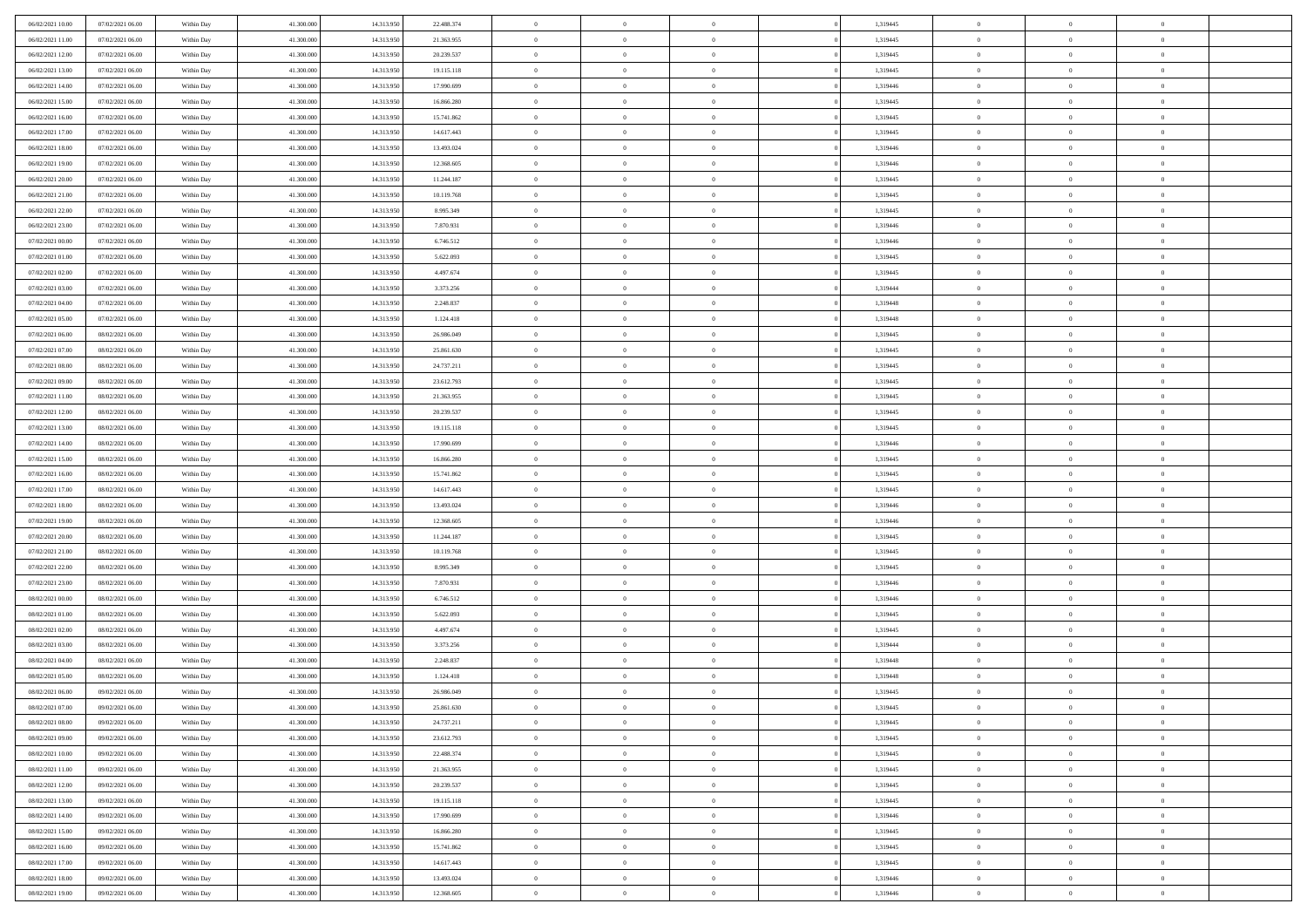| 06/02/2021 10:00 | 07/02/2021 06:00 | Within Day | 41.300.000 | 14.313.950 | 22.488.374 | $\overline{0}$ | $\overline{0}$ | $\Omega$       | 1,319445 | $\bf{0}$       | $\mathbf{0}$   | $\bf{0}$       |  |
|------------------|------------------|------------|------------|------------|------------|----------------|----------------|----------------|----------|----------------|----------------|----------------|--|
| 06/02/2021 11:00 | 07/02/2021 06:00 | Within Day | 41.300.000 | 14.313.950 | 21.363.955 | $\mathbf{0}$   | $\overline{0}$ | $\overline{0}$ | 1,319445 | $\overline{0}$ | $\overline{0}$ | $\overline{0}$ |  |
| 06/02/2021 12:00 | 07/02/2021 06:00 | Within Day | 41.300.000 | 14.313.950 | 20.239.537 | $\,$ 0         | $\overline{0}$ | $\bf{0}$       | 1,319445 | $\,$ 0         | $\overline{0}$ | $\,$ 0 $\,$    |  |
| 06/02/2021 13:00 | 07/02/2021 06:00 | Within Day | 41.300,000 | 14.313.950 | 19.115.118 | $\bf{0}$       | $\overline{0}$ | $\Omega$       | 1,319445 | $\bf{0}$       | $\mathbf{0}$   | $\theta$       |  |
| 06/02/2021 14:00 | 07/02/2021 06:00 | Within Day | 41.300.000 | 14.313.950 | 17.990.699 | $\bf{0}$       | $\overline{0}$ | $\overline{0}$ | 1,319446 | $\overline{0}$ | $\overline{0}$ | $\overline{0}$ |  |
| 06/02/2021 15:00 | 07/02/2021 06:00 | Within Day | 41.300.000 | 14.313.950 | 16.866.280 | $\bf{0}$       | $\overline{0}$ | $\bf{0}$       | 1,319445 | $\,$ 0         | $\overline{0}$ | $\,$ 0 $\,$    |  |
| 06/02/2021 16:00 | 07/02/2021 06:00 | Within Day | 41.300,000 | 14.313.950 | 15.741.862 | $\bf{0}$       | $\overline{0}$ | $\overline{0}$ | 1,319445 | $\theta$       | $\mathbf{0}$   | $\theta$       |  |
| 06/02/2021 17:00 | 07/02/2021 06:00 | Within Day | 41.300.000 | 14.313.950 | 14.617.443 | $\overline{0}$ | $\overline{0}$ | $\overline{0}$ | 1,319445 | $\mathbf{0}$   | $\overline{0}$ | $\overline{0}$ |  |
| 06/02/2021 18:00 | 07/02/2021 06:00 | Within Day | 41.300.000 | 14.313.950 | 13.493.024 | $\bf{0}$       | $\overline{0}$ | $\bf{0}$       | 1,319446 | $\,$ 0         | $\overline{0}$ | $\,$ 0 $\,$    |  |
| 06/02/2021 19:00 | 07/02/2021 06:00 | Within Day | 41.300,000 | 14.313.950 | 12.368.605 | $\bf{0}$       | $\overline{0}$ | $\Omega$       | 1,319446 | $\theta$       | $\mathbf{0}$   | $\theta$       |  |
| 06/02/2021 20:00 | 07/02/2021 06:00 | Within Day | 41.300.000 | 14.313.950 | 11.244.187 | $\overline{0}$ | $\overline{0}$ | $\overline{0}$ | 1,319445 | $\mathbf{0}$   | $\overline{0}$ | $\overline{0}$ |  |
| 06/02/2021 21:00 | 07/02/2021 06:00 | Within Day | 41.300.000 | 14.313.950 | 10.119.768 | $\bf{0}$       | $\overline{0}$ | $\bf{0}$       | 1,319445 | $\,$ 0         | $\overline{0}$ | $\,$ 0 $\,$    |  |
| 06/02/2021 22.00 | 07/02/2021 06:00 | Within Day | 41.300.000 | 14.313.950 | 8.995.349  | $\bf{0}$       | $\overline{0}$ | $\Omega$       | 1,319445 | $\overline{0}$ | $\mathbf{0}$   | $\theta$       |  |
| 06/02/2021 23:00 | 07/02/2021 06:00 | Within Day | 41.300.000 | 14.313.950 | 7.870.931  | $\overline{0}$ | $\overline{0}$ | $\overline{0}$ | 1,319446 | $\mathbf{0}$   | $\overline{0}$ | $\overline{0}$ |  |
| 07/02/2021 00:00 | 07/02/2021 06:00 | Within Day | 41.300.000 | 14.313.950 | 6.746.512  | $\bf{0}$       | $\overline{0}$ | $\bf{0}$       | 1,319446 | $\,$ 0         | $\overline{0}$ | $\,$ 0 $\,$    |  |
| 07/02/2021 01:00 | 07/02/2021 06:00 | Within Day | 41,300,000 | 14.313.950 | 5.622.093  | $\bf{0}$       | $\overline{0}$ | $\overline{0}$ | 1,319445 | $\theta$       | $\mathbf{0}$   | $\theta$       |  |
| 07/02/2021 02:00 | 07/02/2021 06:00 | Within Day | 41.300.000 | 14.313.950 | 4.497.674  | $\overline{0}$ | $\overline{0}$ | $\overline{0}$ | 1,319445 | $\mathbf{0}$   | $\overline{0}$ | $\overline{0}$ |  |
| 07/02/2021 03:00 | 07/02/2021 06:00 | Within Day | 41.300.000 | 14.313.950 | 3.373.256  | $\bf{0}$       | $\overline{0}$ | $\bf{0}$       | 1,319444 | $\,$ 0         | $\overline{0}$ | $\,$ 0 $\,$    |  |
| 07/02/2021 04:00 | 07/02/2021 06:00 | Within Day | 41.300,000 | 14.313.950 | 2.248.837  | $\bf{0}$       | $\overline{0}$ | $\Omega$       | 1,319448 | $\theta$       | $\mathbf{0}$   | $\theta$       |  |
| 07/02/2021 05:00 | 07/02/2021 06:00 | Within Day | 41.300.000 | 14.313.950 | 1.124.418  | $\overline{0}$ | $\overline{0}$ | $\overline{0}$ | 1,319448 | $\mathbf{0}$   | $\overline{0}$ | $\overline{0}$ |  |
| 07/02/2021 06:00 | 08/02/2021 06:00 | Within Day | 41.300.000 | 14.313.950 | 26.986.049 | $\bf{0}$       | $\overline{0}$ | $\bf{0}$       | 1,319445 | $\,$ 0         | $\overline{0}$ | $\,$ 0 $\,$    |  |
| 07/02/2021 07:00 | 08/02/2021 06:00 | Within Day | 41.300,000 | 14.313.950 | 25.861.630 | $\bf{0}$       | $\overline{0}$ | $\Omega$       | 1,319445 | $\bf{0}$       | $\theta$       | $\theta$       |  |
| 07/02/2021 08:00 | 08/02/2021 06:00 | Within Day | 41.300.000 | 14.313.950 | 24.737.211 | $\overline{0}$ | $\overline{0}$ | $\overline{0}$ | 1,319445 | $\mathbf{0}$   | $\overline{0}$ | $\overline{0}$ |  |
| 07/02/2021 09:00 | 08/02/2021 06:00 | Within Day | 41.300.000 | 14.313.950 | 23.612.793 | $\bf{0}$       | $\overline{0}$ | $\bf{0}$       | 1,319445 | $\,$ 0         | $\overline{0}$ | $\,$ 0 $\,$    |  |
| 07/02/2021 11:00 | 08/02/2021 06:00 | Within Day | 41.300,000 | 14.313.950 | 21.363.955 | $\bf{0}$       | $\overline{0}$ | $\overline{0}$ | 1,319445 | $\bf{0}$       | $\overline{0}$ | $\bf{0}$       |  |
| 07/02/2021 12:00 | 08/02/2021 06:00 | Within Day | 41.300.000 | 14.313.950 | 20.239.537 | $\overline{0}$ | $\overline{0}$ | $\overline{0}$ | 1,319445 | $\mathbf{0}$   | $\overline{0}$ | $\overline{0}$ |  |
| 07/02/2021 13:00 | 08/02/2021 06:00 | Within Day | 41.300.000 | 14.313.950 | 19.115.118 | $\bf{0}$       | $\overline{0}$ | $\bf{0}$       | 1,319445 | $\,$ 0         | $\overline{0}$ | $\,$ 0 $\,$    |  |
| 07/02/2021 14:00 | 08/02/2021 06:00 | Within Day | 41.300,000 | 14.313.950 | 17.990.699 | $\bf{0}$       | $\overline{0}$ | $\Omega$       | 1,319446 | $\theta$       | $\mathbf{0}$   | $\theta$       |  |
| 07/02/2021 15:00 | 08/02/2021 06:00 | Within Day | 41.300.000 | 14.313.950 | 16.866.280 | $\overline{0}$ | $\overline{0}$ | $\overline{0}$ | 1,319445 | $\mathbf{0}$   | $\overline{0}$ | $\overline{0}$ |  |
| 07/02/2021 16:00 | 08/02/2021 06:00 | Within Day | 41.300.000 | 14.313.950 | 15.741.862 | $\bf{0}$       | $\overline{0}$ | $\bf{0}$       | 1,319445 | $\,$ 0         | $\overline{0}$ | $\,$ 0 $\,$    |  |
| 07/02/2021 17:00 | 08/02/2021 06:00 | Within Day | 41.300.000 | 14.313.950 | 14.617.443 | $\bf{0}$       | $\bf{0}$       | $\overline{0}$ | 1,319445 | $\bf{0}$       | $\overline{0}$ | $\,0\,$        |  |
| 07/02/2021 18:00 | 08/02/2021 06:00 | Within Dav | 41.300.000 | 14.313.950 | 13.493.024 | $\overline{0}$ | $\overline{0}$ | $\overline{0}$ | 1,319446 | $\mathbf{0}$   | $\overline{0}$ | $\overline{0}$ |  |
| 07/02/2021 19:00 | 08/02/2021 06:00 | Within Day | 41.300.000 | 14.313.950 | 12.368.605 | $\bf{0}$       | $\overline{0}$ | $\bf{0}$       | 1,319446 | $\,$ 0         | $\overline{0}$ | $\,$ 0 $\,$    |  |
| 07/02/2021 20:00 | 08/02/2021 06:00 | Within Day | 41.300.000 | 14.313.950 | 11.244.187 | $\bf{0}$       | $\bf{0}$       | $\bf{0}$       | 1,319445 | $\bf{0}$       | $\overline{0}$ | $\,0\,$        |  |
| 07/02/2021 21:00 | 08/02/2021 06:00 | Within Day | 41.300.000 | 14.313.950 | 10.119.768 | $\overline{0}$ | $\overline{0}$ | $\overline{0}$ | 1,319445 | $\overline{0}$ | $\overline{0}$ | $\overline{0}$ |  |
| 07/02/2021 22.00 | 08/02/2021 06:00 | Within Day | 41.300.000 | 14.313.950 | 8.995.349  | $\bf{0}$       | $\overline{0}$ | $\bf{0}$       | 1,319445 | $\,$ 0         | $\overline{0}$ | $\,$ 0 $\,$    |  |
| 07/02/2021 23.00 | 08/02/2021 06:00 | Within Day | 41.300.000 | 14.313.950 | 7.870.931  | $\bf{0}$       | $\bf{0}$       | $\overline{0}$ | 1,319446 | $\bf{0}$       | $\overline{0}$ | $\,0\,$        |  |
| 08/02/2021 00:00 | 08/02/2021 06:00 | Within Day | 41.300.000 | 14.313.950 | 6.746.512  | $\overline{0}$ | $\overline{0}$ | $\overline{0}$ | 1,319446 | $\mathbf{0}$   | $\overline{0}$ | $\overline{0}$ |  |
| 08/02/2021 01:00 | 08/02/2021 06:00 | Within Day | 41.300.000 | 14.313.950 | 5.622.093  | $\bf{0}$       | $\overline{0}$ | $\bf{0}$       | 1,319445 | $\,$ 0         | $\overline{0}$ | $\,$ 0 $\,$    |  |
| 08/02/2021 02:00 | 08/02/2021 06:00 | Within Day | 41.300.000 | 14.313.950 | 4.497.674  | $\bf{0}$       | $\bf{0}$       | $\overline{0}$ | 1,319445 | $\bf{0}$       | $\overline{0}$ | $\,0\,$        |  |
| 08/02/2021 03:00 | 08/02/2021 06:00 | Within Day | 41.300.000 | 14.313.950 | 3.373.256  | $\overline{0}$ | $\overline{0}$ | $\overline{0}$ | 1,319444 | $\overline{0}$ | $\overline{0}$ | $\overline{0}$ |  |
| 08/02/2021 04:00 | 08/02/2021 06:00 | Within Day | 41.300.000 | 14.313.950 | 2.248.837  | $\bf{0}$       | $\overline{0}$ | $\bf{0}$       | 1,319448 | $\,$ 0         | $\overline{0}$ | $\,$ 0 $\,$    |  |
| 08/02/2021 05:00 | 08/02/2021 06:00 | Within Day | 41.300.000 | 14.313.950 | 1.124.418  | $\bf{0}$       | $\bf{0}$       | $\bf{0}$       | 1,319448 | $\bf{0}$       | $\overline{0}$ | $\,0\,$        |  |
| 08/02/2021 06:00 | 09/02/2021 06:00 | Within Dav | 41.300.000 | 14.313.950 | 26.986.049 | $\mathbf{0}$   | $\overline{0}$ | $\overline{0}$ | 1,319445 | $\mathbf{0}$   | $\overline{0}$ | $\overline{0}$ |  |
| 08/02/2021 07:00 | 09/02/2021 06:00 | Within Day | 41.300.000 | 14.313.950 | 25.861.630 | $\bf{0}$       | $\overline{0}$ | $\theta$       | 1,319445 | $\overline{0}$ | $\theta$       | $\theta$       |  |
| 08/02/2021 08:00 | 09/02/2021 06:00 | Within Day | 41.300.000 | 14.313.950 | 24.737.211 | $\bf{0}$       | $\bf{0}$       | $\bf{0}$       | 1,319445 | $\bf{0}$       | $\overline{0}$ | $\,0\,$        |  |
| 08/02/2021 09:00 | 09/02/2021 06:00 | Within Day | 41.300.000 | 14.313.950 | 23.612.793 | $\overline{0}$ | $\overline{0}$ | $\overline{0}$ | 1,319445 | $\overline{0}$ | $\bf{0}$       | $\overline{0}$ |  |
| 08/02/2021 10:00 | 09/02/2021 06:00 | Within Day | 41.300.000 | 14.313.950 | 22.488.374 | $\,$ 0 $\,$    | $\overline{0}$ | $\overline{0}$ | 1,319445 | $\,$ 0 $\,$    | $\,$ 0 $\,$    | $\,$ 0 $\,$    |  |
| 08/02/2021 11:00 | 09/02/2021 06:00 | Within Day | 41.300.000 | 14.313.950 | 21.363.955 | $\bf{0}$       | $\bf{0}$       | $\overline{0}$ | 1,319445 | $\bf{0}$       | $\overline{0}$ | $\bf{0}$       |  |
| 08/02/2021 12:00 | 09/02/2021 06:00 | Within Day | 41.300.000 | 14.313.950 | 20.239.537 | $\bf{0}$       | $\overline{0}$ | $\overline{0}$ | 1,319445 | $\overline{0}$ | $\overline{0}$ | $\overline{0}$ |  |
| 08/02/2021 13:00 | 09/02/2021 06:00 | Within Day | 41.300.000 | 14.313.950 | 19.115.118 | $\,$ 0 $\,$    | $\overline{0}$ | $\overline{0}$ | 1,319445 | $\,$ 0 $\,$    | $\overline{0}$ | $\,$ 0 $\,$    |  |
| 08/02/2021 14:00 | 09/02/2021 06:00 | Within Day | 41.300.000 | 14.313.950 | 17.990.699 | $\bf{0}$       | $\overline{0}$ | $\overline{0}$ | 1,319446 | $\bf{0}$       | $\overline{0}$ | $\overline{0}$ |  |
| 08/02/2021 15:00 | 09/02/2021 06:00 | Within Day | 41.300.000 | 14.313.950 | 16.866.280 | $\overline{0}$ | $\overline{0}$ | $\overline{0}$ | 1,319445 | $\overline{0}$ | $\bf{0}$       | $\overline{0}$ |  |
| 08/02/2021 16:00 | 09/02/2021 06:00 | Within Day | 41.300.000 | 14.313.950 | 15.741.862 | $\,$ 0 $\,$    | $\overline{0}$ | $\overline{0}$ | 1,319445 | $\,$ 0 $\,$    | $\,$ 0 $\,$    | $\,$ 0 $\,$    |  |
| 08/02/2021 17:00 | 09/02/2021 06:00 | Within Day | 41.300.000 | 14.313.950 | 14.617.443 | $\bf{0}$       | $\bf{0}$       | $\overline{0}$ | 1,319445 | $\mathbf{0}$   | $\overline{0}$ | $\bf{0}$       |  |
| 08/02/2021 18:00 | 09/02/2021 06:00 | Within Day | 41.300.000 | 14.313.950 | 13.493.024 | $\bf{0}$       | $\overline{0}$ | $\overline{0}$ | 1,319446 | $\mathbf{0}$   | $\bf{0}$       | $\overline{0}$ |  |
| 08/02/2021 19:00 | 09/02/2021 06:00 | Within Day | 41.300.000 | 14.313.950 | 12.368.605 | $\,0\,$        | $\overline{0}$ | $\overline{0}$ | 1,319446 | $\,$ 0         | $\overline{0}$ | $\,$ 0 $\,$    |  |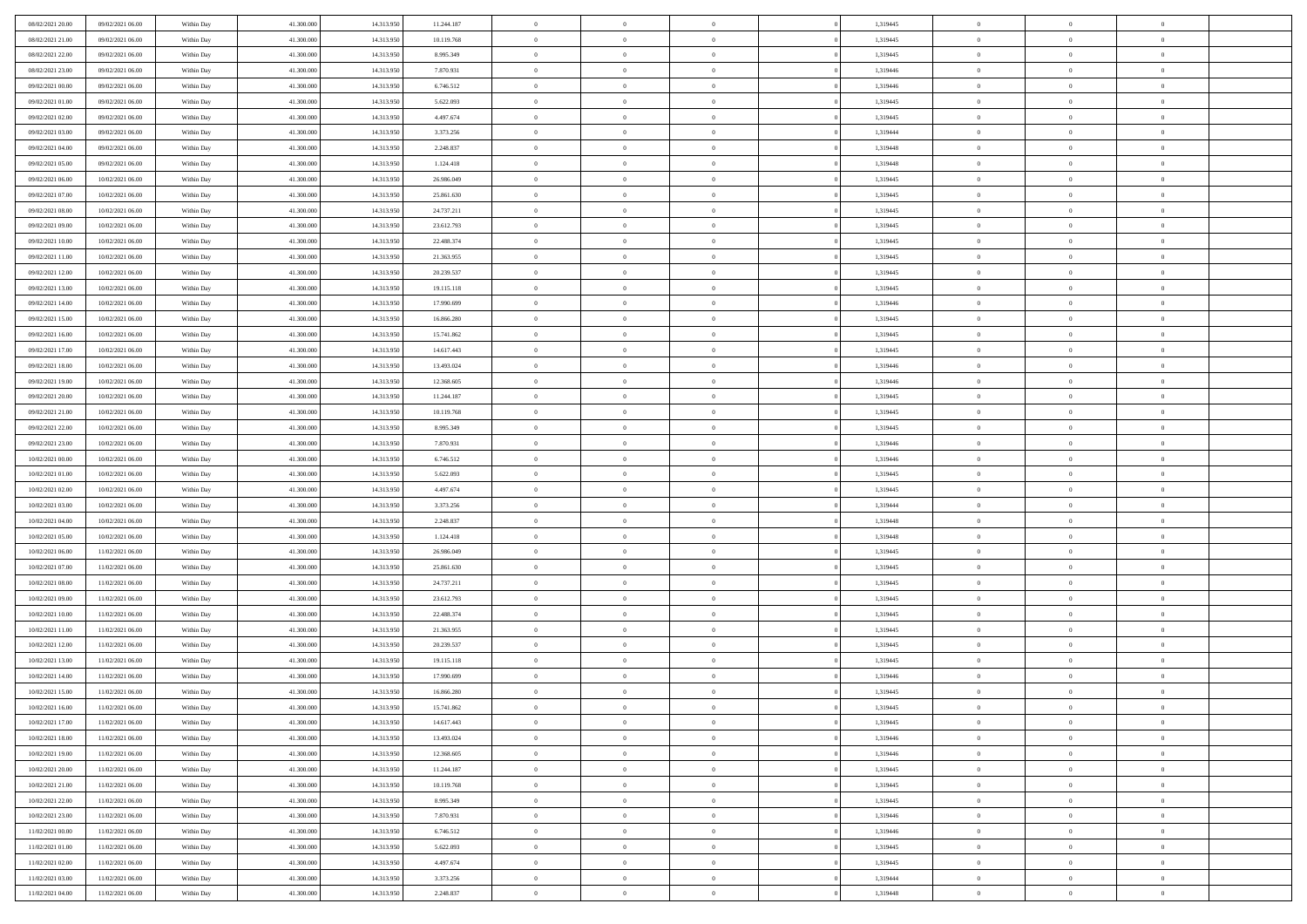| 08/02/2021 20:00 | 09/02/2021 06:00 | Within Day | 41.300.000 | 14.313.950 | 11.244.187 | $\overline{0}$ | $\overline{0}$ | $\Omega$       | 1,319445 | $\bf{0}$       | $\mathbf{0}$   | $\bf{0}$       |  |
|------------------|------------------|------------|------------|------------|------------|----------------|----------------|----------------|----------|----------------|----------------|----------------|--|
| 08/02/2021 21:00 | 09/02/2021 06:00 | Within Day | 41.300.000 | 14.313.950 | 10.119.768 | $\mathbf{0}$   | $\overline{0}$ | $\overline{0}$ | 1,319445 | $\overline{0}$ | $\overline{0}$ | $\overline{0}$ |  |
| 08/02/2021 22:00 | 09/02/2021 06:00 | Within Day | 41.300.000 | 14.313.950 | 8.995.349  | $\,$ 0         | $\overline{0}$ | $\bf{0}$       | 1,319445 | $\,$ 0         | $\overline{0}$ | $\,$ 0 $\,$    |  |
| 08/02/2021 23:00 | 09/02/2021 06:00 | Within Day | 41.300,000 | 14.313.950 | 7.870.931  | $\bf{0}$       | $\overline{0}$ | $\Omega$       | 1,319446 | $\bf{0}$       | $\mathbf{0}$   | $\theta$       |  |
| 09/02/2021 00:00 | 09/02/2021 06:00 | Within Day | 41.300.000 | 14.313.950 | 6.746.512  | $\bf{0}$       | $\overline{0}$ | $\overline{0}$ | 1,319446 | $\overline{0}$ | $\overline{0}$ | $\overline{0}$ |  |
| 09/02/2021 01:00 | 09/02/2021 06:00 | Within Day | 41.300.000 | 14.313.950 | 5.622.093  | $\bf{0}$       | $\overline{0}$ | $\bf{0}$       | 1,319445 | $\,$ 0         | $\overline{0}$ | $\,$ 0 $\,$    |  |
| 09/02/2021 02:00 | 09/02/2021 06:00 | Within Day | 41.300,000 | 14.313.950 | 4.497.674  | $\bf{0}$       | $\overline{0}$ | $\overline{0}$ | 1,319445 | $\theta$       | $\mathbf{0}$   | $\theta$       |  |
| 09/02/2021 03:00 | 09/02/2021 06:00 | Within Day | 41.300.000 | 14.313.950 | 3.373.256  | $\overline{0}$ | $\overline{0}$ | $\overline{0}$ | 1,319444 | $\mathbf{0}$   | $\overline{0}$ | $\overline{0}$ |  |
| 09/02/2021 04:00 | 09/02/2021 06:00 | Within Day | 41.300.000 | 14.313.950 | 2.248.837  | $\bf{0}$       | $\overline{0}$ | $\bf{0}$       | 1,319448 | $\,$ 0         | $\overline{0}$ | $\,$ 0 $\,$    |  |
| 09/02/2021 05:00 | 09/02/2021 06:00 | Within Day | 41.300,000 | 14.313.950 | 1.124.418  | $\bf{0}$       | $\overline{0}$ | $\Omega$       | 1,319448 | $\theta$       | $\mathbf{0}$   | $\theta$       |  |
| 09/02/2021 06:00 | 10/02/2021 06:00 | Within Day | 41.300.000 | 14.313.950 | 26.986.049 | $\overline{0}$ | $\overline{0}$ | $\overline{0}$ | 1,319445 | $\mathbf{0}$   | $\overline{0}$ | $\overline{0}$ |  |
| 09/02/2021 07:00 | 10/02/2021 06:00 | Within Day | 41.300.000 | 14.313.950 | 25.861.630 | $\bf{0}$       | $\overline{0}$ | $\bf{0}$       | 1,319445 | $\,$ 0         | $\overline{0}$ | $\,$ 0 $\,$    |  |
| 09/02/2021 08:00 | 10/02/2021 06:00 | Within Day | 41.300.000 | 14.313.950 | 24.737.211 | $\bf{0}$       | $\overline{0}$ | $\Omega$       | 1,319445 | $\overline{0}$ | $\mathbf{0}$   | $\theta$       |  |
| 09/02/2021 09:00 | 10/02/2021 06:00 | Within Day | 41.300.000 | 14.313.950 | 23.612.793 | $\overline{0}$ | $\overline{0}$ | $\overline{0}$ | 1,319445 | $\mathbf{0}$   | $\overline{0}$ | $\overline{0}$ |  |
| 09/02/2021 10:00 | 10/02/2021 06:00 | Within Day | 41.300.000 | 14.313.950 | 22.488.374 | $\bf{0}$       | $\overline{0}$ | $\bf{0}$       | 1,319445 | $\,$ 0         | $\overline{0}$ | $\,$ 0 $\,$    |  |
| 09/02/2021 11:00 | 10/02/2021 06:00 | Within Day | 41,300,000 | 14.313.950 | 21.363.955 | $\bf{0}$       | $\overline{0}$ | $\overline{0}$ | 1,319445 | $\theta$       | $\mathbf{0}$   | $\theta$       |  |
| 09/02/2021 12:00 | 10/02/2021 06:00 | Within Day | 41.300.000 | 14.313.950 | 20.239.537 | $\overline{0}$ | $\overline{0}$ | $\overline{0}$ | 1,319445 | $\mathbf{0}$   | $\overline{0}$ | $\overline{0}$ |  |
| 09/02/2021 13:00 | 10/02/2021 06:00 | Within Day | 41.300.000 | 14.313.950 | 19.115.118 | $\bf{0}$       | $\overline{0}$ | $\bf{0}$       | 1,319445 | $\,$ 0         | $\overline{0}$ | $\,$ 0 $\,$    |  |
| 09/02/2021 14:00 | 10/02/2021 06:00 | Within Day | 41.300,000 | 14.313.950 | 17.990.699 | $\bf{0}$       | $\overline{0}$ | $\Omega$       | 1,319446 | $\theta$       | $\mathbf{0}$   | $\theta$       |  |
| 09/02/2021 15:00 | 10/02/2021 06:00 | Within Day | 41.300.000 | 14.313.950 | 16.866.280 | $\overline{0}$ | $\overline{0}$ | $\overline{0}$ | 1,319445 | $\mathbf{0}$   | $\overline{0}$ | $\overline{0}$ |  |
| 09/02/2021 16:00 | 10/02/2021 06:00 | Within Day | 41.300.000 | 14.313.950 | 15.741.862 | $\bf{0}$       | $\overline{0}$ | $\bf{0}$       | 1,319445 | $\,$ 0         | $\overline{0}$ | $\,$ 0 $\,$    |  |
| 09/02/2021 17:00 | 10/02/2021 06:00 | Within Day | 41.300,000 | 14.313.950 | 14.617.443 | $\bf{0}$       | $\overline{0}$ | $\Omega$       | 1,319445 | $\bf{0}$       | $\theta$       | $\theta$       |  |
| 09/02/2021 18:00 | 10/02/2021 06:00 | Within Day | 41.300.000 | 14.313.950 | 13.493.024 | $\overline{0}$ | $\overline{0}$ | $\overline{0}$ | 1,319446 | $\mathbf{0}$   | $\overline{0}$ | $\overline{0}$ |  |
| 09/02/2021 19:00 | 10/02/2021 06:00 | Within Day | 41.300.000 | 14.313.950 | 12.368.605 | $\bf{0}$       | $\overline{0}$ | $\bf{0}$       | 1,319446 | $\,$ 0         | $\overline{0}$ | $\,$ 0 $\,$    |  |
| 09/02/2021 20:00 | 10/02/2021 06:00 | Within Day | 41.300,000 | 14.313.950 | 11.244.187 | $\bf{0}$       | $\overline{0}$ | $\overline{0}$ | 1,319445 | $\bf{0}$       | $\overline{0}$ | $\bf{0}$       |  |
| 09/02/2021 21:00 | 10/02/2021 06:00 | Within Day | 41.300.000 | 14.313.950 | 10.119.768 | $\overline{0}$ | $\overline{0}$ | $\overline{0}$ | 1,319445 | $\mathbf{0}$   | $\overline{0}$ | $\overline{0}$ |  |
| 09/02/2021 22.00 | 10/02/2021 06:00 | Within Day | 41.300.000 | 14.313.950 | 8.995.349  | $\bf{0}$       | $\overline{0}$ | $\bf{0}$       | 1,319445 | $\,$ 0         | $\overline{0}$ | $\,$ 0 $\,$    |  |
| 09/02/2021 23.00 | 10/02/2021 06:00 | Within Day | 41.300,000 | 14.313.950 | 7.870.931  | $\bf{0}$       | $\overline{0}$ | $\Omega$       | 1,319446 | $\theta$       | $\mathbf{0}$   | $\theta$       |  |
| 10/02/2021 00:00 | 10/02/2021 06:00 | Within Day | 41.300.000 | 14.313.950 | 6.746.512  | $\overline{0}$ | $\overline{0}$ | $\overline{0}$ | 1,319446 | $\mathbf{0}$   | $\overline{0}$ | $\overline{0}$ |  |
| 10/02/2021 01:00 | 10/02/2021 06:00 | Within Day | 41.300.000 | 14.313.950 | 5.622.093  | $\bf{0}$       | $\overline{0}$ | $\bf{0}$       | 1,319445 | $\,$ 0         | $\overline{0}$ | $\,$ 0 $\,$    |  |
| 10/02/2021 02:00 | 10/02/2021 06:00 | Within Day | 41.300.000 | 14.313.950 | 4.497.674  | $\bf{0}$       | $\bf{0}$       | $\overline{0}$ | 1,319445 | $\bf{0}$       | $\overline{0}$ | $\,0\,$        |  |
| 10/02/2021 03:00 | 10/02/2021 06:00 | Within Dav | 41.300.000 | 14.313.950 | 3.373.256  | $\overline{0}$ | $\overline{0}$ | $\overline{0}$ | 1,319444 | $\mathbf{0}$   | $\overline{0}$ | $\overline{0}$ |  |
| 10/02/2021 04:00 | 10/02/2021 06:00 | Within Day | 41.300.000 | 14.313.950 | 2.248.837  | $\bf{0}$       | $\overline{0}$ | $\bf{0}$       | 1,319448 | $\,$ 0         | $\overline{0}$ | $\,$ 0 $\,$    |  |
| 10/02/2021 05:00 | 10/02/2021 06:00 | Within Day | 41.300.000 | 14.313.950 | 1.124.418  | $\bf{0}$       | $\bf{0}$       | $\bf{0}$       | 1,319448 | $\bf{0}$       | $\overline{0}$ | $\,0\,$        |  |
| 10/02/2021 06:00 | 11/02/2021 06:00 | Within Day | 41.300.000 | 14.313.950 | 26.986.049 | $\overline{0}$ | $\overline{0}$ | $\overline{0}$ | 1,319445 | $\overline{0}$ | $\overline{0}$ | $\overline{0}$ |  |
| 10/02/2021 07:00 | 11/02/2021 06:00 | Within Day | 41.300.000 | 14.313.950 | 25.861.630 | $\bf{0}$       | $\overline{0}$ | $\bf{0}$       | 1,319445 | $\,$ 0         | $\overline{0}$ | $\,$ 0 $\,$    |  |
| 10/02/2021 08:00 | 11/02/2021 06:00 | Within Day | 41.300.000 | 14.313.950 | 24.737.211 | $\bf{0}$       | $\bf{0}$       | $\overline{0}$ | 1,319445 | $\bf{0}$       | $\overline{0}$ | $\,0\,$        |  |
| 10/02/2021 09:00 | 11/02/2021 06:00 | Within Day | 41.300.000 | 14.313.950 | 23.612.793 | $\overline{0}$ | $\overline{0}$ | $\overline{0}$ | 1,319445 | $\mathbf{0}$   | $\overline{0}$ | $\overline{0}$ |  |
| 10/02/2021 10:00 | 11/02/2021 06:00 | Within Day | 41.300.000 | 14.313.950 | 22.488.374 | $\bf{0}$       | $\overline{0}$ | $\bf{0}$       | 1,319445 | $\,$ 0         | $\overline{0}$ | $\,$ 0 $\,$    |  |
| 10/02/2021 11:00 | 11/02/2021 06:00 | Within Day | 41.300.000 | 14.313.950 | 21.363.955 | $\bf{0}$       | $\bf{0}$       | $\overline{0}$ | 1,319445 | $\bf{0}$       | $\overline{0}$ | $\,0\,$        |  |
| 10/02/2021 12:00 | 11/02/2021 06:00 | Within Day | 41.300.000 | 14.313.950 | 20.239.537 | $\overline{0}$ | $\overline{0}$ | $\overline{0}$ | 1,319445 | $\overline{0}$ | $\overline{0}$ | $\overline{0}$ |  |
| 10/02/2021 13:00 | 11/02/2021 06:00 | Within Day | 41.300.000 | 14.313.950 | 19.115.118 | $\bf{0}$       | $\overline{0}$ | $\bf{0}$       | 1,319445 | $\,$ 0         | $\overline{0}$ | $\,$ 0 $\,$    |  |
| 10/02/2021 14:00 | 11/02/2021 06:00 | Within Day | 41.300.000 | 14.313.950 | 17.990.699 | $\bf{0}$       | $\bf{0}$       | $\bf{0}$       | 1,319446 | $\bf{0}$       | $\overline{0}$ | $\,0\,$        |  |
| 10/02/2021 15:00 | 11/02/2021 06:00 | Within Dav | 41.300.000 | 14.313.950 | 16.866.280 | $\mathbf{0}$   | $\overline{0}$ | $\overline{0}$ | 1,319445 | $\mathbf{0}$   | $\overline{0}$ | $\overline{0}$ |  |
| 10/02/2021 16:00 | 11/02/2021 06:00 | Within Day | 41.300.000 | 14.313.950 | 15.741.862 | $\bf{0}$       | $\overline{0}$ | $\theta$       | 1,319445 | $\overline{0}$ | $\theta$       | $\theta$       |  |
| 10/02/2021 17:00 | 11/02/2021 06:00 | Within Day | 41.300.000 | 14.313.950 | 14.617.443 | $\bf{0}$       | $\bf{0}$       | $\bf{0}$       | 1,319445 | $\bf{0}$       | $\overline{0}$ | $\bf{0}$       |  |
| 10/02/2021 18:00 | 11/02/2021 06:00 | Within Day | 41.300.000 | 14.313.950 | 13.493.024 | $\overline{0}$ | $\overline{0}$ | $\overline{0}$ | 1,319446 | $\overline{0}$ | $\overline{0}$ | $\overline{0}$ |  |
| 10/02/2021 19:00 | 11/02/2021 06:00 | Within Day | 41.300.000 | 14.313.950 | 12.368.605 | $\,$ 0 $\,$    | $\overline{0}$ | $\overline{0}$ | 1,319446 | $\mathbf{0}$   | $\,$ 0 $\,$    | $\,$ 0 $\,$    |  |
| 10/02/2021 20:00 | 11/02/2021 06:00 | Within Day | 41.300.000 | 14.313.950 | 11.244.187 | $\bf{0}$       | $\bf{0}$       | $\overline{0}$ | 1,319445 | $\bf{0}$       | $\overline{0}$ | $\bf{0}$       |  |
| 10/02/2021 21:00 | 11/02/2021 06:00 | Within Day | 41.300.000 | 14.313.950 | 10.119.768 | $\bf{0}$       | $\overline{0}$ | $\overline{0}$ | 1,319445 | $\overline{0}$ | $\bf{0}$       | $\overline{0}$ |  |
| 10/02/2021 22:00 | 11/02/2021 06:00 | Within Day | 41.300.000 | 14.313.950 | 8.995.349  | $\,$ 0 $\,$    | $\overline{0}$ | $\overline{0}$ | 1,319445 | $\,$ 0 $\,$    | $\overline{0}$ | $\,$ 0 $\,$    |  |
| 10/02/2021 23:00 | 11/02/2021 06:00 | Within Day | 41.300.000 | 14.313.950 | 7.870.931  | $\overline{0}$ | $\overline{0}$ | $\overline{0}$ | 1,319446 | $\bf{0}$       | $\overline{0}$ | $\overline{0}$ |  |
| 11/02/2021 00:00 | 11/02/2021 06:00 | Within Day | 41.300.000 | 14.313.950 | 6.746.512  | $\overline{0}$ | $\overline{0}$ | $\overline{0}$ | 1,319446 | $\overline{0}$ | $\bf{0}$       | $\overline{0}$ |  |
| 11/02/2021 01:00 | 11/02/2021 06:00 | Within Day | 41.300.000 | 14.313.950 | 5.622.093  | $\,$ 0 $\,$    | $\overline{0}$ | $\overline{0}$ | 1,319445 | $\mathbf{0}$   | $\,$ 0 $\,$    | $\,$ 0 $\,$    |  |
| 11/02/2021 02:00 | 11/02/2021 06:00 | Within Day | 41.300.000 | 14.313.950 | 4.497.674  | $\bf{0}$       | $\bf{0}$       | $\overline{0}$ | 1,319445 | $\mathbf{0}$   | $\overline{0}$ | $\bf{0}$       |  |
| 11/02/2021 03:00 | 11/02/2021 06:00 | Within Day | 41.300.000 | 14.313.950 | 3.373.256  | $\overline{0}$ | $\overline{0}$ | $\overline{0}$ | 1,319444 | $\mathbf{0}$   | $\bf{0}$       | $\overline{0}$ |  |
| 11/02/2021 04:00 | 11/02/2021 06:00 | Within Day | 41.300.000 | 14.313.950 | 2.248.837  | $\,0\,$        | $\overline{0}$ | $\overline{0}$ | 1,319448 | $\,$ 0         | $\overline{0}$ | $\,$ 0 $\,$    |  |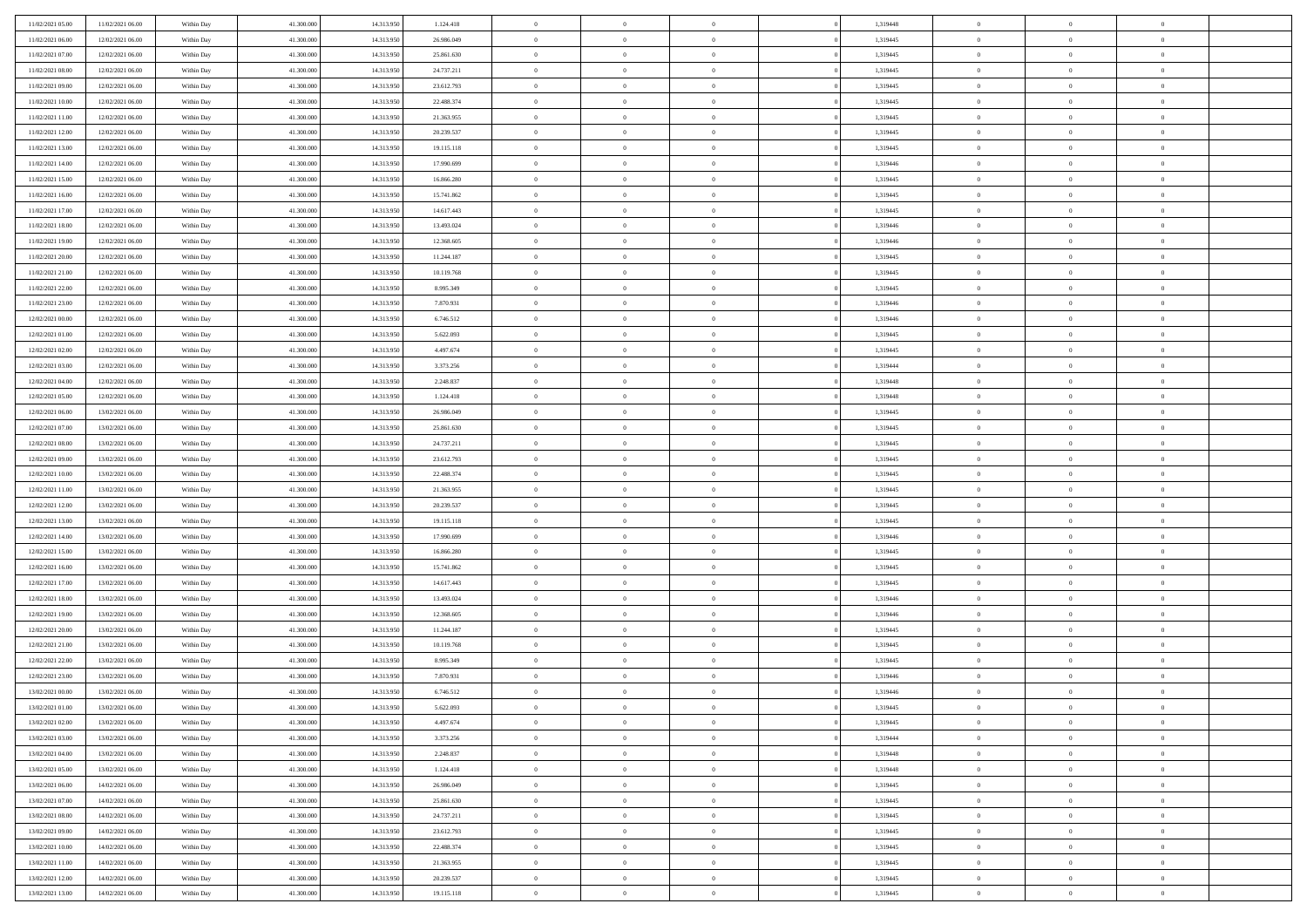| 11/02/2021 05:00 | 11/02/2021 06:00 | Within Day | 41.300,000 | 14.313.950 | 1.124.418  | $\bf{0}$       | $\overline{0}$ | $\overline{0}$ | 1,319448 | $\mathbf{0}$   | $\overline{0}$ | $\bf{0}$       |  |
|------------------|------------------|------------|------------|------------|------------|----------------|----------------|----------------|----------|----------------|----------------|----------------|--|
| 11/02/2021 06:00 | 12/02/2021 06:00 | Within Day | 41.300.000 | 14.313.950 | 26.986.049 | $\overline{0}$ | $\overline{0}$ | $\overline{0}$ | 1,319445 | $\mathbf{0}$   | $\bf{0}$       | $\theta$       |  |
| 11/02/2021 07:00 | 12/02/2021 06:00 | Within Day | 41.300.000 | 14.313.950 | 25.861.630 | $\,$ 0         | $\overline{0}$ | $\overline{0}$ | 1,319445 | $\,$ 0 $\,$    | $\overline{0}$ | $\,0\,$        |  |
| 11/02/2021 08:00 | 12/02/2021 06:00 | Within Day | 41.300,000 | 14.313.950 | 24.737.211 | $\overline{0}$ | $\overline{0}$ | $\Omega$       | 1.319445 | $\overline{0}$ | $\theta$       | $\overline{0}$ |  |
| 11/02/2021 09:00 | 12/02/2021 06:00 | Within Day | 41.300.000 | 14.313.950 | 23.612.793 | $\mathbf{0}$   | $\overline{0}$ | $\overline{0}$ | 1,319445 | $\mathbf{0}$   | $\bf{0}$       | $\overline{0}$ |  |
| 11/02/2021 10:00 | 12/02/2021 06:00 | Within Day | 41.300.000 | 14.313.950 | 22.488.374 | $\,$ 0         | $\overline{0}$ | $\overline{0}$ | 1,319445 | $\,$ 0 $\,$    | $\overline{0}$ | $\,0\,$        |  |
| 11/02/2021 11:00 | 12/02/2021 06:00 | Within Day | 41.300,000 | 14.313.950 | 21.363.955 | $\bf{0}$       | $\overline{0}$ | $\Omega$       | 1,319445 | $\bf{0}$       | $\overline{0}$ | $\overline{0}$ |  |
| 11/02/2021 12:00 | 12/02/2021 06:00 | Within Day | 41.300.000 | 14.313.950 | 20.239.537 | $\overline{0}$ | $\overline{0}$ | $\overline{0}$ | 1,319445 | $\mathbf{0}$   | $\bf{0}$       | $\theta$       |  |
| 11/02/2021 13:00 | 12/02/2021 06:00 | Within Day | 41.300.000 | 14.313.950 | 19.115.118 | $\,$ 0         | $\overline{0}$ | $\overline{0}$ | 1,319445 | $\,$ 0 $\,$    | $\overline{0}$ | $\,0\,$        |  |
| 11/02/2021 14:00 | 12/02/2021 06:00 | Within Day | 41.300,000 | 14.313.950 | 17.990.699 | $\overline{0}$ | $\overline{0}$ | $\Omega$       | 1,319446 | $\overline{0}$ | $\theta$       | $\overline{0}$ |  |
| 11/02/2021 15:00 | 12/02/2021 06:00 | Within Day | 41.300.000 | 14.313.950 | 16.866.280 | $\mathbf{0}$   | $\overline{0}$ | $\overline{0}$ | 1,319445 | $\mathbf{0}$   | $\bf{0}$       | $\theta$       |  |
| 11/02/2021 16:00 | 12/02/2021 06:00 | Within Day | 41.300.000 | 14.313.950 | 15.741.862 | $\,$ 0         | $\overline{0}$ | $\overline{0}$ | 1,319445 | $\,$ 0 $\,$    | $\overline{0}$ | $\,0\,$        |  |
| 11/02/2021 17:00 | 12/02/2021 06:00 | Within Day | 41.300,000 | 14.313.950 | 14.617.443 | $\overline{0}$ | $\overline{0}$ | $\Omega$       | 1,319445 | $\overline{0}$ | $\theta$       | $\overline{0}$ |  |
| 11/02/2021 18:00 | 12/02/2021 06:00 | Within Day | 41.300.000 | 14.313.950 | 13.493.024 | $\mathbf{0}$   | $\overline{0}$ | $\overline{0}$ | 1,319446 | $\mathbf{0}$   | $\bf{0}$       | $\overline{0}$ |  |
| 11/02/2021 19:00 | 12/02/2021 06:00 | Within Day | 41.300.000 | 14.313.950 | 12.368.605 | $\,$ 0         | $\overline{0}$ | $\overline{0}$ | 1,319446 | $\,$ 0 $\,$    | $\overline{0}$ | $\,0\,$        |  |
| 11/02/2021 20:00 | 12/02/2021 06:00 | Within Day | 41.300,000 | 14.313.950 | 11.244.187 | $\bf{0}$       | $\overline{0}$ | $\Omega$       | 1,319445 | $\bf{0}$       | $\theta$       | $\overline{0}$ |  |
| 11/02/2021 21:00 | 12/02/2021 06:00 | Within Day | 41.300.000 | 14.313.950 | 10.119.768 | $\mathbf{0}$   | $\overline{0}$ | $\overline{0}$ | 1,319445 | $\mathbf{0}$   | $\bf{0}$       | $\theta$       |  |
| 11/02/2021 22:00 | 12/02/2021 06:00 | Within Day | 41.300.000 | 14.313.950 | 8.995.349  | $\,$ 0         | $\overline{0}$ | $\overline{0}$ | 1,319445 | $\,$ 0 $\,$    | $\overline{0}$ | $\,0\,$        |  |
| 11/02/2021 23.00 | 12/02/2021 06:00 | Within Day | 41.300.000 | 14.313.950 | 7.870.931  | $\overline{0}$ | $\overline{0}$ | $\Omega$       | 1,319446 | $\overline{0}$ | $\theta$       | $\overline{0}$ |  |
| 12/02/2021 00:00 | 12/02/2021 06:00 | Within Day | 41.300.000 | 14.313.950 | 6.746.512  | $\mathbf{0}$   | $\overline{0}$ | $\overline{0}$ | 1,319446 | $\mathbf{0}$   | $\bf{0}$       | $\theta$       |  |
| 12/02/2021 01:00 | 12/02/2021 06:00 | Within Day | 41.300.000 | 14.313.950 | 5.622.093  | $\,$ 0         | $\overline{0}$ | $\overline{0}$ | 1,319445 | $\,$ 0 $\,$    | $\overline{0}$ | $\,0\,$        |  |
| 12/02/2021 02:00 | 12/02/2021 06:00 | Within Day | 41.300,000 | 14.313.950 | 4.497.674  | $\overline{0}$ | $\overline{0}$ | $\Omega$       | 1,319445 | $\overline{0}$ | $\theta$       | $\overline{0}$ |  |
| 12/02/2021 03:00 | 12/02/2021 06:00 | Within Day | 41.300.000 | 14.313.950 | 3.373.256  | $\mathbf{0}$   | $\overline{0}$ | $\overline{0}$ | 1,319444 | $\mathbf{0}$   | $\bf{0}$       | $\theta$       |  |
| 12/02/2021 04:00 | 12/02/2021 06:00 | Within Day | 41.300.000 | 14.313.950 | 2.248.837  | $\,$ 0         | $\overline{0}$ | $\overline{0}$ | 1,319448 | $\,$ 0 $\,$    | $\overline{0}$ | $\,0\,$        |  |
| 12/02/2021 05:00 | 12/02/2021 06:00 | Within Day | 41.300,000 | 14.313.950 | 1.124.418  | $\bf{0}$       | $\overline{0}$ | $\Omega$       | 1.319448 | $\bf{0}$       | $\overline{0}$ | $\bf{0}$       |  |
| 12/02/2021 06:00 | 13/02/2021 06:00 | Within Day | 41.300.000 | 14.313.950 | 26.986.049 | $\overline{0}$ | $\overline{0}$ | $\overline{0}$ | 1,319445 | $\mathbf{0}$   | $\bf{0}$       | $\theta$       |  |
| 12/02/2021 07:00 | 13/02/2021 06:00 | Within Day | 41.300.000 | 14.313.950 | 25.861.630 | $\,$ 0         | $\overline{0}$ | $\overline{0}$ | 1,319445 | $\,$ 0 $\,$    | $\overline{0}$ | $\,0\,$        |  |
| 12/02/2021 08:00 | 13/02/2021 06:00 | Within Day | 41.300,000 | 14.313.950 | 24.737.211 | $\overline{0}$ | $\overline{0}$ | $\Omega$       | 1,319445 | $\overline{0}$ | $\theta$       | $\overline{0}$ |  |
| 12/02/2021 09:00 | 13/02/2021 06:00 | Within Day | 41.300.000 | 14.313.950 | 23.612.793 | $\mathbf{0}$   | $\overline{0}$ | $\overline{0}$ | 1,319445 | $\mathbf{0}$   | $\bf{0}$       | $\overline{0}$ |  |
| 12/02/2021 10:00 | 13/02/2021 06:00 | Within Day | 41.300.000 | 14.313.950 | 22.488.374 | $\,$ 0         | $\overline{0}$ | $\overline{0}$ | 1,319445 | $\,$ 0 $\,$    | $\overline{0}$ | $\,0\,$        |  |
| 12/02/2021 11:00 | 13/02/2021 06:00 | Within Day | 41.300.000 | 14.313.950 | 21.363.955 | $\bf{0}$       | $\overline{0}$ | $\Omega$       | 1,319445 | $\bf{0}$       | $\overline{0}$ | $\bf{0}$       |  |
| 12/02/2021 12:00 | 13/02/2021 06:00 | Within Day | 41.300.000 | 14.313.950 | 20.239.537 | $\mathbf{0}$   | $\overline{0}$ | $\overline{0}$ | 1,319445 | $\mathbf{0}$   | $\bf{0}$       | $\theta$       |  |
| 12/02/2021 13:00 | 13/02/2021 06:00 | Within Day | 41.300.000 | 14.313.950 | 19.115.118 | $\,$ 0         | $\overline{0}$ | $\overline{0}$ | 1,319445 | $\,$ 0 $\,$    | $\overline{0}$ | $\,0\,$        |  |
| 12/02/2021 14:00 | 13/02/2021 06:00 | Within Day | 41.300.000 | 14.313.950 | 17.990.699 | $\bf{0}$       | $\overline{0}$ | $\overline{0}$ | 1,319446 | $\mathbf{0}$   | $\overline{0}$ | $\bf{0}$       |  |
| 12/02/2021 15:00 | 13/02/2021 06:00 | Within Day | 41.300.000 | 14.313.950 | 16.866.280 | $\mathbf{0}$   | $\overline{0}$ | $\overline{0}$ | 1,319445 | $\overline{0}$ | $\bf{0}$       | $\theta$       |  |
| 12/02/2021 16:00 | 13/02/2021 06:00 | Within Day | 41.300.000 | 14.313.950 | 15.741.862 | $\overline{0}$ | $\overline{0}$ | $\overline{0}$ | 1,319445 | $\,$ 0 $\,$    | $\overline{0}$ | $\,0\,$        |  |
| 12/02/2021 17:00 | 13/02/2021 06:00 | Within Day | 41.300.000 | 14.313.950 | 14.617.443 | $\bf{0}$       | $\overline{0}$ | $\Omega$       | 1,319445 | $\bf{0}$       | $\overline{0}$ | $\bf{0}$       |  |
| 12/02/2021 18:00 | 13/02/2021 06:00 | Within Day | 41.300.000 | 14.313.950 | 13.493.024 | $\mathbf{0}$   | $\overline{0}$ | $\overline{0}$ | 1,319446 | $\mathbf{0}$   | $\bf{0}$       | $\overline{0}$ |  |
| 12/02/2021 19:00 | 13/02/2021 06:00 | Within Day | 41.300.000 | 14.313.950 | 12.368.605 | $\,$ 0         | $\overline{0}$ | $\overline{0}$ | 1,319446 | $\,$ 0 $\,$    | $\overline{0}$ | $\,0\,$        |  |
| 12/02/2021 20:00 | 13/02/2021 06:00 | Within Day | 41.300.000 | 14.313.950 | 11.244.187 | $\bf{0}$       | $\overline{0}$ | $\Omega$       | 1,319445 | $\bf{0}$       | $\overline{0}$ | $\bf{0}$       |  |
| 12/02/2021 21:00 | 13/02/2021 06:00 | Within Day | 41.300.000 | 14.313.950 | 10.119.768 | $\mathbf{0}$   | $\overline{0}$ | $\overline{0}$ | 1,319445 | $\overline{0}$ | $\overline{0}$ | $\theta$       |  |
| 12/02/2021 22:00 | 13/02/2021 06:00 | Within Day | 41.300.000 | 14.313.950 | 8.995.349  | $\,$ 0         | $\overline{0}$ | $\overline{0}$ | 1,319445 | $\,$ 0 $\,$    | $\overline{0}$ | $\,0\,$        |  |
| 12/02/2021 23:00 | 13/02/2021 06:00 | Within Day | 41.300.000 | 14.313.950 | 7.870.931  | $\bf{0}$       | $\overline{0}$ | $\overline{0}$ | 1,319446 | $\mathbf{0}$   | $\overline{0}$ | $\bf{0}$       |  |
| 13/02/2021 00:00 | 13/02/2021 06:00 | Within Day | 41.300.000 | 14.313.950 | 6.746.512  | $\mathbf{0}$   | $\overline{0}$ | $\overline{0}$ | 1,319446 | $\mathbf{0}$   | $\bf{0}$       | $\theta$       |  |
| 13/02/2021 01:00 | 13/02/2021 06:00 | Within Day | 41.300.000 | 14.313.950 | 5.622.093  | $\theta$       | $\overline{0}$ | $\theta$       | 1,319445 | $\overline{0}$ | $\overline{0}$ | $\overline{0}$ |  |
| 13/02/2021 02:00 | 13/02/2021 06:00 | Within Day | 41.300.000 | 14.313.950 | 4.497.674  | $\bf{0}$       | $\overline{0}$ | $\overline{0}$ | 1,319445 | $\mathbf{0}$   | $\overline{0}$ | $\bf{0}$       |  |
| 13/02/2021 03:00 | 13/02/2021 06:00 | Within Day | 41.300.000 | 14.313.950 | 3.373.256  | $\overline{0}$ | $\overline{0}$ | $\overline{0}$ | 1,319444 | $\,$ 0 $\,$    | $\overline{0}$ | $\overline{0}$ |  |
| 13/02/2021 04:00 | 13/02/2021 06:00 | Within Day | 41.300.000 | 14.313.950 | 2.248.837  | $\,$ 0 $\,$    | $\overline{0}$ | $\overline{0}$ | 1,319448 | $\,$ 0 $\,$    | $\,$ 0 $\,$    | $\theta$       |  |
| 13/02/2021 05:00 | 13/02/2021 06:00 | Within Day | 41.300.000 | 14.313.950 | 1.124.418  | $\bf{0}$       | $\overline{0}$ | $\overline{0}$ | 1,319448 | $\mathbf{0}$   | $\overline{0}$ | $\mathbf{0}$   |  |
| 13/02/2021 06:00 | 14/02/2021 06:00 | Within Day | 41.300.000 | 14.313.950 | 26.986.049 | $\mathbf{0}$   | $\overline{0}$ | $\overline{0}$ | 1,319445 | $\mathbf{0}$   | $\bf{0}$       | $\overline{0}$ |  |
| 13/02/2021 07:00 | 14/02/2021 06:00 | Within Day | 41.300.000 | 14.313.950 | 25.861.630 | $\,$ 0 $\,$    | $\overline{0}$ | $\overline{0}$ | 1,319445 | $\,$ 0 $\,$    | $\overline{0}$ | $\theta$       |  |
| 13/02/2021 08:00 | 14/02/2021 06:00 | Within Day | 41.300.000 | 14.313.950 | 24.737.211 | $\mathbf{0}$   | $\overline{0}$ | $\overline{0}$ | 1,319445 | $\mathbf{0}$   | $\overline{0}$ | $\overline{0}$ |  |
| 13/02/2021 09:00 | 14/02/2021 06:00 | Within Day | 41.300.000 | 14.313.950 | 23.612.793 | $\,$ 0 $\,$    | $\overline{0}$ | $\overline{0}$ | 1,319445 | $\,$ 0 $\,$    | $\bf{0}$       | $\overline{0}$ |  |
| 13/02/2021 10:00 | 14/02/2021 06:00 | Within Day | 41.300.000 | 14.313.950 | 22.488.374 | $\,$ 0 $\,$    | $\overline{0}$ | $\overline{0}$ | 1,319445 | $\,$ 0 $\,$    | $\,$ 0         | $\theta$       |  |
| 13/02/2021 11:00 | 14/02/2021 06:00 | Within Day | 41.300.000 | 14.313.950 | 21.363.955 | $\bf{0}$       | $\overline{0}$ | $\overline{0}$ | 1,319445 | $\mathbf{0}$   | $\overline{0}$ | $\mathbf{0}$   |  |
| 13/02/2021 12:00 | 14/02/2021 06:00 | Within Day | 41.300.000 | 14.313.950 | 20.239.537 | $\mathbf{0}$   | $\overline{0}$ | $\overline{0}$ | 1,319445 | $\mathbf{0}$   | $\bf{0}$       | $\overline{0}$ |  |
| 13/02/2021 13:00 | 14/02/2021 06:00 | Within Day | 41.300.000 | 14.313.950 | 19.115.118 | $\,$ 0         | $\overline{0}$ | $\overline{0}$ | 1,319445 | $\,$ 0 $\,$    | $\overline{0}$ | $\theta$       |  |
|                  |                  |            |            |            |            |                |                |                |          |                |                |                |  |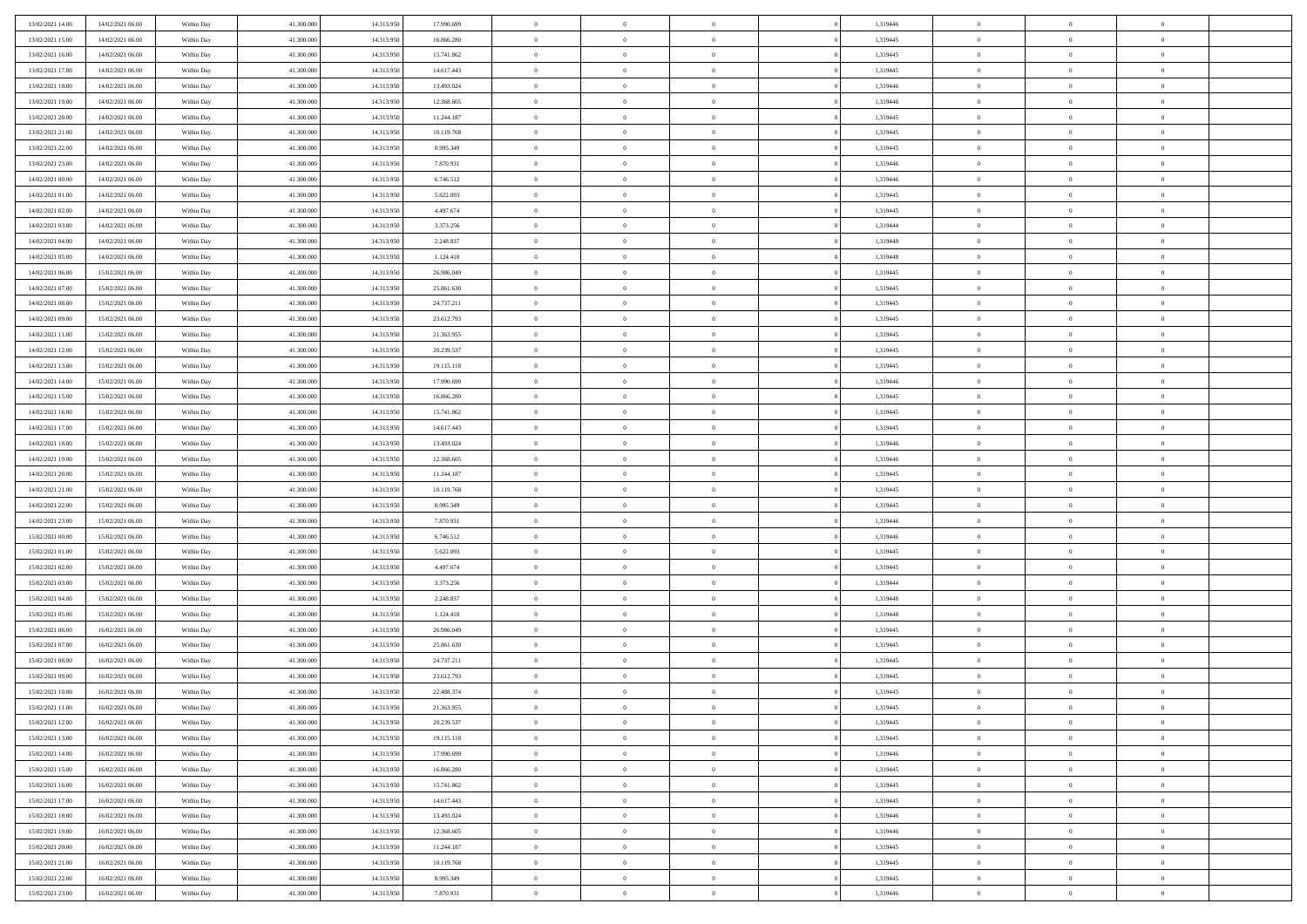| 13/02/2021 14:00                     | 14/02/2021 06:00                     | Within Day               | 41,300,000               | 14.313.950               | 17.990.699               | $\bf{0}$                      | $\overline{0}$                   | $\theta$                         | 1,319446             | $\theta$                         | $\overline{0}$                   | $\overline{0}$             |  |
|--------------------------------------|--------------------------------------|--------------------------|--------------------------|--------------------------|--------------------------|-------------------------------|----------------------------------|----------------------------------|----------------------|----------------------------------|----------------------------------|----------------------------|--|
| 13/02/2021 15:00                     | 14/02/2021 06:00                     | Within Dav               | 41.300.000               | 14.313.950               | 16.866.280               | $\mathbf{0}$                  | $\overline{0}$                   | $\overline{0}$                   | 1,319445             | $\theta$                         | $\overline{0}$                   | $\theta$                   |  |
| 13/02/2021 16:00                     | 14/02/2021 06:00                     | Within Day               | 41.300.000               | 14.313.950               | 15.741.862               | $\,$ 0                        | $\overline{0}$                   | $\bf{0}$                         | 1,319445             | $\,0\,$                          | $\overline{0}$                   | $\,$ 0 $\,$                |  |
| 13/02/2021 17:00                     | 14/02/2021 06:00                     | Within Day               | 41,300,000               | 14.313.950               | 14.617.443               | $\bf{0}$                      | $\overline{0}$                   | $\overline{0}$                   | 1,319445             | $\overline{0}$                   | $\theta$                         | $\theta$                   |  |
| 13/02/2021 18:00                     | 14/02/2021 06:00                     | Within Dav               | 41.300.000               | 14.313.950               | 13.493.024               | $\mathbf{0}$                  | $\overline{0}$                   | $\overline{0}$                   | 1,319446             | $\overline{0}$                   | $\bf{0}$                         | $\overline{0}$             |  |
| 13/02/2021 19:00                     | 14/02/2021 06:00                     | Within Day               | 41.300.000               | 14.313.950               | 12.368.605               | $\bf{0}$                      | $\overline{0}$                   | $\bf{0}$                         | 1,319446             | $\,0\,$                          | $\overline{0}$                   | $\,$ 0 $\,$                |  |
| 13/02/2021 20:00                     | 14/02/2021 06:00                     | Within Day               | 41,300,000               | 14.313.950               | 11.244.187               | $\bf{0}$                      | $\overline{0}$                   | $\overline{0}$                   | 1,319445             | $\bf{0}$                         | $\overline{0}$                   | $\theta$                   |  |
| 13/02/2021 21:00                     | 14/02/2021 06:00                     | Within Dav               | 41.300.000               | 14.313.950               | 10.119.768               | $\overline{0}$                | $\overline{0}$                   | $\overline{0}$                   | 1,319445             | $\mathbf{0}$                     | $\overline{0}$                   | $\theta$                   |  |
| 13/02/2021 22:00                     | 14/02/2021 06:00                     | Within Day               | 41.300.000               | 14.313.950               | 8.995.349                | $\bf{0}$                      | $\overline{0}$                   | $\bf{0}$                         | 1,319445             | $\,0\,$                          | $\overline{0}$                   | $\,$ 0 $\,$                |  |
| 13/02/2021 23:00                     | 14/02/2021 06:00                     | Within Day               | 41,300,000               | 14.313.950               | 7.870.931                | $\bf{0}$                      | $\overline{0}$                   | $\overline{0}$                   | 1,319446             | $\theta$                         | $\overline{0}$                   | $\overline{0}$             |  |
| 14/02/2021 00:00                     | 14/02/2021 06:00                     | Within Dav               | 41.300.000               | 14.313.950               | 6.746.512                | $\mathbf{0}$                  | $\overline{0}$                   | $\overline{0}$                   | 1,319446             | $\mathbf{0}$                     | $\bf{0}$                         | $\overline{0}$             |  |
| 14/02/2021 01:00                     | 14/02/2021 06:00                     | Within Day               | 41.300.000               | 14.313.950               | 5.622.093                | $\bf{0}$                      | $\overline{0}$                   | $\bf{0}$                         | 1,319445             | $\,0\,$                          | $\overline{0}$                   | $\,$ 0 $\,$                |  |
| 14/02/2021 02:00                     | 14/02/2021 06:00                     | Within Day               | 41,300,000               | 14.313.950               | 4.497.674                | $\bf{0}$                      | $\overline{0}$                   | $\Omega$                         | 1,319445             | $\theta$                         | $\theta$                         | $\theta$                   |  |
| 14/02/2021 03:00                     | 14/02/2021 06:00                     | Within Dav               | 41.300.000               | 14.313.950               | 3.373.256                | $\overline{0}$                | $\overline{0}$                   | $\overline{0}$                   | 1,319444             | $\mathbf{0}$                     | $\overline{0}$                   | $\overline{0}$             |  |
| 14/02/2021 04:00                     | 14/02/2021 06:00                     | Within Day               | 41.300.000               | 14.313.950               | 2.248.837                | $\bf{0}$                      | $\overline{0}$                   | $\bf{0}$                         | 1,319448             | $\,0\,$                          | $\overline{0}$                   | $\,$ 0 $\,$                |  |
| 14/02/2021 05:00                     | 14/02/2021 06:00                     | Within Day               | 41,300,000               | 14.313.950               | 1.124.418                | $\bf{0}$                      | $\overline{0}$                   | $\overline{0}$                   | 1,319448             | $\bf{0}$                         | $\overline{0}$                   | $\bf{0}$                   |  |
| 14/02/2021 06:00                     | 15/02/2021 06:00                     | Within Dav               | 41.300.000               | 14.313.950               | 26.986.049               | $\overline{0}$                | $\overline{0}$                   | $\overline{0}$                   | 1,319445             | $\mathbf{0}$                     | $\overline{0}$                   | $\theta$                   |  |
| 14/02/2021 07:00                     | 15/02/2021 06:00                     | Within Day               | 41.300.000               | 14.313.950               | 25.861.630               | $\bf{0}$                      | $\overline{0}$                   | $\bf{0}$                         | 1,319445             | $\,0\,$                          | $\overline{0}$                   | $\,$ 0 $\,$                |  |
| 14/02/2021 08:00                     | 15/02/2021 06:00                     | Within Day               | 41,300,000               | 14.313.950               | 24.737.211               | $\bf{0}$                      | $\overline{0}$                   | $\overline{0}$                   | 1,319445             | $\theta$                         | $\theta$                         | $\overline{0}$             |  |
| 14/02/2021 09:00                     | 15/02/2021 06:00                     | Within Day               | 41.300.000               | 14.313.950               | 23.612.793               | $\overline{0}$                | $\overline{0}$                   | $\overline{0}$                   | 1,319445             | $\mathbf{0}$                     | $\overline{0}$                   | $\theta$                   |  |
| 14/02/2021 11:00                     | 15/02/2021 06:00                     | Within Day               | 41.300.000               | 14.313.950               | 21.363.955               | $\bf{0}$                      | $\overline{0}$                   | $\bf{0}$                         | 1,319445             | $\,0\,$                          | $\overline{0}$                   | $\,$ 0 $\,$                |  |
| 14/02/2021 12:00                     | 15/02/2021 06:00                     | Within Day               | 41,300,000               | 14.313.950               | 20.239.537               | $\bf{0}$                      | $\overline{0}$                   | $\Omega$                         | 1,319445             | $\theta$                         | $\theta$                         | $\theta$                   |  |
| 14/02/2021 13:00                     | 15/02/2021 06:00                     | Within Day               | 41.300.000               | 14.313.950               | 19.115.118               | $\overline{0}$                | $\overline{0}$                   | $\overline{0}$                   | 1,319445             | $\mathbf{0}$                     | $\overline{0}$                   | $\overline{0}$             |  |
| 14/02/2021 14:00                     | 15/02/2021 06:00                     | Within Day               | 41.300.000               | 14.313.950               | 17.990.699               | $\bf{0}$                      | $\overline{0}$                   | $\bf{0}$                         | 1,319446             | $\,0\,$                          | $\overline{0}$                   | $\,$ 0 $\,$                |  |
| 14/02/2021 15:00                     | 15/02/2021 06:00                     | Within Day               | 41,300,000               | 14.313.950               | 16.866.280               | $\bf{0}$                      | $\overline{0}$                   | $\overline{0}$                   | 1,319445             | $\bf{0}$                         | $\overline{0}$                   | $\overline{0}$             |  |
| 14/02/2021 16:00                     | 15/02/2021 06:00                     | Within Day               | 41.300.000               | 14.313.950               | 15.741.862               | $\overline{0}$                | $\overline{0}$                   | $\overline{0}$                   | 1,319445             | $\mathbf{0}$                     | $\bf{0}$                         | $\theta$                   |  |
| 14/02/2021 17:00                     | 15/02/2021 06:00                     | Within Day               | 41.300.000               | 14.313.950               | 14.617.443               | $\bf{0}$                      | $\overline{0}$                   | $\bf{0}$                         | 1,319445             | $\,0\,$                          | $\overline{0}$                   | $\,$ 0 $\,$                |  |
| 14/02/2021 18:00                     | 15/02/2021 06:00                     | Within Day               | 41,300,000               | 14.313.950               | 13.493.024               | $\bf{0}$                      | $\overline{0}$                   | $\overline{0}$                   | 1,319446             | $\theta$                         | $\theta$                         | $\overline{0}$             |  |
| 14/02/2021 19:00                     | 15/02/2021 06:00                     | Within Day               | 41.300.000               | 14.313.950               | 12.368.605               | $\overline{0}$                | $\overline{0}$                   | $\overline{0}$                   | 1,319446             | $\mathbf{0}$                     | $\overline{0}$                   | $\overline{0}$             |  |
| 14/02/2021 20:00                     | 15/02/2021 06:00                     | Within Day               | 41.300.000               | 14.313.950               | 11.244.187               | $\bf{0}$                      | $\overline{0}$                   | $\bf{0}$                         | 1,319445             | $\,0\,$                          | $\overline{0}$                   | $\,$ 0 $\,$                |  |
| 14/02/2021 21:00                     | 15/02/2021 06:00                     | Within Day               | 41.300.000               | 14.313.950               | 10.119.768               | $\bf{0}$                      | $\bf{0}$                         | $\overline{0}$                   | 1,319445             | $\bf{0}$                         | $\overline{0}$                   | $\theta$                   |  |
| 14/02/2021 22:00                     | 15/02/2021 06:00                     | Within Day               | 41.300.000               | 14.313.950               | 8.995.349                | $\overline{0}$                | $\overline{0}$                   | $\overline{0}$                   | 1,319445             | $\mathbf{0}$                     | $\overline{0}$                   | $\overline{0}$             |  |
| 14/02/2021 23:00                     | 15/02/2021 06:00                     | Within Day               | 41.300.000               | 14.313.950               | 7.870.931                | $\bf{0}$                      | $\overline{0}$                   | $\bf{0}$                         | 1,319446             | $\,0\,$                          | $\overline{0}$                   | $\,$ 0 $\,$                |  |
| 15/02/2021 00:00                     | 15/02/2021 06:00                     | Within Day               | 41.300.000               | 14.313.950               | 6.746.512                | $\bf{0}$                      | $\bf{0}$                         | $\bf{0}$                         | 1,319446             | $\bf{0}$                         | $\overline{0}$                   | $\bf{0}$                   |  |
| 15/02/2021 01:00                     | 15/02/2021 06:00                     | Within Day               | 41.300.000               | 14.313.950               | 5.622.093                | $\overline{0}$                | $\overline{0}$                   | $\overline{0}$                   | 1,319445             | $\mathbf{0}$                     | $\overline{0}$                   | $\theta$                   |  |
| 15/02/2021 02:00                     | 15/02/2021 06:00                     | Within Day               | 41.300.000               | 14.313.950               | 4.497.674                | $\bf{0}$                      | $\overline{0}$                   | $\bf{0}$                         | 1,319445             | $\,0\,$                          | $\overline{0}$                   | $\bf{0}$                   |  |
| 15/02/2021 03:00                     | 15/02/2021 06:00                     | Within Day               | 41.300.000               | 14.313.950               | 3.373.256                | $\bf{0}$                      | $\bf{0}$                         | $\overline{0}$                   | 1,319444             | $\bf{0}$                         | $\overline{0}$                   | $\theta$                   |  |
| 15/02/2021 04:00                     | 15/02/2021 06:00                     | Within Day               | 41.300.000               | 14.313.950               | 2.248.837                | $\overline{0}$                | $\overline{0}$                   | $\overline{0}$                   | 1,319448             | $\mathbf{0}$                     | $\overline{0}$                   | $\overline{0}$             |  |
| 15/02/2021 05:00                     | 15/02/2021 06:00                     | Within Day               | 41.300.000               | 14.313.950               | 1.124.418                | $\bf{0}$                      | $\overline{0}$                   | $\bf{0}$                         | 1,319448             | $\,0\,$                          | $\overline{0}$                   | $\,$ 0 $\,$                |  |
| 15/02/2021 06:00                     | 16/02/2021 06:00                     | Within Day               | 41.300.000               | 14.313.950               | 26.986.049               | $\bf{0}$                      | $\bf{0}$                         | $\overline{0}$                   | 1,319445             | $\bf{0}$                         | $\overline{0}$                   | $\theta$                   |  |
| 15/02/2021 07:00                     | 16/02/2021 06:00                     | Within Day               | 41.300.000               | 14.313.950               | 25.861.630               | $\overline{0}$                | $\overline{0}$                   | $\overline{0}$                   | 1,319445             | $\theta$                         | $\overline{0}$                   | $\theta$                   |  |
| 15/02/2021 08:00                     | 16/02/2021 06:00                     | Within Day               | 41.300.000               | 14.313.950               | 24.737.211               | $\bf{0}$                      | $\overline{0}$                   | $\bf{0}$                         | 1,319445             | $\,0\,$                          | $\overline{0}$                   | $\,$ 0 $\,$                |  |
| 15/02/2021 09:00                     | 16/02/2021 06:00                     | Within Day               | 41.300.000               | 14.313.950               | 23.612.793               | $\bf{0}$<br>$\mathbf{0}$      | $\bf{0}$                         | $\bf{0}$                         | 1,319445             | $\bf{0}$<br>$\theta$             | $\overline{0}$                   | $\bf{0}$<br>$\theta$       |  |
| 15/02/2021 10:00                     | 16/02/2021 06:00                     | Within Dav               | 41.300.000               | 14.313.950               | 22.488.374               |                               | $\overline{0}$                   | $\overline{0}$                   | 1,319445             |                                  | $\bf{0}$                         |                            |  |
| 15/02/2021 11:00                     | 16/02/2021 06:00                     | Within Day               | 41.300.000               | 14.313.950               | 21.363.955               | $\bf{0}$                      | $\overline{0}$                   | $\theta$                         | 1,319445             | $\bf{0}$                         | $\overline{0}$                   | $\theta$                   |  |
| 15/02/2021 12:00                     | 16/02/2021 06:00                     | Within Day               | 41.300.000<br>41.300.000 | 14.313.950               | 20.239.537               | $\bf{0}$<br>$\overline{0}$    | $\bf{0}$<br>$\overline{0}$       | $\bf{0}$                         | 1,319445             | $\bf{0}$<br>$\overline{0}$       | $\overline{0}$                   | $\bf{0}$                   |  |
| 15/02/2021 13:00                     | 16/02/2021 06:00                     | Within Day               |                          | 14.313.950               | 19.115.118               |                               |                                  | $\overline{0}$                   | 1,319445             |                                  | $\overline{0}$                   | $\overline{0}$             |  |
| 15/02/2021 14:00                     | 16/02/2021 06:00                     | Within Day               | 41.300.000               | 14.313.950               | 17.990.699               | $\,$ 0 $\,$                   | $\overline{0}$                   | $\overline{0}$                   | 1,319446             | $\,$ 0 $\,$                      | $\,$ 0 $\,$                      | $\,$ 0 $\,$                |  |
| 15/02/2021 15:00<br>15/02/2021 16:00 | 16/02/2021 06:00<br>16/02/2021 06:00 | Within Day<br>Within Day | 41.300.000<br>41.300.000 | 14.313.950<br>14.313.950 | 16.866.280<br>15.741.862 | $\bf{0}$<br>$\,$ 0 $\,$       | $\bf{0}$<br>$\overline{0}$       | $\overline{0}$<br>$\overline{0}$ | 1,319445<br>1,319445 | $\mathbf{0}$<br>$\mathbf{0}$     | $\overline{0}$<br>$\overline{0}$ | $\bf{0}$<br>$\overline{0}$ |  |
|                                      |                                      |                          |                          |                          |                          | $\,$ 0 $\,$                   |                                  |                                  |                      |                                  |                                  | $\,$ 0                     |  |
| 15/02/2021 17:00                     | 16/02/2021 06:00                     | Within Day               | 41.300.000               | 14.313.950               | 14.617.443               |                               | $\overline{0}$                   | $\overline{0}$                   | 1,319445             | $\,$ 0 $\,$                      | $\bf{0}$                         |                            |  |
| 15/02/2021 18:00<br>15/02/2021 19:00 | 16/02/2021 06:00<br>16/02/2021 06:00 | Within Day<br>Within Day | 41.300.000<br>41.300.000 | 14.313.950<br>14.313.950 | 13.493.024<br>12.368.605 | $\overline{0}$<br>$\,$ 0 $\,$ | $\overline{0}$<br>$\overline{0}$ | $\overline{0}$<br>$\overline{0}$ | 1,319446<br>1,319446 | $\overline{0}$<br>$\overline{0}$ | $\overline{0}$<br>$\overline{0}$ | $\bf{0}$<br>$\overline{0}$ |  |
| 15/02/2021 20:00                     | 16/02/2021 06:00                     | Within Day               | 41.300.000               | 14.313.950               | 11.244.187               | $\,$ 0 $\,$                   | $\overline{0}$                   | $\overline{0}$                   | 1,319445             | $\,$ 0 $\,$                      | $\,$ 0 $\,$                      | $\,$ 0 $\,$                |  |
|                                      | 16/02/2021 06:00                     | Within Day               | 41.300.000               | 14.313.950               | 10.119.768               | $\bf{0}$                      | $\bf{0}$                         | $\overline{0}$                   | 1,319445             | $\mathbf{0}$                     | $\overline{0}$                   | $\bf{0}$                   |  |
| 15/02/2021 21:00<br>15/02/2021 22:00 | 16/02/2021 06:00                     | Within Day               | 41.300.000               | 14.313.950               | 8.995.349                | $\,$ 0 $\,$                   | $\overline{0}$                   | $\overline{0}$                   | 1,319445             | $\overline{0}$                   | $\overline{0}$                   | $\overline{0}$             |  |
| 15/02/2021 23:00                     | 16/02/2021 06:00                     | Within Day               | 41.300.000               | 14.313.950               | 7.870.931                | $\,0\,$                       | $\overline{0}$                   | $\overline{0}$                   | 1,319446             | $\,0\,$                          | $\overline{0}$                   | $\,$ 0 $\,$                |  |
|                                      |                                      |                          |                          |                          |                          |                               |                                  |                                  |                      |                                  |                                  |                            |  |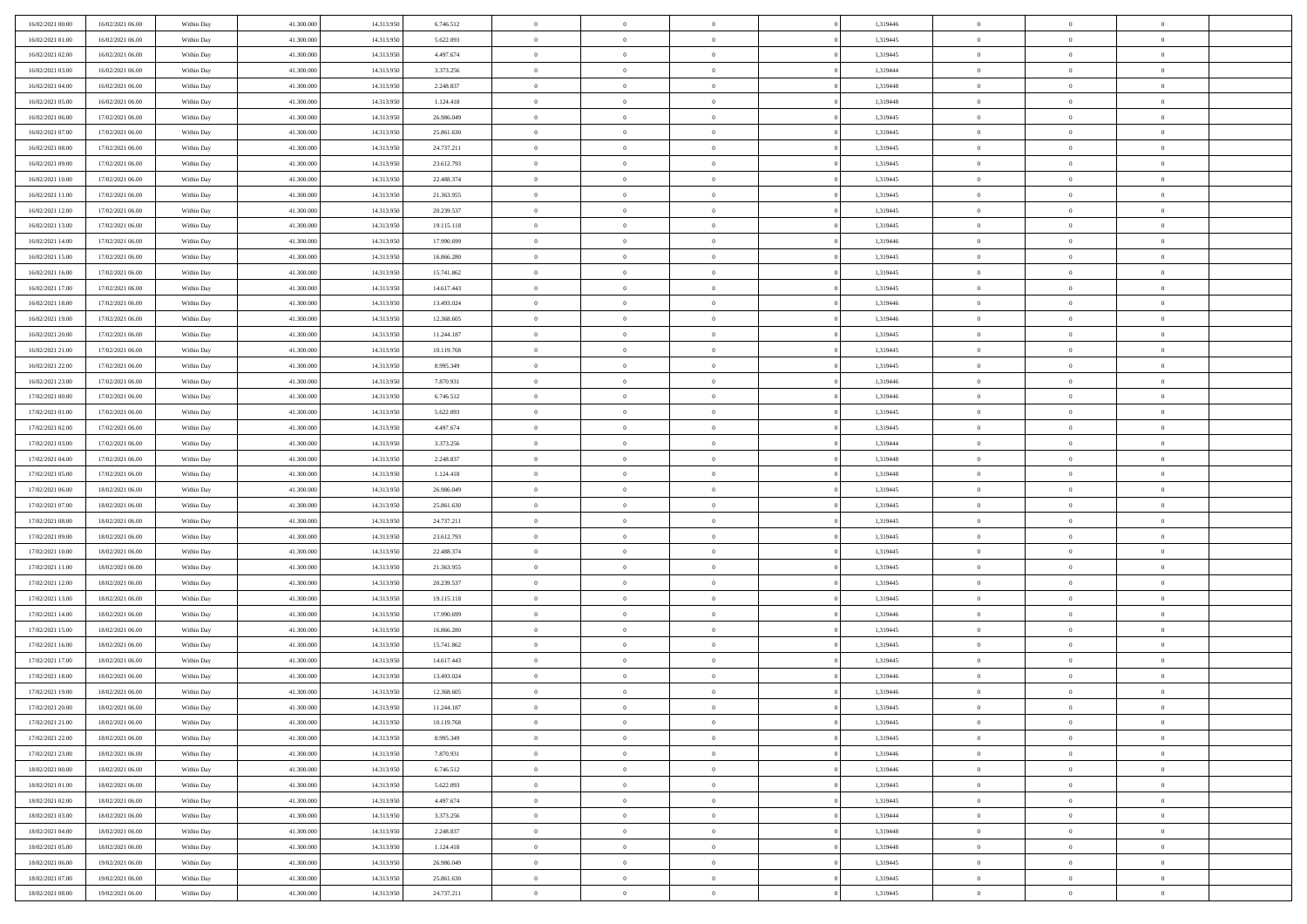| 16/02/2021 00:00 | 16/02/2021 06:00 | Within Day | 41,300,000 | 14.313.950 | 6.746.512  | $\bf{0}$                   | $\overline{0}$ | $\Omega$       | 1,319446 | $\theta$       | $\overline{0}$ | $\overline{0}$             |  |
|------------------|------------------|------------|------------|------------|------------|----------------------------|----------------|----------------|----------|----------------|----------------|----------------------------|--|
| 16/02/2021 01:00 | 16/02/2021 06:00 | Within Day | 41.300.000 | 14.313.950 | 5.622.093  | $\overline{0}$             | $\overline{0}$ | $\overline{0}$ | 1,319445 | $\theta$       | $\overline{0}$ | $\theta$                   |  |
| 16/02/2021 02:00 | 16/02/2021 06:00 | Within Day | 41.300.000 | 14.313.950 | 4.497.674  | $\,$ 0                     | $\overline{0}$ | $\bf{0}$       | 1,319445 | $\,0\,$        | $\overline{0}$ | $\,$ 0 $\,$                |  |
| 16/02/2021 03:00 | 16/02/2021 06:00 | Within Day | 41,300,000 | 14.313.950 | 3.373.256  | $\bf{0}$                   | $\overline{0}$ | $\overline{0}$ | 1,319444 | $\overline{0}$ | $\theta$       | $\theta$                   |  |
| 16/02/2021 04:00 | 16/02/2021 06:00 | Within Day | 41.300.000 | 14.313.950 | 2.248.837  | $\mathbf{0}$               | $\overline{0}$ | $\overline{0}$ | 1,319448 | $\overline{0}$ | $\overline{0}$ | $\overline{0}$             |  |
| 16/02/2021 05:00 | 16/02/2021 06:00 | Within Day | 41.300.000 | 14.313.950 | 1.124.418  | $\bf{0}$                   | $\overline{0}$ | $\bf{0}$       | 1,319448 | $\,0\,$        | $\overline{0}$ | $\,$ 0 $\,$                |  |
|                  | 17/02/2021 06:00 |            | 41,300,000 |            |            |                            |                | $\overline{0}$ |          | $\bf{0}$       | $\overline{0}$ | $\theta$                   |  |
| 16/02/2021 06:00 |                  | Within Day |            | 14.313.950 | 26.986.049 | $\bf{0}$<br>$\overline{0}$ | $\overline{0}$ |                | 1,319445 |                |                | $\theta$                   |  |
| 16/02/2021 07:00 | 17/02/2021 06:00 | Within Dav | 41.300.000 | 14.313.950 | 25.861.630 |                            | $\overline{0}$ | $\overline{0}$ | 1,319445 | $\mathbf{0}$   | $\overline{0}$ |                            |  |
| 16/02/2021 08:00 | 17/02/2021 06:00 | Within Day | 41.300.000 | 14.313.950 | 24.737.211 | $\bf{0}$                   | $\overline{0}$ | $\bf{0}$       | 1,319445 | $\,0\,$        | $\overline{0}$ | $\,$ 0 $\,$                |  |
| 16/02/2021 09:00 | 17/02/2021 06:00 | Within Day | 41,300,000 | 14.313.950 | 23.612.793 | $\bf{0}$                   | $\overline{0}$ | $\overline{0}$ | 1,319445 | $\theta$       | $\overline{0}$ | $\overline{0}$             |  |
| 16/02/2021 10:00 | 17/02/2021 06:00 | Within Dav | 41.300.000 | 14.313.950 | 22.488.374 | $\overline{0}$             | $\overline{0}$ | $\overline{0}$ | 1,319445 | $\mathbf{0}$   | $\overline{0}$ | $\overline{0}$             |  |
| 16/02/2021 11:00 | 17/02/2021 06:00 | Within Day | 41.300.000 | 14.313.950 | 21.363.955 | $\,$ 0                     | $\overline{0}$ | $\bf{0}$       | 1,319445 | $\,0\,$        | $\overline{0}$ | $\,$ 0 $\,$                |  |
| 16/02/2021 12:00 | 17/02/2021 06:00 | Within Day | 41,300,000 | 14.313.950 | 20.239.537 | $\bf{0}$                   | $\overline{0}$ | $\Omega$       | 1,319445 | $\theta$       | $\theta$       | $\theta$                   |  |
| 16/02/2021 13:00 | 17/02/2021 06:00 | Within Dav | 41.300.000 | 14.313.950 | 19.115.118 | $\overline{0}$             | $\overline{0}$ | $\overline{0}$ | 1,319445 | $\mathbf{0}$   | $\overline{0}$ | $\overline{0}$             |  |
| 16/02/2021 14:00 | 17/02/2021 06:00 | Within Day | 41.300.000 | 14.313.950 | 17.990.699 | $\bf{0}$                   | $\overline{0}$ | $\bf{0}$       | 1,319446 | $\,0\,$        | $\overline{0}$ | $\,$ 0 $\,$                |  |
| 16/02/2021 15:00 | 17/02/2021 06:00 | Within Day | 41,300,000 | 14.313.950 | 16.866.280 | $\bf{0}$                   | $\overline{0}$ | $\overline{0}$ | 1,319445 | $\bf{0}$       | $\overline{0}$ | $\overline{0}$             |  |
| 16/02/2021 16:00 | 17/02/2021 06:00 | Within Dav | 41.300.000 | 14.313.950 | 15.741.862 | $\overline{0}$             | $\overline{0}$ | $\overline{0}$ | 1,319445 | $\mathbf{0}$   | $\overline{0}$ | $\theta$                   |  |
| 16/02/2021 17:00 | 17/02/2021 06:00 | Within Day | 41.300.000 | 14.313.950 | 14.617.443 | $\bf{0}$                   | $\overline{0}$ | $\bf{0}$       | 1,319445 | $\,0\,$        | $\overline{0}$ | $\,$ 0 $\,$                |  |
| 16/02/2021 18:00 | 17/02/2021 06:00 | Within Day | 41,300,000 | 14.313.950 | 13.493.024 | $\bf{0}$                   | $\overline{0}$ | $\overline{0}$ | 1,319446 | $\theta$       | $\theta$       | $\overline{0}$             |  |
| 16/02/2021 19:00 | 17/02/2021 06:00 | Within Dav | 41.300.000 | 14.313.950 | 12.368.605 | $\overline{0}$             | $\overline{0}$ | $\overline{0}$ | 1,319446 | $\mathbf{0}$   | $\overline{0}$ | $\theta$                   |  |
| 16/02/2021 20:00 | 17/02/2021 06:00 | Within Day | 41.300.000 | 14.313.950 | 11.244.187 | $\bf{0}$                   | $\overline{0}$ | $\bf{0}$       | 1,319445 | $\,0\,$        | $\overline{0}$ | $\,$ 0 $\,$                |  |
| 16/02/2021 21:00 | 17/02/2021 06:00 | Within Day | 41,300,000 | 14.313.950 | 10.119.768 | $\bf{0}$                   | $\overline{0}$ | $\Omega$       | 1,319445 | $\overline{0}$ | $\theta$       | $\theta$                   |  |
| 16/02/2021 22:00 | 17/02/2021 06:00 | Within Dav | 41.300.000 | 14.313.950 | 8.995.349  | $\overline{0}$             | $\overline{0}$ | $\overline{0}$ | 1,319445 | $\mathbf{0}$   | $\overline{0}$ | $\overline{0}$             |  |
| 16/02/2021 23:00 | 17/02/2021 06:00 | Within Day | 41.300.000 | 14.313.950 | 7.870.931  | $\bf{0}$                   | $\overline{0}$ | $\bf{0}$       | 1,319446 | $\,0\,$        | $\overline{0}$ | $\,$ 0 $\,$                |  |
| 17/02/2021 00:00 | 17/02/2021 06:00 | Within Day | 41,300,000 | 14.313.950 | 6.746.512  | $\bf{0}$                   | $\overline{0}$ | $\overline{0}$ | 1,319446 | $\bf{0}$       | $\overline{0}$ | $\overline{0}$             |  |
| 17/02/2021 01:00 | 17/02/2021 06:00 | Within Day | 41.300.000 | 14.313.950 | 5.622.093  | $\overline{0}$             | $\overline{0}$ | $\overline{0}$ | 1,319445 | $\mathbf{0}$   | $\bf{0}$       | $\theta$                   |  |
| 17/02/2021 02:00 | 17/02/2021 06:00 | Within Day | 41.300.000 | 14.313.950 | 4.497.674  | $\bf{0}$                   | $\overline{0}$ | $\bf{0}$       | 1,319445 | $\,0\,$        | $\overline{0}$ | $\,$ 0 $\,$                |  |
| 17/02/2021 03:00 | 17/02/2021 06:00 | Within Day | 41,300,000 | 14.313.950 | 3.373.256  | $\bf{0}$                   | $\overline{0}$ | $\overline{0}$ | 1,319444 | $\theta$       | $\theta$       | $\overline{0}$             |  |
| 17/02/2021 04:00 | 17/02/2021 06:00 | Within Day | 41.300.000 | 14.313.950 | 2.248.837  | $\overline{0}$             | $\overline{0}$ | $\overline{0}$ | 1,319448 | $\mathbf{0}$   | $\bf{0}$       | $\overline{0}$             |  |
|                  |                  |            |            |            |            |                            |                |                |          |                |                |                            |  |
| 17/02/2021 05:00 | 17/02/2021 06:00 | Within Day | 41.300.000 | 14.313.950 | 1.124.418  | $\bf{0}$                   | $\overline{0}$ | $\bf{0}$       | 1,319448 | $\,0\,$        | $\overline{0}$ | $\,$ 0 $\,$                |  |
| 17/02/2021 06:00 | 18/02/2021 06:00 | Within Day | 41.300.000 | 14.313.950 | 26.986.049 | $\,$ 0<br>$\overline{0}$   | $\bf{0}$       | $\overline{0}$ | 1,319445 | $\bf{0}$       | $\overline{0}$ | $\theta$<br>$\overline{0}$ |  |
| 17/02/2021 07:00 | 18/02/2021 06:00 | Within Day | 41.300.000 | 14.313.950 | 25.861.630 |                            | $\overline{0}$ | $\overline{0}$ | 1,319445 | $\mathbf{0}$   | $\overline{0}$ |                            |  |
| 17/02/2021 08:00 | 18/02/2021 06:00 | Within Day | 41.300.000 | 14.313.950 | 24.737.211 | $\bf{0}$                   | $\overline{0}$ | $\bf{0}$       | 1,319445 | $\,0\,$        | $\overline{0}$ | $\,$ 0 $\,$                |  |
| 17/02/2021 09:00 | 18/02/2021 06:00 | Within Day | 41.300.000 | 14.313.950 | 23.612.793 | $\bf{0}$                   | $\bf{0}$       | $\bf{0}$       | 1,319445 | $\bf{0}$       | $\overline{0}$ | $\bf{0}$                   |  |
| 17/02/2021 10:00 | 18/02/2021 06:00 | Within Day | 41.300.000 | 14.313.950 | 22.488.374 | $\overline{0}$             | $\overline{0}$ | $\overline{0}$ | 1,319445 | $\mathbf{0}$   | $\overline{0}$ | $\theta$                   |  |
| 17/02/2021 11:00 | 18/02/2021 06:00 | Within Day | 41.300.000 | 14.313.950 | 21.363.955 | $\bf{0}$                   | $\overline{0}$ | $\bf{0}$       | 1,319445 | $\,0\,$        | $\overline{0}$ | $\,$ 0 $\,$                |  |
| 17/02/2021 12:00 | 18/02/2021 06:00 | Within Day | 41.300.000 | 14.313.950 | 20.239.537 | $\bf{0}$                   | $\bf{0}$       | $\overline{0}$ | 1,319445 | $\bf{0}$       | $\overline{0}$ | $\theta$                   |  |
| 17/02/2021 13:00 | 18/02/2021 06:00 | Within Day | 41.300.000 | 14.313.950 | 19.115.118 | $\overline{0}$             | $\overline{0}$ | $\overline{0}$ | 1,319445 | $\mathbf{0}$   | $\bf{0}$       | $\overline{0}$             |  |
| 17/02/2021 14:00 | 18/02/2021 06:00 | Within Day | 41.300.000 | 14.313.950 | 17.990.699 | $\bf{0}$                   | $\overline{0}$ | $\bf{0}$       | 1,319446 | $\,0\,$        | $\overline{0}$ | $\,$ 0 $\,$                |  |
| 17/02/2021 15:00 | 18/02/2021 06:00 | Within Day | 41.300.000 | 14.313.950 | 16.866.280 | $\bf{0}$                   | $\bf{0}$       | $\overline{0}$ | 1,319445 | $\bf{0}$       | $\overline{0}$ | $\theta$                   |  |
| 17/02/2021 16:00 | 18/02/2021 06:00 | Within Day | 41.300.000 | 14.313.950 | 15.741.862 | $\overline{0}$             | $\overline{0}$ | $\overline{0}$ | 1,319445 | $\theta$       | $\overline{0}$ | $\theta$                   |  |
| 17/02/2021 17:00 | 18/02/2021 06:00 | Within Day | 41.300.000 | 14.313.950 | 14.617.443 | $\bf{0}$                   | $\overline{0}$ | $\bf{0}$       | 1,319445 | $\,0\,$        | $\overline{0}$ | $\theta$                   |  |
| 17/02/2021 18:00 | 18/02/2021 06:00 | Within Day | 41.300.000 | 14.313.950 | 13.493.024 | $\bf{0}$                   | $\overline{0}$ | $\bf{0}$       | 1,319446 | $\bf{0}$       | $\overline{0}$ | $\bf{0}$                   |  |
| 17/02/2021 19:00 | 18/02/2021 06:00 | Within Dav | 41.300.000 | 14.313.950 | 12.368.605 | $\mathbf{0}$               | $\overline{0}$ | $\overline{0}$ | 1,319446 | $\theta$       | $\bf{0}$       | $\theta$                   |  |
| 17/02/2021 20:00 | 18/02/2021 06:00 | Within Day | 41.300.000 | 14.313.950 | 11.244.187 | $\bf{0}$                   | $\overline{0}$ | $\theta$       | 1,319445 | $\bf{0}$       | $\overline{0}$ | $\theta$                   |  |
| 17/02/2021 21:00 | 18/02/2021 06:00 | Within Day | 41.300.000 | 14.313.950 | 10.119.768 | $\bf{0}$                   | $\overline{0}$ | $\bf{0}$       | 1,319445 | $\bf{0}$       | $\overline{0}$ | $\bf{0}$                   |  |
| 17/02/2021 22:00 | 18/02/2021 06:00 | Within Day | 41.300.000 | 14.313.950 | 8.995.349  | $\overline{0}$             | $\overline{0}$ | $\overline{0}$ | 1,319445 | $\overline{0}$ | $\overline{0}$ | $\overline{0}$             |  |
| 17/02/2021 23:00 | 18/02/2021 06:00 | Within Day | 41.300.000 | 14.313.950 | 7.870.931  | $\,$ 0 $\,$                | $\overline{0}$ | $\overline{0}$ | 1,319446 | $\,$ 0 $\,$    | $\,$ 0 $\,$    | $\,$ 0 $\,$                |  |
| 18/02/2021 00:00 | 18/02/2021 06:00 | Within Day | 41.300.000 | 14.313.950 | 6.746.512  | $\bf{0}$                   | $\overline{0}$ | $\overline{0}$ | 1,319446 | $\mathbf{0}$   | $\overline{0}$ | $\bf{0}$                   |  |
| 18/02/2021 01:00 | 18/02/2021 06:00 | Within Day | 41.300.000 | 14.313.950 | 5.622.093  | $\mathbf{0}$               | $\overline{0}$ | $\overline{0}$ | 1,319445 | $\mathbf{0}$   | $\bf{0}$       | $\overline{0}$             |  |
| 18/02/2021 02:00 | 18/02/2021 06:00 | Within Day | 41.300.000 | 14.313.950 | 4.497.674  | $\,$ 0 $\,$                | $\overline{0}$ | $\overline{0}$ | 1,319445 | $\,$ 0 $\,$    | $\bf{0}$       | $\,$ 0                     |  |
| 18/02/2021 03:00 | 18/02/2021 06:00 | Within Day | 41.300.000 | 14.313.950 | 3.373.256  | $\bf{0}$                   | $\overline{0}$ | $\overline{0}$ | 1,319444 | $\overline{0}$ | $\overline{0}$ | $\bf{0}$                   |  |
| 18/02/2021 04:00 | 18/02/2021 06:00 | Within Day | 41.300.000 | 14.313.950 | 2.248.837  | $\mathbf{0}$               | $\overline{0}$ | $\overline{0}$ | 1,319448 | $\overline{0}$ | $\bf{0}$       | $\overline{0}$             |  |
| 18/02/2021 05:00 | 18/02/2021 06:00 | Within Day | 41.300.000 | 14.313.950 | 1.124.418  | $\,$ 0 $\,$                | $\overline{0}$ | $\overline{0}$ | 1,319448 | $\,$ 0 $\,$    | $\,$ 0 $\,$    | $\,$ 0 $\,$                |  |
| 18/02/2021 06:00 | 19/02/2021 06:00 | Within Day | 41.300.000 | 14.313.950 | 26.986.049 | $\bf{0}$                   | $\bf{0}$       | $\overline{0}$ | 1,319445 | $\mathbf{0}$   | $\overline{0}$ | $\bf{0}$                   |  |
| 18/02/2021 07:00 | 19/02/2021 06:00 | Within Day | 41.300.000 | 14.313.950 | 25.861.630 | $\overline{0}$             | $\overline{0}$ | $\overline{0}$ | 1,319445 | $\overline{0}$ | $\overline{0}$ | $\overline{0}$             |  |
| 18/02/2021 08:00 | 19/02/2021 06:00 | Within Day | 41.300.000 | 14.313.950 | 24.737.211 | $\,0\,$                    | $\overline{0}$ | $\overline{0}$ | 1,319445 | $\,0\,$        | $\overline{0}$ | $\,$ 0 $\,$                |  |
|                  |                  |            |            |            |            |                            |                |                |          |                |                |                            |  |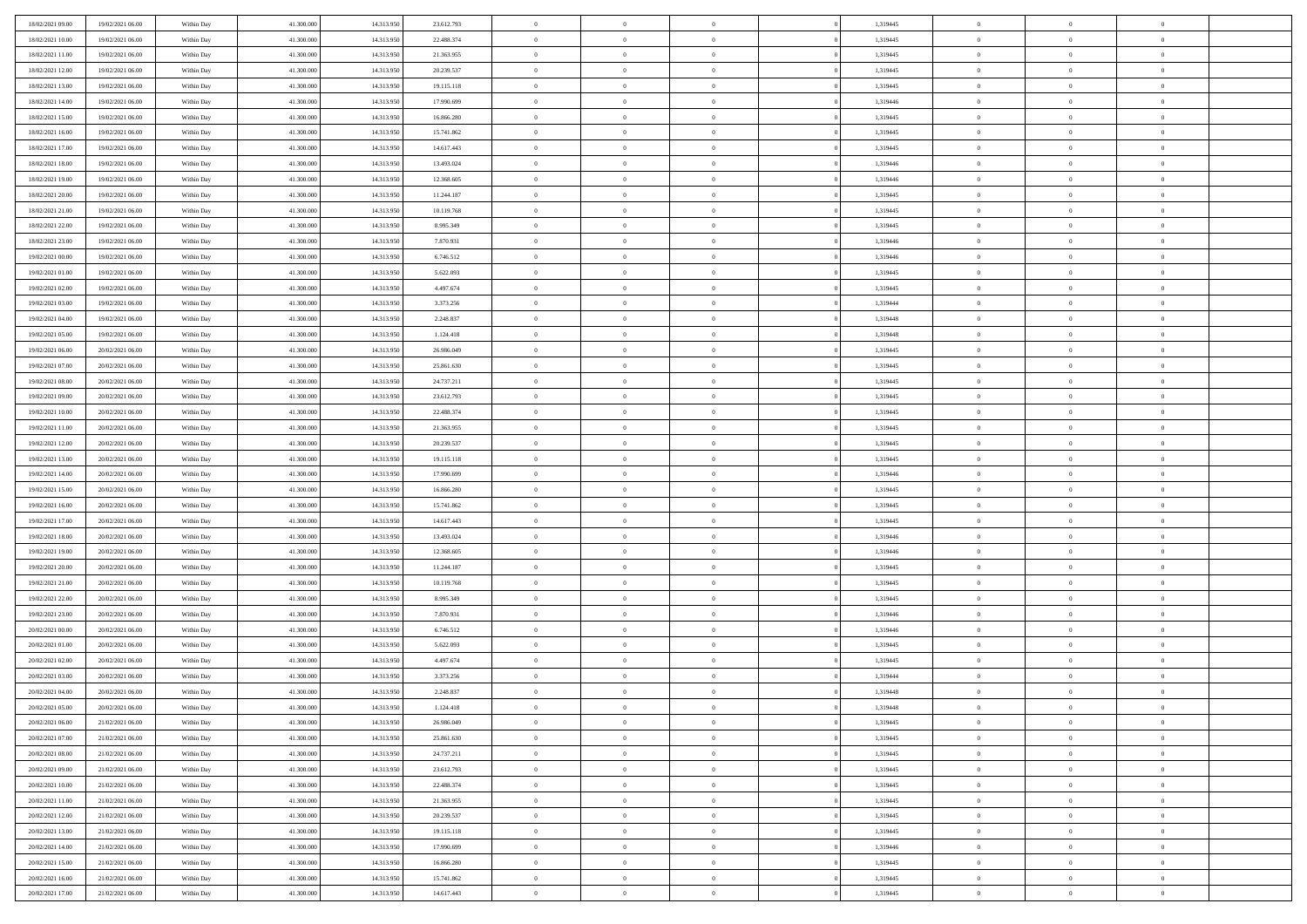| 18/02/2021 09:00 | 19/02/2021 06:00 | Within Day | 41.300.000 | 14.313.950 | 23.612.793 | $\overline{0}$ | $\overline{0}$ | $\Omega$       | 1,319445 | $\bf{0}$       | $\mathbf{0}$   | $\bf{0}$       |  |
|------------------|------------------|------------|------------|------------|------------|----------------|----------------|----------------|----------|----------------|----------------|----------------|--|
| 18/02/2021 10:00 | 19/02/2021 06:00 | Within Dav | 41.300.000 | 14.313.950 | 22.488.374 | $\mathbf{0}$   | $\overline{0}$ | $\overline{0}$ | 1,319445 | $\overline{0}$ | $\overline{0}$ | $\overline{0}$ |  |
| 18/02/2021 11:00 | 19/02/2021 06:00 | Within Day | 41.300.000 | 14.313.950 | 21.363.955 | $\,$ 0         | $\overline{0}$ | $\bf{0}$       | 1,319445 | $\,$ 0         | $\overline{0}$ | $\,$ 0 $\,$    |  |
| 18/02/2021 12:00 | 19/02/2021 06:00 | Within Day | 41.300,000 | 14.313.950 | 20.239.537 | $\bf{0}$       | $\overline{0}$ | $\Omega$       | 1,319445 | $\bf{0}$       | $\mathbf{0}$   | $\theta$       |  |
| 18/02/2021 13:00 | 19/02/2021 06:00 | Within Day | 41.300.000 | 14.313.950 | 19.115.118 | $\bf{0}$       | $\overline{0}$ | $\overline{0}$ | 1,319445 | $\overline{0}$ | $\overline{0}$ | $\overline{0}$ |  |
| 18/02/2021 14:00 | 19/02/2021 06:00 | Within Day | 41.300.000 | 14.313.950 | 17.990.699 | $\bf{0}$       | $\overline{0}$ | $\bf{0}$       | 1,319446 | $\,$ 0         | $\overline{0}$ | $\,$ 0 $\,$    |  |
| 18/02/2021 15:00 | 19/02/2021 06:00 | Within Day | 41.300,000 | 14.313.950 | 16.866.280 | $\bf{0}$       | $\overline{0}$ | $\overline{0}$ | 1,319445 | $\theta$       | $\mathbf{0}$   | $\theta$       |  |
| 18/02/2021 16:00 | 19/02/2021 06:00 | Within Day | 41.300.000 | 14.313.950 | 15.741.862 | $\overline{0}$ | $\overline{0}$ | $\overline{0}$ | 1,319445 | $\mathbf{0}$   | $\overline{0}$ | $\overline{0}$ |  |
| 18/02/2021 17:00 | 19/02/2021 06:00 | Within Day | 41.300.000 | 14.313.950 | 14.617.443 | $\bf{0}$       | $\overline{0}$ | $\bf{0}$       | 1,319445 | $\,$ 0         | $\overline{0}$ | $\,$ 0 $\,$    |  |
| 18/02/2021 18:00 | 19/02/2021 06:00 | Within Day | 41.300,000 | 14.313.950 | 13.493.024 | $\bf{0}$       | $\overline{0}$ | $\Omega$       | 1,319446 | $\theta$       | $\mathbf{0}$   | $\theta$       |  |
| 18/02/2021 19:00 | 19/02/2021 06:00 | Within Day | 41.300.000 | 14.313.950 | 12.368.605 | $\overline{0}$ | $\overline{0}$ | $\overline{0}$ | 1,319446 | $\mathbf{0}$   | $\overline{0}$ | $\overline{0}$ |  |
| 18/02/2021 20:00 | 19/02/2021 06:00 | Within Day | 41.300.000 | 14.313.950 | 11.244.187 | $\bf{0}$       | $\overline{0}$ | $\bf{0}$       | 1,319445 | $\,$ 0         | $\overline{0}$ | $\,$ 0 $\,$    |  |
| 18/02/2021 21:00 | 19/02/2021 06:00 | Within Day | 41.300.000 | 14.313.950 | 10.119.768 | $\bf{0}$       | $\overline{0}$ | $\Omega$       | 1,319445 | $\bf{0}$       | $\mathbf{0}$   | $\theta$       |  |
| 18/02/2021 22:00 | 19/02/2021 06:00 | Within Day | 41.300.000 | 14.313.950 | 8.995.349  | $\overline{0}$ | $\overline{0}$ | $\overline{0}$ | 1,319445 | $\mathbf{0}$   | $\overline{0}$ | $\overline{0}$ |  |
| 18/02/2021 23:00 | 19/02/2021 06:00 | Within Day | 41.300.000 | 14.313.950 | 7.870.931  | $\bf{0}$       | $\overline{0}$ | $\bf{0}$       | 1,319446 | $\,$ 0         | $\overline{0}$ | $\,$ 0 $\,$    |  |
| 19/02/2021 00:00 | 19/02/2021 06:00 | Within Day | 41,300,000 | 14.313.950 | 6.746.512  | $\bf{0}$       | $\overline{0}$ | $\overline{0}$ | 1,319446 | $\bf{0}$       | $\mathbf{0}$   | $\theta$       |  |
| 19/02/2021 01:00 | 19/02/2021 06:00 | Within Day | 41.300.000 | 14.313.950 | 5.622.093  | $\overline{0}$ | $\overline{0}$ | $\overline{0}$ | 1,319445 | $\mathbf{0}$   | $\overline{0}$ | $\overline{0}$ |  |
| 19/02/2021 02:00 | 19/02/2021 06:00 | Within Day | 41.300.000 | 14.313.950 | 4.497.674  | $\bf{0}$       | $\overline{0}$ | $\bf{0}$       | 1,319445 | $\,$ 0         | $\overline{0}$ | $\,$ 0 $\,$    |  |
| 19/02/2021 03:00 | 19/02/2021 06:00 | Within Day | 41.300,000 | 14.313.950 | 3.373.256  | $\bf{0}$       | $\overline{0}$ | $\Omega$       | 1,319444 | $\theta$       | $\mathbf{0}$   | $\theta$       |  |
| 19/02/2021 04:00 | 19/02/2021 06:00 | Within Day | 41.300.000 | 14.313.950 | 2.248.837  | $\overline{0}$ | $\overline{0}$ | $\overline{0}$ | 1,319448 | $\mathbf{0}$   | $\overline{0}$ | $\overline{0}$ |  |
| 19/02/2021 05:00 | 19/02/2021 06:00 | Within Day | 41.300.000 | 14.313.950 | 1.124.418  | $\bf{0}$       | $\overline{0}$ | $\bf{0}$       | 1,319448 | $\,$ 0         | $\overline{0}$ | $\,$ 0 $\,$    |  |
| 19/02/2021 06:00 | 20/02/2021 06:00 | Within Day | 41.300,000 | 14.313.950 | 26,986,049 | $\bf{0}$       | $\overline{0}$ | $\Omega$       | 1,319445 | $\bf{0}$       | $\theta$       | $\theta$       |  |
| 19/02/2021 07:00 | 20/02/2021 06:00 | Within Day | 41.300.000 | 14.313.950 | 25.861.630 | $\overline{0}$ | $\overline{0}$ | $\overline{0}$ | 1,319445 | $\mathbf{0}$   | $\overline{0}$ | $\overline{0}$ |  |
| 19/02/2021 08:00 | 20/02/2021 06:00 | Within Day | 41.300.000 | 14.313.950 | 24.737.211 | $\bf{0}$       | $\overline{0}$ | $\bf{0}$       | 1,319445 | $\,$ 0         | $\overline{0}$ | $\,$ 0 $\,$    |  |
| 19/02/2021 09:00 | 20/02/2021 06:00 | Within Day | 41.300,000 | 14.313.950 | 23.612.793 | $\bf{0}$       | $\overline{0}$ | $\overline{0}$ | 1,319445 | $\bf{0}$       | $\overline{0}$ | $\bf{0}$       |  |
| 19/02/2021 10:00 | 20/02/2021 06:00 | Within Day | 41.300.000 | 14.313.950 | 22.488.374 | $\overline{0}$ | $\overline{0}$ | $\overline{0}$ | 1,319445 | $\mathbf{0}$   | $\overline{0}$ | $\overline{0}$ |  |
| 19/02/2021 11:00 | 20/02/2021 06:00 | Within Day | 41.300.000 | 14.313.950 | 21.363.955 | $\bf{0}$       | $\overline{0}$ | $\bf{0}$       | 1,319445 | $\,$ 0         | $\overline{0}$ | $\,$ 0 $\,$    |  |
| 19/02/2021 12:00 | 20/02/2021 06:00 | Within Day | 41.300,000 | 14.313.950 | 20.239.537 | $\bf{0}$       | $\overline{0}$ | $\Omega$       | 1,319445 | $\theta$       | $\mathbf{0}$   | $\theta$       |  |
| 19/02/2021 13:00 | 20/02/2021 06:00 | Within Day | 41.300.000 | 14.313.950 | 19.115.118 | $\overline{0}$ | $\overline{0}$ | $\overline{0}$ | 1,319445 | $\mathbf{0}$   | $\overline{0}$ | $\overline{0}$ |  |
| 19/02/2021 14:00 | 20/02/2021 06:00 | Within Day | 41.300.000 | 14.313.950 | 17.990.699 | $\bf{0}$       | $\overline{0}$ | $\bf{0}$       | 1,319446 | $\,$ 0         | $\overline{0}$ | $\,$ 0 $\,$    |  |
| 19/02/2021 15:00 | 20/02/2021 06:00 | Within Day | 41.300.000 | 14.313.950 | 16.866.280 | $\bf{0}$       | $\overline{0}$ | $\overline{0}$ | 1,319445 | $\bf{0}$       | $\overline{0}$ | $\,0\,$        |  |
| 19/02/2021 16:00 | 20/02/2021 06:00 | Within Dav | 41.300.000 | 14.313.950 | 15.741.862 | $\overline{0}$ | $\overline{0}$ | $\overline{0}$ | 1,319445 | $\mathbf{0}$   | $\overline{0}$ | $\overline{0}$ |  |
| 19/02/2021 17:00 | 20/02/2021 06:00 | Within Day | 41.300.000 | 14.313.950 | 14.617.443 | $\bf{0}$       | $\overline{0}$ | $\bf{0}$       | 1,319445 | $\,$ 0         | $\overline{0}$ | $\,$ 0 $\,$    |  |
| 19/02/2021 18:00 | 20/02/2021 06:00 | Within Day | 41.300.000 | 14.313.950 | 13.493.024 | $\bf{0}$       | $\overline{0}$ | $\bf{0}$       | 1,319446 | $\bf{0}$       | $\overline{0}$ | $\,0\,$        |  |
| 19/02/2021 19:00 | 20/02/2021 06:00 | Within Day | 41.300.000 | 14.313.950 | 12.368.605 | $\overline{0}$ | $\overline{0}$ | $\overline{0}$ | 1,319446 | $\overline{0}$ | $\overline{0}$ | $\overline{0}$ |  |
| 19/02/2021 20:00 | 20/02/2021 06:00 | Within Day | 41.300.000 | 14.313.950 | 11.244.187 | $\bf{0}$       | $\overline{0}$ | $\bf{0}$       | 1,319445 | $\,$ 0         | $\overline{0}$ | $\,$ 0 $\,$    |  |
| 19/02/2021 21:00 | 20/02/2021 06:00 | Within Day | 41.300.000 | 14.313.950 | 10.119.768 | $\bf{0}$       | $\overline{0}$ | $\overline{0}$ | 1,319445 | $\bf{0}$       | $\overline{0}$ | $\,0\,$        |  |
| 19/02/2021 22:00 | 20/02/2021 06:00 | Within Day | 41.300.000 | 14.313.950 | 8.995.349  | $\overline{0}$ | $\overline{0}$ | $\overline{0}$ | 1,319445 | $\mathbf{0}$   | $\overline{0}$ | $\overline{0}$ |  |
| 19/02/2021 23:00 | 20/02/2021 06:00 | Within Day | 41.300.000 | 14.313.950 | 7.870.931  | $\bf{0}$       | $\overline{0}$ | $\bf{0}$       | 1,319446 | $\,$ 0         | $\overline{0}$ | $\,$ 0 $\,$    |  |
| 20/02/2021 00:00 | 20/02/2021 06:00 | Within Day | 41.300.000 | 14.313.950 | 6.746.512  | $\bf{0}$       | $\overline{0}$ | $\overline{0}$ | 1,319446 | $\bf{0}$       | $\overline{0}$ | $\,0\,$        |  |
| 20/02/2021 01:00 | 20/02/2021 06:00 | Within Day | 41.300.000 | 14.313.950 | 5.622.093  | $\overline{0}$ | $\overline{0}$ | $\overline{0}$ | 1,319445 | $\overline{0}$ | $\overline{0}$ | $\overline{0}$ |  |
| 20/02/2021 02:00 | 20/02/2021 06:00 | Within Day | 41.300.000 | 14.313.950 | 4.497.674  | $\bf{0}$       | $\overline{0}$ | $\bf{0}$       | 1,319445 | $\,$ 0         | $\overline{0}$ | $\,$ 0 $\,$    |  |
| 20/02/2021 03:00 | 20/02/2021 06:00 | Within Day | 41.300.000 | 14.313.950 | 3.373.256  | $\bf{0}$       | $\overline{0}$ | $\bf{0}$       | 1,319444 | $\bf{0}$       | $\overline{0}$ | $\,0\,$        |  |
| 20/02/2021 04:00 | 20/02/2021 06:00 | Within Dav | 41.300.000 | 14.313.950 | 2.248.837  | $\mathbf{0}$   | $\overline{0}$ | $\overline{0}$ | 1,319448 | $\mathbf{0}$   | $\overline{0}$ | $\overline{0}$ |  |
| 20/02/2021 05:00 | 20/02/2021 06:00 | Within Day | 41.300.000 | 14.313.950 | 1.124.418  | $\bf{0}$       | $\overline{0}$ | $\overline{0}$ | 1,319448 | $\overline{0}$ | $\theta$       | $\theta$       |  |
| 20/02/2021 06:00 | 21/02/2021 06:00 | Within Day | 41.300.000 | 14.313.950 | 26.986.049 | $\bf{0}$       | $\overline{0}$ | $\bf{0}$       | 1,319445 | $\bf{0}$       | $\overline{0}$ | $\bf{0}$       |  |
| 20/02/2021 07:00 | 21/02/2021 06:00 | Within Day | 41.300.000 | 14.313.950 | 25.861.630 | $\overline{0}$ | $\overline{0}$ | $\overline{0}$ | 1,319445 | $\overline{0}$ | $\overline{0}$ | $\overline{0}$ |  |
| 20/02/2021 08:00 | 21/02/2021 06:00 | Within Day | 41.300.000 | 14.313.950 | 24.737.211 | $\,$ 0 $\,$    | $\overline{0}$ | $\overline{0}$ | 1,319445 | $\mathbf{0}$   | $\,$ 0 $\,$    | $\,$ 0 $\,$    |  |
| 20/02/2021 09:00 | 21/02/2021 06:00 | Within Day | 41.300.000 | 14.313.950 | 23.612.793 | $\bf{0}$       | $\overline{0}$ | $\overline{0}$ | 1,319445 | $\bf{0}$       | $\overline{0}$ | $\bf{0}$       |  |
| 20/02/2021 10:00 | 21/02/2021 06:00 | Within Day | 41.300.000 | 14.313.950 | 22.488.374 | $\bf{0}$       | $\overline{0}$ | $\overline{0}$ | 1,319445 | $\overline{0}$ | $\bf{0}$       | $\overline{0}$ |  |
| 20/02/2021 11:00 | 21/02/2021 06:00 | Within Day | 41.300.000 | 14.313.950 | 21.363.955 | $\,$ 0 $\,$    | $\overline{0}$ | $\overline{0}$ | 1,319445 | $\,$ 0 $\,$    | $\overline{0}$ | $\,$ 0 $\,$    |  |
| 20/02/2021 12:00 | 21/02/2021 06:00 | Within Day | 41.300.000 | 14.313.950 | 20.239.537 | $\overline{0}$ | $\overline{0}$ | $\overline{0}$ | 1,319445 | $\bf{0}$       | $\overline{0}$ | $\overline{0}$ |  |
| 20/02/2021 13:00 | 21/02/2021 06:00 | Within Day | 41.300.000 | 14.313.950 | 19.115.118 | $\overline{0}$ | $\overline{0}$ | $\overline{0}$ | 1,319445 | $\overline{0}$ | $\bf{0}$       | $\overline{0}$ |  |
| 20/02/2021 14:00 | 21/02/2021 06:00 | Within Day | 41.300.000 | 14.313.950 | 17.990.699 | $\,$ 0 $\,$    | $\overline{0}$ | $\overline{0}$ | 1,319446 | $\mathbf{0}$   | $\,$ 0 $\,$    | $\,$ 0 $\,$    |  |
| 20/02/2021 15:00 | 21/02/2021 06:00 | Within Day | 41.300.000 | 14.313.950 | 16.866.280 | $\bf{0}$       | $\bf{0}$       | $\overline{0}$ | 1,319445 | $\mathbf{0}$   | $\overline{0}$ | $\bf{0}$       |  |
| 20/02/2021 16:00 | 21/02/2021 06:00 | Within Day | 41.300.000 | 14.313.950 | 15.741.862 | $\bf{0}$       | $\overline{0}$ | $\overline{0}$ | 1,319445 | $\mathbf{0}$   | $\bf{0}$       | $\overline{0}$ |  |
| 20/02/2021 17:00 | 21/02/2021 06:00 | Within Day | 41.300.000 | 14.313.950 | 14.617.443 | $\,0\,$        | $\overline{0}$ | $\overline{0}$ | 1,319445 | $\,$ 0         | $\overline{0}$ | $\,$ 0 $\,$    |  |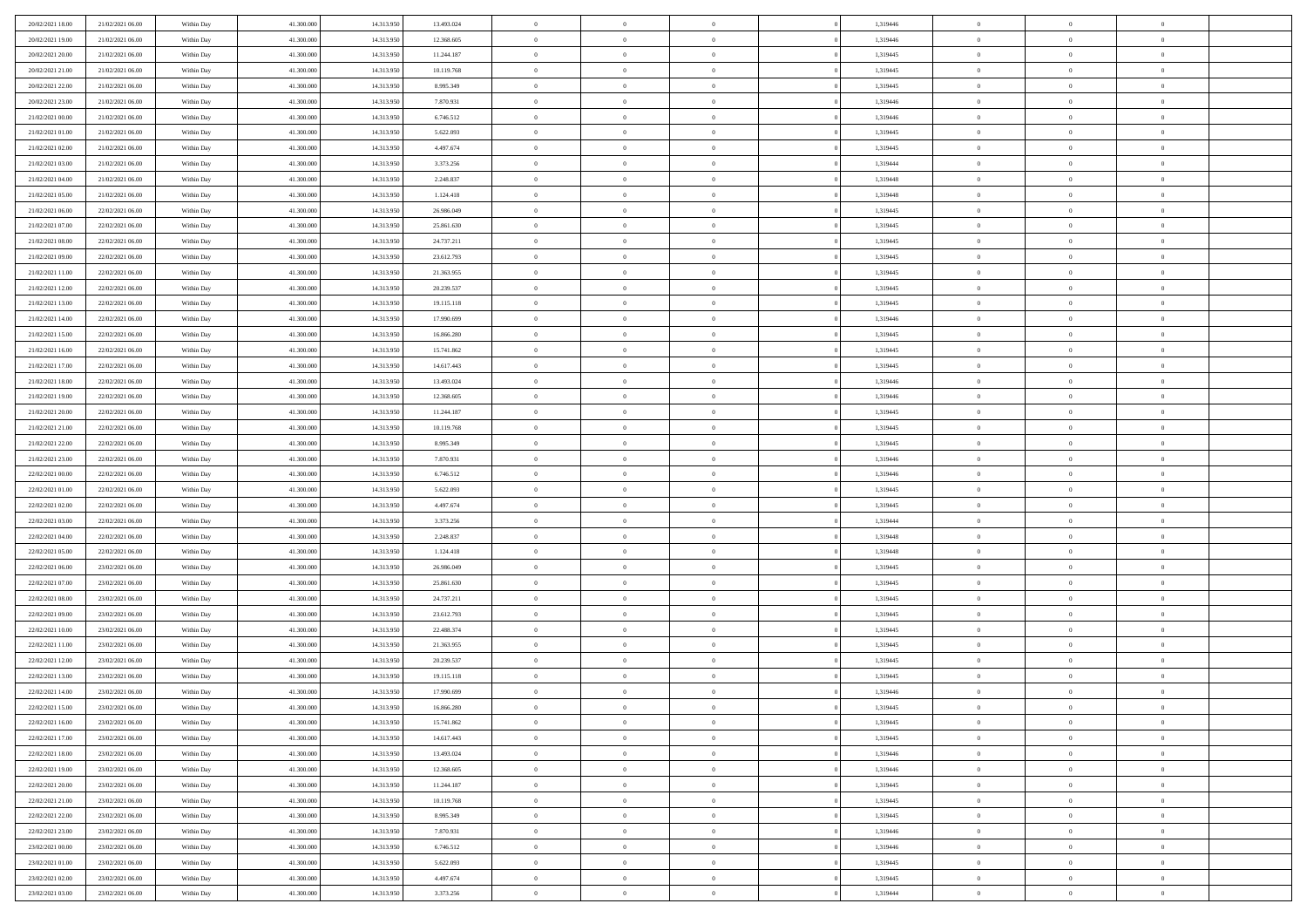| 20/02/2021 18:00 | 21/02/2021 06:00 | Within Day | 41.300.000 | 14.313.950 | 13.493.024 | $\overline{0}$ | $\overline{0}$ | $\Omega$       | 1,319446 | $\bf{0}$       | $\mathbf{0}$   | $\bf{0}$       |  |
|------------------|------------------|------------|------------|------------|------------|----------------|----------------|----------------|----------|----------------|----------------|----------------|--|
| 20/02/2021 19:00 | 21/02/2021 06:00 | Within Day | 41.300.000 | 14.313.950 | 12.368.605 | $\mathbf{0}$   | $\overline{0}$ | $\overline{0}$ | 1,319446 | $\mathbf{0}$   | $\overline{0}$ | $\overline{0}$ |  |
| 20/02/2021 20:00 | 21/02/2021 06:00 | Within Day | 41.300.000 | 14.313.950 | 11.244.187 | $\,$ 0         | $\overline{0}$ | $\bf{0}$       | 1,319445 | $\,$ 0         | $\overline{0}$ | $\,$ 0 $\,$    |  |
| 20/02/2021 21:00 | 21/02/2021 06:00 | Within Day | 41.300,000 | 14.313.950 | 10.119.768 | $\bf{0}$       | $\overline{0}$ | $\Omega$       | 1,319445 | $\bf{0}$       | $\mathbf{0}$   | $\theta$       |  |
| 20/02/2021 22:00 | 21/02/2021 06:00 | Within Day | 41.300.000 | 14.313.950 | 8.995.349  | $\bf{0}$       | $\overline{0}$ | $\overline{0}$ | 1,319445 | $\mathbf{0}$   | $\overline{0}$ | $\overline{0}$ |  |
| 20/02/2021 23:00 | 21/02/2021 06:00 | Within Day | 41.300.000 | 14.313.950 | 7.870.931  | $\bf{0}$       | $\overline{0}$ | $\bf{0}$       | 1,319446 | $\,$ 0         | $\overline{0}$ | $\,$ 0 $\,$    |  |
| 21/02/2021 00:00 | 21/02/2021 06:00 | Within Day | 41.300,000 | 14.313.950 | 6.746.512  | $\bf{0}$       | $\overline{0}$ | $\overline{0}$ | 1,319446 | $\bf{0}$       | $\overline{0}$ | $\theta$       |  |
| 21/02/2021 01:00 | 21/02/2021 06:00 | Within Day | 41.300.000 | 14.313.950 | 5.622.093  | $\overline{0}$ | $\overline{0}$ | $\overline{0}$ | 1,319445 | $\mathbf{0}$   | $\overline{0}$ | $\overline{0}$ |  |
| 21/02/2021 02:00 | 21/02/2021 06:00 | Within Day | 41.300.000 | 14.313.950 | 4.497.674  | $\bf{0}$       | $\overline{0}$ | $\bf{0}$       | 1,319445 | $\,$ 0         | $\overline{0}$ | $\,$ 0 $\,$    |  |
| 21/02/2021 03:00 | 21/02/2021 06:00 | Within Day | 41.300,000 | 14.313.950 | 3.373.256  | $\bf{0}$       | $\overline{0}$ | $\Omega$       | 1,319444 | $\theta$       | $\mathbf{0}$   | $\theta$       |  |
| 21/02/2021 04:00 | 21/02/2021 06:00 | Within Day | 41.300.000 | 14.313.950 | 2.248.837  | $\bf{0}$       | $\overline{0}$ | $\overline{0}$ | 1,319448 | $\mathbf{0}$   | $\overline{0}$ | $\overline{0}$ |  |
| 21/02/2021 05:00 | 21/02/2021 06:00 | Within Day | 41.300.000 | 14.313.950 | 1.124.418  | $\bf{0}$       | $\overline{0}$ | $\bf{0}$       | 1,319448 | $\,$ 0         | $\overline{0}$ | $\,$ 0 $\,$    |  |
| 21/02/2021 06:00 | 22/02/2021 06:00 | Within Day | 41.300,000 | 14.313.950 | 26.986.049 | $\bf{0}$       | $\overline{0}$ | $\Omega$       | 1,319445 | $\bf{0}$       | $\mathbf{0}$   | $\theta$       |  |
| 21/02/2021 07:00 | 22/02/2021 06:00 | Within Day | 41.300.000 | 14.313.950 | 25.861.630 | $\overline{0}$ | $\overline{0}$ | $\overline{0}$ | 1,319445 | $\overline{0}$ | $\overline{0}$ | $\overline{0}$ |  |
| 21/02/2021 08:00 | 22/02/2021 06:00 | Within Day | 41.300.000 | 14.313.950 | 24.737.211 | $\bf{0}$       | $\overline{0}$ | $\bf{0}$       | 1,319445 | $\,$ 0         | $\overline{0}$ | $\,$ 0 $\,$    |  |
| 21/02/2021 09:00 | 22/02/2021 06:00 | Within Day | 41,300,000 | 14.313.950 | 23.612.793 | $\bf{0}$       | $\overline{0}$ | $\overline{0}$ | 1,319445 | $\bf{0}$       | $\overline{0}$ | $\bf{0}$       |  |
| 21/02/2021 11:00 | 22/02/2021 06:00 | Within Day | 41.300.000 | 14.313.950 | 21.363.955 | $\overline{0}$ | $\overline{0}$ | $\overline{0}$ | 1,319445 | $\mathbf{0}$   | $\overline{0}$ | $\overline{0}$ |  |
| 21/02/2021 12:00 | 22/02/2021 06:00 | Within Day | 41.300.000 | 14.313.950 | 20.239.537 | $\bf{0}$       | $\overline{0}$ | $\bf{0}$       | 1,319445 | $\,$ 0         | $\overline{0}$ | $\,$ 0 $\,$    |  |
| 21/02/2021 13:00 | 22/02/2021 06:00 | Within Day | 41.300,000 | 14.313.950 | 19.115.118 | $\bf{0}$       | $\overline{0}$ | $\Omega$       | 1,319445 | $\theta$       | $\mathbf{0}$   | $\theta$       |  |
| 21/02/2021 14:00 | 22/02/2021 06:00 | Within Day | 41.300.000 | 14.313.950 | 17.990.699 | $\overline{0}$ | $\overline{0}$ | $\overline{0}$ | 1,319446 | $\mathbf{0}$   | $\overline{0}$ | $\overline{0}$ |  |
| 21/02/2021 15:00 | 22/02/2021 06:00 | Within Day | 41.300.000 | 14.313.950 | 16.866.280 | $\bf{0}$       | $\overline{0}$ | $\bf{0}$       | 1,319445 | $\,$ 0         | $\overline{0}$ | $\,$ 0 $\,$    |  |
| 21/02/2021 16:00 | 22/02/2021 06:00 | Within Day | 41.300,000 | 14.313.950 | 15.741.862 | $\bf{0}$       | $\overline{0}$ | $\Omega$       | 1,319445 | $\theta$       | $\mathbf{0}$   | $\theta$       |  |
| 21/02/2021 17:00 | 22/02/2021 06:00 | Within Day | 41.300.000 | 14.313.950 | 14.617.443 | $\overline{0}$ | $\overline{0}$ | $\overline{0}$ | 1,319445 | $\mathbf{0}$   | $\overline{0}$ | $\overline{0}$ |  |
| 21/02/2021 18:00 | 22/02/2021 06:00 | Within Day | 41.300.000 | 14.313.950 | 13.493.024 | $\bf{0}$       | $\overline{0}$ | $\bf{0}$       | 1,319446 | $\,$ 0         | $\overline{0}$ | $\,$ 0 $\,$    |  |
| 21/02/2021 19:00 | 22/02/2021 06:00 | Within Day | 41.300,000 | 14.313.950 | 12.368.605 | $\bf{0}$       | $\overline{0}$ | $\overline{0}$ | 1,319446 | $\bf{0}$       | $\overline{0}$ | $\bf{0}$       |  |
| 21/02/2021 20:00 | 22/02/2021 06:00 | Within Day | 41.300.000 | 14.313.950 | 11.244.187 | $\overline{0}$ | $\overline{0}$ | $\overline{0}$ | 1,319445 | $\mathbf{0}$   | $\overline{0}$ | $\overline{0}$ |  |
| 21/02/2021 21:00 | 22/02/2021 06:00 | Within Day | 41.300.000 | 14.313.950 | 10.119.768 | $\bf{0}$       | $\overline{0}$ | $\bf{0}$       | 1,319445 | $\,$ 0         | $\overline{0}$ | $\,$ 0 $\,$    |  |
| 21/02/2021 22.00 | 22/02/2021 06:00 | Within Day | 41.300,000 | 14.313.950 | 8.995.349  | $\bf{0}$       | $\overline{0}$ | $\Omega$       | 1,319445 | $\theta$       | $\mathbf{0}$   | $\theta$       |  |
| 21/02/2021 23:00 | 22/02/2021 06:00 | Within Day | 41.300.000 | 14.313.950 | 7.870.931  | $\bf{0}$       | $\overline{0}$ | $\overline{0}$ | 1,319446 | $\mathbf{0}$   | $\overline{0}$ | $\overline{0}$ |  |
| 22/02/2021 00:00 | 22/02/2021 06:00 | Within Day | 41.300.000 | 14.313.950 | 6.746.512  | $\bf{0}$       | $\overline{0}$ | $\bf{0}$       | 1,319446 | $\,$ 0         | $\overline{0}$ | $\,$ 0 $\,$    |  |
| 22/02/2021 01:00 | 22/02/2021 06:00 | Within Day | 41.300.000 | 14.313.950 | 5.622.093  | $\bf{0}$       | $\overline{0}$ | $\overline{0}$ | 1,319445 | $\bf{0}$       | $\overline{0}$ | $\,0\,$        |  |
| 22/02/2021 02:00 | 22/02/2021 06:00 | Within Day | 41.300.000 | 14.313.950 | 4.497.674  | $\overline{0}$ | $\overline{0}$ | $\overline{0}$ | 1,319445 | $\mathbf{0}$   | $\overline{0}$ | $\overline{0}$ |  |
| 22/02/2021 03:00 | 22/02/2021 06:00 | Within Day | 41.300.000 | 14.313.950 | 3.373.256  | $\bf{0}$       | $\overline{0}$ | $\bf{0}$       | 1,319444 | $\,$ 0         | $\overline{0}$ | $\,$ 0 $\,$    |  |
| 22/02/2021 04:00 | 22/02/2021 06:00 | Within Day | 41.300.000 | 14.313.950 | 2.248.837  | $\bf{0}$       | $\overline{0}$ | $\bf{0}$       | 1,319448 | $\bf{0}$       | $\overline{0}$ | $\bf{0}$       |  |
| 22/02/2021 05:00 | 22/02/2021 06:00 | Within Day | 41.300.000 | 14.313.950 | 1.124.418  | $\overline{0}$ | $\overline{0}$ | $\overline{0}$ | 1,319448 | $\mathbf{0}$   | $\overline{0}$ | $\overline{0}$ |  |
| 22/02/2021 06:00 | 23/02/2021 06:00 | Within Day | 41.300.000 | 14.313.950 | 26.986.049 | $\bf{0}$       | $\overline{0}$ | $\bf{0}$       | 1,319445 | $\,$ 0         | $\overline{0}$ | $\,$ 0 $\,$    |  |
| 22/02/2021 07:00 | 23/02/2021 06:00 | Within Day | 41.300.000 | 14.313.950 | 25.861.630 | $\bf{0}$       | $\overline{0}$ | $\overline{0}$ | 1,319445 | $\bf{0}$       | $\overline{0}$ | $\,0\,$        |  |
| 22/02/2021 08:00 | 23/02/2021 06:00 | Within Day | 41.300.000 | 14.313.950 | 24.737.211 | $\overline{0}$ | $\overline{0}$ | $\overline{0}$ | 1,319445 | $\mathbf{0}$   | $\overline{0}$ | $\overline{0}$ |  |
| 22/02/2021 09:00 | 23/02/2021 06:00 | Within Day | 41.300.000 | 14.313.950 | 23.612.793 | $\bf{0}$       | $\overline{0}$ | $\bf{0}$       | 1,319445 | $\,$ 0         | $\overline{0}$ | $\,$ 0 $\,$    |  |
| 22/02/2021 10:00 | 23/02/2021 06:00 | Within Day | 41.300.000 | 14.313.950 | 22.488.374 | $\bf{0}$       | $\overline{0}$ | $\overline{0}$ | 1,319445 | $\bf{0}$       | $\overline{0}$ | $\,0\,$        |  |
| 22/02/2021 11:00 | 23/02/2021 06:00 | Within Day | 41.300.000 | 14.313.950 | 21.363.955 | $\overline{0}$ | $\overline{0}$ | $\overline{0}$ | 1,319445 | $\mathbf{0}$   | $\overline{0}$ | $\overline{0}$ |  |
| 22/02/2021 12:00 | 23/02/2021 06:00 | Within Day | 41.300.000 | 14.313.950 | 20.239.537 | $\bf{0}$       | $\overline{0}$ | $\bf{0}$       | 1,319445 | $\,$ 0         | $\overline{0}$ | $\,$ 0 $\,$    |  |
| 22/02/2021 13:00 | 23/02/2021 06:00 | Within Day | 41.300.000 | 14.313.950 | 19.115.118 | $\bf{0}$       | $\overline{0}$ | $\bf{0}$       | 1,319445 | $\bf{0}$       | $\overline{0}$ | $\bf{0}$       |  |
| 22/02/2021 14:00 | 23/02/2021 06:00 | Within Day | 41.300.000 | 14.313.950 | 17.990.699 | $\mathbf{0}$   | $\overline{0}$ | $\overline{0}$ | 1,319446 | $\mathbf{0}$   | $\overline{0}$ | $\overline{0}$ |  |
| 22/02/2021 15:00 | 23/02/2021 06:00 | Within Day | 41.300.000 | 14.313.950 | 16.866.280 | $\bf{0}$       | $\overline{0}$ | $\theta$       | 1,319445 | $\overline{0}$ | $\overline{0}$ | $\theta$       |  |
| 22/02/2021 16:00 | 23/02/2021 06:00 | Within Day | 41.300.000 | 14.313.950 | 15.741.862 | $\bf{0}$       | $\overline{0}$ | $\bf{0}$       | 1,319445 | $\bf{0}$       | $\overline{0}$ | $\bf{0}$       |  |
| 22/02/2021 17:00 | 23/02/2021 06:00 | Within Day | 41.300.000 | 14.313.950 | 14.617.443 | $\overline{0}$ | $\overline{0}$ | $\overline{0}$ | 1,319445 | $\overline{0}$ | $\bf{0}$       | $\overline{0}$ |  |
| 22/02/2021 18:00 | 23/02/2021 06:00 | Within Day | 41.300.000 | 14.313.950 | 13.493.024 | $\,$ 0 $\,$    | $\overline{0}$ | $\overline{0}$ | 1,319446 | $\mathbf{0}$   | $\,$ 0 $\,$    | $\,$ 0 $\,$    |  |
| 22/02/2021 19:00 | 23/02/2021 06:00 | Within Day | 41.300.000 | 14.313.950 | 12.368.605 | $\bf{0}$       | $\overline{0}$ | $\overline{0}$ | 1,319446 | $\bf{0}$       | $\overline{0}$ | $\bf{0}$       |  |
| 22/02/2021 20:00 | 23/02/2021 06:00 | Within Day | 41.300.000 | 14.313.950 | 11.244.187 | $\bf{0}$       | $\overline{0}$ | $\overline{0}$ | 1,319445 | $\overline{0}$ | $\bf{0}$       | $\overline{0}$ |  |
| 22/02/2021 21:00 | 23/02/2021 06:00 | Within Day | 41.300.000 | 14.313.950 | 10.119.768 | $\,$ 0 $\,$    | $\overline{0}$ | $\overline{0}$ | 1,319445 | $\,$ 0 $\,$    | $\overline{0}$ | $\,$ 0 $\,$    |  |
| 22/02/2021 22:00 | 23/02/2021 06:00 | Within Day | 41.300.000 | 14.313.950 | 8.995.349  | $\overline{0}$ | $\overline{0}$ | $\overline{0}$ | 1,319445 | $\bf{0}$       | $\overline{0}$ | $\overline{0}$ |  |
| 22/02/2021 23:00 | 23/02/2021 06:00 | Within Day | 41.300.000 | 14.313.950 | 7.870.931  | $\overline{0}$ | $\overline{0}$ | $\overline{0}$ | 1,319446 | $\overline{0}$ | $\bf{0}$       | $\overline{0}$ |  |
| 23/02/2021 00:00 | 23/02/2021 06:00 | Within Day | 41.300.000 | 14.313.950 | 6.746.512  | $\,$ 0 $\,$    | $\overline{0}$ | $\overline{0}$ | 1,319446 | $\mathbf{0}$   | $\,$ 0 $\,$    | $\,$ 0 $\,$    |  |
| 23/02/2021 01:00 | 23/02/2021 06:00 | Within Day | 41.300.000 | 14.313.950 | 5.622.093  | $\bf{0}$       | $\bf{0}$       | $\overline{0}$ | 1,319445 | $\mathbf{0}$   | $\overline{0}$ | $\bf{0}$       |  |
| 23/02/2021 02:00 | 23/02/2021 06:00 | Within Day | 41.300.000 | 14.313.950 | 4.497.674  | $\bf{0}$       | $\overline{0}$ | $\overline{0}$ | 1,319445 | $\mathbf{0}$   | $\bf{0}$       | $\overline{0}$ |  |
| 23/02/2021 03:00 | 23/02/2021 06:00 | Within Day | 41.300.000 | 14.313.950 | 3.373.256  | $\,0\,$        | $\overline{0}$ | $\overline{0}$ | 1,319444 | $\,$ 0         | $\overline{0}$ | $\,$ 0 $\,$    |  |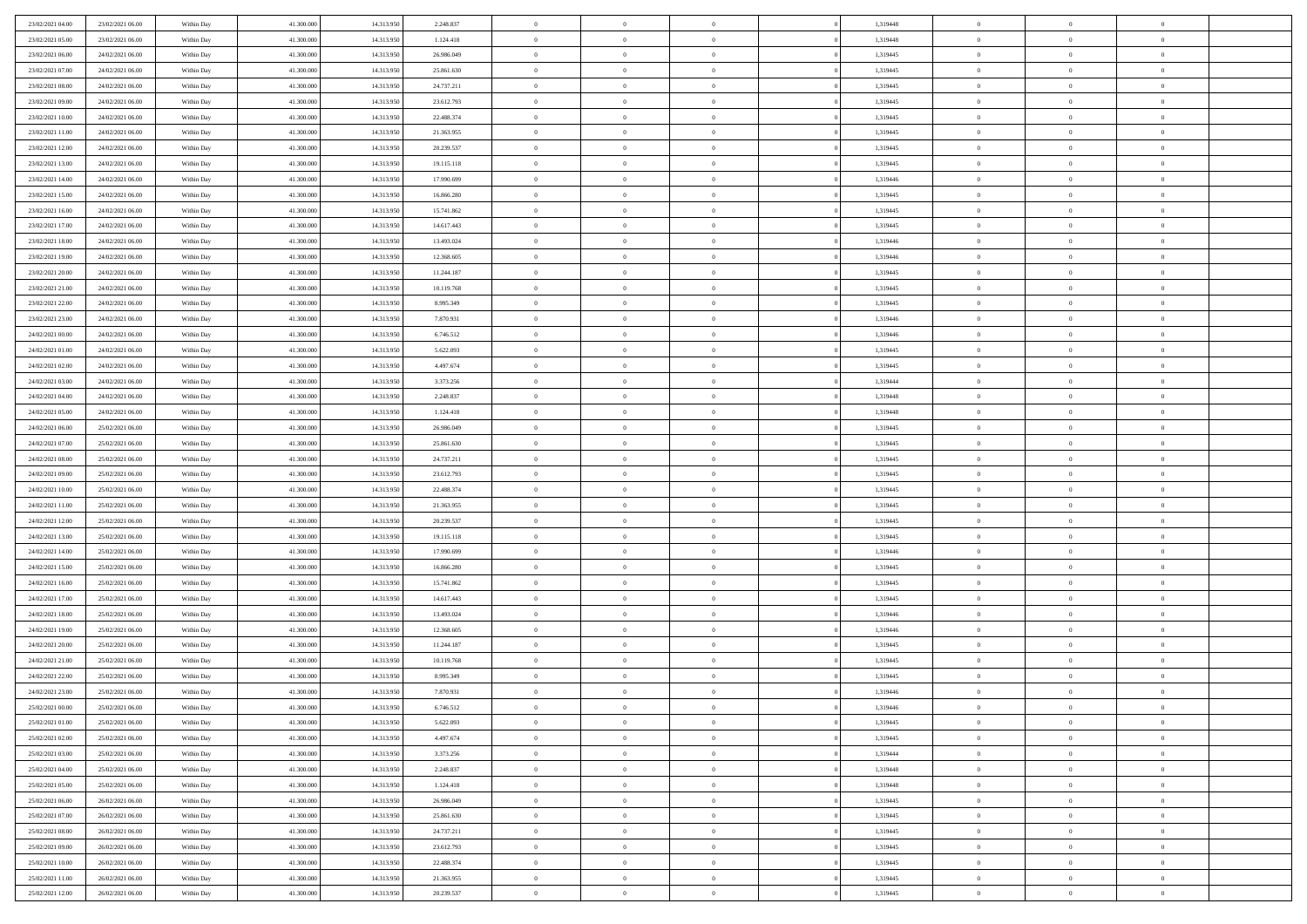| 23/02/2021 04:00 | 23/02/2021 06:00 | Within Day | 41,300,000 | 14.313.950 | 2.248.837  | $\bf{0}$       | $\overline{0}$ | $\Omega$       | 1,319448 | $\theta$       | $\overline{0}$ | $\overline{0}$ |  |
|------------------|------------------|------------|------------|------------|------------|----------------|----------------|----------------|----------|----------------|----------------|----------------|--|
| 23/02/2021 05:00 | 23/02/2021 06:00 | Within Day | 41.300.000 | 14.313.950 | 1.124.418  | $\mathbf{0}$   | $\overline{0}$ | $\overline{0}$ | 1,319448 | $\theta$       | $\bf{0}$       | $\theta$       |  |
| 23/02/2021 06:00 | 24/02/2021 06:00 | Within Day | 41.300.000 | 14.313.950 | 26.986.049 | $\,$ 0         | $\overline{0}$ | $\bf{0}$       | 1,319445 | $\,0\,$        | $\overline{0}$ | $\,$ 0 $\,$    |  |
| 23/02/2021 07:00 | 24/02/2021 06:00 | Within Day | 41,300,000 | 14.313.950 | 25.861.630 | $\bf{0}$       | $\overline{0}$ | $\Omega$       | 1,319445 | $\overline{0}$ | $\theta$       | $\theta$       |  |
| 23/02/2021 08:00 | 24/02/2021 06:00 | Within Day | 41.300.000 | 14.313.950 | 24.737.211 | $\mathbf{0}$   | $\overline{0}$ | $\overline{0}$ | 1,319445 | $\overline{0}$ | $\bf{0}$       | $\overline{0}$ |  |
| 23/02/2021 09:00 | 24/02/2021 06:00 | Within Day | 41.300.000 | 14.313.950 | 23.612.793 | $\bf{0}$       | $\overline{0}$ | $\bf{0}$       | 1,319445 | $\,0\,$        | $\overline{0}$ | $\,$ 0 $\,$    |  |
| 23/02/2021 10:00 | 24/02/2021 06:00 | Within Day | 41,300,000 | 14.313.950 | 22.488.374 | $\bf{0}$       | $\overline{0}$ | $\overline{0}$ | 1,319445 | $\bf{0}$       | $\overline{0}$ | $\theta$       |  |
| 23/02/2021 11:00 | 24/02/2021 06:00 | Within Day | 41.300.000 | 14.313.950 | 21.363.955 | $\overline{0}$ | $\overline{0}$ | $\overline{0}$ | 1,319445 | $\mathbf{0}$   | $\overline{0}$ | $\theta$       |  |
| 23/02/2021 12:00 | 24/02/2021 06:00 | Within Day | 41.300.000 | 14.313.950 | 20.239.537 | $\bf{0}$       | $\overline{0}$ | $\bf{0}$       | 1,319445 | $\,0\,$        | $\overline{0}$ | $\,$ 0 $\,$    |  |
| 23/02/2021 13:00 | 24/02/2021 06:00 | Within Day | 41,300,000 | 14.313.950 | 19.115.118 | $\bf{0}$       | $\overline{0}$ | $\overline{0}$ | 1,319445 | $\theta$       | $\overline{0}$ | $\overline{0}$ |  |
| 23/02/2021 14:00 | 24/02/2021 06:00 | Within Day | 41.300.000 | 14.313.950 | 17.990.699 | $\overline{0}$ | $\overline{0}$ | $\overline{0}$ | 1,319446 | $\mathbf{0}$   | $\overline{0}$ | $\theta$       |  |
| 23/02/2021 15:00 | 24/02/2021 06:00 | Within Day | 41.300.000 | 14.313.950 | 16.866.280 | $\,$ 0         | $\overline{0}$ | $\bf{0}$       | 1,319445 | $\,0\,$        | $\overline{0}$ | $\,$ 0 $\,$    |  |
| 23/02/2021 16:00 | 24/02/2021 06:00 | Within Day | 41,300,000 | 14.313.950 | 15.741.862 | $\bf{0}$       | $\overline{0}$ | $\Omega$       | 1,319445 | $\theta$       | $\theta$       | $\theta$       |  |
| 23/02/2021 17:00 | 24/02/2021 06:00 | Within Day | 41.300.000 | 14.313.950 | 14.617.443 | $\overline{0}$ | $\overline{0}$ | $\overline{0}$ | 1,319445 | $\mathbf{0}$   | $\overline{0}$ | $\overline{0}$ |  |
| 23/02/2021 18:00 | 24/02/2021 06:00 | Within Day | 41.300.000 | 14.313.950 | 13.493.024 | $\bf{0}$       | $\overline{0}$ | $\bf{0}$       | 1,319446 | $\,0\,$        | $\overline{0}$ | $\,$ 0 $\,$    |  |
| 23/02/2021 19:00 | 24/02/2021 06:00 | Within Day | 41,300,000 | 14.313.950 | 12.368.605 | $\bf{0}$       | $\overline{0}$ | $\overline{0}$ | 1,319446 | $\theta$       | $\overline{0}$ | $\overline{0}$ |  |
| 23/02/2021 20:00 | 24/02/2021 06:00 | Within Dav | 41.300.000 | 14.313.950 | 11.244.187 | $\overline{0}$ | $\overline{0}$ | $\overline{0}$ | 1,319445 | $\mathbf{0}$   | $\overline{0}$ | $\theta$       |  |
| 23/02/2021 21:00 | 24/02/2021 06:00 | Within Day | 41.300.000 | 14.313.950 | 10.119.768 | $\bf{0}$       | $\overline{0}$ | $\bf{0}$       | 1,319445 | $\,0\,$        | $\overline{0}$ | $\,$ 0 $\,$    |  |
| 23/02/2021 22:00 | 24/02/2021 06:00 | Within Day | 41,300,000 | 14.313.950 | 8.995.349  | $\bf{0}$       | $\overline{0}$ | $\overline{0}$ | 1,319445 | $\theta$       | $\theta$       | $\overline{0}$ |  |
| 23/02/2021 23:00 | 24/02/2021 06:00 | Within Dav | 41.300.000 | 14.313.950 | 7.870.931  | $\overline{0}$ | $\overline{0}$ | $\overline{0}$ | 1,319446 | $\mathbf{0}$   | $\overline{0}$ | $\theta$       |  |
| 24/02/2021 00:00 | 24/02/2021 06:00 | Within Day | 41.300.000 | 14.313.950 | 6.746.512  | $\bf{0}$       | $\overline{0}$ | $\bf{0}$       | 1,319446 | $\,0\,$        | $\overline{0}$ | $\,$ 0 $\,$    |  |
| 24/02/2021 01:00 | 24/02/2021 06:00 | Within Day | 41,300,000 | 14.313.950 | 5.622.093  | $\bf{0}$       | $\overline{0}$ | $\Omega$       | 1,319445 | $\overline{0}$ | $\theta$       | $\theta$       |  |
| 24/02/2021 02:00 | 24/02/2021 06:00 | Within Dav | 41.300.000 | 14.313.950 | 4.497.674  | $\overline{0}$ | $\overline{0}$ | $\overline{0}$ | 1,319445 | $\overline{0}$ | $\overline{0}$ | $\overline{0}$ |  |
| 24/02/2021 03:00 | 24/02/2021 06:00 | Within Day | 41.300.000 | 14.313.950 | 3.373.256  | $\bf{0}$       | $\overline{0}$ | $\bf{0}$       | 1,319444 | $\,0\,$        | $\overline{0}$ | $\,$ 0 $\,$    |  |
| 24/02/2021 04:00 | 24/02/2021 06:00 | Within Day | 41,300,000 | 14.313.950 | 2.248.837  | $\bf{0}$       | $\overline{0}$ | $\overline{0}$ | 1,319448 | $\bf{0}$       | $\overline{0}$ | $\overline{0}$ |  |
| 24/02/2021 05:00 | 24/02/2021 06:00 | Within Dav | 41.300.000 | 14.313.950 | 1.124.418  | $\overline{0}$ | $\overline{0}$ | $\overline{0}$ | 1,319448 | $\overline{0}$ | $\bf{0}$       | $\theta$       |  |
| 24/02/2021 06:00 | 25/02/2021 06:00 | Within Day | 41.300.000 | 14.313.950 | 26.986.049 | $\bf{0}$       | $\overline{0}$ | $\bf{0}$       | 1,319445 | $\,0\,$        | $\overline{0}$ | $\,$ 0 $\,$    |  |
| 24/02/2021 07:00 | 25/02/2021 06:00 | Within Day | 41,300,000 | 14.313.950 | 25.861.630 | $\bf{0}$       | $\overline{0}$ | $\Omega$       | 1,319445 | $\theta$       | $\theta$       | $\overline{0}$ |  |
| 24/02/2021 08:00 | 25/02/2021 06:00 | Within Day | 41.300.000 | 14.313.950 | 24.737.211 | $\overline{0}$ | $\overline{0}$ | $\overline{0}$ | 1,319445 | $\overline{0}$ | $\bf{0}$       | $\overline{0}$ |  |
| 24/02/2021 09:00 | 25/02/2021 06:00 | Within Day | 41.300.000 | 14.313.950 | 23.612.793 | $\bf{0}$       | $\overline{0}$ | $\bf{0}$       | 1,319445 | $\,0\,$        | $\overline{0}$ | $\,$ 0 $\,$    |  |
| 24/02/2021 10:00 | 25/02/2021 06:00 | Within Day | 41.300.000 | 14.313.950 | 22.488.374 | $\bf{0}$       | $\overline{0}$ | $\overline{0}$ | 1,319445 | $\bf{0}$       | $\overline{0}$ | $\theta$       |  |
| 24/02/2021 11:00 | 25/02/2021 06:00 | Within Day | 41.300.000 | 14.313.950 | 21.363.955 | $\overline{0}$ | $\overline{0}$ | $\overline{0}$ | 1,319445 | $\overline{0}$ | $\overline{0}$ | $\overline{0}$ |  |
| 24/02/2021 12:00 | 25/02/2021 06:00 | Within Day | 41.300.000 | 14.313.950 | 20.239.537 | $\bf{0}$       | $\overline{0}$ | $\bf{0}$       | 1,319445 | $\,0\,$        | $\overline{0}$ | $\,$ 0 $\,$    |  |
| 24/02/2021 13:00 | 25/02/2021 06:00 | Within Day | 41.300.000 | 14.313.950 | 19.115.118 | $\bf{0}$       | $\overline{0}$ | $\bf{0}$       | 1,319445 | $\bf{0}$       | $\overline{0}$ | $\bf{0}$       |  |
| 24/02/2021 14:00 | 25/02/2021 06:00 | Within Day | 41.300.000 | 14.313.950 | 17.990.699 | $\overline{0}$ | $\overline{0}$ | $\overline{0}$ | 1,319446 | $\overline{0}$ | $\overline{0}$ | $\theta$       |  |
| 24/02/2021 15:00 | 25/02/2021 06:00 | Within Day | 41.300.000 | 14.313.950 | 16.866.280 | $\bf{0}$       | $\overline{0}$ | $\bf{0}$       | 1,319445 | $\,0\,$        | $\overline{0}$ | $\,$ 0 $\,$    |  |
| 24/02/2021 16:00 | 25/02/2021 06:00 | Within Day | 41.300.000 | 14.313.950 | 15.741.862 | $\bf{0}$       | $\overline{0}$ | $\overline{0}$ | 1,319445 | $\bf{0}$       | $\overline{0}$ | $\theta$       |  |
| 24/02/2021 17:00 | 25/02/2021 06:00 | Within Day | 41.300.000 | 14.313.950 | 14.617.443 | $\overline{0}$ | $\overline{0}$ | $\overline{0}$ | 1,319445 | $\mathbf{0}$   | $\bf{0}$       | $\overline{0}$ |  |
| 24/02/2021 18:00 | 25/02/2021 06:00 | Within Day | 41.300.000 | 14.313.950 | 13.493.024 | $\bf{0}$       | $\overline{0}$ | $\bf{0}$       | 1,319446 | $\,0\,$        | $\overline{0}$ | $\,$ 0 $\,$    |  |
| 24/02/2021 19:00 | 25/02/2021 06:00 | Within Day | 41.300.000 | 14.313.950 | 12.368.605 | $\bf{0}$       | $\bf{0}$       | $\overline{0}$ | 1,319446 | $\bf{0}$       | $\overline{0}$ | $\theta$       |  |
| 24/02/2021 20:00 | 25/02/2021 06:00 | Within Day | 41.300.000 | 14.313.950 | 11.244.187 | $\overline{0}$ | $\overline{0}$ | $\overline{0}$ | 1,319445 | $\theta$       | $\overline{0}$ | $\theta$       |  |
| 24/02/2021 21:00 | 25/02/2021 06:00 | Within Day | 41.300.000 | 14.313.950 | 10.119.768 | $\bf{0}$       | $\overline{0}$ | $\bf{0}$       | 1,319445 | $\,0\,$        | $\overline{0}$ | $\theta$       |  |
| 24/02/2021 22:00 | 25/02/2021 06:00 | Within Day | 41.300.000 | 14.313.950 | 8.995.349  | $\bf{0}$       | $\bf{0}$       | $\bf{0}$       | 1,319445 | $\bf{0}$       | $\overline{0}$ | $\bf{0}$       |  |
| 24/02/2021 23:00 | 25/02/2021 06:00 | Within Dav | 41.300.000 | 14.313.950 | 7.870.931  | $\mathbf{0}$   | $\overline{0}$ | $\overline{0}$ | 1,319446 | $\theta$       | $\bf{0}$       | $\theta$       |  |
| 25/02/2021 00:00 | 25/02/2021 06:00 | Within Day | 41.300.000 | 14.313.950 | 6.746.512  | $\bf{0}$       | $\overline{0}$ | $\overline{0}$ | 1,319446 | $\bf{0}$       | $\overline{0}$ | $\theta$       |  |
| 25/02/2021 01:00 | 25/02/2021 06:00 | Within Day | 41.300.000 | 14.313.950 | 5.622.093  | $\bf{0}$       | $\bf{0}$       | $\bf{0}$       | 1,319445 | $\bf{0}$       | $\overline{0}$ | $\bf{0}$       |  |
| 25/02/2021 02:00 | 25/02/2021 06:00 | Within Day | 41.300.000 | 14.313.950 | 4.497.674  | $\overline{0}$ | $\overline{0}$ | $\overline{0}$ | 1,319445 | $\overline{0}$ | $\overline{0}$ | $\overline{0}$ |  |
| 25/02/2021 03:00 | 25/02/2021 06:00 | Within Day | 41.300.000 | 14.313.950 | 3.373.256  | $\,$ 0 $\,$    | $\overline{0}$ | $\overline{0}$ | 1,319444 | $\,$ 0 $\,$    | $\,$ 0 $\,$    | $\,0\,$        |  |
| 25/02/2021 04:00 | 25/02/2021 06:00 | Within Day | 41.300.000 | 14.313.950 | 2.248.837  | $\bf{0}$       | $\bf{0}$       | $\overline{0}$ | 1,319448 | $\mathbf{0}$   | $\overline{0}$ | $\bf{0}$       |  |
| 25/02/2021 05:00 | 25/02/2021 06:00 | Within Day | 41.300.000 | 14.313.950 | 1.124.418  | $\,$ 0 $\,$    | $\overline{0}$ | $\overline{0}$ | 1,319448 | $\mathbf{0}$   | $\overline{0}$ | $\overline{0}$ |  |
| 25/02/2021 06:00 | 26/02/2021 06:00 | Within Day | 41.300.000 | 14.313.950 | 26.986.049 | $\,$ 0 $\,$    | $\overline{0}$ | $\overline{0}$ | 1,319445 | $\,$ 0 $\,$    | $\bf{0}$       | $\,$ 0         |  |
| 25/02/2021 07:00 | 26/02/2021 06:00 | Within Day | 41.300.000 | 14.313.950 | 25.861.630 | $\overline{0}$ | $\overline{0}$ | $\overline{0}$ | 1,319445 | $\overline{0}$ | $\overline{0}$ | $\bf{0}$       |  |
| 25/02/2021 08:00 | 26/02/2021 06:00 | Within Day | 41.300.000 | 14.313.950 | 24.737.211 | $\,$ 0 $\,$    | $\overline{0}$ | $\overline{0}$ | 1,319445 | $\overline{0}$ | $\overline{0}$ | $\overline{0}$ |  |
| 25/02/2021 09:00 | 26/02/2021 06:00 | Within Day | 41.300.000 | 14.313.950 | 23.612.793 | $\,$ 0 $\,$    | $\overline{0}$ | $\overline{0}$ | 1,319445 | $\,$ 0 $\,$    | $\,$ 0 $\,$    | $\,0\,$        |  |
| 25/02/2021 10:00 | 26/02/2021 06:00 | Within Day | 41.300.000 | 14.313.950 | 22.488.374 | $\bf{0}$       | $\bf{0}$       | $\overline{0}$ | 1,319445 | $\mathbf{0}$   | $\overline{0}$ | $\bf{0}$       |  |
| 25/02/2021 11:00 | 26/02/2021 06:00 | Within Day | 41.300.000 | 14.313.950 | 21.363.955 | $\,$ 0 $\,$    | $\overline{0}$ | $\overline{0}$ | 1,319445 | $\overline{0}$ | $\overline{0}$ | $\overline{0}$ |  |
| 25/02/2021 12:00 | 26/02/2021 06:00 | Within Day | 41.300.000 | 14.313.950 | 20.239.537 | $\,0\,$        | $\overline{0}$ | $\overline{0}$ | 1,319445 | $\,0\,$        | $\overline{0}$ | $\,0\,$        |  |
|                  |                  |            |            |            |            |                |                |                |          |                |                |                |  |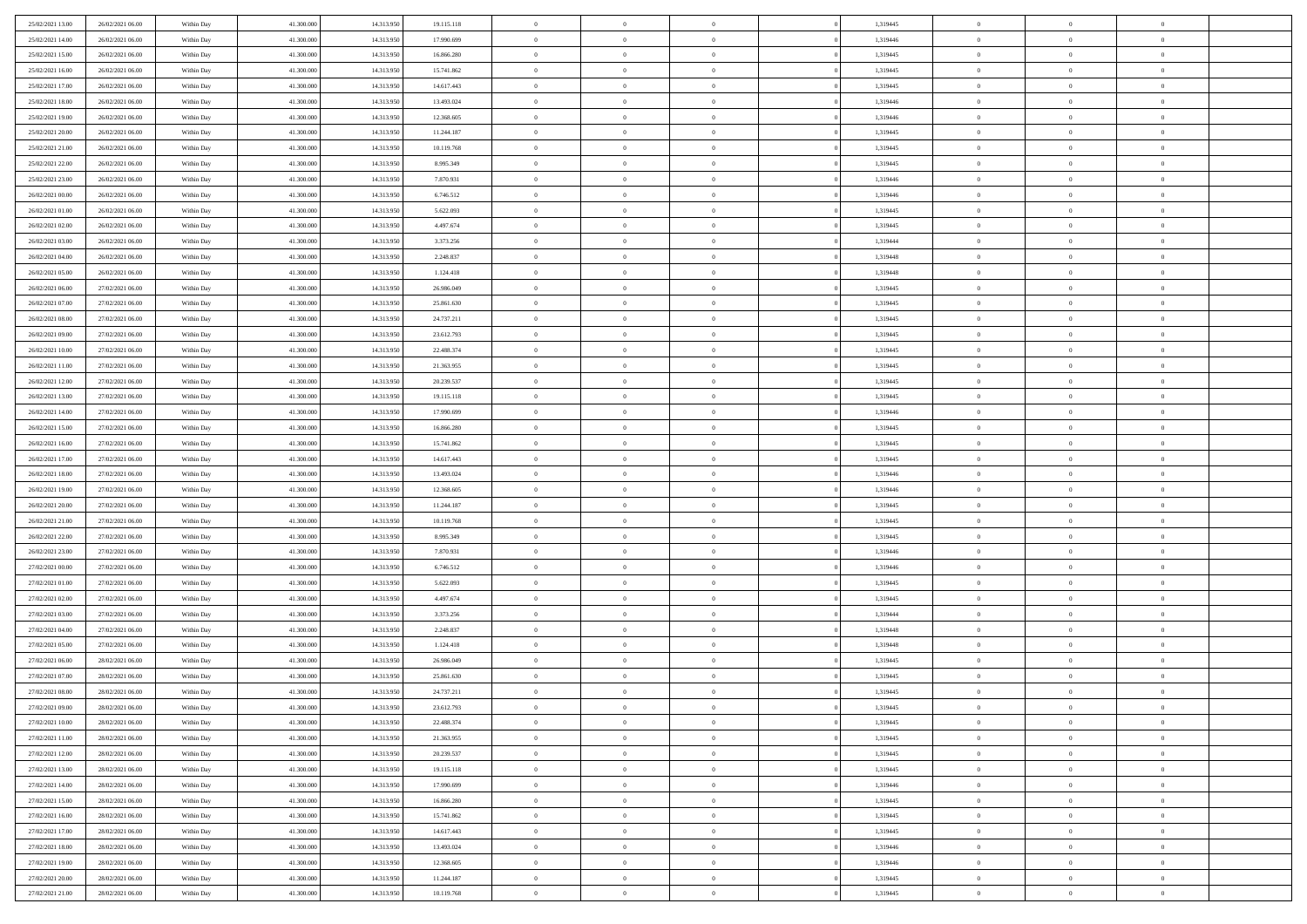| 25/02/2021 13:00 | 26/02/2021 06:00 | Within Day | 41.300.000 | 14.313.950 | 19.115.118 | $\overline{0}$ | $\overline{0}$ | $\Omega$       | 1,319445 | $\bf{0}$       | $\mathbf{0}$   | $\bf{0}$       |  |
|------------------|------------------|------------|------------|------------|------------|----------------|----------------|----------------|----------|----------------|----------------|----------------|--|
| 25/02/2021 14:00 | 26/02/2021 06:00 | Within Day | 41.300.000 | 14.313.950 | 17.990.699 | $\mathbf{0}$   | $\overline{0}$ | $\overline{0}$ | 1,319446 | $\mathbf{0}$   | $\overline{0}$ | $\overline{0}$ |  |
| 25/02/2021 15:00 | 26/02/2021 06:00 | Within Day | 41.300.000 | 14.313.950 | 16.866.280 | $\,$ 0         | $\overline{0}$ | $\bf{0}$       | 1,319445 | $\,$ 0         | $\overline{0}$ | $\,$ 0 $\,$    |  |
| 25/02/2021 16:00 | 26/02/2021 06:00 | Within Day | 41.300,000 | 14.313.950 | 15.741.862 | $\bf{0}$       | $\overline{0}$ | $\Omega$       | 1,319445 | $\bf{0}$       | $\mathbf{0}$   | $\theta$       |  |
| 25/02/2021 17:00 | 26/02/2021 06:00 | Within Day | 41.300.000 | 14.313.950 | 14.617.443 | $\bf{0}$       | $\overline{0}$ | $\overline{0}$ | 1,319445 | $\mathbf{0}$   | $\overline{0}$ | $\overline{0}$ |  |
| 25/02/2021 18:00 | 26/02/2021 06:00 | Within Day | 41.300.000 | 14.313.950 | 13.493.024 | $\bf{0}$       | $\overline{0}$ | $\bf{0}$       | 1,319446 | $\,$ 0         | $\overline{0}$ | $\,$ 0 $\,$    |  |
| 25/02/2021 19:00 | 26/02/2021 06:00 | Within Day | 41.300,000 | 14.313.950 | 12.368.605 | $\bf{0}$       | $\overline{0}$ | $\overline{0}$ | 1,319446 | $\bf{0}$       | $\overline{0}$ | $\theta$       |  |
| 25/02/2021 20:00 | 26/02/2021 06:00 | Within Day | 41.300.000 | 14.313.950 | 11.244.187 | $\overline{0}$ | $\overline{0}$ | $\overline{0}$ | 1,319445 | $\mathbf{0}$   | $\overline{0}$ | $\overline{0}$ |  |
| 25/02/2021 21:00 | 26/02/2021 06:00 | Within Day | 41.300.000 | 14.313.950 | 10.119.768 | $\bf{0}$       | $\overline{0}$ | $\bf{0}$       | 1,319445 | $\,$ 0         | $\overline{0}$ | $\,$ 0 $\,$    |  |
| 25/02/2021 22.00 | 26/02/2021 06:00 | Within Day | 41.300,000 | 14.313.950 | 8.995.349  | $\overline{0}$ | $\overline{0}$ | $\Omega$       | 1,319445 | $\theta$       | $\mathbf{0}$   | $\theta$       |  |
| 25/02/2021 23:00 | 26/02/2021 06:00 | Within Day | 41.300.000 | 14.313.950 | 7.870.931  | $\bf{0}$       | $\overline{0}$ | $\overline{0}$ | 1,319446 | $\mathbf{0}$   | $\overline{0}$ | $\overline{0}$ |  |
| 26/02/2021 00:00 | 26/02/2021 06:00 | Within Day | 41.300.000 | 14.313.950 | 6.746.512  | $\bf{0}$       | $\overline{0}$ | $\bf{0}$       | 1,319446 | $\,$ 0         | $\overline{0}$ | $\,$ 0 $\,$    |  |
| 26/02/2021 01:00 | 26/02/2021 06:00 | Within Day | 41.300,000 | 14.313.950 | 5.622.093  | $\bf{0}$       | $\overline{0}$ | $\Omega$       | 1,319445 | $\bf{0}$       | $\mathbf{0}$   | $\theta$       |  |
| 26/02/2021 02:00 | 26/02/2021 06:00 | Within Day | 41.300.000 | 14.313.950 | 4.497.674  | $\bf{0}$       | $\overline{0}$ | $\overline{0}$ | 1,319445 | $\overline{0}$ | $\overline{0}$ | $\overline{0}$ |  |
| 26/02/2021 03:00 | 26/02/2021 06:00 | Within Day | 41.300.000 | 14.313.950 | 3.373.256  | $\bf{0}$       | $\overline{0}$ | $\bf{0}$       | 1,319444 | $\,$ 0         | $\overline{0}$ | $\,$ 0 $\,$    |  |
| 26/02/2021 04:00 | 26/02/2021 06:00 | Within Day | 41,300,000 | 14.313.950 | 2.248.837  | $\bf{0}$       | $\overline{0}$ | $\overline{0}$ | 1,319448 | $\bf{0}$       | $\overline{0}$ | $\theta$       |  |
| 26/02/2021 05:00 | 26/02/2021 06:00 | Within Day | 41.300.000 | 14.313.950 | 1.124.418  | $\overline{0}$ | $\overline{0}$ | $\overline{0}$ | 1,319448 | $\mathbf{0}$   | $\overline{0}$ | $\overline{0}$ |  |
| 26/02/2021 06:00 | 27/02/2021 06:00 | Within Day | 41.300.000 | 14.313.950 | 26.986.049 | $\bf{0}$       | $\overline{0}$ | $\bf{0}$       | 1,319445 | $\,$ 0         | $\overline{0}$ | $\,$ 0 $\,$    |  |
| 26/02/2021 07:00 | 27/02/2021 06:00 | Within Day | 41.300,000 | 14.313.950 | 25.861.630 | $\bf{0}$       | $\overline{0}$ | $\Omega$       | 1,319445 | $\theta$       | $\mathbf{0}$   | $\theta$       |  |
| 26/02/2021 08:00 | 27/02/2021 06:00 | Within Day | 41.300.000 | 14.313.950 | 24.737.211 | $\overline{0}$ | $\overline{0}$ | $\overline{0}$ | 1,319445 | $\mathbf{0}$   | $\overline{0}$ | $\overline{0}$ |  |
| 26/02/2021 09:00 | 27/02/2021 06:00 | Within Day | 41.300.000 | 14.313.950 | 23.612.793 | $\bf{0}$       | $\overline{0}$ | $\bf{0}$       | 1,319445 | $\,$ 0         | $\overline{0}$ | $\,$ 0 $\,$    |  |
| 26/02/2021 10:00 | 27/02/2021 06:00 | Within Day | 41.300,000 | 14.313.950 | 22.488.374 | $\bf{0}$       | $\overline{0}$ | $\Omega$       | 1,319445 | $\theta$       | $\mathbf{0}$   | $\theta$       |  |
| 26/02/2021 11:00 | 27/02/2021 06:00 | Within Day | 41.300.000 | 14.313.950 | 21.363.955 | $\overline{0}$ | $\overline{0}$ | $\overline{0}$ | 1,319445 | $\mathbf{0}$   | $\overline{0}$ | $\overline{0}$ |  |
| 26/02/2021 12:00 | 27/02/2021 06:00 | Within Day | 41.300.000 | 14.313.950 | 20.239.537 | $\bf{0}$       | $\overline{0}$ | $\bf{0}$       | 1,319445 | $\,$ 0         | $\overline{0}$ | $\,$ 0 $\,$    |  |
| 26/02/2021 13:00 | 27/02/2021 06:00 | Within Day | 41.300,000 | 14.313.950 | 19.115.118 | $\bf{0}$       | $\overline{0}$ | $\overline{0}$ | 1,319445 | $\bf{0}$       | $\overline{0}$ | $\bf{0}$       |  |
| 26/02/2021 14:00 | 27/02/2021 06:00 | Within Day | 41.300.000 | 14.313.950 | 17.990.699 | $\overline{0}$ | $\overline{0}$ | $\overline{0}$ | 1,319446 | $\mathbf{0}$   | $\overline{0}$ | $\overline{0}$ |  |
| 26/02/2021 15:00 | 27/02/2021 06:00 | Within Day | 41.300.000 | 14.313.950 | 16.866.280 | $\bf{0}$       | $\overline{0}$ | $\bf{0}$       | 1,319445 | $\,$ 0         | $\overline{0}$ | $\,$ 0 $\,$    |  |
| 26/02/2021 16:00 | 27/02/2021 06:00 | Within Day | 41.300,000 | 14.313.950 | 15.741.862 | $\bf{0}$       | $\overline{0}$ | $\Omega$       | 1,319445 | $\theta$       | $\mathbf{0}$   | $\theta$       |  |
| 26/02/2021 17:00 | 27/02/2021 06:00 | Within Day | 41.300.000 | 14.313.950 | 14.617.443 | $\overline{0}$ | $\overline{0}$ | $\overline{0}$ | 1,319445 | $\mathbf{0}$   | $\overline{0}$ | $\overline{0}$ |  |
| 26/02/2021 18:00 | 27/02/2021 06:00 | Within Day | 41.300.000 | 14.313.950 | 13.493.024 | $\bf{0}$       | $\overline{0}$ | $\bf{0}$       | 1,319446 | $\,$ 0         | $\overline{0}$ | $\,$ 0 $\,$    |  |
| 26/02/2021 19:00 | 27/02/2021 06:00 | Within Day | 41.300.000 | 14.313.950 | 12.368.605 | $\bf{0}$       | $\bf{0}$       | $\overline{0}$ | 1,319446 | $\bf{0}$       | $\overline{0}$ | $\,0\,$        |  |
| 26/02/2021 20:00 | 27/02/2021 06:00 | Within Day | 41.300.000 | 14.313.950 | 11.244.187 | $\overline{0}$ | $\overline{0}$ | $\overline{0}$ | 1,319445 | $\mathbf{0}$   | $\overline{0}$ | $\overline{0}$ |  |
| 26/02/2021 21:00 | 27/02/2021 06:00 | Within Day | 41.300.000 | 14.313.950 | 10.119.768 | $\bf{0}$       | $\overline{0}$ | $\bf{0}$       | 1,319445 | $\,$ 0         | $\overline{0}$ | $\,$ 0 $\,$    |  |
| 26/02/2021 22.00 | 27/02/2021 06:00 | Within Day | 41.300.000 | 14.313.950 | 8.995.349  | $\bf{0}$       | $\bf{0}$       | $\bf{0}$       | 1,319445 | $\bf{0}$       | $\overline{0}$ | $\bf{0}$       |  |
| 26/02/2021 23:00 | 27/02/2021 06:00 | Within Day | 41.300.000 | 14.313.950 | 7.870.931  | $\overline{0}$ | $\overline{0}$ | $\overline{0}$ | 1,319446 | $\mathbf{0}$   | $\overline{0}$ | $\overline{0}$ |  |
| 27/02/2021 00:00 | 27/02/2021 06:00 | Within Day | 41.300.000 | 14.313.950 | 6.746.512  | $\bf{0}$       | $\overline{0}$ | $\bf{0}$       | 1,319446 | $\,$ 0         | $\overline{0}$ | $\,$ 0 $\,$    |  |
| 27/02/2021 01:00 | 27/02/2021 06:00 | Within Day | 41.300.000 | 14.313.950 | 5.622.093  | $\bf{0}$       | $\bf{0}$       | $\overline{0}$ | 1,319445 | $\bf{0}$       | $\overline{0}$ | $\,0\,$        |  |
| 27/02/2021 02:00 | 27/02/2021 06:00 | Within Day | 41.300.000 | 14.313.950 | 4.497.674  | $\overline{0}$ | $\overline{0}$ | $\overline{0}$ | 1,319445 | $\mathbf{0}$   | $\overline{0}$ | $\overline{0}$ |  |
| 27/02/2021 03:00 | 27/02/2021 06:00 | Within Day | 41.300.000 | 14.313.950 | 3.373.256  | $\bf{0}$       | $\overline{0}$ | $\bf{0}$       | 1,319444 | $\,$ 0         | $\overline{0}$ | $\,$ 0 $\,$    |  |
| 27/02/2021 04:00 | 27/02/2021 06:00 | Within Day | 41.300.000 | 14.313.950 | 2.248.837  | $\bf{0}$       | $\bf{0}$       | $\overline{0}$ | 1,319448 | $\bf{0}$       | $\overline{0}$ | $\,0\,$        |  |
| 27/02/2021 05:00 | 27/02/2021 06:00 | Within Day | 41.300.000 | 14.313.950 | 1.124.418  | $\overline{0}$ | $\overline{0}$ | $\overline{0}$ | 1,319448 | $\mathbf{0}$   | $\overline{0}$ | $\overline{0}$ |  |
| 27/02/2021 06:00 | 28/02/2021 06:00 | Within Day | 41.300.000 | 14.313.950 | 26.986.049 | $\bf{0}$       | $\overline{0}$ | $\bf{0}$       | 1,319445 | $\,$ 0         | $\overline{0}$ | $\,$ 0 $\,$    |  |
| 27/02/2021 07:00 | 28/02/2021 06:00 | Within Day | 41.300.000 | 14.313.950 | 25.861.630 | $\bf{0}$       | $\bf{0}$       | $\bf{0}$       | 1,319445 | $\bf{0}$       | $\overline{0}$ | $\,0\,$        |  |
| 27/02/2021 08:00 | 28/02/2021 06:00 | Within Dav | 41.300.000 | 14.313.950 | 24.737.211 | $\mathbf{0}$   | $\overline{0}$ | $\overline{0}$ | 1,319445 | $\mathbf{0}$   | $\overline{0}$ | $\overline{0}$ |  |
| 27/02/2021 09:00 | 28/02/2021 06:00 | Within Day | 41.300.000 | 14.313.950 | 23.612.793 | $\bf{0}$       | $\overline{0}$ | $\overline{0}$ | 1,319445 | $\overline{0}$ | $\overline{0}$ | $\theta$       |  |
| 27/02/2021 10:00 | 28/02/2021 06:00 | Within Day | 41.300.000 | 14.313.950 | 22.488.374 | $\bf{0}$       | $\bf{0}$       | $\bf{0}$       | 1,319445 | $\bf{0}$       | $\overline{0}$ | $\bf{0}$       |  |
| 27/02/2021 11:00 | 28/02/2021 06:00 | Within Day | 41.300.000 | 14.313.950 | 21.363.955 | $\overline{0}$ | $\overline{0}$ | $\overline{0}$ | 1,319445 | $\overline{0}$ | $\bf{0}$       | $\overline{0}$ |  |
| 27/02/2021 12:00 | 28/02/2021 06:00 | Within Day | 41.300.000 | 14.313.950 | 20.239.537 | $\,$ 0 $\,$    | $\overline{0}$ | $\overline{0}$ | 1,319445 | $\mathbf{0}$   | $\,$ 0 $\,$    | $\,$ 0 $\,$    |  |
| 27/02/2021 13:00 | 28/02/2021 06:00 | Within Day | 41.300.000 | 14.313.950 | 19.115.118 | $\bf{0}$       | $\bf{0}$       | $\overline{0}$ | 1,319445 | $\bf{0}$       | $\overline{0}$ | $\bf{0}$       |  |
| 27/02/2021 14:00 | 28/02/2021 06:00 | Within Day | 41.300.000 | 14.313.950 | 17.990.699 | $\bf{0}$       | $\overline{0}$ | $\overline{0}$ | 1,319446 | $\overline{0}$ | $\bf{0}$       | $\overline{0}$ |  |
| 27/02/2021 15:00 | 28/02/2021 06:00 | Within Day | 41.300.000 | 14.313.950 | 16.866.280 | $\,$ 0 $\,$    | $\overline{0}$ | $\overline{0}$ | 1,319445 | $\,$ 0 $\,$    | $\overline{0}$ | $\,$ 0 $\,$    |  |
| 27/02/2021 16:00 | 28/02/2021 06:00 | Within Day | 41.300.000 | 14.313.950 | 15.741.862 | $\overline{0}$ | $\overline{0}$ | $\overline{0}$ | 1,319445 | $\bf{0}$       | $\overline{0}$ | $\overline{0}$ |  |
| 27/02/2021 17:00 | 28/02/2021 06:00 | Within Day | 41.300.000 | 14.313.950 | 14.617.443 | $\overline{0}$ | $\overline{0}$ | $\overline{0}$ | 1,319445 | $\overline{0}$ | $\bf{0}$       | $\overline{0}$ |  |
| 27/02/2021 18:00 | 28/02/2021 06:00 | Within Day | 41.300.000 | 14.313.950 | 13.493.024 | $\,$ 0 $\,$    | $\overline{0}$ | $\overline{0}$ | 1,319446 | $\mathbf{0}$   | $\,$ 0 $\,$    | $\,$ 0 $\,$    |  |
| 27/02/2021 19:00 | 28/02/2021 06:00 | Within Day | 41.300.000 | 14.313.950 | 12.368.605 | $\bf{0}$       | $\bf{0}$       | $\overline{0}$ | 1,319446 | $\mathbf{0}$   | $\overline{0}$ | $\bf{0}$       |  |
| 27/02/2021 20:00 | 28/02/2021 06:00 | Within Day | 41.300.000 | 14.313.950 | 11.244.187 | $\bf{0}$       | $\overline{0}$ | $\overline{0}$ | 1,319445 | $\mathbf{0}$   | $\bf{0}$       | $\overline{0}$ |  |
| 27/02/2021 21:00 | 28/02/2021 06:00 | Within Day | 41.300.000 | 14.313.950 | 10.119.768 | $\,0\,$        | $\overline{0}$ | $\overline{0}$ | 1,319445 | $\,$ 0         | $\overline{0}$ | $\,$ 0 $\,$    |  |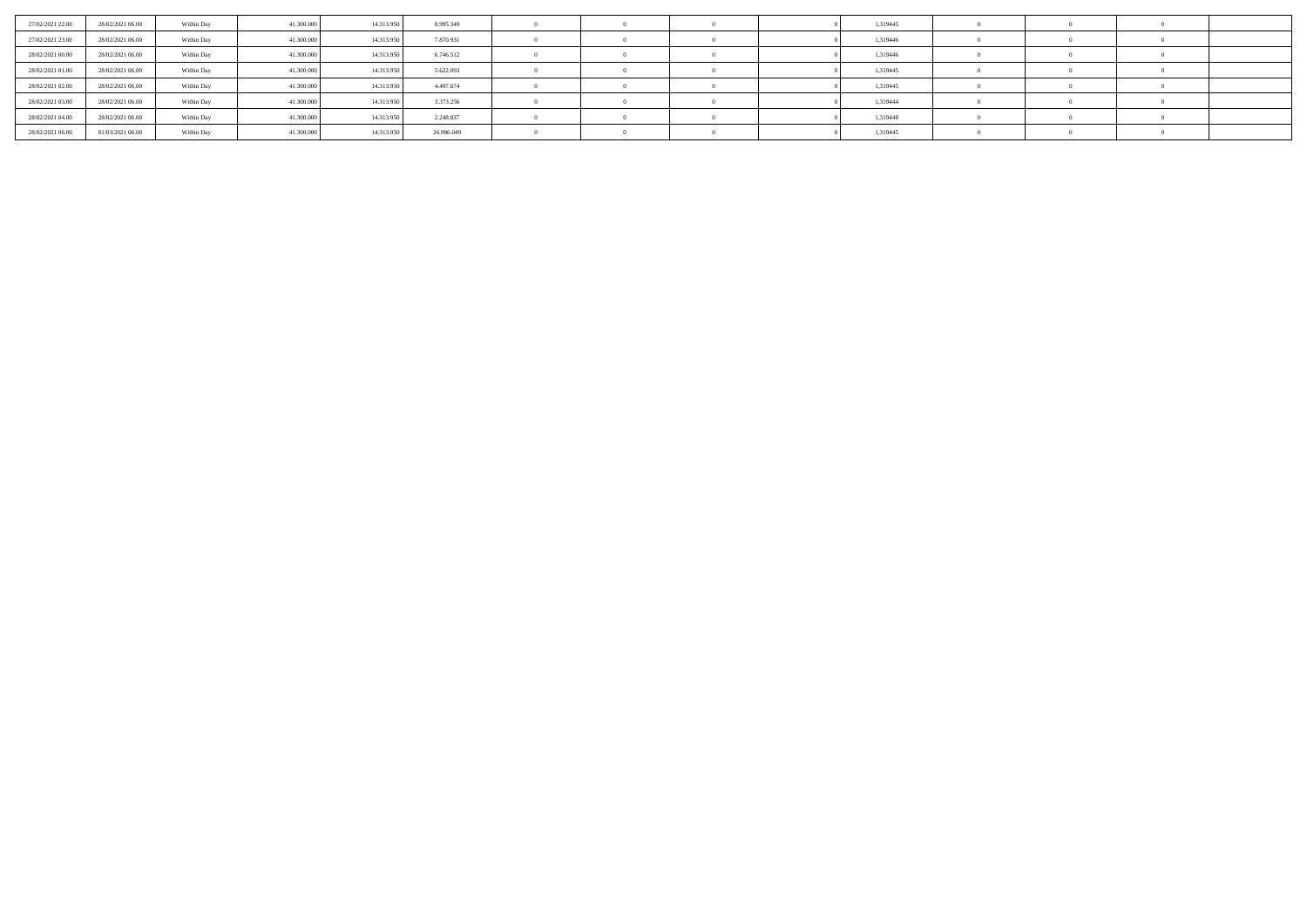| 27/02/2021 22.00 | 28/02/2021 06:00 | Within Day | 41.300,000 | 14.313.950 | 8.995.349  |  |  | 1,319445 |  |  |
|------------------|------------------|------------|------------|------------|------------|--|--|----------|--|--|
| 27/02/2021 23:00 | 28/02/2021 06:00 | Within Day | 41.300,000 | 14.313.950 | 7.870.931  |  |  | 1,319446 |  |  |
| 28/02/2021 00:00 | 28/02/2021 06:00 | Within Day | 41.300,000 | 14.313.950 | 6.746.512  |  |  | 1,319446 |  |  |
| 28/02/2021 01:00 | 28/02/2021 06:00 | Within Day | 41.300.000 | 14.313.950 | 5.622.093  |  |  | 1,319445 |  |  |
| 28/02/2021 02:00 | 28/02/2021 06:00 | Within Day | 41.300,000 | 14.313.950 | 4.497.674  |  |  | 1,319445 |  |  |
| 28/02/2021 03:00 | 28/02/2021 06:00 | Within Day | 41.300,000 | 14.313.950 | 3.373.256  |  |  | 1,319444 |  |  |
| 28/02/2021 04:00 | 28/02/2021 06:00 | Within Day | 41.300,000 | 14.313.950 | 2.248.837  |  |  | 1,319448 |  |  |
| 28/02/2021 06:00 | 01/03/2021 06:00 | Within Day | 41.300.000 | 14.313.950 | 26.986.049 |  |  | 1,319445 |  |  |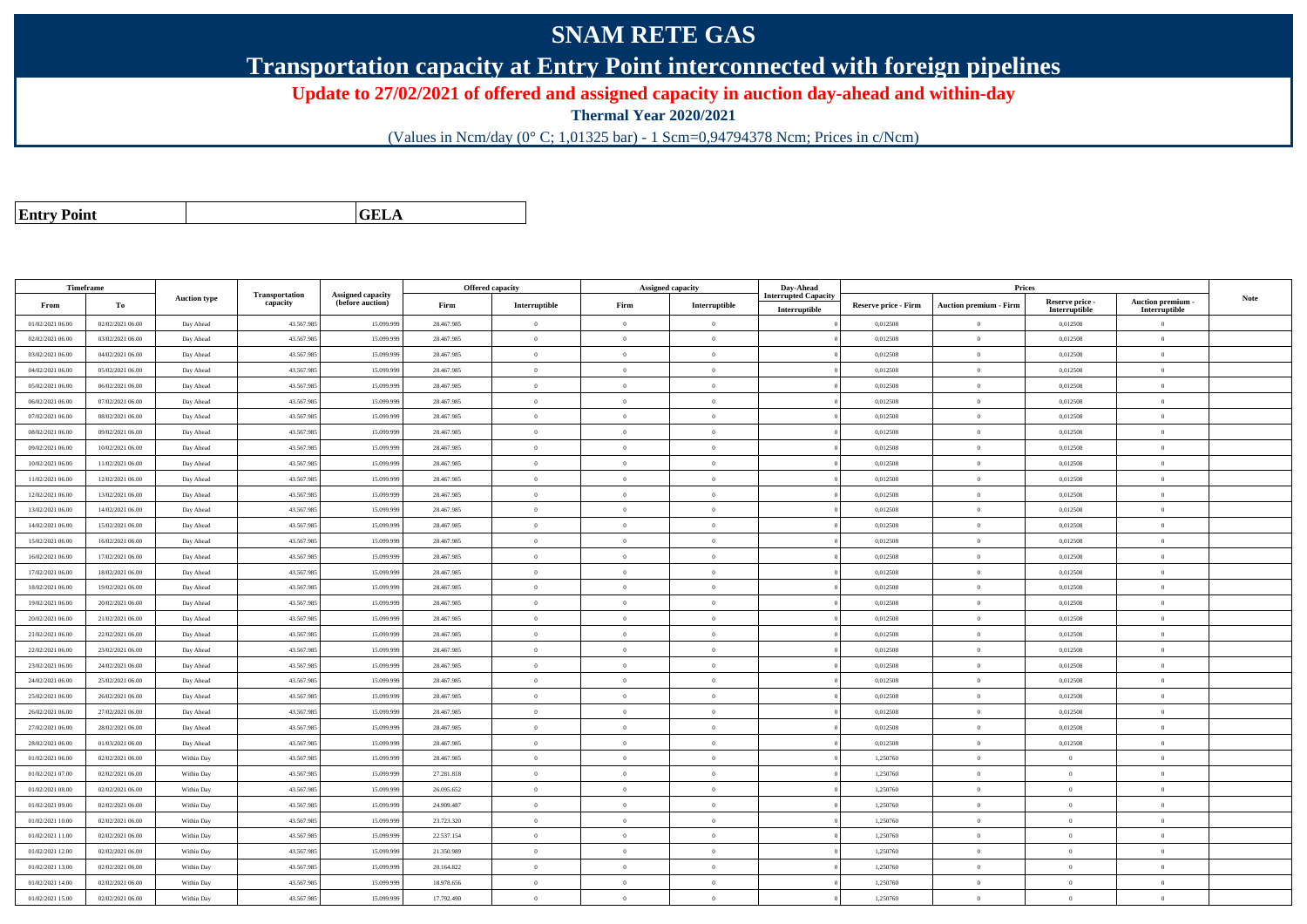## **SNAM RETE GAS**

**Transportation capacity at Entry Point interconnected with foreign pipelines**

**Update to 27/02/2021 of offered and assigned capacity in auction day-ahead and within-day**

**Thermal Year 2020/2021**

(Values in Ncm/day (0° C; 1,01325 bar) - 1 Scm=0,94794378 Ncm; Prices in c/Ncm)

| <b>Entry Point</b> |  |
|--------------------|--|
|                    |  |

**GELA**

| Timeframe<br>Offered capacity<br>Prices<br>Assigned capacity<br>Day-Ahead<br><b>Transportation</b><br>Assigned capacity<br><b>Interrupted Capacity</b><br><b>Auction type</b><br>capacity<br>(before auction)<br>То<br>Firm<br>Interruptible<br>Firm<br>Interruptible<br><b>Auction premium - Firm</b><br>From<br><b>Reserve price - Firm</b><br>Interruptible<br>01/02/2021 06:00<br>02/02/2021 06:00<br>43.567.985<br>15.099.99<br>28.467.985<br>$\Omega$<br>0,012508<br>$\bf{0}$<br>$\overline{0}$<br>$\overline{0}$<br>Day Ahead<br>43.567.985<br>15.099.99<br>0,012508<br>$\theta$<br>02/02/2021 06:00<br>03/02/2021 06:00<br>Day Ahead<br>28.467.985<br>$\overline{0}$<br>$\Omega$<br>$\Omega$<br>03/02/2021 06:00<br>04/02/2021 06:00<br>Day Ahead<br>43.567.98<br>15.099.99<br>28.467.985<br>$\overline{0}$<br>$\overline{0}$<br>$\Omega$<br>0,012508<br>$\theta$<br>04/02/2021 06:00<br>05/02/2021 06:00<br>43.567.985<br>15.099.99<br>28.467.985<br>0,012508<br>$\theta$<br>Day Ahead<br>$\overline{0}$<br>$\overline{0}$<br>$\Omega$<br>43.567.985<br>15,099.99<br>$\,$ 0 $\,$<br>05/02/2021 06:00<br>06/02/2021 06:00<br>28.467.985<br>$\Omega$<br>0.012508<br>Day Ahead<br>$\overline{0}$<br>$\alpha$<br>43.567.985<br>15.099.99<br>28.467.985<br>$\theta$<br>06/02/2021 06:00<br>07/02/2021 06:00<br>Day Ahead<br>$\overline{0}$<br>$\Omega$<br>0,012508<br>$\theta$<br>07/02/2021 06:00<br>08/02/2021 06:00<br>Day Ahead<br>43.567.985<br>15.099.99<br>28.467.985<br>$\mathbf{0}$<br>$\theta$<br>$\overline{0}$<br>0,012508<br>$\,$ 0 $\,$<br>15,099.99<br>08/02/2021 06:00<br>09/02/2021 06:00<br>43.567.985<br>28.467.985<br>$\theta$<br>$\theta$<br>0.012508<br>$\theta$<br>Day Ahead<br>$\Omega$ | Reserve price -<br>Interruptible<br>0,012508<br>0,012508<br>0,012508<br>0,012508<br>0.012508<br>0,012508 | Auction premium -<br>Interruptible<br>$\overline{0}$<br>$\overline{0}$<br>$\overline{0}$<br>$\mathbf{0}$ | <b>Note</b> |
|---------------------------------------------------------------------------------------------------------------------------------------------------------------------------------------------------------------------------------------------------------------------------------------------------------------------------------------------------------------------------------------------------------------------------------------------------------------------------------------------------------------------------------------------------------------------------------------------------------------------------------------------------------------------------------------------------------------------------------------------------------------------------------------------------------------------------------------------------------------------------------------------------------------------------------------------------------------------------------------------------------------------------------------------------------------------------------------------------------------------------------------------------------------------------------------------------------------------------------------------------------------------------------------------------------------------------------------------------------------------------------------------------------------------------------------------------------------------------------------------------------------------------------------------------------------------------------------------------------------------------------------------------------------------------------------------------------------------|----------------------------------------------------------------------------------------------------------|----------------------------------------------------------------------------------------------------------|-------------|
|                                                                                                                                                                                                                                                                                                                                                                                                                                                                                                                                                                                                                                                                                                                                                                                                                                                                                                                                                                                                                                                                                                                                                                                                                                                                                                                                                                                                                                                                                                                                                                                                                                                                                                                     |                                                                                                          |                                                                                                          |             |
|                                                                                                                                                                                                                                                                                                                                                                                                                                                                                                                                                                                                                                                                                                                                                                                                                                                                                                                                                                                                                                                                                                                                                                                                                                                                                                                                                                                                                                                                                                                                                                                                                                                                                                                     |                                                                                                          |                                                                                                          |             |
|                                                                                                                                                                                                                                                                                                                                                                                                                                                                                                                                                                                                                                                                                                                                                                                                                                                                                                                                                                                                                                                                                                                                                                                                                                                                                                                                                                                                                                                                                                                                                                                                                                                                                                                     |                                                                                                          |                                                                                                          |             |
|                                                                                                                                                                                                                                                                                                                                                                                                                                                                                                                                                                                                                                                                                                                                                                                                                                                                                                                                                                                                                                                                                                                                                                                                                                                                                                                                                                                                                                                                                                                                                                                                                                                                                                                     |                                                                                                          |                                                                                                          |             |
|                                                                                                                                                                                                                                                                                                                                                                                                                                                                                                                                                                                                                                                                                                                                                                                                                                                                                                                                                                                                                                                                                                                                                                                                                                                                                                                                                                                                                                                                                                                                                                                                                                                                                                                     |                                                                                                          |                                                                                                          |             |
|                                                                                                                                                                                                                                                                                                                                                                                                                                                                                                                                                                                                                                                                                                                                                                                                                                                                                                                                                                                                                                                                                                                                                                                                                                                                                                                                                                                                                                                                                                                                                                                                                                                                                                                     |                                                                                                          |                                                                                                          |             |
|                                                                                                                                                                                                                                                                                                                                                                                                                                                                                                                                                                                                                                                                                                                                                                                                                                                                                                                                                                                                                                                                                                                                                                                                                                                                                                                                                                                                                                                                                                                                                                                                                                                                                                                     |                                                                                                          | $\theta$                                                                                                 |             |
|                                                                                                                                                                                                                                                                                                                                                                                                                                                                                                                                                                                                                                                                                                                                                                                                                                                                                                                                                                                                                                                                                                                                                                                                                                                                                                                                                                                                                                                                                                                                                                                                                                                                                                                     |                                                                                                          | $\overline{0}$                                                                                           |             |
|                                                                                                                                                                                                                                                                                                                                                                                                                                                                                                                                                                                                                                                                                                                                                                                                                                                                                                                                                                                                                                                                                                                                                                                                                                                                                                                                                                                                                                                                                                                                                                                                                                                                                                                     | 0,012508                                                                                                 | $\mathbf{0}$                                                                                             |             |
|                                                                                                                                                                                                                                                                                                                                                                                                                                                                                                                                                                                                                                                                                                                                                                                                                                                                                                                                                                                                                                                                                                                                                                                                                                                                                                                                                                                                                                                                                                                                                                                                                                                                                                                     | 0.012508                                                                                                 | $\theta$                                                                                                 |             |
| 09/02/2021 06:00<br>10/02/2021 06:00<br>43.567.985<br>15.099.99<br>28.467.985<br>$\mathbf{0}$<br>$\overline{0}$<br>$\overline{0}$<br>0,012508<br>$\mathbf{0}$<br>Day Ahead                                                                                                                                                                                                                                                                                                                                                                                                                                                                                                                                                                                                                                                                                                                                                                                                                                                                                                                                                                                                                                                                                                                                                                                                                                                                                                                                                                                                                                                                                                                                          | 0,012508                                                                                                 | $\overline{0}$                                                                                           |             |
| 10/02/2021 06:00<br>11/02/2021 06:00<br>43.567.985<br>15.099.999<br>$\theta$<br>0,012508<br>$\theta$<br>Day Ahead<br>28.467.985<br>$\overline{0}$<br>$\overline{0}$                                                                                                                                                                                                                                                                                                                                                                                                                                                                                                                                                                                                                                                                                                                                                                                                                                                                                                                                                                                                                                                                                                                                                                                                                                                                                                                                                                                                                                                                                                                                                 | 0,012508                                                                                                 | $\mathbf{0}$                                                                                             |             |
| 11/02/2021 06:00<br>12/02/2021 06:00<br>43.567.98<br>15.099.99<br>28.467.985<br>$\theta$<br>0,012508<br>$\theta$<br>Day Ahead<br>$\overline{0}$<br>$\Omega$                                                                                                                                                                                                                                                                                                                                                                                                                                                                                                                                                                                                                                                                                                                                                                                                                                                                                                                                                                                                                                                                                                                                                                                                                                                                                                                                                                                                                                                                                                                                                         | 0,012508                                                                                                 | $\overline{0}$                                                                                           |             |
| 12/02/2021 06:00<br>13/02/2021 06:00<br>43.567.985<br>15.099.99<br>28.467.985<br>$\overline{0}$<br>$\Omega$<br>0,012508<br>$\theta$<br>Day Ahead<br>$\Omega$                                                                                                                                                                                                                                                                                                                                                                                                                                                                                                                                                                                                                                                                                                                                                                                                                                                                                                                                                                                                                                                                                                                                                                                                                                                                                                                                                                                                                                                                                                                                                        | 0,012508                                                                                                 | $\overline{0}$                                                                                           |             |
| 43.567.985<br>15,099.99<br>13/02/2021 06:00<br>14/02/2021 06:00<br>28.467.985<br>$\Omega$<br>0.012508<br>$\theta$<br>Day Ahead<br>$\theta$<br>$\Omega$                                                                                                                                                                                                                                                                                                                                                                                                                                                                                                                                                                                                                                                                                                                                                                                                                                                                                                                                                                                                                                                                                                                                                                                                                                                                                                                                                                                                                                                                                                                                                              | 0.012508                                                                                                 | $\Omega$                                                                                                 |             |
| 43.567.98<br>14/02/2021 06:00<br>15/02/2021 06:00<br>Day Ahead<br>15.099.99<br>28.467.985<br>$\overline{0}$<br>$\theta$<br>$\Omega$<br>0,012508<br>$\theta$                                                                                                                                                                                                                                                                                                                                                                                                                                                                                                                                                                                                                                                                                                                                                                                                                                                                                                                                                                                                                                                                                                                                                                                                                                                                                                                                                                                                                                                                                                                                                         | 0,012508                                                                                                 | $\overline{0}$                                                                                           |             |
| 15/02/2021 06:00<br>43.567.98<br>15.099.99<br>0,012508<br>16/02/2021 06:00<br>Day Ahead<br>28.467.985<br>$\mathbf{0}$<br>$\theta$<br>$\overline{0}$<br>$\theta$                                                                                                                                                                                                                                                                                                                                                                                                                                                                                                                                                                                                                                                                                                                                                                                                                                                                                                                                                                                                                                                                                                                                                                                                                                                                                                                                                                                                                                                                                                                                                     | 0,012508                                                                                                 | $\overline{0}$                                                                                           |             |
| $\theta$<br>16/02/2021 06:00<br>17/02/2021 06:00<br>Day Ahead<br>43.567.985<br>15,099.99<br>28.467.985<br>$\overline{0}$<br>$\Omega$<br>0.012508<br>$\Omega$                                                                                                                                                                                                                                                                                                                                                                                                                                                                                                                                                                                                                                                                                                                                                                                                                                                                                                                                                                                                                                                                                                                                                                                                                                                                                                                                                                                                                                                                                                                                                        | 0.012508                                                                                                 | $\Omega$                                                                                                 |             |
| $\theta$<br>17/02/2021 06:00<br>18/02/2021 06:00<br>43.567.985<br>15.099.99<br>28.467.985<br>$\overline{0}$<br>$\Omega$<br>0,012508<br>Day Ahead<br>$\Omega$                                                                                                                                                                                                                                                                                                                                                                                                                                                                                                                                                                                                                                                                                                                                                                                                                                                                                                                                                                                                                                                                                                                                                                                                                                                                                                                                                                                                                                                                                                                                                        | 0,012508                                                                                                 | $\overline{0}$                                                                                           |             |
| 18/02/2021 06:00<br>19/02/2021 06:00<br>Day Ahead<br>43.567.985<br>15.099.99<br>28.467.985<br>$\mathbf{0}$<br>$\theta$<br>0,012508<br>$\theta$<br>$\overline{0}$                                                                                                                                                                                                                                                                                                                                                                                                                                                                                                                                                                                                                                                                                                                                                                                                                                                                                                                                                                                                                                                                                                                                                                                                                                                                                                                                                                                                                                                                                                                                                    | 0,012508                                                                                                 | $\mathbf{0}$                                                                                             |             |
| 19/02/2021 06:00<br>20/02/2021 06:00<br>43.567.98<br>15.099.99<br>28.467.985<br>$\theta$<br>$\Omega$<br>0,012508<br>$\theta$<br>Day Ahead<br>$\Omega$                                                                                                                                                                                                                                                                                                                                                                                                                                                                                                                                                                                                                                                                                                                                                                                                                                                                                                                                                                                                                                                                                                                                                                                                                                                                                                                                                                                                                                                                                                                                                               | 0,012508                                                                                                 | $\Omega$                                                                                                 |             |
| 20/02/2021 06:00<br>21/02/2021 06:00<br>43.567.985<br>15.099.99<br>28.467.985<br>$\overline{0}$<br>$\theta$<br>0,012508<br>$\mathbf{0}$<br>Day Ahead<br>$\theta$                                                                                                                                                                                                                                                                                                                                                                                                                                                                                                                                                                                                                                                                                                                                                                                                                                                                                                                                                                                                                                                                                                                                                                                                                                                                                                                                                                                                                                                                                                                                                    | 0,012508                                                                                                 | $\overline{0}$                                                                                           |             |
| 43.567.985<br>15.099.99<br>0,012508<br>$\theta$<br>21/02/2021 06:00<br>22/02/2021 06:00<br>Day Ahead<br>28.467.985<br>$\overline{0}$<br>$\overline{0}$<br>$\Omega$                                                                                                                                                                                                                                                                                                                                                                                                                                                                                                                                                                                                                                                                                                                                                                                                                                                                                                                                                                                                                                                                                                                                                                                                                                                                                                                                                                                                                                                                                                                                                  | 0,012508                                                                                                 | $\overline{0}$                                                                                           |             |
| 22/02/2021 06:00<br>23/02/2021 06:00<br>Day Ahead<br>43.567.98<br>15.099.99<br>28.467.985<br>$\overline{0}$<br>$\overline{0}$<br>$\overline{0}$<br>0,012508<br>$\theta$                                                                                                                                                                                                                                                                                                                                                                                                                                                                                                                                                                                                                                                                                                                                                                                                                                                                                                                                                                                                                                                                                                                                                                                                                                                                                                                                                                                                                                                                                                                                             | 0,012508                                                                                                 | $\overline{0}$                                                                                           |             |
| 43.567.985<br>15.099.999<br>0,012508<br>23/02/2021 06:00<br>24/02/2021 06:00<br>Day Ahead<br>28.467.985<br>$\mathbf{0}$<br>$\theta$<br>$\theta$<br>$\bf{0}$                                                                                                                                                                                                                                                                                                                                                                                                                                                                                                                                                                                                                                                                                                                                                                                                                                                                                                                                                                                                                                                                                                                                                                                                                                                                                                                                                                                                                                                                                                                                                         | 0,012508                                                                                                 | $\mathbf{0}$                                                                                             |             |
| 15,099.99<br>24/02/2021 06:00<br>25/02/2021 06:00<br>43.567.985<br>28.467.985<br>$\Omega$<br>0.012508<br>$\theta$<br>Day Ahead<br>$\theta$<br>$\Omega$                                                                                                                                                                                                                                                                                                                                                                                                                                                                                                                                                                                                                                                                                                                                                                                                                                                                                                                                                                                                                                                                                                                                                                                                                                                                                                                                                                                                                                                                                                                                                              | 0.012508                                                                                                 | $\Omega$                                                                                                 |             |
| 43.567.985<br>$\theta$<br>25/02/2021 06:00<br>26/02/2021 06:00<br>15.099.99<br>28.467.985<br>$\theta$<br>$\Omega$<br>0,012508<br>Day Ahead<br>$^{\circ}$                                                                                                                                                                                                                                                                                                                                                                                                                                                                                                                                                                                                                                                                                                                                                                                                                                                                                                                                                                                                                                                                                                                                                                                                                                                                                                                                                                                                                                                                                                                                                            | 0,012508                                                                                                 | $\Omega$                                                                                                 |             |
| 26/02/2021 06:00<br>27/02/2021 06:00<br>Day Ahead<br>43.567.98<br>15.099.99<br>28.467.985<br>$\mathbf{0}$<br>$\theta$<br>$\overline{0}$<br>0,012508<br>$\theta$                                                                                                                                                                                                                                                                                                                                                                                                                                                                                                                                                                                                                                                                                                                                                                                                                                                                                                                                                                                                                                                                                                                                                                                                                                                                                                                                                                                                                                                                                                                                                     | 0,012508                                                                                                 | $\mathbf{0}$                                                                                             |             |
| 27/02/2021 06:00<br>28/02/2021 06:00<br>43.567.985<br>15,099.99<br>28.467.985<br>$\theta$<br>0.012508<br>$\theta$<br>Day Ahead<br>$\theta$<br>$\Omega$                                                                                                                                                                                                                                                                                                                                                                                                                                                                                                                                                                                                                                                                                                                                                                                                                                                                                                                                                                                                                                                                                                                                                                                                                                                                                                                                                                                                                                                                                                                                                              | 0.012508                                                                                                 | $\Omega$                                                                                                 |             |
| 28/02/2021 06:00<br>01/03/2021 06:00<br>43.567.985<br>15.099.99<br>28.467.985<br>$\overline{0}$<br>$\Omega$<br>0,012508<br>$\overline{0}$<br>Day Ahead<br>$\theta$                                                                                                                                                                                                                                                                                                                                                                                                                                                                                                                                                                                                                                                                                                                                                                                                                                                                                                                                                                                                                                                                                                                                                                                                                                                                                                                                                                                                                                                                                                                                                  | 0,012508                                                                                                 | $\overline{0}$                                                                                           |             |
| 43.567.985<br>15.099.99<br>1,250760<br>$\theta$<br>01/02/2021 06:00<br>02/02/2021 06:00<br>Within Day<br>28.467.985<br>$\overline{0}$<br>$\Omega$<br>$\Omega$                                                                                                                                                                                                                                                                                                                                                                                                                                                                                                                                                                                                                                                                                                                                                                                                                                                                                                                                                                                                                                                                                                                                                                                                                                                                                                                                                                                                                                                                                                                                                       | $\theta$                                                                                                 | $\overline{0}$                                                                                           |             |
| 01/02/2021 07:00<br>02/02/2021 06:00<br>43.567.98<br>15.099.99<br>27.281.818<br>$\theta$<br>1,250760<br>$\theta$<br>Within Day<br>$\theta$<br>$\Omega$                                                                                                                                                                                                                                                                                                                                                                                                                                                                                                                                                                                                                                                                                                                                                                                                                                                                                                                                                                                                                                                                                                                                                                                                                                                                                                                                                                                                                                                                                                                                                              | $\theta$                                                                                                 | $\Omega$                                                                                                 |             |
| 01/02/2021 08:00<br>02/02/2021 06:00<br>43.567.985<br>15.099.99<br>26.095.652<br>$\mathbf{0}$<br>$\theta$<br>1,250760<br>$\theta$<br>Within Day<br>$\Omega$                                                                                                                                                                                                                                                                                                                                                                                                                                                                                                                                                                                                                                                                                                                                                                                                                                                                                                                                                                                                                                                                                                                                                                                                                                                                                                                                                                                                                                                                                                                                                         | $\theta$                                                                                                 | $\mathbf{0}$                                                                                             |             |
| 43.567.985<br>15,099.99<br>1.250760<br>$\mathbf{0}$<br>01/02/2021 09:00<br>02/02/2021 06:00<br>24.909.487<br>$\mathbf{0}$<br>$\Omega$<br>Within Day<br>$\theta$                                                                                                                                                                                                                                                                                                                                                                                                                                                                                                                                                                                                                                                                                                                                                                                                                                                                                                                                                                                                                                                                                                                                                                                                                                                                                                                                                                                                                                                                                                                                                     | $\theta$                                                                                                 | $\theta$                                                                                                 |             |
| 01/02/2021 10:00<br>02/02/2021 06:00<br>Within Day<br>43.567.98<br>15.099.99<br>23.723.320<br>$\overline{0}$<br>$\theta$<br>1,250760<br>$\theta$<br>$\overline{0}$                                                                                                                                                                                                                                                                                                                                                                                                                                                                                                                                                                                                                                                                                                                                                                                                                                                                                                                                                                                                                                                                                                                                                                                                                                                                                                                                                                                                                                                                                                                                                  | $\theta$                                                                                                 | $\overline{0}$                                                                                           |             |
| 01/02/2021 11:00<br>02/02/2021 06:00<br>Within Day<br>43.567.985<br>15.099.99<br>22.537.154<br>$\mathbf{0}$<br>$\theta$<br>$\overline{0}$<br>1,250760<br>$\,$ 0 $\,$                                                                                                                                                                                                                                                                                                                                                                                                                                                                                                                                                                                                                                                                                                                                                                                                                                                                                                                                                                                                                                                                                                                                                                                                                                                                                                                                                                                                                                                                                                                                                | $\mathbf{0}$                                                                                             | $\mathbf{0}$                                                                                             |             |
| 01/02/2021 12:00<br>02/02/2021 06:00<br>43.567.985<br>15.099.99<br>21.350.989<br>$\Omega$<br>1.250760<br>$\theta$<br>Within Day<br>$\theta$<br>$\Omega$                                                                                                                                                                                                                                                                                                                                                                                                                                                                                                                                                                                                                                                                                                                                                                                                                                                                                                                                                                                                                                                                                                                                                                                                                                                                                                                                                                                                                                                                                                                                                             | $\mathbf{0}$                                                                                             | $\Omega$                                                                                                 |             |
| 43.567.985<br>$\,$ 0 $\,$<br>01/02/2021 13:00<br>02/02/2021 06:00<br>15.099.99<br>20.164.822<br>$\overline{0}$<br>$\overline{0}$<br>1,250760<br>Within Day<br>$\Omega$                                                                                                                                                                                                                                                                                                                                                                                                                                                                                                                                                                                                                                                                                                                                                                                                                                                                                                                                                                                                                                                                                                                                                                                                                                                                                                                                                                                                                                                                                                                                              | $\mathbf{0}$                                                                                             | $\overline{0}$                                                                                           |             |
| 43.567.98<br>1,250760<br>$\theta$<br>01/02/2021 14:00<br>02/02/2021 06:00<br>Within Day<br>15.099.99<br>18.978.656<br>$\overline{0}$<br>$\overline{0}$<br>$\overline{0}$                                                                                                                                                                                                                                                                                                                                                                                                                                                                                                                                                                                                                                                                                                                                                                                                                                                                                                                                                                                                                                                                                                                                                                                                                                                                                                                                                                                                                                                                                                                                            | $\bf{0}$                                                                                                 | $\overline{0}$                                                                                           |             |
| 01/02/2021 15:00<br>02/02/2021 06:00<br>Within Day<br>43.567.98<br>15.099.999<br>17.792.490<br>$\theta$<br>1,250760<br>$\theta$<br>$\Omega$<br>$\bf{0}$                                                                                                                                                                                                                                                                                                                                                                                                                                                                                                                                                                                                                                                                                                                                                                                                                                                                                                                                                                                                                                                                                                                                                                                                                                                                                                                                                                                                                                                                                                                                                             | $\Omega$                                                                                                 | $\Omega$                                                                                                 |             |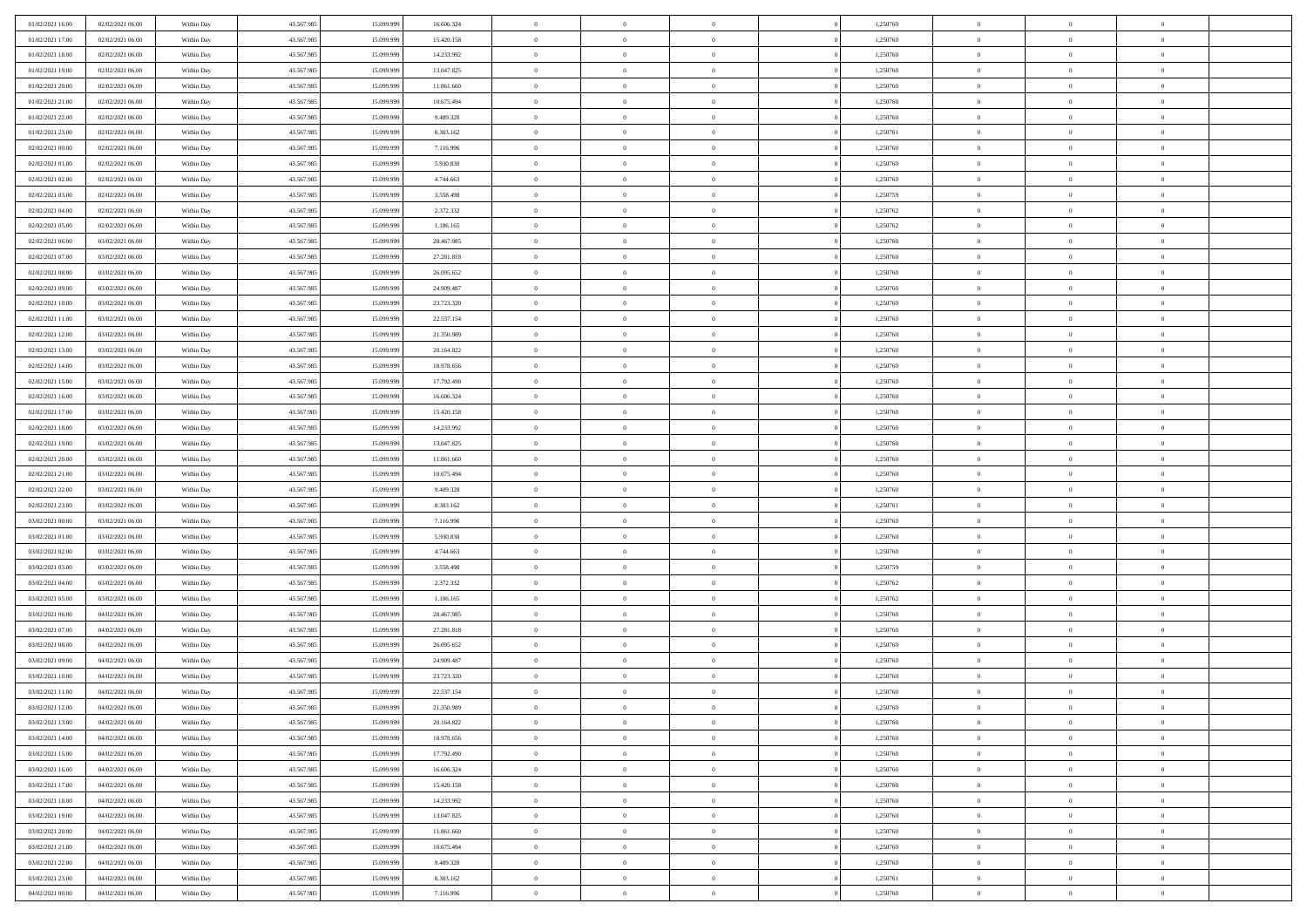| 01/02/2021 16:00                     | 02/02/2021 06:00 | Within Day               | 43.567.985 | 15.099.999 | 16.606.324              | $\,0\,$        | $\overline{0}$ | $\bf{0}$       |                | 1,250760             | $\,$ 0 $\,$    | $\overline{0}$                   | $\bf{0}$       |  |
|--------------------------------------|------------------|--------------------------|------------|------------|-------------------------|----------------|----------------|----------------|----------------|----------------------|----------------|----------------------------------|----------------|--|
| 01/02/2021 17:00                     | 02/02/2021 06:00 | Within Day               | 43.567.985 | 15.099.99  | 15.420.158              | $\overline{0}$ | $\overline{0}$ | $\overline{0}$ |                | 1,250760             | $\theta$       | $\overline{0}$                   | $\theta$       |  |
| 01/02/2021 18:00                     | 02/02/2021 06:00 | Within Day               | 43.567.985 | 15.099.999 | 14.233.992              | $\mathbf{0}$   | $\overline{0}$ | $\overline{0}$ |                | 1,250760             | $\theta$       | $\overline{0}$                   | $\overline{0}$ |  |
| 01/02/2021 19:00                     | 02/02/2021 06:00 | Within Day               | 43.567.985 | 15.099.999 | 13.047.825              | $\bf{0}$       | $\overline{0}$ | $\bf{0}$       |                | 1,250760             | $\bf{0}$       | $\overline{0}$                   | $\bf{0}$       |  |
| 01/02/2021 20:00                     | 02/02/2021 06:00 | Within Day               | 43.567.985 | 15.099.999 | 11.861.660              | $\bf{0}$       | $\overline{0}$ | $\overline{0}$ |                | 1,250760             | $\bf{0}$       | $\bf{0}$                         | $\bf{0}$       |  |
| 01/02/2021 21:00                     | 02/02/2021 06:00 | Within Day               | 43.567.985 | 15.099.999 | 10.675.494              | $\mathbf{0}$   | $\overline{0}$ | $\overline{0}$ |                | 1,250760             | $\theta$       | $\overline{0}$                   | $\theta$       |  |
| 01/02/2021 22.00                     | 02/02/2021 06:00 | Within Day               | 43.567.985 | 15.099.999 | 9.489.328               | $\mathbf{0}$   | $\overline{0}$ | $\overline{0}$ |                | 1,250760             | $\bf{0}$       | $\overline{0}$                   | $\theta$       |  |
| 01/02/2021 23:00                     | 02/02/2021 06:00 | Within Day               | 43.567.985 | 15.099.999 | 8.303.162               | $\overline{0}$ | $\mathbf{0}$   | $\overline{0}$ |                | 1,250761             | $\,0\,$        | $\overline{0}$                   | $\theta$       |  |
| 02/02/2021 00:00                     | 02/02/2021 06:00 | Within Day               | 43.567.985 | 15.099.999 | 7.116.996               | $\mathbf{0}$   | $\overline{0}$ | $\overline{0}$ |                | 1,250760             | $\theta$       | $\overline{0}$                   | $\overline{0}$ |  |
| 02/02/2021 01:00                     | 02/02/2021 06:00 | Within Day               | 43.567.985 | 15.099.999 | 5.930.830               | $\bf{0}$       | $\overline{0}$ | $\overline{0}$ |                | 1,250760             | $\bf{0}$       | $\overline{0}$                   | $\bf{0}$       |  |
|                                      | 02/02/2021 06:00 |                          | 43.567.985 | 15.099.999 | 4.744.663               | $\bf{0}$       | $\overline{0}$ | $\overline{0}$ |                | 1,250760             | $\bf{0}$       | $\theta$                         | $\theta$       |  |
| 02/02/2021 02:00<br>02/02/2021 03:00 | 02/02/2021 06:00 | Within Day<br>Within Day | 43.567.985 | 15.099.999 | 3.558.498               | $\mathbf{0}$   | $\overline{0}$ | $\overline{0}$ |                | 1,250759             | $\theta$       | $\overline{0}$                   | $\overline{0}$ |  |
| 02/02/2021 04:00                     | 02/02/2021 06:00 | Within Day               | 43.567.985 | 15.099.999 | 2.372.332               | $\,0\,$        | $\overline{0}$ | $\overline{0}$ |                | 1,250762             | $\bf{0}$       | $\overline{0}$                   | $\bf{0}$       |  |
| 02/02/2021 05:00                     | 02/02/2021 06:00 |                          | 43.567.985 | 15.099.999 |                         | $\bf{0}$       | $\overline{0}$ | $\overline{0}$ |                |                      | $\,$ 0 $\,$    | $\overline{0}$                   | $\theta$       |  |
| 02/02/2021 06:00                     | 03/02/2021 06:00 | Within Day<br>Within Day | 43.567.985 | 15.099.999 | 1.186.165<br>28.467.985 | $\mathbf{0}$   | $\overline{0}$ | $\overline{0}$ |                | 1,250762<br>1,250760 | $\theta$       |                                  | $\overline{0}$ |  |
|                                      |                  |                          |            |            |                         |                | $\overline{0}$ | $\overline{0}$ |                |                      |                | $\overline{0}$<br>$\overline{0}$ |                |  |
| 02/02/2021 07:00                     | 03/02/2021 06:00 | Within Day               | 43.567.985 | 15.099.999 | 27.281.818              | $\,0\,$        |                |                |                | 1,250760             | $\bf{0}$       |                                  | $\bf{0}$       |  |
| 02/02/2021 08:00                     | 03/02/2021 06:00 | Within Day               | 43.567.985 | 15.099.999 | 26.095.652              | $\bf{0}$       | $\overline{0}$ | $\overline{0}$ |                | 1,250760             | $\bf{0}$       | $\overline{0}$                   | $\overline{0}$ |  |
| 02/02/2021 09:00                     | 03/02/2021 06:00 | Within Day               | 43.567.985 | 15.099.999 | 24.909.487              | $\mathbf{0}$   | $\overline{0}$ | $\overline{0}$ |                | 1,250760             | $\theta$       | $\overline{0}$                   | $\overline{0}$ |  |
| 02/02/2021 10:00                     | 03/02/2021 06:00 | Within Day               | 43.567.985 | 15.099.999 | 23.723.320              | $\,0\,$        | $\overline{0}$ | $\bf{0}$       |                | 1,250760             | $\bf{0}$       | $\overline{0}$                   | $\bf{0}$       |  |
| 02/02/2021 11:00                     | 03/02/2021 06:00 | Within Day               | 43.567.985 | 15.099.999 | 22.537.154              | $\bf{0}$       | $\overline{0}$ | $\overline{0}$ |                | 1,250760             | $\,$ 0 $\,$    | $\overline{0}$                   | $\bf{0}$       |  |
| 02/02/2021 12:00                     | 03/02/2021 06:00 | Within Day               | 43.567.985 | 15.099.999 | 21.350.989              | $\mathbf{0}$   | $\overline{0}$ | $\overline{0}$ |                | 1,250760             | $\theta$       | $\overline{0}$                   | $\overline{0}$ |  |
| 02/02/2021 13:00                     | 03/02/2021 06:00 | Within Day               | 43.567.985 | 15.099.999 | 20.164.822              | $\mathbf{0}$   | $\overline{0}$ | $\overline{0}$ |                | 1,250760             | $\bf{0}$       | $\overline{0}$                   | $\theta$       |  |
| 02/02/2021 14:00                     | 03/02/2021 06:00 | Within Day               | 43.567.985 | 15.099.999 | 18.978.656              | $\overline{0}$ | $\overline{0}$ | $\overline{0}$ |                | 1,250760             | $\bf{0}$       | $\overline{0}$                   | $\overline{0}$ |  |
| 02/02/2021 15:00                     | 03/02/2021 06:00 | Within Day               | 43.567.985 | 15.099.999 | 17.792.490              | $\mathbf{0}$   | $\overline{0}$ | $\overline{0}$ |                | 1,250760             | $\theta$       | $\overline{0}$                   | $\overline{0}$ |  |
| 02/02/2021 16:00                     | 03/02/2021 06:00 | Within Day               | 43.567.985 | 15.099.999 | 16.606.324              | $\bf{0}$       | $\overline{0}$ | $\overline{0}$ |                | 1,250760             | $\bf{0}$       | $\overline{0}$                   | $\bf{0}$       |  |
| 02/02/2021 17:00                     | 03/02/2021 06:00 | Within Day               | 43.567.985 | 15.099.999 | 15.420.158              | $\bf{0}$       | $\overline{0}$ | $\overline{0}$ |                | 1,250760             | $\bf{0}$       | $\mathbf{0}$                     | $\bf{0}$       |  |
| 02/02/2021 18:00                     | 03/02/2021 06:00 | Within Day               | 43.567.985 | 15.099.999 | 14.233.992              | $\mathbf{0}$   | $\overline{0}$ | $\overline{0}$ |                | 1,250760             | $\theta$       | $\overline{0}$                   | $\overline{0}$ |  |
| 02/02/2021 19:00                     | 03/02/2021 06:00 | Within Day               | 43.567.985 | 15.099.999 | 13.047.825              | $\,0\,$        | $\overline{0}$ | $\bf{0}$       |                | 1,250760             | $\bf{0}$       | $\overline{0}$                   | $\bf{0}$       |  |
| 02/02/2021 20:00                     | 03/02/2021 06:00 | Within Day               | 43.567.985 | 15.099.999 | 11.861.660              | $\overline{0}$ | $\overline{0}$ | $\overline{0}$ |                | 1,250760             | $\,$ 0 $\,$    | $\overline{0}$                   | $\overline{0}$ |  |
| 02/02/2021 21:00                     | 03/02/2021 06:00 | Within Day               | 43.567.985 | 15.099.999 | 10.675.494              | $\mathbf{0}$   | $\overline{0}$ | $\overline{0}$ |                | 1,250760             | $\theta$       | $\overline{0}$                   | $\overline{0}$ |  |
| 02/02/2021 22:00                     | 03/02/2021 06:00 | Within Day               | 43.567.985 | 15.099.999 | 9.489.328               | $\mathbf{0}$   | $\overline{0}$ | $\theta$       |                | 1,250760             | $\,$ 0 $\,$    | $\overline{0}$                   | $\theta$       |  |
| 02/02/2021 23:00                     | 03/02/2021 06:00 | Within Day               | 43.567.985 | 15.099.999 | 8.303.162               | $\bf{0}$       | $\overline{0}$ | $\overline{0}$ |                | 1,250761             | $\bf{0}$       | $\mathbf{0}$                     | $\overline{0}$ |  |
| 03/02/2021 00:00                     | 03/02/2021 06:00 | Within Day               | 43.567.985 | 15.099.999 | 7.116.996               | $\mathbf{0}$   | $\overline{0}$ | $\overline{0}$ |                | 1,250760             | $\theta$       | $\overline{0}$                   | $\overline{0}$ |  |
| 03/02/2021 01:00                     | 03/02/2021 06:00 | Within Day               | 43.567.985 | 15.099.999 | 5.930.830               | $\mathbf{0}$   | $\overline{0}$ | $\overline{0}$ |                | 1,250760             | $\,$ 0 $\,$    | $\overline{0}$                   | $\theta$       |  |
| 03/02/2021 02:00                     | 03/02/2021 06:00 | Within Day               | 43.567.985 | 15.099.999 | 4.744.663               | $\overline{0}$ | $\overline{0}$ | $\overline{0}$ |                | 1,250760             | $\bf{0}$       | $\overline{0}$                   | $\overline{0}$ |  |
| 03/02/2021 03:00                     | 03/02/2021 06:00 | Within Day               | 43.567.985 | 15.099.999 | 3.558.498               | $\mathbf{0}$   | $\overline{0}$ | $\overline{0}$ |                | 1,250759             | $\theta$       | $\bf{0}$                         | $\overline{0}$ |  |
| 03/02/2021 04:00                     | 03/02/2021 06:00 | Within Day               | 43.567.985 | 15.099.999 | 2.372.332               | $\mathbf{0}$   | $\overline{0}$ | $\theta$       |                | 1,250762             | $\,$ 0 $\,$    | $\overline{0}$                   | $\theta$       |  |
| 03/02/2021 05:00                     | 03/02/2021 06:00 | Within Day               | 43.567.985 | 15.099.999 | 1.186.165               | $\bf{0}$       | $\overline{0}$ | $\overline{0}$ |                | 1,250762             | $\bf{0}$       | $\overline{0}$                   | $\overline{0}$ |  |
| 03/02/2021 06:00                     | 04/02/2021 06:00 | Within Day               | 43.567.985 | 15.099.999 | 28.467.985              | $\mathbf{0}$   | $\overline{0}$ | $\overline{0}$ |                | 1,250760             | $\theta$       | $\overline{0}$                   | $\overline{0}$ |  |
| 03/02/2021 07:00                     | 04/02/2021 06:00 | Within Day               | 43.567.985 | 15.099.999 | 27.281.818              | $\mathbf{0}$   | $\overline{0}$ | $\bf{0}$       |                | 1,250760             | $\,$ 0 $\,$    | $\overline{0}$                   | $\theta$       |  |
| 03/02/2021 08:00                     | 04/02/2021 06:00 | Within Day               | 43.567.985 | 15.099.999 | 26.095.652              | $\bf{0}$       | $\overline{0}$ | $\overline{0}$ |                | 1,250760             | $\bf{0}$       | $\bf{0}$                         | $\overline{0}$ |  |
| 03/02/2021 09:00                     | 04/02/2021 06:00 | Within Day               | 43.567.985 | 15.099.999 | 24.909.487              | $\mathbf{0}$   | $\overline{0}$ | $\overline{0}$ |                | 1,250760             | $\theta$       | $\overline{0}$                   | $\overline{0}$ |  |
| 03/02/2021 10:00                     | 04/02/2021 06:00 | Within Day               | 43.567.985 | 15.099.999 | 23.723.320              | $\mathbf{0}$   | $\overline{0}$ | $\overline{0}$ |                | 1,250760             | $\,$ 0 $\,$    | $\overline{0}$                   | $\theta$       |  |
| 03/02/2021 11:00                     | 04/02/2021 06:00 | Within Day               | 43.567.985 | 15.099.999 | 22.537.154              | $\bf{0}$       | $\overline{0}$ | $\overline{0}$ |                | 1,250760             | $\,$ 0 $\,$    | $\overline{0}$                   | $\overline{0}$ |  |
| 03/02/2021 12:00                     | 04/02/2021 06:00 | Within Day               | 43.567.985 | 15.099.999 | 21.350.989              | $\bf{0}$       | $\overline{0}$ | $\overline{0}$ |                | 1,250760             | $\overline{0}$ | $^{\circ}$                       | $\theta$       |  |
| 03/02/2021 13:00                     | 04/02/2021 06:00 | Within Day               | 43.567.985 | 15.099.999 | 20.164.822              | $\,$ 0         | $\overline{0}$ | $\overline{0}$ |                | 1,250760             | $\,$ 0 $\,$    | $\bf{0}$                         | $\theta$       |  |
| 03/02/2021 14:00                     | 04/02/2021 06:00 | Within Day               | 43.567.985 | 15.099.999 | 18.978.656              | $\mathbf{0}$   | $\overline{0}$ | $\overline{0}$ |                | 1,250760             | $\,$ 0 $\,$    | $\overline{0}$                   | $\overline{0}$ |  |
| 03/02/2021 15:00                     | 04/02/2021 06:00 | Within Day               | 43.567.985 | 15.099.999 | 17.792.490              | $\mathbf{0}$   | $\overline{0}$ | $\overline{0}$ |                | 1,250760             | $\mathbf{0}$   | $\overline{0}$                   | $\overline{0}$ |  |
| 03/02/2021 16:00                     | 04/02/2021 06:00 | Within Day               | 43.567.985 | 15.099.999 | 16.606.324              | $\,$ 0         | $\overline{0}$ | $\overline{0}$ | $\overline{0}$ | 1,250760             | $\,$ 0 $\,$    | $\bf{0}$                         | $\,$ 0 $\,$    |  |
| 03/02/2021 17:00                     | 04/02/2021 06:00 | Within Day               | 43.567.985 | 15.099.999 | 15.420.158              | $\bf{0}$       | $\overline{0}$ | $\overline{0}$ |                | 1,250760             | $\,$ 0 $\,$    | $\overline{0}$                   | $\mathbf{0}$   |  |
| 03/02/2021 18:00                     | 04/02/2021 06:00 | Within Day               | 43.567.985 | 15.099.999 | 14.233.992              | $\mathbf{0}$   | $\overline{0}$ | $\overline{0}$ |                | 1,250760             | $\overline{0}$ | $\overline{0}$                   | $\overline{0}$ |  |
| 03/02/2021 19:00                     | 04/02/2021 06:00 | Within Day               | 43.567.985 | 15.099.999 | 13.047.825              | $\,$ 0 $\,$    | $\overline{0}$ | $\overline{0}$ |                | 1,250760             | $\,$ 0 $\,$    | $\bf{0}$                         | $\,$ 0 $\,$    |  |
| 03/02/2021 20:00                     | 04/02/2021 06:00 | Within Day               | 43.567.985 | 15.099.999 | 11.861.660              | $\overline{0}$ | $\overline{0}$ | $\overline{0}$ |                | 1,250760             | $\overline{0}$ | $\overline{0}$                   | $\overline{0}$ |  |
| 03/02/2021 21:00                     | 04/02/2021 06:00 | Within Day               | 43.567.985 | 15.099.999 | 10.675.494              | $\mathbf{0}$   | $\overline{0}$ | $\overline{0}$ |                | 1,250760             | $\mathbf{0}$   | $\overline{0}$                   | $\overline{0}$ |  |
| 03/02/2021 22:00                     | 04/02/2021 06:00 | Within Day               | 43.567.985 | 15.099.999 | 9.489.328               | $\,$ 0 $\,$    | $\overline{0}$ | $\overline{0}$ | $\overline{0}$ | 1,250760             | $\,$ 0 $\,$    | $\bf{0}$                         | $\,$ 0 $\,$    |  |
| 03/02/2021 23:00                     | 04/02/2021 06:00 | Within Day               | 43.567.985 | 15.099.999 | 8.303.162               | $\bf{0}$       | $\overline{0}$ | $\overline{0}$ |                | 1,250761             | $\,$ 0 $\,$    | $\overline{0}$                   | $\overline{0}$ |  |
| 04/02/2021 00:00                     | 04/02/2021 06:00 | Within Day               | 43.567.985 | 15.099.999 | 7.116.996               | $\mathbf{0}$   | $\overline{0}$ | $\overline{0}$ |                | 1,250760             | $\mathbf{0}$   | $\overline{0}$                   | $\overline{0}$ |  |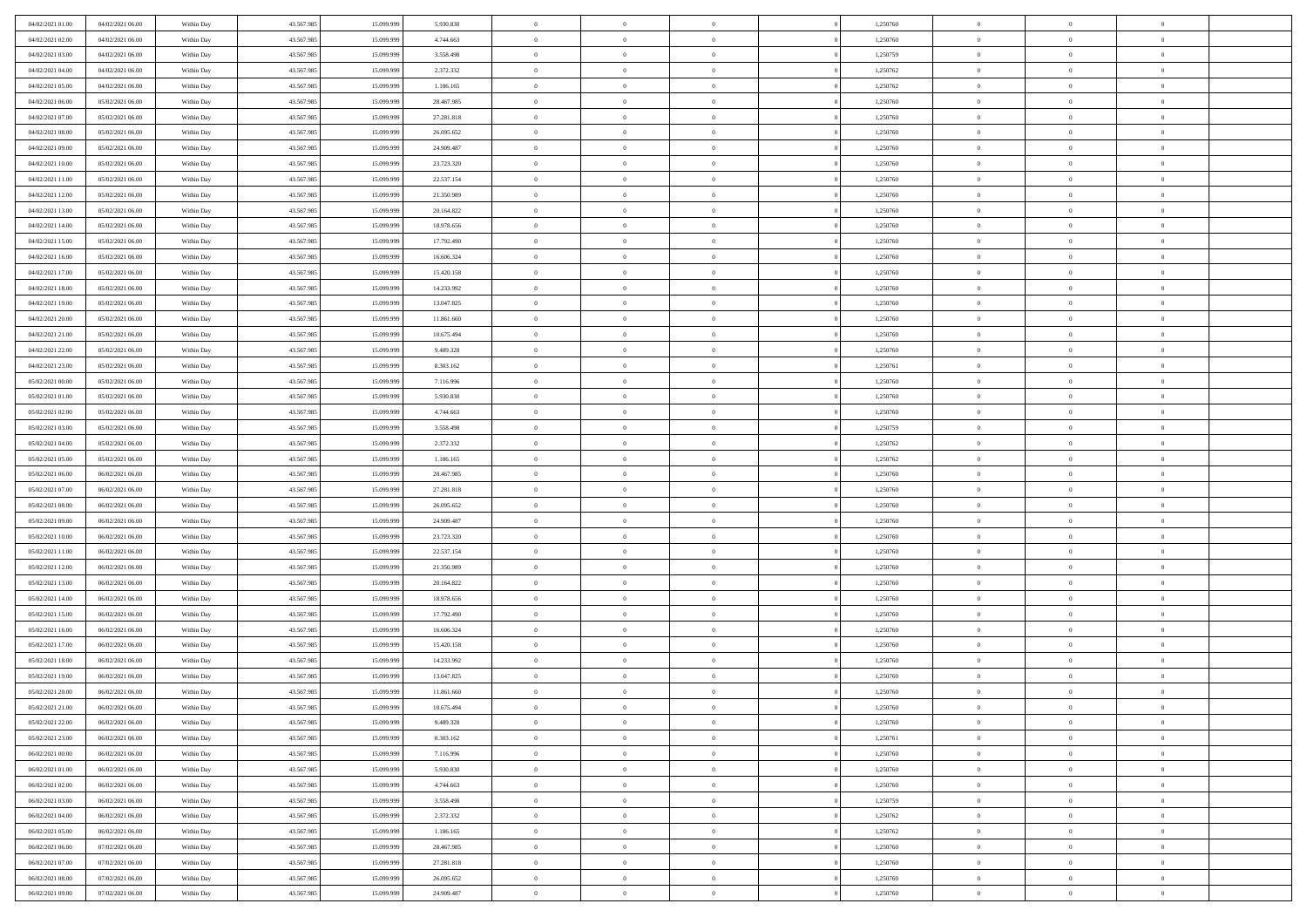| 04/02/2021 01:00                     | 04/02/2021 06:00                     | Within Day               | 43.567.985               | 15.099.999               | 5.930.830                | $\,$ 0         | $\bf{0}$                   | $\theta$                         |          | 1,250760             | $\bf{0}$       | $\overline{0}$ | $\,0\,$                    |  |
|--------------------------------------|--------------------------------------|--------------------------|--------------------------|--------------------------|--------------------------|----------------|----------------------------|----------------------------------|----------|----------------------|----------------|----------------|----------------------------|--|
| 04/02/2021 02:00                     | 04/02/2021 06:00                     | Within Day               | 43.567.985               | 15.099.999               | 4.744.663                | $\overline{0}$ | $\overline{0}$             | $\overline{0}$                   |          | 1,250760             | $\overline{0}$ | $\overline{0}$ | $\theta$                   |  |
| 04/02/2021 03:00                     | 04/02/2021 06:00                     | Within Dav               | 43.567.985               | 15.099.999               | 3.558.498                | $\mathbf{0}$   | $\overline{0}$             | $\overline{0}$                   |          | 1,250759             | $\mathbf{0}$   | $\overline{0}$ | $\overline{0}$             |  |
| 04/02/2021 04:00                     | 04/02/2021 06:00                     | Within Day               | 43.567.985               | 15.099.999               | 2.372.332                | $\bf{0}$       | $\overline{0}$             | $\bf{0}$                         |          | 1,250762             | $\bf{0}$       | $\overline{0}$ | $\bf{0}$                   |  |
| 04/02/2021 05:00                     | 04/02/2021 06:00                     | Within Day               | 43.567.985               | 15.099.999               | 1.186.165                | $\bf{0}$       | $\bf{0}$                   | $\overline{0}$                   |          | 1,250762             | $\bf{0}$       | $\theta$       | $\,0\,$                    |  |
| 04/02/2021 06:00                     | 05/02/2021 06:00                     | Within Dav               | 43.567.985               | 15.099.999               | 28.467.985               | $\mathbf{0}$   | $\overline{0}$             | $\overline{0}$                   |          | 1,250760             | $\mathbf{0}$   | $\overline{0}$ | $\overline{0}$             |  |
| 04/02/2021 07:00                     | 05/02/2021 06:00                     | Within Day               | 43.567.985               | 15.099.999               | 27.281.818               | $\bf{0}$       | $\bf{0}$                   | $\overline{0}$                   |          | 1,250760             | $\bf{0}$       | $\overline{0}$ | $\,0\,$                    |  |
| 04/02/2021 08:00                     | 05/02/2021 06:00                     | Within Day               | 43.567.985               | 15.099.999               | 26.095.652               | $\theta$       | $\overline{0}$             | $\overline{0}$                   |          | 1,250760             | $\,$ 0 $\,$    | $\overline{0}$ | $\theta$                   |  |
| 04/02/2021 09:00                     | 05/02/2021 06:00                     | Within Day               | 43.567.985               | 15.099.999               | 24.909.487               | $\mathbf{0}$   | $\overline{0}$             | $\overline{0}$                   |          | 1,250760             | $\mathbf{0}$   | $\overline{0}$ | $\overline{0}$             |  |
| 04/02/2021 10:00                     | 05/02/2021 06:00                     | Within Day               | 43.567.985               | 15.099.999               | 23.723.320               | $\bf{0}$       | $\bf{0}$                   | $\overline{0}$                   |          | 1,250760             | $\bf{0}$       | $\overline{0}$ | $\,0\,$                    |  |
| 04/02/2021 11:00                     | 05/02/2021 06:00                     | Within Day               | 43.567.985               | 15,099,999               | 22.537.154               | $\overline{0}$ | $\overline{0}$             | $\overline{0}$                   |          | 1,250760             | $\bf{0}$       | $\mathbf{0}$   | $\theta$                   |  |
| 04/02/2021 12:00                     | 05/02/2021 06:00                     | Within Dav               | 43.567.985               | 15.099.999               | 21.350.989               | $\mathbf{0}$   | $\overline{0}$             | $\overline{0}$                   |          | 1,250760             | $\mathbf{0}$   | $\overline{0}$ | $\overline{0}$             |  |
| 04/02/2021 13:00                     | 05/02/2021 06:00                     | Within Day               | 43.567.985               | 15.099.999               | 20.164.822               | $\bf{0}$       | $\overline{0}$             | $\bf{0}$                         |          | 1,250760             | $\bf{0}$       | $\overline{0}$ | $\bf{0}$                   |  |
| 04/02/2021 14:00                     | 05/02/2021 06:00                     | Within Day               | 43.567.985               | 15.099.999               | 18.978.656               | $\bf{0}$       | $\overline{0}$             | $\overline{0}$                   |          | 1,250760             | $\bf{0}$       | $\theta$       | $\,0\,$                    |  |
| 04/02/2021 15:00                     | 05/02/2021 06:00                     | Within Dav               | 43.567.985               | 15.099.999               | 17.792.490               | $\mathbf{0}$   | $\overline{0}$             | $\overline{0}$                   |          | 1,250760             | $\mathbf{0}$   | $\overline{0}$ | $\overline{0}$             |  |
| 04/02/2021 16:00                     | 05/02/2021 06:00                     | Within Day               | 43.567.985               | 15.099.999               | 16.606.324               | $\bf{0}$       | $\bf{0}$                   | $\overline{0}$                   |          | 1,250760             | $\bf{0}$       | $\overline{0}$ | $\bf{0}$                   |  |
| 04/02/2021 17.00                     | 05/02/2021 06:00                     | Within Day               | 43.567.985               | 15.099.999               | 15.420.158               | $\overline{0}$ | $\overline{0}$             | $\overline{0}$                   |          | 1,250760             | $\,$ 0 $\,$    | $\overline{0}$ | $\theta$                   |  |
| 04/02/2021 18:00                     | 05/02/2021 06:00                     | Within Day               | 43.567.985               | 15.099.999               | 14.233.992               | $\mathbf{0}$   | $\overline{0}$             | $\overline{0}$                   |          | 1,250760             | $\mathbf{0}$   | $\overline{0}$ | $\overline{0}$             |  |
| 04/02/2021 19:00                     | 05/02/2021 06:00                     | Within Day               | 43.567.985               | 15.099.999               | 13.047.825               | $\bf{0}$       | $\bf{0}$                   | $\overline{0}$                   |          | 1,250760             | $\bf{0}$       | $\overline{0}$ | $\,0\,$                    |  |
| 04/02/2021 20:00                     | 05/02/2021 06:00                     | Within Day               | 43.567.985               | 15.099.999               | 11.861.660               | $\overline{0}$ | $\overline{0}$             | $\overline{0}$                   |          | 1,250760             | $\bf{0}$       | $\overline{0}$ | $\overline{0}$             |  |
| 04/02/2021 21:00                     | 05/02/2021 06:00                     | Within Dav               | 43.567.985               | 15.099.999               | 10.675.494               | $\mathbf{0}$   | $\overline{0}$             | $\overline{0}$                   |          | 1,250760             | $\mathbf{0}$   | $\overline{0}$ | $\overline{0}$             |  |
| 04/02/2021 22.00                     | 05/02/2021 06:00                     | Within Day               | 43.567.985               | 15.099.999               | 9.489.328                | $\bf{0}$       | $\overline{0}$             | $\bf{0}$                         |          | 1,250760             | $\bf{0}$       | $\overline{0}$ | $\bf{0}$                   |  |
| 04/02/2021 23:00                     | 05/02/2021 06:00                     |                          | 43.567.985               | 15.099.999               | 8.303.162                | $\bf{0}$       | $\bf{0}$                   | $\overline{0}$                   |          | 1,250761             | $\bf{0}$       | $\bf{0}$       | $\,0\,$                    |  |
| 05/02/2021 00:00                     | 05/02/2021 06:00                     | Within Day<br>Within Dav | 43.567.985               | 15.099.999               | 7.116.996                | $\mathbf{0}$   | $\overline{0}$             | $\overline{0}$                   |          | 1,250760             | $\mathbf{0}$   | $\overline{0}$ | $\overline{0}$             |  |
| 05/02/2021 01:00                     | 05/02/2021 06:00                     | Within Day               | 43.567.985               | 15.099.999               | 5.930.830                | $\bf{0}$       | $\bf{0}$                   | $\overline{0}$                   |          | 1,250760             | $\bf{0}$       | $\overline{0}$ | $\,0\,$                    |  |
|                                      |                                      |                          | 43.567.985               |                          |                          | $\overline{0}$ | $\overline{0}$             | $\overline{0}$                   |          |                      | $\bf{0}$       | $\overline{0}$ | $\overline{0}$             |  |
| 05/02/2021 02:00<br>05/02/2021 03:00 | 05/02/2021 06:00<br>05/02/2021 06:00 | Within Day<br>Within Dav | 43.567.985               | 15.099.999<br>15.099.999 | 4.744.663<br>3.558.498   | $\mathbf{0}$   | $\overline{0}$             |                                  |          | 1,250760<br>1,250759 | $\mathbf{0}$   | $\overline{0}$ | $\overline{0}$             |  |
|                                      | 05/02/2021 06:00                     |                          |                          |                          |                          | $\bf{0}$       |                            | $\overline{0}$<br>$\overline{0}$ |          | 1,250762             | $\bf{0}$       | $\overline{0}$ | $\,0\,$                    |  |
| 05/02/2021 04:00                     |                                      | Within Day               | 43.567.985               | 15.099.999<br>15.099.999 | 2.372.332                | $\bf{0}$       | $\bf{0}$                   | $\overline{0}$                   |          |                      | $\bf{0}$       | $\mathbf{0}$   |                            |  |
| 05/02/2021 05:00<br>05/02/2021 06:00 | 05/02/2021 06:00<br>06/02/2021 06:00 | Within Day<br>Within Dav | 43.567.985<br>43.567.985 | 15.099.999               | 1.186.165<br>28.467.985  | $\mathbf{0}$   | $\bf{0}$<br>$\overline{0}$ | $\overline{0}$                   |          | 1,250762<br>1,250760 | $\mathbf{0}$   | $\overline{0}$ | $\bf{0}$<br>$\overline{0}$ |  |
|                                      |                                      |                          |                          |                          |                          | $\bf{0}$       | $\overline{0}$             | $\theta$                         |          |                      | $\,$ 0         | $\overline{0}$ | $\theta$                   |  |
| 05/02/2021 07:00<br>05/02/2021 08:00 | 06/02/2021 06:00<br>06/02/2021 06:00 | Within Day               | 43.567.985<br>43.567.985 | 15.099.999<br>15.099.999 | 27.281.818               | $\bf{0}$       | $\bf{0}$                   | $\overline{0}$                   |          | 1,250760             | $\bf{0}$       | $\mathbf{0}$   | $\bf{0}$                   |  |
| 05/02/2021 09:00                     | 06/02/2021 06:00                     | Within Day<br>Within Dav | 43.567.985               | 15.099.999               | 26.095.652<br>24.909.487 | $\mathbf{0}$   | $\overline{0}$             | $\overline{0}$                   |          | 1,250760<br>1,250760 | $\mathbf{0}$   | $\overline{0}$ | $\overline{0}$             |  |
| 05/02/2021 10:00                     | 06/02/2021 06:00                     | Within Day               | 43.567.985               | 15.099.999               | 23.723.320               | $\bf{0}$       | $\overline{0}$             | $\theta$                         |          | 1,250760             | $\,$ 0         | $\overline{0}$ | $\theta$                   |  |
| 05/02/2021 11:00                     | 06/02/2021 06:00                     |                          | 43.567.985               | 15.099.999               | 22.537.154               | $\overline{0}$ | $\overline{0}$             | $\overline{0}$                   |          | 1,250760             | $\bf{0}$       | $\overline{0}$ | $\overline{0}$             |  |
| 05/02/2021 12:00                     | 06/02/2021 06:00                     | Within Day<br>Within Day | 43.567.985               | 15.099.999               | 21.350.989               | $\mathbf{0}$   | $\overline{0}$             | $\overline{0}$                   |          | 1,250760             | $\mathbf{0}$   | $\overline{0}$ | $\overline{0}$             |  |
| 05/02/2021 13:00                     | 06/02/2021 06:00                     | Within Day               | 43.567.985               | 15.099.999               | 20.164.822               | $\bf{0}$       | $\overline{0}$             | $\theta$                         |          | 1,250760             | $\,$ 0         | $\overline{0}$ | $\theta$                   |  |
| 05/02/2021 14:00                     | 06/02/2021 06:00                     | Within Day               | 43.567.985               | 15.099.999               | 18.978.656               | $\bf{0}$       | $\bf{0}$                   | $\overline{0}$                   |          | 1,250760             | $\bf{0}$       | $\mathbf{0}$   | $\overline{0}$             |  |
| 05/02/2021 15:00                     | 06/02/2021 06:00                     | Within Dav               | 43.567.985               | 15.099.999               | 17.792.490               | $\mathbf{0}$   | $\overline{0}$             | $\overline{0}$                   |          | 1,250760             | $\mathbf{0}$   | $\overline{0}$ | $\overline{0}$             |  |
| 05/02/2021 16:00                     | 06/02/2021 06:00                     | Within Day               | 43.567.985               | 15.099.999               | 16.606.324               | $\bf{0}$       | $\overline{0}$             | $\theta$                         |          | 1,250760             | $\,$ 0         | $\overline{0}$ | $\theta$                   |  |
| 05/02/2021 17:00                     | 06/02/2021 06:00                     | Within Day               | 43.567.985               | 15.099.999               | 15.420.158               | $\bf{0}$       | $\bf{0}$                   | $\overline{0}$                   |          | 1,250760             | $\bf{0}$       | $\overline{0}$ | $\overline{0}$             |  |
| 05/02/2021 18:00                     | 06/02/2021 06:00                     | Within Dav               | 43.567.985               | 15.099.999               | 14.233.992               | $\mathbf{0}$   | $\overline{0}$             | $\overline{0}$                   |          | 1,250760             | $\mathbf{0}$   | $\overline{0}$ | $\overline{0}$             |  |
| 05/02/2021 19:00                     | 06/02/2021 06:00                     | Within Day               | 43.567.985               | 15.099.999               | 13.047.825               | $\bf{0}$       | $\overline{0}$             | $\theta$                         |          | 1,250760             | $\,$ 0         | $\overline{0}$ | $\theta$                   |  |
| 05/02/2021 20:00                     | 06/02/2021 06:00                     | Within Day               | 43.567.985               | 15.099.999               | 11.861.660               | $\bf{0}$       | $\overline{0}$             | $\overline{0}$                   |          | 1,250760             | $\,$ 0 $\,$    | $\overline{0}$ | $\overline{0}$             |  |
| 05/02/2021 21:00                     | 06/02/2021 06:00                     | Within Day               | 43.567.985               | 15.099.999               | 10.675.494               | $\bf{0}$       | $\overline{0}$             | $\Omega$                         |          | 1,250760             | $\overline{0}$ | $\theta$       | $\theta$                   |  |
| 05/02/2021 22.00                     | 06/02/2021 06:00                     | Within Day               | 43.567.985               | 15.099.999               | 9.489.328                | $\,0\,$        | $\overline{0}$             | $\theta$                         |          | 1,250760             | $\,$ 0 $\,$    | $\bf{0}$       | $\theta$                   |  |
| 05/02/2021 23:00                     | 06/02/2021 06:00                     | Within Day               | 43.567.985               | 15.099.999               | 8.303.162                | $\overline{0}$ | $\overline{0}$             | $\overline{0}$                   |          | 1,250761             | $\overline{0}$ | $\overline{0}$ | $\overline{0}$             |  |
| 06/02/2021 00:00                     | 06/02/2021 06:00                     | Within Day               | 43.567.985               | 15.099.999               | 7.116.996                | $\bf{0}$       | $\overline{0}$             | $\overline{0}$                   |          | 1,250760             | $\overline{0}$ | $\bf{0}$       | $\mathbf{0}$               |  |
| 06/02/2021 01:00                     | 06/02/2021 06:00                     | Within Day               | 43.567.985               | 15.099.999               | 5.930.830                | $\bf{0}$       | $\overline{0}$             | $\overline{0}$                   | $\theta$ | 1,250760             | $\mathbf{0}$   | $\bf{0}$       | $\,$ 0 $\,$                |  |
| 06/02/2021 02:00                     | 06/02/2021 06:00                     | Within Day               | 43.567.985               | 15.099.999               | 4.744.663                | $\bf{0}$       | $\overline{0}$             | $\overline{0}$                   |          | 1,250760             | $\,$ 0 $\,$    | $\overline{0}$ | $\overline{0}$             |  |
| 06/02/2021 03:00                     | 06/02/2021 06:00                     | Within Day               | 43.567.985               | 15.099.999               | 3.558.498                | $\bf{0}$       | $\overline{0}$             | $\overline{0}$                   |          | 1,250759             | $\mathbf{0}$   | $\overline{0}$ | $\overline{0}$             |  |
| 06/02/2021 04:00                     | 06/02/2021 06:00                     | Within Day               | 43.567.985               | 15.099.999               | 2.372.332                | $\,0\,$        | $\overline{0}$             | $\overline{0}$                   | $\theta$ | 1,250762             | $\,$ 0 $\,$    | $\overline{0}$ | $\overline{0}$             |  |
| 06/02/2021 05:00                     | 06/02/2021 06:00                     |                          | 43.567.985               | 15.099.999               | 1.186.165                | $\bf{0}$       | $\overline{0}$             | $\overline{0}$                   |          | 1,250762             | $\overline{0}$ | $\overline{0}$ | $\overline{0}$             |  |
| 06/02/2021 06:00                     | 07/02/2021 06:00                     | Within Day<br>Within Day | 43.567.985               | 15.099.999               | 28.467.985               | $\bf{0}$       | $\overline{0}$             | $\overline{0}$                   |          | 1,250760             | $\mathbf{0}$   | $\bf{0}$       | $\overline{0}$             |  |
| 06/02/2021 07:00                     | 07/02/2021 06:00                     | Within Day               | 43.567.985               | 15.099.999               | 27.281.818               | $\,0\,$        | $\overline{0}$             | $\overline{0}$                   |          | 1,250760             | $\,$ 0 $\,$    | $\mathbf{0}$   | $\overline{0}$             |  |
| 06/02/2021 08:00                     | 07/02/2021 06:00                     | Within Day               | 43.567.985               | 15.099.999               | 26.095.652               | $\bf{0}$       | $\bf{0}$                   | $\overline{0}$                   |          | 1,250760             | $\mathbf 0$    | $\mathbf{0}$   | $\overline{0}$             |  |
| 06/02/2021 09:00                     | 07/02/2021 06:00                     |                          | 43.567.985               | 15.099.999               | 24.909.487               | $\overline{0}$ | $\overline{0}$             | $\overline{0}$                   |          | 1,250760             | $\mathbf{0}$   | $\overline{0}$ | $\overline{0}$             |  |
|                                      |                                      | Within Day               |                          |                          |                          |                |                            |                                  |          |                      |                |                |                            |  |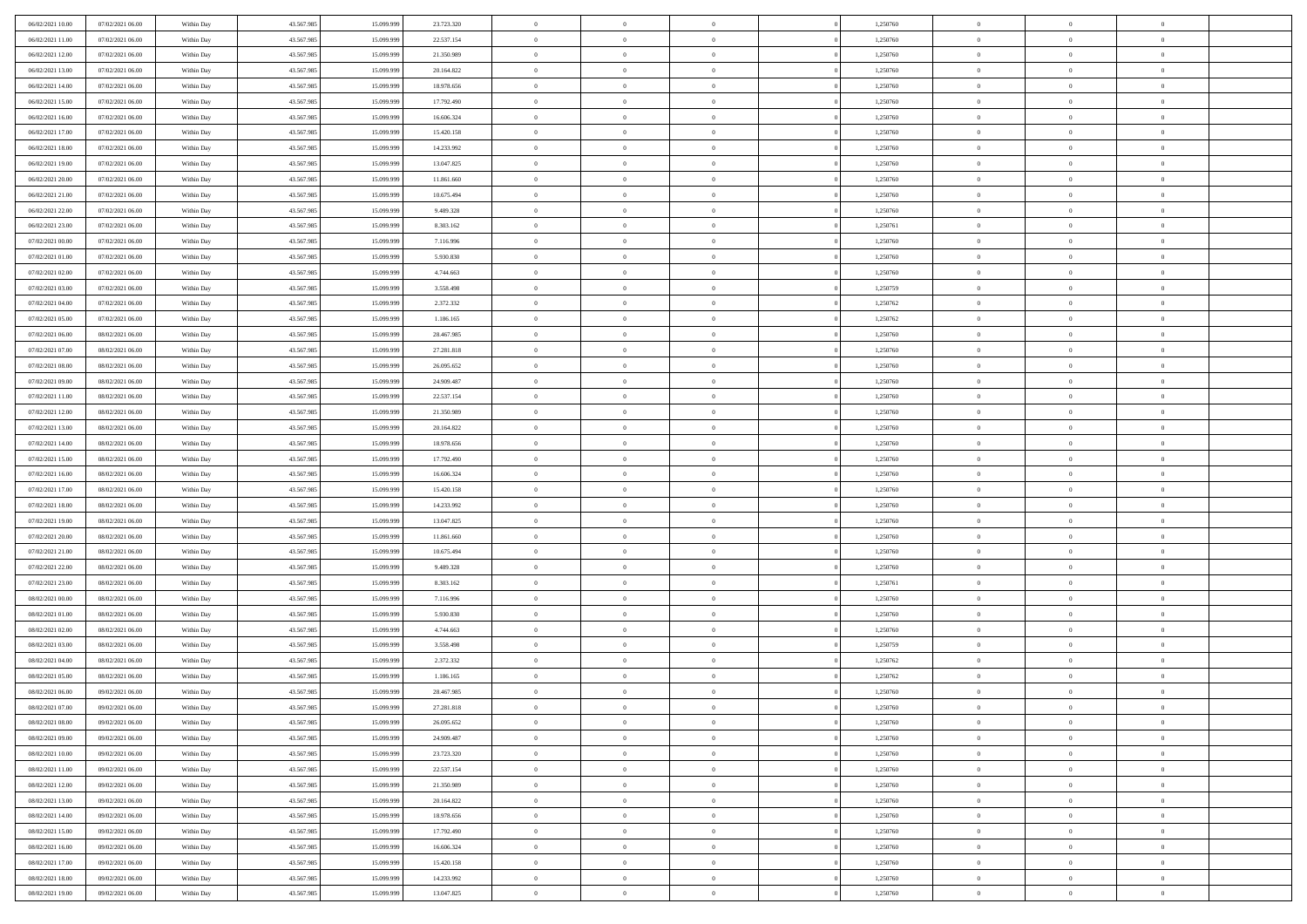| 06/02/2021 10:00 | 07/02/2021 06:00 | Within Day               | 43.567.985 | 15.099.999 | 23.723.320 | $\,$ 0                   | $\bf{0}$       | $\theta$       |          | 1,250760 | $\bf{0}$                 | $\overline{0}$ | $\,0\,$                   |  |
|------------------|------------------|--------------------------|------------|------------|------------|--------------------------|----------------|----------------|----------|----------|--------------------------|----------------|---------------------------|--|
| 06/02/2021 11:00 | 07/02/2021 06:00 | Within Day               | 43.567.985 | 15.099.999 | 22.537.154 | $\overline{0}$           | $\overline{0}$ | $\overline{0}$ |          | 1,250760 | $\overline{0}$           | $\overline{0}$ | $\theta$                  |  |
| 06/02/2021 12:00 | 07/02/2021 06:00 | Within Dav               | 43.567.985 | 15.099.999 | 21.350.989 | $\mathbf{0}$             | $\overline{0}$ | $\overline{0}$ |          | 1,250760 | $\mathbf{0}$             | $\overline{0}$ | $\overline{0}$            |  |
| 06/02/2021 13:00 | 07/02/2021 06:00 | Within Day               | 43.567.985 | 15.099.999 | 20.164.822 | $\bf{0}$                 | $\overline{0}$ | $\bf{0}$       |          | 1,250760 | $\bf{0}$                 | $\overline{0}$ | $\bf{0}$                  |  |
| 06/02/2021 14:00 | 07/02/2021 06:00 | Within Day               | 43.567.985 | 15.099.999 | 18.978.656 | $\bf{0}$                 | $\bf{0}$       | $\overline{0}$ |          | 1,250760 | $\bf{0}$                 | $\theta$       | $\,0\,$                   |  |
| 06/02/2021 15:00 | 07/02/2021 06:00 | Within Dav               | 43.567.985 | 15.099.999 | 17.792.490 | $\mathbf{0}$             | $\overline{0}$ | $\overline{0}$ |          | 1,250760 | $\mathbf{0}$             | $\overline{0}$ | $\overline{0}$            |  |
| 06/02/2021 16:00 | 07/02/2021 06:00 | Within Day               | 43.567.985 | 15.099.999 | 16.606.324 | $\bf{0}$                 | $\bf{0}$       | $\overline{0}$ |          | 1,250760 | $\bf{0}$                 | $\overline{0}$ | $\,0\,$                   |  |
| 06/02/2021 17:00 | 07/02/2021 06:00 | Within Day               | 43.567.985 | 15.099.999 | 15.420.158 | $\overline{0}$           | $\overline{0}$ | $\overline{0}$ |          | 1,250760 | $\,$ 0 $\,$              | $\overline{0}$ | $\theta$                  |  |
| 06/02/2021 18:00 | 07/02/2021 06:00 | Within Day               | 43.567.985 | 15.099.999 | 14.233.992 | $\mathbf{0}$             | $\overline{0}$ | $\overline{0}$ |          | 1,250760 | $\mathbf{0}$             | $\overline{0}$ | $\overline{0}$            |  |
| 06/02/2021 19:00 | 07/02/2021 06:00 | Within Day               | 43.567.985 | 15.099.999 | 13.047.825 | $\bf{0}$                 | $\bf{0}$       | $\overline{0}$ |          | 1,250760 | $\bf{0}$                 | $\overline{0}$ | $\,0\,$                   |  |
| 06/02/2021 20:00 | 07/02/2021 06:00 | Within Day               | 43.567.985 | 15.099.999 | 11.861.660 | $\overline{0}$           | $\overline{0}$ | $\overline{0}$ |          | 1,250760 | $\bf{0}$                 | $\mathbf{0}$   | $\theta$                  |  |
| 06/02/2021 21:00 | 07/02/2021 06:00 | Within Dav               | 43.567.985 | 15.099.999 | 10.675.494 | $\mathbf{0}$             | $\overline{0}$ | $\overline{0}$ |          | 1,250760 | $\mathbf{0}$             | $\overline{0}$ | $\overline{0}$            |  |
| 06/02/2021 22.00 | 07/02/2021 06:00 | Within Day               | 43.567.985 | 15.099.999 | 9.489.328  | $\bf{0}$                 | $\overline{0}$ | $\bf{0}$       |          | 1,250760 | $\bf{0}$                 | $\overline{0}$ | $\bf{0}$                  |  |
| 06/02/2021 23:00 | 07/02/2021 06:00 | Within Day               | 43.567.985 | 15.099.999 | 8.303.162  | $\bf{0}$                 | $\overline{0}$ | $\overline{0}$ |          | 1,250761 | $\bf{0}$                 | $\theta$       | $\,0\,$                   |  |
| 07/02/2021 00:00 | 07/02/2021 06:00 | Within Dav               | 43.567.985 | 15.099.999 | 7.116.996  | $\overline{0}$           | $\overline{0}$ | $\overline{0}$ |          | 1,250760 | $\mathbf{0}$             | $\overline{0}$ | $\overline{0}$            |  |
| 07/02/2021 01:00 | 07/02/2021 06:00 | Within Day               | 43.567.985 | 15.099.999 | 5.930.830  | $\bf{0}$                 | $\bf{0}$       | $\overline{0}$ |          | 1,250760 | $\bf{0}$                 | $\overline{0}$ | $\bf{0}$                  |  |
| 07/02/2021 02:00 | 07/02/2021 06:00 | Within Day               | 43.567.985 | 15.099.999 | 4.744.663  | $\overline{0}$           | $\overline{0}$ | $\overline{0}$ |          | 1,250760 | $\bf{0}$                 | $\overline{0}$ | $\theta$                  |  |
| 07/02/2021 03:00 | 07/02/2021 06:00 | Within Day               | 43.567.985 | 15.099.999 | 3.558.498  | $\mathbf{0}$             | $\overline{0}$ | $\overline{0}$ |          | 1,250759 | $\mathbf{0}$             | $\overline{0}$ | $\overline{0}$            |  |
| 07/02/2021 04:00 | 07/02/2021 06:00 | Within Day               | 43.567.985 | 15.099.999 | 2.372.332  | $\bf{0}$                 | $\overline{0}$ | $\overline{0}$ |          | 1,250762 | $\bf{0}$                 | $\overline{0}$ | $\,0\,$                   |  |
| 07/02/2021 05:00 | 07/02/2021 06:00 |                          | 43.567.985 | 15.099.999 | 1.186.165  | $\overline{0}$           | $\overline{0}$ | $\overline{0}$ |          | 1,250762 | $\bf{0}$                 | $\overline{0}$ | $\overline{0}$            |  |
| 07/02/2021 06:00 | 08/02/2021 06:00 | Within Day<br>Within Dav | 43.567.985 | 15.099.999 | 28.467.985 | $\mathbf{0}$             | $\overline{0}$ | $\overline{0}$ |          | 1,250760 | $\mathbf{0}$             | $\overline{0}$ | $\overline{0}$            |  |
| 07/02/2021 07:00 | 08/02/2021 06:00 |                          | 43.567.985 | 15.099.999 | 27.281.818 | $\bf{0}$                 | $\overline{0}$ | $\bf{0}$       |          | 1,250760 | $\bf{0}$                 | $\overline{0}$ | $\bf{0}$                  |  |
|                  |                  | Within Day               |            |            |            |                          |                |                |          |          |                          |                |                           |  |
| 07/02/2021 08:00 | 08/02/2021 06:00 | Within Day               | 43.567.985 | 15.099.999 | 26.095.652 | $\bf{0}$<br>$\mathbf{0}$ | $\overline{0}$ | $\overline{0}$ |          | 1,250760 | $\bf{0}$<br>$\mathbf{0}$ | $\overline{0}$ | $\,0\,$<br>$\overline{0}$ |  |
| 07/02/2021 09:00 | 08/02/2021 06:00 | Within Dav               | 43.567.985 | 15.099.999 | 24.909.487 |                          | $\overline{0}$ | $\overline{0}$ |          | 1,250760 |                          | $\overline{0}$ |                           |  |
| 07/02/2021 11:00 | 08/02/2021 06:00 | Within Day               | 43.567.985 | 15.099.999 | 22.537.154 | $\bf{0}$                 | $\overline{0}$ | $\overline{0}$ |          | 1,250760 | $\bf{0}$                 | $\overline{0}$ | $\,0\,$                   |  |
| 07/02/2021 12:00 | 08/02/2021 06:00 | Within Day               | 43.567.985 | 15.099.999 | 21.350.989 | $\overline{0}$           | $\overline{0}$ | $\overline{0}$ |          | 1,250760 | $\bf{0}$                 | $\overline{0}$ | $\overline{0}$            |  |
| 07/02/2021 13:00 | 08/02/2021 06:00 | Within Dav               | 43.567.985 | 15.099.999 | 20.164.822 | $\mathbf{0}$             | $\overline{0}$ | $\overline{0}$ |          | 1,250760 | $\mathbf{0}$             | $\overline{0}$ | $\overline{0}$            |  |
| 07/02/2021 14:00 | 08/02/2021 06:00 | Within Day               | 43.567.985 | 15.099.999 | 18.978.656 | $\bf{0}$                 | $\bf{0}$       | $\overline{0}$ |          | 1,250760 | $\bf{0}$                 | $\overline{0}$ | $\,0\,$                   |  |
| 07/02/2021 15:00 | 08/02/2021 06:00 | Within Day               | 43.567.985 | 15.099.999 | 17.792.490 | $\bf{0}$                 | $\bf{0}$       | $\overline{0}$ |          | 1,250760 | $\bf{0}$                 | $\mathbf{0}$   | $\overline{0}$            |  |
| 07/02/2021 16:00 | 08/02/2021 06:00 | Within Dav               | 43.567.985 | 15.099.999 | 16.606.324 | $\mathbf{0}$             | $\overline{0}$ | $\overline{0}$ |          | 1,250760 | $\mathbf{0}$             | $\overline{0}$ | $\overline{0}$            |  |
| 07/02/2021 17:00 | 08/02/2021 06:00 | Within Day               | 43.567.985 | 15.099.999 | 15.420.158 | $\bf{0}$                 | $\overline{0}$ | $\theta$       |          | 1,250760 | $\,$ 0                   | $\overline{0}$ | $\theta$                  |  |
| 07/02/2021 18:00 | 08/02/2021 06:00 | Within Day               | 43.567.985 | 15.099.999 | 14.233.992 | $\bf{0}$                 | $\bf{0}$       | $\overline{0}$ |          | 1,250760 | $\bf{0}$                 | $\overline{0}$ | $\overline{0}$            |  |
| 07/02/2021 19:00 | 08/02/2021 06:00 | Within Dav               | 43.567.985 | 15.099.999 | 13.047.825 | $\mathbf{0}$             | $\overline{0}$ | $\overline{0}$ |          | 1,250760 | $\mathbf{0}$             | $\overline{0}$ | $\overline{0}$            |  |
| 07/02/2021 20:00 | 08/02/2021 06:00 | Within Day               | 43.567.985 | 15.099.999 | 11.861.660 | $\bf{0}$                 | $\overline{0}$ | $\theta$       |          | 1,250760 | $\,$ 0                   | $\overline{0}$ | $\theta$                  |  |
| 07/02/2021 21:00 | 08/02/2021 06:00 | Within Day               | 43.567.985 | 15.099.999 | 10.675.494 | $\overline{0}$           | $\overline{0}$ | $\overline{0}$ |          | 1,250760 | $\bf{0}$                 | $\overline{0}$ | $\overline{0}$            |  |
| 07/02/2021 22:00 | 08/02/2021 06:00 | Within Day               | 43.567.985 | 15.099.999 | 9.489.328  | $\mathbf{0}$             | $\overline{0}$ | $\overline{0}$ |          | 1,250760 | $\mathbf{0}$             | $\overline{0}$ | $\overline{0}$            |  |
| 07/02/2021 23:00 | 08/02/2021 06:00 | Within Day               | 43.567.985 | 15.099.999 | 8.303.162  | $\bf{0}$                 | $\overline{0}$ | $\theta$       |          | 1,250761 | $\,$ 0                   | $\overline{0}$ | $\theta$                  |  |
| 08/02/2021 00:00 | 08/02/2021 06:00 | Within Day               | 43.567.985 | 15.099.999 | 7.116.996  | $\bf{0}$                 | $\overline{0}$ | $\overline{0}$ |          | 1,250760 | $\bf{0}$                 | $\overline{0}$ | $\overline{0}$            |  |
| 08/02/2021 01:00 | 08/02/2021 06:00 | Within Dav               | 43.567.985 | 15.099.999 | 5.930.830  | $\mathbf{0}$             | $\overline{0}$ | $\overline{0}$ |          | 1,250760 | $\mathbf{0}$             | $\overline{0}$ | $\overline{0}$            |  |
| 08/02/2021 02:00 | 08/02/2021 06:00 | Within Day               | 43.567.985 | 15.099.999 | 4.744.663  | $\,0\,$                  | $\overline{0}$ | $\theta$       |          | 1,250760 | $\,$ 0                   | $\overline{0}$ | $\theta$                  |  |
| 08/02/2021 03:00 | 08/02/2021 06:00 | Within Day               | 43.567.985 | 15.099.999 | 3.558.498  | $\bf{0}$                 | $\bf{0}$       | $\overline{0}$ |          | 1,250759 | $\bf{0}$                 | $\overline{0}$ | $\overline{0}$            |  |
| 08/02/2021 04:00 | 08/02/2021 06:00 | Within Dav               | 43.567.985 | 15.099.999 | 2.372.332  | $\mathbf{0}$             | $\overline{0}$ | $\overline{0}$ |          | 1,250762 | $\mathbf{0}$             | $\overline{0}$ | $\overline{0}$            |  |
| 08/02/2021 05:00 | 08/02/2021 06:00 | Within Day               | 43.567.985 | 15.099.999 | 1.186.165  | $\bf{0}$                 | $\overline{0}$ | $\theta$       |          | 1,250762 | $\,$ 0                   | $\overline{0}$ | $\theta$                  |  |
| 08/02/2021 06:00 | 09/02/2021 06:00 | Within Day               | 43.567.985 | 15.099.999 | 28.467.985 | $\bf{0}$                 | $\overline{0}$ | $\overline{0}$ |          | 1,250760 | $\,$ 0 $\,$              | $\overline{0}$ | $\overline{0}$            |  |
| 08/02/2021 07:00 | 09/02/2021 06:00 | Within Day               | 43.567.985 | 15.099.999 | 27.281.818 | $\bf{0}$                 | $\overline{0}$ | $\Omega$       |          | 1,250760 | $\overline{0}$           | $\theta$       | $\theta$                  |  |
| 08/02/2021 08:00 | 09/02/2021 06:00 | Within Day               | 43.567.985 | 15.099.999 | 26.095.652 | $\,0\,$                  | $\overline{0}$ | $\theta$       |          | 1,250760 | $\,$ 0 $\,$              | $\bf{0}$       | $\theta$                  |  |
| 08/02/2021 09:00 | 09/02/2021 06:00 | Within Day               | 43.567.985 | 15.099.999 | 24.909.487 | $\overline{0}$           | $\overline{0}$ | $\overline{0}$ |          | 1,250760 | $\overline{0}$           | $\overline{0}$ | $\overline{0}$            |  |
| 08/02/2021 10:00 | 09/02/2021 06:00 | Within Day               | 43.567.985 | 15.099.999 | 23.723.320 | $\bf{0}$                 | $\overline{0}$ | $\overline{0}$ |          | 1,250760 | $\overline{0}$           | $\bf{0}$       | $\mathbf{0}$              |  |
| 08/02/2021 11:00 | 09/02/2021 06:00 | Within Day               | 43.567.985 | 15.099.999 | 22.537.154 | $\bf{0}$                 | $\overline{0}$ | $\overline{0}$ | $\theta$ | 1,250760 | $\mathbf{0}$             | $\bf{0}$       | $\,$ 0 $\,$               |  |
| 08/02/2021 12:00 | 09/02/2021 06:00 | Within Day               | 43.567.985 | 15.099.999 | 21.350.989 | $\bf{0}$                 | $\overline{0}$ | $\overline{0}$ |          | 1,250760 | $\,$ 0 $\,$              | $\overline{0}$ | $\overline{0}$            |  |
| 08/02/2021 13:00 | 09/02/2021 06:00 | Within Day               | 43.567.985 | 15.099.999 | 20.164.822 | $\bf{0}$                 | $\overline{0}$ | $\overline{0}$ |          | 1,250760 | $\mathbf{0}$             | $\overline{0}$ | $\overline{0}$            |  |
| 08/02/2021 14:00 | 09/02/2021 06:00 | Within Day               | 43.567.985 | 15.099.999 | 18.978.656 | $\,0\,$                  | $\overline{0}$ | $\overline{0}$ | $\theta$ | 1,250760 | $\,$ 0 $\,$              | $\overline{0}$ | $\overline{0}$            |  |
| 08/02/2021 15:00 | 09/02/2021 06:00 | Within Day               | 43.567.985 | 15.099.999 | 17.792.490 | $\bf{0}$                 | $\overline{0}$ | $\overline{0}$ |          | 1,250760 | $\overline{0}$           | $\overline{0}$ | $\overline{0}$            |  |
| 08/02/2021 16:00 | 09/02/2021 06:00 | Within Day               | 43.567.985 | 15.099.999 | 16.606.324 | $\bf{0}$                 | $\overline{0}$ | $\overline{0}$ |          | 1,250760 | $\mathbf{0}$             | $\overline{0}$ | $\overline{0}$            |  |
| 08/02/2021 17:00 | 09/02/2021 06:00 | Within Day               | 43.567.985 | 15.099.999 | 15.420.158 | $\,0\,$                  | $\overline{0}$ | $\overline{0}$ |          | 1,250760 | $\,$ 0 $\,$              | $\mathbf{0}$   | $\overline{0}$            |  |
| 08/02/2021 18:00 | 09/02/2021 06:00 | Within Day               | 43.567.985 | 15.099.999 | 14.233.992 | $\bf{0}$                 | $\overline{0}$ | $\overline{0}$ |          | 1,250760 | $\bf{0}$                 | $\mathbf{0}$   | $\overline{0}$            |  |
| 08/02/2021 19:00 | 09/02/2021 06:00 | Within Day               | 43.567.985 | 15.099.999 | 13.047.825 | $\mathbf{0}$             | $\overline{0}$ | $\overline{0}$ |          | 1,250760 | $\mathbf{0}$             | $\overline{0}$ | $\overline{0}$            |  |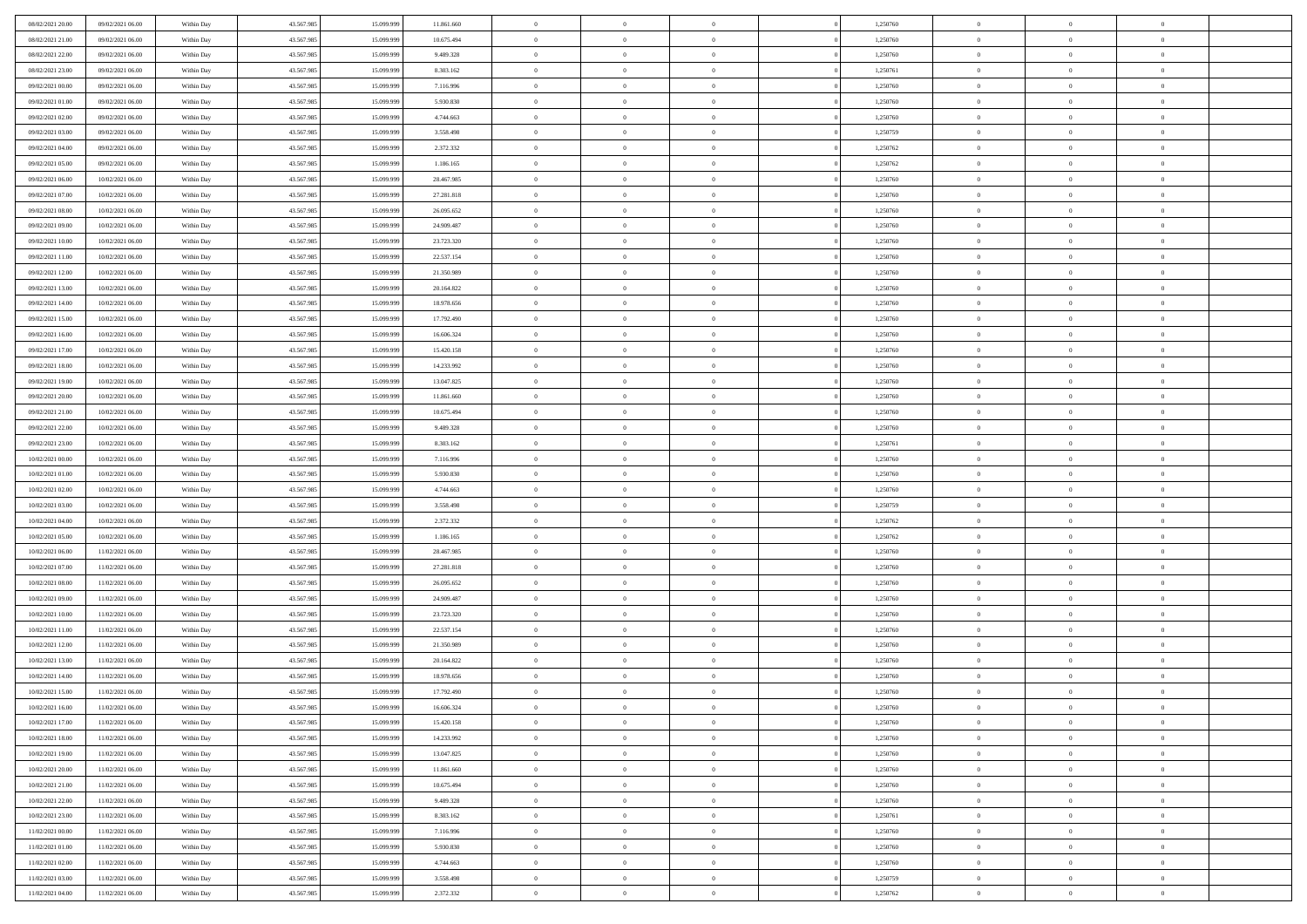| 08/02/2021 20:00 | 09/02/2021 06:00                     | Within Day               | 43.567.985 | 15.099.999 | 11.861.660 | $\,$ 0         | $\bf{0}$       | $\theta$       |          | 1,250760 | $\bf{0}$       | $\overline{0}$                   | $\,0\,$        |  |
|------------------|--------------------------------------|--------------------------|------------|------------|------------|----------------|----------------|----------------|----------|----------|----------------|----------------------------------|----------------|--|
| 08/02/2021 21:00 | 09/02/2021 06:00                     | Within Day               | 43.567.985 | 15.099.999 | 10.675.494 | $\overline{0}$ | $\overline{0}$ | $\overline{0}$ |          | 1,250760 | $\overline{0}$ | $\overline{0}$                   | $\theta$       |  |
| 08/02/2021 22:00 | 09/02/2021 06:00                     | Within Dav               | 43.567.985 | 15.099.999 | 9.489.328  | $\mathbf{0}$   | $\overline{0}$ | $\overline{0}$ |          | 1,250760 | $\mathbf{0}$   | $\overline{0}$                   | $\overline{0}$ |  |
| 08/02/2021 23:00 | 09/02/2021 06:00                     | Within Day               | 43.567.985 | 15.099.999 | 8.303.162  | $\bf{0}$       | $\overline{0}$ | $\bf{0}$       |          | 1,250761 | $\bf{0}$       | $\overline{0}$                   | $\bf{0}$       |  |
| 09/02/2021 00:00 | 09/02/2021 06:00                     | Within Day               | 43.567.985 | 15.099.999 | 7.116.996  | $\bf{0}$       | $\bf{0}$       | $\overline{0}$ |          | 1,250760 | $\bf{0}$       | $\theta$                         | $\,0\,$        |  |
| 09/02/2021 01:00 | 09/02/2021 06:00                     | Within Dav               | 43.567.985 | 15.099.999 | 5.930.830  | $\mathbf{0}$   | $\overline{0}$ |                |          | 1,250760 | $\mathbf{0}$   | $\overline{0}$                   | $\overline{0}$ |  |
|                  |                                      |                          |            |            |            |                |                | $\overline{0}$ |          |          |                |                                  |                |  |
| 09/02/2021 02:00 | 09/02/2021 06:00                     | Within Day               | 43.567.985 | 15.099.999 | 4.744.663  | $\bf{0}$       | $\bf{0}$       | $\overline{0}$ |          | 1,250760 | $\bf{0}$       | $\overline{0}$                   | $\,0\,$        |  |
| 09/02/2021 03:00 | 09/02/2021 06:00                     | Within Day               | 43.567.985 | 15.099.999 | 3.558.498  | $\overline{0}$ | $\overline{0}$ | $\overline{0}$ |          | 1,250759 | $\,$ 0 $\,$    | $\overline{0}$                   | $\theta$       |  |
| 09/02/2021 04:00 | 09/02/2021 06:00                     | Within Day               | 43.567.985 | 15.099.999 | 2.372.332  | $\mathbf{0}$   | $\overline{0}$ | $\overline{0}$ |          | 1,250762 | $\mathbf{0}$   | $\overline{0}$                   | $\overline{0}$ |  |
| 09/02/2021 05:00 | 09/02/2021 06:00                     | Within Day               | 43.567.985 | 15.099.999 | 1.186.165  | $\bf{0}$       | $\bf{0}$       | $\overline{0}$ |          | 1,250762 | $\bf{0}$       | $\overline{0}$                   | $\,0\,$        |  |
| 09/02/2021 06:00 | 10/02/2021 06:00                     | Within Day               | 43.567.985 | 15.099.999 | 28.467.985 | $\overline{0}$ | $\overline{0}$ | $\overline{0}$ |          | 1,250760 | $\bf{0}$       | $\overline{0}$                   | $\theta$       |  |
| 09/02/2021 07:00 | 10/02/2021 06:00                     | Within Dav               | 43.567.985 | 15.099.999 | 27.281.818 | $\mathbf{0}$   | $\overline{0}$ | $\overline{0}$ |          | 1,250760 | $\mathbf{0}$   | $\overline{0}$                   | $\overline{0}$ |  |
| 09/02/2021 08:00 | 10/02/2021 06:00                     | Within Day               | 43.567.985 | 15.099.999 | 26.095.652 | $\bf{0}$       | $\overline{0}$ | $\bf{0}$       |          | 1,250760 | $\bf{0}$       | $\overline{0}$                   | $\bf{0}$       |  |
| 09/02/2021 09:00 | 10/02/2021 06:00                     | Within Day               | 43.567.985 | 15.099.999 | 24.909.487 | $\bf{0}$       | $\overline{0}$ | $\overline{0}$ |          | 1,250760 | $\bf{0}$       | $\theta$                         | $\,0\,$        |  |
| 09/02/2021 10:00 | 10/02/2021 06:00                     | Within Dav               | 43.567.985 | 15.099.999 | 23.723.320 | $\mathbf{0}$   | $\overline{0}$ | $\overline{0}$ |          | 1,250760 | $\mathbf{0}$   | $\overline{0}$                   | $\overline{0}$ |  |
| 09/02/2021 11:00 | 10/02/2021 06:00                     | Within Day               | 43.567.985 | 15.099.999 | 22.537.154 | $\bf{0}$       | $\bf{0}$       | $\overline{0}$ |          | 1,250760 | $\bf{0}$       | $\overline{0}$                   | $\bf{0}$       |  |
| 09/02/2021 12:00 | 10/02/2021 06:00                     | Within Day               | 43.567.985 | 15.099.999 | 21.350.989 | $\overline{0}$ | $\overline{0}$ | $\overline{0}$ |          | 1,250760 | $\,$ 0 $\,$    | $\overline{0}$                   | $\theta$       |  |
| 09/02/2021 13:00 | 10/02/2021 06:00                     | Within Day               | 43.567.985 | 15.099.999 | 20.164.822 | $\mathbf{0}$   | $\overline{0}$ | $\overline{0}$ |          | 1,250760 | $\mathbf{0}$   | $\overline{0}$                   | $\overline{0}$ |  |
| 09/02/2021 14:00 | 10/02/2021 06:00                     | Within Day               | 43.567.985 | 15.099.999 | 18.978.656 | $\bf{0}$       | $\overline{0}$ | $\overline{0}$ |          | 1,250760 | $\bf{0}$       | $\overline{0}$                   | $\,0\,$        |  |
| 09/02/2021 15:00 | 10/02/2021 06:00                     | Within Day               | 43.567.985 | 15.099.999 | 17.792.490 | $\bf{0}$       | $\overline{0}$ | $\overline{0}$ |          | 1,250760 | $\bf{0}$       | $\overline{0}$                   | $\overline{0}$ |  |
| 09/02/2021 16:00 | 10/02/2021 06:00                     | Within Dav               | 43.567.985 | 15.099.999 | 16.606.324 | $\mathbf{0}$   | $\overline{0}$ | $\overline{0}$ |          | 1,250760 | $\mathbf{0}$   | $\overline{0}$                   | $\overline{0}$ |  |
| 09/02/2021 17:00 | 10/02/2021 06:00                     | Within Day               | 43.567.985 | 15.099.999 | 15.420.158 | $\bf{0}$       | $\overline{0}$ | $\bf{0}$       |          | 1,250760 | $\bf{0}$       | $\overline{0}$                   | $\bf{0}$       |  |
| 09/02/2021 18:00 | 10/02/2021 06:00                     | Within Day               | 43.567.985 | 15.099.999 | 14.233.992 | $\bf{0}$       | $\overline{0}$ | $\overline{0}$ |          | 1,250760 | $\bf{0}$       | $\bf{0}$                         | $\,0\,$        |  |
| 09/02/2021 19:00 | 10/02/2021 06:00                     | Within Dav               | 43.567.985 | 15.099.999 | 13.047.825 | $\mathbf{0}$   | $\overline{0}$ | $\overline{0}$ |          | 1,250760 | $\mathbf{0}$   | $\overline{0}$                   | $\theta$       |  |
| 09/02/2021 20:00 | 10/02/2021 06:00                     | Within Day               | 43.567.985 | 15.099.999 | 11.861.660 | $\bf{0}$       | $\overline{0}$ | $\overline{0}$ |          | 1,250760 | $\bf{0}$       | $\overline{0}$                   | $\,0\,$        |  |
| 09/02/2021 21:00 | 10/02/2021 06:00                     | Within Day               | 43.567.985 | 15.099.999 | 10.675.494 | $\overline{0}$ | $\overline{0}$ | $\overline{0}$ |          | 1,250760 | $\bf{0}$       | $\overline{0}$                   | $\overline{0}$ |  |
| 09/02/2021 22:00 | 10/02/2021 06:00                     | Within Dav               | 43.567.985 | 15.099.999 | 9.489.328  | $\mathbf{0}$   | $\overline{0}$ | $\overline{0}$ |          | 1,250760 | $\mathbf{0}$   | $\overline{0}$                   | $\overline{0}$ |  |
| 09/02/2021 23.00 | 10/02/2021 06:00                     | Within Day               | 43.567.985 | 15.099.999 | 8.303.162  | $\bf{0}$       | $\overline{0}$ | $\overline{0}$ |          | 1,250761 | $\bf{0}$       | $\overline{0}$                   | $\,0\,$        |  |
| 10/02/2021 00:00 | 10/02/2021 06:00                     | Within Day               | 43.567.985 | 15.099.999 | 7.116.996  | $\bf{0}$       | $\overline{0}$ | $\overline{0}$ |          | 1,250760 | $\bf{0}$       | $\mathbf{0}$                     | $\overline{0}$ |  |
| 10/02/2021 01:00 | 10/02/2021 06:00                     | Within Dav               | 43.567.985 | 15.099.999 | 5.930.830  | $\mathbf{0}$   | $\overline{0}$ | $\overline{0}$ |          | 1,250760 | $\mathbf{0}$   | $\overline{0}$                   | $\overline{0}$ |  |
| 10/02/2021 02:00 | 10/02/2021 06:00                     | Within Day               | 43.567.985 | 15.099.999 | 4.744.663  | $\bf{0}$       | $\overline{0}$ | $\theta$       |          | 1,250760 | $\,$ 0         | $\overline{0}$                   | $\theta$       |  |
| 10/02/2021 03:00 | 10/02/2021 06:00                     | Within Day               | 43.567.985 | 15.099.999 | 3.558.498  | $\bf{0}$       | $\bf{0}$       | $\overline{0}$ |          | 1,250759 | $\bf{0}$       | $\mathbf{0}$                     | $\overline{0}$ |  |
| 10/02/2021 04:00 | 10/02/2021 06:00                     | Within Dav               | 43.567.985 | 15.099.999 | 2.372.332  | $\mathbf{0}$   | $\overline{0}$ | $\overline{0}$ |          | 1,250762 | $\mathbf{0}$   | $\overline{0}$                   | $\overline{0}$ |  |
| 10/02/2021 05:00 | 10/02/2021 06:00                     | Within Day               | 43.567.985 | 15.099.999 | 1.186.165  | $\bf{0}$       | $\overline{0}$ | $\theta$       |          | 1,250762 | $\,$ 0         | $\overline{0}$                   | $\theta$       |  |
| 10/02/2021 06:00 | 11/02/2021 06:00                     | Within Day               | 43.567.985 | 15.099.999 | 28.467.985 | $\bf{0}$       | $\overline{0}$ | $\overline{0}$ |          | 1,250760 | $\bf{0}$       | $\overline{0}$                   | $\overline{0}$ |  |
| 10/02/2021 07:00 | 11/02/2021 06:00                     | Within Day               | 43.567.985 | 15.099.999 | 27.281.818 | $\mathbf{0}$   | $\overline{0}$ | $\overline{0}$ |          | 1,250760 | $\mathbf{0}$   | $\overline{0}$                   | $\overline{0}$ |  |
| 10/02/2021 08:00 | 11/02/2021 06:00                     | Within Day               | 43.567.985 | 15.099.999 | 26.095.652 | $\bf{0}$       | $\overline{0}$ | $\theta$       |          | 1,250760 | $\,$ 0         | $\overline{0}$                   | $\theta$       |  |
| 10/02/2021 09:00 | 11/02/2021 06:00                     |                          | 43.567.985 | 15.099.999 | 24.909.487 | $\bf{0}$       | $\overline{0}$ | $\overline{0}$ |          | 1,250760 | $\bf{0}$       | $\mathbf{0}$                     | $\overline{0}$ |  |
| 10/02/2021 10:00 | 11/02/2021 06:00                     | Within Day<br>Within Dav | 43.567.985 | 15.099.999 | 23.723.320 | $\mathbf{0}$   | $\overline{0}$ | $\overline{0}$ |          | 1,250760 | $\mathbf{0}$   | $\overline{0}$                   | $\overline{0}$ |  |
|                  |                                      |                          |            |            |            |                |                |                |          |          |                |                                  |                |  |
| 10/02/2021 11:00 | 11/02/2021 06:00                     | Within Day               | 43.567.985 | 15.099.999 | 22.537.154 | $\bf{0}$       | $\overline{0}$ | $\theta$       |          | 1,250760 | $\,$ 0         | $\overline{0}$<br>$\overline{0}$ | $\theta$       |  |
| 10/02/2021 12:00 | 11/02/2021 06:00<br>11/02/2021 06:00 | Within Day               | 43.567.985 | 15.099.999 | 21.350.989 | $\bf{0}$       | $\bf{0}$       | $\overline{0}$ |          | 1,250760 | $\bf{0}$       |                                  | $\bf{0}$       |  |
| 10/02/2021 13:00 |                                      | Within Dav               | 43.567.985 | 15.099.999 | 20.164.822 | $\mathbf{0}$   | $\overline{0}$ | $\overline{0}$ |          | 1,250760 | $\mathbf{0}$   | $\overline{0}$                   | $\overline{0}$ |  |
| 10/02/2021 14:00 | 11/02/2021 06:00                     | Within Day               | 43.567.985 | 15.099.999 | 18.978.656 | $\bf{0}$       | $\overline{0}$ | $\theta$       |          | 1,250760 | $\,$ 0         | $\overline{0}$                   | $\theta$       |  |
| 10/02/2021 15:00 | 11/02/2021 06:00                     | Within Day               | 43.567.985 | 15.099.999 | 17.792.490 | $\bf{0}$       | $\overline{0}$ | $\overline{0}$ |          | 1,250760 | $\,$ 0 $\,$    | $\overline{0}$                   | $\bf{0}$       |  |
| 10/02/2021 16:00 | 11/02/2021 06:00                     | Within Day               | 43.567.985 | 15.099.999 | 16.606.324 | $\bf{0}$       | $\overline{0}$ |                |          | 1,250760 | $\overline{0}$ | $\theta$                         | $\theta$       |  |
| 10/02/2021 17:00 | 11/02/2021 06:00                     | Within Day               | 43.567.985 | 15.099.999 | 15.420.158 | $\,0\,$        | $\overline{0}$ | $\theta$       |          | 1,250760 | $\,$ 0 $\,$    | $\bf{0}$                         | $\theta$       |  |
| 10/02/2021 18:00 | 11/02/2021 06:00                     | Within Day               | 43.567.985 | 15.099.999 | 14.233.992 | $\overline{0}$ | $\overline{0}$ | $\overline{0}$ |          | 1,250760 | $\,$ 0 $\,$    | $\overline{0}$                   | $\overline{0}$ |  |
| 10/02/2021 19:00 | 11/02/2021 06:00                     | Within Day               | 43.567.985 | 15.099.999 | 13.047.825 | $\overline{0}$ | $\overline{0}$ | $\overline{0}$ |          | 1,250760 | $\overline{0}$ | $\bf{0}$                         | $\overline{0}$ |  |
| 10/02/2021 20:00 | 11/02/2021 06:00                     | Within Day               | 43.567.985 | 15.099.999 | 11.861.660 | $\bf{0}$       | $\overline{0}$ | $\overline{0}$ | $\theta$ | 1,250760 | $\mathbf{0}$   | $\bf{0}$                         | $\,$ 0 $\,$    |  |
| 10/02/2021 21:00 | 11/02/2021 06:00                     | Within Day               | 43.567.985 | 15.099.999 | 10.675.494 | $\overline{0}$ | $\overline{0}$ | $\overline{0}$ |          | 1,250760 | $\,$ 0 $\,$    | $\overline{0}$                   | $\overline{0}$ |  |
| 10/02/2021 22:00 | 11/02/2021 06:00                     | Within Day               | 43.567.985 | 15.099.999 | 9.489.328  | $\bf{0}$       | $\overline{0}$ | $\overline{0}$ |          | 1,250760 | $\mathbf{0}$   | $\bf{0}$                         | $\overline{0}$ |  |
| 10/02/2021 23:00 | 11/02/2021 06:00                     | Within Day               | 43.567.985 | 15.099.999 | 8.303.162  | $\,$ 0 $\,$    | $\overline{0}$ | $\overline{0}$ | $\theta$ | 1,250761 | $\,$ 0 $\,$    | $\bf{0}$                         | $\,$ 0 $\,$    |  |
| 11/02/2021 00:00 | 11/02/2021 06:00                     | Within Day               | 43.567.985 | 15.099.999 | 7.116.996  | $\overline{0}$ | $\overline{0}$ | $\overline{0}$ |          | 1,250760 | $\,$ 0 $\,$    | $\overline{0}$                   | $\overline{0}$ |  |
| 11/02/2021 01:00 | 11/02/2021 06:00                     | Within Day               | 43.567.985 | 15.099.999 | 5.930.830  | $\overline{0}$ | $\overline{0}$ | $\overline{0}$ |          | 1,250760 | $\overline{0}$ | $\bf{0}$                         | $\overline{0}$ |  |
| 11/02/2021 02:00 | 11/02/2021 06:00                     | Within Day               | 43.567.985 | 15.099.999 | 4.744.663  | $\bf{0}$       | $\overline{0}$ | $\overline{0}$ |          | 1,250760 | $\,$ 0 $\,$    | $\mathbf{0}$                     | $\overline{0}$ |  |
| 11/02/2021 03:00 | 11/02/2021 06:00                     | Within Day               | 43.567.985 | 15.099.999 | 3.558.498  | $\bf{0}$       | $\overline{0}$ | $\overline{0}$ |          | 1,250759 | $\,$ 0 $\,$    | $\overline{0}$                   | $\overline{0}$ |  |
| 11/02/2021 04:00 | 11/02/2021 06:00                     | Within Day               | 43.567.985 | 15.099.999 | 2.372.332  | $\bf{0}$       | $\overline{0}$ | $\overline{0}$ |          | 1,250762 | $\mathbf{0}$   | $\overline{0}$                   | $\overline{0}$ |  |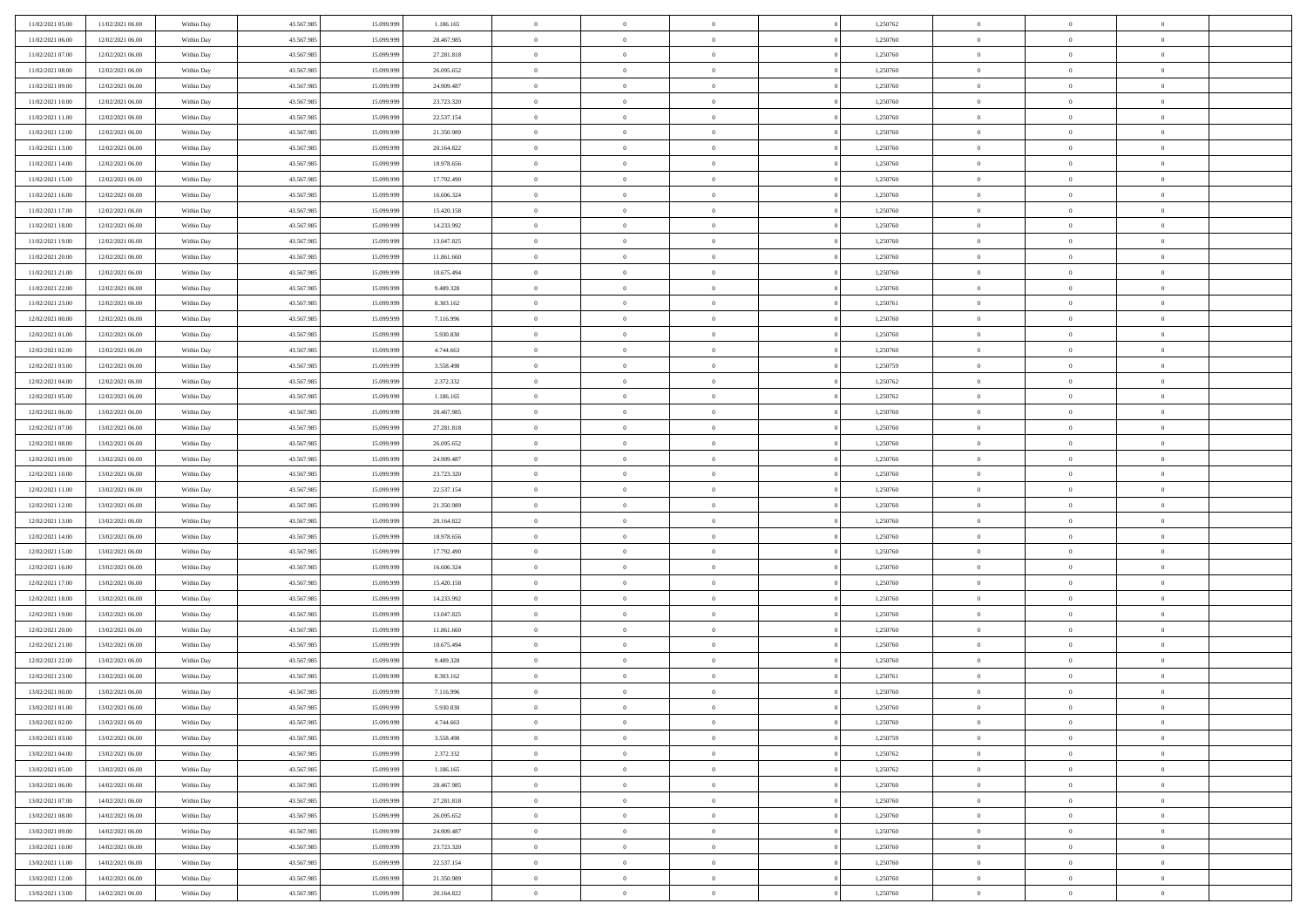| 11/02/2021 05:00 | 11/02/2021 06:00 | Within Day | 43.567.985 | 15.099.999 | 1.186.165  | $\,$ 0 $\,$    | $\overline{0}$ | $\overline{0}$ |          | 1,250762 | $\bf{0}$       | $\overline{0}$ | $\,0\,$        |  |
|------------------|------------------|------------|------------|------------|------------|----------------|----------------|----------------|----------|----------|----------------|----------------|----------------|--|
| 11/02/2021 06:00 | 12/02/2021 06:00 | Within Day | 43.567.985 | 15,099,999 | 28.467.985 | $\theta$       | $\overline{0}$ | $\mathbf{0}$   |          | 1,250760 | $\theta$       | $\overline{0}$ | $\theta$       |  |
| 11/02/2021 07:00 | 12/02/2021 06:00 | Within Day | 43.567.985 | 15.099.999 | 27.281.818 | $\theta$       | $\overline{0}$ | $\overline{0}$ |          | 1,250760 | $\mathbf{0}$   | $\overline{0}$ | $\overline{0}$ |  |
| 11/02/2021 08:00 | 12/02/2021 06:00 | Within Day | 43.567.985 | 15.099.999 | 26.095.652 | $\,$ 0 $\,$    | $\overline{0}$ | $\overline{0}$ |          | 1,250760 | $\bf{0}$       | $\overline{0}$ | $\bf{0}$       |  |
| 11/02/2021 09:00 | 12/02/2021 06:00 | Within Day | 43.567.985 | 15.099.999 | 24.909.487 | $\bf{0}$       | $\overline{0}$ | $\mathbf{0}$   |          | 1,250760 | $\bf{0}$       | $\bf{0}$       | $\,0\,$        |  |
| 11/02/2021 10:00 | 12/02/2021 06:00 | Within Day | 43.567.985 | 15.099.999 | 23.723.320 | $\theta$       | $\overline{0}$ | $\mathbf{0}$   |          | 1,250760 | $\mathbf{0}$   | $\overline{0}$ | $\overline{0}$ |  |
| 11/02/2021 11:00 | 12/02/2021 06:00 | Within Day | 43.567.985 | 15.099.999 | 22.537.154 | $\,$ 0 $\,$    | $\overline{0}$ | $\overline{0}$ |          | 1,250760 | $\bf{0}$       | $\overline{0}$ | $\bf{0}$       |  |
| 11/02/2021 12:00 | 12/02/2021 06:00 | Within Day | 43.567.985 | 15.099.999 | 21.350.989 | $\overline{0}$ | $\overline{0}$ | $\mathbf{0}$   |          | 1,250760 | $\,$ 0 $\,$    | $\overline{0}$ | $\theta$       |  |
| 11/02/2021 13:00 | 12/02/2021 06:00 | Within Day | 43.567.985 | 15.099.999 | 20.164.822 | $\theta$       | $\overline{0}$ | $\mathbf{0}$   |          | 1,250760 | $\mathbf{0}$   | $\overline{0}$ | $\overline{0}$ |  |
| 11/02/2021 14:00 | 12/02/2021 06:00 | Within Day | 43.567.985 | 15.099.999 | 18.978.656 | $\,$ 0 $\,$    | $\overline{0}$ | $\Omega$       |          | 1,250760 | $\bf{0}$       | $\overline{0}$ | $\bf{0}$       |  |
| 11/02/2021 15:00 | 12/02/2021 06:00 | Within Day | 43.567.985 | 15.099.999 | 17.792.490 | $\bf{0}$       | $\overline{0}$ | $\mathbf{0}$   |          | 1,250760 | $\bf{0}$       | $\mathbf{0}$   | $\theta$       |  |
| 11/02/2021 16:00 | 12/02/2021 06:00 | Within Day | 43.567.985 | 15.099.999 | 16.606.324 | $\theta$       | $\overline{0}$ | $\overline{0}$ |          | 1,250760 | $\mathbf{0}$   | $\overline{0}$ | $\overline{0}$ |  |
| 11/02/2021 17:00 | 12/02/2021 06:00 | Within Day | 43.567.985 | 15.099.999 | 15.420.158 | $\,$ 0 $\,$    | $\overline{0}$ | $\overline{0}$ |          | 1,250760 | $\bf{0}$       | $\overline{0}$ | $\bf{0}$       |  |
| 11/02/2021 18:00 | 12/02/2021 06:00 | Within Day | 43.567.985 | 15.099.999 | 14.233.992 | $\bf{0}$       | $\overline{0}$ | $\mathbf{0}$   |          | 1,250760 | $\bf{0}$       | $\theta$       | $\,0\,$        |  |
| 11/02/2021 19:00 | 12/02/2021 06:00 | Within Day | 43.567.985 | 15.099.999 | 13.047.825 | $\theta$       | $\overline{0}$ | $\overline{0}$ |          | 1,250760 | $\mathbf{0}$   | $\overline{0}$ | $\overline{0}$ |  |
| 11/02/2021 20:00 | 12/02/2021 06:00 | Within Day | 43.567.985 | 15.099.999 | 11.861.660 | $\,$ 0 $\,$    | $\overline{0}$ | $\Omega$       |          | 1,250760 | $\bf{0}$       | $\overline{0}$ | $\bf{0}$       |  |
| 11/02/2021 21:00 | 12/02/2021 06:00 | Within Day | 43.567.985 | 15.099.999 | 10.675.494 | $\,$ 0 $\,$    | $\overline{0}$ | $\mathbf{0}$   |          | 1,250760 | $\bf{0}$       | $\overline{0}$ | $\theta$       |  |
| 11/02/2021 22:00 | 12/02/2021 06:00 | Within Day | 43.567.985 | 15.099.999 | 9.489.328  | $\theta$       | $\overline{0}$ | $\mathbf{0}$   |          | 1,250760 | $\mathbf{0}$   | $\overline{0}$ | $\overline{0}$ |  |
| 11/02/2021 23:00 | 12/02/2021 06:00 | Within Day | 43.567.985 | 15.099.999 | 8.303.162  | $\,$ 0 $\,$    | $\overline{0}$ | $\Omega$       |          | 1,250761 | $\bf{0}$       | $\overline{0}$ | $\,0\,$        |  |
| 12/02/2021 00:00 | 12/02/2021 06:00 | Within Day | 43.567.985 | 15.099.999 | 7.116.996  | $\bf{0}$       | $\overline{0}$ | $\mathbf{0}$   |          | 1,250760 | $\bf{0}$       | $\mathbf{0}$   | $\theta$       |  |
| 12/02/2021 01:00 | 12/02/2021 06:00 | Within Day | 43.567.985 | 15.099.999 | 5.930.830  | $\theta$       | $\overline{0}$ | $\overline{0}$ |          | 1,250760 | $\mathbf{0}$   | $\overline{0}$ | $\overline{0}$ |  |
| 12/02/2021 02:00 | 12/02/2021 06:00 | Within Day | 43.567.985 | 15.099.999 | 4.744.663  | $\,$ 0 $\,$    | $\overline{0}$ | $\overline{0}$ |          | 1,250760 | $\bf{0}$       | $\overline{0}$ | $\bf{0}$       |  |
| 12/02/2021 03:00 | 12/02/2021 06:00 | Within Day | 43.567.985 | 15.099.999 | 3.558.498  | $\,$ 0         | $\overline{0}$ | $\mathbf{0}$   |          | 1,250759 | $\,$ 0 $\,$    | $\overline{0}$ | $\,0\,$        |  |
| 12/02/2021 04:00 | 12/02/2021 06:00 | Within Day | 43.567.985 | 15.099.999 | 2.372.332  | $\theta$       | $\overline{0}$ | $\mathbf{0}$   |          | 1,250762 | $\mathbf{0}$   | $\overline{0}$ | $\overline{0}$ |  |
| 12/02/2021 05:00 | 12/02/2021 06:00 | Within Day | 43.567.985 | 15.099.999 | 1.186.165  | $\,$ 0 $\,$    | $\overline{0}$ | $\overline{0}$ |          | 1,250762 | $\bf{0}$       | $\overline{0}$ | $\bf{0}$       |  |
| 12/02/2021 06:00 | 13/02/2021 06:00 | Within Day | 43.567.985 | 15.099.999 | 28.467.985 | $\,$ 0         | $\overline{0}$ | $\mathbf{0}$   |          | 1,250760 | $\mathbf{0}$   | $\overline{0}$ | $\theta$       |  |
| 12/02/2021 07:00 | 13/02/2021 06:00 | Within Day | 43.567.985 | 15.099.999 | 27.281.818 | $\theta$       | $\overline{0}$ | $\overline{0}$ |          | 1,250760 | $\mathbf{0}$   | $\overline{0}$ | $\overline{0}$ |  |
| 12/02/2021 08:00 | 13/02/2021 06:00 | Within Day | 43.567.985 | 15.099.999 | 26.095.652 | $\,$ 0 $\,$    | $\overline{0}$ | $\Omega$       |          | 1,250760 | $\bf{0}$       | $\overline{0}$ | $\bf{0}$       |  |
| 12/02/2021 09:00 | 13/02/2021 06:00 | Within Day | 43.567.985 | 15.099.999 | 24.909.487 | $\bf{0}$       | $\overline{0}$ | $\mathbf{0}$   |          | 1,250760 | $\bf{0}$       | $\mathbf{0}$   | $\overline{0}$ |  |
| 12/02/2021 10:00 | 13/02/2021 06:00 | Within Day | 43.567.985 | 15.099.999 | 23.723.320 | $\theta$       | $\overline{0}$ | $\overline{0}$ |          | 1,250760 | $\mathbf{0}$   | $\overline{0}$ | $\overline{0}$ |  |
| 12/02/2021 11:00 | 13/02/2021 06:00 | Within Day | 43.567.985 | 15.099.999 | 22.537.154 | $\,$ 0 $\,$    | $\overline{0}$ | $\overline{0}$ |          | 1,250760 | $\,$ 0         | $\overline{0}$ | $\,$ 0 $\,$    |  |
| 12/02/2021 12:00 | 13/02/2021 06:00 | Within Day | 43.567.985 | 15.099.999 | 21.350.989 | $\,$ 0         | $\overline{0}$ | $\mathbf{0}$   |          | 1,250760 | $\bf{0}$       | $\overline{0}$ | $\bf{0}$       |  |
| 12/02/2021 13:00 | 13/02/2021 06:00 | Within Day | 43.567.985 | 15.099.999 | 20.164.822 | $\theta$       | $\overline{0}$ | $\overline{0}$ |          | 1,250760 | $\mathbf{0}$   | $\overline{0}$ | $\overline{0}$ |  |
| 12/02/2021 14:00 | 13/02/2021 06:00 | Within Day | 43.567.985 | 15.099.999 | 18.978.656 | $\theta$       | $\overline{0}$ | $\overline{0}$ |          | 1,250760 | $\,$ 0         | $\overline{0}$ | $\theta$       |  |
| 12/02/2021 15:00 | 13/02/2021 06:00 | Within Day | 43.567.985 | 15.099.999 | 17.792.490 | $\bf{0}$       | $\overline{0}$ | $\mathbf{0}$   |          | 1,250760 | $\mathbf{0}$   | $\overline{0}$ | $\overline{0}$ |  |
| 12/02/2021 16:00 | 13/02/2021 06:00 | Within Day | 43.567.985 | 15.099.999 | 16.606.324 | $\theta$       | $\overline{0}$ | $\mathbf{0}$   |          | 1,250760 | $\mathbf{0}$   | $\overline{0}$ | $\overline{0}$ |  |
| 12/02/2021 17:00 | 13/02/2021 06:00 | Within Day | 43.567.985 | 15.099.999 | 15.420.158 | $\theta$       | $\overline{0}$ | $\overline{0}$ |          | 1,250760 | $\,$ 0         | $\overline{0}$ | $\theta$       |  |
| 12/02/2021 18:00 | 13/02/2021 06:00 | Within Day | 43.567.985 | 15.099.999 | 14.233.992 | $\bf{0}$       | $\overline{0}$ | $\mathbf{0}$   |          | 1,250760 | $\bf{0}$       | $\mathbf{0}$   | $\bf{0}$       |  |
| 12/02/2021 19:00 | 13/02/2021 06:00 | Within Day | 43.567.985 | 15.099.999 | 13.047.825 | $\theta$       | $\overline{0}$ | $\overline{0}$ |          | 1,250760 | $\mathbf{0}$   | $\overline{0}$ | $\overline{0}$ |  |
| 12/02/2021 20:00 | 13/02/2021 06:00 | Within Day | 43.567.985 | 15.099.999 | 11.861.660 | $\,$ 0 $\,$    | $\overline{0}$ | $\overline{0}$ |          | 1,250760 | $\,$ 0         | $\overline{0}$ | $\,$ 0 $\,$    |  |
| 12/02/2021 21:00 | 13/02/2021 06:00 | Within Day | 43.567.985 | 15.099.999 | 10.675.494 | $\bf{0}$       | $\,$ 0 $\,$    | $\overline{0}$ |          | 1,250760 | $\,$ 0 $\,$    | $\overline{0}$ | $\bf{0}$       |  |
| 12/02/2021 22:00 | 13/02/2021 06:00 | Within Day | 43.567.985 | 15.099.999 | 9.489.328  | $\theta$       | $\overline{0}$ | $\mathbf{0}$   |          | 1,250760 | $\mathbf{0}$   | $\overline{0}$ | $\theta$       |  |
| 12/02/2021 23:00 | 13/02/2021 06:00 | Within Day | 43.567.985 | 15.099.999 | 8.303.162  | $\theta$       | $\overline{0}$ | $\overline{0}$ |          | 1,250761 | $\,$ 0         | $\overline{0}$ | $\theta$       |  |
| 13/02/2021 00:00 | 13/02/2021 06:00 | Within Day | 43.567.985 | 15.099.999 | 7.116.996  | $\,$ 0         | $\,$ 0 $\,$    | $\mathbf{0}$   |          | 1,250760 | $\,$ 0 $\,$    | $\overline{0}$ | $\bf{0}$       |  |
| 13/02/2021 01:00 | 13/02/2021 06:00 | Within Day | 43.567.985 | 15.099.999 | 5.930.830  | $\overline{0}$ | $\theta$       |                |          | 1,250760 | $\overline{0}$ | $\theta$       | $\theta$       |  |
| 13/02/2021 02:00 | 13/02/2021 06:00 | Within Day | 43.567.985 | 15.099.999 | 4.744.663  | $\,$ 0 $\,$    | $\overline{0}$ | $\overline{0}$ |          | 1,250760 | $\,$ 0 $\,$    | $\bf{0}$       | $\theta$       |  |
| 13/02/2021 03:00 | 13/02/2021 06:00 | Within Day | 43.567.985 | 15,099,999 | 3.558.498  | $\sim$ 0       | $\,$ 0 $\,$    | $\overline{0}$ |          | 1,250759 | $\,$ 0 $\,$    | $\overline{0}$ | $\overline{0}$ |  |
| 13/02/2021 04:00 | 13/02/2021 06:00 | Within Day | 43.567.985 | 15.099.999 | 2.372.332  | $\,$ 0 $\,$    | $\overline{0}$ | $\overline{0}$ |          | 1,250762 | $\,$ 0 $\,$    | $\bf{0}$       | $\overline{0}$ |  |
| 13/02/2021 05:00 | 13/02/2021 06:00 | Within Day | 43.567.985 | 15.099.999 | 1.186.165  | $\,$ 0 $\,$    | $\overline{0}$ | $\overline{0}$ | $\theta$ | 1,250762 | $\,$ 0 $\,$    | $\bf{0}$       | $\,$ 0 $\,$    |  |
| 13/02/2021 06:00 | 14/02/2021 06:00 | Within Day | 43.567.985 | 15.099.999 | 28.467.985 | $\,$ 0 $\,$    | $\,$ 0 $\,$    | $\overline{0}$ |          | 1,250760 | $\,$ 0 $\,$    | $\overline{0}$ | $\overline{0}$ |  |
| 13/02/2021 07:00 | 14/02/2021 06:00 | Within Day | 43.567.985 | 15.099.999 | 27.281.818 | $\mathbf{0}$   | $\overline{0}$ | $\overline{0}$ |          | 1,250760 | $\mathbf{0}$   | $\bf{0}$       | $\overline{0}$ |  |
| 13/02/2021 08:00 | 14/02/2021 06:00 | Within Day | 43.567.985 | 15.099.999 | 26.095.652 | $\,$ 0 $\,$    | $\overline{0}$ | $\overline{0}$ |          | 1,250760 | $\,$ 0 $\,$    | $\bf{0}$       | $\,$ 0 $\,$    |  |
| 13/02/2021 09:00 | 14/02/2021 06:00 | Within Day | 43.567.985 | 15.099.999 | 24.909.487 | $\overline{0}$ | $\,$ 0 $\,$    | $\overline{0}$ |          | 1,250760 | $\,$ 0 $\,$    | $\overline{0}$ | $\overline{0}$ |  |
| 13/02/2021 10:00 | 14/02/2021 06:00 | Within Day | 43.567.985 | 15.099.999 | 23.723.320 | $\,$ 0 $\,$    | $\overline{0}$ | $\overline{0}$ |          | 1,250760 | $\,$ 0 $\,$    | $\bf{0}$       | $\overline{0}$ |  |
| 13/02/2021 11:00 | 14/02/2021 06:00 | Within Day | 43.567.985 | 15.099.999 | 22.537.154 | $\,$ 0 $\,$    | $\overline{0}$ | $\overline{0}$ |          | 1,250760 | $\,$ 0 $\,$    | $\mathbf{0}$   | $\,$ 0 $\,$    |  |
| 13/02/2021 12:00 | 14/02/2021 06:00 | Within Day | 43.567.985 | 15.099.999 | 21.350.989 | $\,$ 0 $\,$    | $\,$ 0 $\,$    | $\overline{0}$ |          | 1,250760 | $\,$ 0 $\,$    | $\overline{0}$ | $\overline{0}$ |  |
| 13/02/2021 13:00 | 14/02/2021 06:00 | Within Day | 43.567.985 | 15.099.999 | 20.164.822 | $\theta$       | $\overline{0}$ | $\overline{0}$ |          | 1,250760 | $\,$ 0 $\,$    | $\mathbf{0}$   | $\overline{0}$ |  |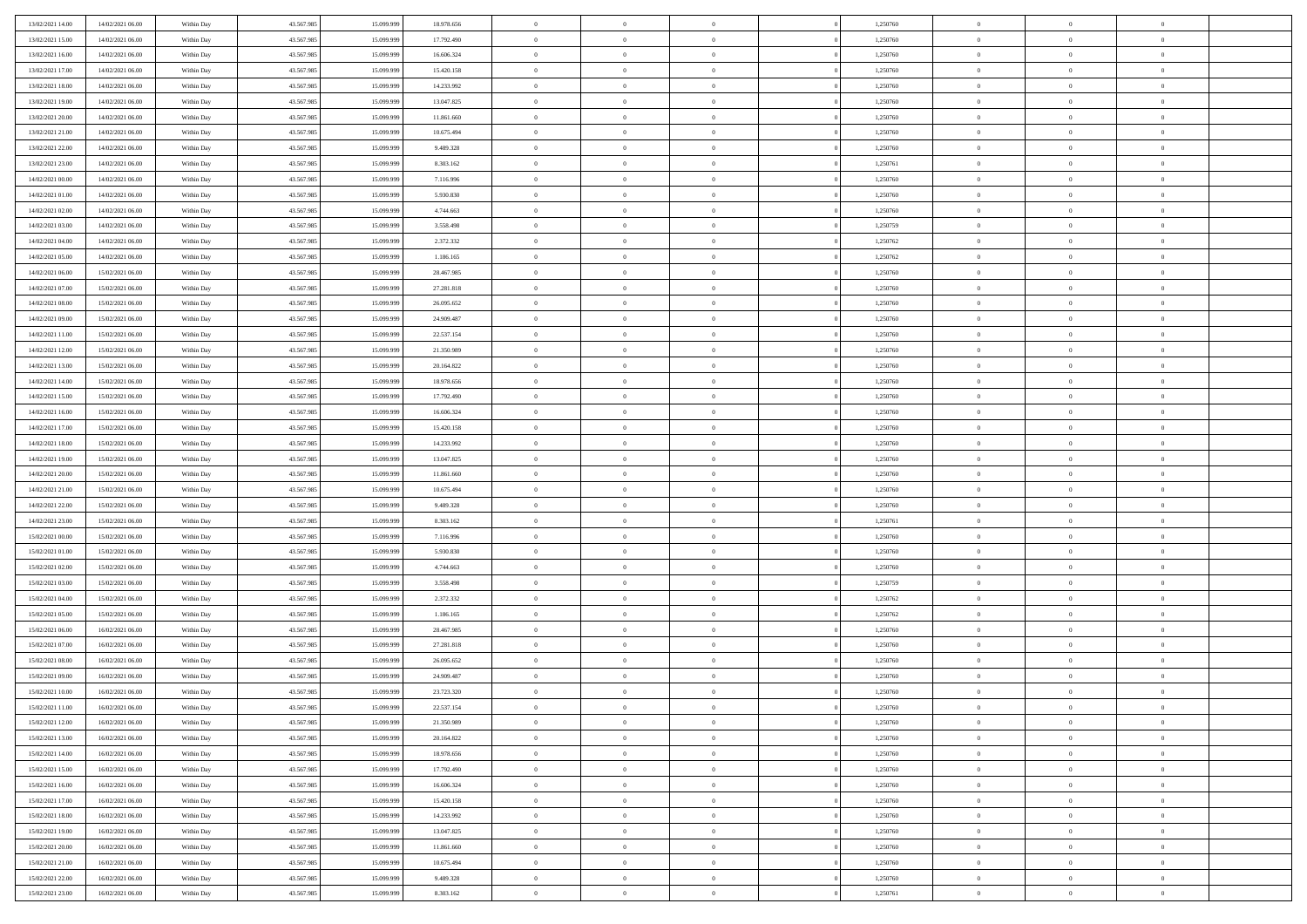| 13/02/2021 14:00 | 14/02/2021 06:00 | Within Day | 43.567.985 | 15.099.999 | 18.978.656 | $\overline{0}$ | $\overline{0}$ | $\Omega$       | 1,250760 | $\bf{0}$       | $\mathbf{0}$   | $\bf{0}$       |  |
|------------------|------------------|------------|------------|------------|------------|----------------|----------------|----------------|----------|----------------|----------------|----------------|--|
| 13/02/2021 15:00 | 14/02/2021 06:00 | Within Day | 43.567.985 | 15.099.999 | 17.792.490 | $\mathbf{0}$   | $\overline{0}$ | $\overline{0}$ | 1,250760 | $\overline{0}$ | $\overline{0}$ | $\overline{0}$ |  |
| 13/02/2021 16:00 | 14/02/2021 06:00 | Within Day | 43.567.985 | 15.099.999 | 16.606.324 | $\,$ 0         | $\overline{0}$ | $\bf{0}$       | 1,250760 | $\,$ 0         | $\overline{0}$ | $\,$ 0 $\,$    |  |
| 13/02/2021 17:00 | 14/02/2021 06:00 | Within Day | 43.567.985 | 15,099,999 | 15.420.158 | $\bf{0}$       | $\overline{0}$ | $\Omega$       | 1,250760 | $\bf{0}$       | $\mathbf{0}$   | $\theta$       |  |
| 13/02/2021 18:00 | 14/02/2021 06:00 | Within Day | 43.567.985 | 15.099.999 | 14.233.992 | $\bf{0}$       | $\overline{0}$ | $\overline{0}$ | 1,250760 | $\mathbf{0}$   | $\overline{0}$ | $\overline{0}$ |  |
| 13/02/2021 19:00 | 14/02/2021 06:00 | Within Day | 43.567.985 | 15.099.999 | 13.047.825 | $\bf{0}$       | $\overline{0}$ | $\bf{0}$       | 1,250760 | $\,$ 0         | $\overline{0}$ | $\,$ 0 $\,$    |  |
| 13/02/2021 20:00 | 14/02/2021 06:00 | Within Day | 43.567.985 | 15.099.999 | 11.861.660 | $\bf{0}$       | $\overline{0}$ | $\overline{0}$ | 1,250760 | $\bf{0}$       | $\overline{0}$ | $\theta$       |  |
| 13/02/2021 21:00 | 14/02/2021 06:00 | Within Day | 43.567.985 | 15.099.999 | 10.675.494 | $\overline{0}$ | $\overline{0}$ | $\overline{0}$ | 1,250760 | $\mathbf{0}$   | $\overline{0}$ | $\overline{0}$ |  |
| 13/02/2021 22:00 | 14/02/2021 06:00 | Within Day | 43.567.985 | 15.099.999 | 9.489.328  | $\bf{0}$       | $\overline{0}$ | $\bf{0}$       | 1,250760 | $\,$ 0         | $\overline{0}$ | $\,$ 0 $\,$    |  |
| 13/02/2021 23:00 | 14/02/2021 06:00 | Within Day | 43.567.985 | 15.099.999 | 8.303.162  | $\bf{0}$       | $\overline{0}$ | $\Omega$       | 1,250761 | $\theta$       | $\mathbf{0}$   | $\theta$       |  |
| 14/02/2021 00:00 | 14/02/2021 06:00 | Within Day | 43.567.985 | 15.099.999 | 7.116.996  | $\overline{0}$ | $\overline{0}$ | $\overline{0}$ | 1,250760 | $\mathbf{0}$   | $\overline{0}$ | $\overline{0}$ |  |
| 14/02/2021 01:00 | 14/02/2021 06:00 | Within Day | 43.567.985 | 15.099.999 | 5.930.830  | $\bf{0}$       | $\overline{0}$ | $\bf{0}$       | 1,250760 | $\,$ 0         | $\overline{0}$ | $\,$ 0 $\,$    |  |
| 14/02/2021 02.00 | 14/02/2021 06:00 | Within Day | 43.567.985 | 15,099,999 | 4.744.663  | $\bf{0}$       | $\overline{0}$ | $\Omega$       | 1,250760 | $\theta$       | $\mathbf{0}$   | $\theta$       |  |
| 14/02/2021 03:00 | 14/02/2021 06:00 | Within Day | 43.567.985 | 15.099.999 | 3.558.498  | $\overline{0}$ | $\overline{0}$ | $\overline{0}$ | 1,250759 | $\overline{0}$ | $\overline{0}$ | $\overline{0}$ |  |
| 14/02/2021 04:00 | 14/02/2021 06:00 | Within Day | 43.567.985 | 15.099.999 | 2.372.332  | $\bf{0}$       | $\overline{0}$ | $\bf{0}$       | 1,250762 | $\,$ 0         | $\overline{0}$ | $\,$ 0 $\,$    |  |
| 14/02/2021 05:00 | 14/02/2021 06:00 | Within Day | 43.567.985 | 15.099.999 | 1.186.165  | $\bf{0}$       | $\overline{0}$ | $\overline{0}$ | 1,250762 | $\bf{0}$       | $\overline{0}$ | $\bf{0}$       |  |
| 14/02/2021 06:00 | 15/02/2021 06:00 | Within Day | 43.567.985 | 15.099.999 | 28.467.985 | $\overline{0}$ | $\overline{0}$ | $\overline{0}$ | 1,250760 | $\mathbf{0}$   | $\overline{0}$ | $\overline{0}$ |  |
| 14/02/2021 07:00 | 15/02/2021 06:00 | Within Day | 43.567.985 | 15.099.999 | 27.281.818 | $\bf{0}$       | $\overline{0}$ | $\bf{0}$       | 1,250760 | $\,$ 0         | $\overline{0}$ | $\,$ 0 $\,$    |  |
| 14/02/2021 08:00 | 15/02/2021 06:00 | Within Day | 43.567.985 | 15.099.999 | 26.095.652 | $\bf{0}$       | $\overline{0}$ | $\Omega$       | 1,250760 | $\theta$       | $\mathbf{0}$   | $\theta$       |  |
| 14/02/2021 09:00 | 15/02/2021 06:00 | Within Day | 43.567.985 | 15.099.999 | 24.909.487 | $\overline{0}$ | $\overline{0}$ | $\overline{0}$ | 1,250760 | $\mathbf{0}$   | $\overline{0}$ | $\overline{0}$ |  |
| 14/02/2021 11:00 | 15/02/2021 06:00 | Within Day | 43.567.985 | 15.099.999 | 22.537.154 | $\bf{0}$       | $\overline{0}$ | $\bf{0}$       | 1,250760 | $\,$ 0         | $\overline{0}$ | $\,$ 0 $\,$    |  |
| 14/02/2021 12:00 | 15/02/2021 06:00 | Within Day | 43.567.985 | 15.099.999 | 21.350.989 | $\bf{0}$       | $\overline{0}$ | $\Omega$       | 1,250760 | $\theta$       | $\mathbf{0}$   | $\theta$       |  |
| 14/02/2021 13:00 | 15/02/2021 06:00 | Within Day | 43.567.985 | 15.099.999 | 20.164.822 | $\overline{0}$ | $\overline{0}$ | $\overline{0}$ | 1,250760 | $\mathbf{0}$   | $\overline{0}$ | $\overline{0}$ |  |
| 14/02/2021 14:00 | 15/02/2021 06:00 | Within Day | 43.567.985 | 15.099.999 | 18.978.656 | $\bf{0}$       | $\overline{0}$ | $\bf{0}$       | 1,250760 | $\,$ 0         | $\overline{0}$ | $\,$ 0 $\,$    |  |
| 14/02/2021 15:00 | 15/02/2021 06:00 | Within Day | 43.567.985 | 15.099.999 | 17.792.490 | $\bf{0}$       | $\overline{0}$ | $\overline{0}$ | 1,250760 | $\bf{0}$       | $\bf{0}$       | $\bf{0}$       |  |
| 14/02/2021 16:00 | 15/02/2021 06:00 | Within Day | 43.567.985 | 15.099.999 | 16.606.324 | $\overline{0}$ | $\overline{0}$ | $\overline{0}$ | 1,250760 | $\mathbf{0}$   | $\overline{0}$ | $\overline{0}$ |  |
| 14/02/2021 17:00 | 15/02/2021 06:00 | Within Day | 43.567.985 | 15.099.999 | 15.420.158 | $\bf{0}$       | $\overline{0}$ | $\bf{0}$       | 1,250760 | $\,$ 0         | $\overline{0}$ | $\,$ 0 $\,$    |  |
| 14/02/2021 18:00 | 15/02/2021 06:00 | Within Day | 43.567.985 | 15.099.999 | 14.233.992 | $\bf{0}$       | $\overline{0}$ | $\Omega$       | 1,250760 | $\theta$       | $\mathbf{0}$   | $\theta$       |  |
| 14/02/2021 19:00 | 15/02/2021 06:00 | Within Day | 43.567.985 | 15.099.999 | 13.047.825 | $\overline{0}$ | $\overline{0}$ | $\overline{0}$ | 1,250760 | $\mathbf{0}$   | $\overline{0}$ | $\overline{0}$ |  |
| 14/02/2021 20:00 | 15/02/2021 06:00 | Within Day | 43.567.985 | 15.099.999 | 11.861.660 | $\bf{0}$       | $\overline{0}$ | $\bf{0}$       | 1,250760 | $\,$ 0         | $\overline{0}$ | $\,$ 0 $\,$    |  |
| 14/02/2021 21:00 | 15/02/2021 06:00 | Within Day | 43.567.985 | 15.099.999 | 10.675.494 | $\bf{0}$       | $\bf{0}$       | $\overline{0}$ | 1,250760 | $\bf{0}$       | $\overline{0}$ | $\,0\,$        |  |
| 14/02/2021 22:00 | 15/02/2021 06:00 | Within Day | 43.567.985 | 15.099.999 | 9.489.328  | $\overline{0}$ | $\overline{0}$ | $\overline{0}$ | 1,250760 | $\mathbf{0}$   | $\overline{0}$ | $\overline{0}$ |  |
| 14/02/2021 23:00 | 15/02/2021 06:00 | Within Day | 43.567.985 | 15.099.999 | 8.303.162  | $\bf{0}$       | $\overline{0}$ | $\bf{0}$       | 1,250761 | $\,$ 0         | $\overline{0}$ | $\,$ 0 $\,$    |  |
| 15/02/2021 00:00 | 15/02/2021 06:00 | Within Day | 43.567.985 | 15.099.999 | 7.116.996  | $\bf{0}$       | $\bf{0}$       | $\bf{0}$       | 1,250760 | $\bf{0}$       | $\overline{0}$ | $\,0\,$        |  |
| 15/02/2021 01:00 | 15/02/2021 06:00 | Within Day | 43.567.985 | 15.099.999 | 5.930.830  | $\overline{0}$ | $\overline{0}$ | $\overline{0}$ | 1,250760 | $\mathbf{0}$   | $\overline{0}$ | $\overline{0}$ |  |
| 15/02/2021 02:00 | 15/02/2021 06:00 | Within Day | 43.567.985 | 15.099.999 | 4.744.663  | $\bf{0}$       | $\overline{0}$ | $\bf{0}$       | 1,250760 | $\,$ 0         | $\overline{0}$ | $\,$ 0 $\,$    |  |
| 15/02/2021 03:00 | 15/02/2021 06:00 | Within Day | 43.567.985 | 15.099.999 | 3.558.498  | $\bf{0}$       | $\bf{0}$       | $\overline{0}$ | 1,250759 | $\bf{0}$       | $\overline{0}$ | $\,0\,$        |  |
| 15/02/2021 04:00 | 15/02/2021 06:00 | Within Day | 43.567.985 | 15.099.999 | 2.372.332  | $\overline{0}$ | $\overline{0}$ | $\overline{0}$ | 1,250762 | $\mathbf{0}$   | $\overline{0}$ | $\overline{0}$ |  |
| 15/02/2021 05:00 | 15/02/2021 06:00 | Within Day | 43.567.985 | 15.099.999 | 1.186.165  | $\bf{0}$       | $\overline{0}$ | $\bf{0}$       | 1,250762 | $\,$ 0         | $\overline{0}$ | $\,$ 0 $\,$    |  |
| 15/02/2021 06:00 | 16/02/2021 06:00 | Within Day | 43.567.985 | 15.099.999 | 28.467.985 | $\bf{0}$       | $\bf{0}$       | $\overline{0}$ | 1,250760 | $\bf{0}$       | $\overline{0}$ | $\,0\,$        |  |
| 15/02/2021 07:00 | 16/02/2021 06:00 | Within Day | 43.567.985 | 15.099.999 | 27.281.818 | $\overline{0}$ | $\overline{0}$ | $\overline{0}$ | 1,250760 | $\mathbf{0}$   | $\overline{0}$ | $\overline{0}$ |  |
| 15/02/2021 08:00 | 16/02/2021 06:00 | Within Day | 43.567.985 | 15.099.999 | 26.095.652 | $\bf{0}$       | $\overline{0}$ | $\bf{0}$       | 1,250760 | $\,$ 0         | $\overline{0}$ | $\,$ 0 $\,$    |  |
| 15/02/2021 09:00 | 16/02/2021 06:00 | Within Day | 43.567.985 | 15.099.999 | 24.909.487 | $\bf{0}$       | $\bf{0}$       | $\bf{0}$       | 1,250760 | $\bf{0}$       | $\overline{0}$ | $\,0\,$        |  |
| 15/02/2021 10:00 | 16/02/2021 06:00 | Within Day | 43.567.985 | 15.099.999 | 23.723.320 | $\mathbf{0}$   | $\overline{0}$ | $\overline{0}$ | 1,250760 | $\mathbf{0}$   | $\overline{0}$ | $\overline{0}$ |  |
| 15/02/2021 11:00 | 16/02/2021 06:00 | Within Day | 43.567.985 | 15.099.999 | 22.537.154 | $\bf{0}$       | $\overline{0}$ | $\theta$       | 1,250760 | $\overline{0}$ | $\overline{0}$ | $\theta$       |  |
| 15/02/2021 12:00 | 16/02/2021 06:00 | Within Day | 43.567.985 | 15.099.999 | 21.350.989 | $\bf{0}$       | $\bf{0}$       | $\bf{0}$       | 1,250760 | $\bf{0}$       | $\overline{0}$ | $\bf{0}$       |  |
| 15/02/2021 13:00 | 16/02/2021 06:00 | Within Day | 43.567.985 | 15.099.999 | 20.164.822 | $\overline{0}$ | $\overline{0}$ | $\overline{0}$ | 1,250760 | $\overline{0}$ | $\overline{0}$ | $\overline{0}$ |  |
| 15/02/2021 14:00 | 16/02/2021 06:00 | Within Day | 43.567.985 | 15.099.999 | 18.978.656 | $\,$ 0 $\,$    | $\overline{0}$ | $\overline{0}$ | 1,250760 | $\mathbf{0}$   | $\,$ 0 $\,$    | $\,$ 0 $\,$    |  |
| 15/02/2021 15:00 | 16/02/2021 06:00 | Within Day | 43.567.985 | 15.099.999 | 17.792.490 | $\bf{0}$       | $\bf{0}$       | $\overline{0}$ | 1,250760 | $\bf{0}$       | $\overline{0}$ | $\bf{0}$       |  |
| 15/02/2021 16:00 | 16/02/2021 06:00 | Within Day | 43.567.985 | 15.099.999 | 16.606.324 | $\overline{0}$ | $\overline{0}$ | $\overline{0}$ | 1,250760 | $\overline{0}$ | $\bf{0}$       | $\overline{0}$ |  |
| 15/02/2021 17:00 | 16/02/2021 06:00 | Within Day | 43.567.985 | 15.099.999 | 15.420.158 | $\,$ 0 $\,$    | $\overline{0}$ | $\overline{0}$ | 1,250760 | $\mathbf{0}$   | $\overline{0}$ | $\,$ 0 $\,$    |  |
| 15/02/2021 18:00 | 16/02/2021 06:00 | Within Day | 43.567.985 | 15.099.999 | 14.233.992 | $\overline{0}$ | $\overline{0}$ | $\overline{0}$ | 1,250760 | $\bf{0}$       | $\overline{0}$ | $\overline{0}$ |  |
| 15/02/2021 19:00 | 16/02/2021 06:00 | Within Day | 43.567.985 | 15.099.999 | 13.047.825 | $\overline{0}$ | $\overline{0}$ | $\overline{0}$ | 1,250760 | $\overline{0}$ | $\bf{0}$       | $\overline{0}$ |  |
| 15/02/2021 20:00 | 16/02/2021 06:00 | Within Day | 43.567.985 | 15.099.999 | 11.861.660 | $\,$ 0 $\,$    | $\overline{0}$ | $\overline{0}$ | 1,250760 | $\mathbf{0}$   | $\,$ 0 $\,$    | $\,$ 0 $\,$    |  |
| 15/02/2021 21:00 | 16/02/2021 06:00 | Within Day | 43.567.985 | 15.099.999 | 10.675.494 | $\bf{0}$       | $\bf{0}$       | $\overline{0}$ | 1,250760 | $\bf{0}$       | $\overline{0}$ | $\bf{0}$       |  |
| 15/02/2021 22:00 | 16/02/2021 06:00 | Within Day | 43.567.985 | 15.099.999 | 9.489.328  | $\overline{0}$ | $\overline{0}$ | $\overline{0}$ | 1,250760 | $\mathbf{0}$   | $\bf{0}$       | $\overline{0}$ |  |
| 15/02/2021 23:00 | 16/02/2021 06:00 | Within Day | 43.567.985 | 15.099.999 | 8.303.162  | $\,0\,$        | $\overline{0}$ | $\overline{0}$ | 1,250761 | $\,$ 0         | $\overline{0}$ | $\,$ 0 $\,$    |  |
|                  |                  |            |            |            |            |                |                |                |          |                |                |                |  |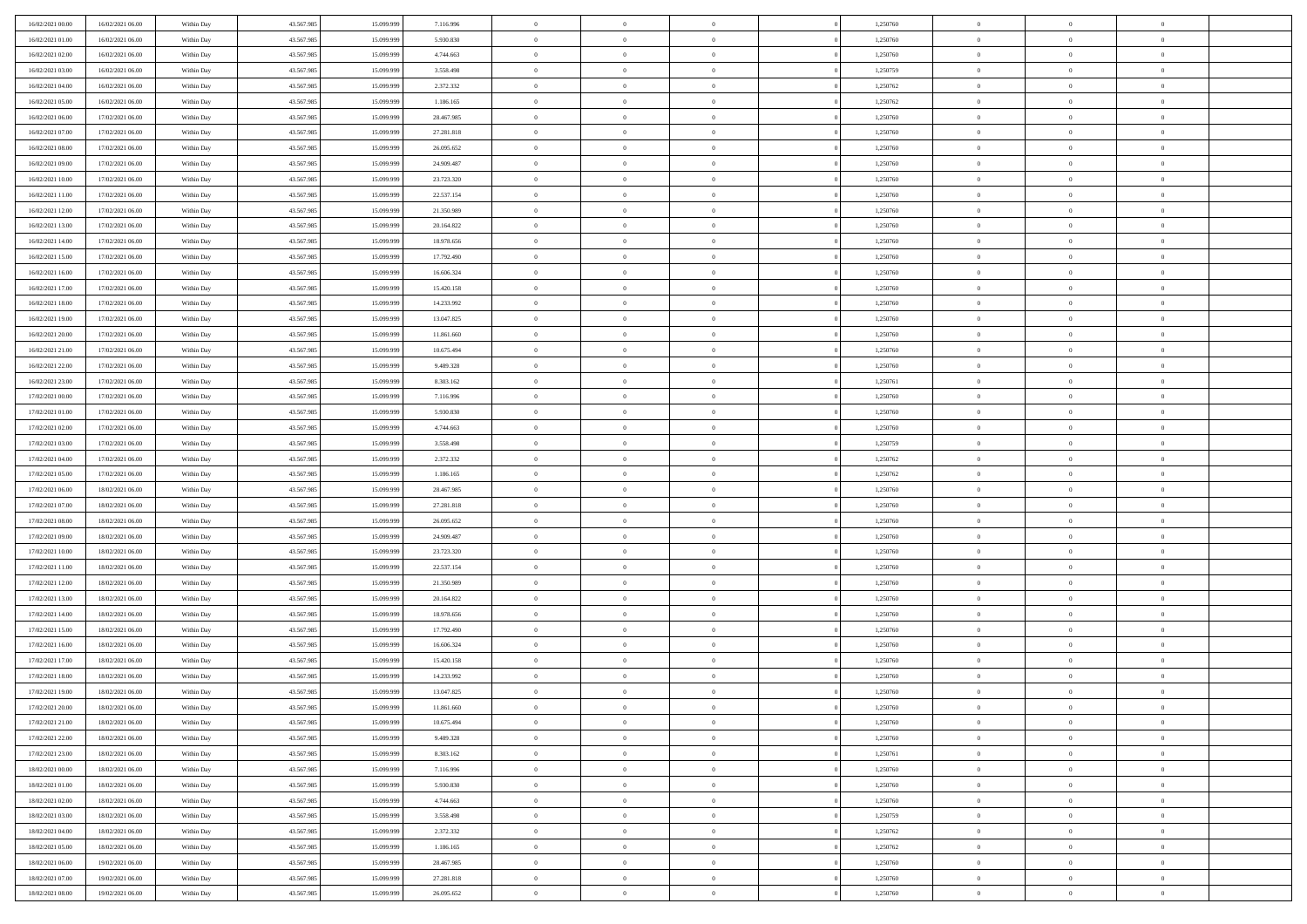| 16/02/2021 00:00 | 16/02/2021 06:00 | Within Day | 43.567.985 | 15.099.999 | 7.116.996  | $\overline{0}$ | $\overline{0}$ | $\Omega$       | 1,250760 | $\bf{0}$       | $\mathbf{0}$   | $\bf{0}$       |  |
|------------------|------------------|------------|------------|------------|------------|----------------|----------------|----------------|----------|----------------|----------------|----------------|--|
| 16/02/2021 01:00 | 16/02/2021 06:00 | Within Dav | 43.567.985 | 15.099.999 | 5.930.830  | $\mathbf{0}$   | $\overline{0}$ | $\overline{0}$ | 1,250760 | $\overline{0}$ | $\overline{0}$ | $\overline{0}$ |  |
| 16/02/2021 02:00 | 16/02/2021 06:00 | Within Day | 43.567.985 | 15.099.999 | 4.744.663  | $\,$ 0         | $\overline{0}$ | $\bf{0}$       | 1,250760 | $\,$ 0         | $\overline{0}$ | $\,$ 0 $\,$    |  |
| 16/02/2021 03:00 | 16/02/2021 06:00 | Within Day | 43.567.985 | 15.099.999 | 3.558.498  | $\bf{0}$       | $\overline{0}$ | $\Omega$       | 1,250759 | $\bf{0}$       | $\mathbf{0}$   | $\theta$       |  |
| 16/02/2021 04:00 | 16/02/2021 06:00 | Within Day | 43.567.985 | 15.099.999 | 2.372.332  | $\bf{0}$       | $\overline{0}$ | $\overline{0}$ | 1,250762 | $\overline{0}$ | $\overline{0}$ | $\overline{0}$ |  |
| 16/02/2021 05:00 | 16/02/2021 06:00 | Within Day | 43.567.985 | 15.099.999 | 1.186.165  | $\bf{0}$       | $\overline{0}$ | $\bf{0}$       | 1,250762 | $\,$ 0         | $\overline{0}$ | $\,$ 0 $\,$    |  |
| 16/02/2021 06:00 | 17/02/2021 06:00 | Within Day | 43.567.985 | 15.099.999 | 28.467.985 | $\bf{0}$       | $\overline{0}$ | $\overline{0}$ | 1,250760 | $\bf{0}$       | $\mathbf{0}$   | $\theta$       |  |
| 16/02/2021 07:00 | 17/02/2021 06:00 | Within Day | 43.567.985 | 15.099.999 | 27.281.818 | $\overline{0}$ | $\overline{0}$ | $\overline{0}$ | 1,250760 | $\mathbf{0}$   | $\overline{0}$ | $\overline{0}$ |  |
| 16/02/2021 08:00 | 17/02/2021 06:00 | Within Day | 43.567.985 | 15.099.999 | 26.095.652 | $\bf{0}$       | $\overline{0}$ | $\bf{0}$       | 1,250760 | $\,$ 0         | $\overline{0}$ | $\,$ 0 $\,$    |  |
| 16/02/2021 09:00 | 17/02/2021 06:00 | Within Day | 43.567.985 | 15.099.999 | 24.909.487 | $\bf{0}$       | $\overline{0}$ | $\Omega$       | 1,250760 | $\theta$       | $\mathbf{0}$   | $\theta$       |  |
| 16/02/2021 10:00 | 17/02/2021 06:00 | Within Day | 43.567.985 | 15.099.999 | 23.723.320 | $\overline{0}$ | $\overline{0}$ | $\overline{0}$ | 1,250760 | $\mathbf{0}$   | $\overline{0}$ | $\overline{0}$ |  |
| 16/02/2021 11:00 | 17/02/2021 06:00 | Within Day | 43.567.985 | 15.099.999 | 22.537.154 | $\bf{0}$       | $\overline{0}$ | $\bf{0}$       | 1,250760 | $\,$ 0         | $\overline{0}$ | $\,$ 0 $\,$    |  |
| 16/02/2021 12:00 | 17/02/2021 06:00 | Within Day | 43.567.985 | 15.099.999 | 21.350.989 | $\bf{0}$       | $\overline{0}$ | $\Omega$       | 1,250760 | $\bf{0}$       | $\mathbf{0}$   | $\theta$       |  |
| 16/02/2021 13:00 | 17/02/2021 06:00 | Within Day | 43.567.985 | 15.099.999 | 20.164.822 | $\overline{0}$ | $\overline{0}$ | $\overline{0}$ | 1,250760 | $\mathbf{0}$   | $\overline{0}$ | $\overline{0}$ |  |
| 16/02/2021 14:00 | 17/02/2021 06:00 | Within Day | 43.567.985 | 15.099.999 | 18.978.656 | $\bf{0}$       | $\overline{0}$ | $\bf{0}$       | 1,250760 | $\,$ 0         | $\overline{0}$ | $\,$ 0 $\,$    |  |
| 16/02/2021 15:00 | 17/02/2021 06:00 | Within Day | 43.567.985 | 15.099.999 | 17.792.490 | $\bf{0}$       | $\overline{0}$ | $\overline{0}$ | 1,250760 | $\theta$       | $\mathbf{0}$   | $\theta$       |  |
| 16/02/2021 16:00 | 17/02/2021 06:00 | Within Day | 43.567.985 | 15.099.999 | 16.606.324 | $\overline{0}$ | $\overline{0}$ | $\overline{0}$ | 1,250760 | $\mathbf{0}$   | $\overline{0}$ | $\overline{0}$ |  |
| 16/02/2021 17:00 | 17/02/2021 06:00 | Within Day | 43.567.985 | 15.099.999 | 15.420.158 | $\bf{0}$       | $\overline{0}$ | $\bf{0}$       | 1,250760 | $\,$ 0         | $\overline{0}$ | $\,$ 0 $\,$    |  |
| 16/02/2021 18:00 | 17/02/2021 06:00 | Within Day | 43.567.985 | 15.099.999 | 14.233.992 | $\bf{0}$       | $\overline{0}$ | $\Omega$       | 1,250760 | $\theta$       | $\mathbf{0}$   | $\theta$       |  |
| 16/02/2021 19:00 | 17/02/2021 06:00 | Within Day | 43.567.985 | 15.099.999 | 13.047.825 | $\overline{0}$ | $\overline{0}$ | $\overline{0}$ | 1,250760 | $\mathbf{0}$   | $\overline{0}$ | $\overline{0}$ |  |
| 16/02/2021 20:00 | 17/02/2021 06:00 | Within Day | 43.567.985 | 15.099.999 | 11.861.660 | $\bf{0}$       | $\overline{0}$ | $\bf{0}$       | 1,250760 | $\,$ 0         | $\overline{0}$ | $\,$ 0 $\,$    |  |
| 16/02/2021 21:00 | 17/02/2021 06:00 | Within Day | 43.567.985 | 15,099,999 | 10.675.494 | $\bf{0}$       | $\overline{0}$ | $\Omega$       | 1,250760 | $\bf{0}$       | $\theta$       | $\theta$       |  |
| 16/02/2021 22:00 | 17/02/2021 06:00 | Within Day | 43.567.985 | 15.099.999 | 9.489.328  | $\overline{0}$ | $\overline{0}$ | $\overline{0}$ | 1,250760 | $\mathbf{0}$   | $\overline{0}$ | $\overline{0}$ |  |
| 16/02/2021 23:00 | 17/02/2021 06:00 | Within Day | 43.567.985 | 15.099.999 | 8.303.162  | $\bf{0}$       | $\overline{0}$ | $\bf{0}$       | 1,250761 | $\,$ 0         | $\overline{0}$ | $\,$ 0 $\,$    |  |
| 17/02/2021 00:00 | 17/02/2021 06:00 | Within Day | 43.567.985 | 15.099.999 | 7.116.996  | $\bf{0}$       | $\overline{0}$ | $\overline{0}$ | 1,250760 | $\bf{0}$       | $\bf{0}$       | $\bf{0}$       |  |
| 17/02/2021 01:00 | 17/02/2021 06:00 | Within Day | 43.567.985 | 15.099.999 | 5.930.830  | $\overline{0}$ | $\overline{0}$ | $\overline{0}$ | 1,250760 | $\mathbf{0}$   | $\overline{0}$ | $\overline{0}$ |  |
| 17/02/2021 02:00 | 17/02/2021 06:00 | Within Day | 43.567.985 | 15.099.999 | 4.744.663  | $\bf{0}$       | $\overline{0}$ | $\bf{0}$       | 1,250760 | $\,$ 0         | $\overline{0}$ | $\,$ 0 $\,$    |  |
| 17/02/2021 03:00 | 17/02/2021 06:00 | Within Day | 43.567.985 | 15.099.999 | 3.558.498  | $\bf{0}$       | $\overline{0}$ | $\Omega$       | 1,250759 | $\theta$       | $\mathbf{0}$   | $\theta$       |  |
| 17/02/2021 04:00 | 17/02/2021 06:00 | Within Day | 43.567.985 | 15.099.999 | 2.372.332  | $\overline{0}$ | $\overline{0}$ | $\overline{0}$ | 1,250762 | $\mathbf{0}$   | $\overline{0}$ | $\overline{0}$ |  |
| 17/02/2021 05:00 | 17/02/2021 06:00 | Within Day | 43.567.985 | 15.099.999 | 1.186.165  | $\bf{0}$       | $\overline{0}$ | $\bf{0}$       | 1,250762 | $\,$ 0         | $\overline{0}$ | $\,$ 0 $\,$    |  |
| 17/02/2021 06:00 | 18/02/2021 06:00 | Within Day | 43.567.985 | 15.099.999 | 28.467.985 | $\,$ 0         | $\bf{0}$       | $\overline{0}$ | 1,250760 | $\bf{0}$       | $\overline{0}$ | $\,0\,$        |  |
| 17/02/2021 07:00 | 18/02/2021 06:00 | Within Dav | 43.567.985 | 15.099.999 | 27.281.818 | $\overline{0}$ | $\overline{0}$ | $\overline{0}$ | 1,250760 | $\mathbf{0}$   | $\overline{0}$ | $\overline{0}$ |  |
| 17/02/2021 08:00 | 18/02/2021 06:00 | Within Day | 43.567.985 | 15.099.999 | 26.095.652 | $\bf{0}$       | $\overline{0}$ | $\bf{0}$       | 1,250760 | $\,$ 0         | $\overline{0}$ | $\,$ 0 $\,$    |  |
| 17/02/2021 09:00 | 18/02/2021 06:00 | Within Day | 43.567.985 | 15.099.999 | 24.909.487 | $\bf{0}$       | $\bf{0}$       | $\bf{0}$       | 1,250760 | $\bf{0}$       | $\overline{0}$ | $\,0\,$        |  |
| 17/02/2021 10:00 | 18/02/2021 06:00 | Within Day | 43.567.985 | 15.099.999 | 23.723.320 | $\overline{0}$ | $\overline{0}$ | $\overline{0}$ | 1,250760 | $\overline{0}$ | $\overline{0}$ | $\overline{0}$ |  |
| 17/02/2021 11:00 | 18/02/2021 06:00 | Within Day | 43.567.985 | 15.099.999 | 22.537.154 | $\bf{0}$       | $\overline{0}$ | $\bf{0}$       | 1,250760 | $\,$ 0         | $\overline{0}$ | $\,$ 0 $\,$    |  |
| 17/02/2021 12:00 | 18/02/2021 06:00 | Within Day | 43.567.985 | 15.099.999 | 21.350.989 | $\bf{0}$       | $\bf{0}$       | $\overline{0}$ | 1,250760 | $\bf{0}$       | $\overline{0}$ | $\,0\,$        |  |
| 17/02/2021 13:00 | 18/02/2021 06:00 | Within Day | 43.567.985 | 15.099.999 | 20.164.822 | $\overline{0}$ | $\overline{0}$ | $\overline{0}$ | 1,250760 | $\mathbf{0}$   | $\overline{0}$ | $\overline{0}$ |  |
| 17/02/2021 14:00 | 18/02/2021 06:00 | Within Day | 43.567.985 | 15.099.999 | 18.978.656 | $\bf{0}$       | $\overline{0}$ | $\bf{0}$       | 1,250760 | $\,$ 0         | $\overline{0}$ | $\,$ 0 $\,$    |  |
| 17/02/2021 15:00 | 18/02/2021 06:00 | Within Day | 43.567.985 | 15.099.999 | 17.792.490 | $\bf{0}$       | $\bf{0}$       | $\overline{0}$ | 1,250760 | $\bf{0}$       | $\overline{0}$ | $\,0\,$        |  |
| 17/02/2021 16:00 | 18/02/2021 06:00 | Within Day | 43.567.985 | 15.099.999 | 16.606.324 | $\overline{0}$ | $\overline{0}$ | $\overline{0}$ | 1,250760 | $\overline{0}$ | $\overline{0}$ | $\overline{0}$ |  |
| 17/02/2021 17:00 | 18/02/2021 06:00 | Within Day | 43.567.985 | 15.099.999 | 15.420.158 | $\bf{0}$       | $\overline{0}$ | $\bf{0}$       | 1,250760 | $\,$ 0         | $\overline{0}$ | $\,$ 0 $\,$    |  |
| 17/02/2021 18:00 | 18/02/2021 06:00 | Within Day | 43.567.985 | 15.099.999 | 14.233.992 | $\bf{0}$       | $\bf{0}$       | $\bf{0}$       | 1,250760 | $\bf{0}$       | $\overline{0}$ | $\,0\,$        |  |
| 17/02/2021 19:00 | 18/02/2021 06:00 | Within Dav | 43.567.985 | 15.099.999 | 13.047.825 | $\mathbf{0}$   | $\overline{0}$ | $\overline{0}$ | 1,250760 | $\mathbf{0}$   | $\overline{0}$ | $\overline{0}$ |  |
| 17/02/2021 20:00 | 18/02/2021 06:00 | Within Day | 43.567.985 | 15.099.999 | 11.861.660 | $\bf{0}$       | $\overline{0}$ | $\theta$       | 1,250760 | $\overline{0}$ | $\theta$       | $\theta$       |  |
| 17/02/2021 21:00 | 18/02/2021 06:00 | Within Day | 43.567.985 | 15.099.999 | 10.675.494 | $\bf{0}$       | $\bf{0}$       | $\bf{0}$       | 1,250760 | $\bf{0}$       | $\overline{0}$ | $\bf{0}$       |  |
| 17/02/2021 22:00 | 18/02/2021 06:00 | Within Day | 43.567.985 | 15.099.999 | 9.489.328  | $\overline{0}$ | $\overline{0}$ | $\overline{0}$ | 1,250760 | $\overline{0}$ | $\overline{0}$ | $\overline{0}$ |  |
| 17/02/2021 23:00 | 18/02/2021 06:00 | Within Day | 43.567.985 | 15.099.999 | 8.303.162  | $\,$ 0 $\,$    | $\overline{0}$ | $\overline{0}$ | 1,250761 | $\mathbf{0}$   | $\,$ 0 $\,$    | $\,$ 0 $\,$    |  |
| 18/02/2021 00:00 | 18/02/2021 06:00 | Within Day | 43.567.985 | 15.099.999 | 7.116.996  | $\bf{0}$       | $\bf{0}$       | $\overline{0}$ | 1,250760 | $\bf{0}$       | $\overline{0}$ | $\bf{0}$       |  |
| 18/02/2021 01:00 | 18/02/2021 06:00 | Within Day | 43.567.985 | 15.099.999 | 5.930.830  | $\bf{0}$       | $\overline{0}$ | $\overline{0}$ | 1,250760 | $\overline{0}$ | $\bf{0}$       | $\overline{0}$ |  |
| 18/02/2021 02:00 | 18/02/2021 06:00 | Within Day | 43.567.985 | 15.099.999 | 4.744.663  | $\,$ 0 $\,$    | $\overline{0}$ | $\overline{0}$ | 1,250760 | $\mathbf{0}$   | $\overline{0}$ | $\,$ 0 $\,$    |  |
| 18/02/2021 03:00 | 18/02/2021 06:00 | Within Day | 43.567.985 | 15.099.999 | 3.558.498  | $\overline{0}$ | $\overline{0}$ | $\overline{0}$ | 1,250759 | $\bf{0}$       | $\overline{0}$ | $\overline{0}$ |  |
| 18/02/2021 04:00 | 18/02/2021 06:00 | Within Day | 43.567.985 | 15.099.999 | 2.372.332  | $\overline{0}$ | $\overline{0}$ | $\overline{0}$ | 1,250762 | $\overline{0}$ | $\bf{0}$       | $\overline{0}$ |  |
| 18/02/2021 05:00 | 18/02/2021 06:00 | Within Day | 43.567.985 | 15.099.999 | 1.186.165  | $\,$ 0 $\,$    | $\overline{0}$ | $\overline{0}$ | 1,250762 | $\mathbf{0}$   | $\,$ 0 $\,$    | $\,$ 0 $\,$    |  |
| 18/02/2021 06:00 | 19/02/2021 06:00 | Within Day | 43.567.985 | 15.099.999 | 28.467.985 | $\bf{0}$       | $\bf{0}$       | $\overline{0}$ | 1,250760 | $\bf{0}$       | $\overline{0}$ | $\bf{0}$       |  |
| 18/02/2021 07:00 | 19/02/2021 06:00 | Within Day | 43.567.985 | 15.099.999 | 27.281.818 | $\overline{0}$ | $\overline{0}$ | $\overline{0}$ | 1,250760 | $\mathbf{0}$   | $\bf{0}$       | $\overline{0}$ |  |
| 18/02/2021 08:00 | 19/02/2021 06:00 | Within Day | 43.567.985 | 15.099.999 | 26.095.652 | $\,0\,$        | $\overline{0}$ | $\overline{0}$ | 1,250760 | $\,$ 0         | $\overline{0}$ | $\,$ 0 $\,$    |  |
|                  |                  |            |            |            |            |                |                |                |          |                |                |                |  |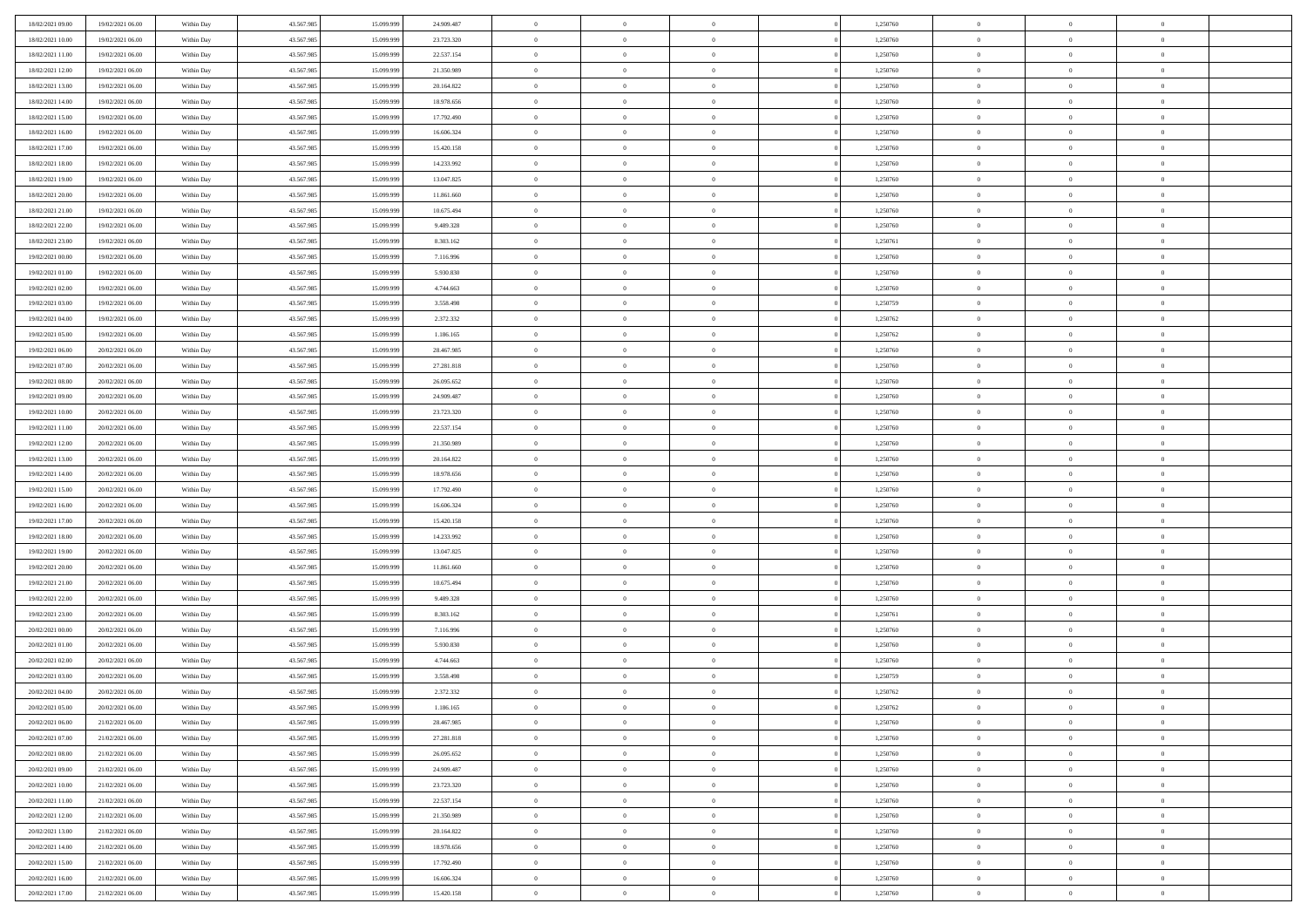| 18/02/2021 09:00 | 19/02/2021 06:00 | Within Day | 43.567.985 | 15.099.999 | 24.909.487 | $\overline{0}$ | $\overline{0}$ | $\Omega$       | 1,250760 | $\bf{0}$       | $\mathbf{0}$   | $\bf{0}$       |  |
|------------------|------------------|------------|------------|------------|------------|----------------|----------------|----------------|----------|----------------|----------------|----------------|--|
| 18/02/2021 10:00 | 19/02/2021 06:00 | Within Day | 43.567.985 | 15.099.999 | 23.723.320 | $\mathbf{0}$   | $\overline{0}$ | $\overline{0}$ | 1,250760 | $\overline{0}$ | $\overline{0}$ | $\overline{0}$ |  |
| 18/02/2021 11:00 | 19/02/2021 06:00 | Within Day | 43.567.985 | 15.099.999 | 22.537.154 | $\,$ 0         | $\overline{0}$ | $\bf{0}$       | 1,250760 | $\,$ 0         | $\overline{0}$ | $\,$ 0 $\,$    |  |
| 18/02/2021 12:00 | 19/02/2021 06:00 | Within Day | 43.567.985 | 15.099.999 | 21.350.989 | $\bf{0}$       | $\overline{0}$ | $\Omega$       | 1,250760 | $\bf{0}$       | $\mathbf{0}$   | $\theta$       |  |
| 18/02/2021 13:00 | 19/02/2021 06:00 | Within Day | 43.567.985 | 15.099.999 | 20.164.822 | $\bf{0}$       | $\overline{0}$ | $\overline{0}$ | 1,250760 | $\overline{0}$ | $\overline{0}$ | $\overline{0}$ |  |
| 18/02/2021 14:00 | 19/02/2021 06:00 | Within Day | 43.567.985 | 15.099.999 | 18.978.656 | $\bf{0}$       | $\overline{0}$ | $\bf{0}$       | 1,250760 | $\,$ 0         | $\overline{0}$ | $\,$ 0 $\,$    |  |
| 18/02/2021 15:00 | 19/02/2021 06:00 | Within Day | 43.567.985 | 15.099.999 | 17.792.490 | $\bf{0}$       | $\overline{0}$ | $\Omega$       | 1,250760 | $\theta$       | $\mathbf{0}$   | $\theta$       |  |
| 18/02/2021 16:00 | 19/02/2021 06:00 | Within Day | 43.567.985 | 15.099.999 | 16.606.324 | $\overline{0}$ | $\overline{0}$ | $\overline{0}$ | 1,250760 | $\mathbf{0}$   | $\overline{0}$ | $\overline{0}$ |  |
| 18/02/2021 17:00 | 19/02/2021 06:00 | Within Day | 43.567.985 | 15.099.999 | 15.420.158 | $\bf{0}$       | $\overline{0}$ | $\bf{0}$       | 1,250760 | $\,$ 0         | $\overline{0}$ | $\,$ 0 $\,$    |  |
| 18/02/2021 18:00 | 19/02/2021 06:00 | Within Day | 43.567.985 | 15.099.999 | 14.233.992 | $\bf{0}$       | $\overline{0}$ | $\Omega$       | 1,250760 | $\theta$       | $\mathbf{0}$   | $\theta$       |  |
| 18/02/2021 19:00 | 19/02/2021 06:00 | Within Day | 43.567.985 | 15.099.999 | 13.047.825 | $\overline{0}$ | $\overline{0}$ | $\overline{0}$ | 1,250760 | $\mathbf{0}$   | $\overline{0}$ | $\overline{0}$ |  |
| 18/02/2021 20:00 | 19/02/2021 06:00 | Within Day | 43.567.985 | 15.099.999 | 11.861.660 | $\bf{0}$       | $\overline{0}$ | $\bf{0}$       | 1,250760 | $\,$ 0         | $\overline{0}$ | $\,$ 0 $\,$    |  |
| 18/02/2021 21:00 | 19/02/2021 06:00 | Within Day | 43.567.985 | 15.099.999 | 10.675.494 | $\bf{0}$       | $\overline{0}$ | $\Omega$       | 1,250760 | $\bf{0}$       | $\mathbf{0}$   | $\theta$       |  |
| 18/02/2021 22:00 | 19/02/2021 06:00 | Within Day | 43.567.985 | 15.099.999 | 9.489.328  | $\overline{0}$ | $\overline{0}$ | $\overline{0}$ | 1,250760 | $\mathbf{0}$   | $\overline{0}$ | $\overline{0}$ |  |
| 18/02/2021 23:00 | 19/02/2021 06:00 | Within Day | 43.567.985 | 15.099.999 | 8.303.162  | $\bf{0}$       | $\overline{0}$ | $\bf{0}$       | 1,250761 | $\,$ 0         | $\overline{0}$ | $\,$ 0 $\,$    |  |
| 19/02/2021 00:00 | 19/02/2021 06:00 | Within Day | 43.567.985 | 15.099.999 | 7.116.996  | $\bf{0}$       | $\overline{0}$ | $\overline{0}$ | 1,250760 | $\theta$       | $\mathbf{0}$   | $\theta$       |  |
| 19/02/2021 01:00 | 19/02/2021 06:00 | Within Day | 43.567.985 | 15.099.999 | 5.930.830  | $\overline{0}$ | $\overline{0}$ | $\overline{0}$ | 1,250760 | $\mathbf{0}$   | $\overline{0}$ | $\overline{0}$ |  |
| 19/02/2021 02:00 | 19/02/2021 06:00 | Within Day | 43.567.985 | 15.099.999 | 4.744.663  | $\bf{0}$       | $\overline{0}$ | $\bf{0}$       | 1,250760 | $\,$ 0         | $\overline{0}$ | $\,$ 0 $\,$    |  |
| 19/02/2021 03:00 | 19/02/2021 06:00 | Within Day | 43.567.985 | 15.099.999 | 3.558.498  | $\bf{0}$       | $\overline{0}$ | $\Omega$       | 1,250759 | $\theta$       | $\mathbf{0}$   | $\theta$       |  |
| 19/02/2021 04:00 | 19/02/2021 06:00 | Within Day | 43.567.985 | 15.099.999 | 2.372.332  | $\overline{0}$ | $\overline{0}$ | $\overline{0}$ | 1,250762 | $\mathbf{0}$   | $\overline{0}$ | $\overline{0}$ |  |
| 19/02/2021 05:00 | 19/02/2021 06:00 | Within Day | 43.567.985 | 15.099.999 | 1.186.165  | $\bf{0}$       | $\overline{0}$ | $\bf{0}$       | 1,250762 | $\,$ 0         | $\overline{0}$ | $\,$ 0 $\,$    |  |
| 19/02/2021 06:00 | 20/02/2021 06:00 | Within Day | 43.567.985 | 15.099.999 | 28.467.985 | $\bf{0}$       | $\overline{0}$ | $\Omega$       | 1,250760 | $\bf{0}$       | $\theta$       | $\theta$       |  |
| 19/02/2021 07:00 | 20/02/2021 06:00 | Within Day | 43.567.985 | 15.099.999 | 27.281.818 | $\overline{0}$ | $\overline{0}$ | $\overline{0}$ | 1,250760 | $\mathbf{0}$   | $\overline{0}$ | $\overline{0}$ |  |
| 19/02/2021 08:00 | 20/02/2021 06:00 | Within Day | 43.567.985 | 15.099.999 | 26.095.652 | $\bf{0}$       | $\overline{0}$ | $\bf{0}$       | 1,250760 | $\,$ 0         | $\overline{0}$ | $\,$ 0 $\,$    |  |
| 19/02/2021 09:00 | 20/02/2021 06:00 | Within Day | 43.567.985 | 15.099.999 | 24.909.487 | $\bf{0}$       | $\overline{0}$ | $\overline{0}$ | 1,250760 | $\bf{0}$       | $\bf{0}$       | $\bf{0}$       |  |
| 19/02/2021 10:00 | 20/02/2021 06:00 | Within Day | 43.567.985 | 15.099.999 | 23.723.320 | $\overline{0}$ | $\overline{0}$ | $\overline{0}$ | 1,250760 | $\mathbf{0}$   | $\overline{0}$ | $\overline{0}$ |  |
| 19/02/2021 11:00 | 20/02/2021 06:00 | Within Day | 43.567.985 | 15.099.999 | 22.537.154 | $\bf{0}$       | $\overline{0}$ | $\bf{0}$       | 1,250760 | $\,$ 0         | $\overline{0}$ | $\,$ 0 $\,$    |  |
| 19/02/2021 12:00 | 20/02/2021 06:00 | Within Day | 43.567.985 | 15.099.999 | 21.350.989 | $\bf{0}$       | $\overline{0}$ | $\Omega$       | 1,250760 | $\theta$       | $\mathbf{0}$   | $\theta$       |  |
| 19/02/2021 13:00 | 20/02/2021 06:00 | Within Day | 43.567.985 | 15.099.999 | 20.164.822 | $\overline{0}$ | $\overline{0}$ | $\overline{0}$ | 1,250760 | $\mathbf{0}$   | $\overline{0}$ | $\overline{0}$ |  |
| 19/02/2021 14:00 | 20/02/2021 06:00 | Within Day | 43.567.985 | 15.099.999 | 18.978.656 | $\bf{0}$       | $\overline{0}$ | $\bf{0}$       | 1,250760 | $\,$ 0         | $\overline{0}$ | $\,$ 0 $\,$    |  |
| 19/02/2021 15:00 | 20/02/2021 06:00 | Within Day | 43.567.985 | 15.099.999 | 17.792.490 | $\,$ 0         | $\bf{0}$       | $\overline{0}$ | 1,250760 | $\bf{0}$       | $\overline{0}$ | $\,0\,$        |  |
| 19/02/2021 16:00 | 20/02/2021 06:00 | Within Dav | 43.567.985 | 15.099.999 | 16.606.324 | $\overline{0}$ | $\overline{0}$ | $\overline{0}$ | 1,250760 | $\mathbf{0}$   | $\overline{0}$ | $\overline{0}$ |  |
| 19/02/2021 17:00 | 20/02/2021 06:00 | Within Day | 43.567.985 | 15.099.999 | 15.420.158 | $\bf{0}$       | $\overline{0}$ | $\bf{0}$       | 1,250760 | $\,$ 0         | $\overline{0}$ | $\,$ 0 $\,$    |  |
| 19/02/2021 18:00 | 20/02/2021 06:00 | Within Day | 43.567.985 | 15.099.999 | 14.233.992 | $\bf{0}$       | $\bf{0}$       | $\bf{0}$       | 1,250760 | $\bf{0}$       | $\overline{0}$ | $\,0\,$        |  |
| 19/02/2021 19:00 | 20/02/2021 06:00 | Within Day | 43.567.985 | 15.099.999 | 13.047.825 | $\overline{0}$ | $\overline{0}$ | $\overline{0}$ | 1,250760 | $\overline{0}$ | $\overline{0}$ | $\overline{0}$ |  |
| 19/02/2021 20:00 | 20/02/2021 06:00 | Within Day | 43.567.985 | 15.099.999 | 11.861.660 | $\bf{0}$       | $\overline{0}$ | $\bf{0}$       | 1,250760 | $\,$ 0         | $\overline{0}$ | $\,$ 0 $\,$    |  |
| 19/02/2021 21:00 | 20/02/2021 06:00 | Within Day | 43.567.985 | 15.099.999 | 10.675.494 | $\bf{0}$       | $\bf{0}$       | $\overline{0}$ | 1,250760 | $\bf{0}$       | $\overline{0}$ | $\,0\,$        |  |
| 19/02/2021 22:00 | 20/02/2021 06:00 | Within Day | 43.567.985 | 15.099.999 | 9.489.328  | $\overline{0}$ | $\overline{0}$ | $\overline{0}$ | 1,250760 | $\mathbf{0}$   | $\overline{0}$ | $\overline{0}$ |  |
| 19/02/2021 23:00 | 20/02/2021 06:00 | Within Day | 43.567.985 | 15.099.999 | 8.303.162  | $\bf{0}$       | $\overline{0}$ | $\bf{0}$       | 1,250761 | $\,$ 0         | $\overline{0}$ | $\,$ 0 $\,$    |  |
| 20/02/2021 00:00 | 20/02/2021 06:00 | Within Day | 43.567.985 | 15.099.999 | 7.116.996  | $\bf{0}$       | $\bf{0}$       | $\overline{0}$ | 1,250760 | $\bf{0}$       | $\overline{0}$ | $\,0\,$        |  |
| 20/02/2021 01:00 | 20/02/2021 06:00 | Within Day | 43.567.985 | 15.099.999 | 5.930.830  | $\overline{0}$ | $\overline{0}$ | $\overline{0}$ | 1,250760 | $\overline{0}$ | $\overline{0}$ | $\overline{0}$ |  |
| 20/02/2021 02:00 | 20/02/2021 06:00 | Within Day | 43.567.985 | 15.099.999 | 4.744.663  | $\bf{0}$       | $\overline{0}$ | $\bf{0}$       | 1,250760 | $\,$ 0         | $\overline{0}$ | $\,$ 0 $\,$    |  |
| 20/02/2021 03:00 | 20/02/2021 06:00 | Within Day | 43.567.985 | 15.099.999 | 3.558.498  | $\bf{0}$       | $\bf{0}$       | $\bf{0}$       | 1,250759 | $\bf{0}$       | $\overline{0}$ | $\,0\,$        |  |
| 20/02/2021 04:00 | 20/02/2021 06:00 | Within Dav | 43.567.985 | 15.099.999 | 2.372.332  | $\mathbf{0}$   | $\overline{0}$ | $\overline{0}$ | 1,250762 | $\mathbf{0}$   | $\overline{0}$ | $\overline{0}$ |  |
| 20/02/2021 05:00 | 20/02/2021 06:00 | Within Day | 43.567.985 | 15.099.999 | 1.186.165  | $\bf{0}$       | $\overline{0}$ | $\theta$       | 1,250762 | $\overline{0}$ | $\theta$       | $\theta$       |  |
| 20/02/2021 06:00 | 21/02/2021 06:00 | Within Day | 43.567.985 | 15.099.999 | 28.467.985 | $\bf{0}$       | $\bf{0}$       | $\bf{0}$       | 1,250760 | $\bf{0}$       | $\overline{0}$ | $\bf{0}$       |  |
| 20/02/2021 07:00 | 21/02/2021 06:00 | Within Day | 43.567.985 | 15.099.999 | 27.281.818 | $\overline{0}$ | $\overline{0}$ | $\overline{0}$ | 1,250760 | $\overline{0}$ | $\overline{0}$ | $\overline{0}$ |  |
| 20/02/2021 08:00 | 21/02/2021 06:00 | Within Day | 43.567.985 | 15.099.999 | 26.095.652 | $\,$ 0 $\,$    | $\overline{0}$ | $\overline{0}$ | 1,250760 | $\mathbf{0}$   | $\,$ 0 $\,$    | $\,$ 0 $\,$    |  |
| 20/02/2021 09:00 | 21/02/2021 06:00 | Within Day | 43.567.985 | 15.099.999 | 24.909.487 | $\bf{0}$       | $\bf{0}$       | $\overline{0}$ | 1,250760 | $\bf{0}$       | $\overline{0}$ | $\bf{0}$       |  |
| 20/02/2021 10:00 | 21/02/2021 06:00 | Within Day | 43.567.985 | 15.099.999 | 23.723.320 | $\overline{0}$ | $\overline{0}$ | $\overline{0}$ | 1,250760 | $\overline{0}$ | $\bf{0}$       | $\overline{0}$ |  |
| 20/02/2021 11:00 | 21/02/2021 06:00 | Within Day | 43.567.985 | 15.099.999 | 22.537.154 | $\,$ 0 $\,$    | $\overline{0}$ | $\overline{0}$ | 1,250760 | $\mathbf{0}$   | $\overline{0}$ | $\,$ 0 $\,$    |  |
| 20/02/2021 12:00 | 21/02/2021 06:00 | Within Day | 43.567.985 | 15.099.999 | 21.350.989 | $\overline{0}$ | $\overline{0}$ | $\overline{0}$ | 1,250760 | $\bf{0}$       | $\overline{0}$ | $\overline{0}$ |  |
| 20/02/2021 13:00 | 21/02/2021 06:00 | Within Day | 43.567.985 | 15.099.999 | 20.164.822 | $\overline{0}$ | $\overline{0}$ | $\overline{0}$ | 1,250760 | $\overline{0}$ | $\bf{0}$       | $\overline{0}$ |  |
| 20/02/2021 14:00 | 21/02/2021 06:00 | Within Day | 43.567.985 | 15.099.999 | 18.978.656 | $\,$ 0 $\,$    | $\overline{0}$ | $\overline{0}$ | 1,250760 | $\mathbf{0}$   | $\,$ 0 $\,$    | $\,$ 0 $\,$    |  |
| 20/02/2021 15:00 | 21/02/2021 06:00 | Within Day | 43.567.985 | 15.099.999 | 17.792.490 | $\bf{0}$       | $\bf{0}$       | $\overline{0}$ | 1,250760 | $\bf{0}$       | $\overline{0}$ | $\bf{0}$       |  |
| 20/02/2021 16:00 | 21/02/2021 06:00 | Within Day | 43.567.985 | 15.099.999 | 16.606.324 | $\overline{0}$ | $\overline{0}$ | $\overline{0}$ | 1,250760 | $\mathbf{0}$   | $\bf{0}$       | $\overline{0}$ |  |
| 20/02/2021 17:00 | 21/02/2021 06:00 | Within Day | 43.567.985 | 15.099.999 | 15.420.158 | $\,0\,$        | $\overline{0}$ | $\overline{0}$ | 1,250760 | $\,$ 0 $\,$    | $\overline{0}$ | $\,$ 0 $\,$    |  |
|                  |                  |            |            |            |            |                |                |                |          |                |                |                |  |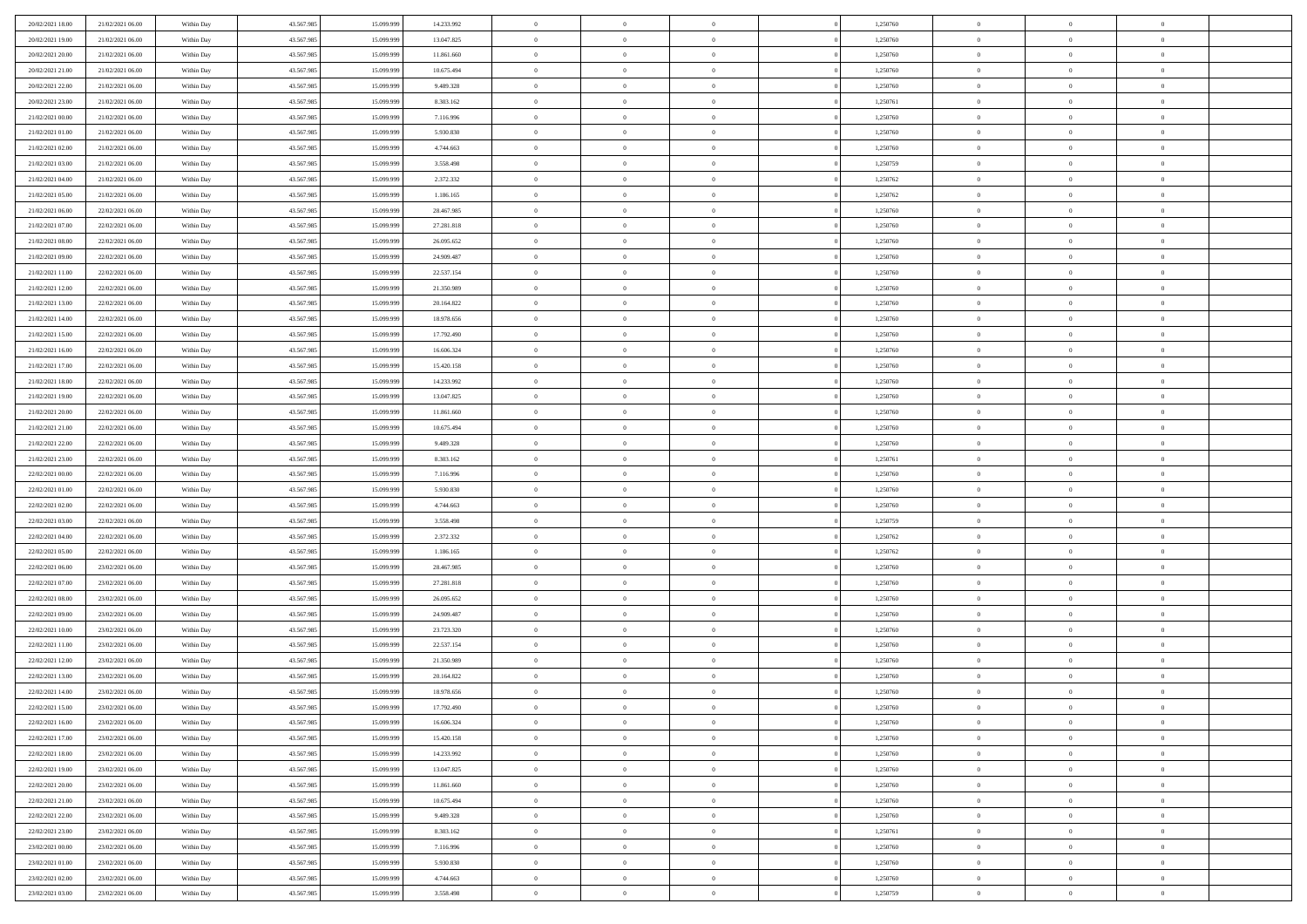| 20/02/2021 18:00 | 21/02/2021 06:00 | Within Day | 43.567.985 | 15.099.99  | 14.233.992 | $\theta$       | $\overline{0}$ | $\overline{0}$ | 1,250760 | $\bf{0}$       | $\overline{0}$ | $\bf{0}$       |  |
|------------------|------------------|------------|------------|------------|------------|----------------|----------------|----------------|----------|----------------|----------------|----------------|--|
| 20/02/2021 19:00 | 21/02/2021 06:00 | Within Day | 43.567.985 | 15.099.999 | 13.047.825 | $\overline{0}$ | $\overline{0}$ | $\overline{0}$ | 1,250760 | $\theta$       | $\overline{0}$ | $\theta$       |  |
| 20/02/2021 20:00 | 21/02/2021 06:00 | Within Day | 43.567.985 | 15.099.999 | 11.861.660 | $\,0\,$        | $\overline{0}$ | $\bf{0}$       | 1,250760 | $\,$ 0 $\,$    | $\overline{0}$ | $\,$ 0 $\,$    |  |
| 20/02/2021 21:00 | 21/02/2021 06:00 | Within Day | 43.567.985 | 15.099.999 | 10.675.494 | $\bf{0}$       | $\Omega$       | $\overline{0}$ | 1,250760 | $\theta$       | $\mathbf{0}$   | $\theta$       |  |
| 20/02/2021 22:00 | 21/02/2021 06:00 | Within Day | 43.567.985 | 15.099.999 | 9.489.328  | $\bf{0}$       | $\overline{0}$ | $\overline{0}$ | 1,250760 | $\overline{0}$ | $\overline{0}$ | $\overline{0}$ |  |
| 20/02/2021 23:00 | 21/02/2021 06:00 | Within Day | 43.567.985 | 15.099.999 | 8.303.162  | $\,$ 0 $\,$    | $\overline{0}$ | $\bf{0}$       | 1,250761 | $\,$ 0 $\,$    | $\overline{0}$ | $\,$ 0 $\,$    |  |
| 21/02/2021 00:00 | 21/02/2021 06:00 | Within Day | 43.567.985 | 15.099.999 | 7.116.996  | $\bf{0}$       | $\overline{0}$ | $\overline{0}$ | 1,250760 | $\bf{0}$       | $\overline{0}$ | $\theta$       |  |
| 21/02/2021 01:00 | 21/02/2021 06:00 | Within Day | 43.567.985 | 15.099.999 | 5.930.830  | $\overline{0}$ | $\overline{0}$ | $\overline{0}$ | 1,250760 | $\overline{0}$ | $\overline{0}$ | $\overline{0}$ |  |
| 21/02/2021 02:00 | 21/02/2021 06:00 | Within Day | 43.567.985 | 15.099.999 | 4.744.663  | $\,$ 0 $\,$    | $\overline{0}$ | $\bf{0}$       | 1,250760 | $\,$ 0 $\,$    | $\overline{0}$ | $\,$ 0 $\,$    |  |
| 21/02/2021 03:00 | 21/02/2021 06:00 | Within Day | 43.567.985 | 15.099.999 | 3.558.498  | $\overline{0}$ | $\mathbf{0}$   | $\overline{0}$ | 1,250759 | $\theta$       | $\mathbf{0}$   | $\theta$       |  |
| 21/02/2021 04:00 | 21/02/2021 06:00 | Within Day | 43.567.985 | 15.099.999 | 2.372.332  | $\mathbf{0}$   | $\overline{0}$ | $\overline{0}$ | 1,250762 | $\overline{0}$ | $\overline{0}$ | $\overline{0}$ |  |
| 21/02/2021 05:00 | 21/02/2021 06:00 | Within Day | 43.567.985 | 15.099.999 | 1.186.165  | $\,$ 0 $\,$    | $\overline{0}$ | $\bf{0}$       | 1,250762 | $\,$ 0 $\,$    | $\overline{0}$ | $\,$ 0 $\,$    |  |
| 21/02/2021 06:00 | 22/02/2021 06:00 | Within Day | 43.567.985 | 15.099.999 | 28.467.985 | $\bf{0}$       | $\overline{0}$ | $\overline{0}$ | 1,250760 | $\bf{0}$       | $\overline{0}$ | $\theta$       |  |
| 21/02/2021 07:00 | 22/02/2021 06:00 | Within Day | 43.567.985 | 15.099.999 | 27.281.818 | $\overline{0}$ | $\overline{0}$ | $\overline{0}$ | 1,250760 | $\overline{0}$ | $\overline{0}$ | $\overline{0}$ |  |
| 21/02/2021 08:00 | 22/02/2021 06:00 | Within Day | 43.567.985 | 15.099.999 | 26.095.652 | $\,$ 0 $\,$    | $\overline{0}$ | $\bf{0}$       | 1,250760 | $\,$ 0 $\,$    | $\overline{0}$ | $\,$ 0 $\,$    |  |
| 21/02/2021 09:00 | 22/02/2021 06:00 | Within Day | 43.567.985 | 15.099.999 | 24.909.487 | $\bf{0}$       | $\mathbf{0}$   | $\overline{0}$ | 1,250760 | $\theta$       | $\mathbf{0}$   | $\theta$       |  |
| 21/02/2021 11:00 | 22/02/2021 06:00 | Within Day | 43.567.985 | 15.099.999 | 22.537.154 | $\overline{0}$ | $\overline{0}$ | $\overline{0}$ | 1,250760 | $\overline{0}$ | $\overline{0}$ | $\overline{0}$ |  |
| 21/02/2021 12:00 | 22/02/2021 06:00 | Within Day | 43.567.985 | 15.099.999 | 21.350.989 | $\,$ 0 $\,$    | $\overline{0}$ | $\bf{0}$       | 1,250760 | $\,$ 0 $\,$    | $\overline{0}$ | $\,$ 0 $\,$    |  |
| 21/02/2021 13:00 | 22/02/2021 06:00 | Within Day | 43.567.985 | 15.099.999 | 20.164.822 | $\bf{0}$       | $\Omega$       | $\overline{0}$ | 1,250760 | $\theta$       | $\theta$       | $\theta$       |  |
| 21/02/2021 14:00 | 22/02/2021 06:00 | Within Day | 43.567.985 | 15.099.999 | 18.978.656 | $\overline{0}$ | $\overline{0}$ | $\overline{0}$ | 1,250760 | $\mathbf{0}$   | $\overline{0}$ | $\overline{0}$ |  |
| 21/02/2021 15:00 | 22/02/2021 06:00 | Within Day | 43.567.985 | 15.099.999 | 17.792.490 | $\,$ 0 $\,$    | $\overline{0}$ | $\bf{0}$       | 1,250760 | $\,$ 0 $\,$    | $\overline{0}$ | $\,$ 0 $\,$    |  |
| 21/02/2021 16:00 | 22/02/2021 06:00 | Within Day | 43.567.985 | 15.099.999 | 16.606.324 | $\overline{0}$ | $\overline{0}$ | $\overline{0}$ | 1,250760 | $\bf{0}$       | $\overline{0}$ | $\theta$       |  |
| 21/02/2021 17:00 | 22/02/2021 06:00 | Within Day | 43.567.985 | 15.099.999 | 15.420.158 | $\overline{0}$ | $\overline{0}$ | $\overline{0}$ | 1,250760 | $\mathbf{0}$   | $\overline{0}$ | $\overline{0}$ |  |
| 21/02/2021 18:00 | 22/02/2021 06:00 | Within Day | 43.567.985 | 15.099.999 | 14.233.992 | $\,$ 0 $\,$    | $\overline{0}$ | $\bf{0}$       | 1,250760 | $\,$ 0 $\,$    | $\overline{0}$ | $\bf{0}$       |  |
| 21/02/2021 19:00 | 22/02/2021 06:00 | Within Day | 43.567.985 | 15.099.99  | 13.047.825 | $\bf{0}$       | $\mathbf{0}$   | $\overline{0}$ | 1,250760 | $\theta$       | $\mathbf{0}$   | $\theta$       |  |
| 21/02/2021 20:00 | 22/02/2021 06:00 | Within Day | 43.567.985 | 15.099.999 | 11.861.660 | $\overline{0}$ | $\overline{0}$ | $\overline{0}$ | 1,250760 | $\mathbf{0}$   | $\overline{0}$ | $\overline{0}$ |  |
| 21/02/2021 21:00 | 22/02/2021 06:00 | Within Day | 43.567.985 | 15.099.999 | 10.675.494 | $\,$ 0 $\,$    | $\overline{0}$ | $\bf{0}$       | 1,250760 | $\,$ 0 $\,$    | $\overline{0}$ | $\,$ 0 $\,$    |  |
| 21/02/2021 22:00 | 22/02/2021 06:00 | Within Day | 43.567.985 | 15.099.999 | 9.489.328  | $\bf{0}$       | $\overline{0}$ | $\overline{0}$ | 1,250760 | $\bf{0}$       | $\overline{0}$ | $\bf{0}$       |  |
| 21/02/2021 23:00 | 22/02/2021 06:00 | Within Day | 43.567.985 | 15.099.999 | 8.303.162  | $\overline{0}$ | $\overline{0}$ | $\overline{0}$ | 1,250761 | $\mathbf{0}$   | $\overline{0}$ | $\overline{0}$ |  |
| 22/02/2021 00:00 | 22/02/2021 06:00 | Within Day | 43.567.985 | 15.099.999 | 7.116.996  | $\,$ 0 $\,$    | $\overline{0}$ | $\bf{0}$       | 1,250760 | $\,$ 0 $\,$    | $\overline{0}$ | $\,$ 0 $\,$    |  |
| 22/02/2021 01:00 | 22/02/2021 06:00 | Within Day | 43.567.985 | 15.099.999 | 5.930.830  | $\,0\,$        | $\overline{0}$ | $\bf{0}$       | 1,250760 | $\bf{0}$       | $\overline{0}$ | $\bf{0}$       |  |
| 22/02/2021 02:00 | 22/02/2021 06:00 | Within Day | 43.567.985 | 15.099.999 | 4.744.663  | $\overline{0}$ | $\overline{0}$ | $\overline{0}$ | 1,250760 | $\mathbf{0}$   | $\overline{0}$ | $\overline{0}$ |  |
| 22/02/2021 03:00 | 22/02/2021 06:00 | Within Day | 43.567.985 | 15.099.999 | 3.558.498  | $\,$ 0 $\,$    | $\overline{0}$ | $\bf{0}$       | 1,250759 | $\,$ 0 $\,$    | $\overline{0}$ | $\,$ 0 $\,$    |  |
| 22/02/2021 04:00 | 22/02/2021 06:00 | Within Day | 43.567.985 | 15.099.999 | 2.372.332  | $\,0\,$        | $\overline{0}$ | $\bf{0}$       | 1,250762 | $\bf{0}$       | $\overline{0}$ | $\bf{0}$       |  |
| 22/02/2021 05:00 | 22/02/2021 06:00 | Within Day | 43.567.985 | 15.099.999 | 1.186.165  | $\overline{0}$ | $\overline{0}$ | $\overline{0}$ | 1,250762 | $\mathbf{0}$   | $\overline{0}$ | $\overline{0}$ |  |
| 22/02/2021 06:00 | 23/02/2021 06:00 | Within Day | 43.567.985 | 15.099.999 | 28.467.985 | $\,$ 0 $\,$    | $\overline{0}$ | $\bf{0}$       | 1,250760 | $\,$ 0 $\,$    | $\overline{0}$ | $\,$ 0 $\,$    |  |
| 22/02/2021 07:00 | 23/02/2021 06:00 | Within Day | 43.567.985 | 15.099.999 | 27.281.818 | $\bf{0}$       | $\overline{0}$ | $\bf{0}$       | 1,250760 | $\bf{0}$       | $\overline{0}$ | $\bf{0}$       |  |
| 22/02/2021 08:00 | 23/02/2021 06:00 | Within Day | 43.567.985 | 15.099.999 | 26.095.652 | $\overline{0}$ | $\overline{0}$ | $\overline{0}$ | 1,250760 | $\mathbf{0}$   | $\overline{0}$ | $\overline{0}$ |  |
| 22/02/2021 09:00 | 23/02/2021 06:00 | Within Day | 43.567.985 | 15.099.999 | 24.909.487 | $\,$ 0 $\,$    | $\overline{0}$ | $\bf{0}$       | 1,250760 | $\,$ 0 $\,$    | $\overline{0}$ | $\,$ 0 $\,$    |  |
| 22/02/2021 10:00 | 23/02/2021 06:00 | Within Day | 43.567.985 | 15.099.999 | 23.723.320 | $\,0\,$        | $\overline{0}$ | $\bf{0}$       | 1,250760 | $\bf{0}$       | $\overline{0}$ | $\bf{0}$       |  |
| 22/02/2021 11:00 | 23/02/2021 06:00 | Within Day | 43.567.985 | 15.099.999 | 22.537.154 | $\overline{0}$ | $\overline{0}$ | $\overline{0}$ | 1,250760 | $\mathbf{0}$   | $\overline{0}$ | $\overline{0}$ |  |
| 22/02/2021 12:00 | 23/02/2021 06:00 | Within Day | 43.567.985 | 15.099.999 | 21.350.989 | $\,$ 0 $\,$    | $\overline{0}$ | $\bf{0}$       | 1,250760 | $\,$ 0 $\,$    | $\overline{0}$ | $\,$ 0 $\,$    |  |
| 22/02/2021 13:00 | 23/02/2021 06:00 | Within Day | 43.567.985 | 15.099.999 | 20.164.822 | $\bf{0}$       | $\overline{0}$ | $\bf{0}$       | 1,250760 | $\bf{0}$       | $\overline{0}$ | $\bf{0}$       |  |
| 22/02/2021 14:00 | 23/02/2021 06:00 | Within Day | 43.567.985 | 15.099.999 | 18.978.656 | $\mathbf{0}$   | $\overline{0}$ | $\overline{0}$ | 1,250760 | $\theta$       | $\overline{0}$ | $\overline{0}$ |  |
| 22/02/2021 15:00 | 23/02/2021 06:00 | Within Day | 43.567.985 | 15.099.999 | 17.792.490 | $\mathbf{0}$   | $\overline{0}$ | $\theta$       | 1,250760 | $\overline{0}$ | $\overline{0}$ | $\theta$       |  |
| 22/02/2021 16:00 | 23/02/2021 06:00 | Within Day | 43.567.985 | 15.099.999 | 16.606.324 | $\bf{0}$       | $\overline{0}$ | $\overline{0}$ | 1,250760 | $\bf{0}$       | $\overline{0}$ | $\bf{0}$       |  |
| 22/02/2021 17:00 | 23/02/2021 06:00 | Within Day | 43.567.985 | 15.099.999 | 15.420.158 | $\bf{0}$       | $\overline{0}$ | $\overline{0}$ | 1,250760 | $\overline{0}$ | $\overline{0}$ | $\overline{0}$ |  |
| 22/02/2021 18:00 | 23/02/2021 06:00 | Within Day | 43.567.985 | 15.099.999 | 14.233.992 | $\,$ 0 $\,$    | $\overline{0}$ | $\overline{0}$ | 1,250760 | $\,$ 0 $\,$    | $\,$ 0 $\,$    | $\,$ 0 $\,$    |  |
| 22/02/2021 19:00 | 23/02/2021 06:00 | Within Day | 43.567.985 | 15.099.999 | 13.047.825 | $\bf{0}$       | $\overline{0}$ | $\overline{0}$ | 1,250760 | $\mathbf{0}$   | $\overline{0}$ | $\bf{0}$       |  |
| 22/02/2021 20:00 | 23/02/2021 06:00 | Within Day | 43.567.985 | 15.099.999 | 11.861.660 | $\overline{0}$ | $\overline{0}$ | $\overline{0}$ | 1,250760 | $\mathbf{0}$   | $\overline{0}$ | $\overline{0}$ |  |
| 22/02/2021 21:00 | 23/02/2021 06:00 | Within Day | 43.567.985 | 15.099.999 | 10.675.494 | $\,$ 0 $\,$    | $\overline{0}$ | $\overline{0}$ | 1,250760 | $\,$ 0 $\,$    | $\overline{0}$ | $\,$ 0 $\,$    |  |
| 22/02/2021 22:00 | 23/02/2021 06:00 | Within Day | 43.567.985 | 15.099.999 | 9.489.328  | $\overline{0}$ | $\overline{0}$ | $\overline{0}$ | 1,250760 | $\overline{0}$ | $\overline{0}$ | $\overline{0}$ |  |
| 22/02/2021 23:00 | 23/02/2021 06:00 | Within Day | 43.567.985 | 15.099.999 | 8.303.162  | $\overline{0}$ | $\overline{0}$ | $\overline{0}$ | 1,250761 | $\overline{0}$ | $\overline{0}$ | $\overline{0}$ |  |
| 23/02/2021 00:00 | 23/02/2021 06:00 | Within Day | 43.567.985 | 15.099.999 | 7.116.996  | $\,$ 0         | $\overline{0}$ | $\overline{0}$ | 1,250760 | $\,$ 0 $\,$    | $\,$ 0 $\,$    | $\,$ 0 $\,$    |  |
| 23/02/2021 01:00 | 23/02/2021 06:00 | Within Day | 43.567.985 | 15.099.999 | 5.930.830  | $\bf{0}$       | $\overline{0}$ | $\overline{0}$ | 1,250760 | $\mathbf{0}$   | $\overline{0}$ | $\bf{0}$       |  |
| 23/02/2021 02:00 | 23/02/2021 06:00 | Within Day | 43.567.985 | 15.099.999 | 4.744.663  | $\mathbf{0}$   | $\overline{0}$ | $\overline{0}$ | 1,250760 | $\overline{0}$ | $\overline{0}$ | $\overline{0}$ |  |
| 23/02/2021 03:00 | 23/02/2021 06:00 | Within Day | 43.567.985 | 15.099.999 | 3.558.498  | $\,$ 0 $\,$    | $\overline{0}$ | $\overline{0}$ | 1,250759 | $\,$ 0 $\,$    | $\overline{0}$ | $\,$ 0 $\,$    |  |
|                  |                  |            |            |            |            |                |                |                |          |                |                |                |  |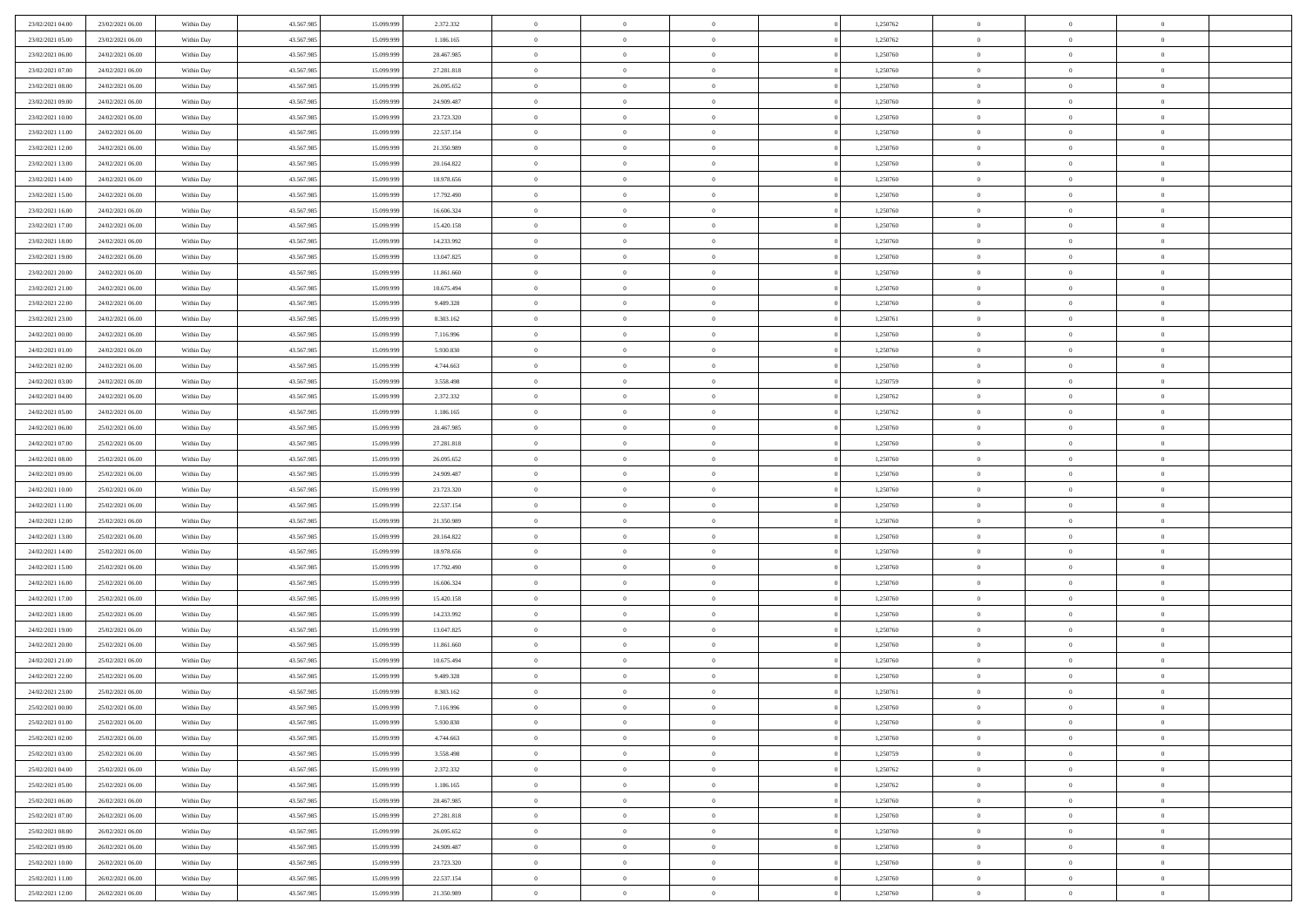| 23/02/2021 04:00 | 23/02/2021 06:00 | Within Day | 43.567.985 | 15.099.999 | 2.372.332  | $\bf{0}$       | $\bf{0}$       | $\theta$       |          | 1,250762 | $\bf{0}$          | $\overline{0}$ | $\,0\,$        |  |
|------------------|------------------|------------|------------|------------|------------|----------------|----------------|----------------|----------|----------|-------------------|----------------|----------------|--|
| 23/02/2021 05:00 | 23/02/2021 06:00 | Within Day | 43.567.985 | 15.099.999 | 1.186.165  | $\overline{0}$ | $\overline{0}$ | $\overline{0}$ |          | 1,250762 | $\overline{0}$    | $\overline{0}$ | $\theta$       |  |
| 23/02/2021 06:00 | 24/02/2021 06:00 | Within Dav | 43.567.985 | 15.099.999 | 28.467.985 | $\mathbf{0}$   | $\overline{0}$ | $\overline{0}$ |          | 1,250760 | $\mathbf{0}$      | $\overline{0}$ | $\overline{0}$ |  |
| 23/02/2021 07:00 | 24/02/2021 06:00 | Within Day | 43.567.985 | 15.099.999 | 27.281.818 | $\bf{0}$       | $\overline{0}$ | $\overline{0}$ |          | 1,250760 | $\bf{0}$          | $\overline{0}$ | $\bf{0}$       |  |
| 23/02/2021 08:00 | 24/02/2021 06:00 | Within Day | 43.567.985 | 15.099.999 | 26.095.652 | $\bf{0}$       | $\bf{0}$       | $\overline{0}$ |          | 1,250760 | $\bf{0}$          | $\bf{0}$       | $\,0\,$        |  |
| 23/02/2021 09:00 | 24/02/2021 06:00 | Within Dav | 43.567.985 | 15.099.999 | 24.909.487 | $\overline{0}$ | $\overline{0}$ |                |          | 1,250760 | $\mathbf{0}$      | $\overline{0}$ | $\overline{0}$ |  |
|                  |                  |            |            |            |            |                |                | $\overline{0}$ |          |          |                   |                |                |  |
| 23/02/2021 10:00 | 24/02/2021 06:00 | Within Day | 43.567.985 | 15.099.999 | 23.723.320 | $\bf{0}$       | $\bf{0}$       | $\overline{0}$ |          | 1,250760 | $\bf{0}$          | $\overline{0}$ | $\,0\,$        |  |
| 23/02/2021 11:00 | 24/02/2021 06:00 | Within Day | 43.567.985 | 15.099.999 | 22.537.154 | $\overline{0}$ | $\overline{0}$ | $\overline{0}$ |          | 1,250760 | $\,$ 0 $\,$       | $\overline{0}$ | $\theta$       |  |
| 23/02/2021 12:00 | 24/02/2021 06:00 | Within Dav | 43.567.985 | 15.099.999 | 21.350.989 | $\mathbf{0}$   | $\overline{0}$ | $\overline{0}$ |          | 1,250760 | $\mathbf{0}$      | $\overline{0}$ | $\overline{0}$ |  |
| 23/02/2021 13:00 | 24/02/2021 06:00 | Within Day | 43.567.985 | 15.099.999 | 20.164.822 | $\bf{0}$       | $\bf{0}$       | $\overline{0}$ |          | 1,250760 | $\bf{0}$          | $\overline{0}$ | $\,0\,$        |  |
| 23/02/2021 14:00 | 24/02/2021 06:00 | Within Day | 43.567.985 | 15.099.999 | 18.978.656 | $\bf{0}$       | $\overline{0}$ | $\overline{0}$ |          | 1,250760 | $\bf{0}$          | $\overline{0}$ | $\theta$       |  |
| 23/02/2021 15:00 | 24/02/2021 06:00 | Within Dav | 43.567.985 | 15.099.999 | 17.792.490 | $\mathbf{0}$   | $\overline{0}$ | $\overline{0}$ |          | 1,250760 | $\mathbf{0}$      | $\overline{0}$ | $\overline{0}$ |  |
| 23/02/2021 16:00 | 24/02/2021 06:00 | Within Day | 43.567.985 | 15.099.999 | 16.606.324 | $\bf{0}$       | $\overline{0}$ | $\bf{0}$       |          | 1,250760 | $\bf{0}$          | $\overline{0}$ | $\bf{0}$       |  |
| 23/02/2021 17:00 | 24/02/2021 06:00 | Within Day | 43.567.985 | 15.099.999 | 15.420.158 | $\bf{0}$       | $\overline{0}$ | $\overline{0}$ |          | 1,250760 | $\bf{0}$          | $\overline{0}$ | $\,0\,$        |  |
| 23/02/2021 18:00 | 24/02/2021 06:00 | Within Dav | 43.567.985 | 15.099.999 | 14.233.992 | $\overline{0}$ | $\overline{0}$ | $\overline{0}$ |          | 1,250760 | $\mathbf{0}$      | $\overline{0}$ | $\overline{0}$ |  |
| 23/02/2021 19:00 | 24/02/2021 06:00 | Within Day | 43.567.985 | 15.099.999 | 13.047.825 | $\bf{0}$       | $\bf{0}$       | $\overline{0}$ |          | 1,250760 | $\bf{0}$          | $\overline{0}$ | $\bf{0}$       |  |
| 23/02/2021 20:00 | 24/02/2021 06:00 | Within Day | 43.567.985 | 15.099.999 | 11.861.660 | $\overline{0}$ | $\overline{0}$ | $\overline{0}$ |          | 1,250760 | $\hspace{0.1cm}0$ | $\overline{0}$ | $\theta$       |  |
| 23/02/2021 21:00 | 24/02/2021 06:00 | Within Day | 43.567.985 | 15.099.999 | 10.675.494 | $\mathbf{0}$   | $\overline{0}$ | $\overline{0}$ |          | 1,250760 | $\mathbf{0}$      | $\overline{0}$ | $\overline{0}$ |  |
| 23/02/2021 22:00 | 24/02/2021 06:00 | Within Day | 43.567.985 | 15.099.999 | 9.489.328  | $\bf{0}$       | $\bf{0}$       | $\overline{0}$ |          | 1,250760 | $\bf{0}$          | $\overline{0}$ | $\,0\,$        |  |
| 23/02/2021 23:00 | 24/02/2021 06:00 | Within Day | 43.567.985 | 15.099.999 | 8.303.162  | $\bf{0}$       | $\overline{0}$ | $\overline{0}$ |          | 1,250761 | $\bf{0}$          | $\overline{0}$ | $\overline{0}$ |  |
| 24/02/2021 00:00 | 24/02/2021 06:00 | Within Dav | 43.567.985 | 15.099.999 | 7.116.996  | $\mathbf{0}$   | $\overline{0}$ | $\overline{0}$ |          | 1,250760 | $\mathbf{0}$      | $\overline{0}$ | $\overline{0}$ |  |
| 24/02/2021 01:00 | 24/02/2021 06:00 | Within Day | 43.567.985 | 15.099.999 | 5.930.830  | $\bf{0}$       | $\overline{0}$ | $\overline{0}$ |          | 1,250760 | $\bf{0}$          | $\overline{0}$ | $\bf{0}$       |  |
| 24/02/2021 02:00 | 24/02/2021 06:00 | Within Day | 43.567.985 | 15.099.999 | 4.744.663  | $\bf{0}$       | $\bf{0}$       | $\overline{0}$ |          | 1,250760 | $\,$ 0 $\,$       | $\overline{0}$ | $\,0\,$        |  |
| 24/02/2021 03:00 | 24/02/2021 06:00 | Within Dav | 43.567.985 | 15.099.999 | 3.558.498  | $\mathbf{0}$   | $\overline{0}$ | $\overline{0}$ |          | 1,250759 | $\mathbf{0}$      | $\overline{0}$ | $\overline{0}$ |  |
| 24/02/2021 04:00 | 24/02/2021 06:00 | Within Day | 43.567.985 | 15.099.999 | 2.372.332  | $\bf{0}$       | $\bf{0}$       | $\overline{0}$ |          | 1,250762 | $\bf{0}$          | $\overline{0}$ | $\bf{0}$       |  |
| 24/02/2021 05:00 | 24/02/2021 06:00 | Within Day | 43.567.985 | 15.099.999 | 1.186.165  | $\bf{0}$       | $\overline{0}$ | $\overline{0}$ |          | 1,250762 | $\bf{0}$          | $\mathbf{0}$   | $\overline{0}$ |  |
| 24/02/2021 06:00 | 25/02/2021 06:00 | Within Dav | 43.567.985 | 15.099.999 | 28.467.985 | $\mathbf{0}$   | $\overline{0}$ | $\overline{0}$ |          | 1,250760 | $\mathbf{0}$      | $\overline{0}$ | $\overline{0}$ |  |
| 24/02/2021 07:00 | 25/02/2021 06:00 |            | 43.567.985 | 15.099.999 | 27.281.818 | $\bf{0}$       | $\bf{0}$       | $\overline{0}$ |          | 1,250760 | $\bf{0}$          | $\overline{0}$ | $\,0\,$        |  |
|                  |                  | Within Day |            | 15,099,999 |            |                |                |                |          |          |                   |                |                |  |
| 24/02/2021 08:00 | 25/02/2021 06:00 | Within Day | 43.567.985 |            | 26.095.652 | $\bf{0}$       | $\bf{0}$       | $\overline{0}$ |          | 1,250760 | $\bf{0}$          | $\overline{0}$ | $\overline{0}$ |  |
| 24/02/2021 09:00 | 25/02/2021 06:00 | Within Dav | 43.567.985 | 15.099.999 | 24.909.487 | $\mathbf{0}$   | $\overline{0}$ | $\overline{0}$ |          | 1,250760 | $\mathbf{0}$      | $\overline{0}$ | $\overline{0}$ |  |
| 24/02/2021 10:00 | 25/02/2021 06:00 | Within Day | 43.567.985 | 15.099.999 | 23.723.320 | $\bf{0}$       | $\overline{0}$ | $\theta$       |          | 1,250760 | $\,$ 0            | $\overline{0}$ | $\theta$       |  |
| 24/02/2021 11:00 | 25/02/2021 06:00 | Within Day | 43.567.985 | 15.099.999 | 22.537.154 | $\bf{0}$       | $\bf{0}$       | $\overline{0}$ |          | 1,250760 | $\bf{0}$          | $\overline{0}$ | $\overline{0}$ |  |
| 24/02/2021 12:00 | 25/02/2021 06:00 | Within Dav | 43.567.985 | 15.099.999 | 21.350.989 | $\overline{0}$ | $\overline{0}$ | $\overline{0}$ |          | 1,250760 | $\mathbf{0}$      | $\overline{0}$ | $\overline{0}$ |  |
| 24/02/2021 13:00 | 25/02/2021 06:00 | Within Day | 43.567.985 | 15.099.999 | 20.164.822 | $\bf{0}$       | $\overline{0}$ | $\theta$       |          | 1,250760 | $\,$ 0            | $\overline{0}$ | $\theta$       |  |
| 24/02/2021 14:00 | 25/02/2021 06:00 | Within Day | 43.567.985 | 15.099.999 | 18.978.656 | $\bf{0}$       | $\overline{0}$ | $\overline{0}$ |          | 1,250760 | $\bf{0}$          | $\overline{0}$ | $\overline{0}$ |  |
| 24/02/2021 15:00 | 25/02/2021 06:00 | Within Day | 43.567.985 | 15.099.999 | 17.792.490 | $\mathbf{0}$   | $\overline{0}$ | $\overline{0}$ |          | 1,250760 | $\mathbf{0}$      | $\overline{0}$ | $\overline{0}$ |  |
| 24/02/2021 16:00 | 25/02/2021 06:00 | Within Day | 43.567.985 | 15.099.999 | 16.606.324 | $\bf{0}$       | $\overline{0}$ | $\theta$       |          | 1,250760 | $\,$ 0            | $\overline{0}$ | $\theta$       |  |
| 24/02/2021 17:00 | 25/02/2021 06:00 | Within Day | 43.567.985 | 15.099.999 | 15.420.158 | $\bf{0}$       | $\overline{0}$ | $\overline{0}$ |          | 1,250760 | $\bf{0}$          | $\bf{0}$       | $\bf{0}$       |  |
| 24/02/2021 18:00 | 25/02/2021 06:00 | Within Dav | 43.567.985 | 15.099.999 | 14.233.992 | $\mathbf{0}$   | $\overline{0}$ | $\overline{0}$ |          | 1,250760 | $\mathbf{0}$      | $\overline{0}$ | $\overline{0}$ |  |
| 24/02/2021 19:00 | 25/02/2021 06:00 | Within Day | 43.567.985 | 15.099.999 | 13.047.825 | $\,0\,$        | $\overline{0}$ | $\theta$       |          | 1,250760 | $\,$ 0            | $\overline{0}$ | $\theta$       |  |
| 24/02/2021 20:00 | 25/02/2021 06:00 | Within Day | 43.567.985 | 15.099.999 | 11.861.660 | $\bf{0}$       | $\overline{0}$ | $\overline{0}$ |          | 1,250760 | $\bf{0}$          | $\overline{0}$ | $\bf{0}$       |  |
| 24/02/2021 21:00 | 25/02/2021 06:00 | Within Dav | 43.567.985 | 15.099.999 | 10.675.494 | $\mathbf{0}$   | $\overline{0}$ | $\overline{0}$ |          | 1,250760 | $\mathbf{0}$      | $\overline{0}$ | $\overline{0}$ |  |
| 24/02/2021 22:00 | 25/02/2021 06:00 | Within Day | 43.567.985 | 15.099.999 | 9.489.328  | $\bf{0}$       | $\overline{0}$ | $\theta$       |          | 1,250760 | $\,$ 0            | $\overline{0}$ | $\theta$       |  |
| 24/02/2021 23.00 | 25/02/2021 06:00 | Within Day | 43.567.985 | 15.099.999 | 8.303.162  | $\bf{0}$       | $\overline{0}$ | $\overline{0}$ |          | 1,250761 | $\,$ 0 $\,$       | $\overline{0}$ | $\bf{0}$       |  |
| 25/02/2021 00:00 | 25/02/2021 06:00 | Within Day | 43.567.985 | 15.099.999 | 7.116.996  | $\bf{0}$       | $\overline{0}$ |                |          | 1,250760 | $\overline{0}$    | $\theta$       | $\theta$       |  |
| 25/02/2021 01:00 | 25/02/2021 06:00 | Within Day | 43.567.985 | 15.099.999 | 5.930.830  | $\,0\,$        | $\overline{0}$ | $\theta$       |          | 1,250760 | $\,$ 0 $\,$       | $\bf{0}$       | $\theta$       |  |
| 25/02/2021 02:00 | 25/02/2021 06:00 | Within Day | 43.567.985 | 15.099.999 | 4.744.663  | $\overline{0}$ | $\overline{0}$ | $\overline{0}$ |          | 1,250760 | $\overline{0}$    | $\overline{0}$ | $\overline{0}$ |  |
| 25/02/2021 03:00 | 25/02/2021 06:00 | Within Day | 43.567.985 | 15.099.999 | 3.558.498  | $\bf{0}$       | $\overline{0}$ | $\overline{0}$ |          | 1,250759 | $\overline{0}$    | $\bf{0}$       | $\mathbf{0}$   |  |
| 25/02/2021 04:00 | 25/02/2021 06:00 | Within Day | 43.567.985 | 15.099.999 | 2.372.332  | $\bf{0}$       | $\overline{0}$ | $\overline{0}$ | $\theta$ | 1,250762 | $\mathbf{0}$      | $\bf{0}$       | $\,$ 0 $\,$    |  |
| 25/02/2021 05:00 | 25/02/2021 06:00 | Within Day | 43.567.985 | 15.099.999 | 1.186.165  | $\bf{0}$       | $\overline{0}$ | $\overline{0}$ |          | 1,250762 | $\,$ 0 $\,$       | $\overline{0}$ | $\overline{0}$ |  |
| 25/02/2021 06:00 | 26/02/2021 06:00 | Within Day | 43.567.985 | 15.099.999 | 28.467.985 | $\bf{0}$       | $\overline{0}$ | $\overline{0}$ |          | 1,250760 | $\mathbf{0}$      | $\overline{0}$ | $\overline{0}$ |  |
| 25/02/2021 07:00 | 26/02/2021 06:00 | Within Day | 43.567.985 | 15.099.999 | 27.281.818 | $\,$ 0 $\,$    | $\overline{0}$ | $\overline{0}$ | $\theta$ | 1,250760 | $\mathbf{0}$      | $\overline{0}$ | $\,$ 0 $\,$    |  |
| 25/02/2021 08:00 | 26/02/2021 06:00 | Within Day | 43.567.985 | 15.099.999 | 26.095.652 | $\bf{0}$       | $\overline{0}$ | $\overline{0}$ |          | 1,250760 | $\overline{0}$    | $\overline{0}$ | $\overline{0}$ |  |
| 25/02/2021 09:00 | 26/02/2021 06:00 | Within Day | 43.567.985 | 15.099.999 | 24.909.487 | $\bf{0}$       | $\overline{0}$ | $\overline{0}$ |          | 1,250760 | $\mathbf{0}$      | $\bf{0}$       | $\overline{0}$ |  |
| 25/02/2021 10:00 | 26/02/2021 06:00 | Within Day | 43.567.985 | 15.099.999 | 23.723.320 | $\,0\,$        | $\overline{0}$ | $\overline{0}$ |          | 1,250760 | $\mathbf{0}$      | $\overline{0}$ | $\overline{0}$ |  |
| 25/02/2021 11:00 | 26/02/2021 06:00 | Within Day | 43.567.985 | 15.099.999 | 22.537.154 | $\bf{0}$       | $\overline{0}$ | $\overline{0}$ |          | 1,250760 | $\mathbf{0}$      | $\mathbf{0}$   | $\overline{0}$ |  |
| 25/02/2021 12:00 | 26/02/2021 06:00 | Within Day | 43.567.985 | 15.099.999 | 21.350.989 | $\bf{0}$       | $\overline{0}$ | $\overline{0}$ |          | 1,250760 | $\mathbf{0}$      | $\overline{0}$ | $\overline{0}$ |  |
|                  |                  |            |            |            |            |                |                |                |          |          |                   |                |                |  |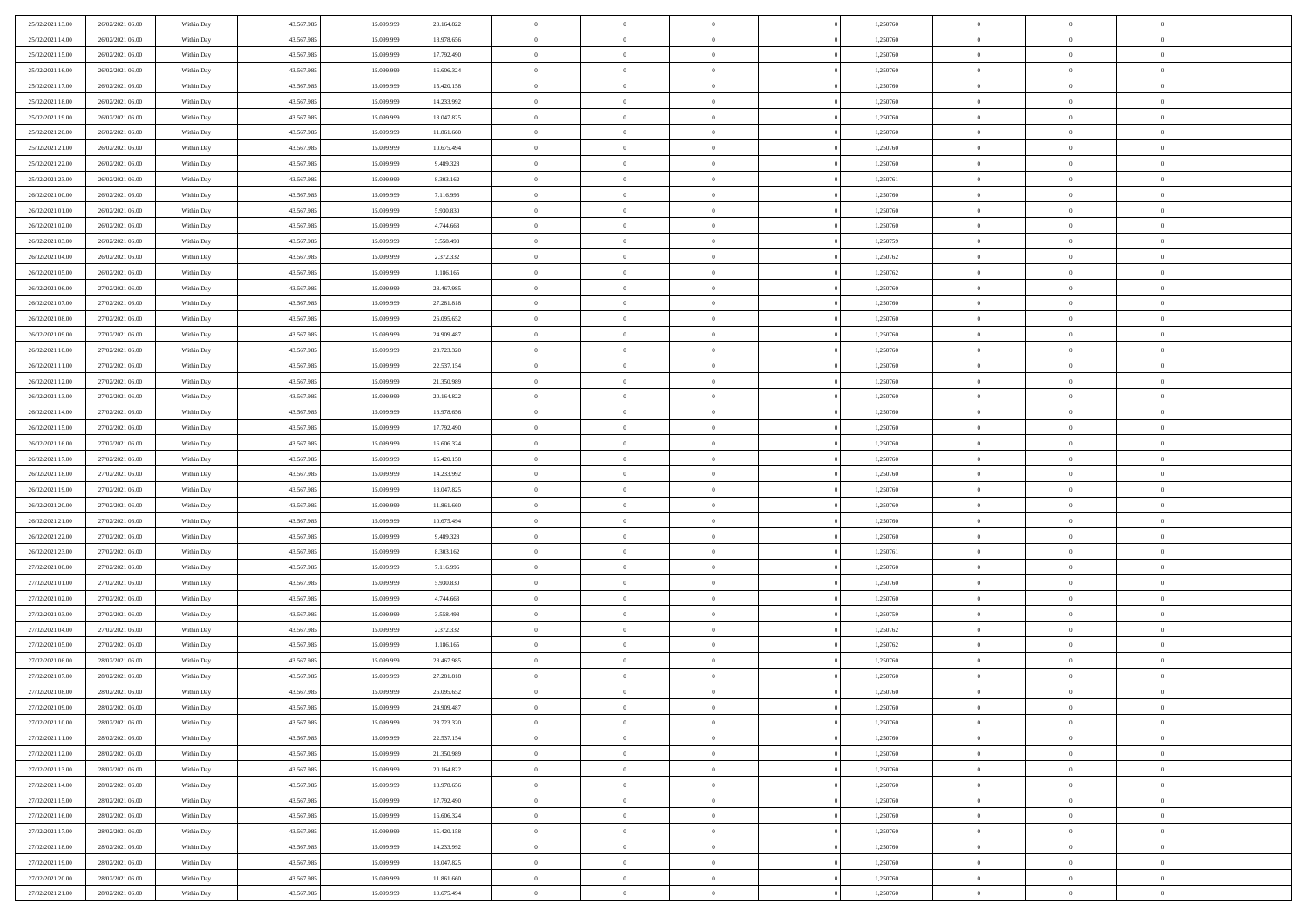| 25/02/2021 13:00                     | 26/02/2021 06:00 | Within Day               | 43.567.985 | 15.099.999 | 20.164.822 | $\,$ 0         | $\bf{0}$                         | $\theta$       |          | 1,250760             | $\bf{0}$                      | $\overline{0}$                 | $\,0\,$        |  |
|--------------------------------------|------------------|--------------------------|------------|------------|------------|----------------|----------------------------------|----------------|----------|----------------------|-------------------------------|--------------------------------|----------------|--|
| 25/02/2021 14:00                     | 26/02/2021 06:00 | Within Day               | 43.567.985 | 15.099.999 | 18.978.656 | $\overline{0}$ | $\overline{0}$                   | $\overline{0}$ |          | 1,250760             | $\overline{0}$                | $\overline{0}$                 | $\theta$       |  |
| 25/02/2021 15:00                     | 26/02/2021 06:00 | Within Dav               | 43.567.985 | 15.099.999 | 17.792.490 | $\mathbf{0}$   | $\overline{0}$                   | $\overline{0}$ |          | 1,250760             | $\mathbf{0}$                  | $\overline{0}$                 | $\overline{0}$ |  |
| 25/02/2021 16:00                     | 26/02/2021 06:00 | Within Day               | 43.567.985 | 15.099.999 | 16.606.324 | $\bf{0}$       | $\overline{0}$                   | $\bf{0}$       |          | 1,250760             | $\bf{0}$                      | $\overline{0}$                 | $\bf{0}$       |  |
| 25/02/2021 17:00                     | 26/02/2021 06:00 | Within Day               | 43.567.985 | 15.099.999 | 15.420.158 | $\bf{0}$       | $\bf{0}$                         | $\overline{0}$ |          | 1,250760             | $\bf{0}$                      | $\bf{0}$                       | $\,0\,$        |  |
| 25/02/2021 18:00                     | 26/02/2021 06:00 | Within Dav               | 43.567.985 | 15.099.999 | 14.233.992 | $\mathbf{0}$   | $\overline{0}$                   | $\overline{0}$ |          | 1,250760             | $\mathbf{0}$                  | $\overline{0}$                 | $\overline{0}$ |  |
| 25/02/2021 19:00                     | 26/02/2021 06:00 | Within Day               | 43.567.985 | 15.099.999 | 13.047.825 | $\bf{0}$       | $\bf{0}$                         | $\overline{0}$ |          | 1,250760             | $\bf{0}$                      | $\overline{0}$                 | $\,0\,$        |  |
| 25/02/2021 20:00                     | 26/02/2021 06:00 | Within Day               | 43.567.985 | 15.099.999 | 11.861.660 | $\overline{0}$ | $\overline{0}$                   | $\overline{0}$ |          | 1,250760             | $\,$ 0 $\,$                   | $\overline{0}$                 | $\theta$       |  |
| 25/02/2021 21:00                     | 26/02/2021 06:00 | Within Dav               | 43.567.985 | 15.099.999 | 10.675.494 | $\mathbf{0}$   | $\overline{0}$                   | $\overline{0}$ |          | 1,250760             | $\mathbf{0}$                  | $\overline{0}$                 | $\overline{0}$ |  |
| 25/02/2021 22:00                     | 26/02/2021 06:00 | Within Day               | 43.567.985 | 15.099.999 | 9.489.328  | $\bf{0}$       | $\bf{0}$                         | $\overline{0}$ |          | 1,250760             | $\bf{0}$                      | $\overline{0}$                 | $\,0\,$        |  |
|                                      | 26/02/2021 06:00 |                          | 43.567.985 | 15.099.999 | 8.303.162  | $\bf{0}$       | $\overline{0}$                   | $\overline{0}$ |          |                      | $\bf{0}$                      | $\overline{0}$                 | $\theta$       |  |
| 25/02/2021 23:00<br>26/02/2021 00:00 | 26/02/2021 06:00 | Within Day<br>Within Dav | 43.567.985 | 15.099.999 | 7.116.996  | $\mathbf{0}$   | $\overline{0}$                   | $\overline{0}$ |          | 1,250761<br>1,250760 | $\mathbf{0}$                  | $\overline{0}$                 | $\overline{0}$ |  |
|                                      | 26/02/2021 06:00 |                          |            |            |            | $\bf{0}$       |                                  |                |          |                      | $\bf{0}$                      |                                | $\bf{0}$       |  |
| 26/02/2021 01:00                     |                  | Within Day               | 43.567.985 | 15.099.999 | 5.930.830  |                | $\overline{0}$<br>$\overline{0}$ | $\bf{0}$       |          | 1,250760             |                               | $\overline{0}$<br>$\mathbf{0}$ |                |  |
| 26/02/2021 02:00                     | 26/02/2021 06:00 | Within Day               | 43.567.985 | 15.099.999 | 4.744.663  | $\bf{0}$       |                                  | $\overline{0}$ |          | 1,250760             | $\bf{0}$                      |                                | $\,0\,$        |  |
| 26/02/2021 03:00                     | 26/02/2021 06:00 | Within Dav               | 43.567.985 | 15.099.999 | 3.558.498  | $\overline{0}$ | $\overline{0}$                   | $\overline{0}$ |          | 1,250759             | $\mathbf{0}$                  | $\overline{0}$                 | $\overline{0}$ |  |
| 26/02/2021 04:00                     | 26/02/2021 06:00 | Within Day               | 43.567.985 | 15.099.999 | 2.372.332  | $\bf{0}$       | $\bf{0}$                         | $\overline{0}$ |          | 1,250762             | $\bf{0}$                      | $\overline{0}$                 | $\bf{0}$       |  |
| 26/02/2021 05:00                     | 26/02/2021 06:00 | Within Day               | 43.567.985 | 15.099.999 | 1.186.165  | $\overline{0}$ | $\overline{0}$                   | $\overline{0}$ |          | 1,250762             | $\bf{0}$                      | $\overline{0}$                 | $\theta$       |  |
| 26/02/2021 06:00                     | 27/02/2021 06:00 | Within Day               | 43.567.985 | 15.099.999 | 28.467.985 | $\mathbf{0}$   | $\overline{0}$                   | $\overline{0}$ |          | 1,250760             | $\mathbf{0}$                  | $\overline{0}$                 | $\overline{0}$ |  |
| 26/02/2021 07:00                     | 27/02/2021 06:00 | Within Day               | 43.567.985 | 15.099.999 | 27.281.818 | $\bf{0}$       | $\bf{0}$                         | $\overline{0}$ |          | 1,250760             | $\bf{0}$                      | $\overline{0}$                 | $\,0\,$        |  |
| 26/02/2021 08:00                     | 27/02/2021 06:00 | Within Day               | 43.567.985 | 15.099.999 | 26.095.652 | $\bf{0}$       | $\overline{0}$                   | $\overline{0}$ |          | 1,250760             | $\bf{0}$                      | $\overline{0}$                 | $\overline{0}$ |  |
| 26/02/2021 09:00                     | 27/02/2021 06:00 | Within Dav               | 43.567.985 | 15.099.999 | 24.909.487 | $\mathbf{0}$   | $\overline{0}$                   | $\overline{0}$ |          | 1,250760             | $\mathbf{0}$                  | $\overline{0}$                 | $\overline{0}$ |  |
| 26/02/2021 10:00                     | 27/02/2021 06:00 | Within Day               | 43.567.985 | 15.099.999 | 23.723.320 | $\bf{0}$       | $\overline{0}$                   | $\overline{0}$ |          | 1,250760             | $\bf{0}$                      | $\overline{0}$                 | $\bf{0}$       |  |
| 26/02/2021 11:00                     | 27/02/2021 06:00 | Within Day               | 43.567.985 | 15.099.999 | 22.537.154 | $\bf{0}$       | $\bf{0}$                         | $\overline{0}$ |          | 1,250760             | $\bf{0}$                      | $\bf{0}$                       | $\,0\,$        |  |
| 26/02/2021 12:00                     | 27/02/2021 06:00 | Within Dav               | 43.567.985 | 15.099.999 | 21.350.989 | $\mathbf{0}$   | $\overline{0}$                   | $\overline{0}$ |          | 1,250760             | $\mathbf{0}$                  | $\overline{0}$                 | $\theta$       |  |
| 26/02/2021 13:00                     | 27/02/2021 06:00 | Within Day               | 43.567.985 | 15.099.999 | 20.164.822 | $\bf{0}$       | $\bf{0}$                         | $\overline{0}$ |          | 1,250760             | $\bf{0}$                      | $\overline{0}$                 | $\,0\,$        |  |
| 26/02/2021 14:00                     | 27/02/2021 06:00 | Within Day               | 43.567.985 | 15.099.999 | 18.978.656 | $\bf{0}$       | $\overline{0}$                   | $\overline{0}$ |          | 1,250760             | $\bf{0}$                      | $\mathbf{0}$                   | $\overline{0}$ |  |
| 26/02/2021 15:00                     | 27/02/2021 06:00 | Within Dav               | 43.567.985 | 15.099.999 | 17.792.490 | $\mathbf{0}$   | $\overline{0}$                   | $\overline{0}$ |          | 1,250760             | $\mathbf{0}$                  | $\overline{0}$                 | $\overline{0}$ |  |
| 26/02/2021 16:00                     | 27/02/2021 06:00 | Within Day               | 43.567.985 | 15.099.999 | 16.606.324 | $\bf{0}$       | $\bf{0}$                         | $\overline{0}$ |          | 1,250760             | $\bf{0}$                      | $\overline{0}$                 | $\,0\,$        |  |
| 26/02/2021 17:00                     | 27/02/2021 06:00 | Within Day               | 43.567.985 | 15,099,999 | 15.420.158 | $\bf{0}$       | $\bf{0}$                         | $\overline{0}$ |          | 1,250760             | $\bf{0}$                      | $\bf{0}$                       | $\overline{0}$ |  |
| 26/02/2021 18:00                     | 27/02/2021 06:00 | Within Dav               | 43.567.985 | 15.099.999 | 14.233.992 | $\mathbf{0}$   | $\overline{0}$                   | $\overline{0}$ |          | 1,250760             | $\mathbf{0}$                  | $\overline{0}$                 | $\overline{0}$ |  |
| 26/02/2021 19:00                     | 27/02/2021 06:00 | Within Day               | 43.567.985 | 15.099.999 | 13.047.825 | $\bf{0}$       | $\overline{0}$                   | $\theta$       |          | 1,250760             | $\,$ 0                        | $\overline{0}$                 | $\theta$       |  |
| 26/02/2021 20:00                     | 27/02/2021 06:00 | Within Day               | 43.567.985 | 15.099.999 | 11.861.660 | $\bf{0}$       | $\bf{0}$                         | $\overline{0}$ |          | 1,250760             | $\bf{0}$                      | $\bf{0}$                       | $\bf{0}$       |  |
| 26/02/2021 21:00                     | 27/02/2021 06:00 | Within Dav               | 43.567.985 | 15.099.999 | 10.675.494 | $\mathbf{0}$   | $\overline{0}$                   | $\overline{0}$ |          | 1,250760             | $\mathbf{0}$                  | $\overline{0}$                 | $\overline{0}$ |  |
| 26/02/2021 22:00                     | 27/02/2021 06:00 | Within Day               | 43.567.985 | 15.099.999 | 9.489.328  | $\bf{0}$       | $\overline{0}$                   | $\theta$       |          | 1,250760             | $\,$ 0                        | $\overline{0}$                 | $\theta$       |  |
| 26/02/2021 23:00                     | 27/02/2021 06:00 | Within Day               | 43.567.985 | 15.099.999 | 8.303.162  | $\bf{0}$       | $\overline{0}$                   | $\overline{0}$ |          | 1,250761             | $\bf{0}$                      | $\overline{0}$                 | $\overline{0}$ |  |
| 27/02/2021 00:00                     | 27/02/2021 06:00 | Within Day               | 43.567.985 | 15.099.999 | 7.116.996  | $\mathbf{0}$   | $\overline{0}$                   | $\overline{0}$ |          | 1,250760             | $\mathbf{0}$                  | $\overline{0}$                 | $\overline{0}$ |  |
| 27/02/2021 01:00                     | 27/02/2021 06:00 | Within Day               | 43.567.985 | 15.099.999 | 5.930.830  | $\bf{0}$       | $\overline{0}$                   | $\theta$       |          | 1,250760             | $\,$ 0                        | $\overline{0}$                 | $\theta$       |  |
| 27/02/2021 02:00                     | 27/02/2021 06:00 | Within Day               | 43.567.985 | 15.099.999 | 4.744.663  | $\bf{0}$       | $\overline{0}$                   | $\overline{0}$ |          | 1,250760             | $\bf{0}$                      | $\overline{0}$                 | $\bf{0}$       |  |
| 27/02/2021 03:00                     | 27/02/2021 06:00 | Within Dav               | 43.567.985 | 15.099.999 | 3.558.498  | $\mathbf{0}$   | $\overline{0}$                   | $\overline{0}$ |          | 1,250759             | $\mathbf{0}$                  | $\overline{0}$                 | $\overline{0}$ |  |
| 27/02/2021 04:00                     | 27/02/2021 06:00 | Within Day               | 43.567.985 | 15.099.999 | 2.372.332  | $\,0\,$        | $\overline{0}$                   | $\theta$       |          | 1,250762             | $\,$ 0                        | $\overline{0}$                 | $\theta$       |  |
| 27/02/2021 05:00                     | 27/02/2021 06:00 | Within Day               | 43.567.985 | 15.099.999 | 1.186.165  | $\bf{0}$       | $\bf{0}$                         | $\overline{0}$ |          | 1,250762             | $\bf{0}$                      | $\overline{0}$                 | $\bf{0}$       |  |
| 27/02/2021 06:00                     | 28/02/2021 06:00 | Within Dav               | 43.567.985 | 15.099.999 | 28.467.985 | $\mathbf{0}$   | $\overline{0}$                   | $\overline{0}$ |          | 1,250760             | $\mathbf{0}$                  | $\overline{0}$                 | $\overline{0}$ |  |
| 27/02/2021 07:00                     | 28/02/2021 06:00 | Within Day               | 43.567.985 | 15.099.999 | 27.281.818 | $\bf{0}$       | $\overline{0}$                   | $\theta$       |          | 1,250760             | $\,$ 0                        | $\overline{0}$                 | $\theta$       |  |
| 27/02/2021 08:00                     | 28/02/2021 06:00 | Within Day               | 43.567.985 | 15.099.999 | 26.095.652 | $\bf{0}$       | $\overline{0}$                   | $\overline{0}$ |          | 1,250760             | $\,$ 0 $\,$                   | $\overline{0}$                 | $\overline{0}$ |  |
| 27/02/2021 09:00                     | 28/02/2021 06:00 | Within Day               | 43.567.985 | 15.099.999 | 24.909.487 | $\bf{0}$       | $\overline{0}$                   |                |          | 1,250760             | $\overline{0}$                | $\theta$                       | $\theta$       |  |
| 27/02/2021 10:00                     | 28/02/2021 06:00 | Within Day               | 43.567.985 | 15.099.999 | 23.723.320 | $\,0\,$        | $\overline{0}$                   | $\theta$       |          | 1,250760             | $\,$ 0 $\,$                   | $\bf{0}$                       | $\theta$       |  |
| 27/02/2021 11:00                     | 28/02/2021 06:00 | Within Day               | 43.567.985 | 15.099.999 | 22.537.154 | $\overline{0}$ | $\overline{0}$                   | $\overline{0}$ |          | 1,250760             | $\,$ 0 $\,$                   | $\overline{0}$                 | $\overline{0}$ |  |
| 27/02/2021 12:00                     | 28/02/2021 06:00 | Within Day               | 43.567.985 | 15.099.999 | 21.350.989 | $\bf{0}$       | $\overline{0}$                   | $\overline{0}$ |          | 1,250760             | $\overline{0}$                | $\bf{0}$                       | $\overline{0}$ |  |
| 27/02/2021 13:00                     | 28/02/2021 06:00 | Within Day               | 43.567.985 | 15.099.999 | 20.164.822 | $\bf{0}$       | $\overline{0}$                   | $\overline{0}$ | $\theta$ | 1,250760             | $\mathbf{0}$                  | $\bf{0}$                       | $\,$ 0 $\,$    |  |
| 27/02/2021 14:00                     | 28/02/2021 06:00 | Within Day               | 43.567.985 | 15.099.999 | 18.978.656 | $\overline{0}$ | $\overline{0}$                   | $\overline{0}$ |          | 1,250760             | $\,$ 0 $\,$                   | $\overline{0}$                 | $\overline{0}$ |  |
| 27/02/2021 15:00                     | 28/02/2021 06:00 | Within Day               | 43.567.985 | 15.099.999 | 17.792.490 | $\bf{0}$       | $\overline{0}$                   | $\overline{0}$ |          | 1,250760             | $\mathbf{0}$                  | $\overline{0}$                 | $\overline{0}$ |  |
| 27/02/2021 16:00                     | 28/02/2021 06:00 | Within Day               | 43.567.985 | 15.099.999 | 16.606.324 | $\,$ 0 $\,$    | $\overline{0}$                   | $\overline{0}$ | $\theta$ | 1,250760             | $\mathbf{0}$                  | $\mathbf{0}$                   | $\,$ 0 $\,$    |  |
|                                      |                  |                          | 43.567.985 |            |            | $\bf{0}$       | $\overline{0}$                   |                |          |                      |                               | $\overline{0}$                 |                |  |
| 27/02/2021 17:00                     | 28/02/2021 06:00 | Within Day               | 43.567.985 | 15.099.999 | 15.420.158 |                |                                  | $\overline{0}$ |          | 1,250760             | $\,$ 0 $\,$<br>$\overline{0}$ |                                | $\overline{0}$ |  |
| 27/02/2021 18:00                     | 28/02/2021 06:00 | Within Day               |            | 15.099.999 | 14.233.992 | $\bf{0}$       | $\overline{0}$                   | $\overline{0}$ |          | 1,250760             |                               | $\bf{0}$                       | $\overline{0}$ |  |
| 27/02/2021 19:00                     | 28/02/2021 06:00 | Within Day               | 43.567.985 | 15.099.999 | 13.047.825 | $\,$ 0 $\,$    | $\overline{0}$                   | $\overline{0}$ |          | 1,250760             | $\mathbf{0}$                  | $\mathbf{0}$                   | $\,$ 0 $\,$    |  |
| 27/02/2021 20:00                     | 28/02/2021 06:00 | Within Day               | 43.567.985 | 15.099.999 | 11.861.660 | $\bf{0}$       | $\bf{0}$                         | $\overline{0}$ |          | 1,250760             | $\mathbf 0$                   | $\overline{0}$                 | $\overline{0}$ |  |
| 27/02/2021 21:00                     | 28/02/2021 06:00 | Within Day               | 43.567.985 | 15.099.999 | 10.675.494 | $\bf{0}$       | $\overline{0}$                   | $\overline{0}$ |          | 1,250760             | $\mathbf{0}$                  | $\overline{0}$                 | $\overline{0}$ |  |